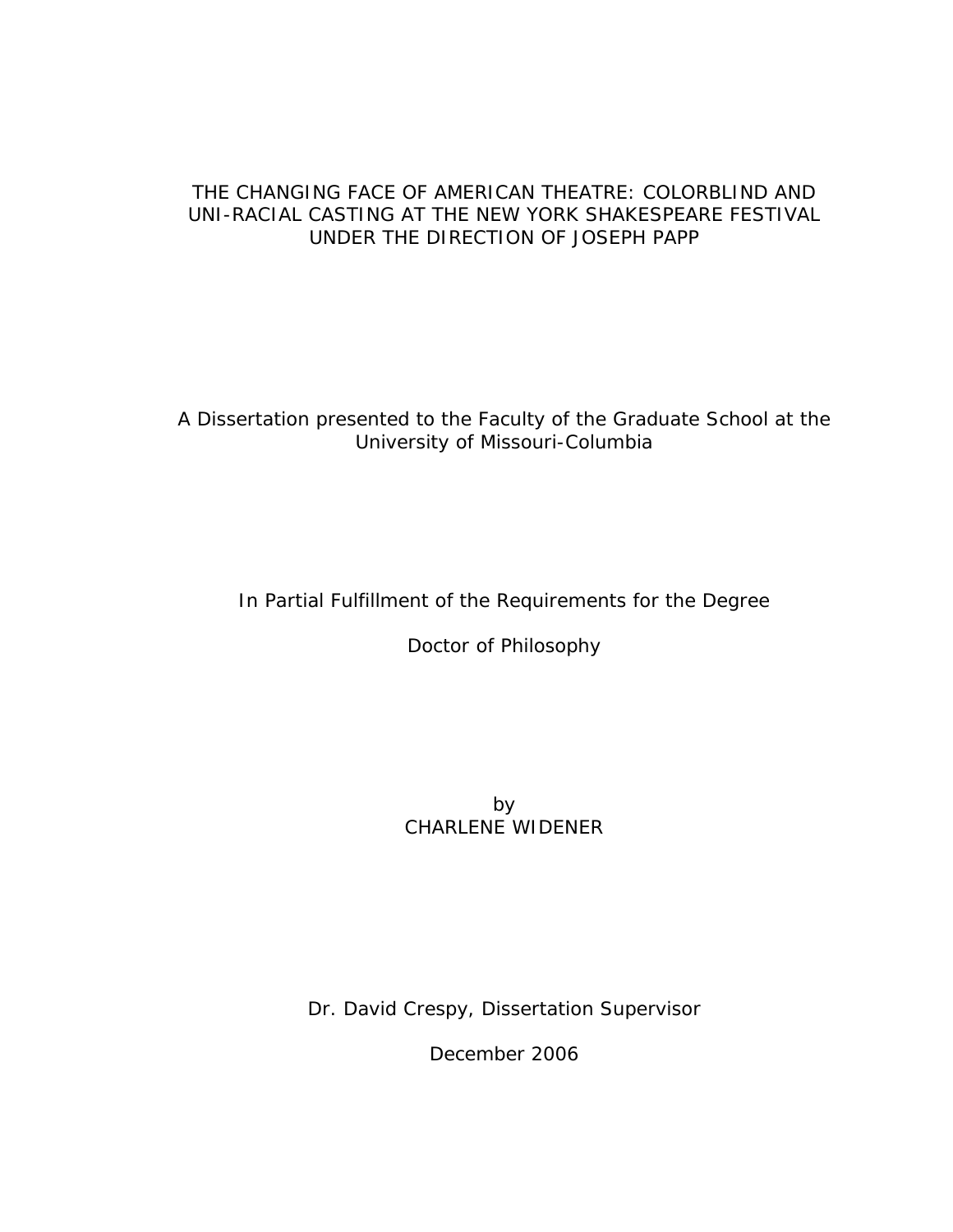# THE CHANGING FACE OF AMERICAN THEATRE: COLORBLIND AND UNI-RACIAL CASTING AT THE NEW YORK SHAKESPEARE FESTIVAL UNDER THE DIRECTION OF JOSEPH PAPP

A Dissertation presented to the Faculty of the Graduate School at the University of Missouri-Columbia

In Partial Fulfillment of the Requirements for the Degree

Doctor of Philosophy

by CHARLENE WIDENER

Dr. David Crespy, Dissertation Supervisor

December 2006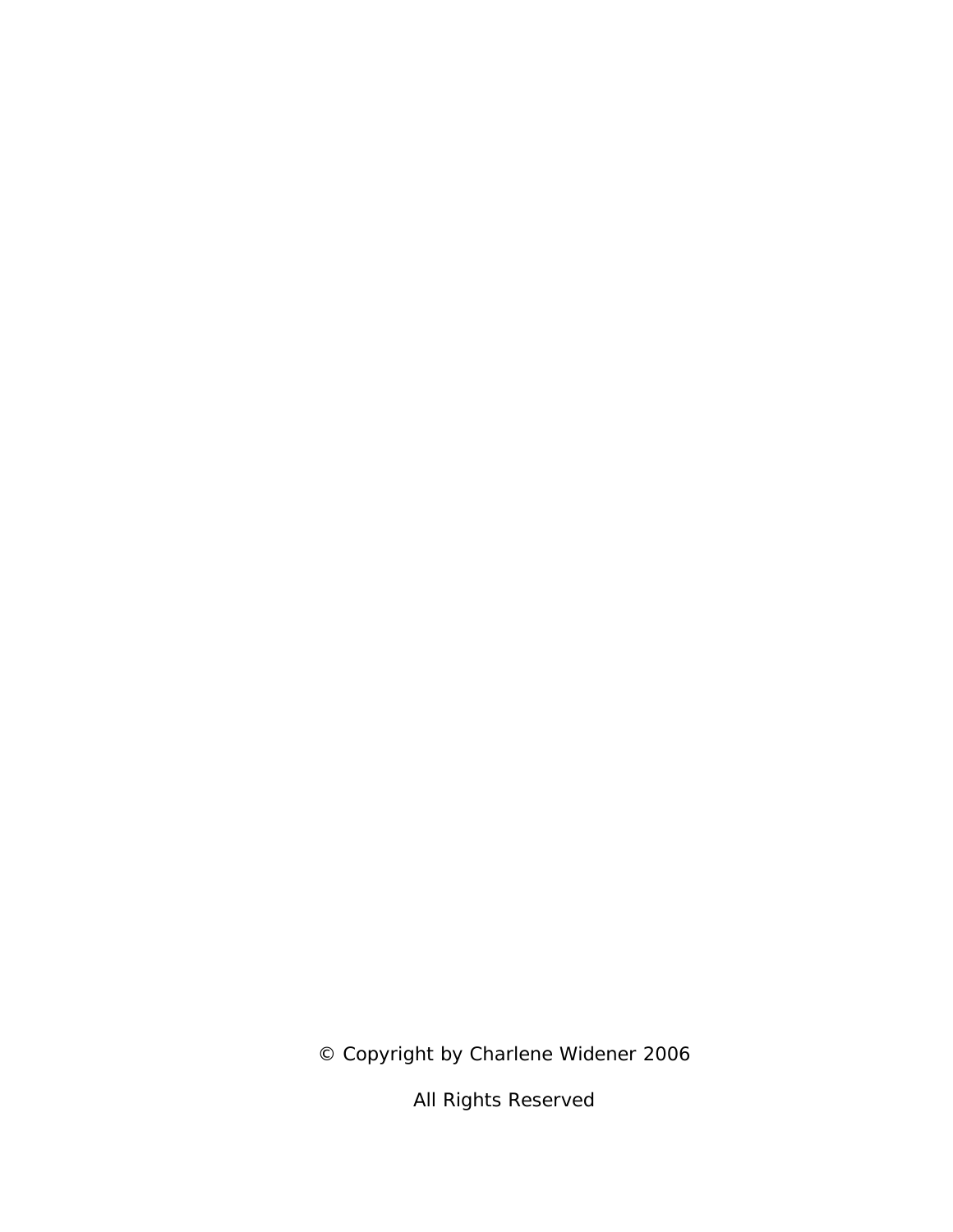© Copyright by Charlene Widener 2006

All Rights Reserved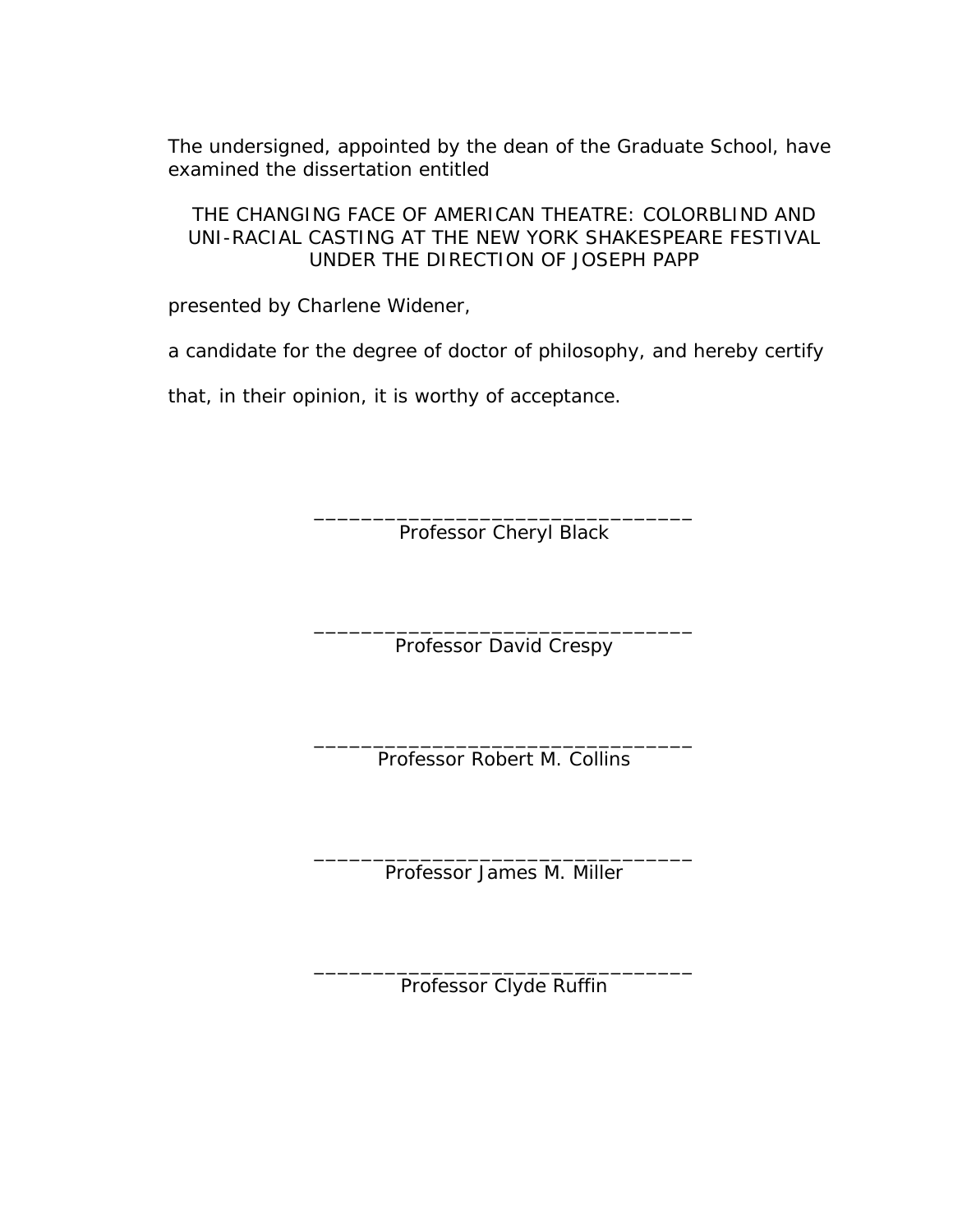The undersigned, appointed by the dean of the Graduate School, have examined the dissertation entitled

THE CHANGING FACE OF AMERICAN THEATRE: COLORBLIND AND UNI-RACIAL CASTING AT THE NEW YORK SHAKESPEARE FESTIVAL UNDER THE DIRECTION OF JOSEPH PAPP

presented by Charlene Widener,

a candidate for the degree of doctor of philosophy, and hereby certify

that, in their opinion, it is worthy of acceptance.

\_\_\_\_\_\_\_\_\_\_\_\_\_\_\_\_\_\_\_\_\_\_\_\_\_\_\_\_\_\_\_\_ Professor Cheryl Black

\_\_\_\_\_\_\_\_\_\_\_\_\_\_\_\_\_\_\_\_\_\_\_\_\_\_\_\_\_\_\_\_ Professor David Crespy

\_\_\_\_\_\_\_\_\_\_\_\_\_\_\_\_\_\_\_\_\_\_\_\_\_\_\_\_\_\_\_\_ Professor Robert M. Collins

\_\_\_\_\_\_\_\_\_\_\_\_\_\_\_\_\_\_\_\_\_\_\_\_\_\_\_\_\_\_\_\_ Professor James M. Miller

\_\_\_\_\_\_\_\_\_\_\_\_\_\_\_\_\_\_\_\_\_\_\_\_\_\_\_\_\_\_\_\_ Professor Clyde Ruffin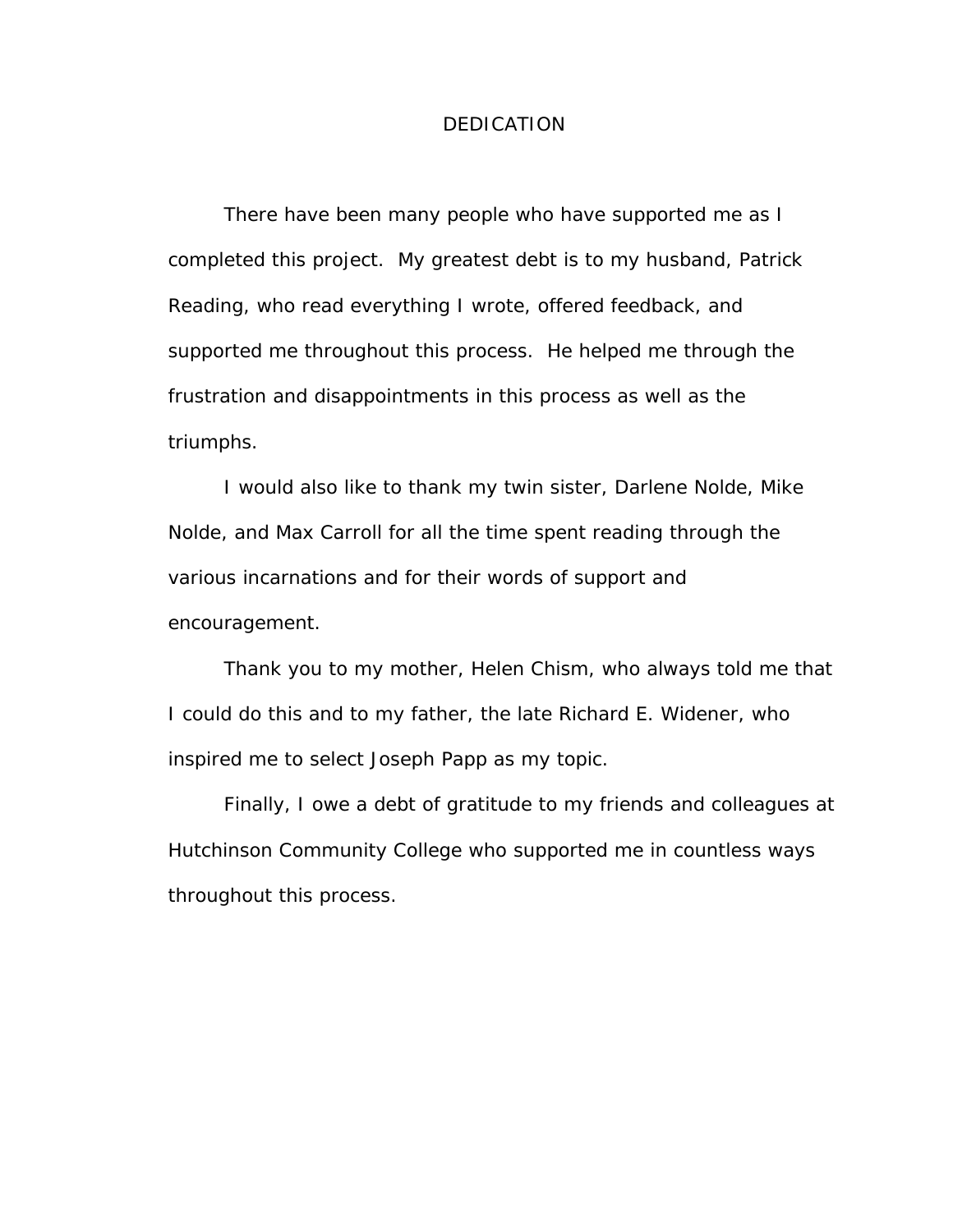### DEDICATION

There have been many people who have supported me as I completed this project. My greatest debt is to my husband, Patrick Reading, who read everything I wrote, offered feedback, and supported me throughout this process. He helped me through the frustration and disappointments in this process as well as the triumphs.

I would also like to thank my twin sister, Darlene Nolde, Mike Nolde, and Max Carroll for all the time spent reading through the various incarnations and for their words of support and encouragement.

Thank you to my mother, Helen Chism, who always told me that I could do this and to my father, the late Richard E. Widener, who inspired me to select Joseph Papp as my topic.

Finally, I owe a debt of gratitude to my friends and colleagues at Hutchinson Community College who supported me in countless ways throughout this process.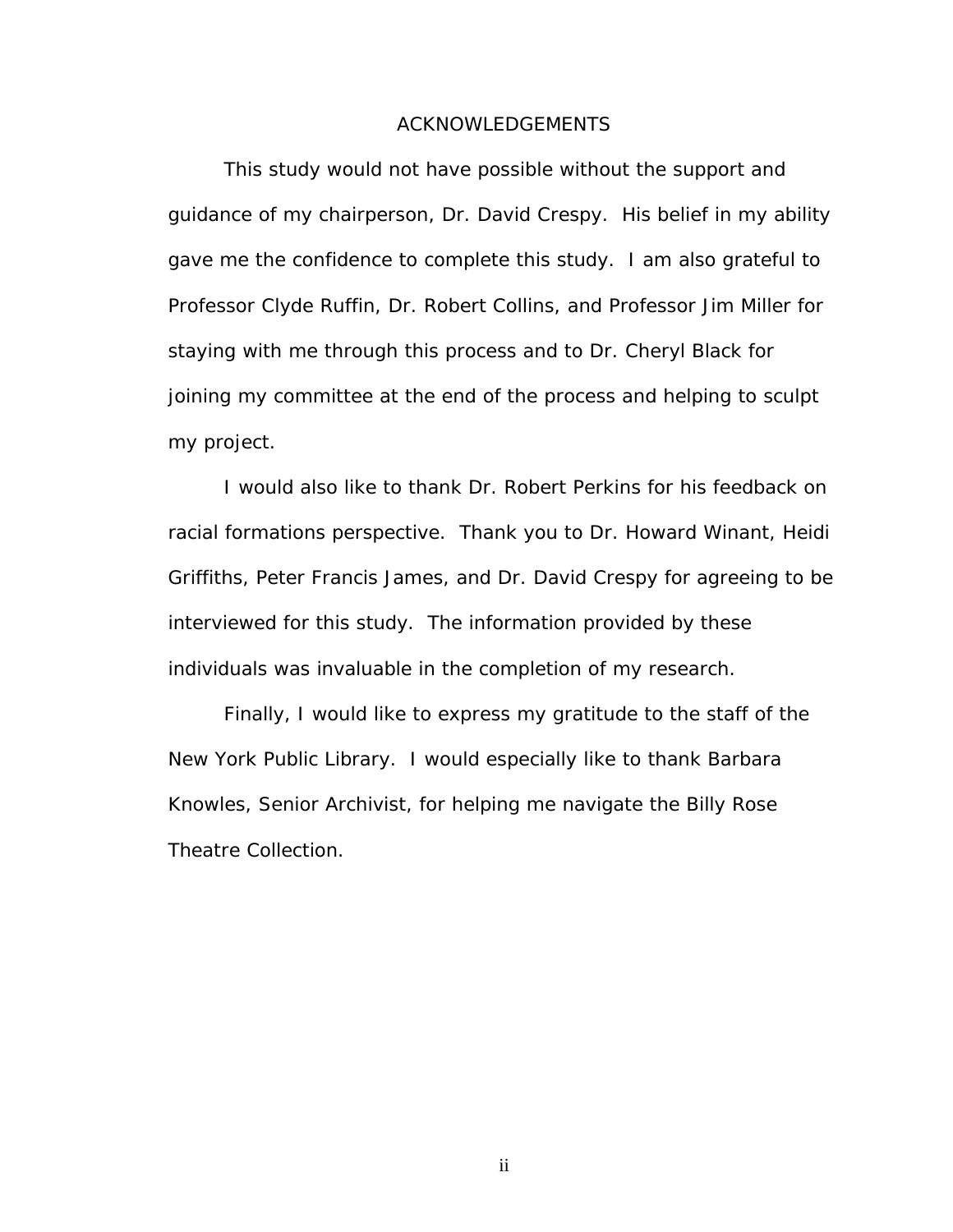#### ACKNOWLEDGEMENTS

This study would not have possible without the support and guidance of my chairperson, Dr. David Crespy. His belief in my ability gave me the confidence to complete this study. I am also grateful to Professor Clyde Ruffin, Dr. Robert Collins, and Professor Jim Miller for staying with me through this process and to Dr. Cheryl Black for joining my committee at the end of the process and helping to sculpt my project.

I would also like to thank Dr. Robert Perkins for his feedback on racial formations perspective. Thank you to Dr. Howard Winant, Heidi Griffiths, Peter Francis James, and Dr. David Crespy for agreeing to be interviewed for this study. The information provided by these individuals was invaluable in the completion of my research.

Finally, I would like to express my gratitude to the staff of the New York Public Library. I would especially like to thank Barbara Knowles, Senior Archivist, for helping me navigate the Billy Rose Theatre Collection.

ii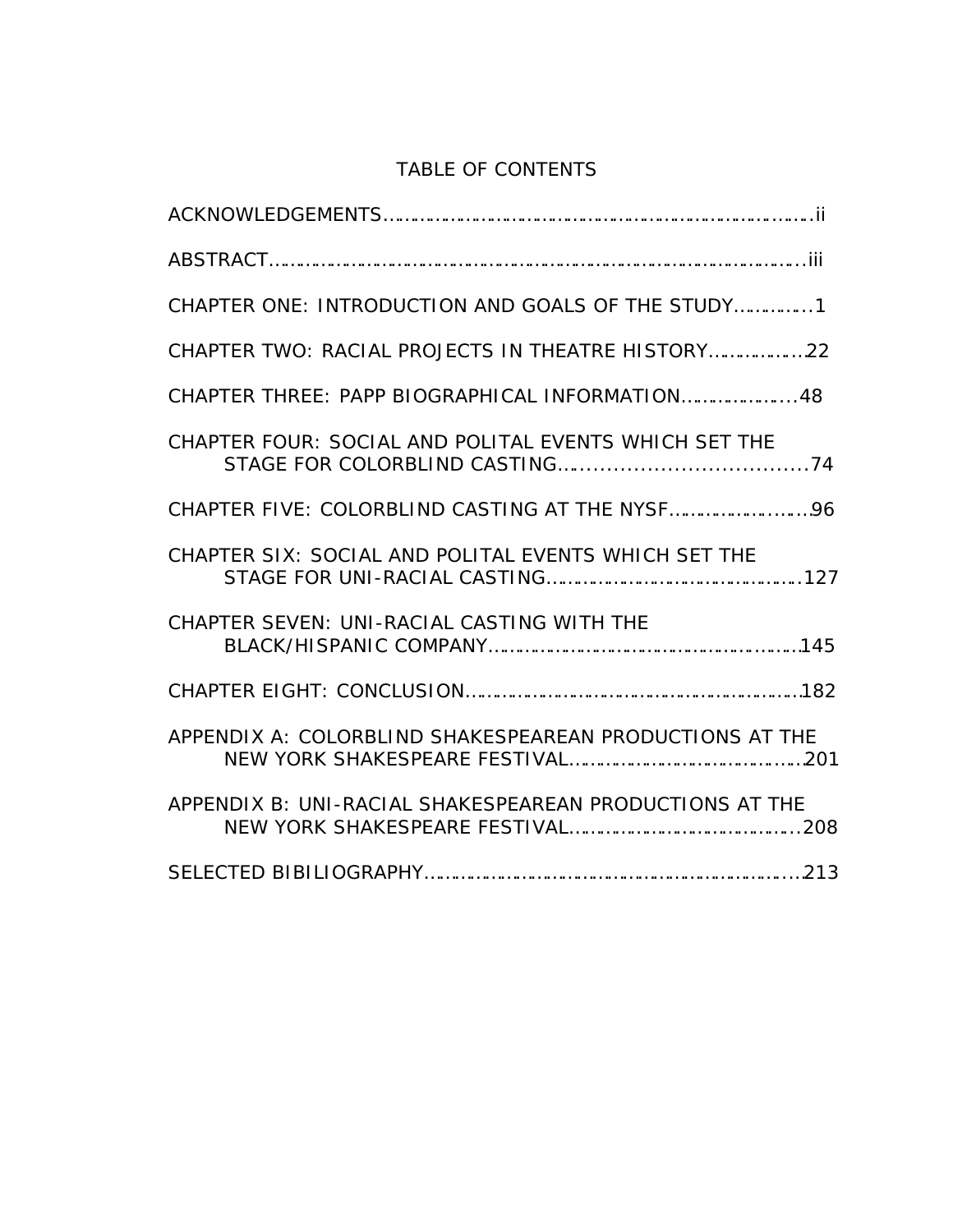# TABLE OF CONTENTS

| CHAPTER ONE: INTRODUCTION AND GOALS OF THE STUDY1       |
|---------------------------------------------------------|
| CHAPTER TWO: RACIAL PROJECTS IN THEATRE HISTORY22       |
| CHAPTER THREE: PAPP BIOGRAPHICAL INFORMATION 48         |
| CHAPTER FOUR: SOCIAL AND POLITAL EVENTS WHICH SET THE   |
|                                                         |
| CHAPTER SIX: SOCIAL AND POLITAL EVENTS WHICH SET THE    |
| CHAPTER SEVEN: UNI-RACIAL CASTING WITH THE              |
|                                                         |
| APPENDIX A: COLORBLIND SHAKESPEAREAN PRODUCTIONS AT THE |
| APPENDIX B: UNI-RACIAL SHAKESPEAREAN PRODUCTIONS AT THE |
|                                                         |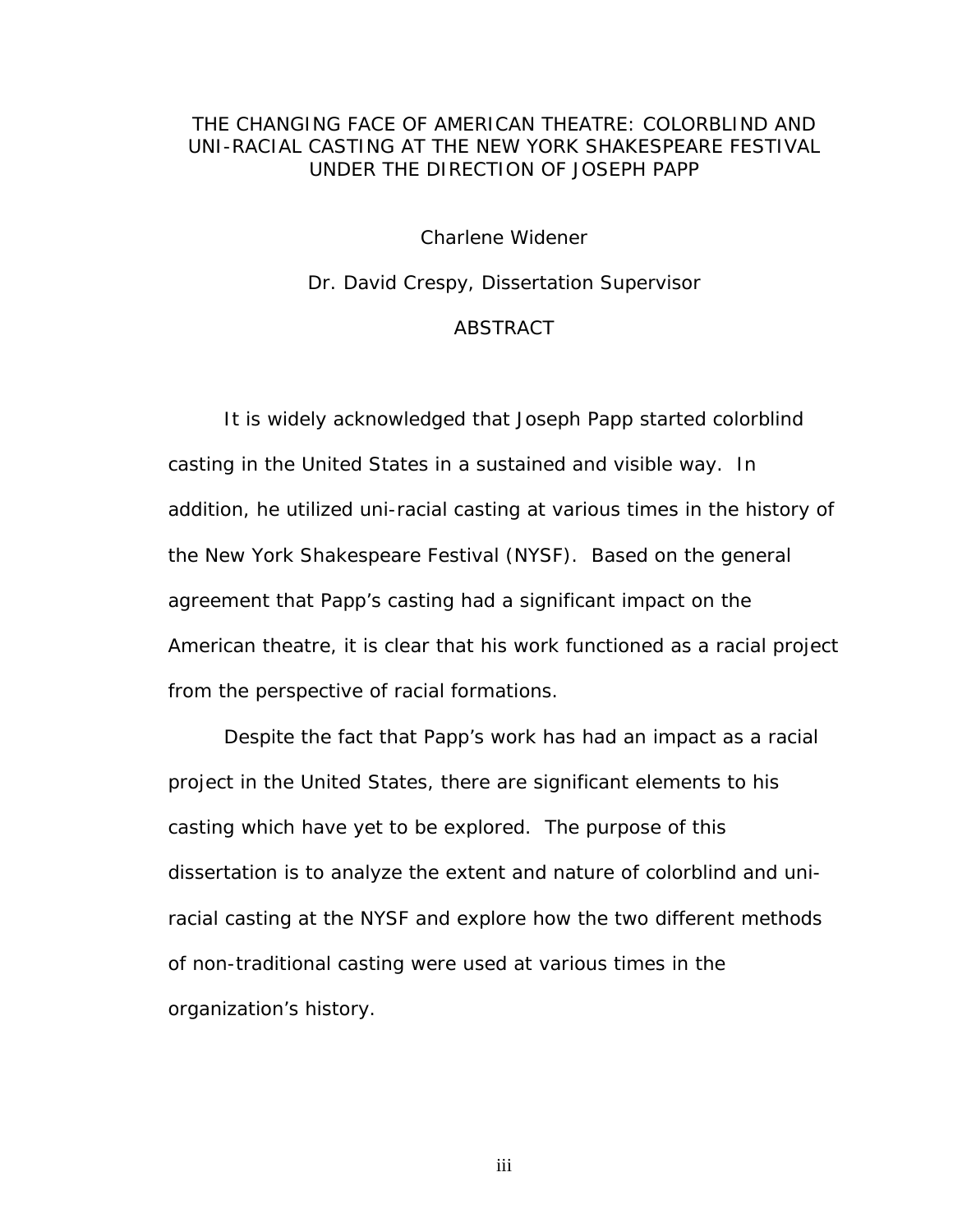# THE CHANGING FACE OF AMERICAN THEATRE: COLORBLIND AND UNI-RACIAL CASTING AT THE NEW YORK SHAKESPEARE FESTIVAL UNDER THE DIRECTION OF JOSEPH PAPP

Charlene Widener

Dr. David Crespy, Dissertation Supervisor

# ABSTRACT

It is widely acknowledged that Joseph Papp started colorblind casting in the United States in a sustained and visible way. In addition, he utilized uni-racial casting at various times in the history of the New York Shakespeare Festival (NYSF). Based on the general agreement that Papp's casting had a significant impact on the American theatre, it is clear that his work functioned as a racial project from the perspective of racial formations.

Despite the fact that Papp's work has had an impact as a racial project in the United States, there are significant elements to his casting which have yet to be explored. The purpose of this dissertation is to analyze the extent and nature of colorblind and uniracial casting at the NYSF and explore how the two different methods of non-traditional casting were used at various times in the organization's history.

iii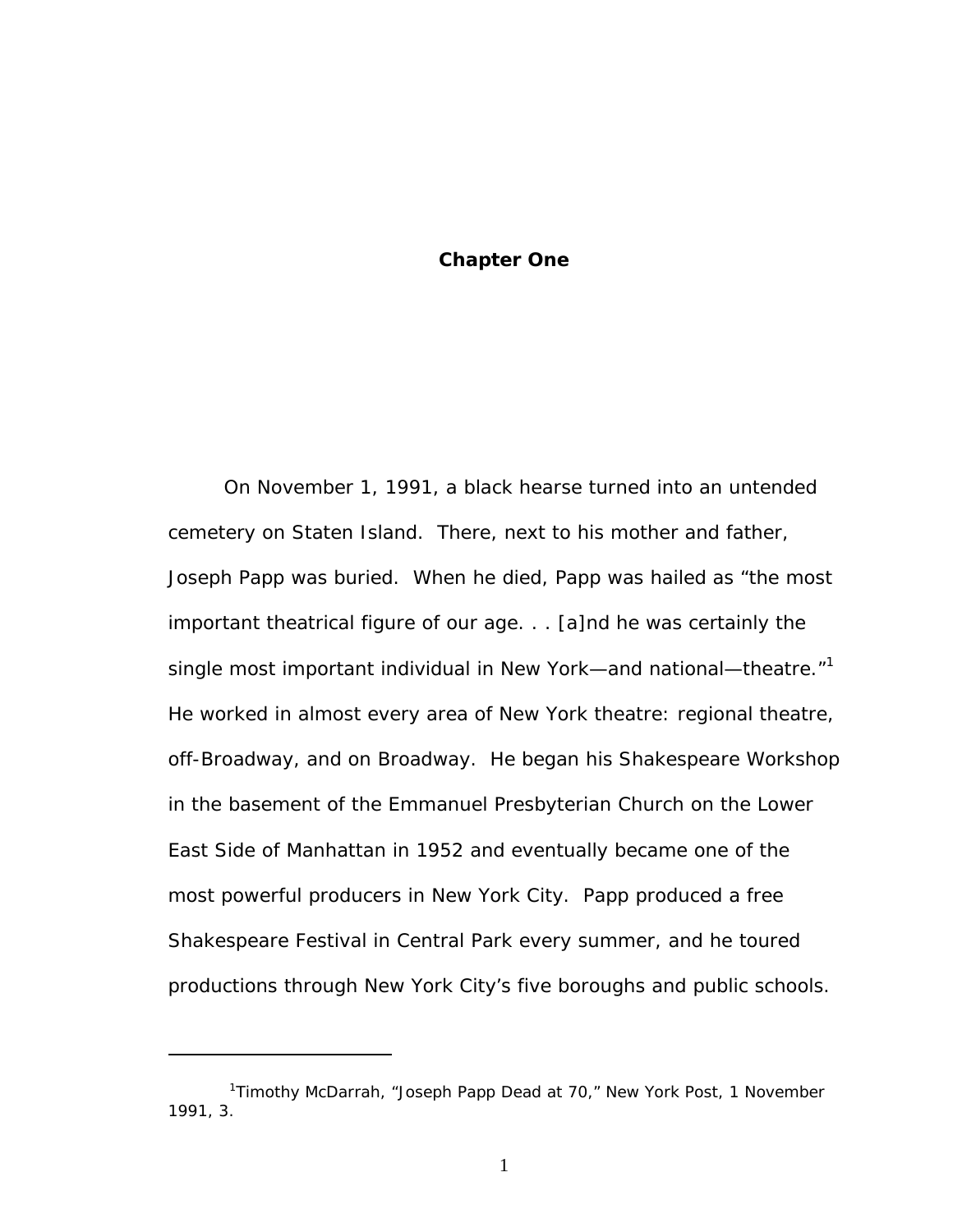# **Chapter One**

On November 1, 1991, a black hearse turned into an untended cemetery on Staten Island. There, next to his mother and father, Joseph Papp was buried. When he died, Papp was hailed as "the most important theatrical figure of our age. . . [a]nd he was certainly the single most important individual in New York—and national—theatre." $1$ He worked in almost every area of New York theatre: regional theatre, off-Broadway, and on Broadway. He began his Shakespeare Workshop in the basement of the Emmanuel Presbyterian Church on the Lower East Side of Manhattan in 1952 and eventually became one of the most powerful producers in New York City. Papp produced a free Shakespeare Festival in Central Park every summer, and he toured productions through New York City's five boroughs and public schools.

 $\overline{a}$ 

<span id="page-7-0"></span> <sup>1</sup> Timothy McDarrah, "Joseph Papp Dead at 70," *New York Post*, 1 November 1991, 3.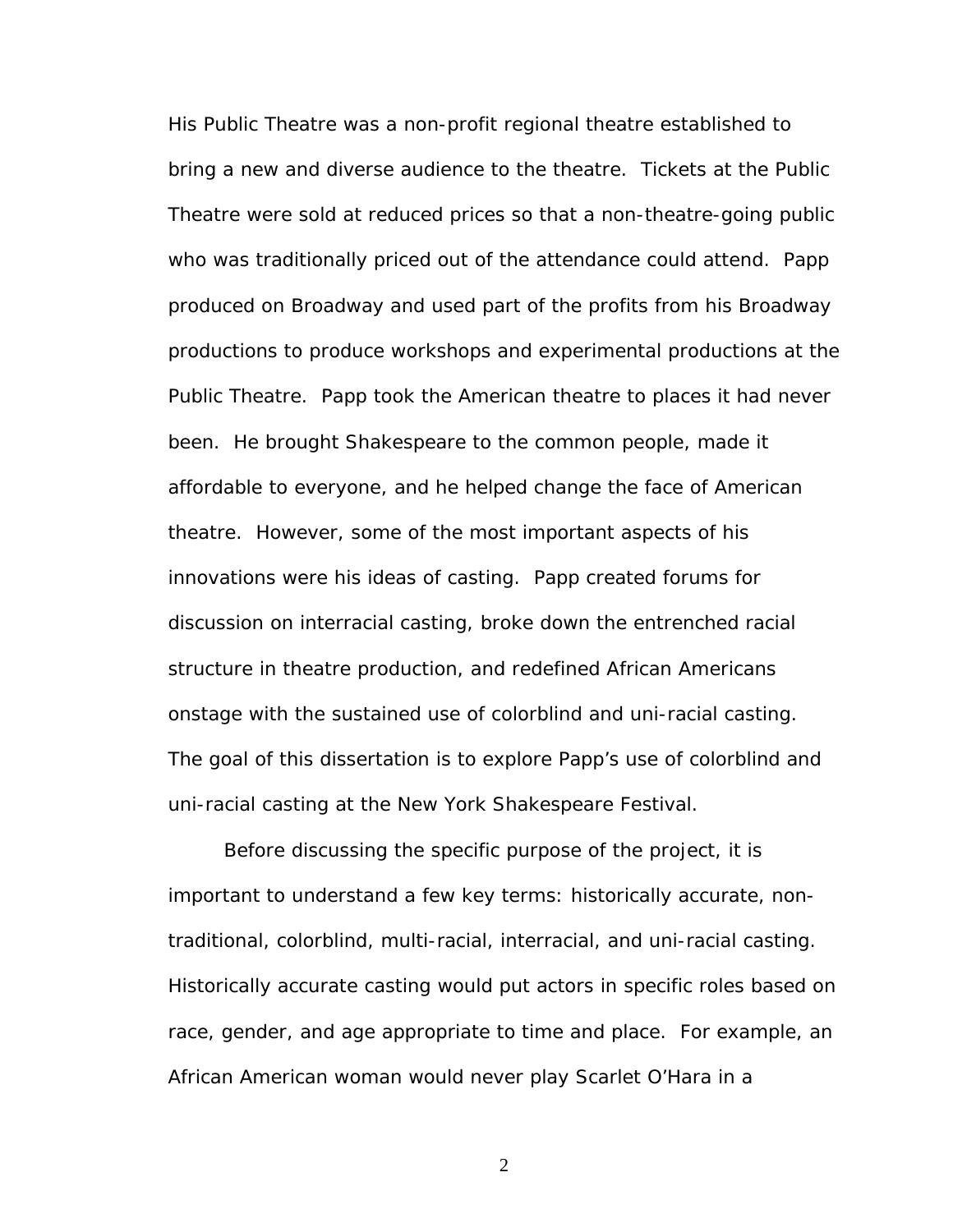His Public Theatre was a non-profit regional theatre established to bring a new and diverse audience to the theatre. Tickets at the Public Theatre were sold at reduced prices so that a non-theatre-going public who was traditionally priced out of the attendance could attend. Papp produced on Broadway and used part of the profits from his Broadway productions to produce workshops and experimental productions at the Public Theatre. Papp took the American theatre to places it had never been. He brought Shakespeare to the common people, made it affordable to everyone, and he helped change the face of American theatre. However, some of the most important aspects of his innovations were his ideas of casting. Papp created forums for discussion on interracial casting, broke down the entrenched racial structure in theatre production, and redefined African Americans onstage with the sustained use of colorblind and uni-racial casting. The goal of this dissertation is to explore Papp's use of colorblind and uni-racial casting at the New York Shakespeare Festival.

Before discussing the specific purpose of the project, it is important to understand a few key terms: historically accurate, nontraditional, colorblind, multi-racial, interracial, and uni-racial casting. Historically accurate casting would put actors in specific roles based on race, gender, and age appropriate to time and place. For example, an African American woman would never play Scarlet O'Hara in a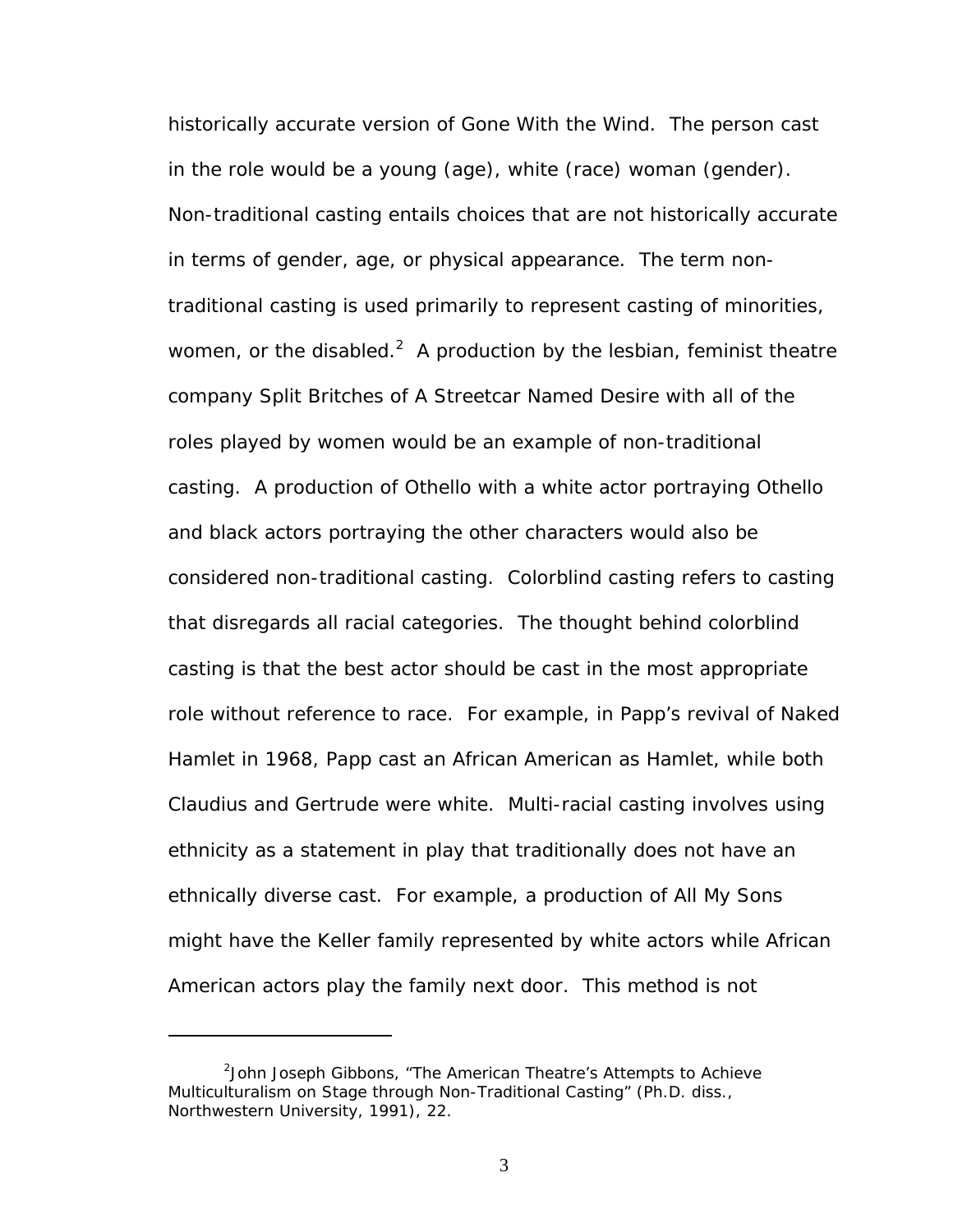historically accurate version of *Gone With the Wind*. The person cast in the role would be a young (age), white (race) woman (gender). Non-traditional casting entails choices that are not historically accurate in terms of gender, age, or physical appearance. The term nontraditional casting is used primarily to represent casting of minorities, women, or the disabled.<sup>2</sup> A production by the lesbian, feminist theatre company Split Britches of *A Streetcar Named Desire* with all of the roles played by women would be an example of non-traditional casting. A production of *Othello* with a white actor portraying Othello and black actors portraying the other characters would also be considered non-traditional casting. Colorblind casting refers to casting that disregards all racial categories. The thought behind colorblind casting is that the best actor should be cast in the most appropriate role without reference to race. For example, in Papp's revival of *Naked Hamlet* in 1968, Papp cast an African American as Hamlet, while both Claudius and Gertrude were white. Multi-racial casting involves using ethnicity as a statement in play that traditionally does not have an ethnically diverse cast. For example, a production of *All My Sons* might have the Keller family represented by white actors while African American actors play the family next door. This method is not

 $\overline{a}$ 

<span id="page-9-0"></span><sup>&</sup>lt;sup>2</sup>John Joseph Gibbons, "The American Theatre's Attempts to Achieve Multiculturalism on Stage through Non-Traditional Casting" (Ph.D. diss., Northwestern University, 1991), 22.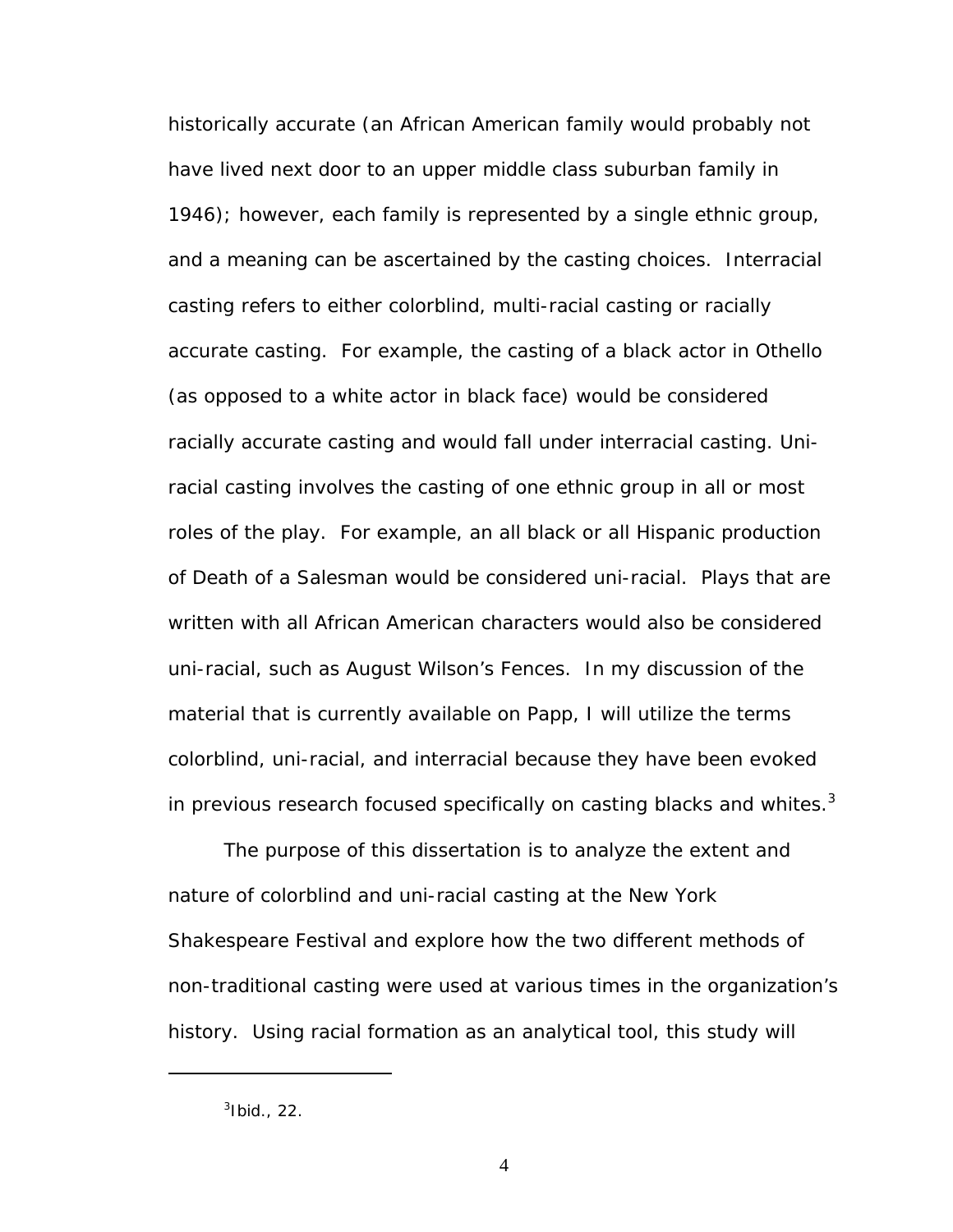historically accurate (an African American family would probably not have lived next door to an upper middle class suburban family in 1946); however, each family is represented by a single ethnic group, and a meaning can be ascertained by the casting choices. Interracial casting refers to either colorblind, multi-racial casting or racially accurate casting. For example, the casting of a black actor in Othello (as opposed to a white actor in black face) would be considered racially accurate casting and would fall under interracial casting. Uniracial casting involves the casting of one ethnic group in all or most roles of the play. For example, an all black or all Hispanic production of *Death of a Salesman* would be considered uni-racial. Plays that are written with all African American characters would also be considered uni-racial, such as August Wilson's *Fences*. In my discussion of the material that is currently available on Papp, I will utilize the terms colorblind, uni-racial, and interracial because they have been evoked in previous research focused specifically on casting blacks and whites. $3$ 

The purpose of this dissertation is to analyze the extent and nature of colorblind and uni-racial casting at the New York Shakespeare Festival and explore how the two different methods of non-traditional casting were used at various times in the organization's history. Using racial formation as an analytical tool, this study will

<u>.</u>

<span id="page-10-0"></span> $^3$ Ibid., 22.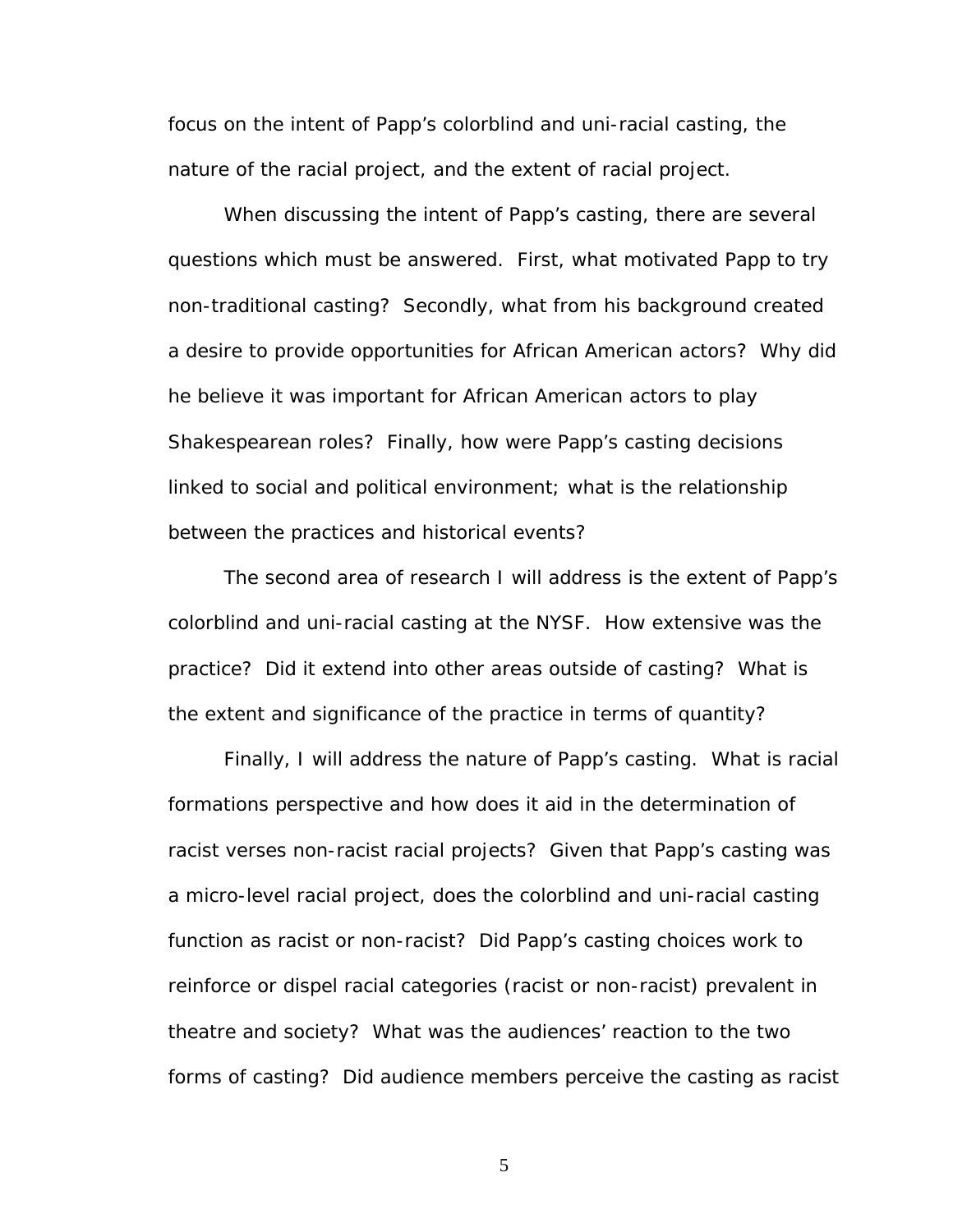focus on the intent of Papp's colorblind and uni-racial casting, the nature of the racial project, and the extent of racial project.

When discussing the intent of Papp's casting, there are several questions which must be answered. First, what motivated Papp to try non-traditional casting? Secondly, what from his background created a desire to provide opportunities for African American actors? Why did he believe it was important for African American actors to play Shakespearean roles? Finally, how were Papp's casting decisions linked to social and political environment; what is the relationship between the practices and historical events?

The second area of research I will address is the extent of Papp's colorblind and uni-racial casting at the NYSF. How extensive was the practice? Did it extend into other areas outside of casting? What is the extent and significance of the practice in terms of quantity?

Finally, I will address the nature of Papp's casting. What is racial formations perspective and how does it aid in the determination of racist verses non-racist racial projects? Given that Papp's casting was a micro-level racial project, does the colorblind and uni-racial casting function as racist or non-racist? Did Papp's casting choices work to reinforce or dispel racial categories (racist or non-racist) prevalent in theatre and society? What was the audiences' reaction to the two forms of casting? Did audience members perceive the casting as racist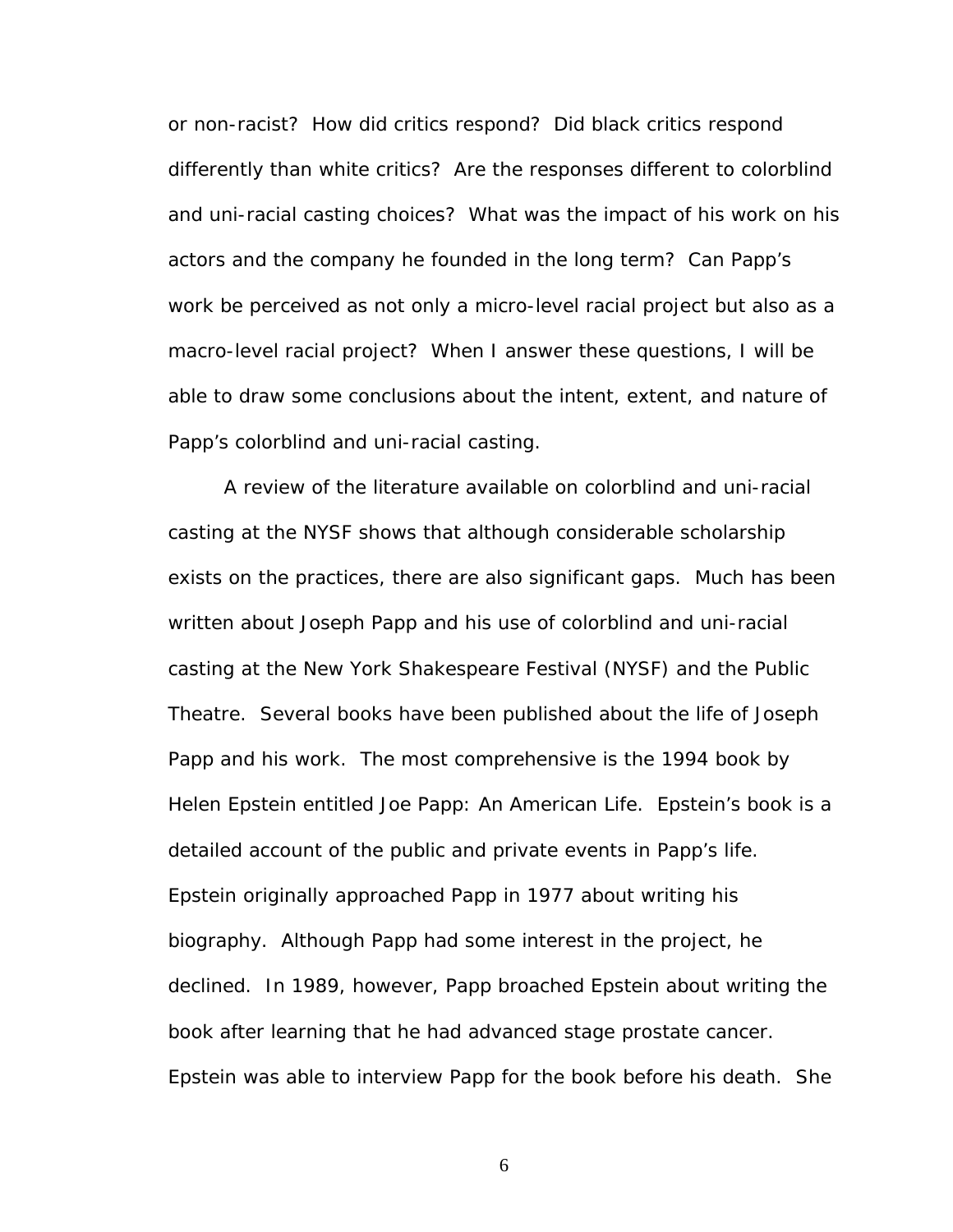or non-racist? How did critics respond? Did black critics respond differently than white critics? Are the responses different to colorblind and uni-racial casting choices? What was the impact of his work on his actors and the company he founded in the long term? Can Papp's work be perceived as not only a micro-level racial project but also as a macro-level racial project? When I answer these questions, I will be able to draw some conclusions about the intent, extent, and nature of Papp's colorblind and uni-racial casting.

A review of the literature available on colorblind and uni-racial casting at the NYSF shows that although considerable scholarship exists on the practices, there are also significant gaps. Much has been written about Joseph Papp and his use of colorblind and uni-racial casting at the New York Shakespeare Festival (NYSF) and the Public Theatre. Several books have been published about the life of Joseph Papp and his work. The most comprehensive is the 1994 book by Helen Epstein entitled *Joe Papp: An American Life*. Epstein's book is a detailed account of the public and private events in Papp's life. Epstein originally approached Papp in 1977 about writing his biography. Although Papp had some interest in the project, he declined. In 1989, however, Papp broached Epstein about writing the book after learning that he had advanced stage prostate cancer. Epstein was able to interview Papp for the book before his death. She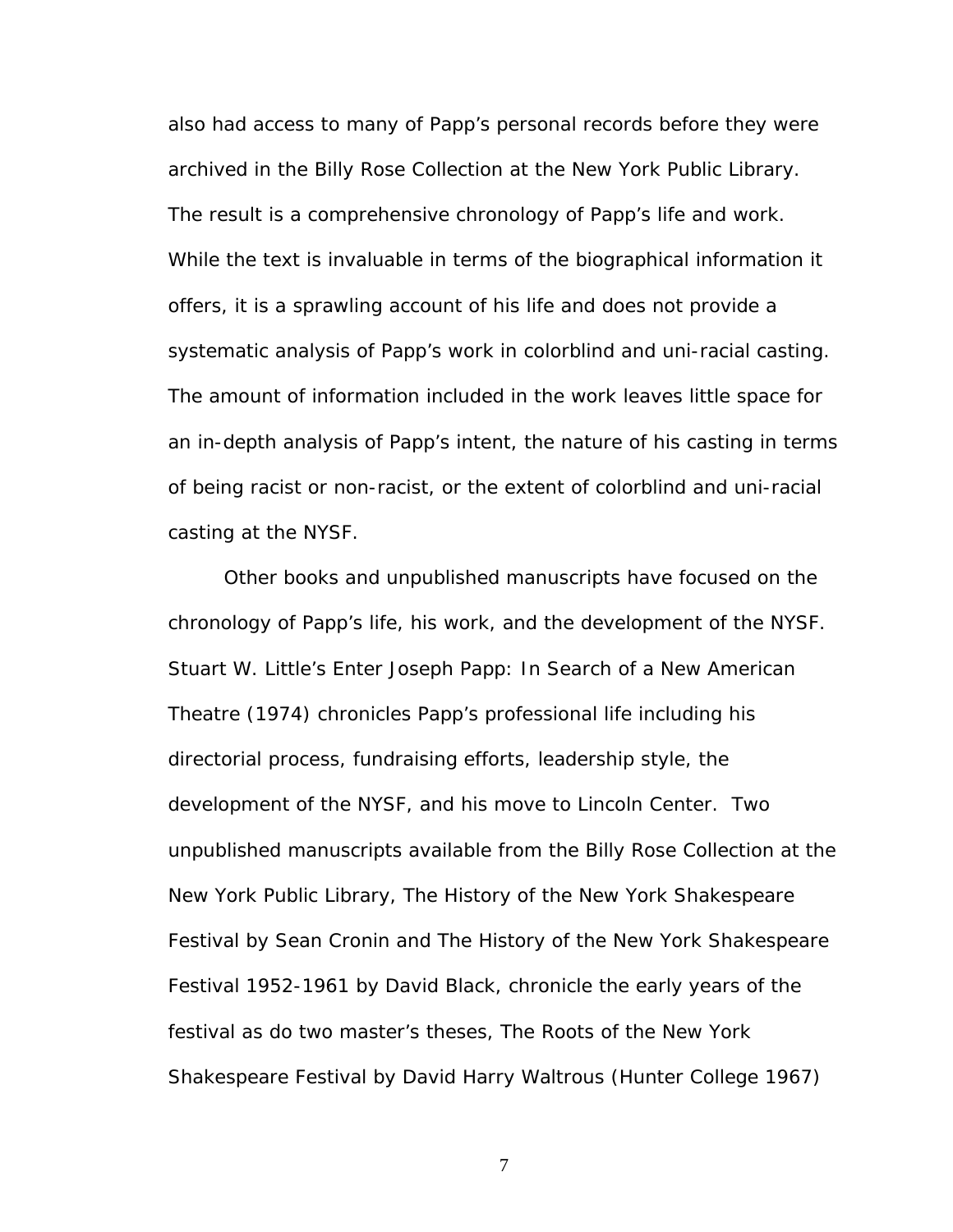also had access to many of Papp's personal records before they were archived in the Billy Rose Collection at the New York Public Library. The result is a comprehensive chronology of Papp's life and work. While the text is invaluable in terms of the biographical information it offers, it is a sprawling account of his life and does not provide a systematic analysis of Papp's work in colorblind and uni-racial casting. The amount of information included in the work leaves little space for an in-depth analysis of Papp's intent, the nature of his casting in terms of being racist or non-racist, or the extent of colorblind and uni-racial casting at the NYSF.

Other books and unpublished manuscripts have focused on the chronology of Papp's life, his work, and the development of the NYSF. Stuart W. Little's *Enter Joseph Papp: In Search of a New American Theatre* (1974) chronicles Papp's professional life including his directorial process, fundraising efforts, leadership style, the development of the NYSF, and his move to Lincoln Center. Two unpublished manuscripts available from the Billy Rose Collection at the New York Public Library, *The History of the New York Shakespeare Festival* by Sean Cronin and *The History of the New York Shakespeare Festival 1952-1961* by David Black, chronicle the early years of the festival as do two master's theses, *The Roots of the New York Shakespeare Festival* by David Harry Waltrous (Hunter College 1967)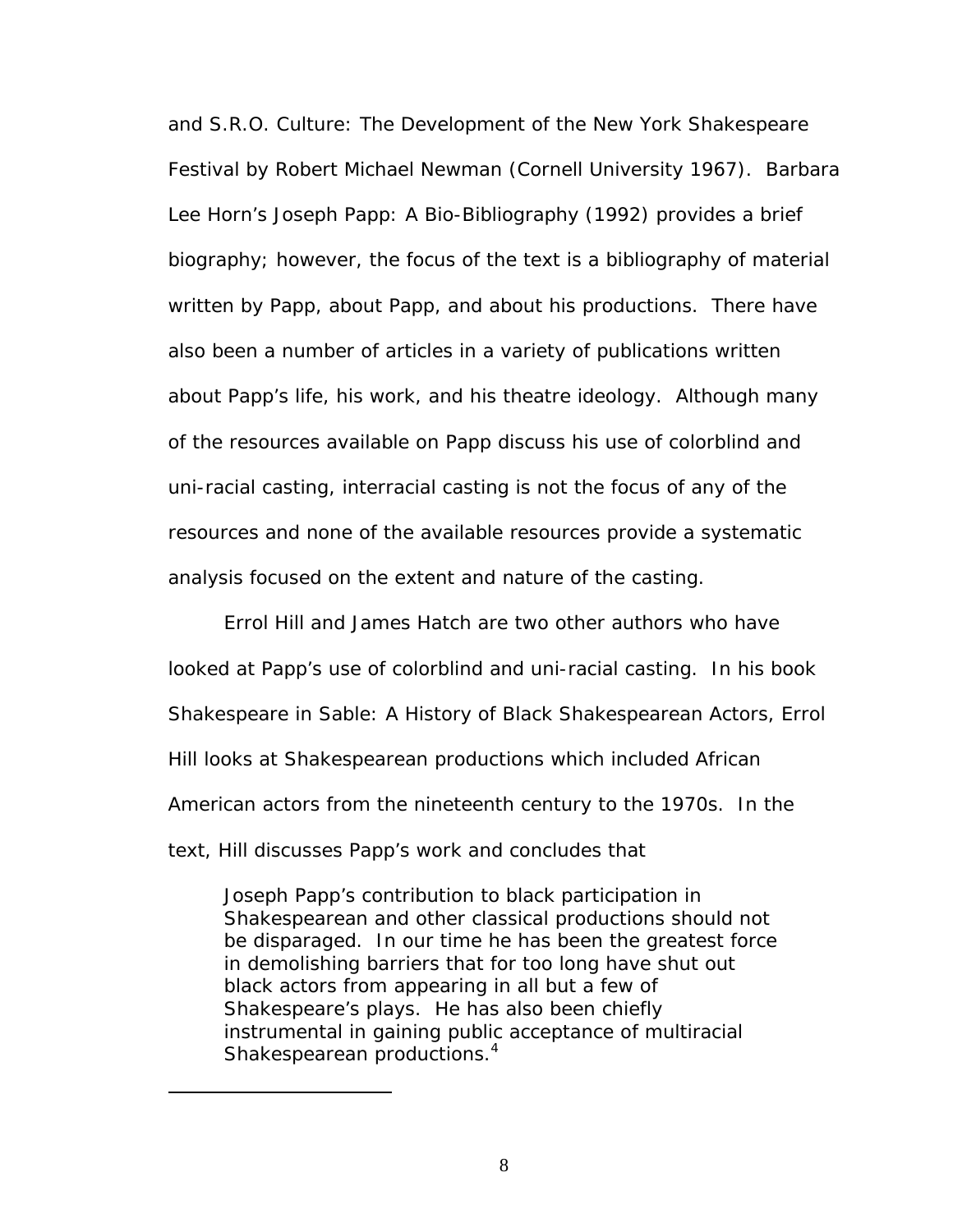and *S.R.O. Culture: The Development of the New York Shakespeare Festival* by Robert Michael Newman (Cornell University 1967). Barbara Lee Horn's *Joseph Papp: A Bio-Bibliography* (1992) provides a brief biography; however, the focus of the text is a bibliography of material written by Papp, about Papp, and about his productions. There have also been a number of articles in a variety of publications written about Papp's life, his work, and his theatre ideology. Although many of the resources available on Papp discuss his use of colorblind and uni-racial casting, interracial casting is not the focus of any of the resources and none of the available resources provide a systematic analysis focused on the extent and nature of the casting.

Errol Hill and James Hatch are two other authors who have looked at Papp's use of colorblind and uni-racial casting. In his book *Shakespeare in Sable: A History of Black Shakespearean Actors*, Errol Hill looks at Shakespearean productions which included African American actors from the nineteenth century to the 1970s. In the text, Hill discusses Papp's work and concludes that

<span id="page-14-0"></span>Joseph Papp's contribution to black participation in Shakespearean and other classical productions should not be disparaged. In our time he has been the greatest force in demolishing barriers that for too long have shut out black actors from appearing in all but a few of Shakespeare's plays. He has also been chiefly instrumental in gaining public acceptance of multiracial Shakespearean productions.<sup>[4](#page-14-0)</sup>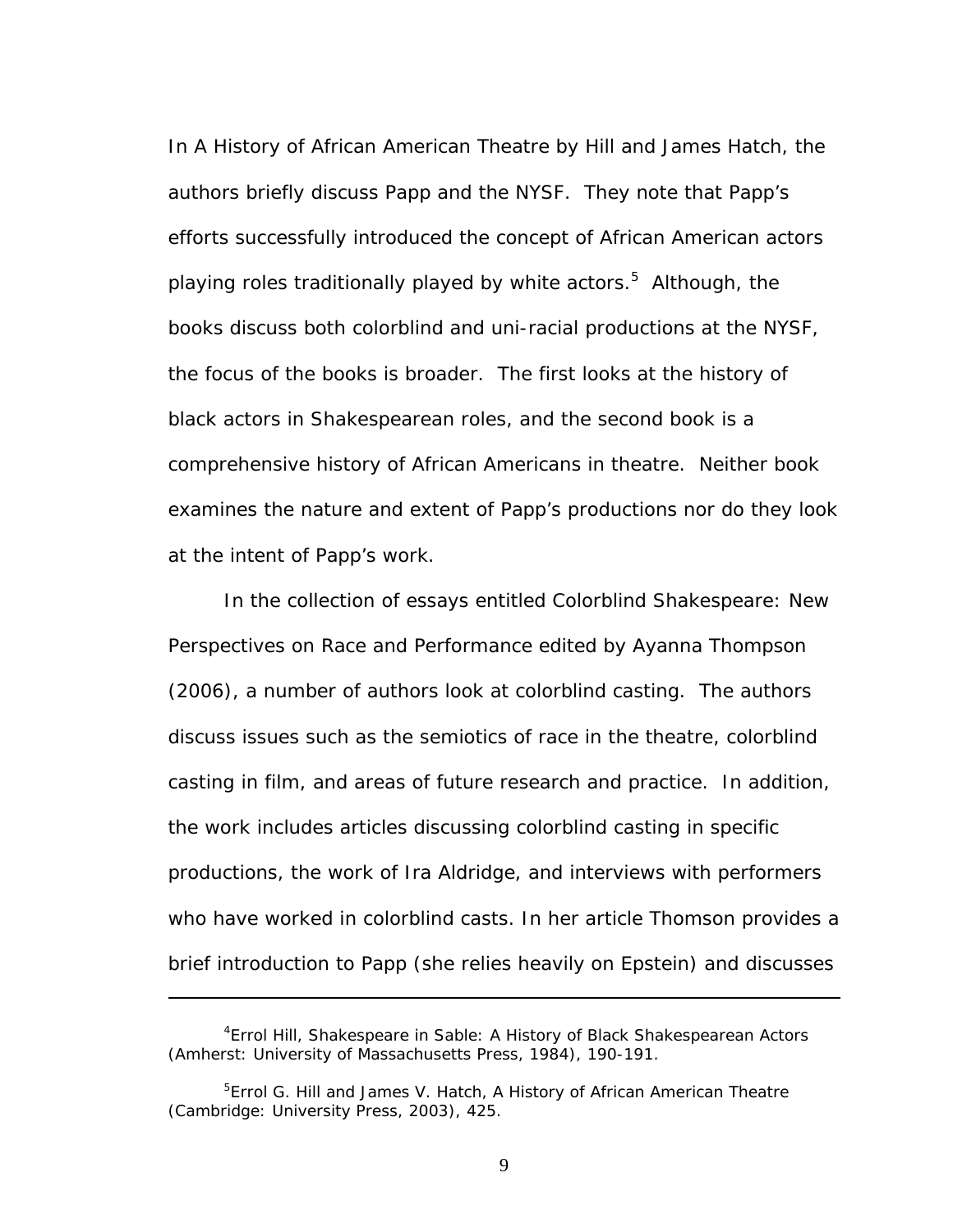In *A History of African American Theatre* by Hill and James Hatch, the authors briefly discuss Papp and the NYSF. They note that Papp's efforts successfully introduced the concept of African American actors playing roles traditionally played by white actors.<sup>[5](#page-15-0)</sup> Although, the books discuss both colorblind and uni-racial productions at the NYSF, the focus of the books is broader. The first looks at the history of black actors in Shakespearean roles, and the second book is a comprehensive history of African Americans in theatre. Neither book examines the nature and extent of Papp's productions nor do they look at the intent of Papp's work.

In the collection of essays entitled *Colorblind Shakespeare: New Perspectives on Race and Performance* edited by Ayanna Thompson (2006), a number of authors look at colorblind casting. The authors discuss issues such as the semiotics of race in the theatre, colorblind casting in film, and areas of future research and practice. In addition, the work includes articles discussing colorblind casting in specific productions, the work of Ira Aldridge, and interviews with performers who have worked in colorblind casts. In her article Thomson provides a brief introduction to Papp (she relies heavily on Epstein) and discusses

<sup>4</sup> Errol Hill, *Shakespeare in Sable: A History of Black Shakespearean Actors* (Amherst: University of Massachusetts Press, 1984), 190-191.

<span id="page-15-0"></span><sup>5</sup> Errol G. Hill and James V. Hatch, *A History of African American Theatre* (Cambridge: University Press, 2003), 425.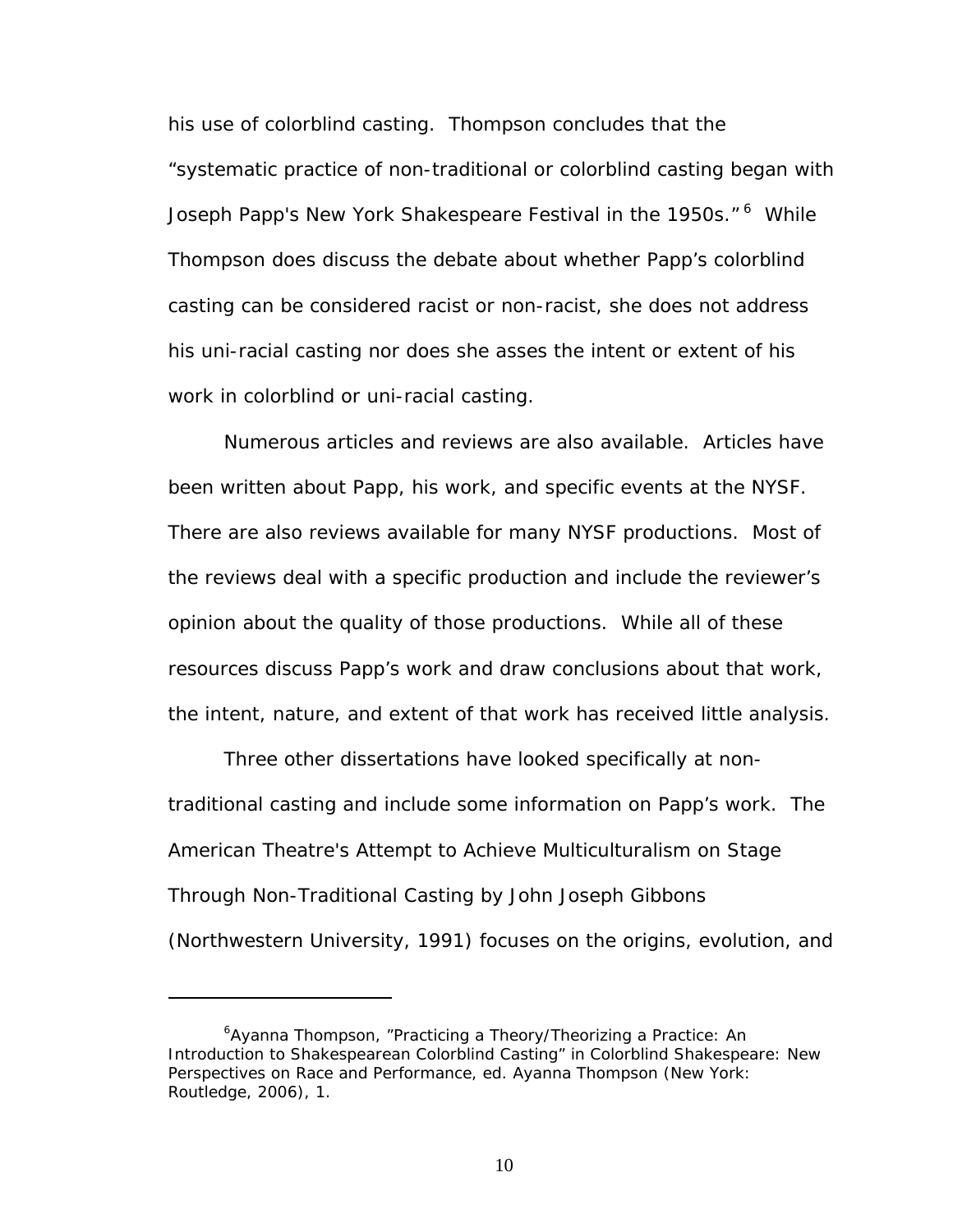his use of colorblind casting. Thompson concludes that the "systematic practice of non-traditional or colorblind casting began with Joseph Papp's New York Shakespeare Festival in the 1950s." <sup>6</sup> While Thompson does discuss the debate about whether Papp's colorblind casting can be considered racist or non-racist, she does not address his uni-racial casting nor does she asses the intent or extent of his work in colorblind or uni-racial casting.

Numerous articles and reviews are also available. Articles have been written about Papp, his work, and specific events at the NYSF. There are also reviews available for many NYSF productions. Most of the reviews deal with a specific production and include the reviewer's opinion about the quality of those productions. While all of these resources discuss Papp's work and draw conclusions about that work, the intent, nature, and extent of that work has received little analysis.

Three other dissertations have looked specifically at nontraditional casting and include some information on Papp's work. *The American Theatre's Attempt to Achieve Multiculturalism on Stage Through Non-Traditional Casting* by John Joseph Gibbons (Northwestern University, 1991) focuses on the origins, evolution, and

<span id="page-16-0"></span><sup>&</sup>lt;sup>6</sup>Ayanna Thompson, "Practicing a Theory/Theorizing a Practice: An Introduction to Shakespearean Colorblind Casting" in *Colorblind Shakespeare: New Perspectives on Race and Performance*, ed. Ayanna Thompson (New York: Routledge, 2006), 1.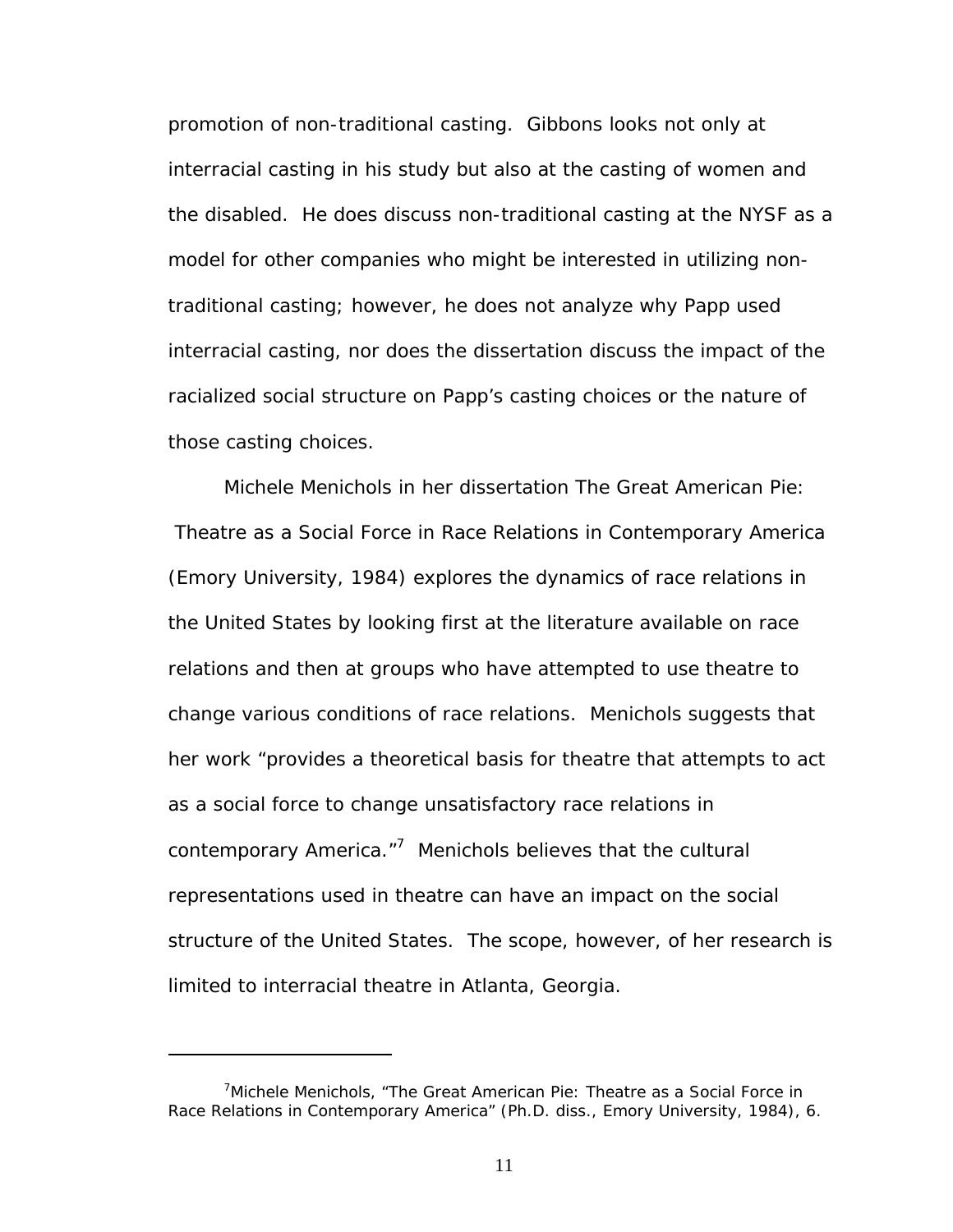promotion of non-traditional casting. Gibbons looks not only at interracial casting in his study but also at the casting of women and the disabled. He does discuss non-traditional casting at the NYSF as a model for other companies who might be interested in utilizing nontraditional casting; however, he does not analyze why Papp used interracial casting, nor does the dissertation discuss the impact of the racialized social structure on Papp's casting choices or the nature of those casting choices.

Michele Menichols in her dissertation *The Great American Pie: Theatre as a Social Force in Race Relations in Contemporary America* (Emory University, 1984) explores the dynamics of race relations in the United States by looking first at the literature available on race relations and then at groups who have attempted to use theatre to change various conditions of race relations. Menichols suggests that her work "provides a theoretical basis for theatre that attempts to act as a social force to change unsatisfactory race relations in contemporary America."<sup>7</sup> Menichols believes that the cultural representations used in theatre can have an impact on the social structure of the United States. The scope, however, of her research is limited to interracial theatre in Atlanta, Georgia.

<span id="page-17-0"></span><sup>&</sup>lt;sup>7</sup> Michele Menichols, "The Great American Pie: Theatre as a Social Force in Race Relations in Contemporary America" (Ph.D. diss., Emory University, 1984), 6.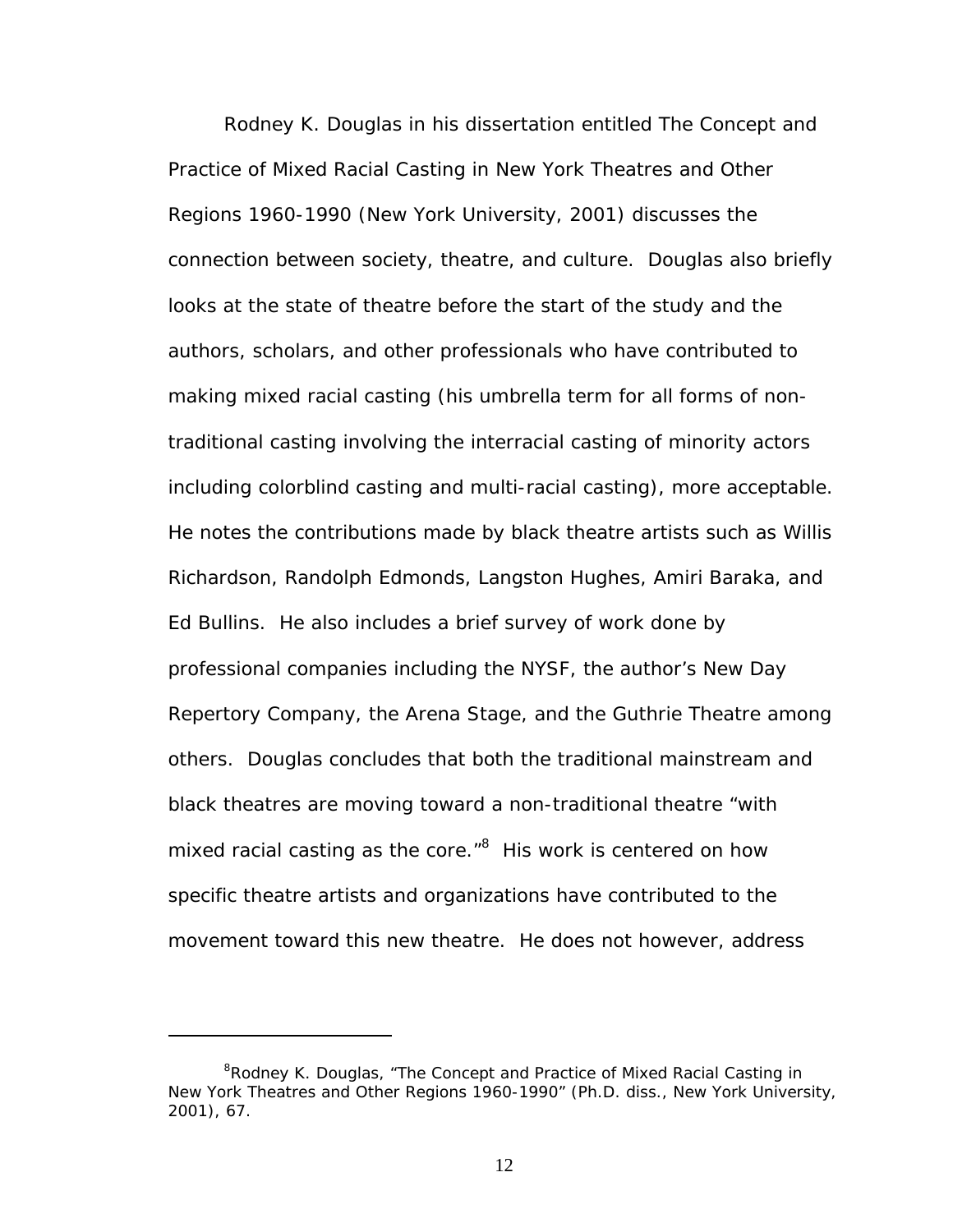Rodney K. Douglas in his dissertation entitled *The Concept and Practice of Mixed Racial Casting in New York Theatres and Other Regions 1960-1990* (New York University, 2001) discusses the connection between society, theatre, and culture. Douglas also briefly looks at the state of theatre before the start of the study and the authors, scholars, and other professionals who have contributed to making mixed racial casting (his umbrella term for all forms of nontraditional casting involving the interracial casting of minority actors including colorblind casting and multi-racial casting), more acceptable. He notes the contributions made by black theatre artists such as Willis Richardson, Randolph Edmonds, Langston Hughes, Amiri Baraka, and Ed Bullins. He also includes a brief survey of work done by professional companies including the NYSF, the author's New Day Repertory Company, the Arena Stage, and the Guthrie Theatre among others. Douglas concludes that both the traditional mainstream and black theatres are moving toward a non-traditional theatre "with mixed racial casting as the core."<sup>[8](#page-18-0)</sup> His work is centered on how specific theatre artists and organizations have contributed to the movement toward this new theatre. He does not however, address

<span id="page-18-0"></span><sup>&</sup>lt;sup>8</sup>Rodney K. Douglas, "The Concept and Practice of Mixed Racial Casting in New York Theatres and Other Regions 1960-1990" (Ph.D. diss., New York University, 2001), 67.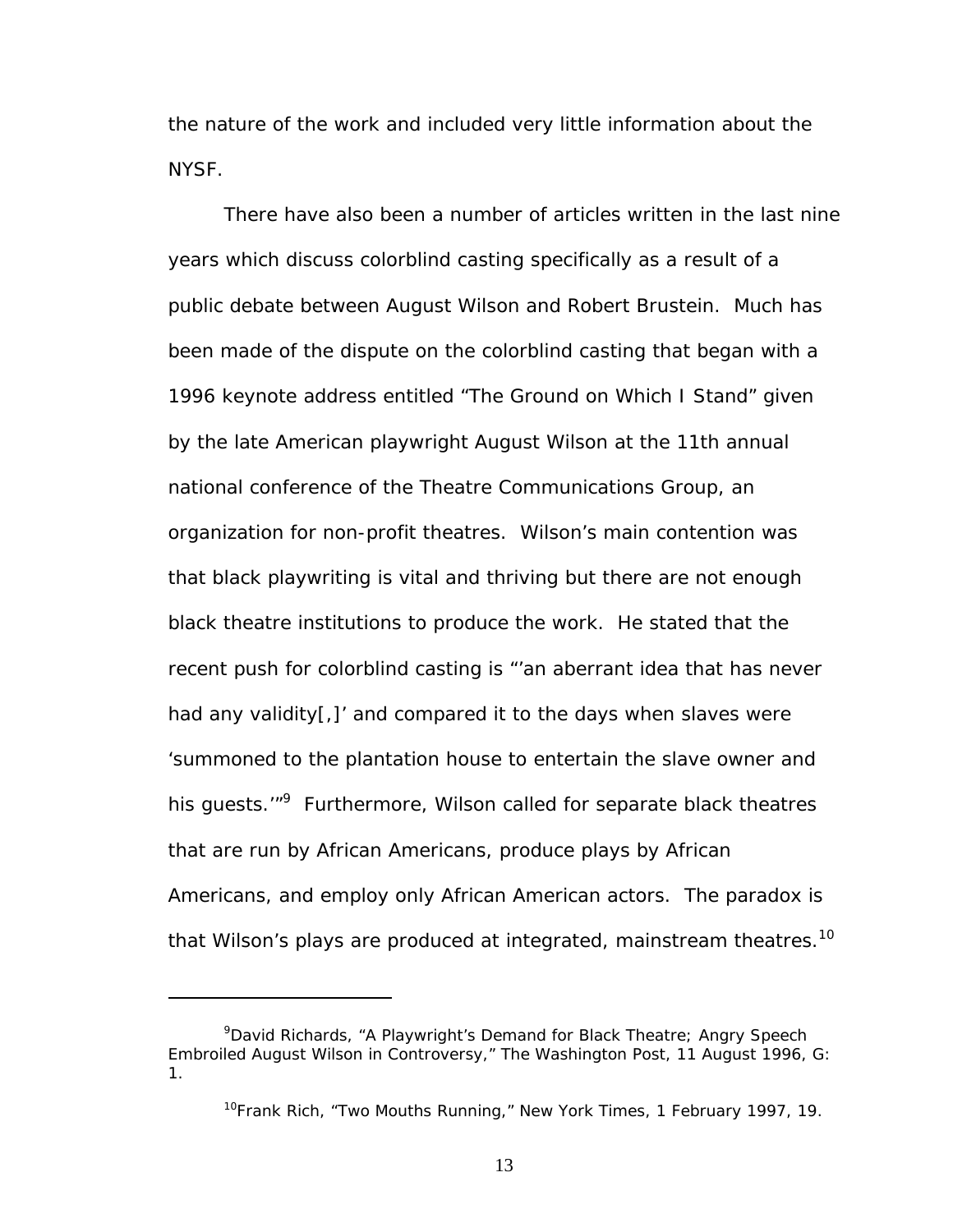the nature of the work and included very little information about the NYSF.

There have also been a number of articles written in the last nine years which discuss colorblind casting specifically as a result of a public debate between August Wilson and Robert Brustein. Much has been made of the dispute on the colorblind casting that began with a 1996 keynote address entitled "The Ground on Which I Stand" given by the late American playwright August Wilson at the 11th annual national conference of the Theatre Communications Group, an organization for non-profit theatres. Wilson's main contention was that black playwriting is vital and thriving but there are not enough black theatre institutions to produce the work. He stated that the recent push for colorblind casting is "'an aberrant idea that has never had any validity[,]' and compared it to the days when slaves were 'summoned to the plantation house to entertain the slave owner and his guests.'"<sup>[9](#page-19-0)</sup> Furthermore, Wilson called for separate black theatres that are run by African Americans, produce plays by African Americans, and employ only African American actors. The paradox is that Wilson's plays are produced at integrated, mainstream theatres.<sup>10</sup>

1

<span id="page-19-0"></span><sup>&</sup>lt;sup>9</sup>David Richards, "A Playwright's Demand for Black Theatre; Angry Speech Embroiled August Wilson in Controversy," *The Washington Post*, 11 August 1996, G: 1.

<span id="page-19-1"></span><sup>10</sup>Frank Rich, "Two Mouths Running," *New York Times*, 1 February 1997, 19.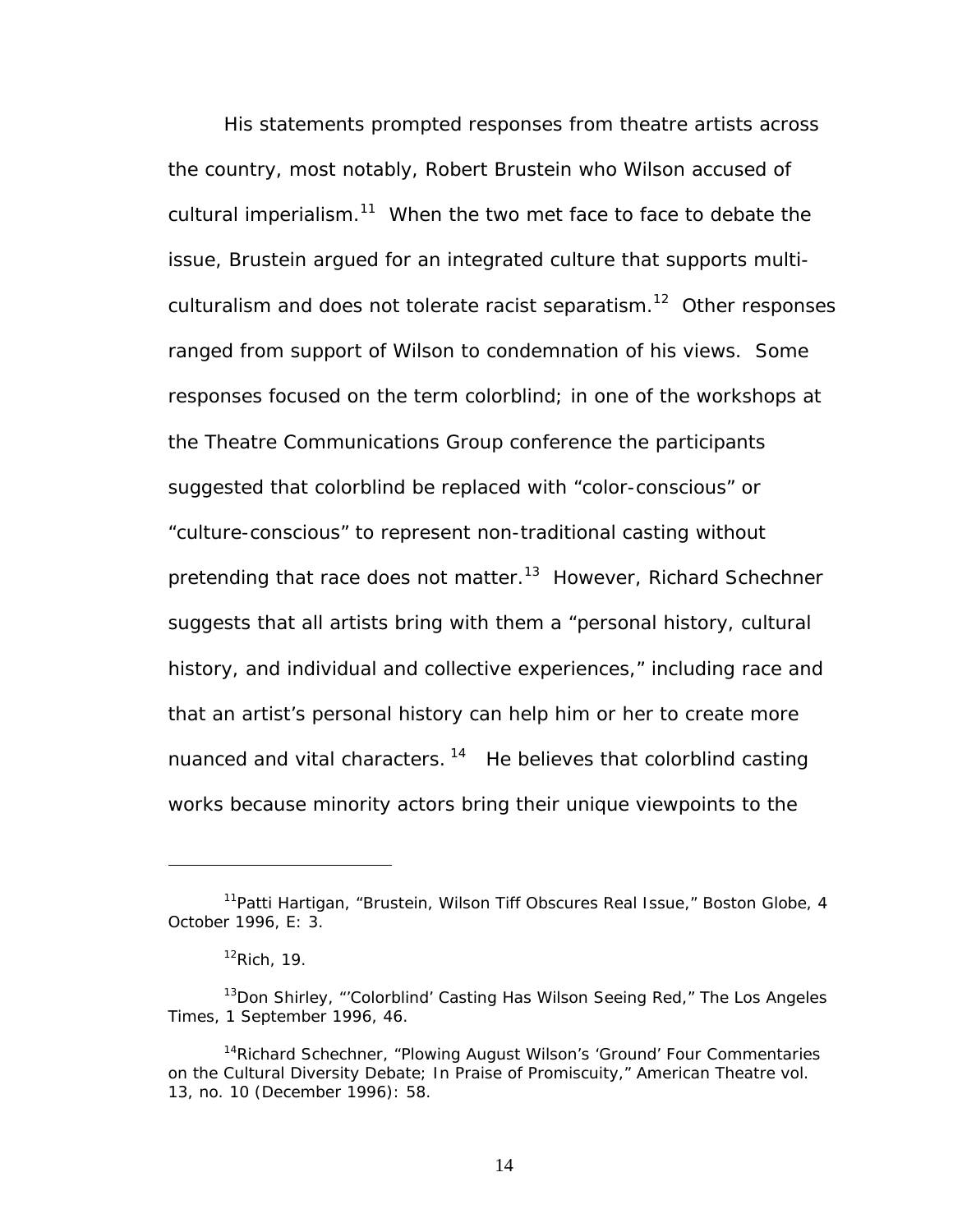His statements prompted responses from theatre artists across the country, most notably, Robert Brustein who Wilson accused of cultural imperialism.<sup>11</sup> When the two met face to face to debate the issue, Brustein argued for an integrated culture that supports multiculturalism and does not tolerate racist separatism.<sup>12</sup> Other responses ranged from support of Wilson to condemnation of his views. Some responses focused on the term colorblind; in one of the workshops at the Theatre Communications Group conference the participants suggested that colorblind be replaced with "color-conscious" or "culture-conscious" to represent non-traditional casting without pretending that race does not matter.<sup>13</sup> However, Richard Schechner suggests that all artists bring with them a "personal history, cultural history, and individual and collective experiences," including race and that an artist's personal history can help him or her to create more nuanced and vital characters.  $14$  He believes that colorblind casting works because minority actors bring their unique viewpoints to the

<span id="page-20-0"></span><sup>11</sup>Patti Hartigan, "Brustein, Wilson Tiff Obscures Real Issue," *Boston Globe*, 4 October 1996, E: 3.

<span id="page-20-2"></span><span id="page-20-1"></span> $12$ Rich, 19.

<sup>13</sup>Don Shirley, "'Colorblind' Casting Has Wilson Seeing Red," *The Los Angeles Times*, 1 September 1996, 46.

<span id="page-20-3"></span><sup>&</sup>lt;sup>14</sup>Richard Schechner, "Plowing August Wilson's 'Ground' Four Commentaries on the Cultural Diversity Debate; In Praise of Promiscuity," *American Theatre* vol. 13, no. 10 (December 1996): 58.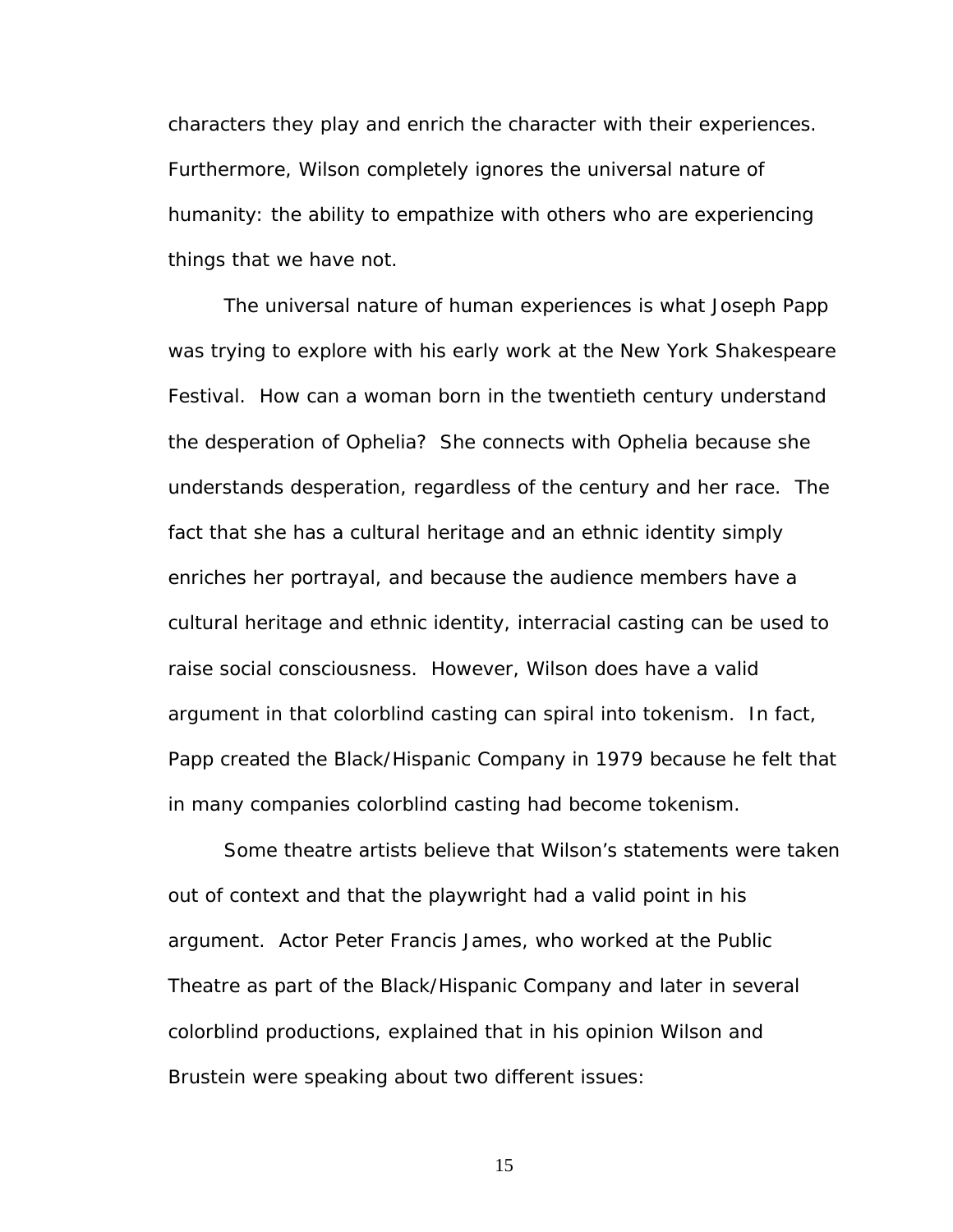characters they play and enrich the character with their experiences. Furthermore, Wilson completely ignores the universal nature of humanity: the ability to empathize with others who are experiencing things that we have not.

The universal nature of human experiences is what Joseph Papp was trying to explore with his early work at the New York Shakespeare Festival. How can a woman born in the twentieth century understand the desperation of Ophelia? She connects with Ophelia because she understands desperation, regardless of the century and her race. The fact that she has a cultural heritage and an ethnic identity simply enriches her portrayal, and because the audience members have a cultural heritage and ethnic identity, interracial casting can be used to raise social consciousness. However, Wilson does have a valid argument in that colorblind casting can spiral into tokenism. In fact, Papp created the Black/Hispanic Company in 1979 because he felt that in many companies colorblind casting had become tokenism.

Some theatre artists believe that Wilson's statements were taken out of context and that the playwright had a valid point in his argument. Actor Peter Francis James, who worked at the Public Theatre as part of the Black/Hispanic Company and later in several colorblind productions, explained that in his opinion Wilson and Brustein were speaking about two different issues: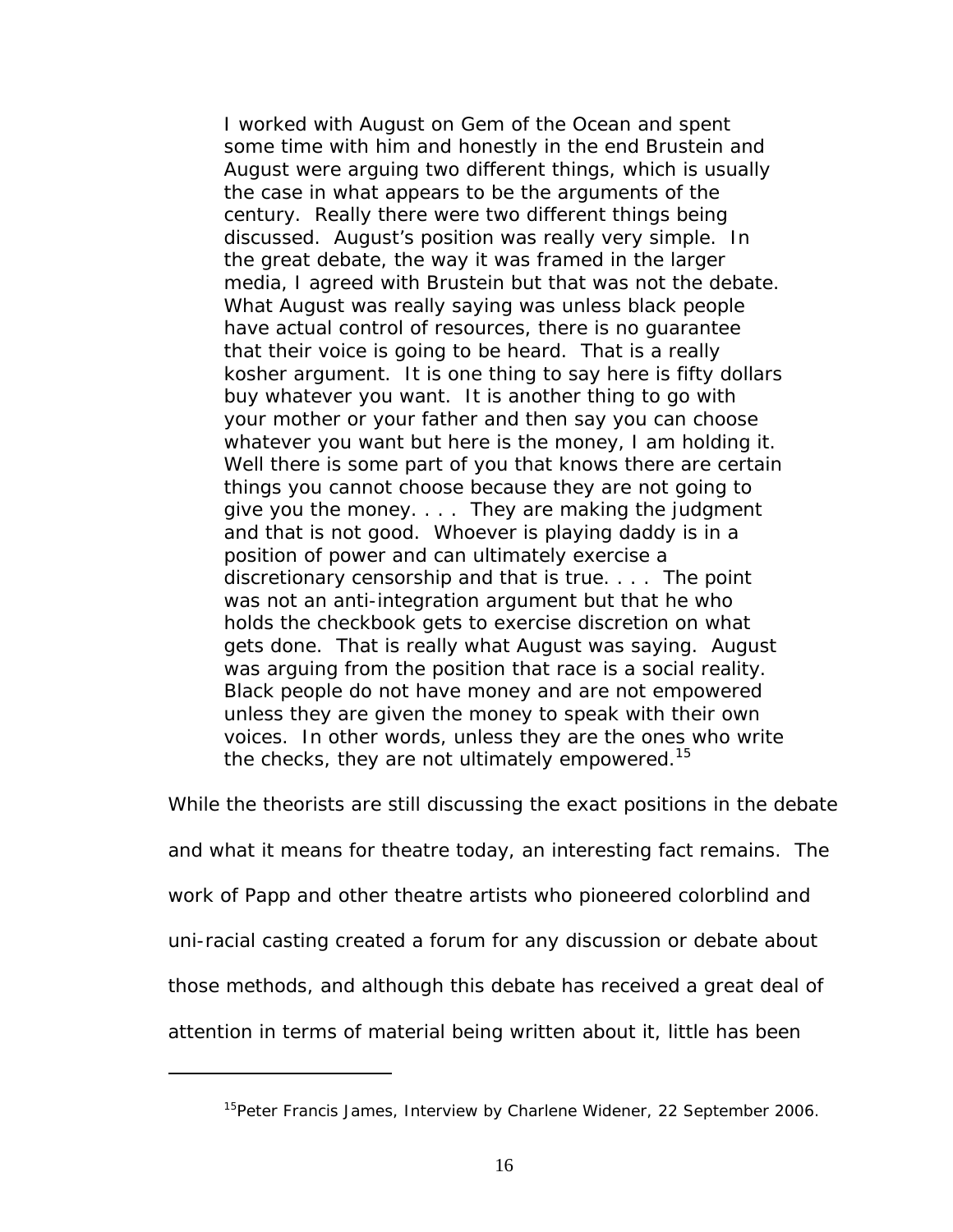I worked with August on *Gem of the Ocean* and spent some time with him and honestly in the end Brustein and August were arguing two different things, which is usually the case in what appears to be the arguments of the century. Really there were two different things being discussed. August's position was really very simple. In the great debate, the way it was framed in the larger media, I agreed with Brustein but that was not the debate. What August was really saying was unless black people have actual control of resources, there is no guarantee that their voice is going to be heard. That is a really kosher argument. It is one thing to say here is fifty dollars buy whatever you want. It is another thing to go with your mother or your father and then say you can choose whatever you want but here is the money, I am holding it. Well there is some part of you that knows there are certain things you cannot choose because they are not going to give you the money. . . . They are making the judgment and that is not good. Whoever is playing daddy is in a position of power and can ultimately exercise a discretionary censorship and that is true. . . . The point was not an anti-integration argument but that he who holds the checkbook gets to exercise discretion on what gets done. That is really what August was saying. August was arguing from the position that race is a social reality. Black people do not have money and are not empowered unless they are given the money to speak with their own voices. In other words, unless they are the ones who write the checks, they are not ultimately empowered.<sup>15</sup>

While the theorists are still discussing the exact positions in the debate

and what it means for theatre today, an interesting fact remains. The

work of Papp and other theatre artists who pioneered colorblind and

uni-racial casting created a forum for any discussion or debate about

those methods, and although this debate has received a great deal of

attention in terms of material being written about it, little has been

 $\overline{a}$ 

<span id="page-22-0"></span><sup>&</sup>lt;sup>15</sup>Peter Francis James, Interview by Charlene Widener, 22 September 2006.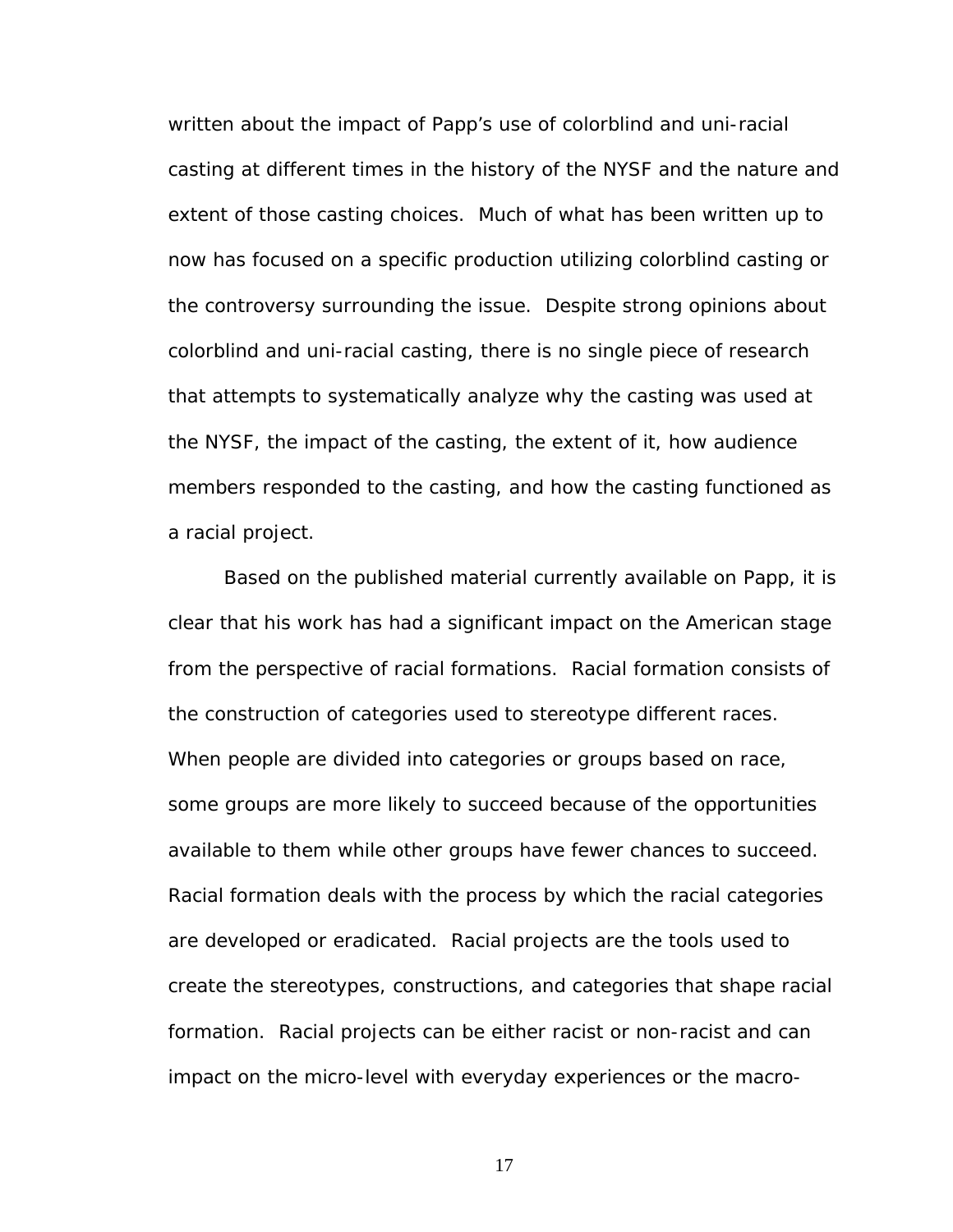written about the impact of Papp's use of colorblind and uni-racial casting at different times in the history of the NYSF and the nature and extent of those casting choices. Much of what has been written up to now has focused on a specific production utilizing colorblind casting or the controversy surrounding the issue. Despite strong opinions about colorblind and uni-racial casting, there is no single piece of research that attempts to systematically analyze why the casting was used at the NYSF, the impact of the casting, the extent of it, how audience members responded to the casting, and how the casting functioned as a racial project.

Based on the published material currently available on Papp, it is clear that his work has had a significant impact on the American stage from the perspective of racial formations. Racial formation consists of the construction of categories used to stereotype different races. When people are divided into categories or groups based on race, some groups are more likely to succeed because of the opportunities available to them while other groups have fewer chances to succeed. Racial formation deals with the process by which the racial categories are developed or eradicated. Racial projects are the tools used to create the stereotypes, constructions, and categories that shape racial formation. Racial projects can be either racist or non-racist and can impact on the micro-level with everyday experiences or the macro-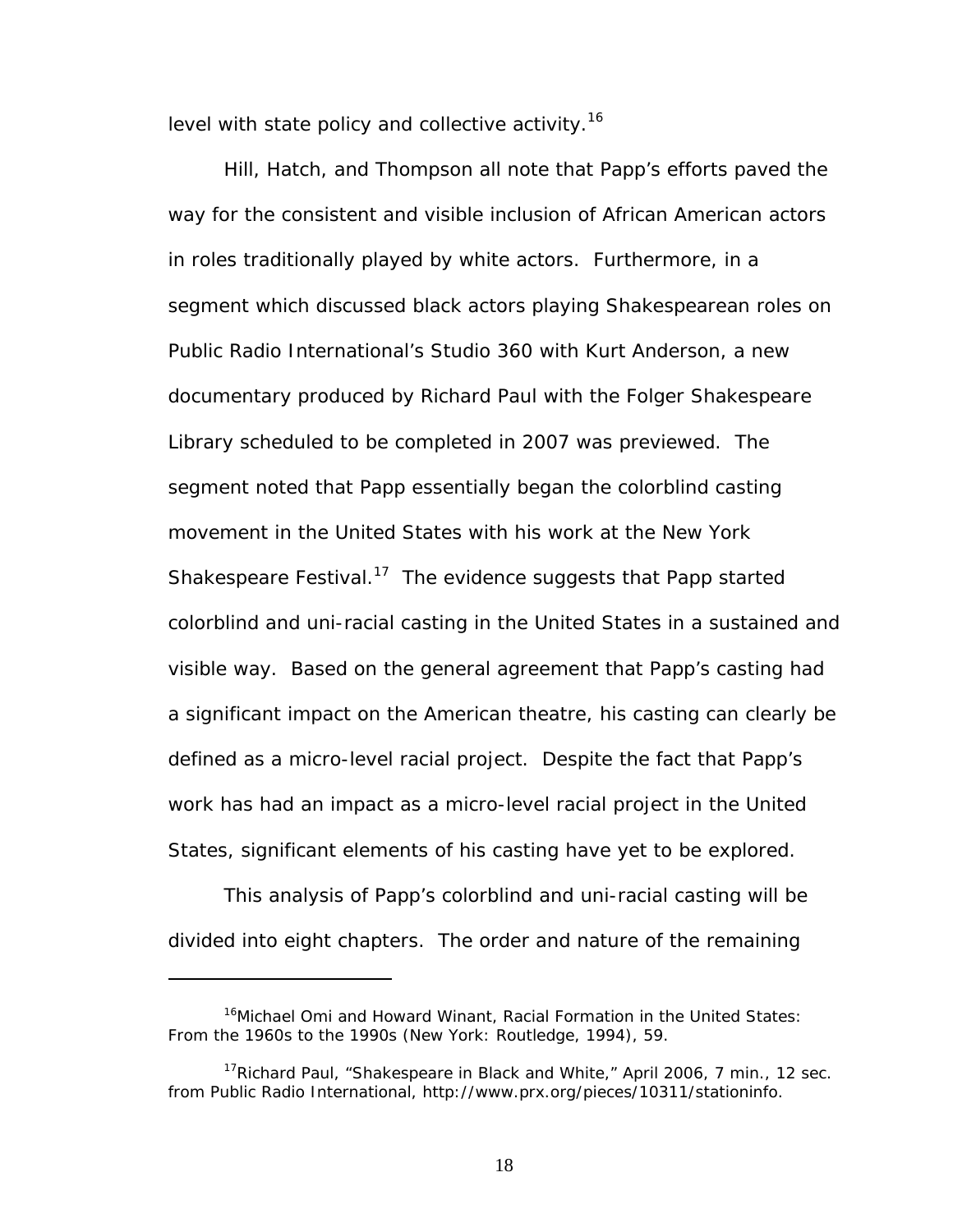level with state policy and collective activity.<sup>16</sup>

Hill, Hatch, and Thompson all note that Papp's efforts paved the way for the consistent and visible inclusion of African American actors in roles traditionally played by white actors. Furthermore, in a segment which discussed black actors playing Shakespearean roles on Public Radio International's Studio 360 with Kurt Anderson, a new documentary produced by Richard Paul with the Folger Shakespeare Library scheduled to be completed in 2007 was previewed. The segment noted that Papp essentially began the colorblind casting movement in the United States with his work at the New York Shakespeare Festival.<sup>17</sup> The evidence suggests that Papp started colorblind and uni-racial casting in the United States in a sustained and visible way. Based on the general agreement that Papp's casting had a significant impact on the American theatre, his casting can clearly be defined as a micro-level racial project. Despite the fact that Papp's work has had an impact as a micro-level racial project in the United States, significant elements of his casting have yet to be explored.

This analysis of Papp's colorblind and uni-racial casting will be divided into eight chapters. The order and nature of the remaining

 $\overline{a}$ 

<span id="page-24-0"></span><sup>&</sup>lt;sup>16</sup>Michael Omi and Howard Winant, *Racial Formation in the United States: From the 1960s to the 1990s* (New York: Routledge, 1994), 59.

<span id="page-24-1"></span><sup>&</sup>lt;sup>17</sup>Richard Paul, "Shakespeare in Black and White," April 2006, 7 min., 12 sec. from Public Radio International, http://www.prx.org/pieces/10311/stationinfo.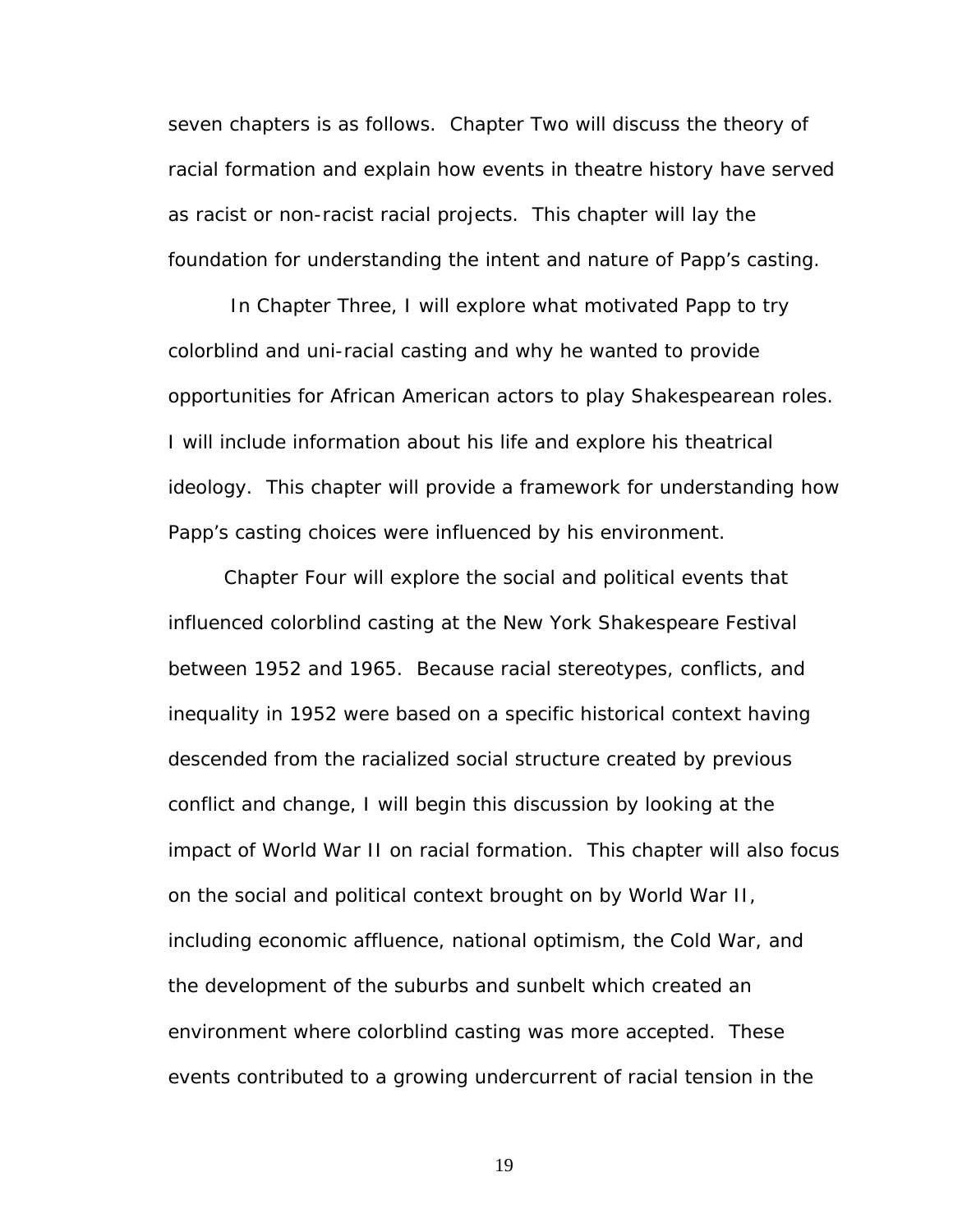seven chapters is as follows. Chapter Two will discuss the theory of racial formation and explain how events in theatre history have served as racist or non-racist racial projects. This chapter will lay the foundation for understanding the intent and nature of Papp's casting.

 In Chapter Three, I will explore what motivated Papp to try colorblind and uni-racial casting and why he wanted to provide opportunities for African American actors to play Shakespearean roles. I will include information about his life and explore his theatrical ideology. This chapter will provide a framework for understanding how Papp's casting choices were influenced by his environment.

Chapter Four will explore the social and political events that influenced colorblind casting at the New York Shakespeare Festival between 1952 and 1965. Because racial stereotypes, conflicts, and inequality in 1952 were based on a specific historical context having descended from the racialized social structure created by previous conflict and change, I will begin this discussion by looking at the impact of World War II on racial formation. This chapter will also focus on the social and political context brought on by World War II, including economic affluence, national optimism, the Cold War, and the development of the suburbs and sunbelt which created an environment where colorblind casting was more accepted. These events contributed to a growing undercurrent of racial tension in the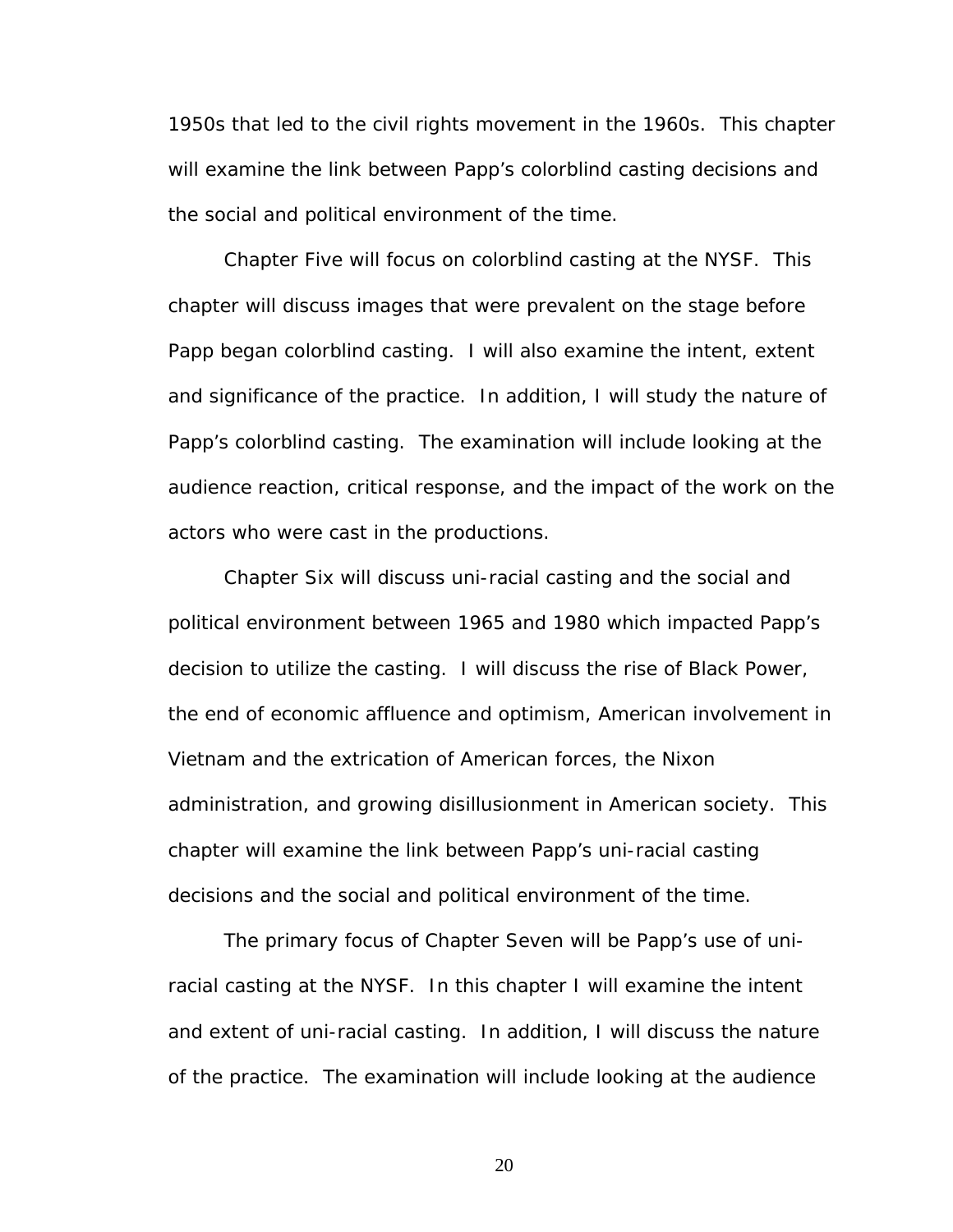1950s that led to the civil rights movement in the 1960s. This chapter will examine the link between Papp's colorblind casting decisions and the social and political environment of the time.

Chapter Five will focus on colorblind casting at the NYSF. This chapter will discuss images that were prevalent on the stage before Papp began colorblind casting. I will also examine the intent, extent and significance of the practice. In addition, I will study the nature of Papp's colorblind casting. The examination will include looking at the audience reaction, critical response, and the impact of the work on the actors who were cast in the productions.

Chapter Six will discuss uni-racial casting and the social and political environment between 1965 and 1980 which impacted Papp's decision to utilize the casting. I will discuss the rise of Black Power, the end of economic affluence and optimism, American involvement in Vietnam and the extrication of American forces, the Nixon administration, and growing disillusionment in American society. This chapter will examine the link between Papp's uni-racial casting decisions and the social and political environment of the time.

The primary focus of Chapter Seven will be Papp's use of uniracial casting at the NYSF. In this chapter I will examine the intent and extent of uni-racial casting. In addition, I will discuss the nature of the practice. The examination will include looking at the audience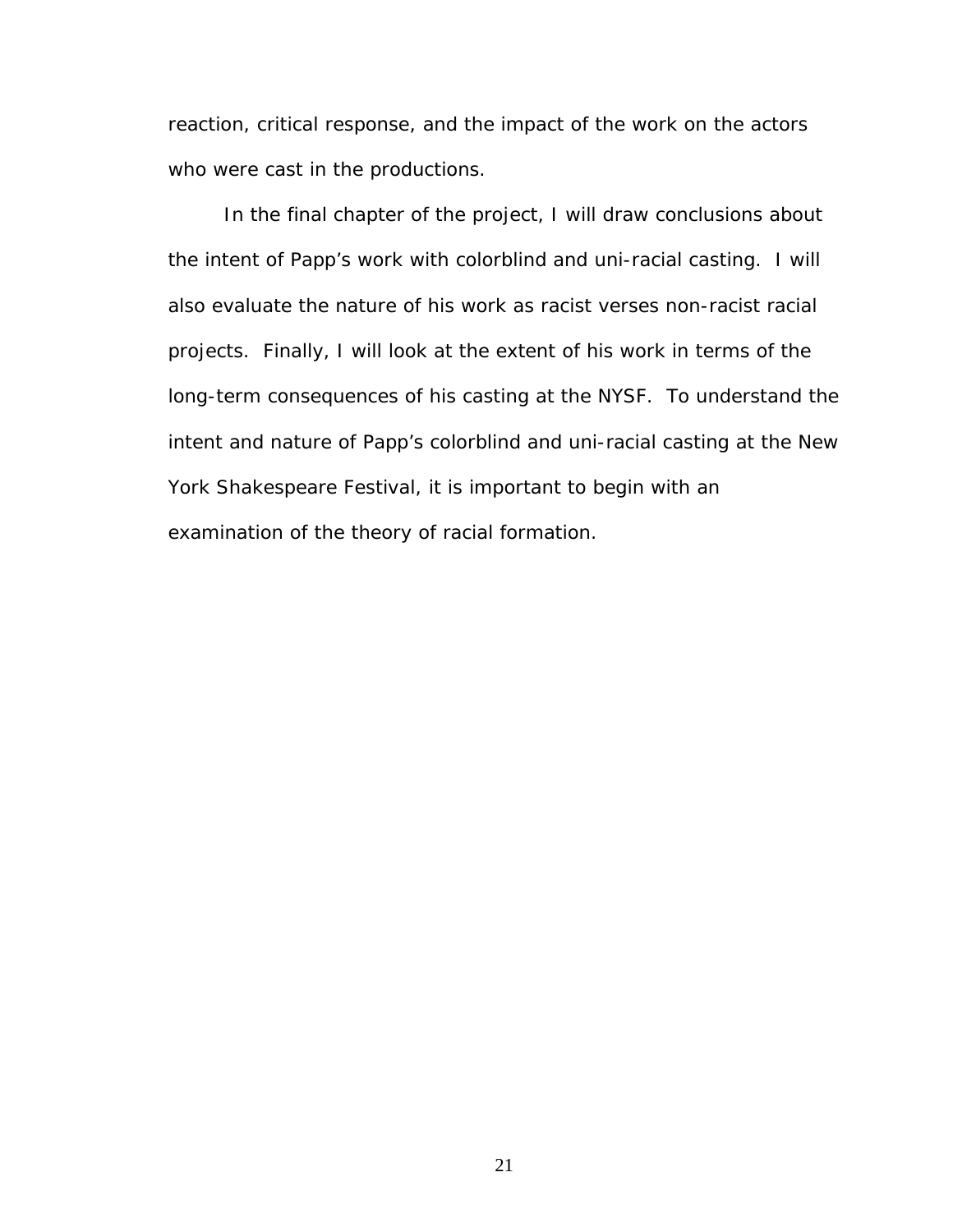reaction, critical response, and the impact of the work on the actors who were cast in the productions.

In the final chapter of the project, I will draw conclusions about the intent of Papp's work with colorblind and uni-racial casting. I will also evaluate the nature of his work as racist verses non-racist racial projects. Finally, I will look at the extent of his work in terms of the long-term consequences of his casting at the NYSF. To understand the intent and nature of Papp's colorblind and uni-racial casting at the New York Shakespeare Festival, it is important to begin with an examination of the theory of racial formation.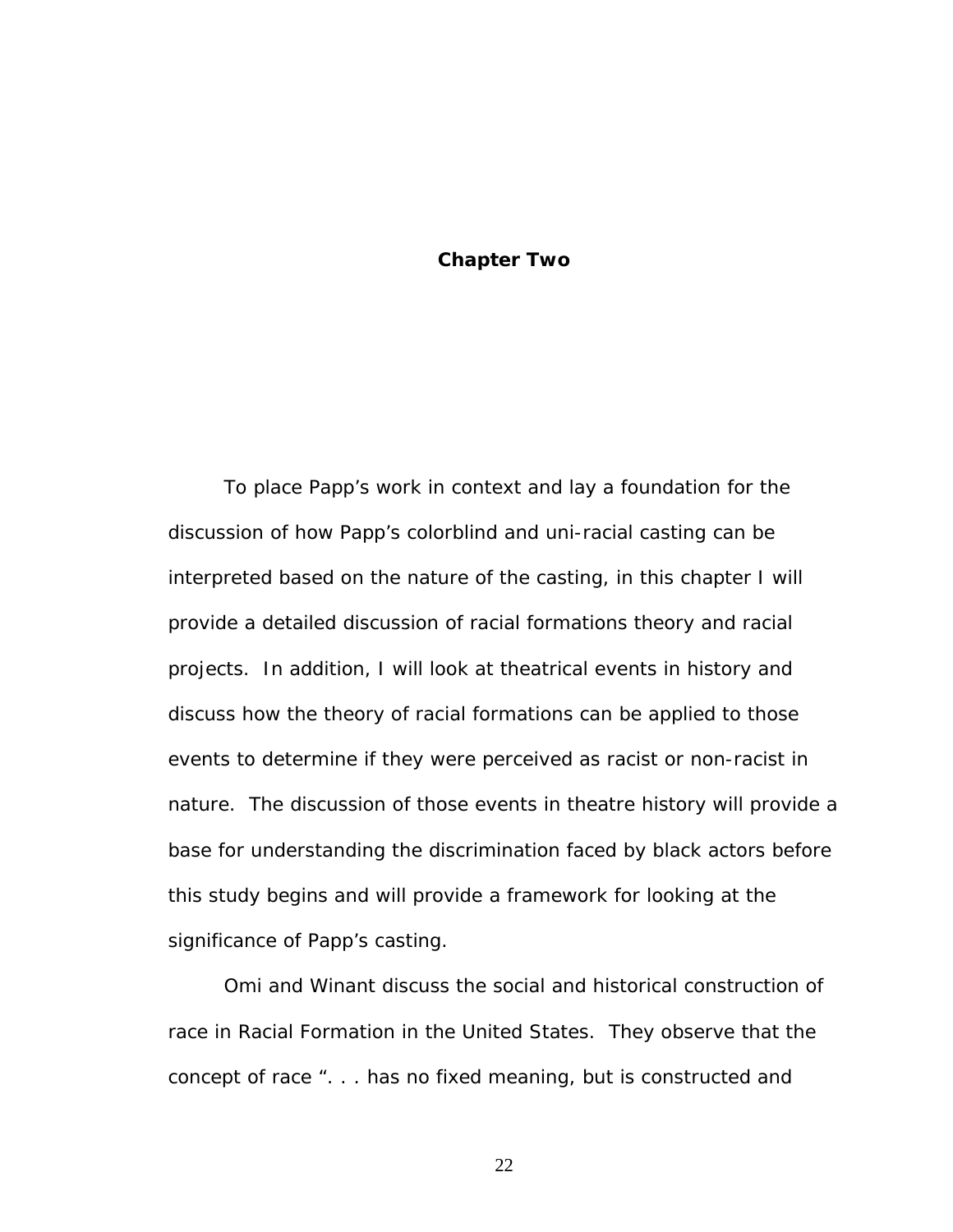# **Chapter Two**

To place Papp's work in context and lay a foundation for the discussion of how Papp's colorblind and uni-racial casting can be interpreted based on the nature of the casting, in this chapter I will provide a detailed discussion of racial formations theory and racial projects. In addition, I will look at theatrical events in history and discuss how the theory of racial formations can be applied to those events to determine if they were perceived as racist or non-racist in nature. The discussion of those events in theatre history will provide a base for understanding the discrimination faced by black actors before this study begins and will provide a framework for looking at the significance of Papp's casting.

Omi and Winant discuss the social and historical construction of race in *Racial Formation in the United States*. They observe that the concept of race ". . . has no fixed meaning, but is constructed and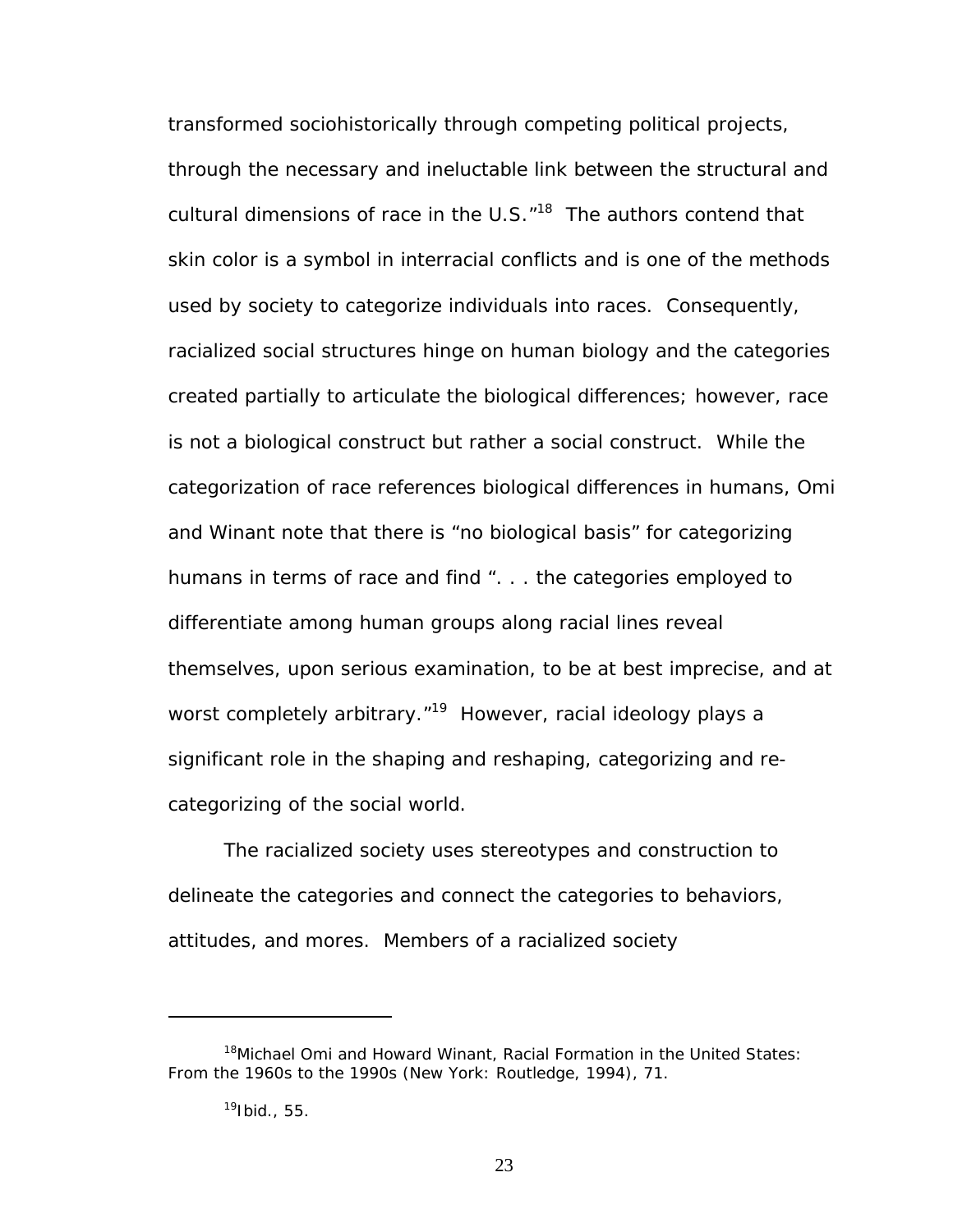transformed sociohistorically through competing political projects, through the necessary and ineluctable link between the structural and cultural dimensions of race in the U.S. $^{\prime\prime}$ <sup>18</sup> The authors contend that skin color is a symbol in interracial conflicts and is one of the methods used by society to categorize individuals into races. Consequently, racialized social structures hinge on human biology and the categories created partially to articulate the biological differences; however, race is not a biological construct but rather a social construct. While the categorization of race references biological differences in humans, Omi and Winant note that there is "no biological basis" for categorizing humans in terms of race and find ". . . the categories employed to differentiate among human groups along racial lines reveal themselves, upon serious examination, to be at best imprecise, and at worst completely arbitrary."<sup>19</sup> However, racial ideology plays a significant role in the shaping and reshaping, categorizing and recategorizing of the social world.

The racialized society uses stereotypes and construction to delineate the categories and connect the categories to behaviors, attitudes, and mores. Members of a racialized society

<span id="page-29-0"></span><sup>18</sup>Michael Omi and Howard Winant, *Racial Formation in the United States: From the 1960s to the 1990s* (New York: Routledge, 1994), 71.

<span id="page-29-1"></span> $19$ Ibid., 55.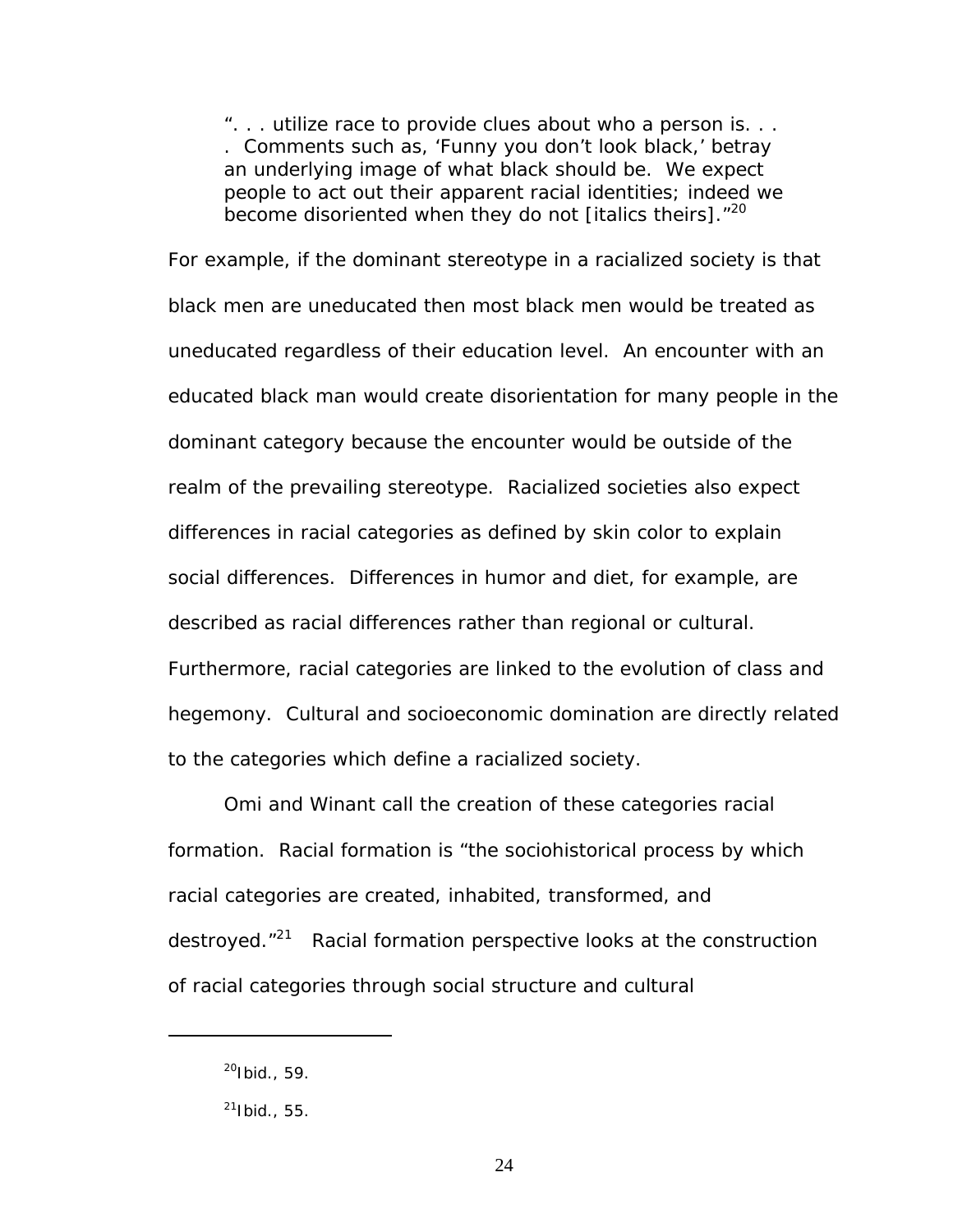". . . utilize race to provide clues about *who* a person is. . . . Comments such as, 'Funny you don't look black,' betray an underlying image of what black should be. We expect people to act out their apparent racial identities; indeed we become disoriented when they do not [italics theirs]. $120$ 

For example, if the dominant stereotype in a racialized society is that black men are uneducated then most black men would be treated as uneducated regardless of their education level. An encounter with an educated black man would create disorientation for many people in the dominant category because the encounter would be outside of the realm of the prevailing stereotype. Racialized societies also expect differences in racial categories as defined by skin color to explain social differences. Differences in humor and diet, for example, are described as racial differences rather than regional or cultural. Furthermore, racial categories are linked to the evolution of class and hegemony. Cultural and socioeconomic domination are directly related to the categories which define a racialized society.

Omi and Winant call the creation of these categories racial formation. Racial formation is "the sociohistorical process by which racial categories are created, inhabited, transformed, and destroyed."<sup>21</sup> Racial formation perspective looks at the construction of racial categories through social structure and cultural

 $\overline{a}$ 

<span id="page-30-0"></span> $^{20}$ Ibid., 59.

<span id="page-30-1"></span> $^{21}$ Ibid., 55.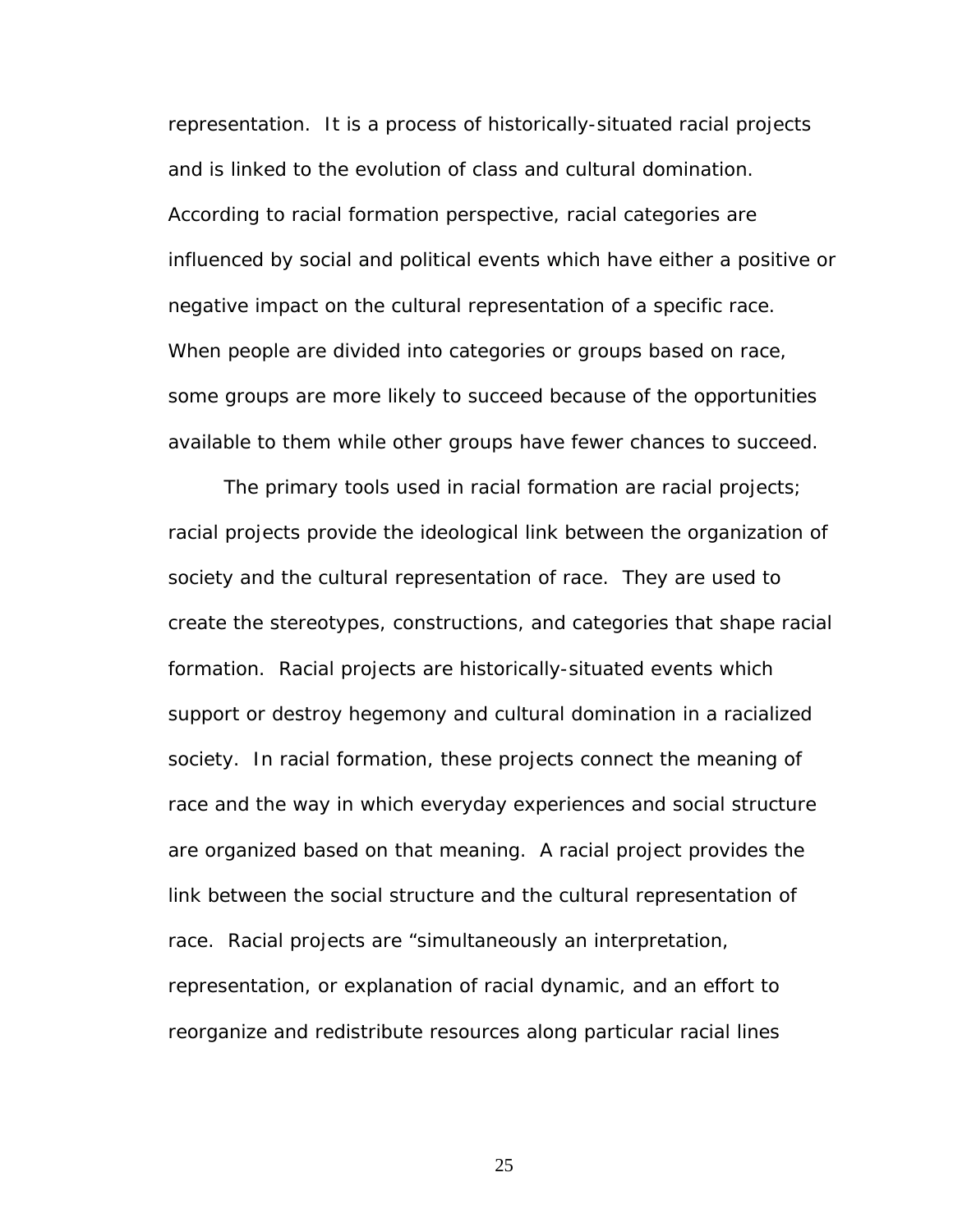representation. It is a process of historically-situated racial projects and is linked to the evolution of class and cultural domination. According to racial formation perspective, racial categories are influenced by social and political events which have either a positive or negative impact on the cultural representation of a specific race. When people are divided into categories or groups based on race, some groups are more likely to succeed because of the opportunities available to them while other groups have fewer chances to succeed.

The primary tools used in racial formation are racial projects; racial projects provide the ideological link between the organization of society and the cultural representation of race. They are used to create the stereotypes, constructions, and categories that shape racial formation. Racial projects are historically-situated events which support or destroy hegemony and cultural domination in a racialized society. In racial formation, these projects connect the meaning of race and the way in which everyday experiences and social structure are organized based on that meaning. A racial project provides the link between the social structure and the cultural representation of race. Racial projects are "*simultaneously an interpretation, representation, or explanation of racial dynamic, and an effort to reorganize and redistribute resources along particular racial lines*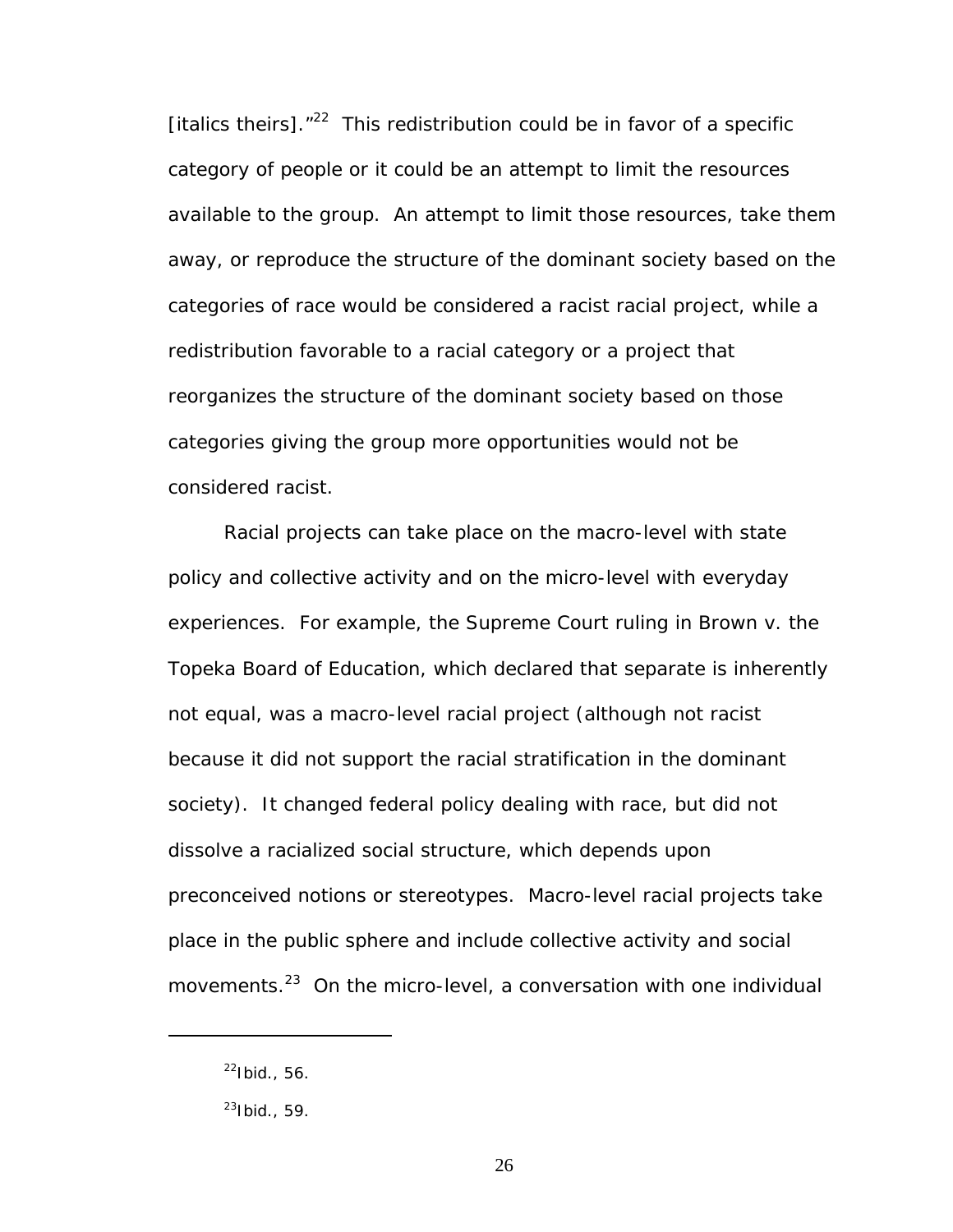[italics theirs]. $12^{22}$  This redistribution could be in favor of a specific category of people or it could be an attempt to limit the resources available to the group. An attempt to limit those resources, take them away, or reproduce the structure of the dominant society based on the categories of race would be considered a racist racial project, while a redistribution favorable to a racial category or a project that reorganizes the structure of the dominant society based on those categories giving the group more opportunities would not be considered racist.

Racial projects can take place on the macro-level with state policy and collective activity and on the micro-level with everyday experiences. For example, the Supreme Court ruling in *Brown v. the Topeka Board of Education*, which declared that separate is inherently not equal, was a macro-level racial project (although not racist because it did not support the racial stratification in the dominant society). It changed federal policy dealing with race, but did not dissolve a racialized social structure, which depends upon preconceived notions or stereotypes. Macro-level racial projects take place in the public sphere and include collective activity and social movements.<sup>23</sup> On the micro-level, a conversation with one individual

 $\overline{a}$ 

<span id="page-32-0"></span> $^{22}$ Ibid., 56.

<span id="page-32-1"></span> $23$ Ibid., 59.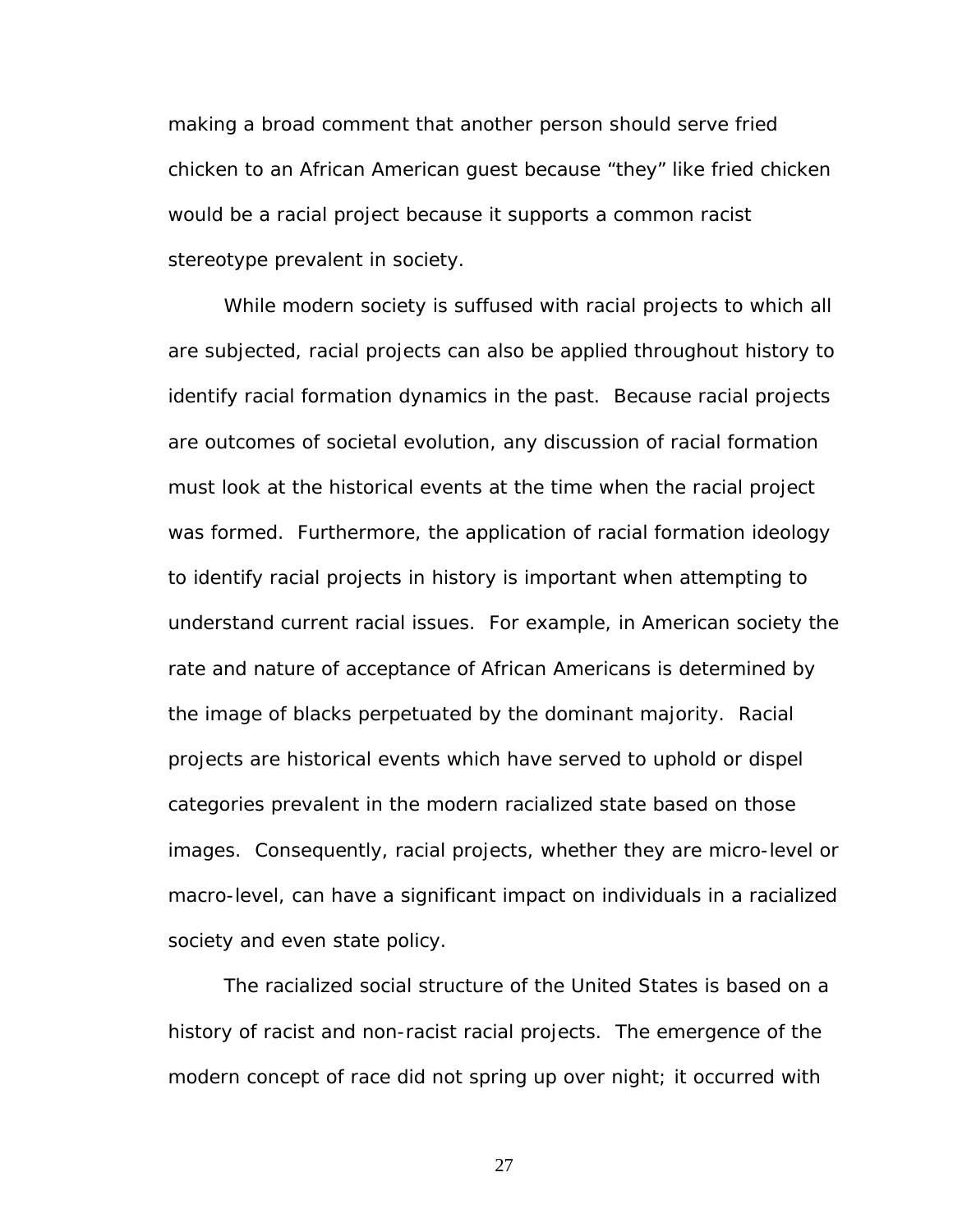making a broad comment that another person should serve fried chicken to an African American guest because "they" like fried chicken would be a racial project because it supports a common racist stereotype prevalent in society.

While modern society is suffused with racial projects to which all are subjected, racial projects can also be applied throughout history to identify racial formation dynamics in the past. Because racial projects are outcomes of societal evolution, any discussion of racial formation must look at the historical events at the time when the racial project was formed. Furthermore, the application of racial formation ideology to identify racial projects in history is important when attempting to understand current racial issues. For example, in American society the rate and nature of acceptance of African Americans is determined by the image of blacks perpetuated by the dominant majority. Racial projects are historical events which have served to uphold or dispel categories prevalent in the modern racialized state based on those images. Consequently, racial projects, whether they are micro-level or macro-level, can have a significant impact on individuals in a racialized society and even state policy.

The racialized social structure of the United States is based on a history of racist and non-racist racial projects. The emergence of the modern concept of race did not spring up over night; it occurred with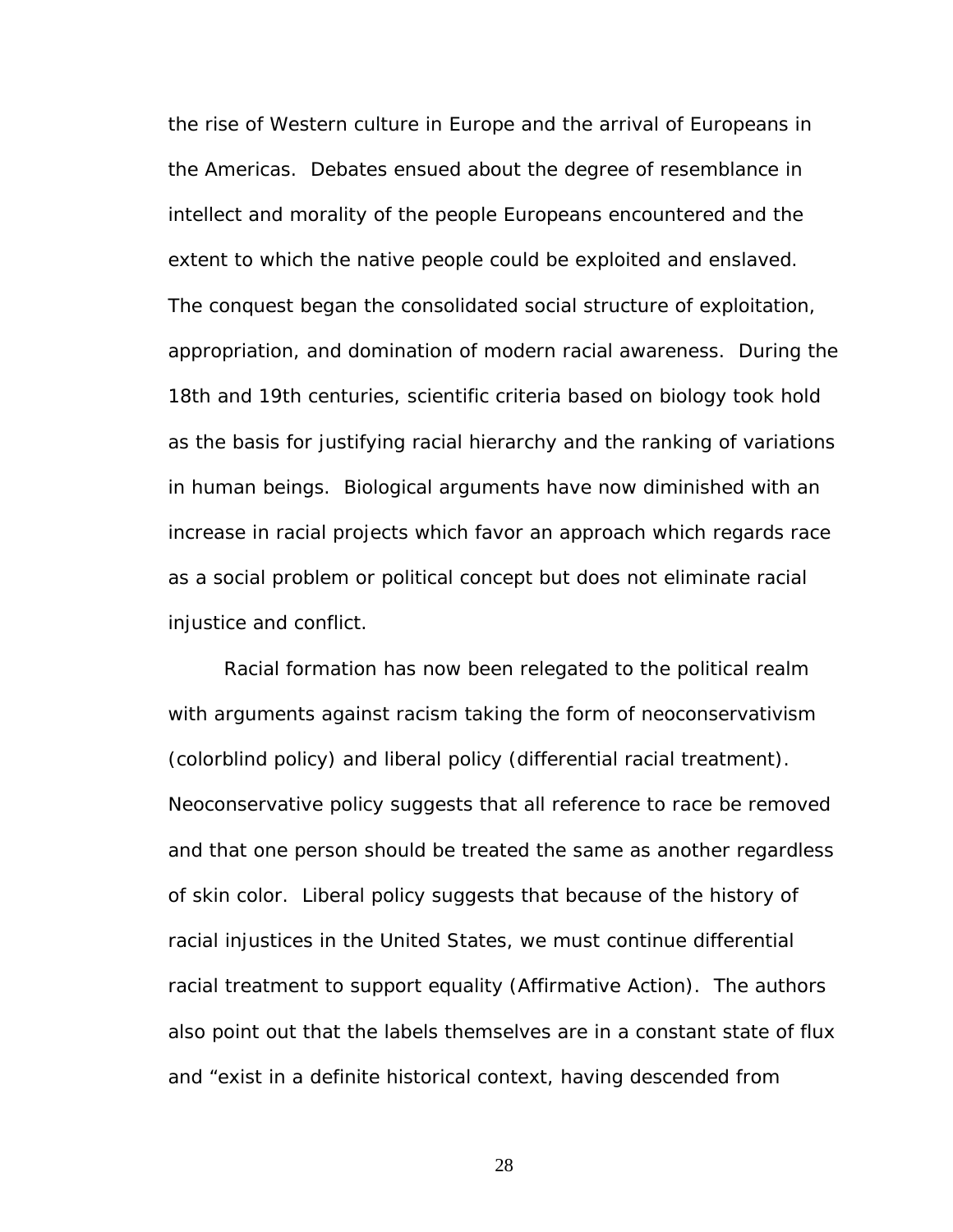the rise of Western culture in Europe and the arrival of Europeans in the Americas. Debates ensued about the degree of resemblance in intellect and morality of the people Europeans encountered and the extent to which the native people could be exploited and enslaved. The conquest began the consolidated social structure of exploitation, appropriation, and domination of modern racial awareness. During the 18th and 19th centuries, scientific criteria based on biology took hold as the basis for justifying racial hierarchy and the ranking of variations in human beings. Biological arguments have now diminished with an increase in racial projects which favor an approach which regards race as a social problem or political concept but does not eliminate racial injustice and conflict.

Racial formation has now been relegated to the political realm with arguments against racism taking the form of neoconservativism (colorblind policy) and liberal policy (differential racial treatment). Neoconservative policy suggests that all reference to race be removed and that one person should be treated the same as another regardless of skin color. Liberal policy suggests that because of the history of racial injustices in the United States, we must continue differential racial treatment to support equality (Affirmative Action). The authors also point out that the labels themselves are in a constant state of flux and "exist in a definite historical context, having descended from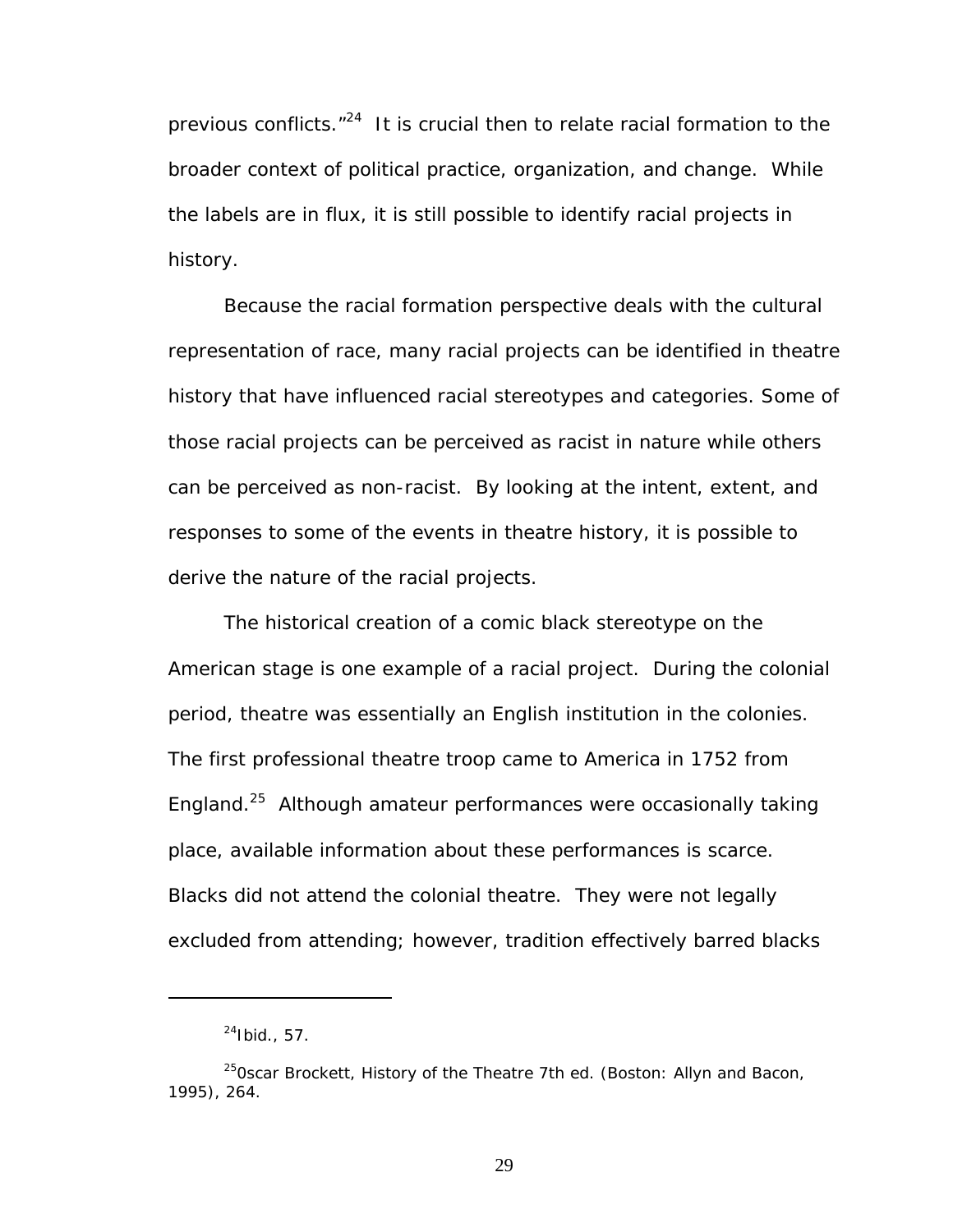previous conflicts."[24](#page-35-0) It is crucial then to relate racial formation to the broader context of political practice, organization, and change. While the labels are in flux, it is still possible to identify racial projects in history.

Because the racial formation perspective deals with the cultural representation of race, many racial projects can be identified in theatre history that have influenced racial stereotypes and categories. Some of those racial projects can be perceived as racist in nature while others can be perceived as non-racist. By looking at the intent, extent, and responses to some of the events in theatre history, it is possible to derive the nature of the racial projects.

The historical creation of a comic black stereotype on the American stage is one example of a racial project. During the colonial period, theatre was essentially an English institution in the colonies. The first professional theatre troop came to America in 1752 from England.[25](#page-35-1) Although amateur performances were occasionally taking place, available information about these performances is scarce. Blacks did not attend the colonial theatre. They were not legally excluded from attending; however, tradition effectively barred blacks

1

<span id="page-35-1"></span><span id="page-35-0"></span> $^{24}$ Ibid., 57.

<sup>250</sup>scar Brockett, *History of the Theatre* 7th ed. (Boston: Allyn and Bacon, 1995), 264.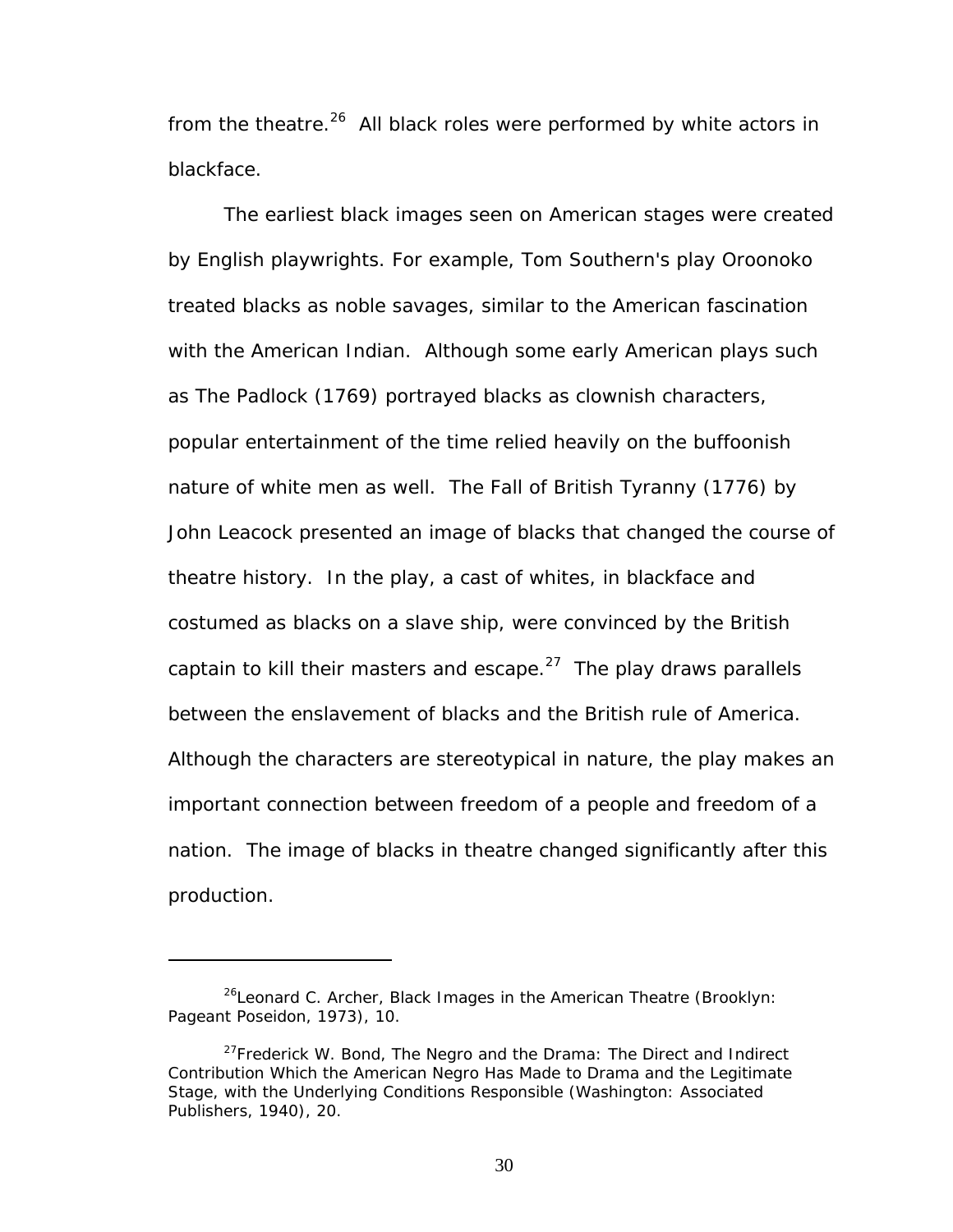from the theatre.<sup>26</sup> All black roles were performed by white actors in blackface.

The earliest black images seen on American stages were created by English playwrights. For example, Tom Southern's play *Oroonoko*  treated blacks as noble savages, similar to the American fascination with the American Indian. Although some early American plays such as *The Padlock* (1769) portrayed blacks as clownish characters, popular entertainment of the time relied heavily on the buffoonish nature of white men as well. *The Fall of British Tyranny* (1776) by John Leacock presented an image of blacks that changed the course of theatre history. In the play, a cast of whites, in blackface and costumed as blacks on a slave ship, were convinced by the British captain to kill their masters and escape. $27$  The play draws parallels between the enslavement of blacks and the British rule of America. Although the characters are stereotypical in nature, the play makes an important connection between freedom of a people and freedom of a nation. The image of blacks in theatre changed significantly after this production.

<span id="page-36-0"></span><sup>26</sup>Leonard C. Archer, *Black Images in the American Theatre* (Brooklyn: Pageant Poseidon, 1973), 10.

<span id="page-36-1"></span><sup>27</sup>Frederick W. Bond, *The Negro and the Drama: The Direct and Indirect Contribution Which the American Negro Has Made to Drama and the Legitimate Stage, with the Underlying Conditions Responsible* (Washington: Associated Publishers, 1940), 20.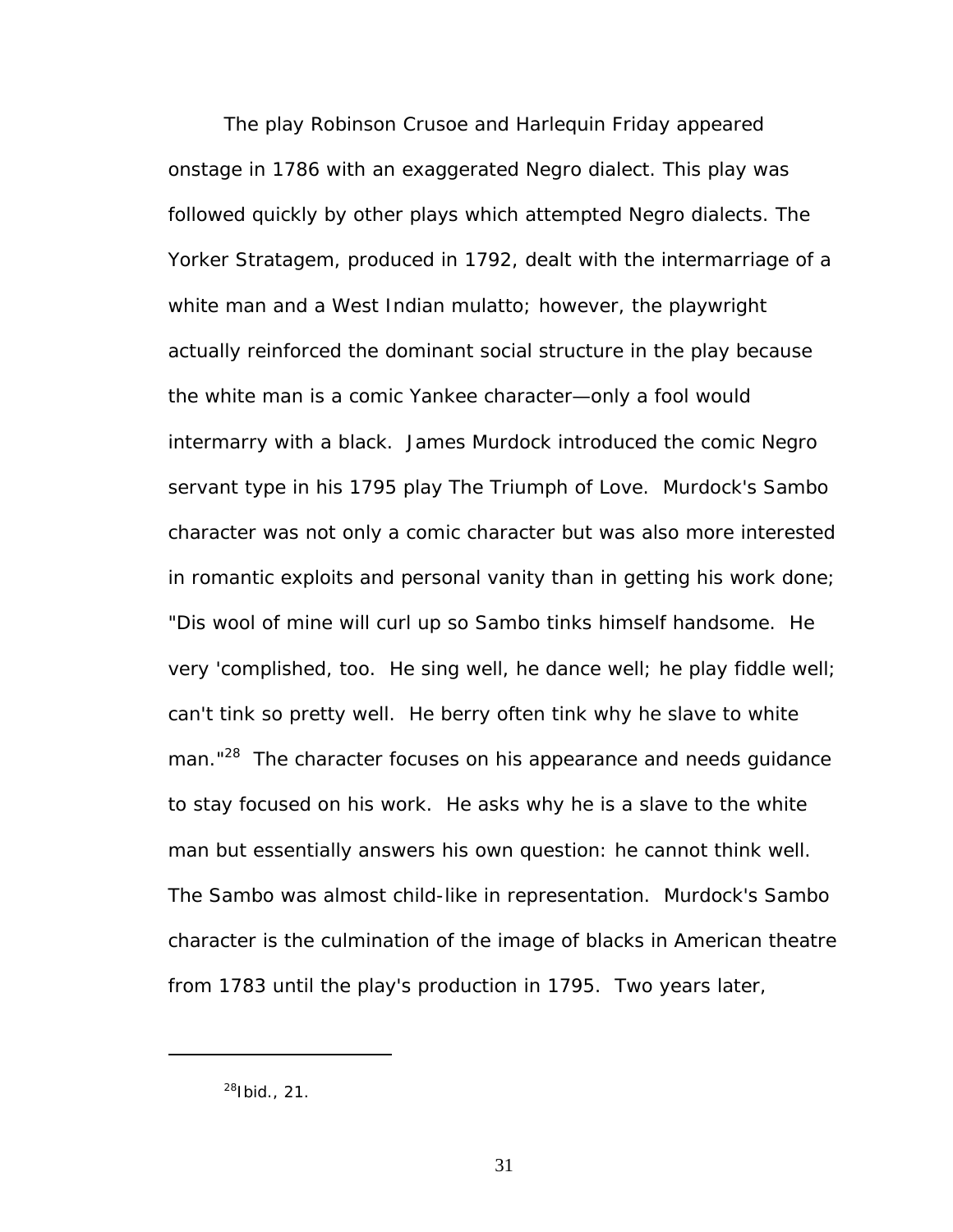The play *Robinson Crusoe and Harlequin Friday* appeared onstage in 1786 with an exaggerated Negro dialect. This play was followed quickly by other plays which attempted Negro dialects. *The Yorker Stratagem,* produced in 1792, dealt with the intermarriage of a white man and a West Indian mulatto; however, the playwright actually reinforced the dominant social structure in the play because the white man is a comic Yankee character—only a fool would intermarry with a black. James Murdock introduced the comic Negro servant type in his 1795 play *The Triumph of Love.* Murdock's Sambo character was not only a comic character but was also more interested in romantic exploits and personal vanity than in getting his work done; "Dis wool of mine will curl up so Sambo tinks himself handsome. He very 'complished, too. He sing well, he dance well; he play fiddle well; can't tink so pretty well. He berry often tink why he slave to white man."<sup>28</sup> The character focuses on his appearance and needs guidance to stay focused on his work. He asks why he is a slave to the white man but essentially answers his own question: he cannot think well. The Sambo was almost child-like in representation. Murdock's Sambo character is the culmination of the image of blacks in American theatre from 1783 until the play's production in 1795. Two years later,

<span id="page-37-0"></span> $^{28}$ Ibid., 21.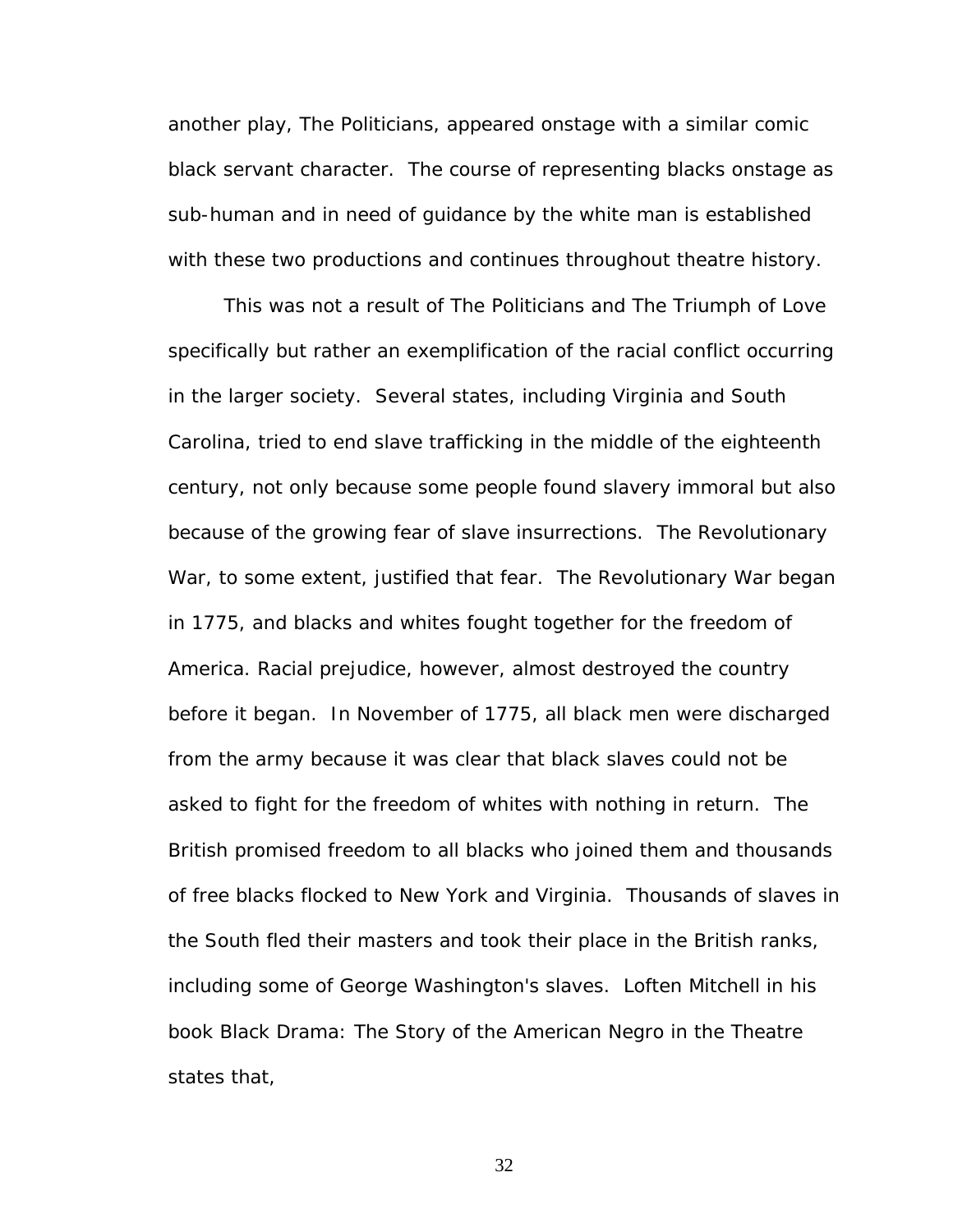another play, *The Politicians,* appeared onstage with a similar comic black servant character. The course of representing blacks onstage as sub-human and in need of guidance by the white man is established with these two productions and continues throughout theatre history.

This was not a result of *The Politicians* and *The Triumph of Love*  specifically but rather an exemplification of the racial conflict occurring in the larger society. Several states, including Virginia and South Carolina, tried to end slave trafficking in the middle of the eighteenth century, not only because some people found slavery immoral but also because of the growing fear of slave insurrections. The Revolutionary War, to some extent, justified that fear. The Revolutionary War began in 1775, and blacks and whites fought together for the freedom of America. Racial prejudice, however, almost destroyed the country before it began. In November of 1775, all black men were discharged from the army because it was clear that black slaves could not be asked to fight for the freedom of whites with nothing in return. The British promised freedom to all blacks who joined them and thousands of free blacks flocked to New York and Virginia. Thousands of slaves in the South fled their masters and took their place in the British ranks, including some of George Washington's slaves. Loften Mitchell in his book *Black Drama: The Story of the American Negro in the Theatre*  states that,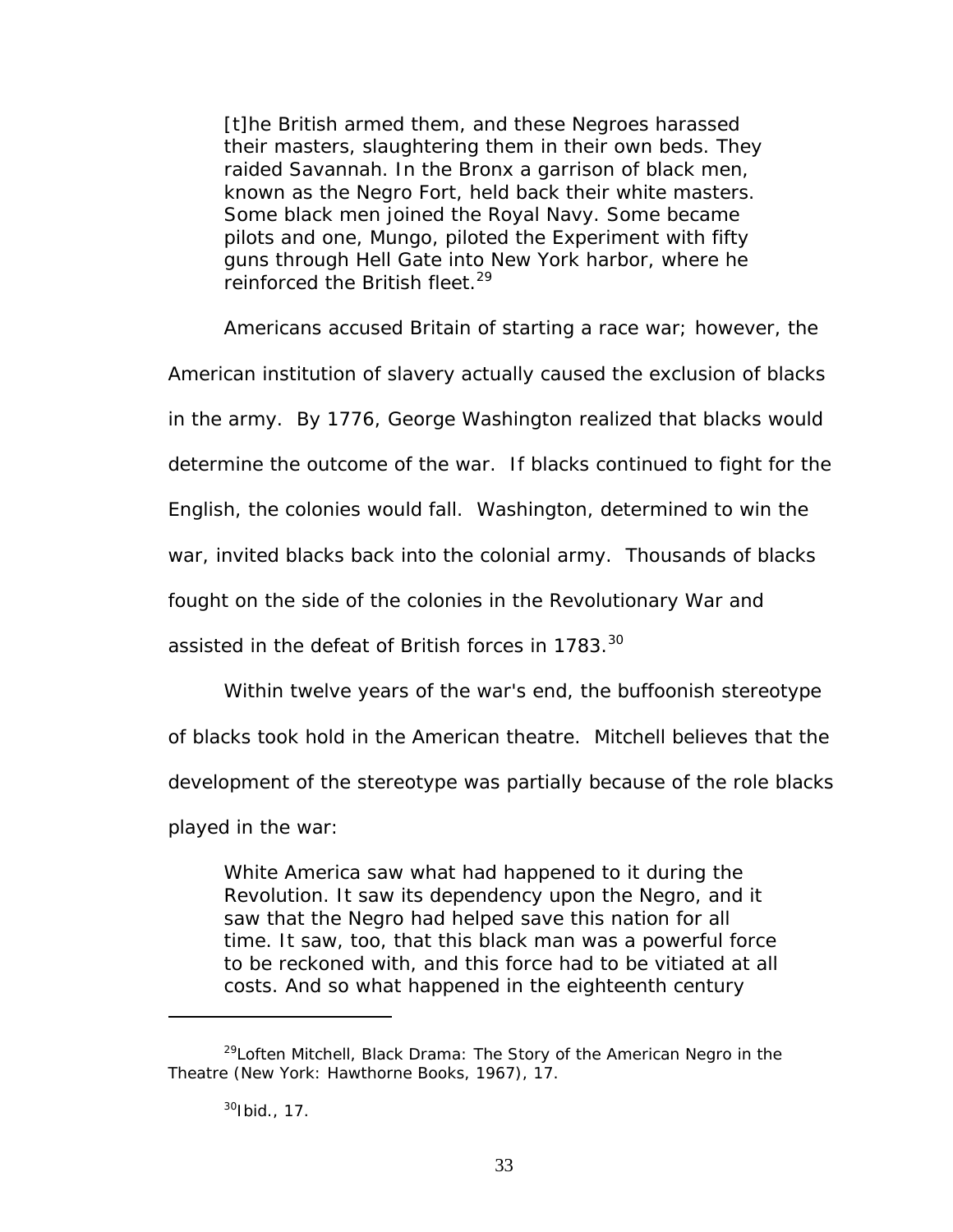[t]he British armed them, and these Negroes harassed their masters, slaughtering them in their own beds. They raided Savannah. In the Bronx a garrison of black men, known as the Negro Fort, held back their white masters. Some black men joined the Royal Navy. Some became pilots and one, Mungo, piloted the *Experiment* with fifty guns through Hell Gate into New York harbor, where he reinforced the British fleet.<sup>29</sup>

Americans accused Britain of starting a race war; however, the

American institution of slavery actually caused the exclusion of blacks

in the army. By 1776, George Washington realized that blacks would

determine the outcome of the war. If blacks continued to fight for the

English, the colonies would fall. Washington, determined to win the

war, invited blacks back into the colonial army. Thousands of blacks

fought on the side of the colonies in the Revolutionary War and

assisted in the defeat of British forces in 1783.<sup>[30](#page-39-1)</sup>

Within twelve years of the war's end, the buffoonish stereotype

of blacks took hold in the American theatre. Mitchell believes that the

development of the stereotype was partially because of the role blacks

played in the war:

White America saw what had happened to it during the Revolution. It saw its dependency upon the Negro, and it saw that the Negro had helped save this nation for all time. It saw, too, that this black man was a powerful force to be reckoned with, and this force had to be vitiated at all costs. And so what happened in the eighteenth century

<span id="page-39-0"></span><sup>29</sup>Loften Mitchell, *Black Drama: The Story of the American Negro in the Theatre* (New York: Hawthorne Books, 1967), 17.

<span id="page-39-1"></span> $30$ Ibid., 17.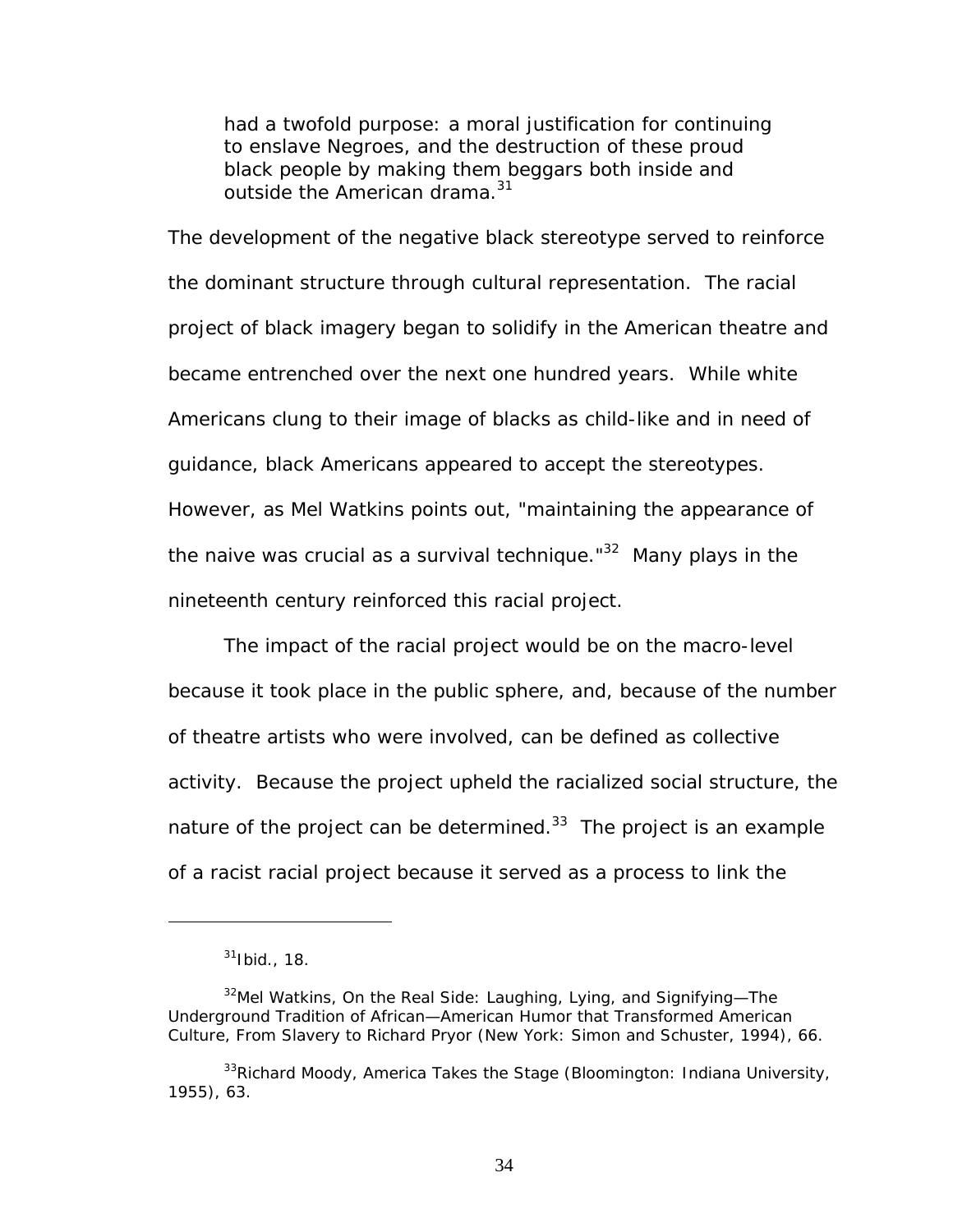had a twofold purpose: a moral justification for continuing to enslave Negroes, and the destruction of these proud black people by making them beggars both inside and outside the American drama.<sup>[31](#page-40-0)</sup>

The development of the negative black stereotype served to reinforce the dominant structure through cultural representation. The racial project of black imagery began to solidify in the American theatre and became entrenched over the next one hundred years. While white Americans clung to their image of blacks as child-like and in need of guidance, black Americans appeared to accept the stereotypes. However, as Mel Watkins points out, "maintaining the appearance of the naive was crucial as a survival technique."<sup>32</sup> Many plays in the nineteenth century reinforced this racial project.

The impact of the racial project would be on the macro-level because it took place in the public sphere, and, because of the number of theatre artists who were involved, can be defined as collective activity. Because the project upheld the racialized social structure, the nature of the project can be determined. $33$  The project is an example of a racist racial project because it served as a process to link the

 $\overline{a}$ 

<span id="page-40-1"></span><span id="page-40-0"></span> $31$ Ibid., 18.

<sup>32</sup>Mel Watkins, *On the Real Side: Laughing, Lying, and Signifying—The Underground Tradition of African—American Humor that Transformed American Culture, From Slavery to Richard Pryor* (New York: Simon and Schuster, 1994), 66.

<span id="page-40-2"></span><sup>33</sup>Richard Moody, *America Takes the Stage* (Bloomington: Indiana University, 1955), 63.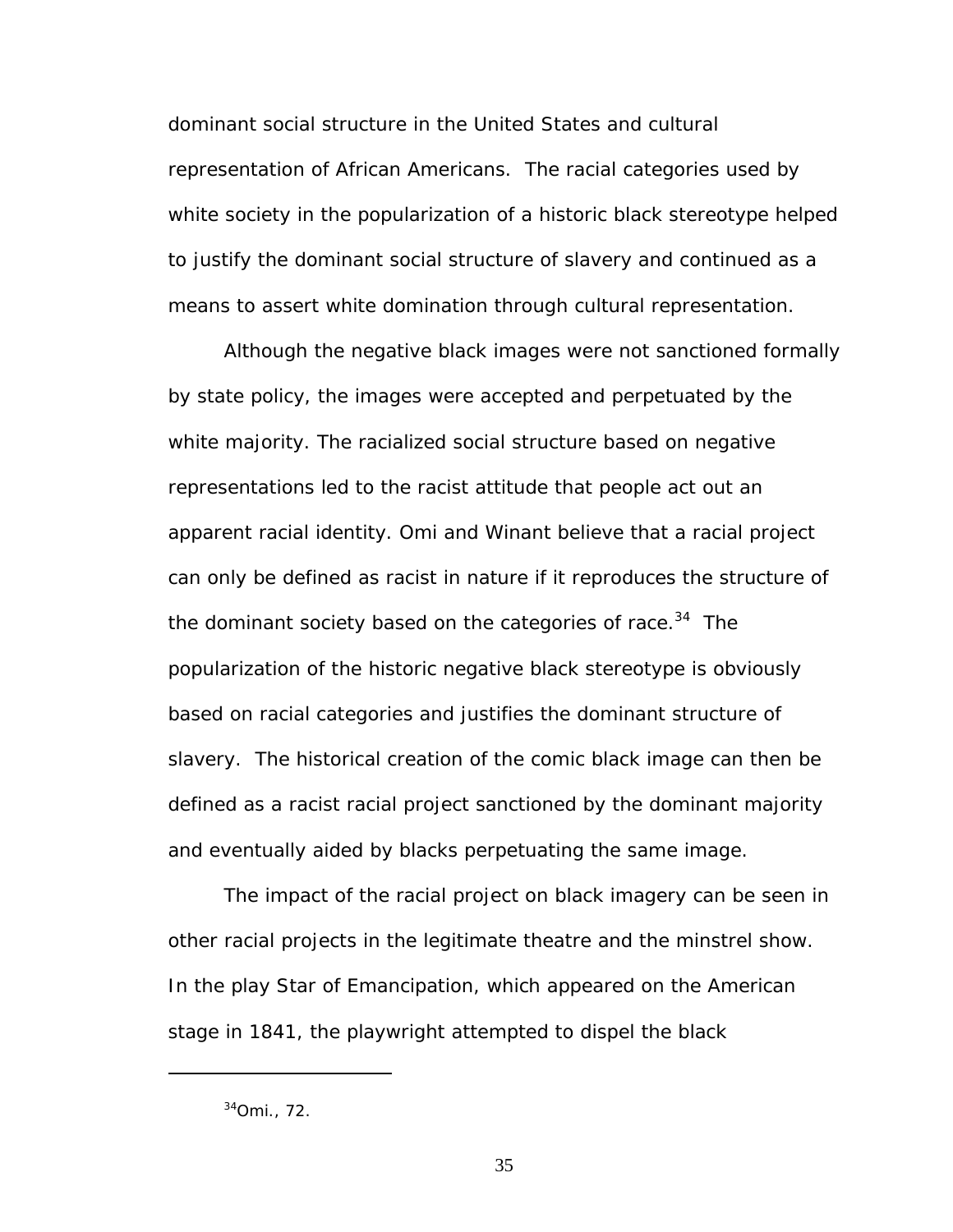dominant social structure in the United States and cultural representation of African Americans. The racial categories used by white society in the popularization of a historic black stereotype helped to justify the dominant social structure of slavery and continued as a means to assert white domination through cultural representation.

Although the negative black images were not sanctioned formally by state policy, the images were accepted and perpetuated by the white majority. The racialized social structure based on negative representations led to the racist attitude that people act out an apparent racial identity. Omi and Winant believe that a racial project can only be defined as racist in nature if it reproduces the structure of the dominant society based on the categories of race.<sup>34</sup> The popularization of the historic negative black stereotype is obviously based on racial categories and justifies the dominant structure of slavery. The historical creation of the comic black image can then be defined as a racist racial project sanctioned by the dominant majority and eventually aided by blacks perpetuating the same image.

The impact of the racial project on black imagery can be seen in other racial projects in the legitimate theatre and the minstrel show. In the play *Star of Emancipation,* which appeared on the American stage in 1841, the playwright attempted to dispel the black

<span id="page-41-0"></span><sup>34</sup>Omi., 72.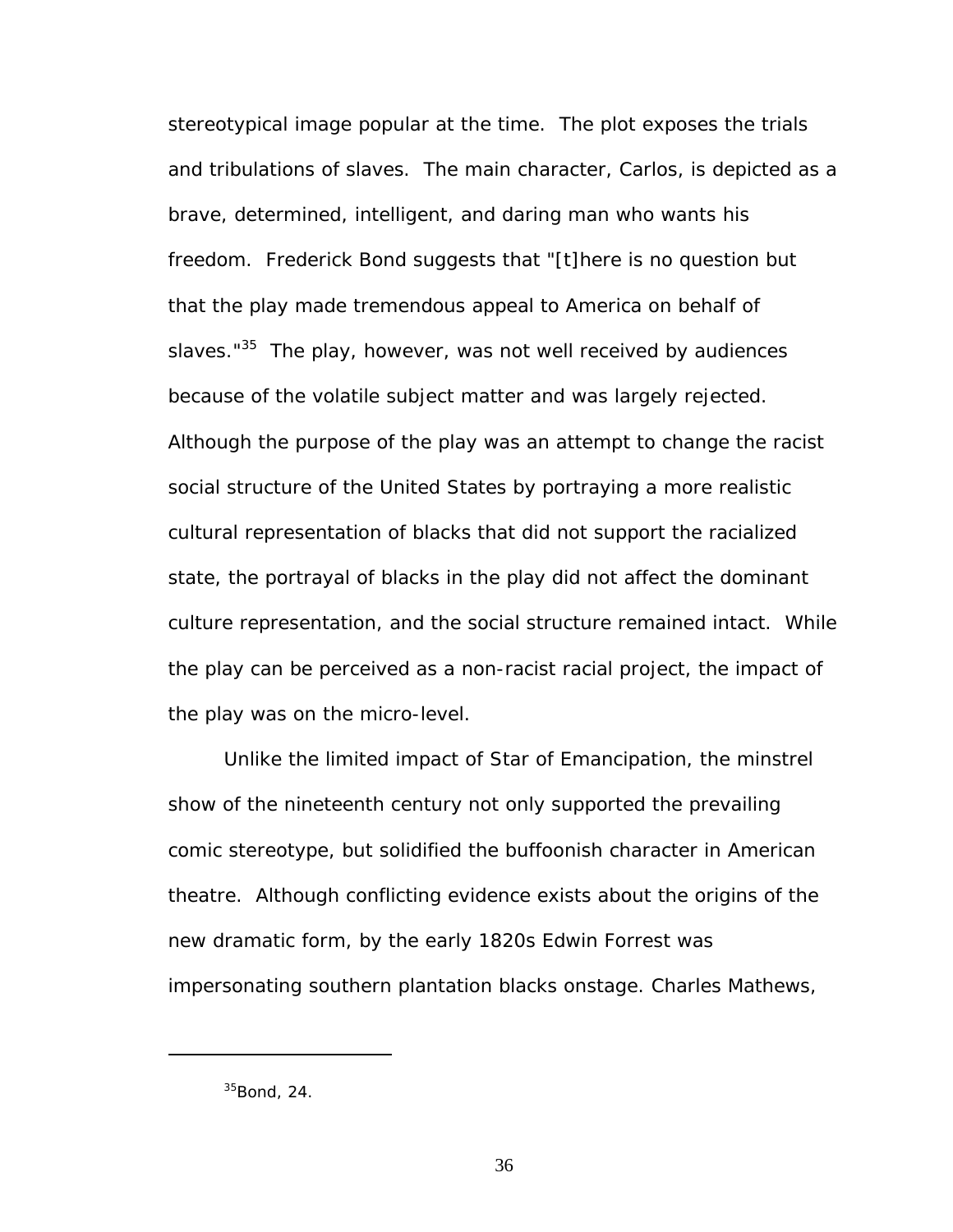stereotypical image popular at the time. The plot exposes the trials and tribulations of slaves. The main character, Carlos, is depicted as a brave, determined, intelligent, and daring man who wants his freedom. Frederick Bond suggests that "[t]here is no question but that the play made tremendous appeal to America on behalf of slaves."<sup>35</sup> The play, however, was not well received by audiences because of the volatile subject matter and was largely rejected. Although the purpose of the play was an attempt to change the racist social structure of the United States by portraying a more realistic cultural representation of blacks that did not support the racialized state, the portrayal of blacks in the play did not affect the dominant culture representation, and the social structure remained intact. While the play can be perceived as a non-racist racial project, the impact of the play was on the micro-level.

Unlike the limited impact of *Star of Emancipation*, the minstrel show of the nineteenth century not only supported the prevailing comic stereotype, but solidified the buffoonish character in American theatre. Although conflicting evidence exists about the origins of the new dramatic form, by the early 1820s Edwin Forrest was impersonating southern plantation blacks onstage. Charles Mathews,

<span id="page-42-0"></span> $35$ Bond, 24.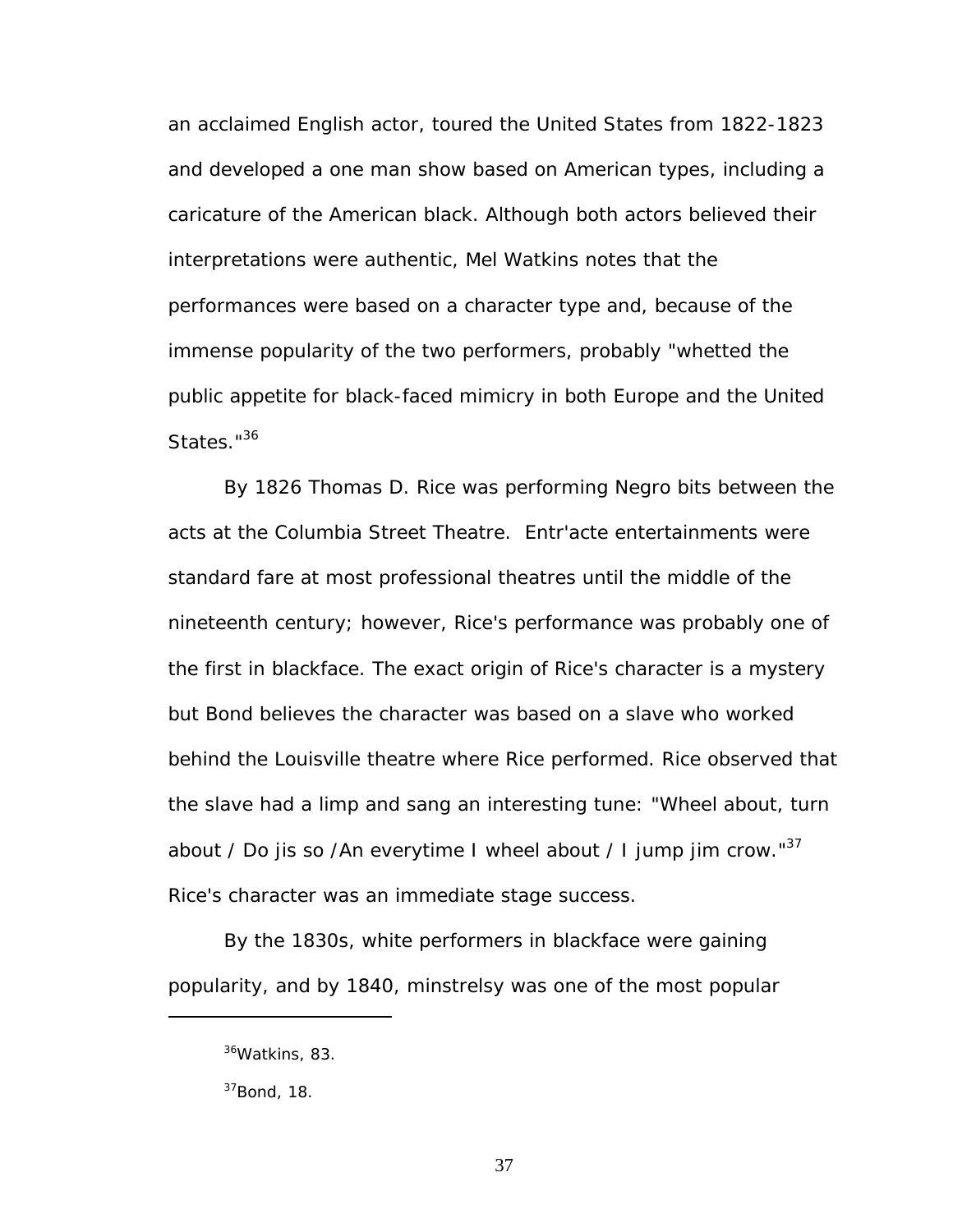an acclaimed English actor, toured the United States from 1822-1823 and developed a one man show based on American types, including a caricature of the American black. Although both actors believed their interpretations were authentic, Mel Watkins notes that the performances were based on a character type and, because of the immense popularity of the two performers, probably "whetted the public appetite for black-faced mimicry in both Europe and the United States."<sup>36</sup>

By 1826 Thomas D. Rice was performing Negro bits between the acts at the Columbia Street Theatre. Entr'acte entertainments were standard fare at most professional theatres until the middle of the nineteenth century; however, Rice's performance was probably one of the first in blackface. The exact origin of Rice's character is a mystery but Bond believes the character was based on a slave who worked behind the Louisville theatre where Rice performed. Rice observed that the slave had a limp and sang an interesting tune: "Wheel about, turn about / Do jis so /An everytime I wheel about / I jump jim crow." $37$ Rice's character was an immediate stage success.

By the 1830s, white performers in blackface were gaining popularity, and by 1840, minstrelsy was one of the most popular

<span id="page-43-0"></span><sup>36</sup>Watkins, 83.

<span id="page-43-1"></span> $37$ Bond, 18.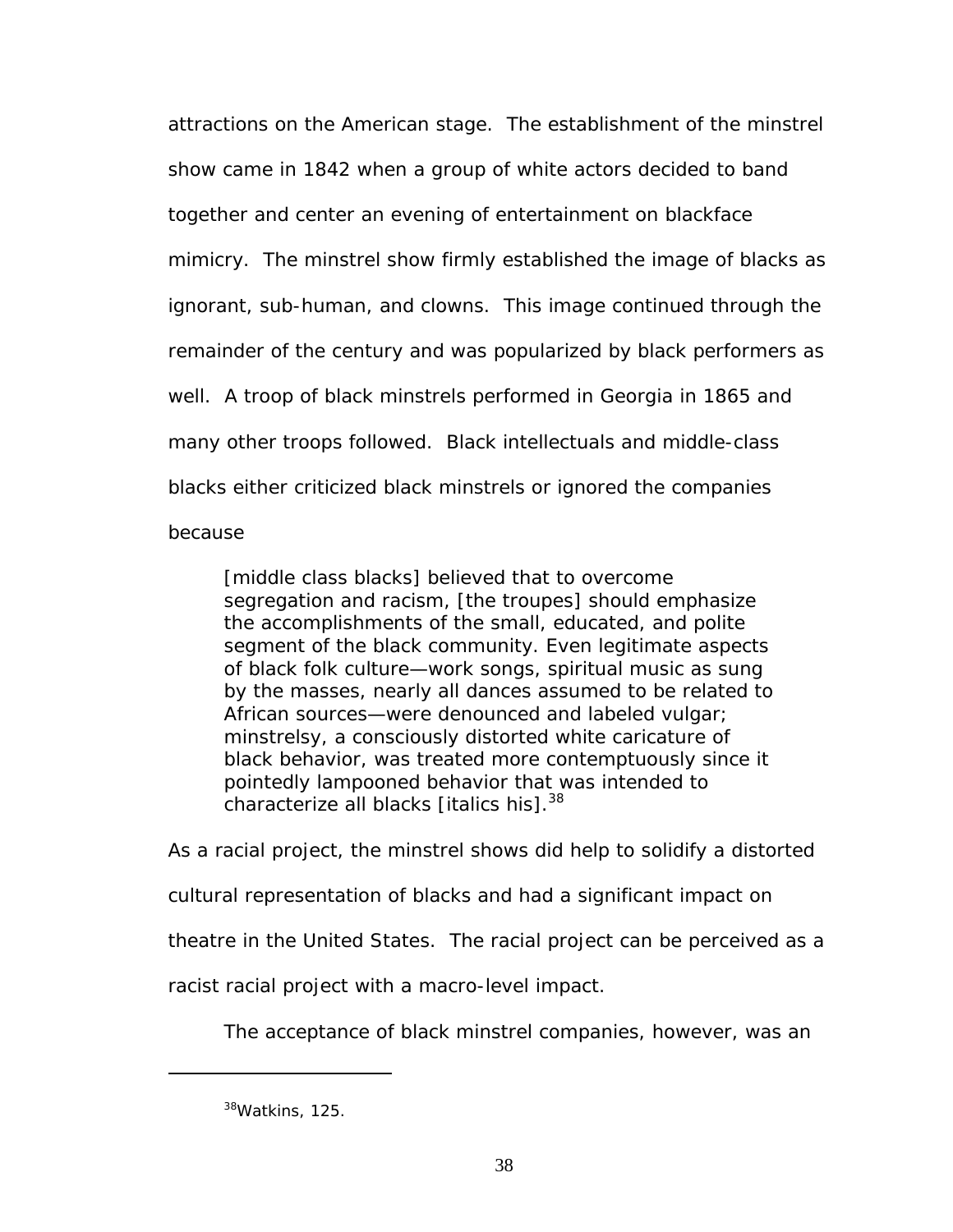attractions on the American stage. The establishment of the minstrel show came in 1842 when a group of white actors decided to band together and center an evening of entertainment on blackface mimicry. The minstrel show firmly established the image of blacks as ignorant, sub-human, and clowns. This image continued through the remainder of the century and was popularized by black performers as well. A troop of black minstrels performed in Georgia in 1865 and many other troops followed. Black intellectuals and middle-class blacks either criticized black minstrels or ignored the companies because

[middle class blacks] believed that to overcome segregation and racism, [the troupes] should emphasize the accomplishments of the small, educated, and polite segment of the black community. Even legitimate aspects of black folk culture—work songs, spiritual music as sung by the masses, nearly all dances assumed to be related to African sources—were denounced and labeled vulgar; minstrelsy, a consciously distorted white caricature of black behavior, was treated more contemptuously since it pointedly lampooned behavior that was intended to characterize all blacks [italics his].<sup>38</sup>

As a racial project, the minstrel shows did help to solidify a distorted cultural representation of blacks and had a significant impact on theatre in the United States. The racial project can be perceived as a racist racial project with a macro-level impact.

The acceptance of black minstrel companies, however, was an

<span id="page-44-0"></span><sup>38</sup>Watkins, 125.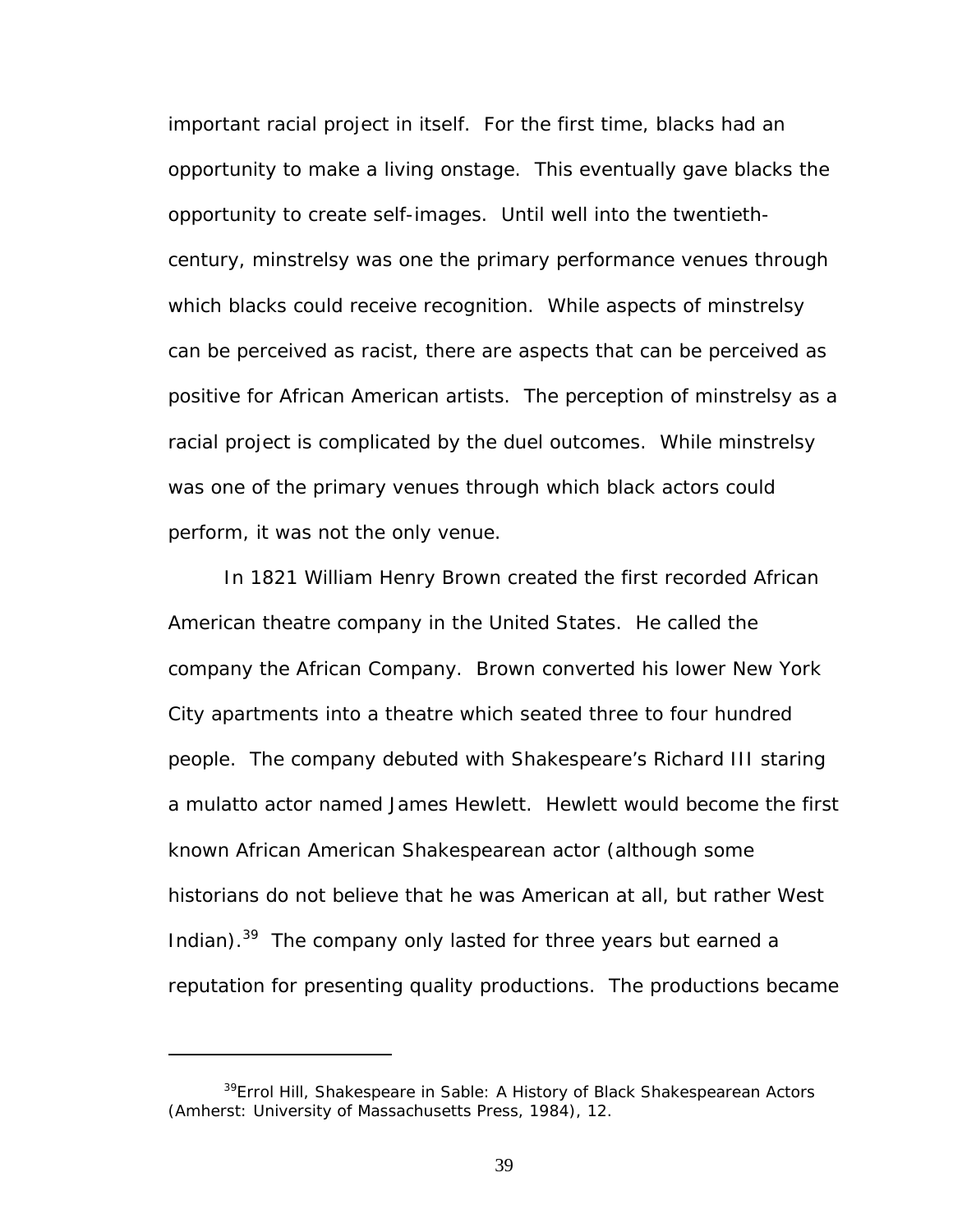important racial project in itself. For the first time, blacks had an opportunity to make a living onstage. This eventually gave blacks the opportunity to create self-images. Until well into the twentiethcentury, minstrelsy was one the primary performance venues through which blacks could receive recognition. While aspects of minstrelsy can be perceived as racist, there are aspects that can be perceived as positive for African American artists. The perception of minstrelsy as a racial project is complicated by the duel outcomes. While minstrelsy was one of the primary venues through which black actors could perform, it was not the only venue.

In 1821 William Henry Brown created the first recorded African American theatre company in the United States. He called the company the African Company. Brown converted his lower New York City apartments into a theatre which seated three to four hundred people. The company debuted with Shakespeare's *Richard III* staring a mulatto actor named James Hewlett. Hewlett would become the first known African American Shakespearean actor (although some historians do not believe that he was American at all, but rather West Indian).<sup>39</sup> The company only lasted for three years but earned a reputation for presenting quality productions. The productions became

<span id="page-45-0"></span><sup>39</sup>Errol Hill, *Shakespeare in Sable: A History of Black Shakespearean Actors* (Amherst: University of Massachusetts Press, 1984), 12.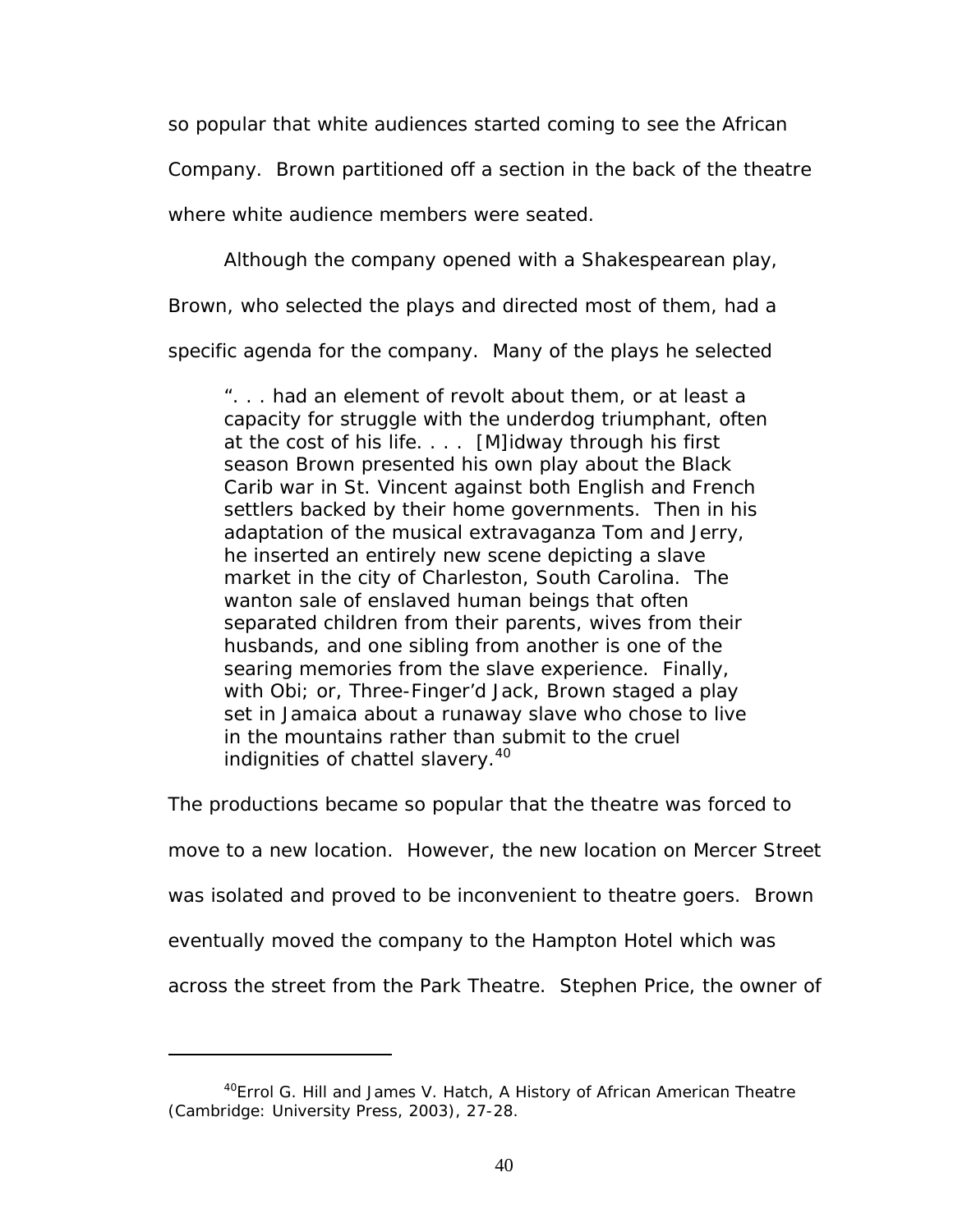so popular that white audiences started coming to see the African

Company. Brown partitioned off a section in the back of the theatre

where white audience members were seated.

Although the company opened with a Shakespearean play,

Brown, who selected the plays and directed most of them, had a

specific agenda for the company. Many of the plays he selected

". . . had an element of revolt about them, or at least a capacity for struggle with the underdog triumphant, often at the cost of his life. . . . [M]idway through his first season Brown presented his own play about the Black Carib war in St. Vincent against both English and French settlers backed by their home governments. Then in his adaptation of the musical extravaganza *Tom and Jerry*, he inserted an entirely new scene depicting a slave market in the city of Charleston, South Carolina. The wanton sale of enslaved human beings that often separated children from their parents, wives from their husbands, and one sibling from another is one of the searing memories from the slave experience. Finally, with *Obi;* or, *Three-Finger'd Jack*, Brown staged a play set in Jamaica about a runaway slave who chose to live in the mountains rather than submit to the cruel indignities of chattel slavery.<sup>40</sup>

The productions became so popular that the theatre was forced to

move to a new location. However, the new location on Mercer Street

was isolated and proved to be inconvenient to theatre goers. Brown

eventually moved the company to the Hampton Hotel which was

across the street from the Park Theatre. Stephen Price, the owner of

<span id="page-46-0"></span><sup>40</sup>Errol G. Hill and James V. Hatch, *A History of African American Theatre* (Cambridge: University Press, 2003), 27-28.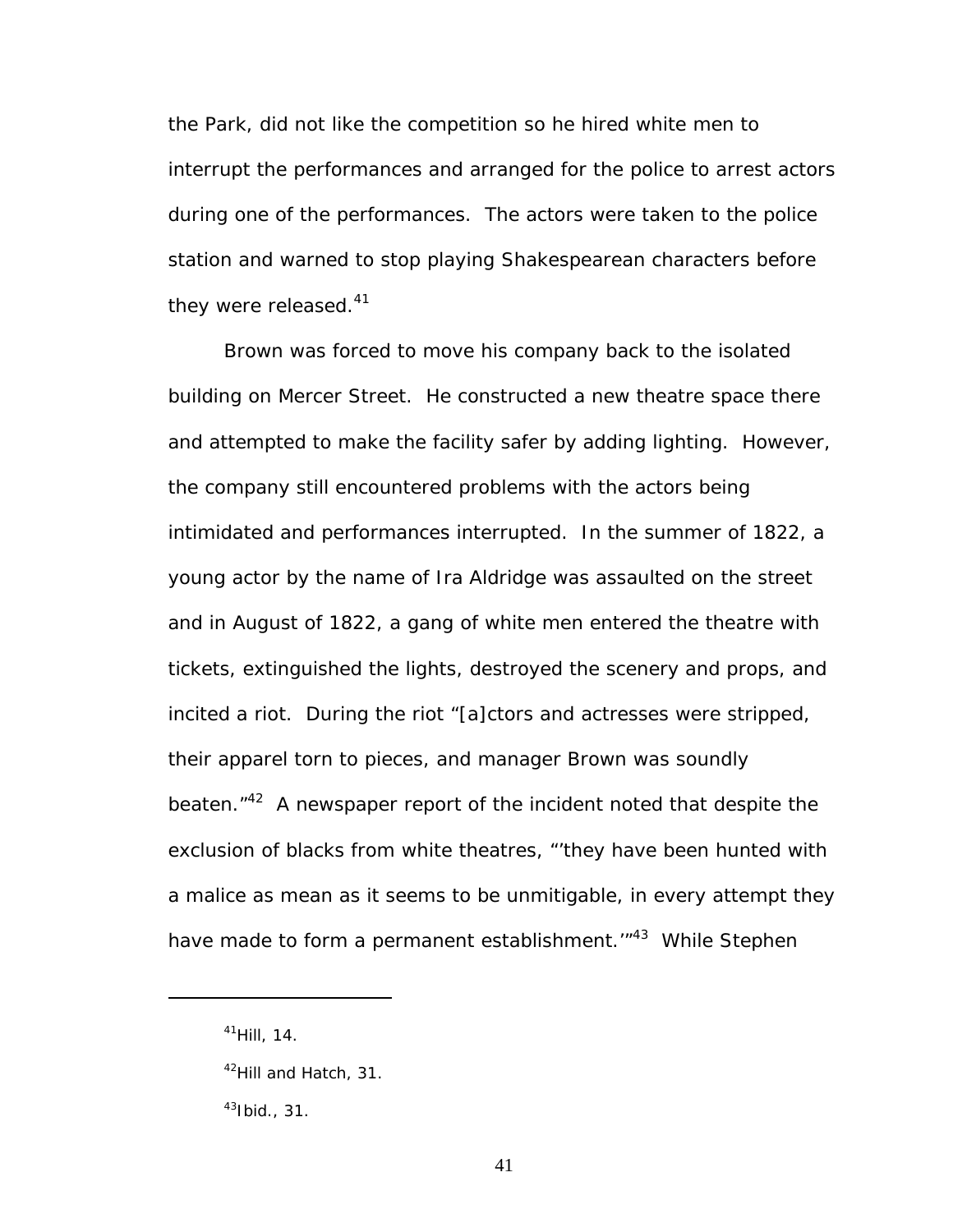the Park, did not like the competition so he hired white men to interrupt the performances and arranged for the police to arrest actors during one of the performances. The actors were taken to the police station and warned to stop playing Shakespearean characters before they were released. $41$ 

Brown was forced to move his company back to the isolated building on Mercer Street. He constructed a new theatre space there and attempted to make the facility safer by adding lighting. However, the company still encountered problems with the actors being intimidated and performances interrupted. In the summer of 1822, a young actor by the name of Ira Aldridge was assaulted on the street and in August of 1822, a gang of white men entered the theatre with tickets, extinguished the lights, destroyed the scenery and props, and incited a riot. During the riot "[a]ctors and actresses were stripped, their apparel torn to pieces, and manager Brown was soundly beaten."<sup>42</sup> A newspaper report of the incident noted that despite the exclusion of blacks from white theatres, "'they have been hunted with a malice as mean as it seems to be unmitigable, in every attempt they have made to form a permanent establishment.<sup>"43</sup> While Stephen

<span id="page-47-0"></span> $41$ Hill, 14.

<span id="page-47-1"></span> $42$ Hill and Hatch, 31.

<span id="page-47-2"></span> $43$ Ibid., 31.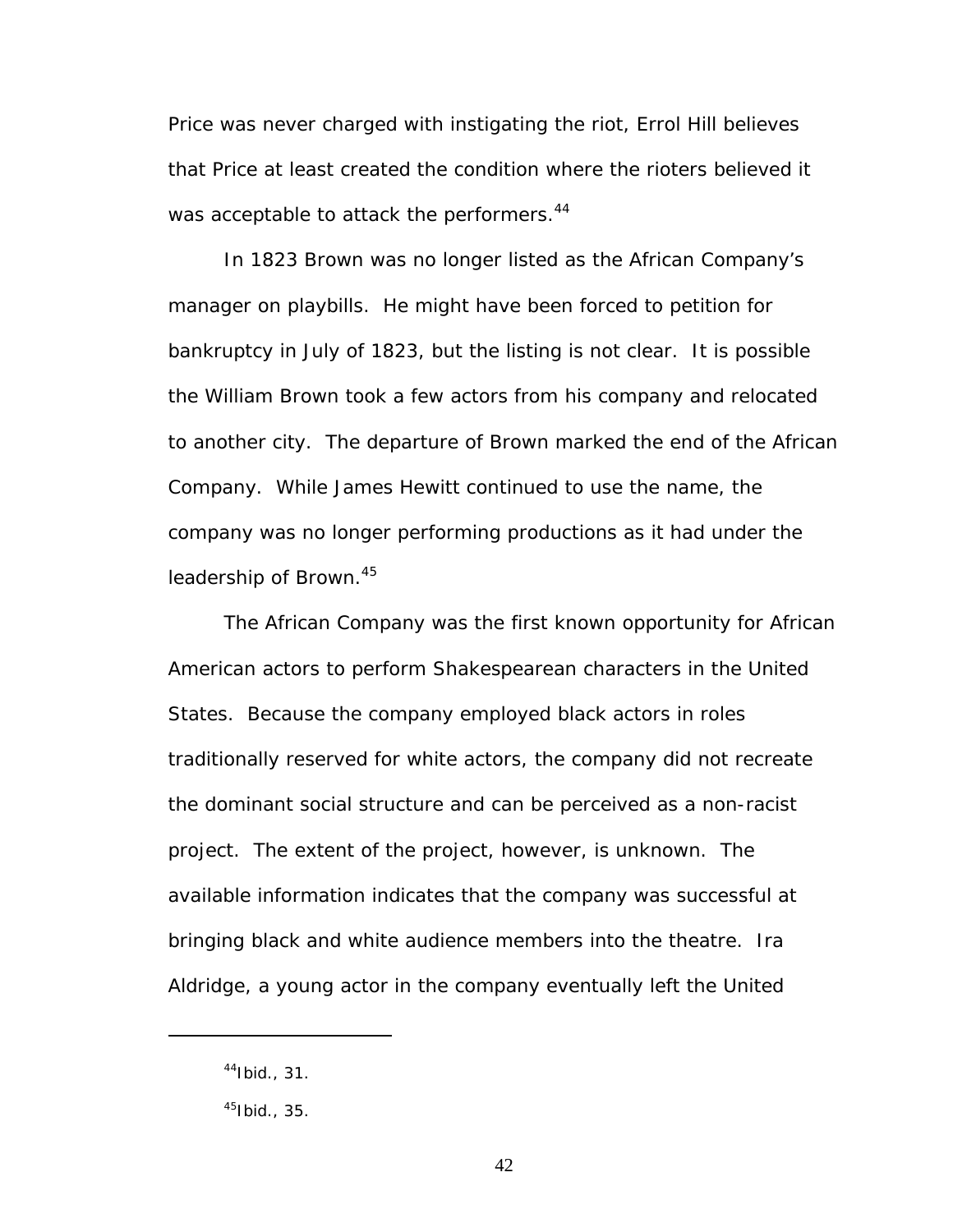Price was never charged with instigating the riot, Errol Hill believes that Price at least created the condition where the rioters believed it was acceptable to attack the performers.<sup>44</sup>

In 1823 Brown was no longer listed as the African Company's manager on playbills. He might have been forced to petition for bankruptcy in July of 1823, but the listing is not clear. It is possible the William Brown took a few actors from his company and relocated to another city. The departure of Brown marked the end of the African Company. While James Hewitt continued to use the name, the company was no longer performing productions as it had under the leadership of Brown.<sup>[45](#page-48-1)</sup>

The African Company was the first known opportunity for African American actors to perform Shakespearean characters in the United States. Because the company employed black actors in roles traditionally reserved for white actors, the company did not recreate the dominant social structure and can be perceived as a non-racist project. The extent of the project, however, is unknown. The available information indicates that the company was successful at bringing black and white audience members into the theatre. Ira Aldridge, a young actor in the company eventually left the United

<span id="page-48-0"></span> $44$ Ibid., 31.

<span id="page-48-1"></span> $45$ Ibid., 35.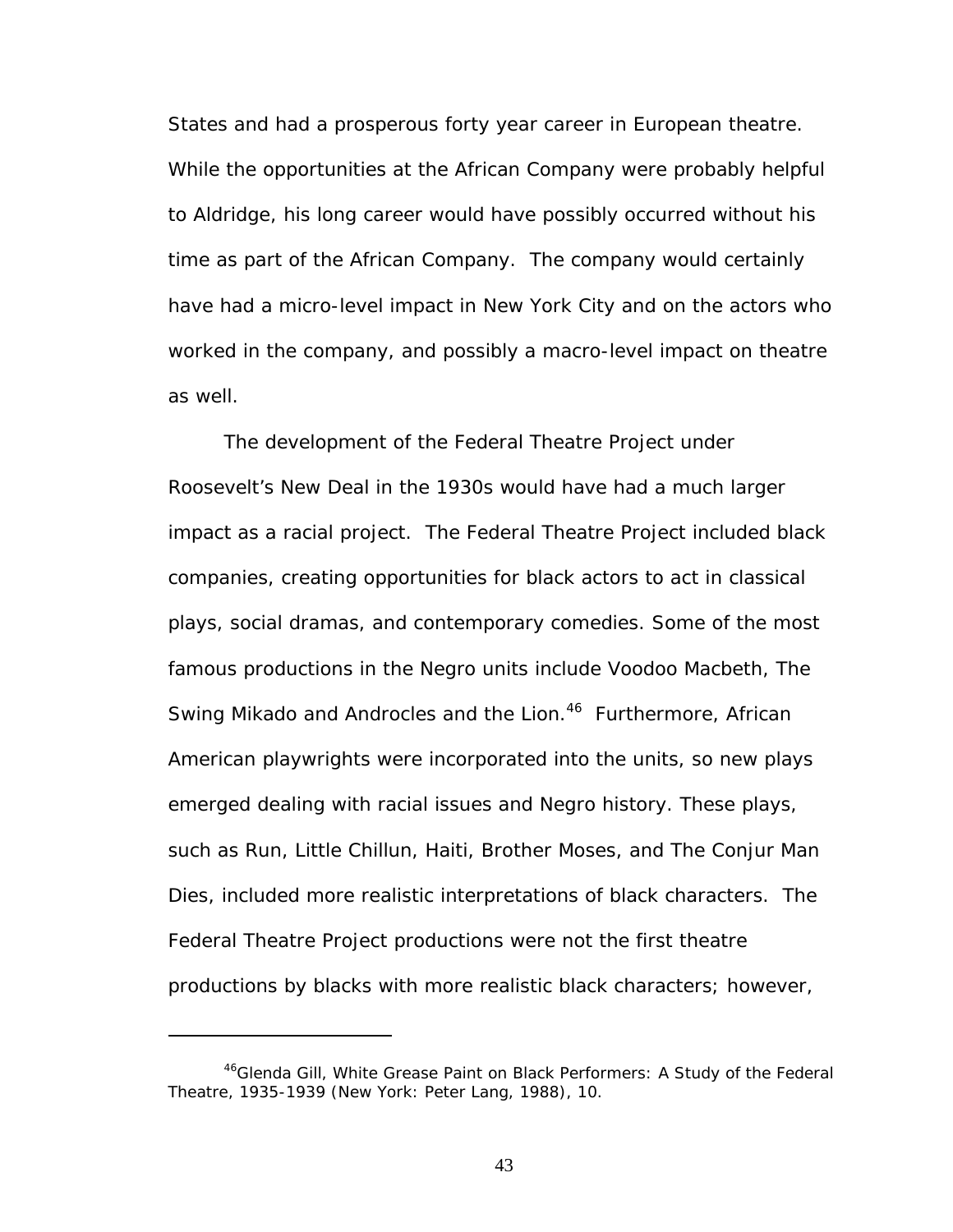States and had a prosperous forty year career in European theatre. While the opportunities at the African Company were probably helpful to Aldridge, his long career would have possibly occurred without his time as part of the African Company. The company would certainly have had a micro-level impact in New York City and on the actors who worked in the company, and possibly a macro-level impact on theatre as well.

The development of the Federal Theatre Project under Roosevelt's New Deal in the 1930s would have had a much larger impact as a racial project. The Federal Theatre Project included black companies, creating opportunities for black actors to act in classical plays, social dramas, and contemporary comedies. Some of the most famous productions in the Negro units include *Voodoo Macbeth, The Swing Mikado* and *Androcles and the Lion[.46](#page-49-0)* Furthermore, African American playwrights were incorporated into the units, so new plays emerged dealing with racial issues and Negro history. These plays, such as *Run, Little Chillun, Haiti, Brother Moses,* and *The Conjur Man Dies,* included more realistic interpretations of black characters. The Federal Theatre Project productions were not the first theatre productions by blacks with more realistic black characters; however,

<span id="page-49-0"></span><sup>46</sup>Glenda Gill, *White Grease Paint on Black Performers: A Study of the Federal Theatre, 1935-1939* (New York: Peter Lang, 1988), 10.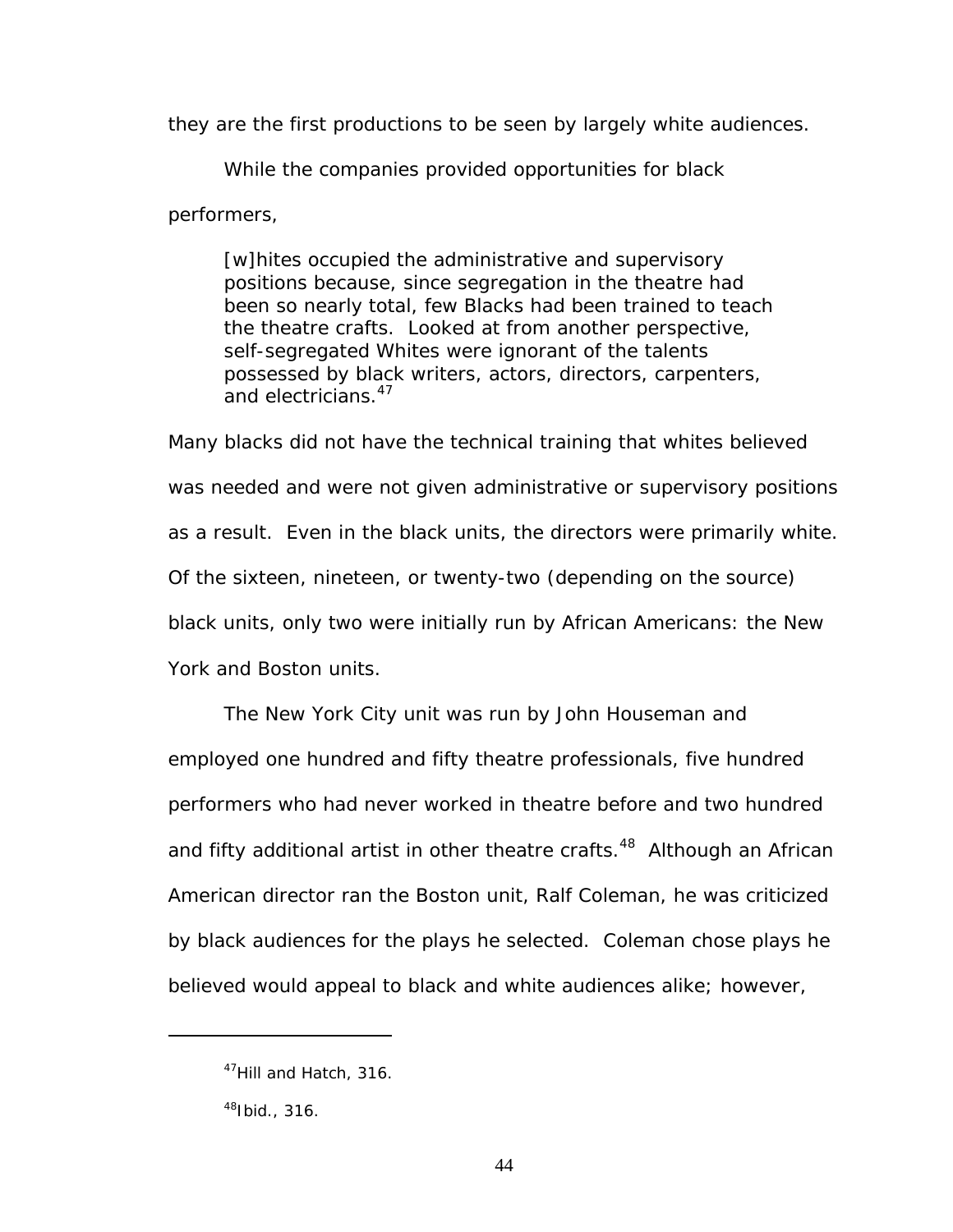they are the first productions to be seen by largely white audiences.

While the companies provided opportunities for black

performers,

[w]hites occupied the administrative and supervisory positions because, since segregation in the theatre had been so nearly total, few Blacks had been trained to teach the theatre crafts. Looked at from another perspective, self-segregated Whites were ignorant of the talents possessed by black writers, actors, directors, carpenters, and electricians.<sup>47</sup>

Many blacks did not have the technical training that whites believed was needed and were not given administrative or supervisory positions as a result. Even in the black units, the directors were primarily white. Of the sixteen, nineteen, or twenty-two (depending on the source) black units, only two were initially run by African Americans: the New York and Boston units.

The New York City unit was run by John Houseman and employed one hundred and fifty theatre professionals, five hundred performers who had never worked in theatre before and two hundred and fifty additional artist in other theatre crafts.<sup>48</sup> Although an African American director ran the Boston unit, Ralf Coleman, he was criticized by black audiences for the plays he selected. Coleman chose plays he believed would appeal to black and white audiences alike; however,

<span id="page-50-0"></span><sup>&</sup>lt;sup>47</sup>Hill and Hatch, 316.

<span id="page-50-1"></span> $48$ Ibid., 316.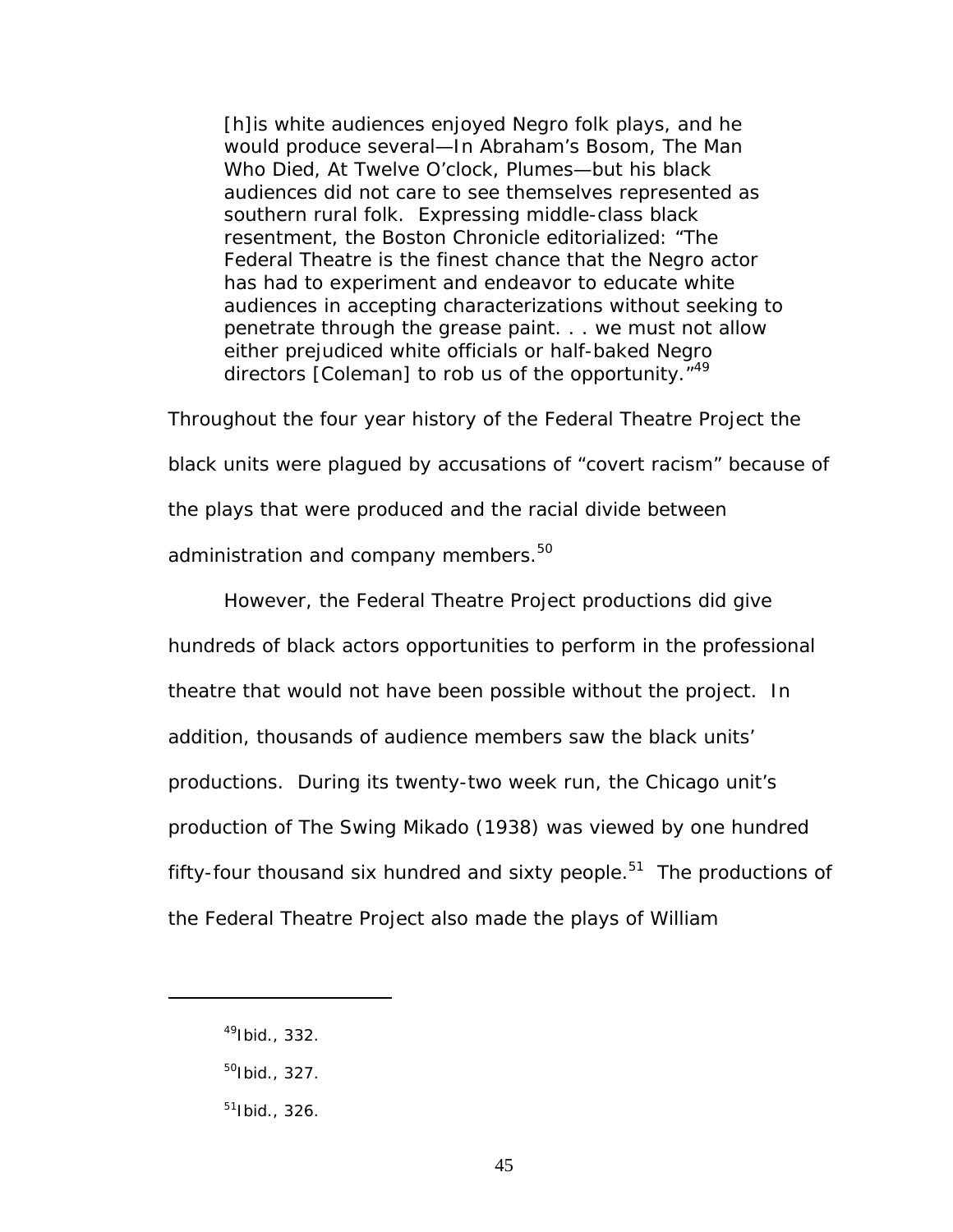[h]is white audiences enjoyed Negro folk plays, and he would produce several—*In Abraham's Bosom, The Man Who Died, At Twelve O'clock, Plumes*—but his black audiences did not care to see themselves represented as southern rural folk. Expressing middle-class black resentment, the *Boston Chronicle* editorialized: "The Federal Theatre is the finest chance that the Negro actor has had to experiment and endeavor to educate white audiences in accepting characterizations without seeking to penetrate through the grease paint. . . we must not allow either prejudiced white officials or half-baked Negro directors [Coleman] to rob us of the opportunity.<sup>["49](#page-51-0)</sup>

Throughout the four year history of the Federal Theatre Project the

black units were plagued by accusations of "covert racism" because of

the plays that were produced and the racial divide between

administration and company members.<sup>50</sup>

However, the Federal Theatre Project productions did give

hundreds of black actors opportunities to perform in the professional theatre that would not have been possible without the project. In addition, thousands of audience members saw the black units' productions. During its twenty-two week run, the Chicago unit's production of *The Swing Mikado* (1938) was viewed by one hundred fifty-four thousand six hundred and sixty people. $51$  The productions of the Federal Theatre Project also made the plays of William

<span id="page-51-0"></span> $49$ Ibid., 332.

<span id="page-51-1"></span> $50$ Ibid., 327.

<span id="page-51-2"></span> $51$ Ibid., 326.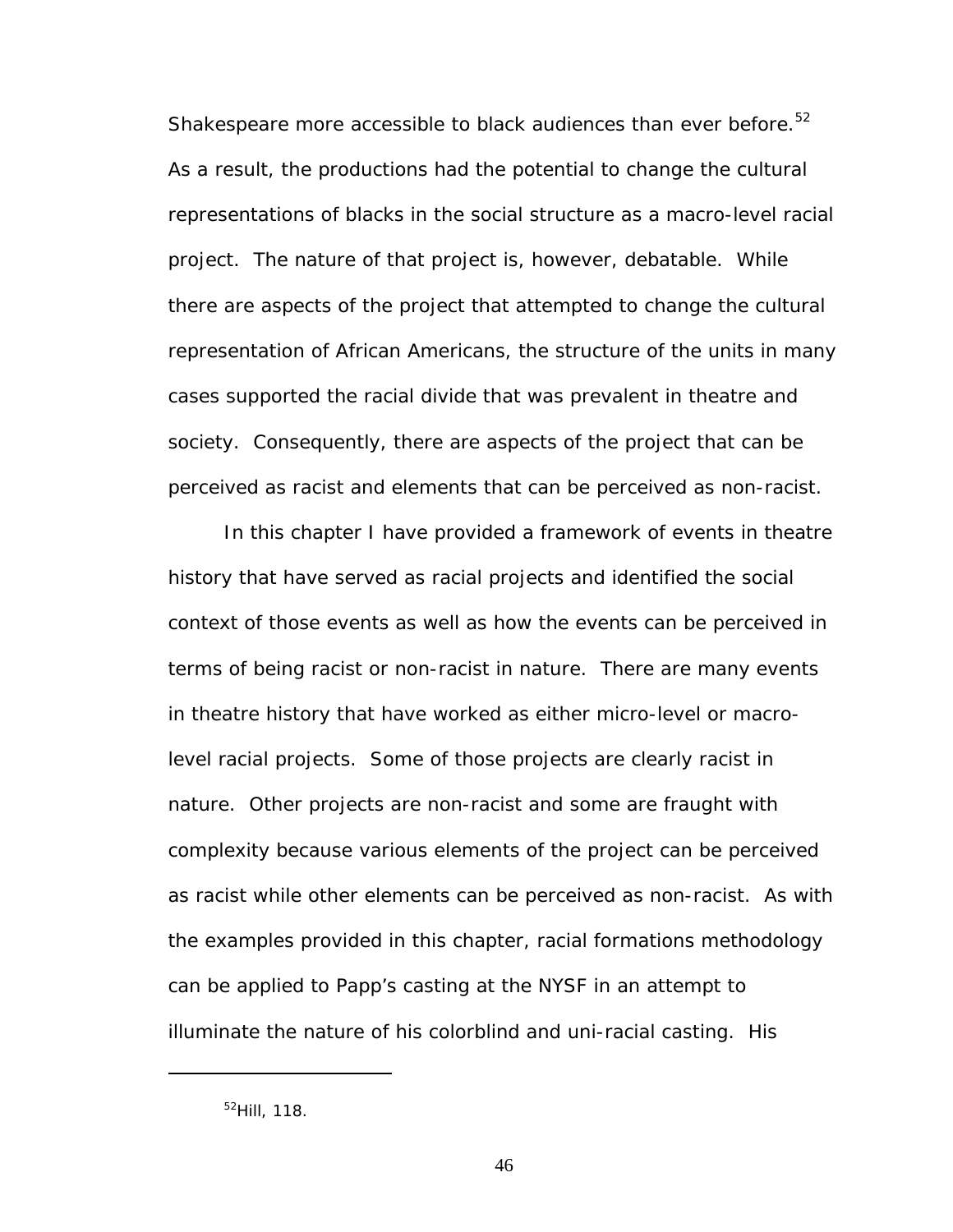Shakespeare more accessible to black audiences than ever before.<sup>52</sup> As a result, the productions had the potential to change the cultural representations of blacks in the social structure as a macro-level racial project. The nature of that project is, however, debatable. While there are aspects of the project that attempted to change the cultural representation of African Americans, the structure of the units in many cases supported the racial divide that was prevalent in theatre and society. Consequently, there are aspects of the project that can be perceived as racist and elements that can be perceived as non-racist.

In this chapter I have provided a framework of events in theatre history that have served as racial projects and identified the social context of those events as well as how the events can be perceived in terms of being racist or non-racist in nature. There are many events in theatre history that have worked as either micro-level or macrolevel racial projects. Some of those projects are clearly racist in nature. Other projects are non-racist and some are fraught with complexity because various elements of the project can be perceived as racist while other elements can be perceived as non-racist. As with the examples provided in this chapter, racial formations methodology can be applied to Papp's casting at the NYSF in an attempt to illuminate the nature of his colorblind and uni-racial casting. His

<u>.</u>

<span id="page-52-0"></span><sup>52</sup>Hill, 118.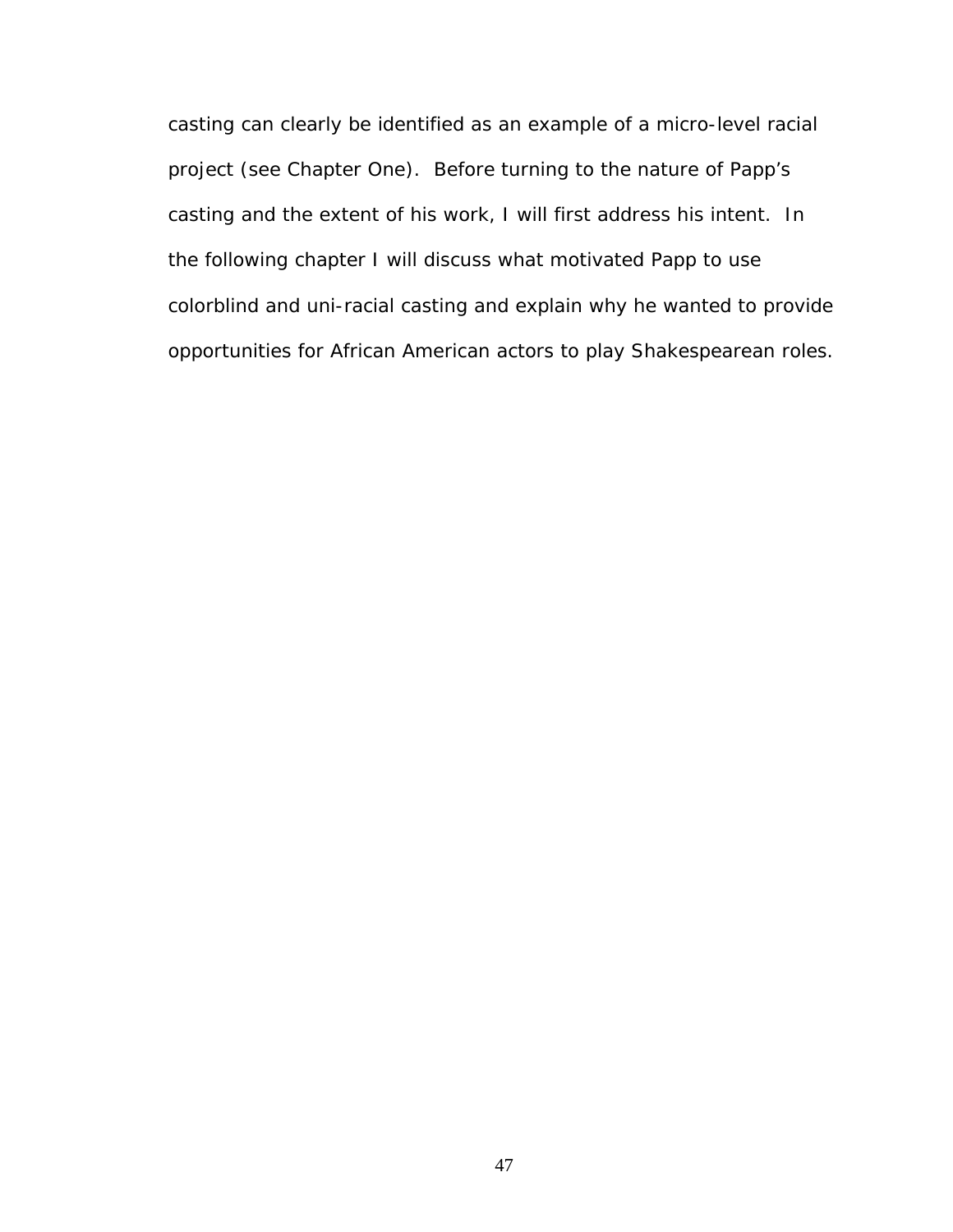casting can clearly be identified as an example of a micro-level racial project (see Chapter One). Before turning to the nature of Papp's casting and the extent of his work, I will first address his intent. In the following chapter I will discuss what motivated Papp to use colorblind and uni-racial casting and explain why he wanted to provide opportunities for African American actors to play Shakespearean roles.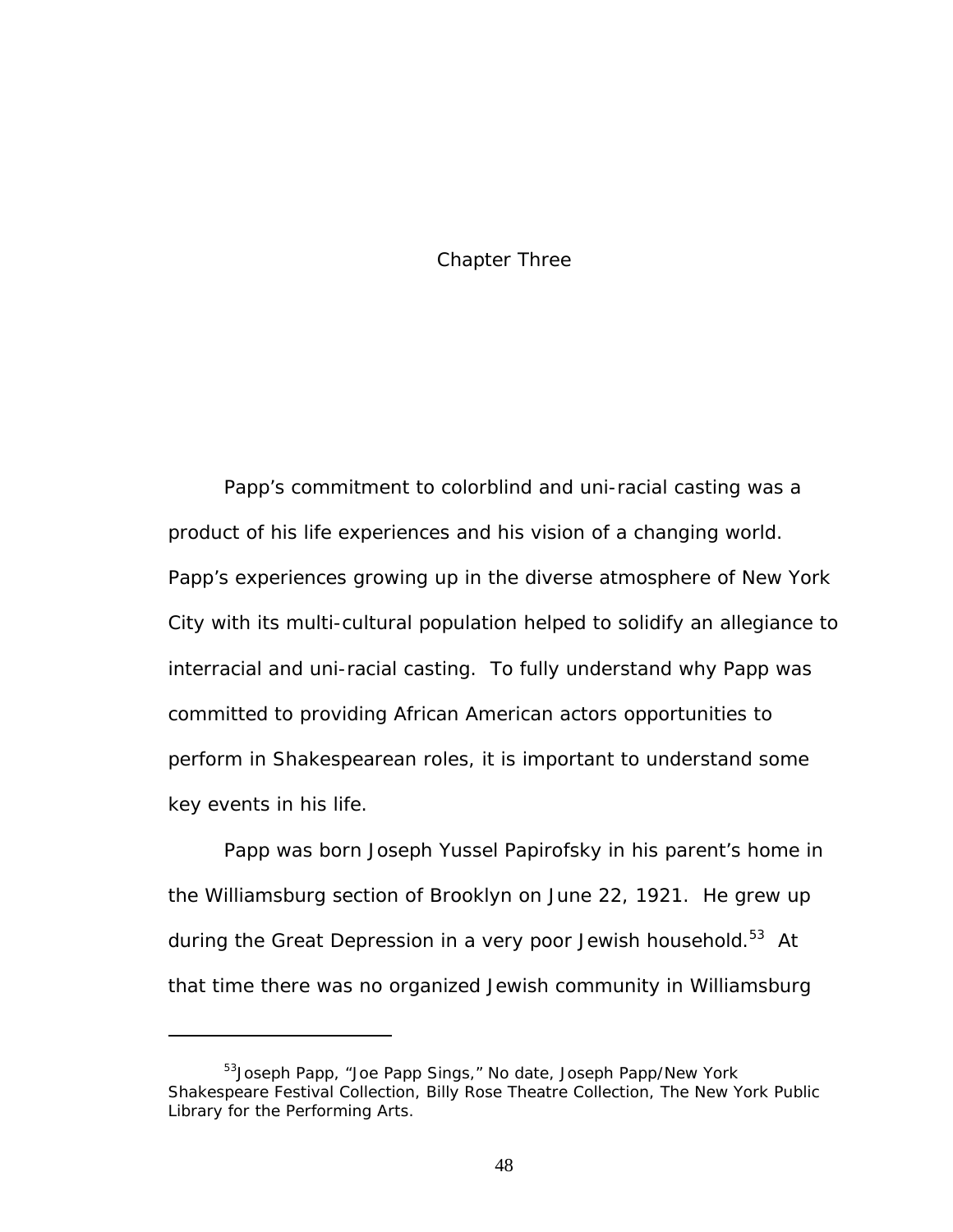## Chapter Three

Papp's commitment to colorblind and uni-racial casting was a product of his life experiences and his vision of a changing world. Papp's experiences growing up in the diverse atmosphere of New York City with its multi-cultural population helped to solidify an allegiance to interracial and uni-racial casting. To fully understand why Papp was committed to providing African American actors opportunities to perform in Shakespearean roles, it is important to understand some key events in his life.

Papp was born Joseph Yussel Papirofsky in his parent's home in the Williamsburg section of Brooklyn on June 22, 1921. He grew up during the Great Depression in a very poor Jewish household.<sup>53</sup> At that time there was no organized Jewish community in Williamsburg

<span id="page-54-0"></span><sup>&</sup>lt;sup>53</sup>Joseph Papp, "Joe Papp Sings," No date, Joseph Papp/New York Shakespeare Festival Collection, Billy Rose Theatre Collection, The New York Public Library for the Performing Arts.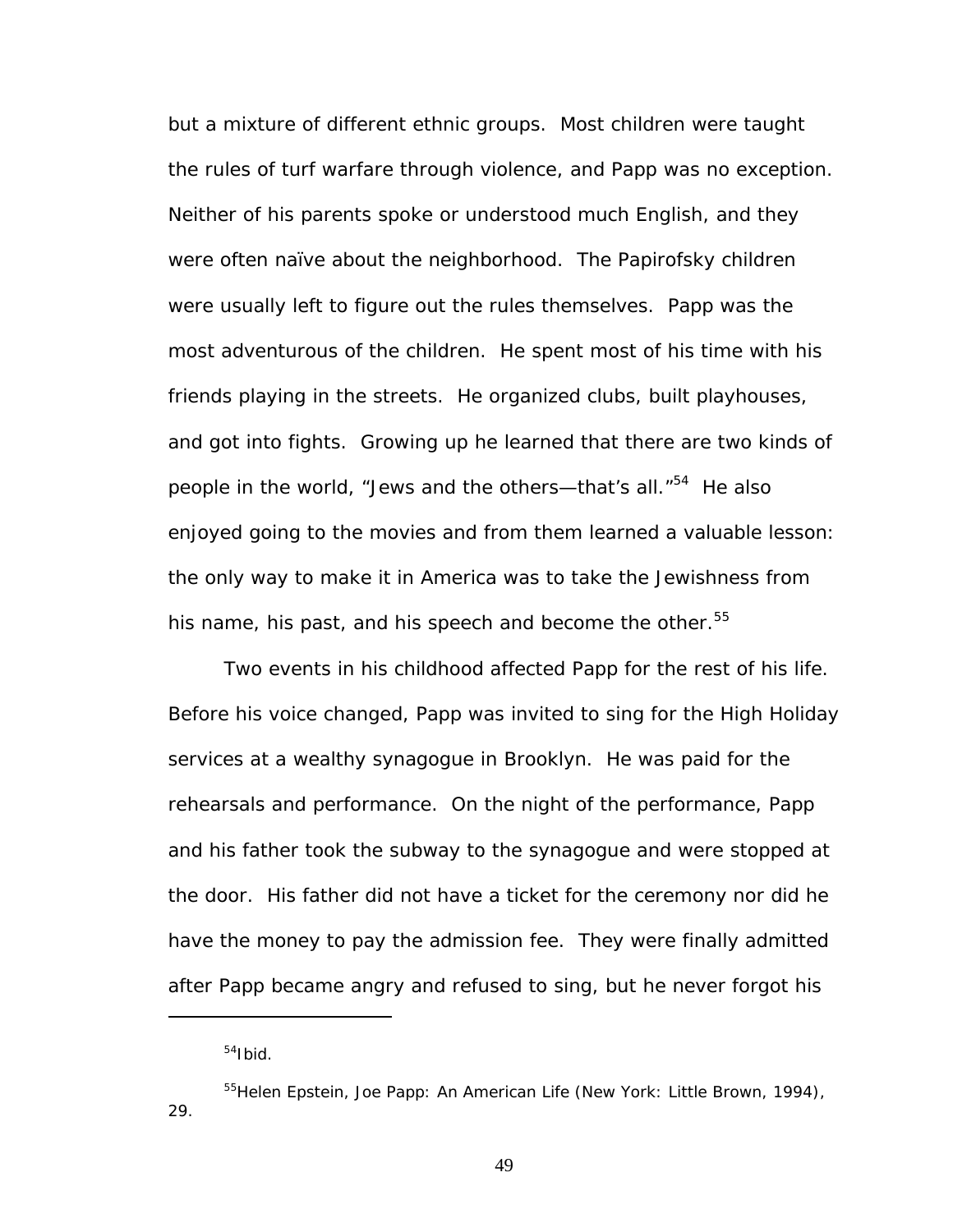but a mixture of different ethnic groups. Most children were taught the rules of turf warfare through violence, and Papp was no exception. Neither of his parents spoke or understood much English, and they were often naïve about the neighborhood. The Papirofsky children were usually left to figure out the rules themselves. Papp was the most adventurous of the children. He spent most of his time with his friends playing in the streets. He organized clubs, built playhouses, and got into fights. Growing up he learned that there are two kinds of people in the world, "Jews and the others—that's all."<sup>54</sup> He also enjoyed going to the movies and from them learned a valuable lesson: the only way to make it in America was to take the Jewishness from his name, his past, and his speech and become the other.<sup>55</sup>

Two events in his childhood affected Papp for the rest of his life. Before his voice changed, Papp was invited to sing for the High Holiday services at a wealthy synagogue in Brooklyn. He was paid for the rehearsals and performance. On the night of the performance, Papp and his father took the subway to the synagogue and were stopped at the door. His father did not have a ticket for the ceremony nor did he have the money to pay the admission fee. They were finally admitted after Papp became angry and refused to sing, but he never forgot his

1

<span id="page-55-1"></span><span id="page-55-0"></span> $54$ Ibid.

<sup>55</sup>Helen Epstein, *Joe Papp: An American Life* (New York: Little Brown, 1994), 29.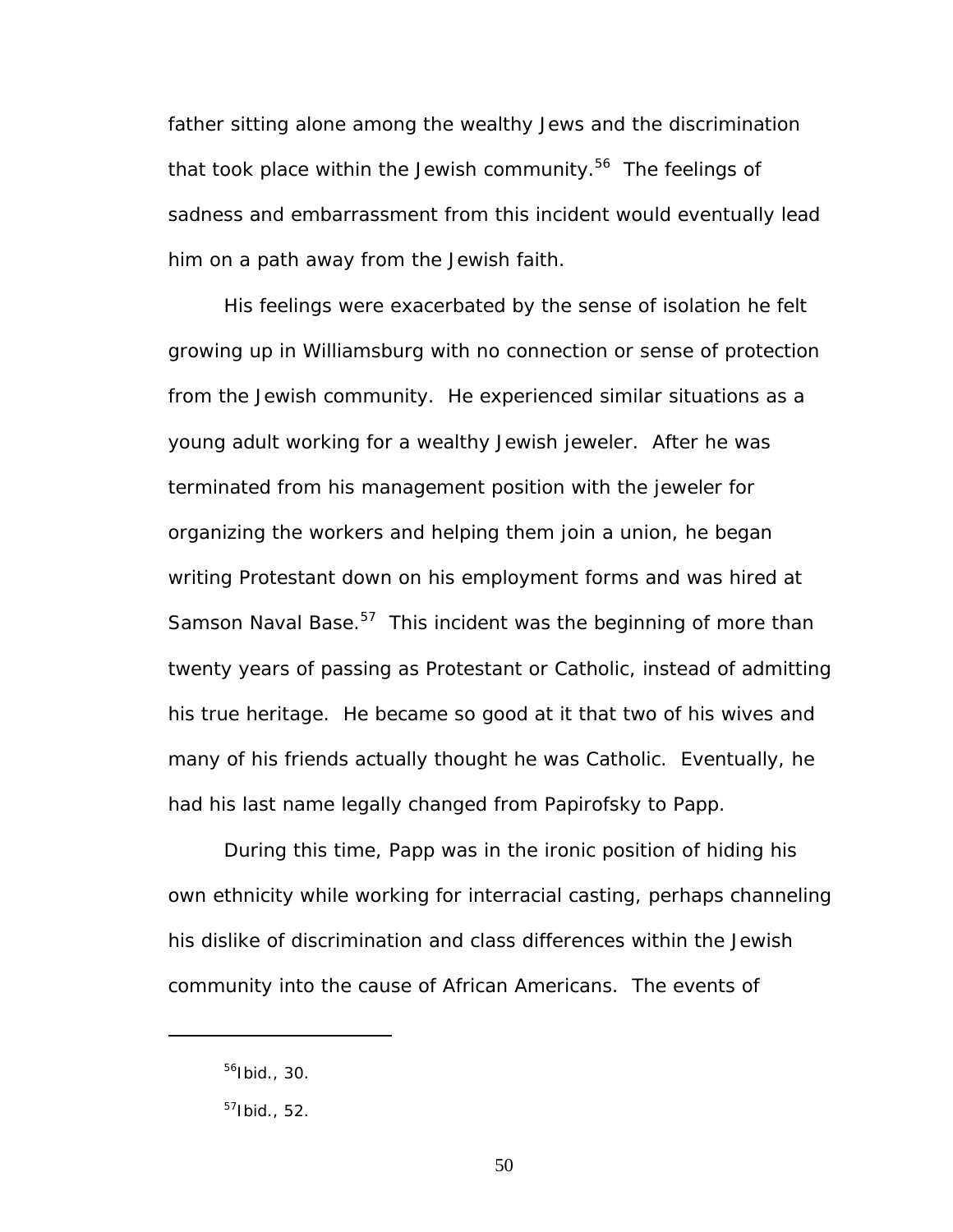father sitting alone among the wealthy Jews and the discrimination that took place within the Jewish community.<sup>56</sup> The feelings of sadness and embarrassment from this incident would eventually lead him on a path away from the Jewish faith.

His feelings were exacerbated by the sense of isolation he felt growing up in Williamsburg with no connection or sense of protection from the Jewish community. He experienced similar situations as a young adult working for a wealthy Jewish jeweler. After he was terminated from his management position with the jeweler for organizing the workers and helping them join a union, he began writing Protestant down on his employment forms and was hired at Samson Naval Base.<sup>57</sup> This incident was the beginning of more than twenty years of passing as Protestant or Catholic, instead of admitting his true heritage. He became so good at it that two of his wives and many of his friends actually thought he was Catholic. Eventually, he had his last name legally changed from Papirofsky to Papp.

During this time, Papp was in the ironic position of hiding his own ethnicity while working for interracial casting, perhaps channeling his dislike of discrimination and class differences within the Jewish community into the cause of African Americans. The events of

<span id="page-56-0"></span> $56$ Ibid., 30.

<span id="page-56-1"></span> $57$ Ibid., 52.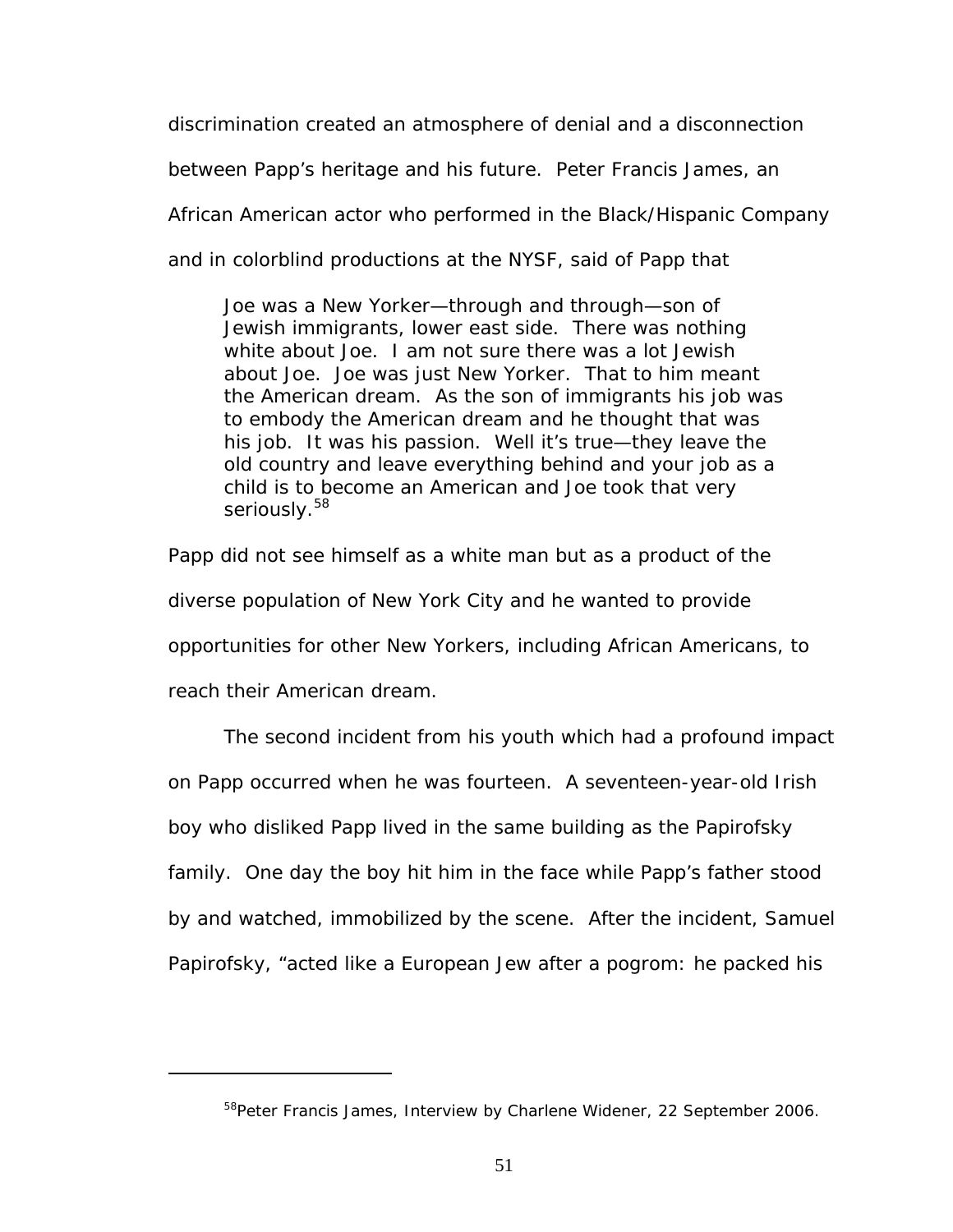discrimination created an atmosphere of denial and a disconnection

between Papp's heritage and his future. Peter Francis James, an

African American actor who performed in the Black/Hispanic Company

and in colorblind productions at the NYSF, said of Papp that

Joe was a New Yorker—through and through—son of Jewish immigrants, lower east side. There was nothing white about Joe. I am not sure there was a lot Jewish about Joe. Joe was just New Yorker. That to him meant the American dream. As the son of immigrants his job was to embody the American dream and he thought that was his job. It was his passion. Well it's true—they leave the old country and leave everything behind and your job as a child is to become an American and Joe took that very seriously.<sup>[58](#page-57-0)</sup>

Papp did not see himself as a white man but as a product of the diverse population of New York City and he wanted to provide opportunities for other New Yorkers, including African Americans, to reach their American dream.

The second incident from his youth which had a profound impact on Papp occurred when he was fourteen. A seventeen-year-old Irish boy who disliked Papp lived in the same building as the Papirofsky family. One day the boy hit him in the face while Papp's father stood by and watched, immobilized by the scene. After the incident, Samuel Papirofsky, "acted like a European Jew after a pogrom: he packed his

<span id="page-57-0"></span><sup>&</sup>lt;sup>58</sup>Peter Francis James, Interview by Charlene Widener, 22 September 2006.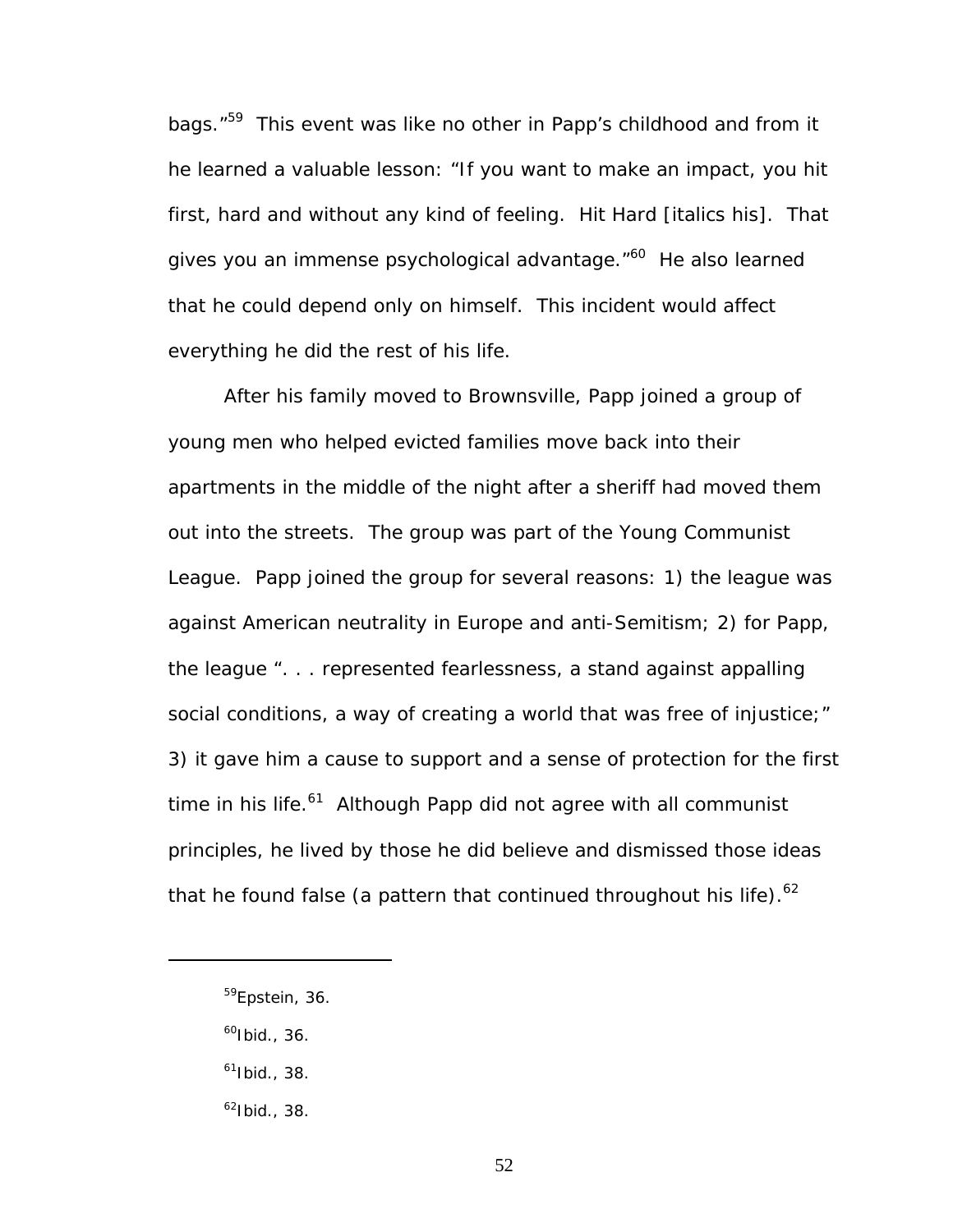bags.<sup>"59</sup> This event was like no other in Papp's childhood and from it he learned a valuable lesson: "If you want to make an impact, you hit first, hard and without any kind of feeling. *Hit Hard* [italics his]. That gives you an immense psychological advantage."<sup>60</sup> He also learned that he could depend only on himself. This incident would affect everything he did the rest of his life.

After his family moved to Brownsville, Papp joined a group of young men who helped evicted families move back into their apartments in the middle of the night after a sheriff had moved them out into the streets. The group was part of the Young Communist League. Papp joined the group for several reasons: 1) the league was against American neutrality in Europe and anti-Semitism; 2) for Papp, the league ". . . represented fearlessness, a stand against appalling social conditions, a way of creating a world that was free of injustice;" 3) it gave him a cause to support and a sense of protection for the first time in his life.<sup>61</sup> Although Papp did not agree with all communist principles, he lived by those he did believe and dismissed those ideas that he found false (a pattern that continued throughout his life). $^{62}$ 

<span id="page-58-1"></span> $^{60}$ Ibid., 36.

- <span id="page-58-2"></span> $61$ Ibid., 38.
- <span id="page-58-3"></span> $62$ Ibid., 38.

<span id="page-58-0"></span><sup>59</sup>Epstein, 36.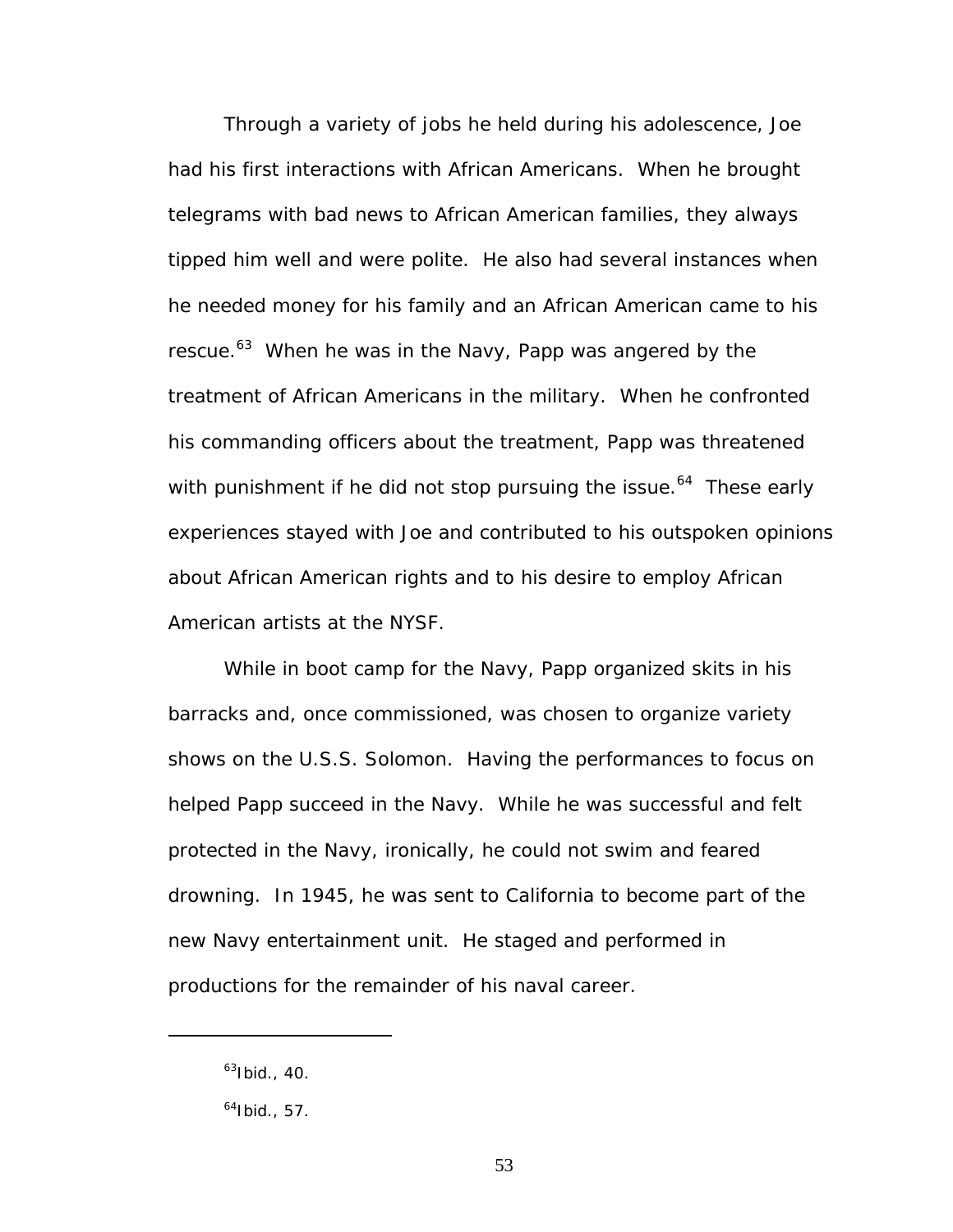Through a variety of jobs he held during his adolescence, Joe had his first interactions with African Americans. When he brought telegrams with bad news to African American families, they always tipped him well and were polite. He also had several instances when he needed money for his family and an African American came to his rescue.<sup>63</sup> When he was in the Navy, Papp was angered by the treatment of African Americans in the military. When he confronted his commanding officers about the treatment, Papp was threatened with punishment if he did not stop pursuing the issue.<sup>64</sup> These early experiences stayed with Joe and contributed to his outspoken opinions about African American rights and to his desire to employ African American artists at the NYSF.

While in boot camp for the Navy, Papp organized skits in his barracks and, once commissioned, was chosen to organize variety shows on the U.S.S. Solomon. Having the performances to focus on helped Papp succeed in the Navy. While he was successful and felt protected in the Navy, ironically, he could not swim and feared drowning. In 1945, he was sent to California to become part of the new Navy entertainment unit. He staged and performed in productions for the remainder of his naval career.

<span id="page-59-0"></span> $63$ Ibid., 40.

<span id="page-59-1"></span> $64$ Ibid., 57.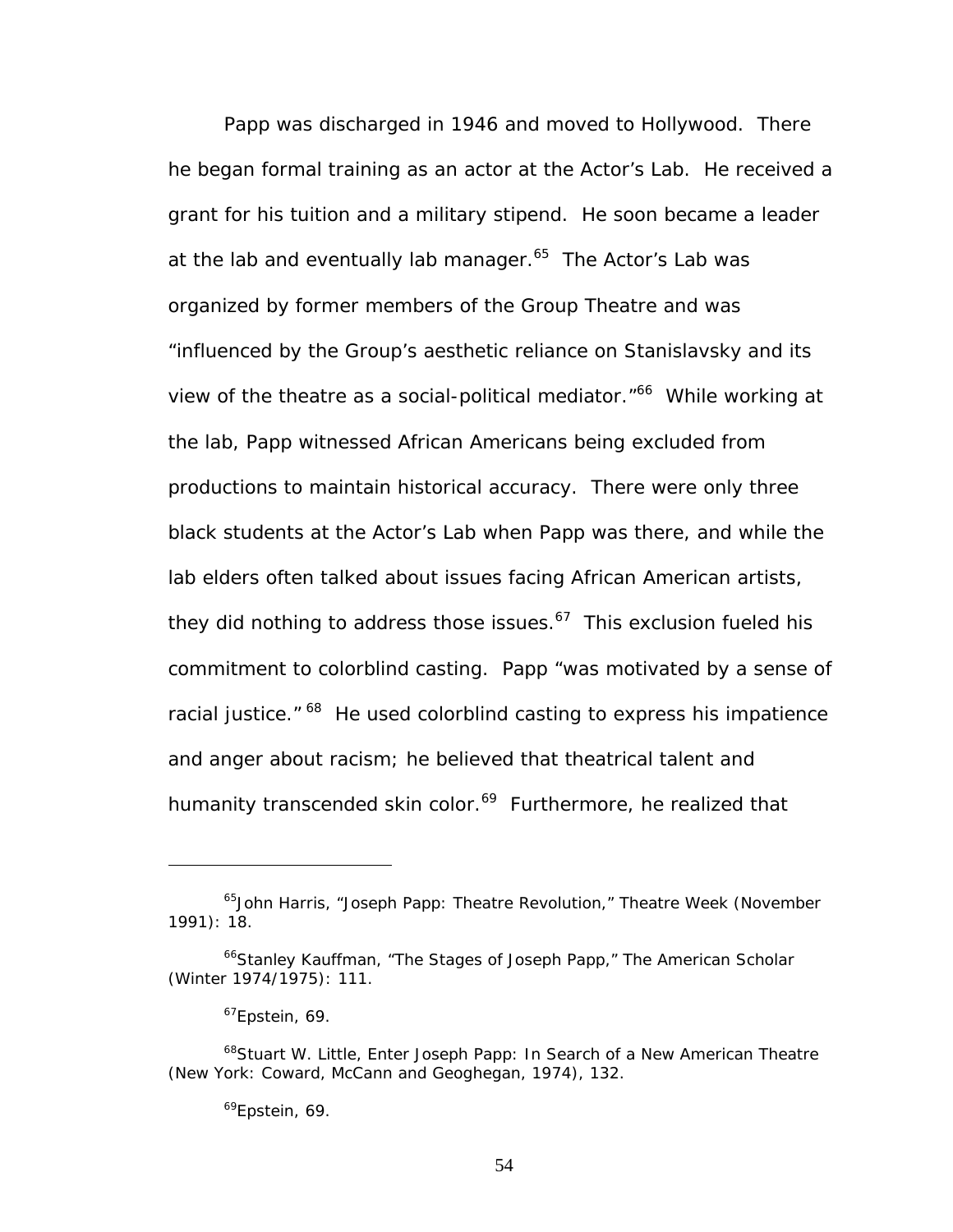Papp was discharged in 1946 and moved to Hollywood. There he began formal training as an actor at the Actor's Lab. He received a grant for his tuition and a military stipend. He soon became a leader at the lab and eventually lab manager. $65$  The Actor's Lab was organized by former members of the Group Theatre and was "influenced by the Group's aesthetic reliance on Stanislavsky and its view of the theatre as a social-political mediator."<sup>66</sup> While working at the lab, Papp witnessed African Americans being excluded from productions to maintain historical accuracy. There were only three black students at the Actor's Lab when Papp was there, and while the lab elders often talked about issues facing African American artists, they did nothing to address those issues. $67$  This exclusion fueled his commitment to colorblind casting. Papp "was motivated by a sense of racial justice." <sup>68</sup> He used colorblind casting to express his impatience and anger about racism; he believed that theatrical talent and humanity transcended skin color.<sup>69</sup> Furthermore, he realized that

<span id="page-60-0"></span><sup>65</sup>John Harris, "Joseph Papp: Theatre Revolution," *Theatre Week* (November 1991): 18.

<span id="page-60-1"></span><sup>66</sup>Stanley Kauffman, "The Stages of Joseph Papp," *The American Scholar* (Winter 1974/1975): 111.

<span id="page-60-3"></span><span id="page-60-2"></span> $67$ Epstein, 69.

<sup>68</sup>Stuart W. Little, *Enter Joseph Papp: In Search of a New American Theatre* (New York: Coward, McCann and Geoghegan, 1974), 132.

<span id="page-60-4"></span><sup>&</sup>lt;sup>69</sup>Epstein, 69.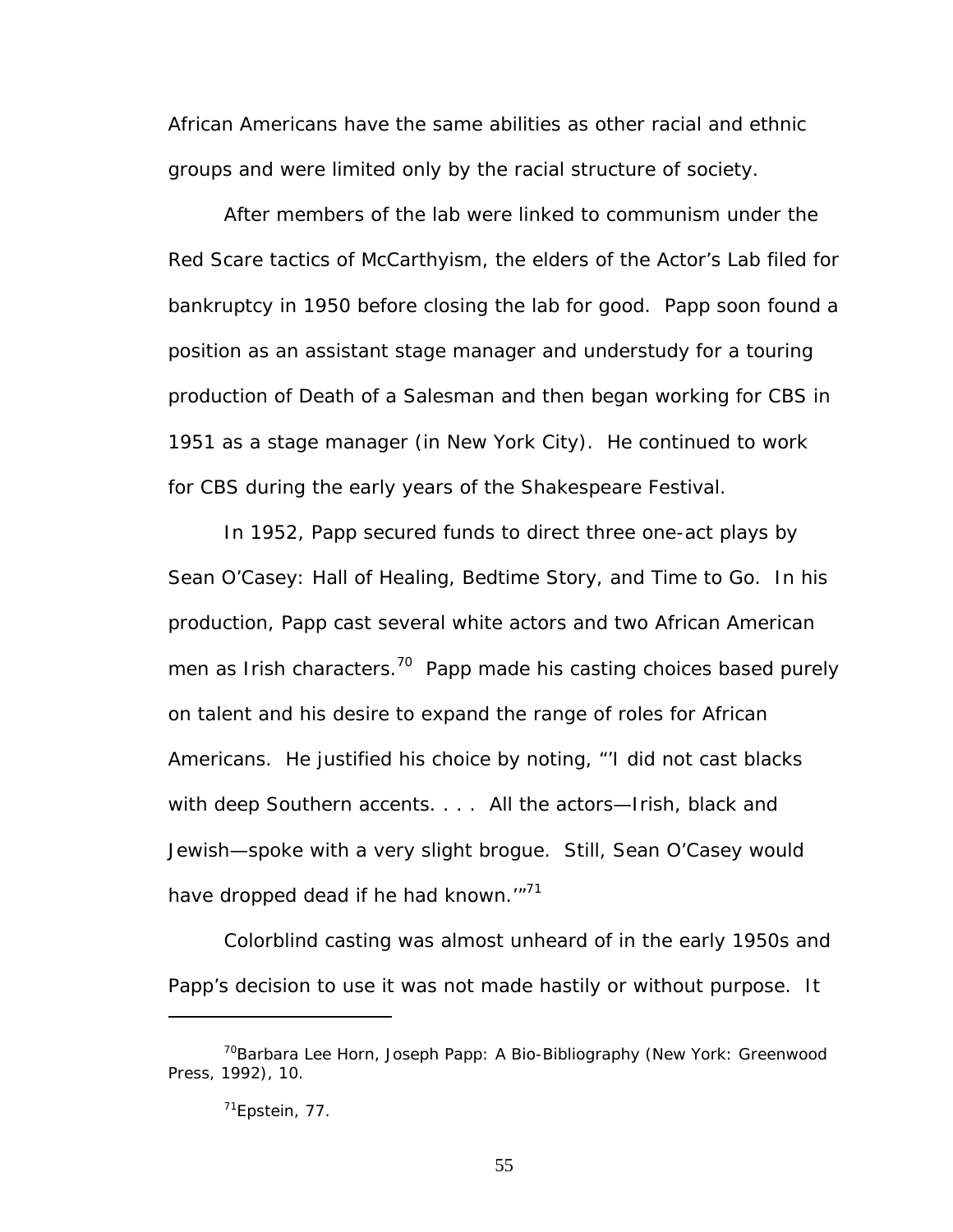African Americans have the same abilities as other racial and ethnic groups and were limited only by the racial structure of society.

After members of the lab were linked to communism under the Red Scare tactics of McCarthyism, the elders of the Actor's Lab filed for bankruptcy in 1950 before closing the lab for good. Papp soon found a position as an assistant stage manager and understudy for a touring production of *Death of a Salesman* and then began working for CBS in 1951 as a stage manager (in New York City). He continued to work for CBS during the early years of the Shakespeare Festival.

In 1952, Papp secured funds to direct three one-act plays by Sean O'Casey: *Hall of Healing*, *Bedtime Story*, and *Time to Go*. In his production, Papp cast several white actors and two African American men as Irish characters.<sup>70</sup> Papp made his casting choices based purely on talent and his desire to expand the range of roles for African Americans. He justified his choice by noting, "'I did not cast blacks with deep Southern accents. . . . All the actors—Irish, black and Jewish—spoke with a very slight brogue. Still, Sean O'Casey would have dropped dead if he had known.'"<sup>71</sup>

Colorblind casting was almost unheard of in the early 1950s and Papp's decision to use it was not made hastily or without purpose. It

<span id="page-61-0"></span><sup>70</sup>Barbara Lee Horn, *Joseph Papp: A Bio-Bibliography* (New York: Greenwood Press, 1992), 10.

<span id="page-61-1"></span><sup>71</sup>Epstein, 77.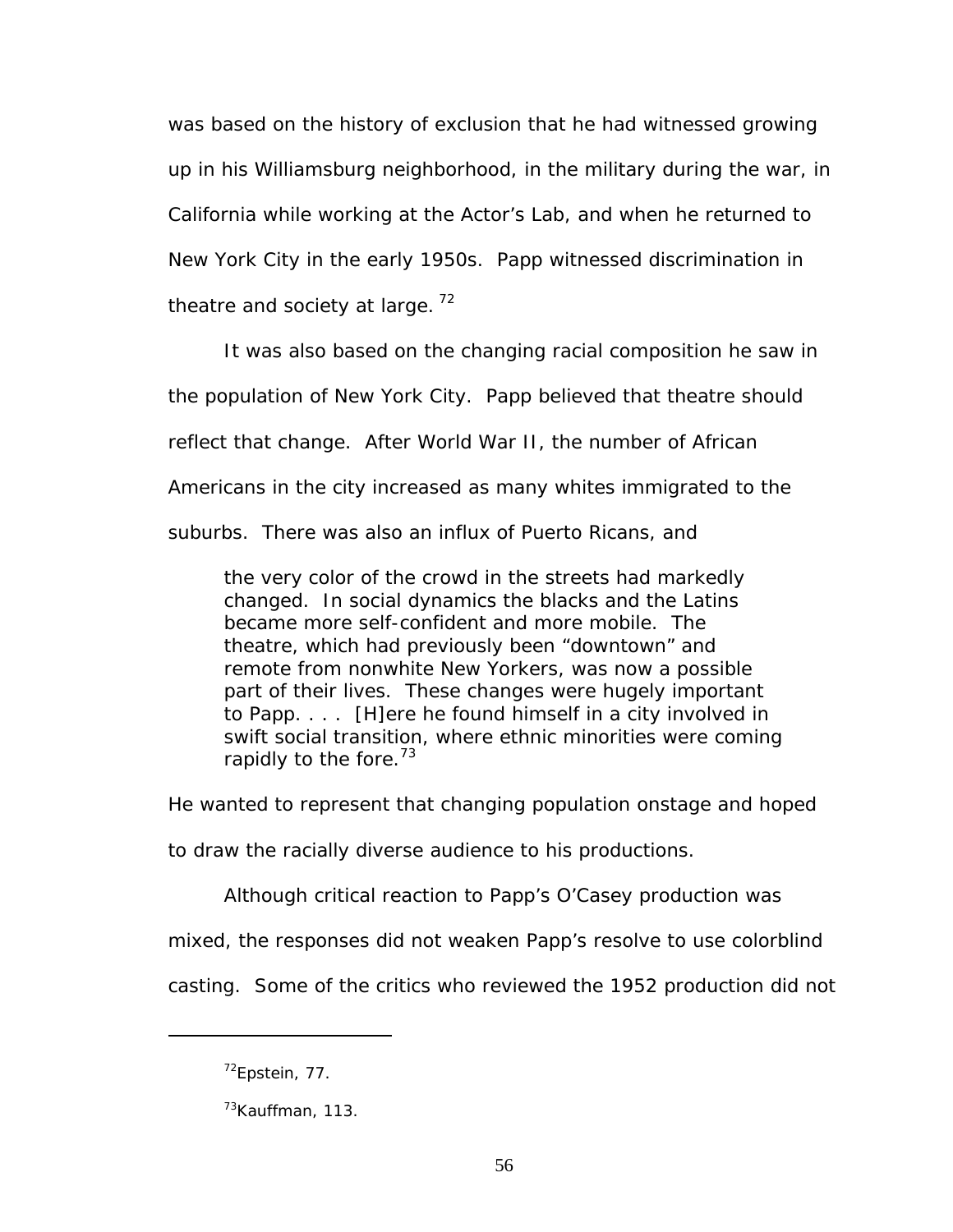was based on the history of exclusion that he had witnessed growing up in his Williamsburg neighborhood, in the military during the war, in California while working at the Actor's Lab, and when he returned to New York City in the early 1950s. Papp witnessed discrimination in theatre and society at large.<sup>72</sup>

It was also based on the changing racial composition he saw in the population of New York City. Papp believed that theatre should reflect that change. After World War II, the number of African Americans in the city increased as many whites immigrated to the suburbs. There was also an influx of Puerto Ricans, and

the very color of the crowd in the streets had markedly changed. In social dynamics the blacks and the Latins became more self-confident and more mobile. The theatre, which had previously been "downtown" and remote from nonwhite New Yorkers, was now a possible part of their lives. These changes were hugely important to Papp. . . . [H]ere he found himself in a city involved in swift social transition, where ethnic minorities were coming rapidly to the fore.<sup>[73](#page-62-1)</sup>

He wanted to represent that changing population onstage and hoped

to draw the racially diverse audience to his productions.

Although critical reaction to Papp's O'Casey production was

mixed, the responses did not weaken Papp's resolve to use colorblind

casting. Some of the critics who reviewed the 1952 production did not

<span id="page-62-0"></span> $72$ Epstein, 77.

<span id="page-62-1"></span><sup>&</sup>lt;sup>73</sup>Kauffman, 113.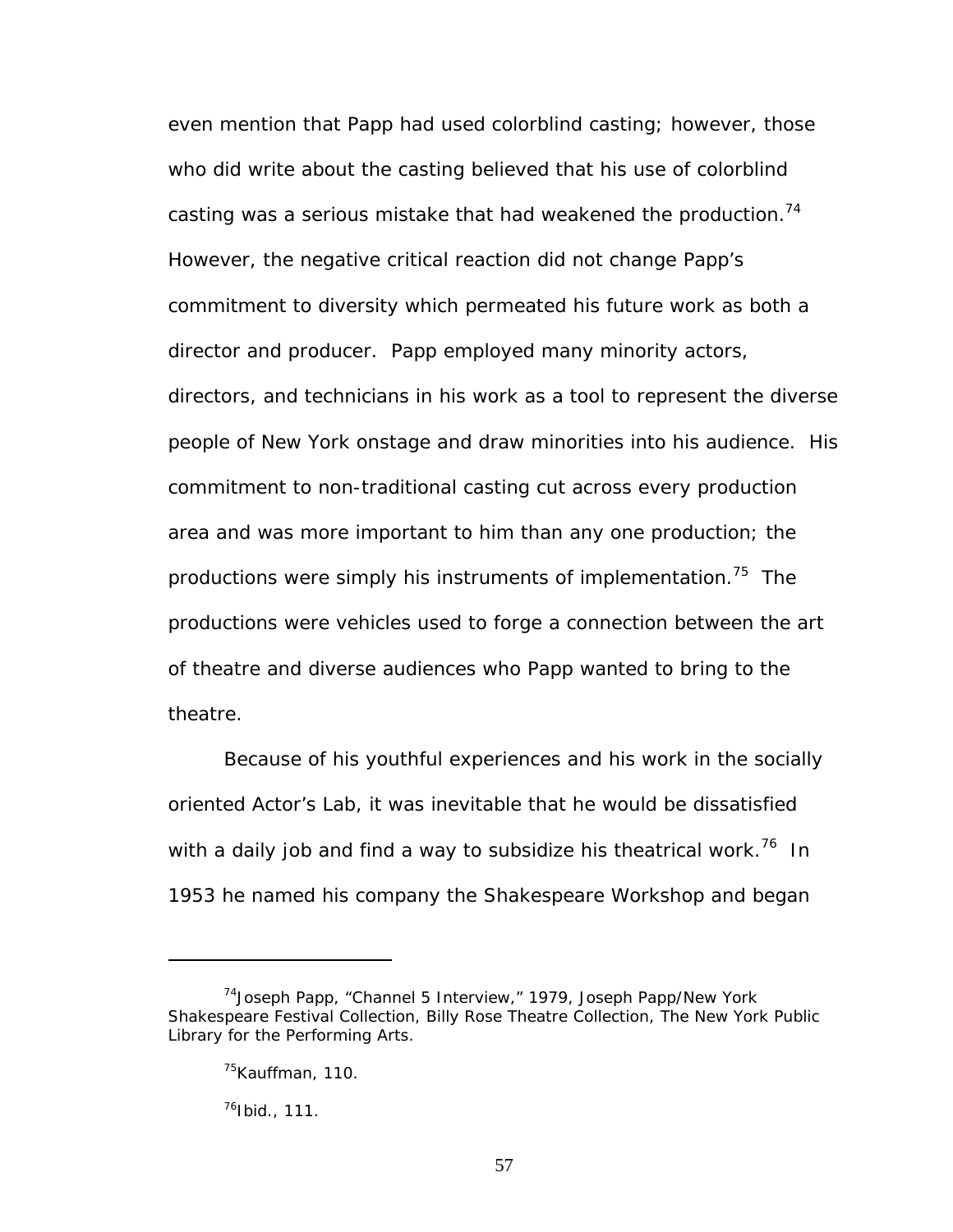even mention that Papp had used colorblind casting; however, those who did write about the casting believed that his use of colorblind casting was a serious mistake that had weakened the production.<sup>74</sup> However, the negative critical reaction did not change Papp's commitment to diversity which permeated his future work as both a director and producer. Papp employed many minority actors, directors, and technicians in his work as a tool to represent the diverse people of New York onstage and draw minorities into his audience. His commitment to non-traditional casting cut across every production area and was more important to him than any one production; the productions were simply his instruments of implementation.<sup>75</sup> The productions were vehicles used to forge a connection between the art of theatre and diverse audiences who Papp wanted to bring to the theatre.

Because of his youthful experiences and his work in the socially oriented Actor's Lab, it was inevitable that he would be dissatisfied with a daily job and find a way to subsidize his theatrical work.<sup>76</sup> In 1953 he named his company the Shakespeare Workshop and began

<span id="page-63-2"></span> $^{76}$ Ibid., 111.

<span id="page-63-0"></span><sup>74</sup>Joseph Papp, "Channel 5 Interview," 1979, Joseph Papp/New York Shakespeare Festival Collection, Billy Rose Theatre Collection, The New York Public Library for the Performing Arts.

<span id="page-63-1"></span><sup>&</sup>lt;sup>75</sup>Kauffman, 110.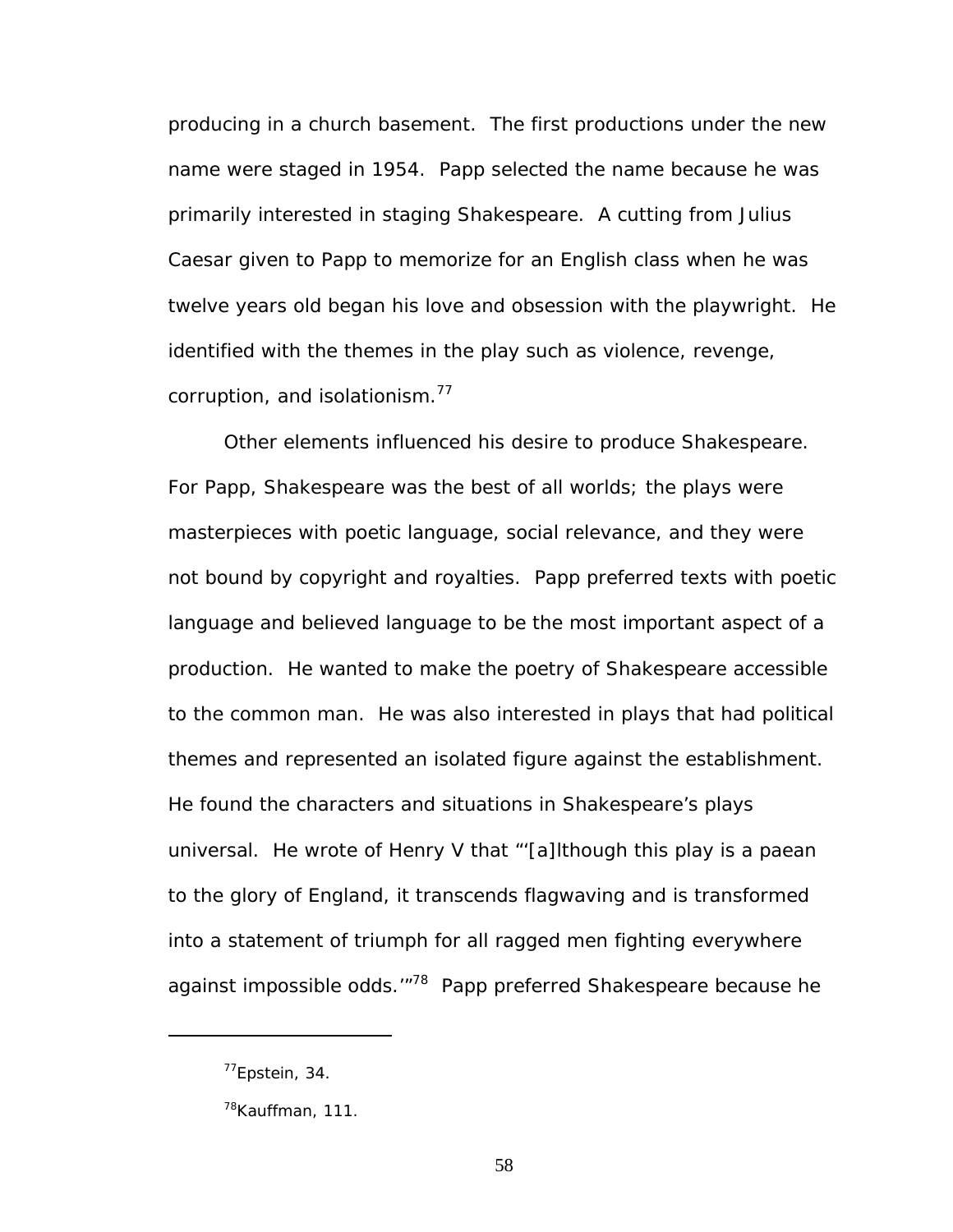producing in a church basement. The first productions under the new name were staged in 1954. Papp selected the name because he was primarily interested in staging Shakespeare. A cutting from *Julius Caesar* given to Papp to memorize for an English class when he was twelve years old began his love and obsession with the playwright. He identified with the themes in the play such as violence, revenge, corruption, and isolationism.<sup>77</sup>

Other elements influenced his desire to produce Shakespeare. For Papp, Shakespeare was the best of all worlds; the plays were masterpieces with poetic language, social relevance, and they were not bound by copyright and royalties. Papp preferred texts with poetic language and believed language to be the most important aspect of a production. He wanted to make the poetry of Shakespeare accessible to the common man. He was also interested in plays that had political themes and represented an isolated figure against the establishment. He found the characters and situations in Shakespeare's plays universal. He wrote of *Henry V* that "'[a]lthough this play is a paean to the glory of England, it transcends flagwaving and is transformed into a statement of triumph for all ragged men fighting everywhere against impossible odds.<sup>"78</sup> Papp preferred Shakespeare because he

<span id="page-64-0"></span> $77$ Epstein, 34.

<span id="page-64-1"></span><sup>&</sup>lt;sup>78</sup>Kauffman, 111.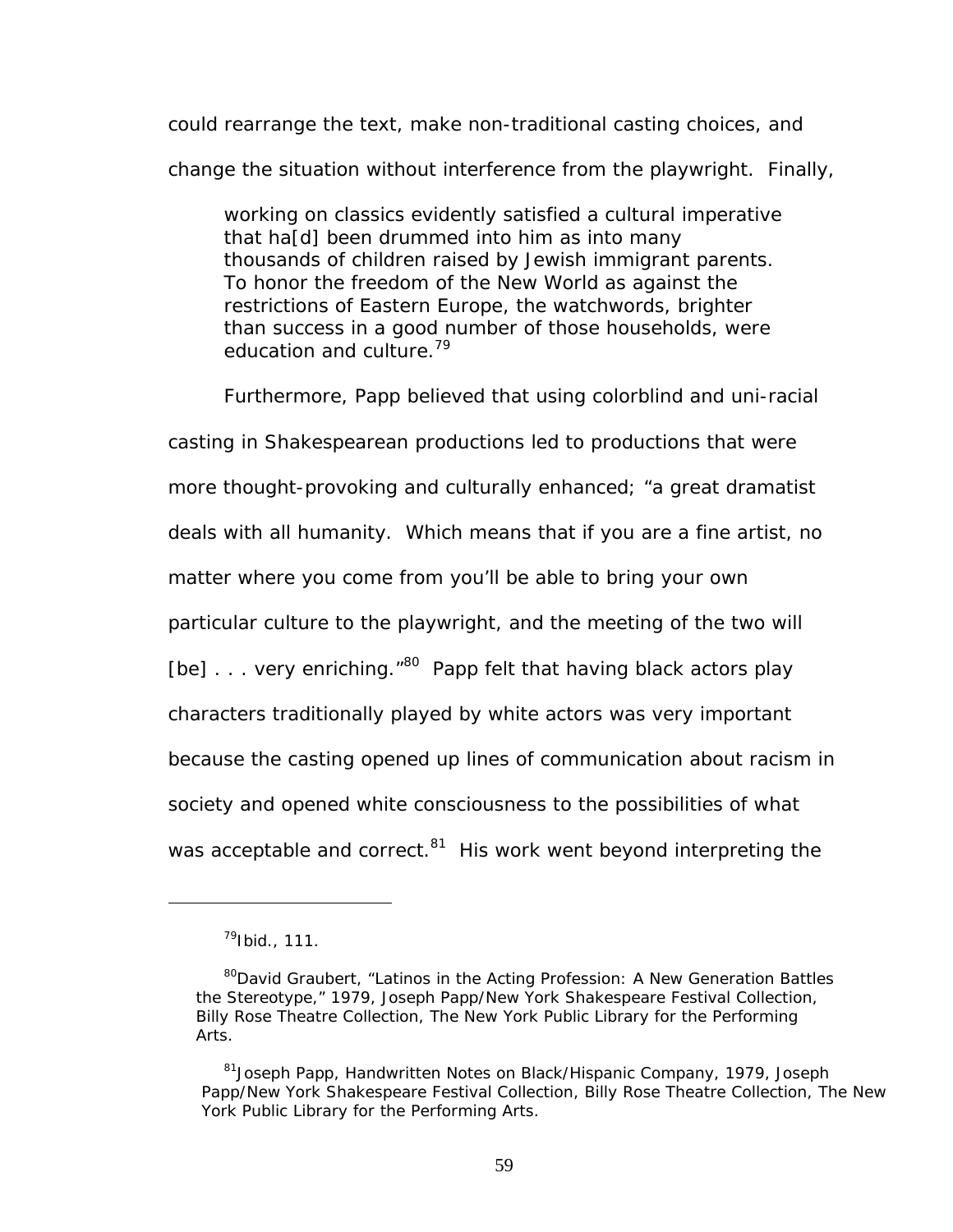could rearrange the text, make non-traditional casting choices, and change the situation without interference from the playwright. Finally,

working on classics evidently satisfied a cultural imperative that ha[d] been drummed into him as into many thousands of children raised by Jewish immigrant parents. To honor the freedom of the New World as against the restrictions of Eastern Europe, the watchwords, brighter than success in a good number of those households, were education and culture.<sup>79</sup>

Furthermore, Papp believed that using colorblind and uni-racial casting in Shakespearean productions led to productions that were more thought-provoking and culturally enhanced; "a great dramatist deals with all humanity. Which means that if you are a fine artist, no matter where you come from you'll be able to bring your own particular culture to the playwright, and the meeting of the two will [be]  $\ldots$  very enriching."<sup>80</sup> Papp felt that having black actors play characters traditionally played by white actors was very important because the casting opened up lines of communication about racism in society and opened white consciousness to the possibilities of what was acceptable and correct. $81$  His work went beyond interpreting the

<span id="page-65-0"></span> $^{79}$ Ibid., 111.

<span id="page-65-1"></span><sup>&</sup>lt;sup>80</sup>David Graubert, "Latinos in the Acting Profession: A New Generation Battles the Stereotype," 1979, Joseph Papp/New York Shakespeare Festival Collection, Billy Rose Theatre Collection, The New York Public Library for the Performing Arts.

<span id="page-65-2"></span><sup>&</sup>lt;sup>81</sup>Joseph Papp, Handwritten Notes on Black/Hispanic Company, 1979, Joseph Papp/New York Shakespeare Festival Collection, Billy Rose Theatre Collection, The New York Public Library for the Performing Arts.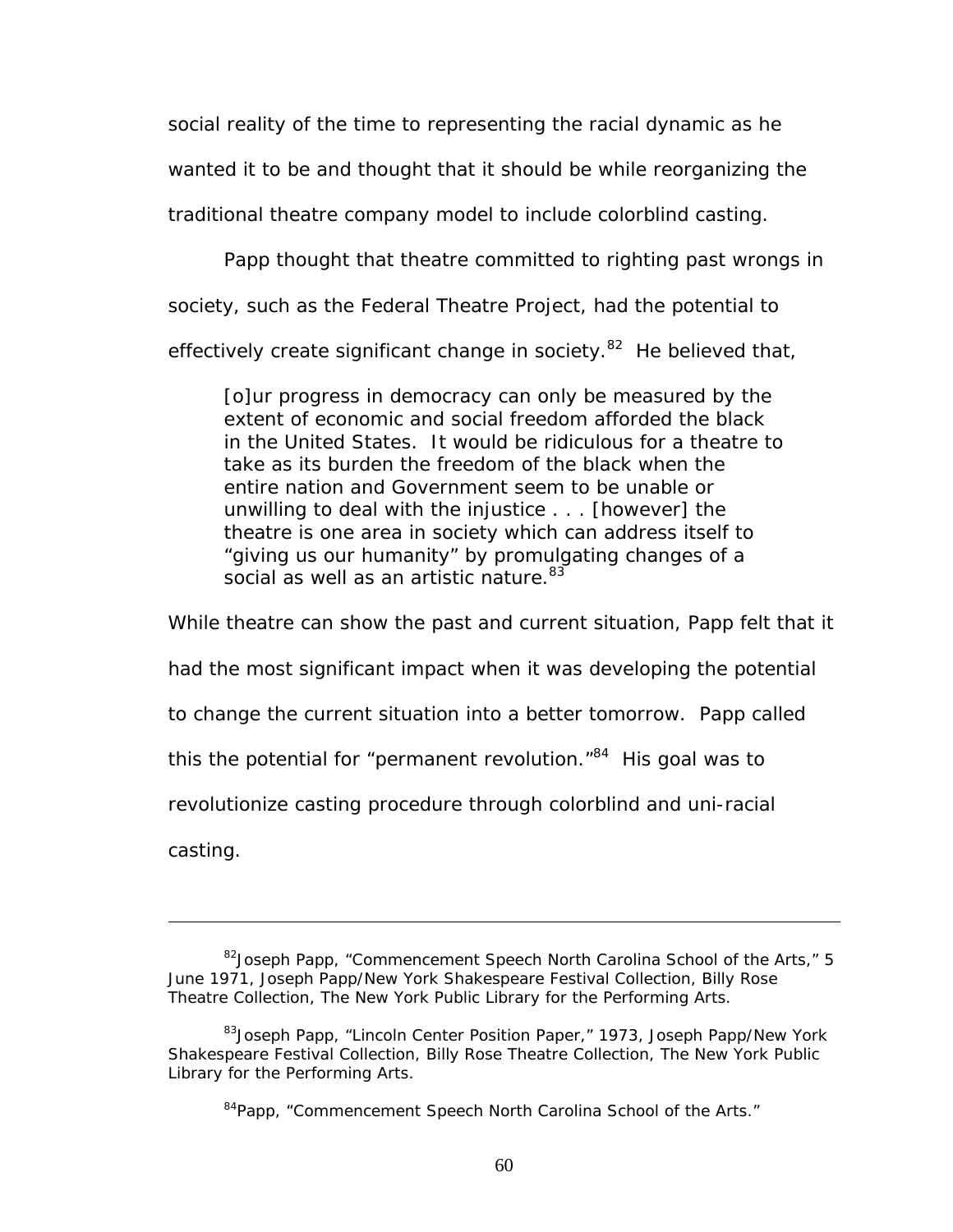social reality of the time to representing the racial dynamic as he wanted it to be and thought that it should be while reorganizing the traditional theatre company model to include colorblind casting.

Papp thought that theatre committed to righting past wrongs in society, such as the Federal Theatre Project, had the potential to effectively create significant change in society. $82$  He believed that,

[o]ur progress in democracy can only be measured by the extent of economic and social freedom afforded the black in the United States. It would be ridiculous for a theatre to take as its burden the freedom of the black when the entire nation and Government seem to be unable or unwilling to deal with the injustice . . . [however] the theatre is one area in society which can address itself to "giving us our humanity" by promulgating changes of a social as well as an artistic nature.<sup>[83](#page-66-1)</sup>

While theatre can show the past and current situation, Papp felt that it had the most significant impact when it was developing the potential to change the current situation into a better tomorrow. Papp called this the potential for "permanent revolution. $184$  His goal was to revolutionize casting procedure through colorblind and uni-racial casting.

<span id="page-66-0"></span><sup>&</sup>lt;sup>82</sup> Joseph Papp, "Commencement Speech North Carolina School of the Arts," 5 June 1971, Joseph Papp/New York Shakespeare Festival Collection, Billy Rose Theatre Collection, The New York Public Library for the Performing Arts.

<span id="page-66-1"></span><sup>&</sup>lt;sup>83</sup>Joseph Papp, "Lincoln Center Position Paper," 1973, Joseph Papp/New York Shakespeare Festival Collection, Billy Rose Theatre Collection, The New York Public Library for the Performing Arts.

<span id="page-66-2"></span><sup>&</sup>lt;sup>84</sup>Papp, "Commencement Speech North Carolina School of the Arts."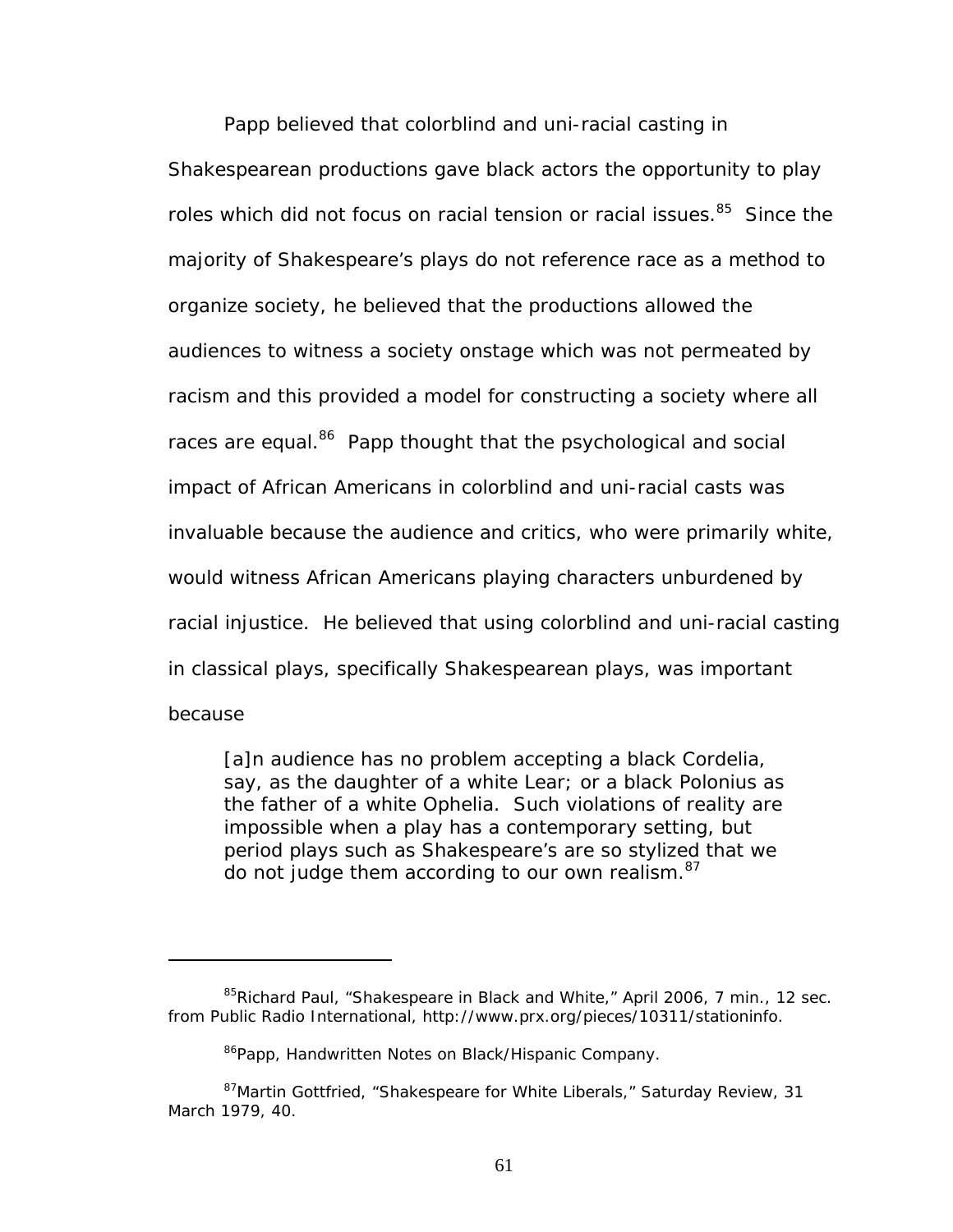Papp believed that colorblind and uni-racial casting in Shakespearean productions gave black actors the opportunity to play roles which did not focus on racial tension or racial issues.<sup>85</sup> Since the majority of Shakespeare's plays do not reference race as a method to organize society, he believed that the productions allowed the audiences to witness a society onstage which was not permeated by racism and this provided a model for constructing a society where all races are equal.<sup>86</sup> Papp thought that the psychological and social impact of African Americans in colorblind and uni-racial casts was invaluable because the audience and critics, who were primarily white, would witness African Americans playing characters unburdened by racial injustice. He believed that using colorblind and uni-racial casting in classical plays, specifically Shakespearean plays, was important because

[a]n audience has no problem accepting a black Cordelia, say, as the daughter of a white Lear; or a black Polonius as the father of a white Ophelia. Such violations of reality are impossible when a play has a contemporary setting, but period plays such as Shakespeare's are so stylized that we do not judge them according to our own realism.<sup>87</sup>

<span id="page-67-0"></span><sup>&</sup>lt;sup>85</sup>Richard Paul, "Shakespeare in Black and White," April 2006, 7 min., 12 sec. from Public Radio International, http://www.prx.org/pieces/10311/stationinfo.

<span id="page-67-2"></span><span id="page-67-1"></span><sup>&</sup>lt;sup>86</sup>Papp, Handwritten Notes on Black/Hispanic Company.

<sup>87</sup>Martin Gottfried, "Shakespeare for White Liberals," *Saturday Review*, 31 March 1979, 40.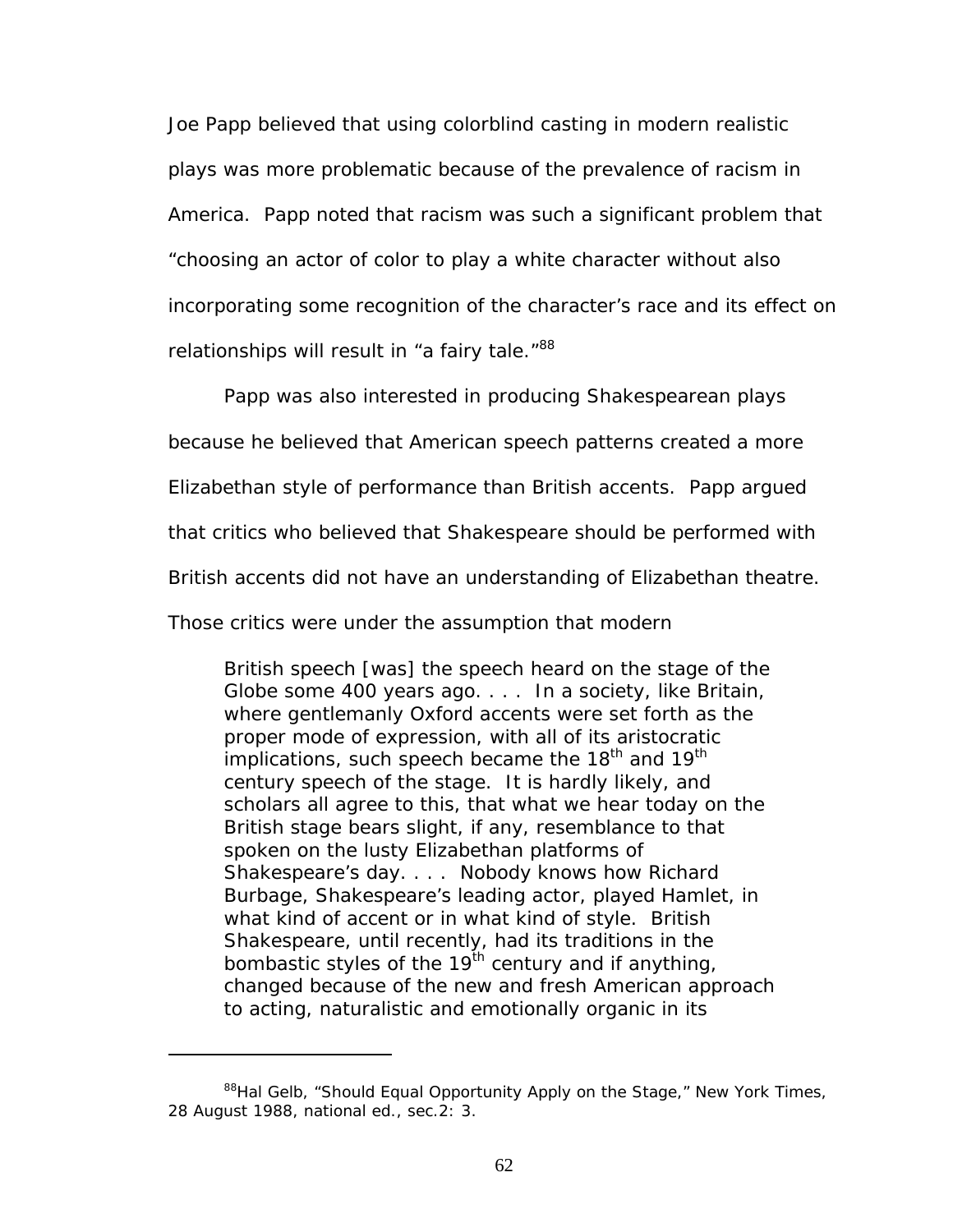Joe Papp believed that using colorblind casting in modern realistic plays was more problematic because of the prevalence of racism in America. Papp noted that racism was such a significant problem that "choosing an actor of color to play a white character without also incorporating some recognition of the character's race and its effect on relationships will result in "a fairy tale."88

Papp was also interested in producing Shakespearean plays

because he believed that American speech patterns created a more

Elizabethan style of performance than British accents. Papp argued

that critics who believed that Shakespeare should be performed with

British accents did not have an understanding of Elizabethan theatre.

Those critics were under the assumption that modern

1

British speech [was] the speech heard on the stage of the Globe some 400 years ago. . . . In a society, like Britain, where gentlemanly Oxford accents were set forth as the proper mode of expression, with all of its aristocratic implications, such speech became the 18<sup>th</sup> and 19<sup>th</sup> century speech of the stage. It is hardly likely, and scholars all agree to this, that what we hear today on the British stage bears slight, if any, resemblance to that spoken on the lusty Elizabethan platforms of Shakespeare's day. . . . Nobody knows how Richard Burbage, Shakespeare's leading actor, played Hamlet, in what kind of accent or in what kind of style. British Shakespeare, until recently, had its traditions in the bombastic styles of the  $19<sup>th</sup>$  century and if anything, changed because of the new and fresh American approach to acting, naturalistic and emotionally organic in its

<span id="page-68-0"></span><sup>88</sup>Hal Gelb, "Should Equal Opportunity Apply on the Stage," *New York Times,* 28 August 1988, national ed., sec.2: 3.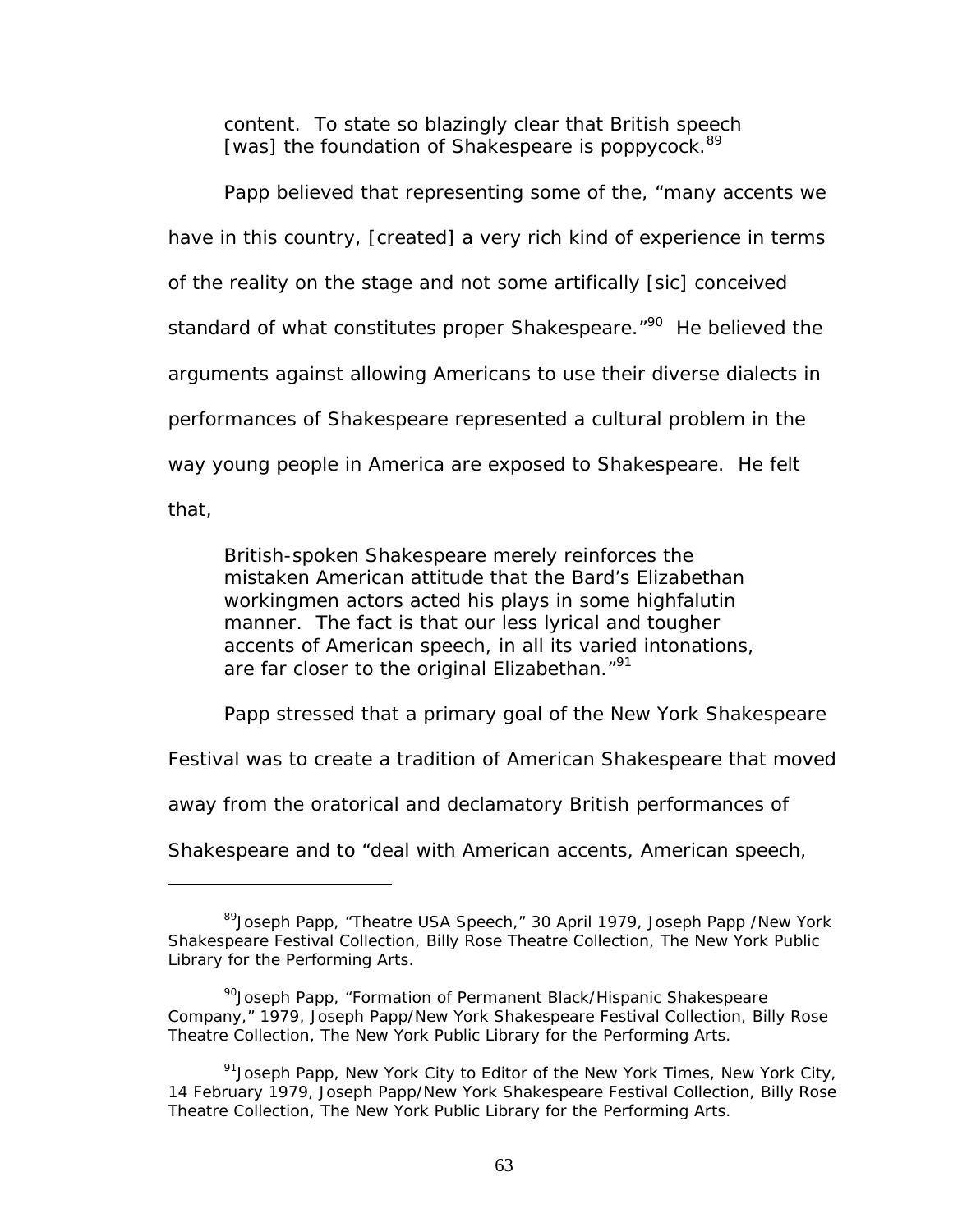content. To state so blazingly clear that British speech [was] the foundation of Shakespeare is poppycock.<sup>[89](#page-69-0)</sup>

Papp believed that representing some of the, "many accents we have in this country, [created] a very rich kind of experience in terms of the reality on the stage and not some artifically [sic] conceived standard of what constitutes proper Shakespeare.<sup>"90</sup> He believed the arguments against allowing Americans to use their diverse dialects in performances of Shakespeare represented a cultural problem in the way young people in America are exposed to Shakespeare. He felt that,

British-spoken Shakespeare merely reinforces the mistaken American attitude that the Bard's Elizabethan workingmen actors acted his plays in some highfalutin manner. The fact is that our less lyrical and tougher accents of American speech, in all its varied intonations, are far closer to the original Elizabethan."<sup>91</sup>

Papp stressed that a primary goal of the New York Shakespeare

Festival was to create a tradition of American Shakespeare that moved

away from the oratorical and declamatory British performances of

 $\overline{a}$ 

Shakespeare and to "deal with American accents, American speech,

<span id="page-69-0"></span><sup>&</sup>lt;sup>89</sup>Joseph Papp, "Theatre USA Speech," 30 April 1979, Joseph Papp /New York Shakespeare Festival Collection, Billy Rose Theatre Collection, The New York Public Library for the Performing Arts.

<span id="page-69-1"></span><sup>&</sup>lt;sup>90</sup> Joseph Papp, "Formation of Permanent Black/Hispanic Shakespeare Company," 1979, Joseph Papp/New York Shakespeare Festival Collection, Billy Rose Theatre Collection, The New York Public Library for the Performing Arts.

<span id="page-69-2"></span><sup>91</sup>Joseph Papp, New York City to Editor of the *New York Times*, New York City, 14 February 1979, Joseph Papp/New York Shakespeare Festival Collection, Billy Rose Theatre Collection, The New York Public Library for the Performing Arts.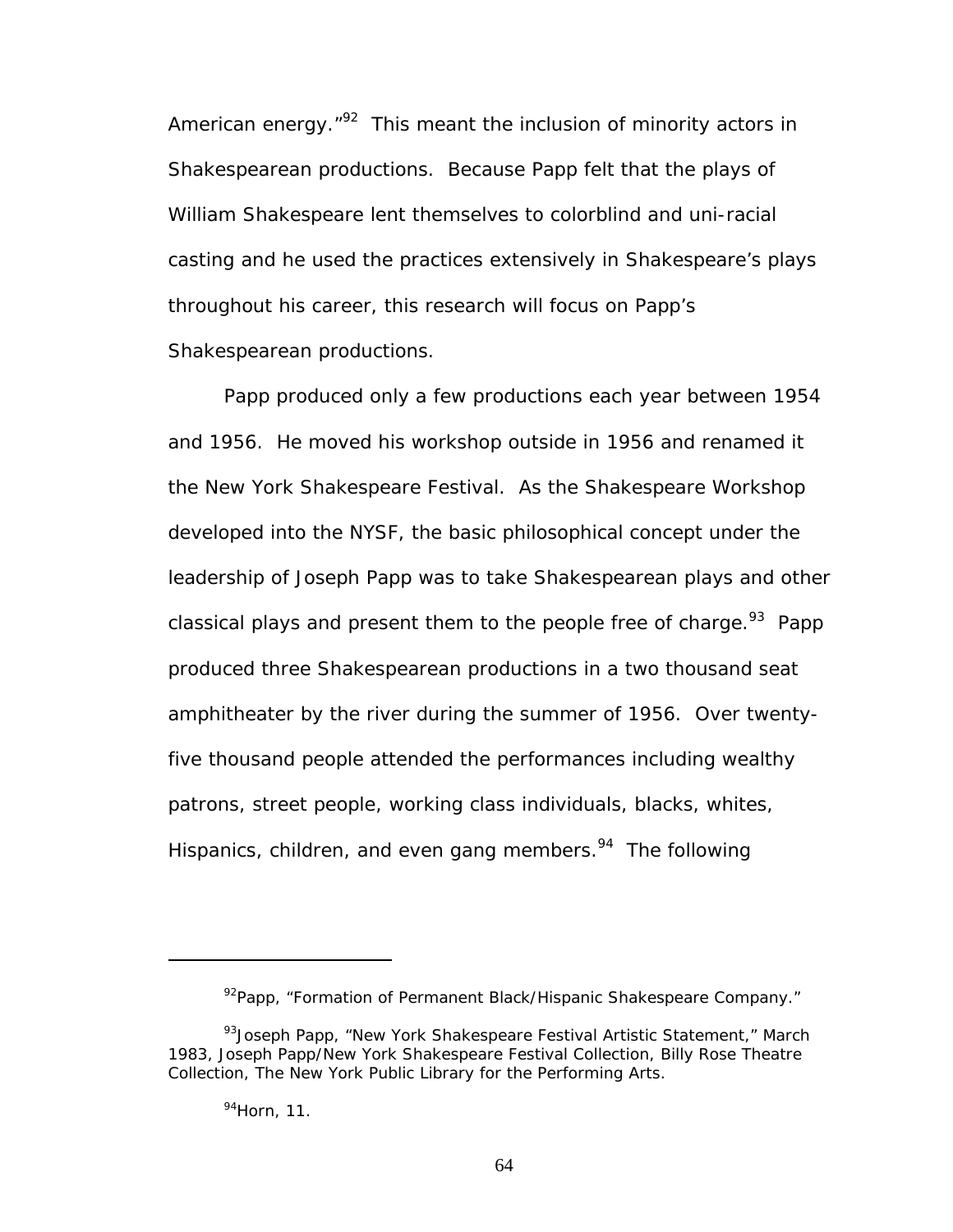American energy.<sup>"92</sup> This meant the inclusion of minority actors in Shakespearean productions. Because Papp felt that the plays of William Shakespeare lent themselves to colorblind and uni-racial casting and he used the practices extensively in Shakespeare's plays throughout his career, this research will focus on Papp's Shakespearean productions.

Papp produced only a few productions each year between 1954 and 1956. He moved his workshop outside in 1956 and renamed it the New York Shakespeare Festival. As the Shakespeare Workshop developed into the NYSF, the basic philosophical concept under the leadership of Joseph Papp was to take Shakespearean plays and other classical plays and present them to the people free of charge.<sup>93</sup> Papp produced three Shakespearean productions in a two thousand seat amphitheater by the river during the summer of 1956. Over twentyfive thousand people attended the performances including wealthy patrons, street people, working class individuals, blacks, whites, Hispanics, children, and even gang members.<sup>94</sup> The following

<span id="page-70-1"></span><span id="page-70-0"></span><sup>92</sup>Papp, "Formation of Permanent Black/Hispanic Shakespeare Company."

<sup>93</sup> Joseph Papp, "New York Shakespeare Festival Artistic Statement," March 1983, Joseph Papp/New York Shakespeare Festival Collection, Billy Rose Theatre Collection, The New York Public Library for the Performing Arts.

<span id="page-70-2"></span><sup>94</sup>Horn, 11.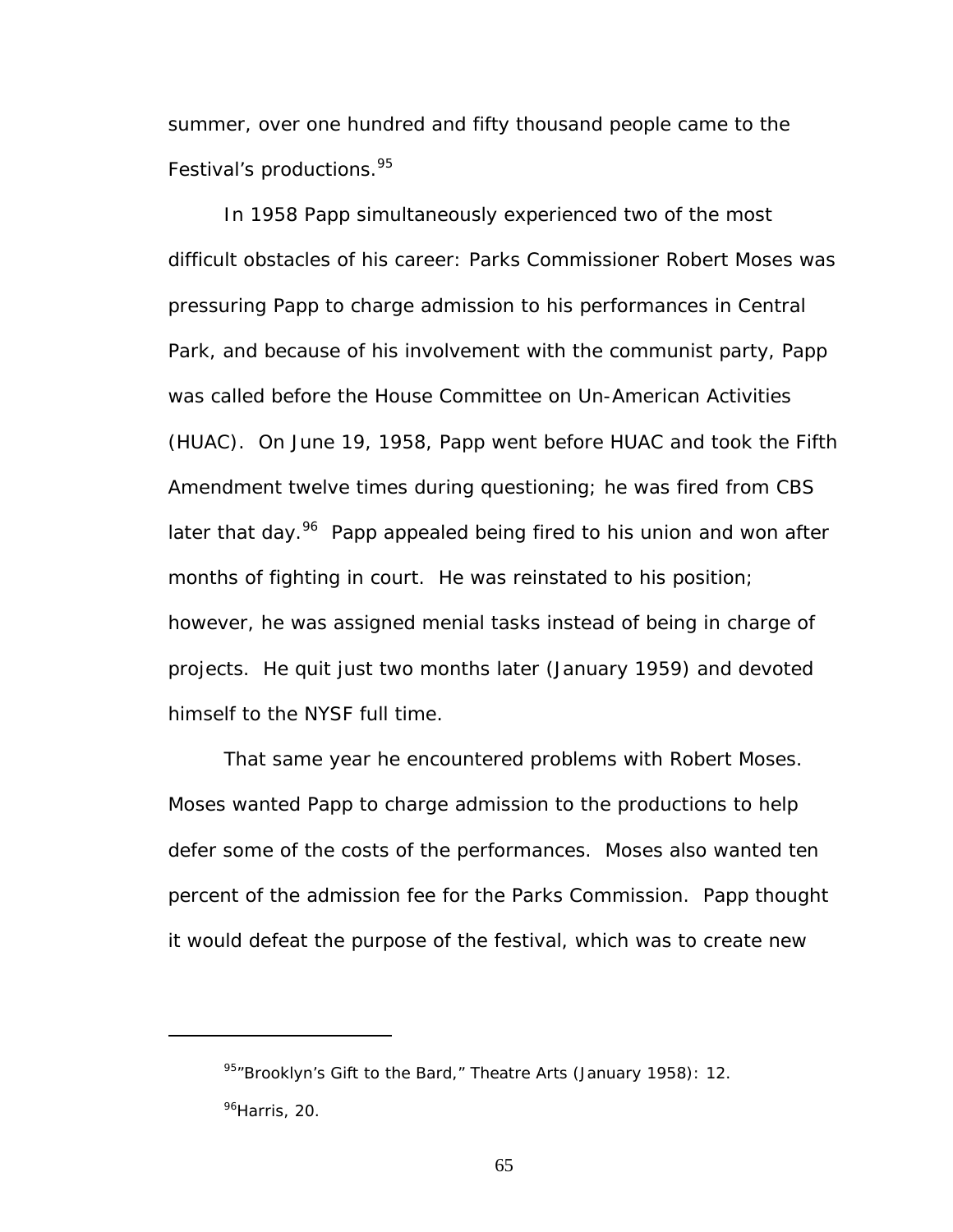summer, over one hundred and fifty thousand people came to the Festival's productions.<sup>95</sup>

In 1958 Papp simultaneously experienced two of the most difficult obstacles of his career: Parks Commissioner Robert Moses was pressuring Papp to charge admission to his performances in Central Park, and because of his involvement with the communist party, Papp was called before the House Committee on Un-American Activities (HUAC). On June 19, 1958, Papp went before HUAC and took the Fifth Amendment twelve times during questioning; he was fired from CBS later that day.<sup>96</sup> Papp appealed being fired to his union and won after months of fighting in court. He was reinstated to his position; however, he was assigned menial tasks instead of being in charge of projects. He quit just two months later (January 1959) and devoted himself to the NYSF full time.

That same year he encountered problems with Robert Moses. Moses wanted Papp to charge admission to the productions to help defer some of the costs of the performances. Moses also wanted ten percent of the admission fee for the Parks Commission. Papp thought it would defeat the purpose of the festival, which was to create new

<span id="page-71-1"></span><span id="page-71-0"></span><sup>95&</sup>quot;Brooklyn's Gift to the Bard," *Theatre Arts* (January 1958): 12. <sup>96</sup>Harris, 20.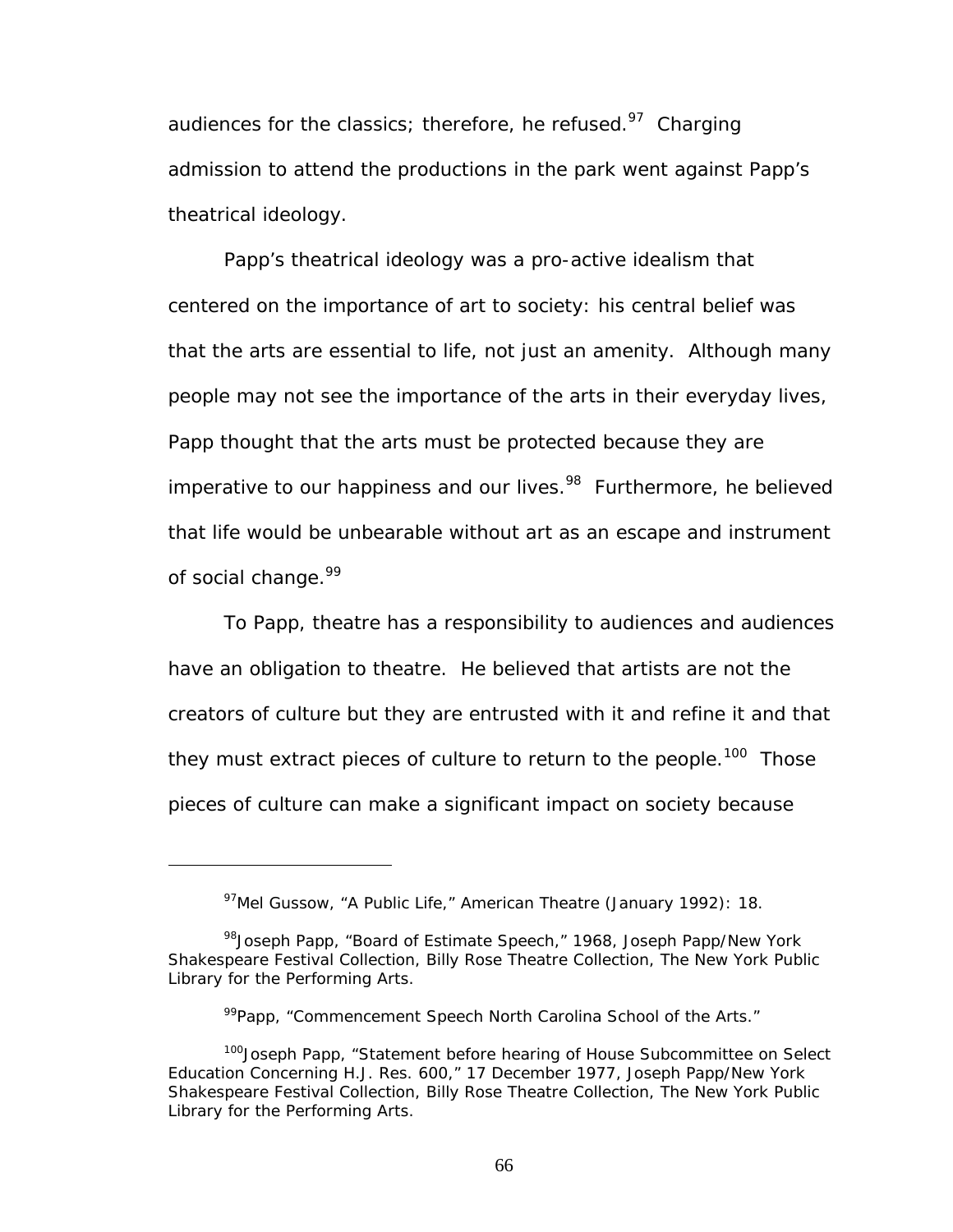audiences for the classics; therefore, he refused. $97$  Charging admission to attend the productions in the park went against Papp's theatrical ideology.

Papp's theatrical ideology was a pro-active idealism that centered on the importance of art to society: his central belief was that the arts are essential to life, not just an amenity. Although many people may not see the importance of the arts in their everyday lives, Papp thought that the arts must be protected because they are imperative to our happiness and our lives.<sup>98</sup> Furthermore, he believed that life would be unbearable without art as an escape and instrument of social change.<sup>99</sup>

To Papp, theatre has a responsibility to audiences and audiences have an obligation to theatre. He believed that artists are not the creators of culture but they are entrusted with it and refine it and that they must extract pieces of culture to return to the people.<sup>100</sup> Those pieces of culture can make a significant impact on society because

<span id="page-72-1"></span><span id="page-72-0"></span><sup>97</sup>Mel Gussow, "A Public Life," *American Theatre* (January 1992): 18.

<sup>&</sup>lt;sup>98</sup>Joseph Papp, "Board of Estimate Speech," 1968, Joseph Papp/New York Shakespeare Festival Collection, Billy Rose Theatre Collection, The New York Public Library for the Performing Arts.

<span id="page-72-3"></span><span id="page-72-2"></span><sup>&</sup>lt;sup>99</sup>Papp, "Commencement Speech North Carolina School of the Arts."

<sup>&</sup>lt;sup>100</sup>Joseph Papp, "Statement before hearing of House Subcommittee on Select Education Concerning H.J. Res. 600," 17 December 1977, Joseph Papp/New York Shakespeare Festival Collection, Billy Rose Theatre Collection, The New York Public Library for the Performing Arts.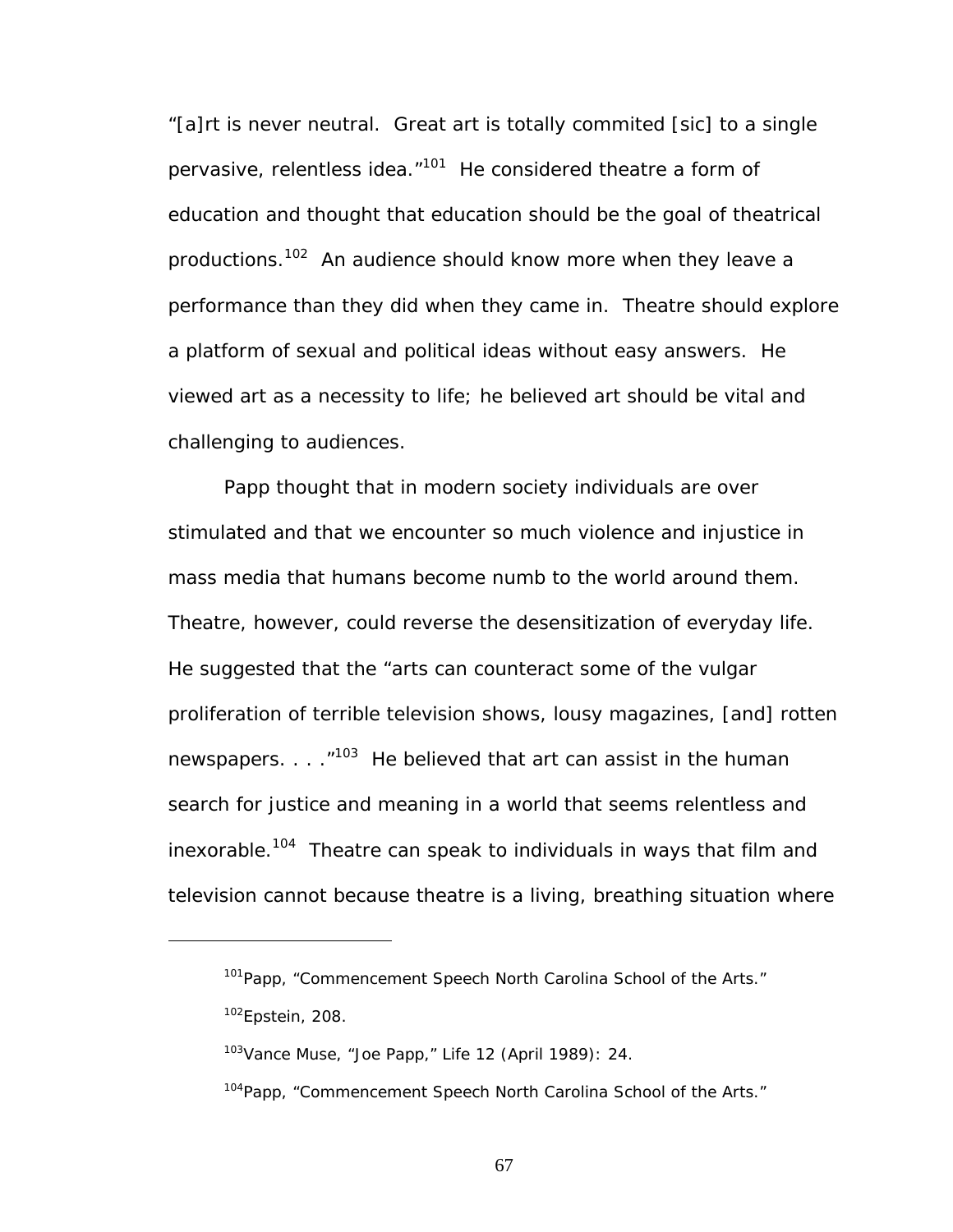"[a]rt is never neutral. Great art is totally commited [sic] to a single pervasive, relentless idea."<sup>101</sup> He considered theatre a form of education and thought that education should be the goal of theatrical productions.<sup>102</sup> An audience should know more when they leave a performance than they did when they came in. Theatre should explore a platform of sexual and political ideas without easy answers. He viewed art as a necessity to life; he believed art should be vital and challenging to audiences.

Papp thought that in modern society individuals are over stimulated and that we encounter so much violence and injustice in mass media that humans become numb to the world around them. Theatre, however, could reverse the desensitization of everyday life. He suggested that the "arts can counteract some of the vulgar proliferation of terrible television shows, lousy magazines, [and] rotten newspapers.  $\ldots$   $103$  He believed that art can assist in the human search for justice and meaning in a world that seems relentless and inexorable.<sup>104</sup> Theatre can speak to individuals in ways that film and television cannot because theatre is a living, breathing situation where

<u>.</u>

<span id="page-73-1"></span><span id="page-73-0"></span><sup>&</sup>lt;sup>101</sup>Papp, "Commencement Speech North Carolina School of the Arts."  $102$ Epstein, 208.

<span id="page-73-2"></span><sup>103</sup>Vance Muse, "Joe Papp," *Life* 12 (April 1989): 24.

<span id="page-73-3"></span><sup>104</sup>Papp, "Commencement Speech North Carolina School of the Arts."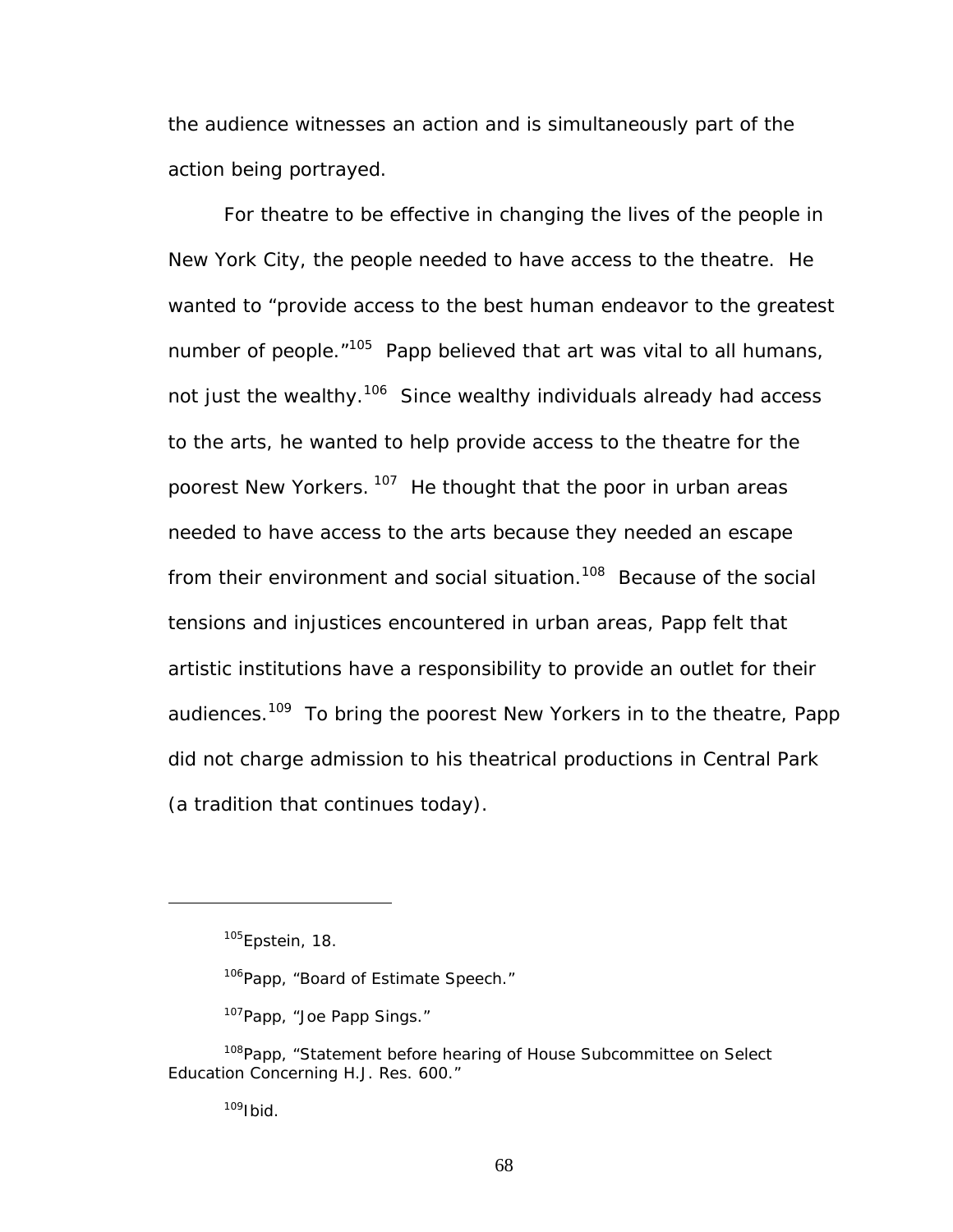the audience witnesses an action and is simultaneously part of the action being portrayed.

For theatre to be effective in changing the lives of the people in New York City, the people needed to have access to the theatre. He wanted to "provide access to the best human endeavor to the greatest number of people.<sup>"105</sup> Papp believed that art was vital to all humans, not just the wealthy.<sup>106</sup> Since wealthy individuals already had access to the arts, he wanted to help provide access to the theatre for the poorest New Yorkers. <sup>107</sup> He thought that the poor in urban areas needed to have access to the arts because they needed an escape from their environment and social situation.<sup>108</sup> Because of the social tensions and injustices encountered in urban areas, Papp felt that artistic institutions have a responsibility to provide an outlet for their audiences.<sup>109</sup> To bring the poorest New Yorkers in to the theatre, Papp did not charge admission to his theatrical productions in Central Park (a tradition that continues today).

1

<span id="page-74-3"></span><span id="page-74-2"></span><sup>107</sup>Papp, "Joe Papp Sings."

<span id="page-74-4"></span> $109$ Ibid.

<span id="page-74-0"></span><sup>&</sup>lt;sup>105</sup>Epstein, 18.

<span id="page-74-1"></span><sup>&</sup>lt;sup>106</sup>Papp, "Board of Estimate Speech."

<sup>&</sup>lt;sup>108</sup>Papp, "Statement before hearing of House Subcommittee on Select Education Concerning H.J. Res. 600."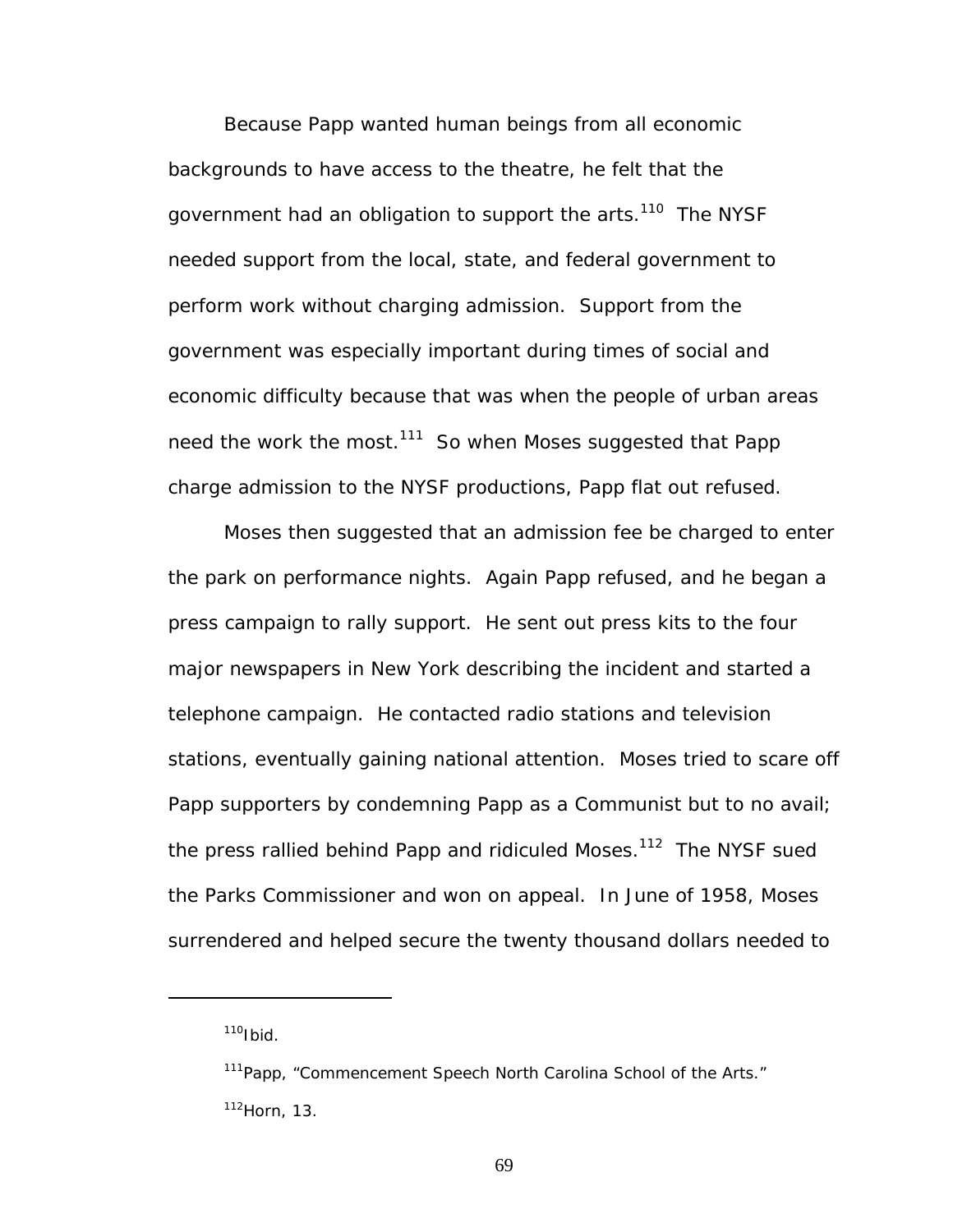Because Papp wanted human beings from all economic backgrounds to have access to the theatre, he felt that the government had an obligation to support the arts.<sup>110</sup> The NYSF needed support from the local, state, and federal government to perform work without charging admission. Support from the government was especially important during times of social and economic difficulty because that was when the people of urban areas need the work the most.<sup>111</sup> So when Moses suggested that Papp charge admission to the NYSF productions, Papp flat out refused.

Moses then suggested that an admission fee be charged to enter the park on performance nights. Again Papp refused, and he began a press campaign to rally support. He sent out press kits to the four major newspapers in New York describing the incident and started a telephone campaign. He contacted radio stations and television stations, eventually gaining national attention. Moses tried to scare off Papp supporters by condemning Papp as a Communist but to no avail; the press rallied behind Papp and ridiculed Moses. $112$  The NYSF sued the Parks Commissioner and won on appeal. In June of 1958, Moses surrendered and helped secure the twenty thousand dollars needed to

<span id="page-75-0"></span> $110$ Ibid

<span id="page-75-2"></span><span id="page-75-1"></span><sup>&</sup>lt;sup>111</sup>Papp, "Commencement Speech North Carolina School of the Arts." 112Horn, 13.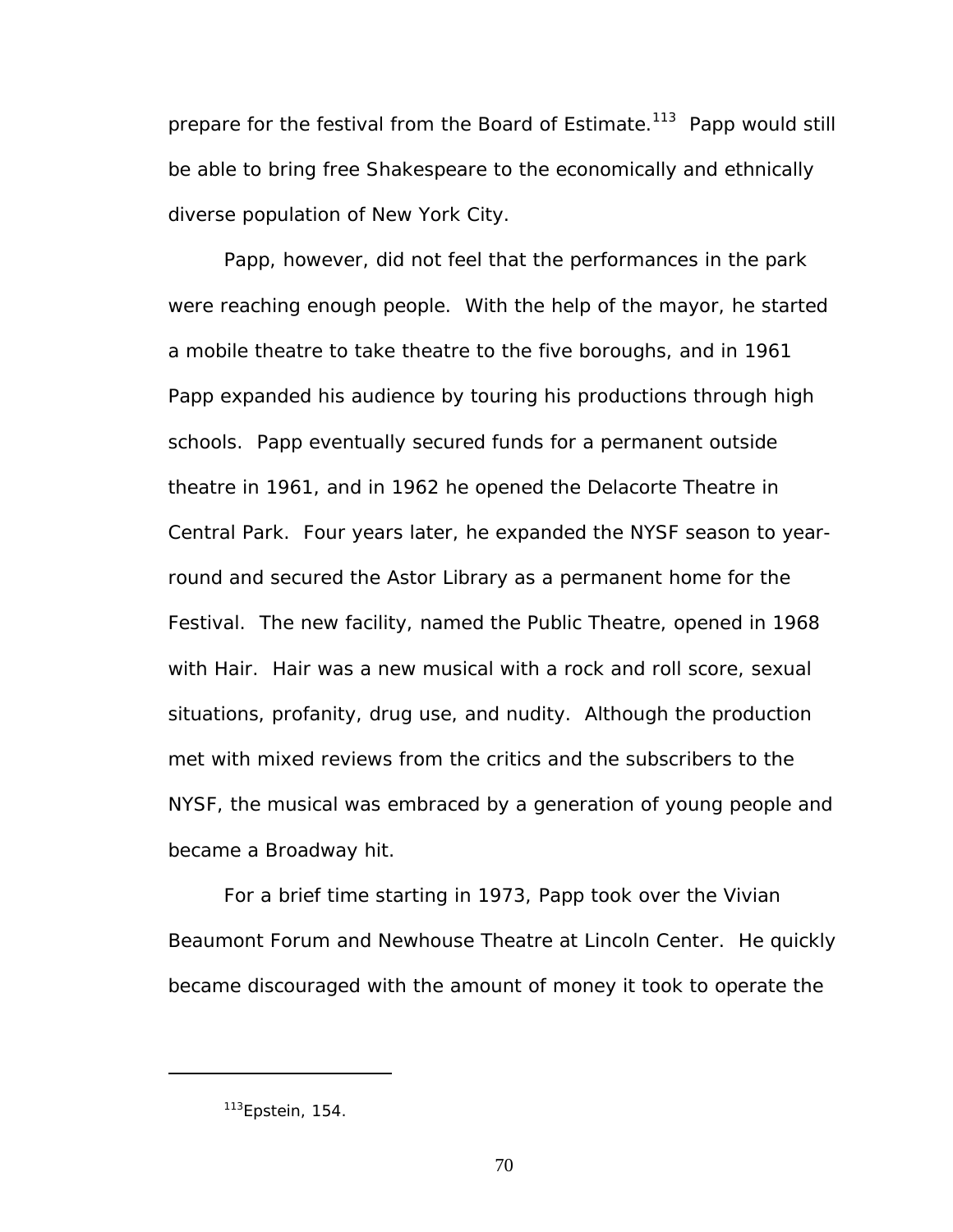prepare for the festival from the Board of Estimate.<sup>113</sup> Papp would still be able to bring free Shakespeare to the economically and ethnically diverse population of New York City.

Papp, however, did not feel that the performances in the park were reaching enough people. With the help of the mayor, he started a mobile theatre to take theatre to the five boroughs, and in 1961 Papp expanded his audience by touring his productions through high schools. Papp eventually secured funds for a permanent outside theatre in 1961, and in 1962 he opened the Delacorte Theatre in Central Park. Four years later, he expanded the NYSF season to yearround and secured the Astor Library as a permanent home for the Festival. The new facility, named the Public Theatre, opened in 1968 with *Hair*. *Hair* was a new musical with a rock and roll score, sexual situations, profanity, drug use, and nudity. Although the production met with mixed reviews from the critics and the subscribers to the NYSF, the musical was embraced by a generation of young people and became a Broadway hit.

For a brief time starting in 1973, Papp took over the Vivian Beaumont Forum and Newhouse Theatre at Lincoln Center. He quickly became discouraged with the amount of money it took to operate the

<span id="page-76-0"></span><sup>113</sup>Epstein, 154.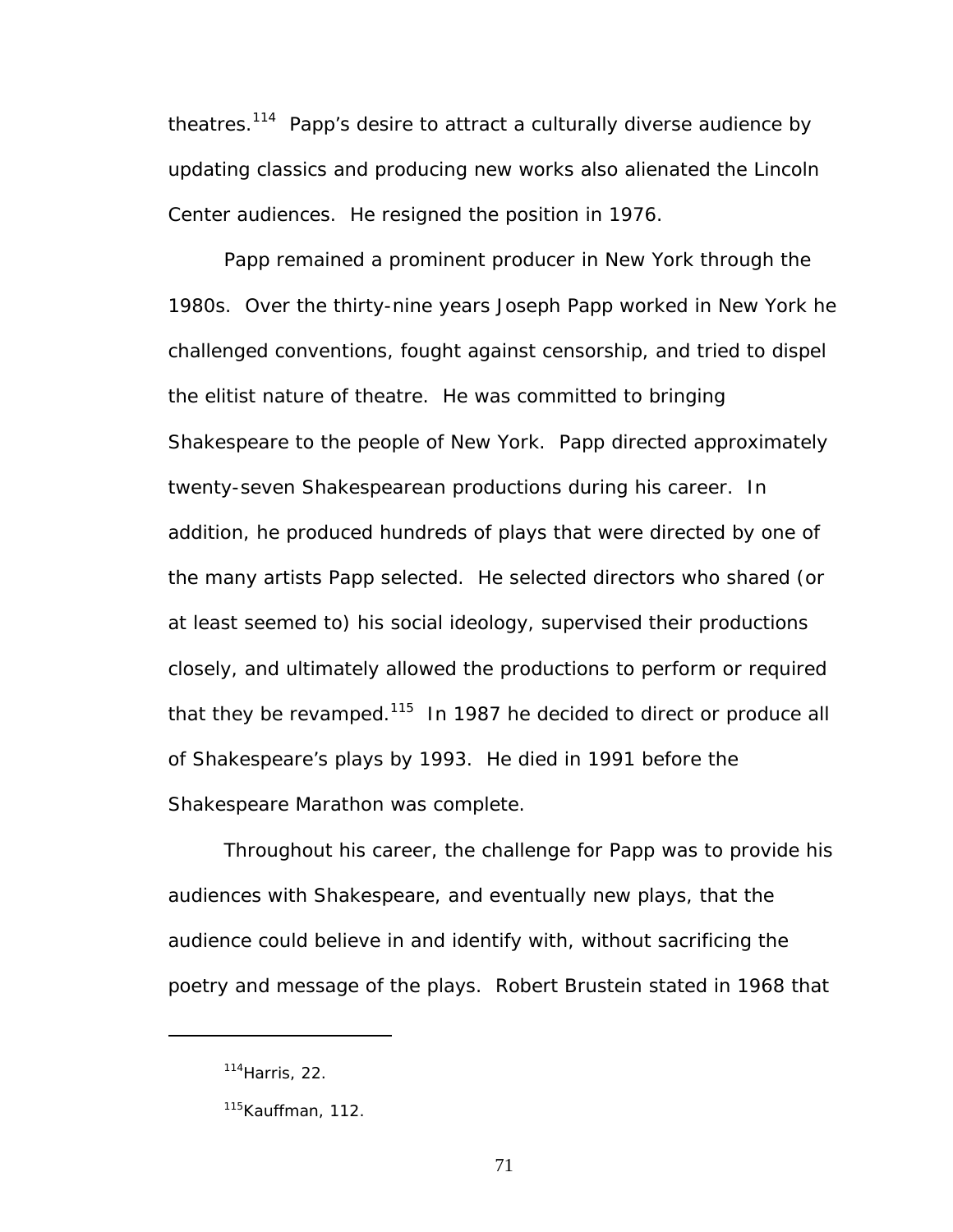theatres[.114](#page-77-0) Papp's desire to attract a culturally diverse audience by updating classics and producing new works also alienated the Lincoln Center audiences. He resigned the position in 1976.

Papp remained a prominent producer in New York through the 1980s. Over the thirty-nine years Joseph Papp worked in New York he challenged conventions, fought against censorship, and tried to dispel the elitist nature of theatre. He was committed to bringing Shakespeare to the people of New York. Papp directed approximately twenty-seven Shakespearean productions during his career. In addition, he produced hundreds of plays that were directed by one of the many artists Papp selected. He selected directors who shared (or at least seemed to) his social ideology, supervised their productions closely, and ultimately allowed the productions to perform or required that they be revamped.<sup>115</sup> In 1987 he decided to direct or produce all of Shakespeare's plays by 1993. He died in 1991 before the Shakespeare Marathon was complete.

Throughout his career, the challenge for Papp was to provide his audiences with Shakespeare, and eventually new plays, that the audience could believe in and identify with, without sacrificing the poetry and message of the plays. Robert Brustein stated in 1968 that

<span id="page-77-0"></span> $114$ Harris, 22.

<span id="page-77-1"></span><sup>&</sup>lt;sup>115</sup>Kauffman, 112.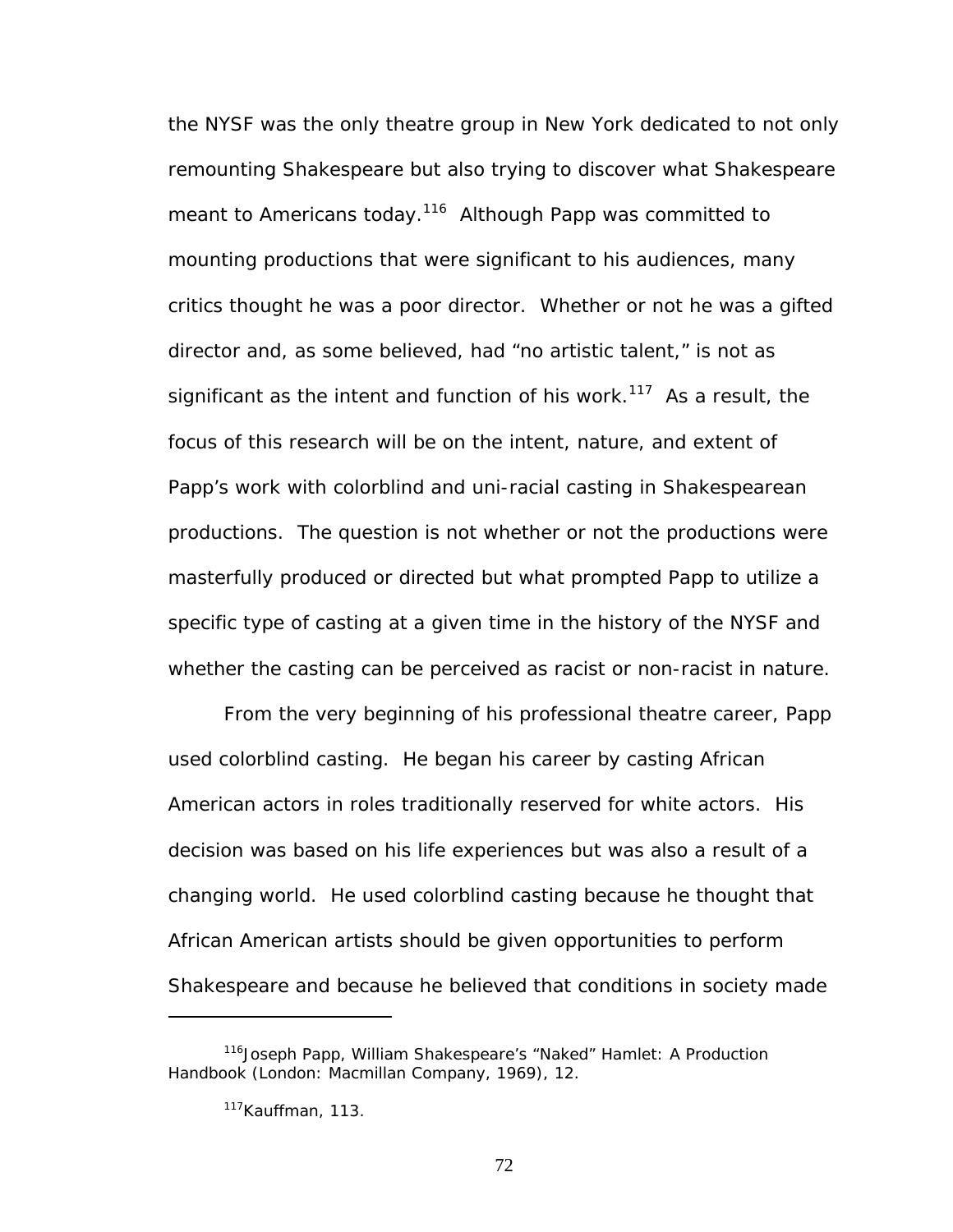the NYSF was the only theatre group in New York dedicated to not only remounting Shakespeare but also trying to discover what Shakespeare meant to Americans today.<sup>116</sup> Although Papp was committed to mounting productions that were significant to his audiences, many critics thought he was a poor director. Whether or not he was a gifted director and, as some believed, had "no artistic talent," is not as significant as the intent and function of his work.<sup>117</sup> As a result, the focus of this research will be on the intent, nature, and extent of Papp's work with colorblind and uni-racial casting in Shakespearean productions. The question is not whether or not the productions were masterfully produced or directed but what prompted Papp to utilize a specific type of casting at a given time in the history of the NYSF and whether the casting can be perceived as racist or non-racist in nature.

From the very beginning of his professional theatre career, Papp used colorblind casting. He began his career by casting African American actors in roles traditionally reserved for white actors. His decision was based on his life experiences but was also a result of a changing world. He used colorblind casting because he thought that African American artists should be given opportunities to perform Shakespeare and because he believed that conditions in society made

<span id="page-78-0"></span><sup>116</sup>Joseph Papp, *William Shakespeare's "Naked" Hamlet: A Production Handbook* (London: Macmillan Company, 1969), 12.

<span id="page-78-1"></span><sup>&</sup>lt;sup>117</sup>Kauffman, 113.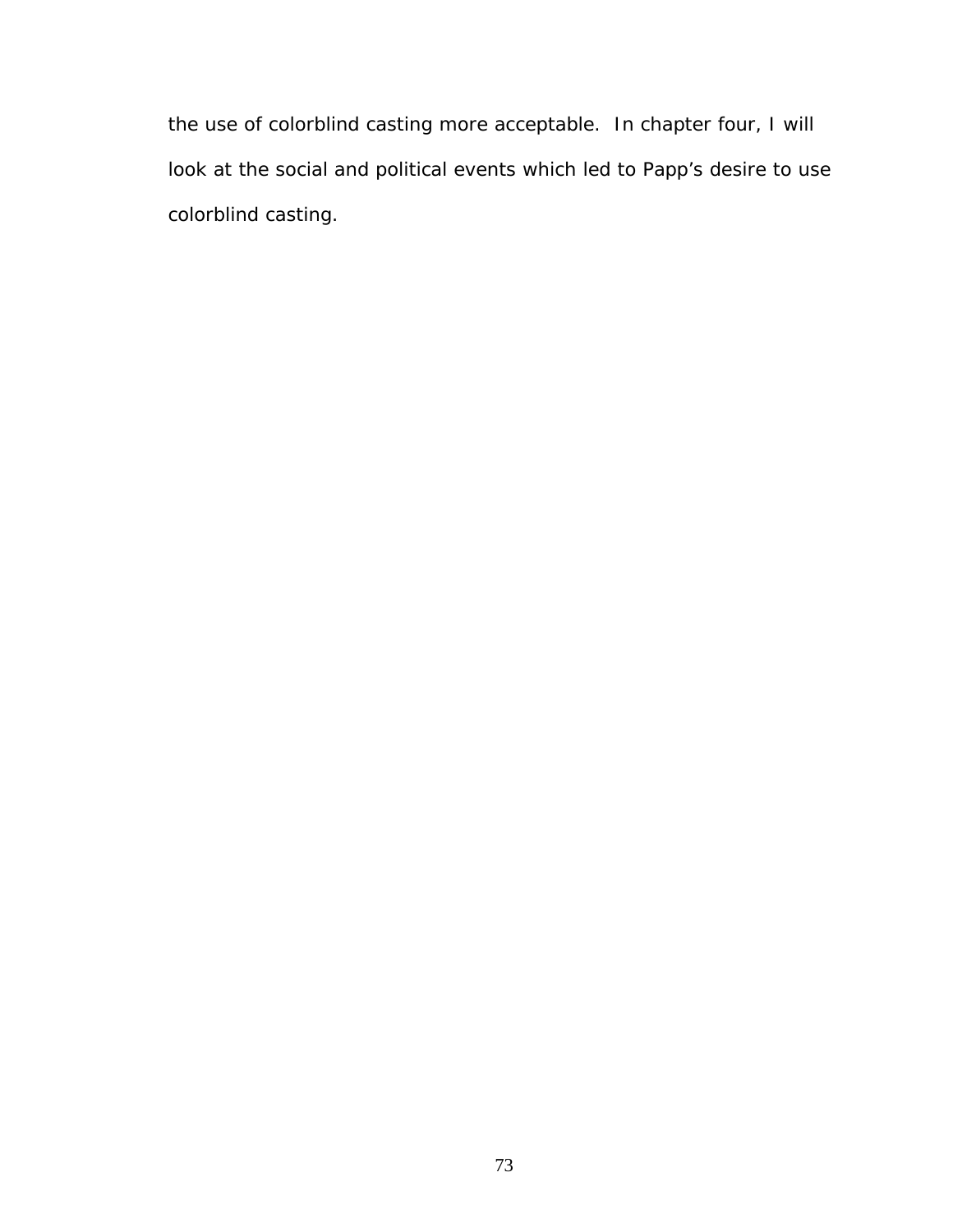the use of colorblind casting more acceptable. In chapter four, I will look at the social and political events which led to Papp's desire to use colorblind casting.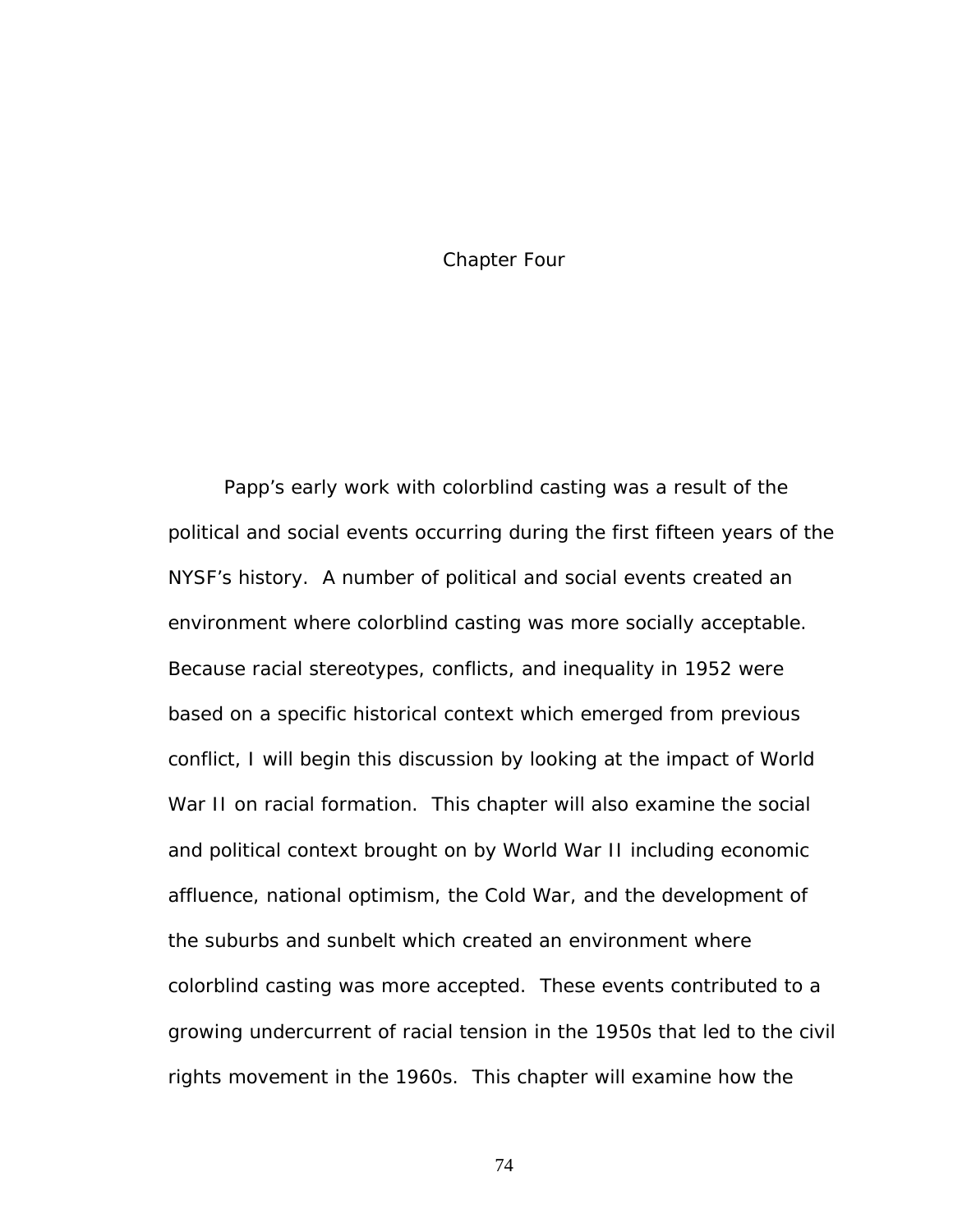## Chapter Four

Papp's early work with colorblind casting was a result of the political and social events occurring during the first fifteen years of the NYSF's history. A number of political and social events created an environment where colorblind casting was more socially acceptable. Because racial stereotypes, conflicts, and inequality in 1952 were based on a specific historical context which emerged from previous conflict, I will begin this discussion by looking at the impact of World War II on racial formation. This chapter will also examine the social and political context brought on by World War II including economic affluence, national optimism, the Cold War, and the development of the suburbs and sunbelt which created an environment where colorblind casting was more accepted. These events contributed to a growing undercurrent of racial tension in the 1950s that led to the civil rights movement in the 1960s. This chapter will examine how the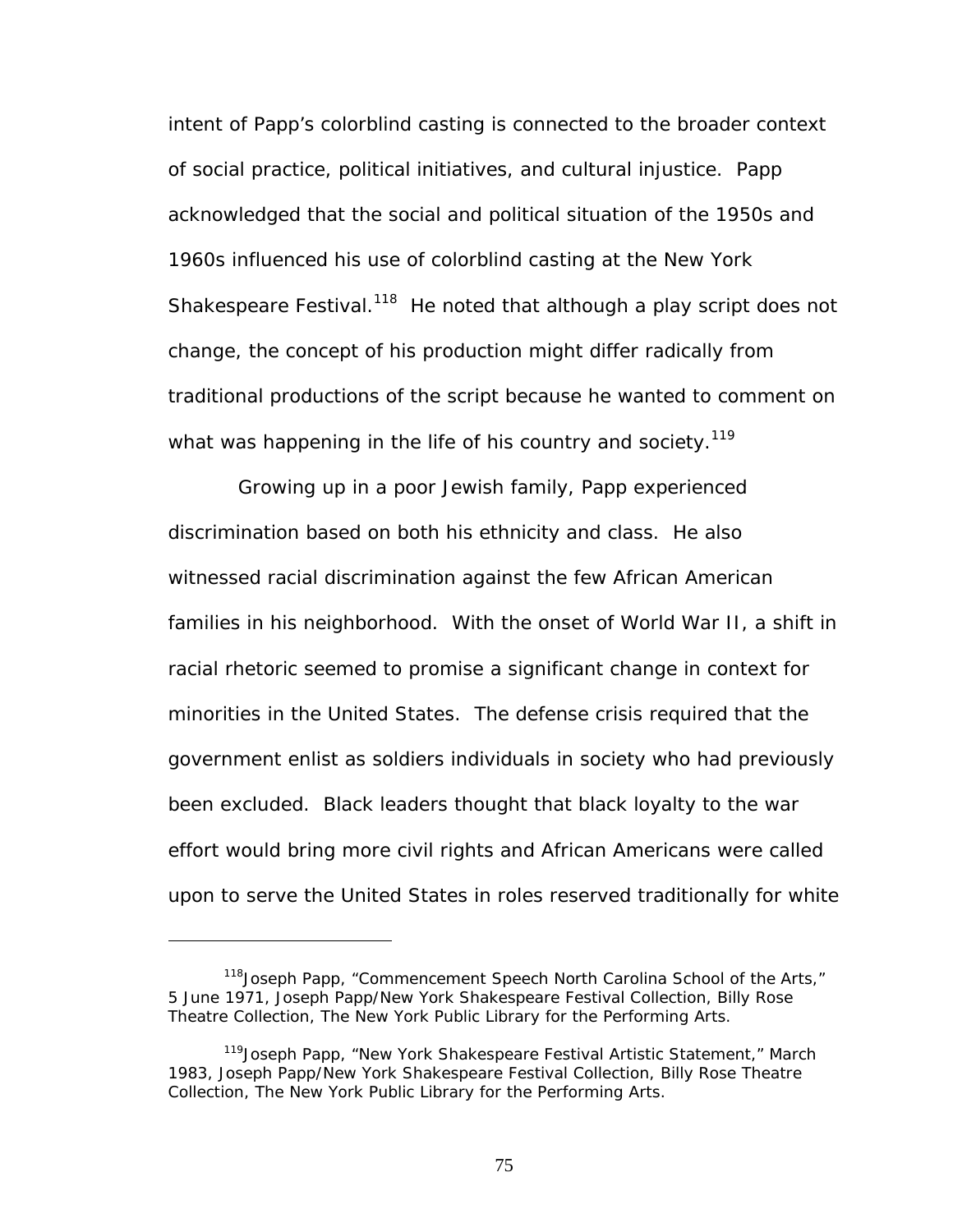intent of Papp's colorblind casting is connected to the broader context of social practice, political initiatives, and cultural injustice. Papp acknowledged that the social and political situation of the 1950s and 1960s influenced his use of colorblind casting at the New York Shakespeare Festival.<sup>118</sup> He noted that although a play script does not change, the concept of his production might differ radically from traditional productions of the script because he wanted to comment on what was happening in the life of his country and society.<sup>119</sup>

Growing up in a poor Jewish family, Papp experienced discrimination based on both his ethnicity and class. He also witnessed racial discrimination against the few African American families in his neighborhood. With the onset of World War II, a shift in racial rhetoric seemed to promise a significant change in context for minorities in the United States. The defense crisis required that the government enlist as soldiers individuals in society who had previously been excluded. Black leaders thought that black loyalty to the war effort would bring more civil rights and African Americans were called upon to serve the United States in roles reserved traditionally for white

<u>.</u>

<span id="page-81-0"></span><sup>&</sup>lt;sup>118</sup> Joseph Papp, "Commencement Speech North Carolina School of the Arts," 5 June 1971, Joseph Papp/New York Shakespeare Festival Collection, Billy Rose Theatre Collection, The New York Public Library for the Performing Arts.

<span id="page-81-1"></span><sup>&</sup>lt;sup>119</sup>Joseph Papp, "New York Shakespeare Festival Artistic Statement," March 1983, Joseph Papp/New York Shakespeare Festival Collection, Billy Rose Theatre Collection, The New York Public Library for the Performing Arts.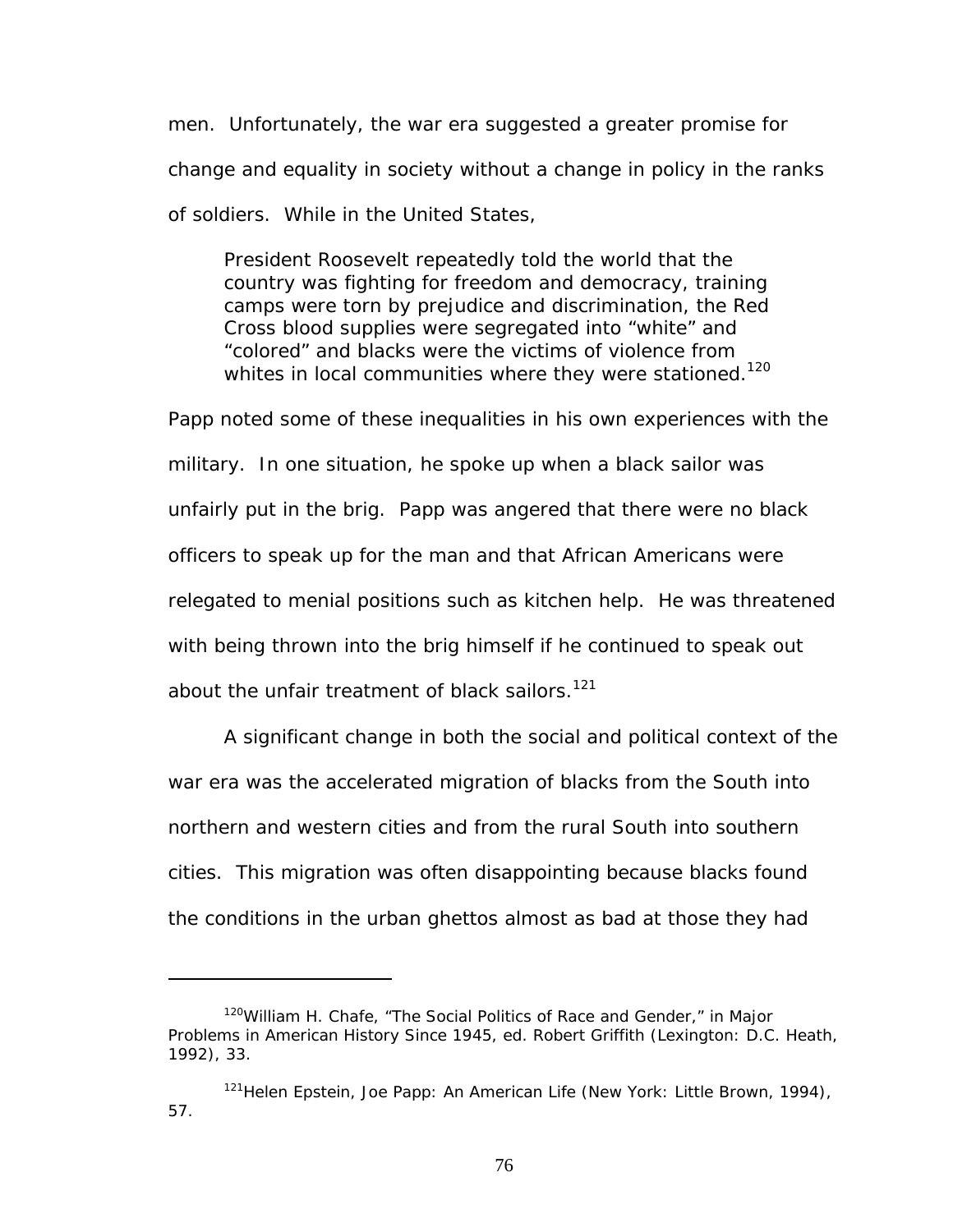men. Unfortunately, the war era suggested a greater promise for change and equality in society without a change in policy in the ranks of soldiers. While in the United States,

President Roosevelt repeatedly told the world that the country was fighting for freedom and democracy, training camps were torn by prejudice and discrimination, the Red Cross blood supplies were segregated into "white" and "colored" and blacks were the victims of violence from whites in local communities where they were stationed.<sup>120</sup>

Papp noted some of these inequalities in his own experiences with the military. In one situation, he spoke up when a black sailor was unfairly put in the brig. Papp was angered that there were no black officers to speak up for the man and that African Americans were relegated to menial positions such as kitchen help. He was threatened with being thrown into the brig himself if he continued to speak out about the unfair treatment of black sailors.<sup>121</sup>

A significant change in both the social and political context of the war era was the accelerated migration of blacks from the South into northern and western cities and from the rural South into southern cities. This migration was often disappointing because blacks found the conditions in the urban ghettos almost as bad at those they had

<span id="page-82-0"></span><sup>120</sup>William H. Chafe, "The Social Politics of Race and Gender," in *Major Problems in American History Since 1945*, ed. Robert Griffith (Lexington: D.C. Heath, 1992), 33.

<span id="page-82-1"></span><sup>121</sup>Helen Epstein, *Joe Papp: An American Life* (New York: Little Brown, 1994), 57.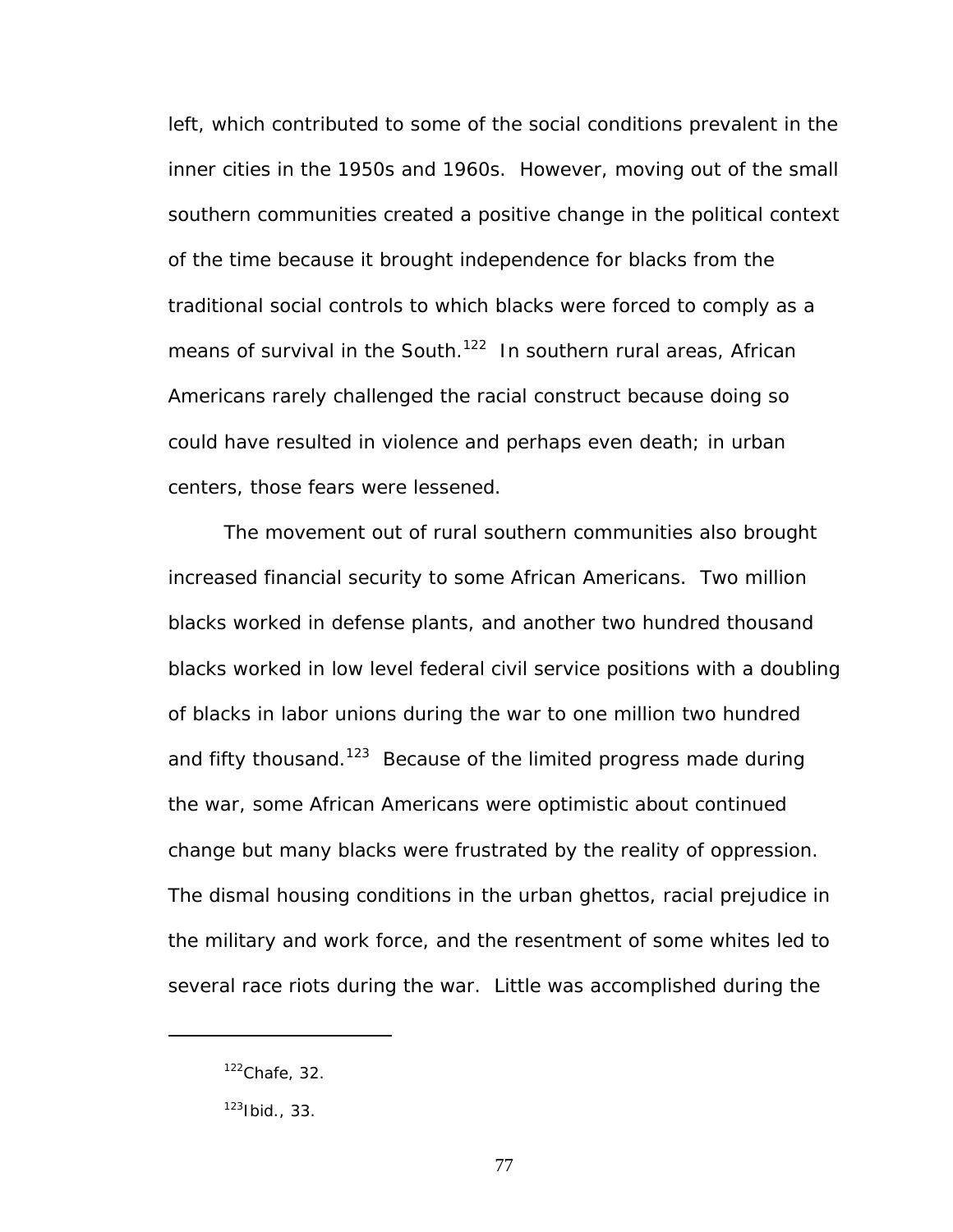left, which contributed to some of the social conditions prevalent in the inner cities in the 1950s and 1960s. However, moving out of the small southern communities created a positive change in the political context of the time because it brought independence for blacks from the traditional social controls to which blacks were forced to comply as a means of survival in the South.<sup>122</sup> In southern rural areas, African Americans rarely challenged the racial construct because doing so could have resulted in violence and perhaps even death; in urban centers, those fears were lessened.

The movement out of rural southern communities also brought increased financial security to some African Americans. Two million blacks worked in defense plants, and another two hundred thousand blacks worked in low level federal civil service positions with a doubling of blacks in labor unions during the war to one million two hundred and fifty thousand.<sup>123</sup> Because of the limited progress made during the war, some African Americans were optimistic about continued change but many blacks were frustrated by the reality of oppression. The dismal housing conditions in the urban ghettos, racial prejudice in the military and work force, and the resentment of some whites led to several race riots during the war. Little was accomplished during the

<span id="page-83-0"></span> $122$ Chafe, 32.

<span id="page-83-1"></span> $123$  Ibid., 33.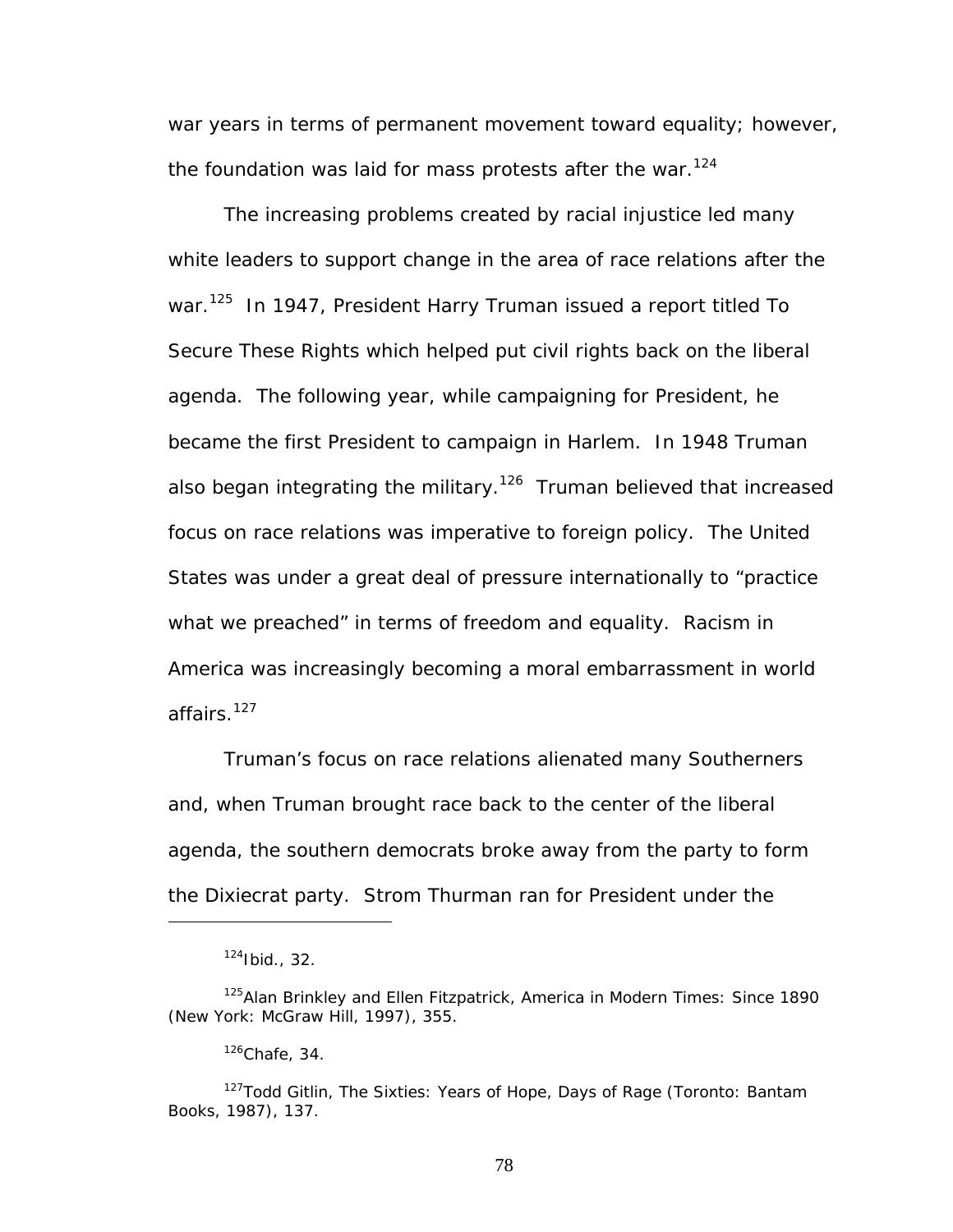war years in terms of permanent movement toward equality; however, the foundation was laid for mass protests after the war.<sup>[124](#page-84-0)</sup>

The increasing problems created by racial injustice led many white leaders to support change in the area of race relations after the war.[125](#page-84-1) In 1947, President Harry Truman issued a report titled *To Secure These Rights* which helped put civil rights back on the liberal agenda. The following year, while campaigning for President, he became the first President to campaign in Harlem. In 1948 Truman also began integrating the military.<sup>126</sup> Truman believed that increased focus on race relations was imperative to foreign policy. The United States was under a great deal of pressure internationally to "practice what we preached" in terms of freedom and equality. Racism in America was increasingly becoming a moral embarrassment in world affairs.<sup>127</sup>

Truman's focus on race relations alienated many Southerners and, when Truman brought race back to the center of the liberal agenda, the southern democrats broke away from the party to form the Dixiecrat party. Strom Thurman ran for President under the

<span id="page-84-1"></span><span id="page-84-0"></span><sup>124</sup>Ibid., 32.

<sup>125</sup>Alan Brinkley and Ellen Fitzpatrick, *America in Modern Times: Since 1890* (New York: McGraw Hill, 1997), 355.

<span id="page-84-3"></span><span id="page-84-2"></span> $126$ Chafe, 34.

<sup>127</sup>Todd Gitlin, *The Sixties: Years of Hope, Days of Rage* (Toronto: Bantam Books, 1987), 137.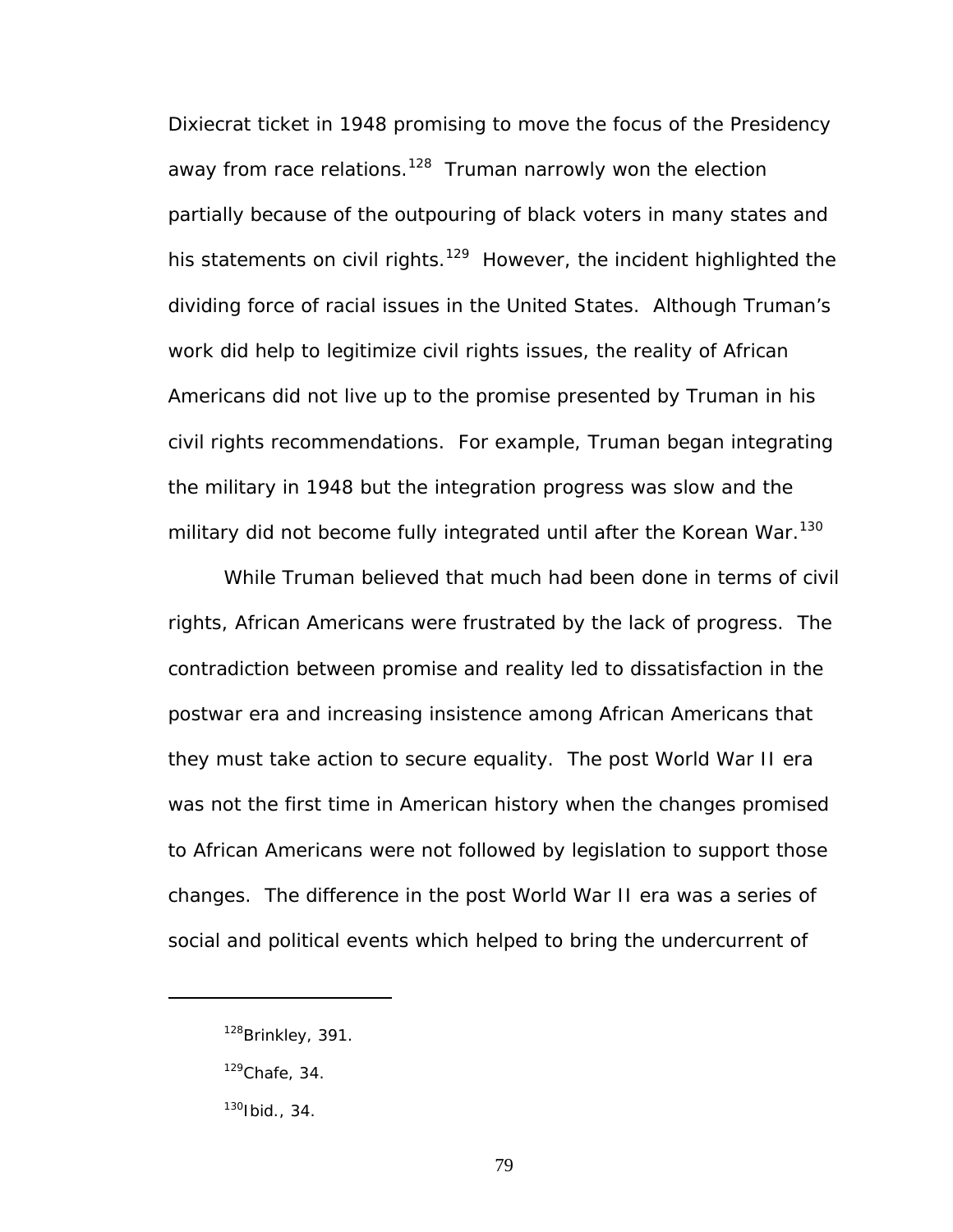Dixiecrat ticket in 1948 promising to move the focus of the Presidency away from race relations.<sup>128</sup> Truman narrowly won the election partially because of the outpouring of black voters in many states and his statements on civil rights.<sup>129</sup> However, the incident highlighted the dividing force of racial issues in the United States. Although Truman's work did help to legitimize civil rights issues, the reality of African Americans did not live up to the promise presented by Truman in his civil rights recommendations. For example, Truman began integrating the military in 1948 but the integration progress was slow and the military did not become fully integrated until after the Korean War.<sup>130</sup>

While Truman believed that much had been done in terms of civil rights, African Americans were frustrated by the lack of progress. The contradiction between promise and reality led to dissatisfaction in the postwar era and increasing insistence among African Americans that they must take action to secure equality. The post World War II era was not the first time in American history when the changes promised to African Americans were not followed by legislation to support those changes. The difference in the post World War II era was a series of social and political events which helped to bring the undercurrent of

<span id="page-85-0"></span><sup>&</sup>lt;sup>128</sup>Brinkley, 391.

<span id="page-85-1"></span> $129$ Chafe, 34.

<span id="page-85-2"></span> $130$  Ibid., 34.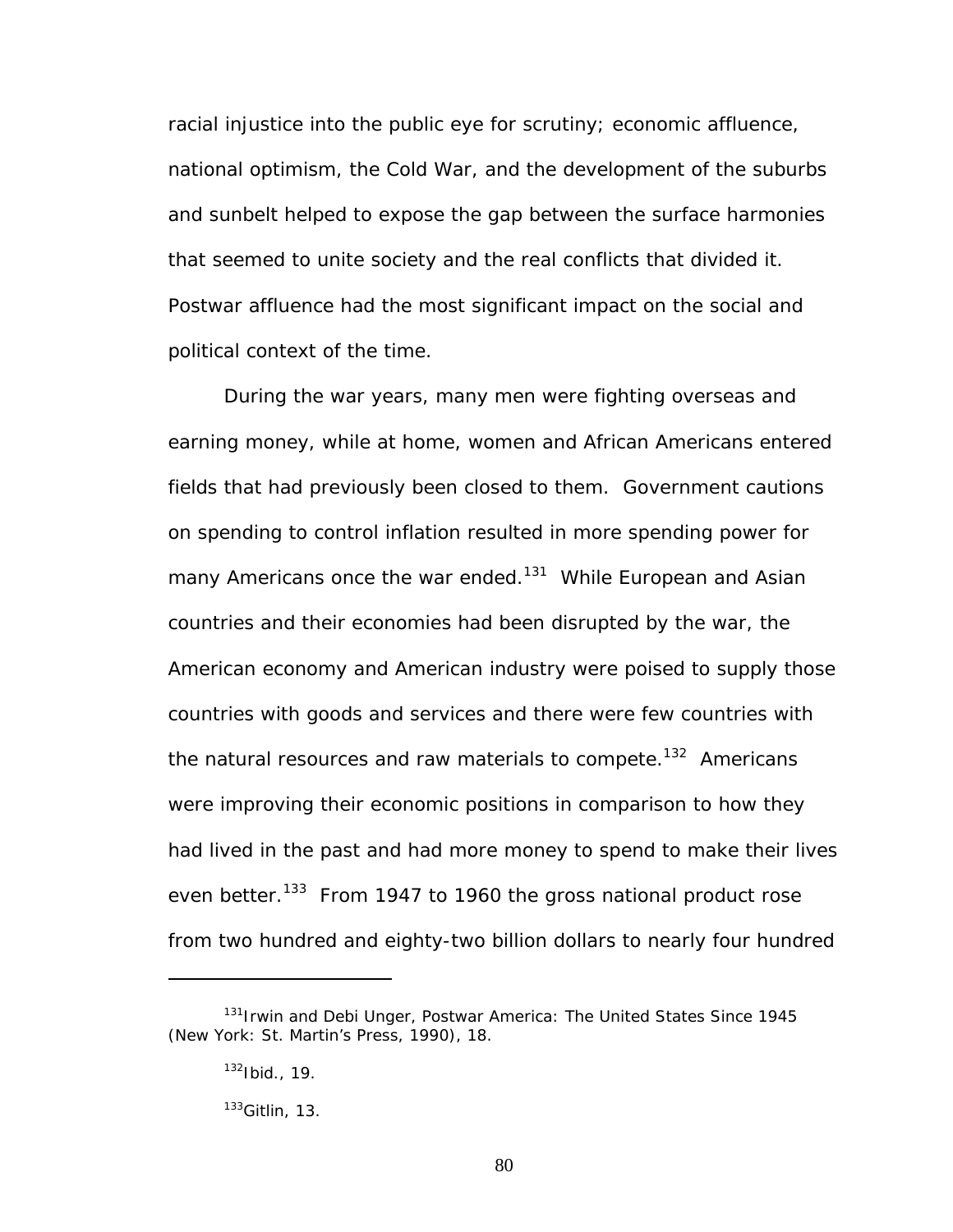racial injustice into the public eye for scrutiny; economic affluence, national optimism, the Cold War, and the development of the suburbs and sunbelt helped to expose the gap between the surface harmonies that seemed to unite society and the real conflicts that divided it. Postwar affluence had the most significant impact on the social and political context of the time.

During the war years, many men were fighting overseas and earning money, while at home, women and African Americans entered fields that had previously been closed to them. Government cautions on spending to control inflation resulted in more spending power for many Americans once the war ended.<sup>131</sup> While European and Asian countries and their economies had been disrupted by the war, the American economy and American industry were poised to supply those countries with goods and services and there were few countries with the natural resources and raw materials to compete.<sup>132</sup> Americans were improving their economic positions in comparison to how they had lived in the past and had more money to spend to make their lives even better.<sup>133</sup> From 1947 to 1960 the gross national product rose from two hundred and eighty-two billion dollars to nearly four hundred

<span id="page-86-0"></span><sup>131</sup>Irwin and Debi Unger, *Postwar America: The United States Since 1945* (New York: St. Martin's Press, 1990), 18.

<span id="page-86-1"></span> $132$  Ibid., 19.

<span id="page-86-2"></span> $133$ Gitlin, 13.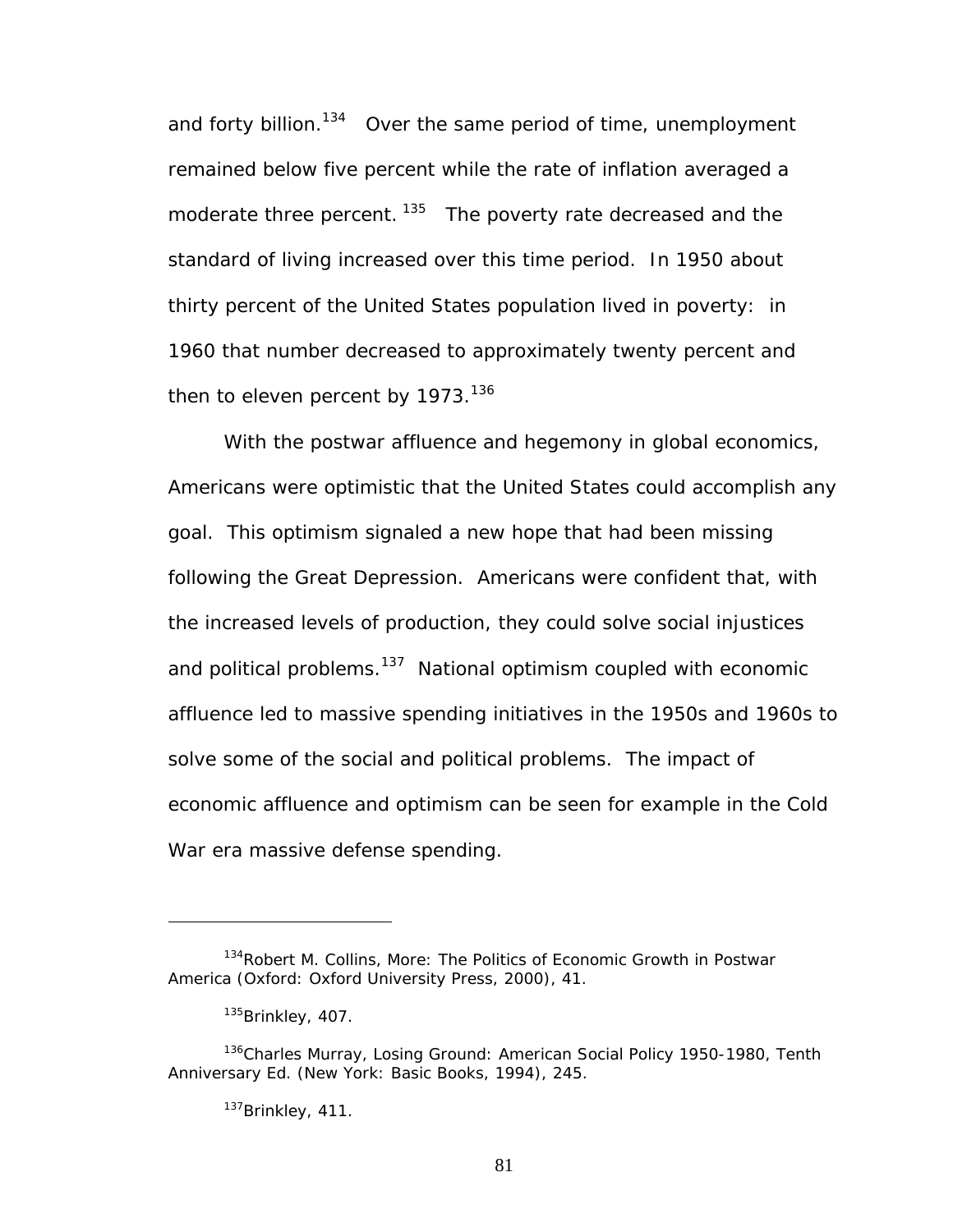and forty billion.<sup>134</sup> Over the same period of time, unemployment remained below five percent while the rate of inflation averaged a moderate three percent. <sup>135</sup> The poverty rate decreased and the standard of living increased over this time period. In 1950 about thirty percent of the United States population lived in poverty: in 1960 that number decreased to approximately twenty percent and then to eleven percent by  $1973.<sup>136</sup>$ 

With the postwar affluence and hegemony in global economics, Americans were optimistic that the United States could accomplish any goal. This optimism signaled a new hope that had been missing following the Great Depression. Americans were confident that, with the increased levels of production, they could solve social injustices and political problems.<sup>137</sup> National optimism coupled with economic affluence led to massive spending initiatives in the 1950s and 1960s to solve some of the social and political problems. The impact of economic affluence and optimism can be seen for example in the Cold War era massive defense spending.

<span id="page-87-0"></span><sup>134</sup>Robert M. Collins, *More: The Politics of Economic Growth in Postwar America* (Oxford: Oxford University Press, 2000), 41.

<span id="page-87-2"></span><span id="page-87-1"></span> $135$ Brinkley, 407.

<sup>136</sup>Charles Murray, *Losing Ground: American Social Policy 1950-1980*, Tenth Anniversary Ed. (New York: Basic Books, 1994), 245.

<span id="page-87-3"></span><sup>137</sup>Brinkley, 411.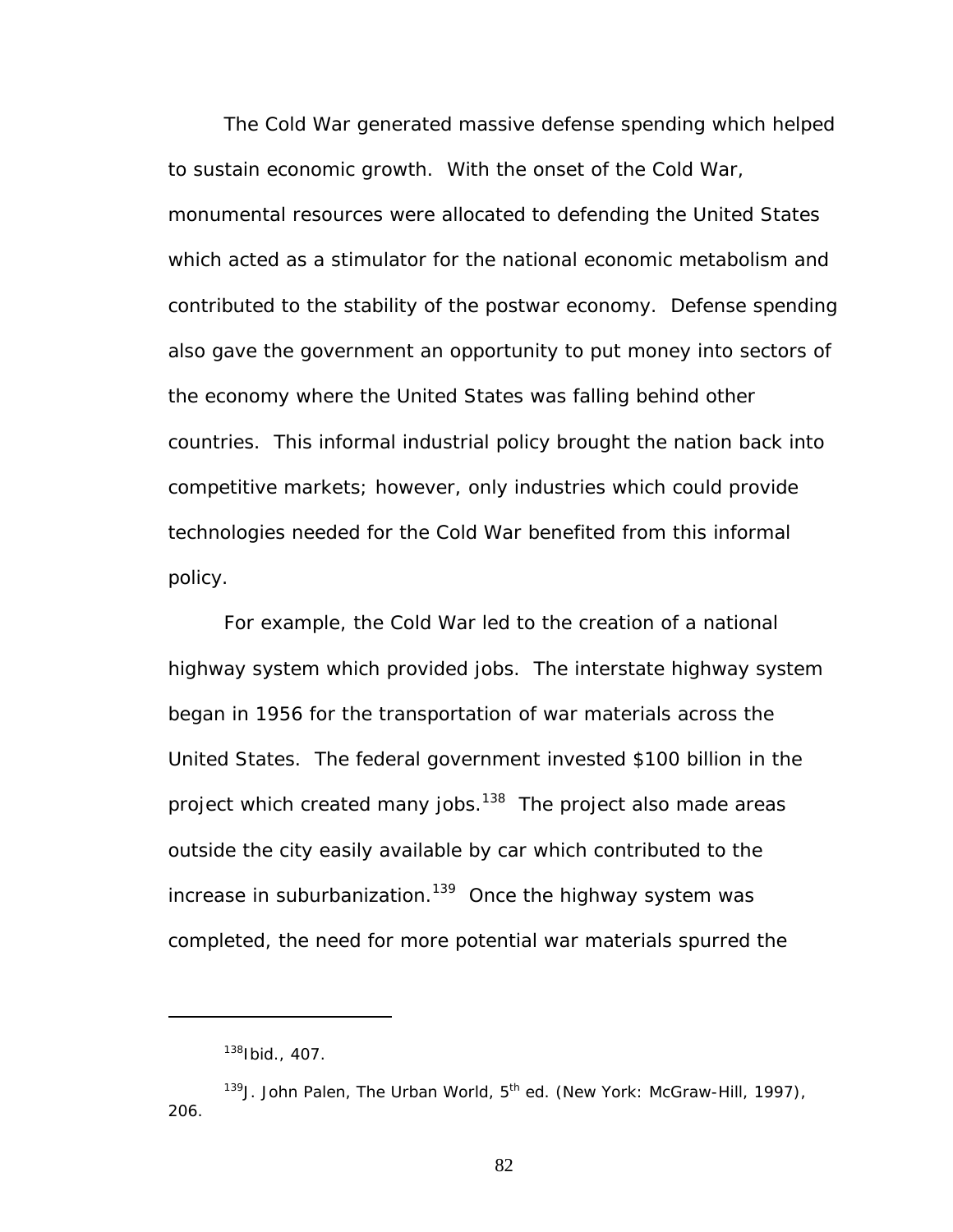The Cold War generated massive defense spending which helped to sustain economic growth. With the onset of the Cold War, monumental resources were allocated to defending the United States which acted as a stimulator for the national economic metabolism and contributed to the stability of the postwar economy. Defense spending also gave the government an opportunity to put money into sectors of the economy where the United States was falling behind other countries. This informal industrial policy brought the nation back into competitive markets; however, only industries which could provide technologies needed for the Cold War benefited from this informal policy.

For example, the Cold War led to the creation of a national highway system which provided jobs. The interstate highway system began in 1956 for the transportation of war materials across the United States. The federal government invested \$100 billion in the project which created many jobs.<sup>138</sup> The project also made areas outside the city easily available by car which contributed to the increase in suburbanization.<sup>139</sup> Once the highway system was completed, the need for more potential war materials spurred the

 $\overline{a}$ 

<span id="page-88-1"></span><span id="page-88-0"></span><sup>138</sup>Ibid., 407.

<sup>&</sup>lt;sup>139</sup>J. John Palen, *The Urban World*, 5<sup>th</sup> ed. (New York: McGraw-Hill, 1997), 206.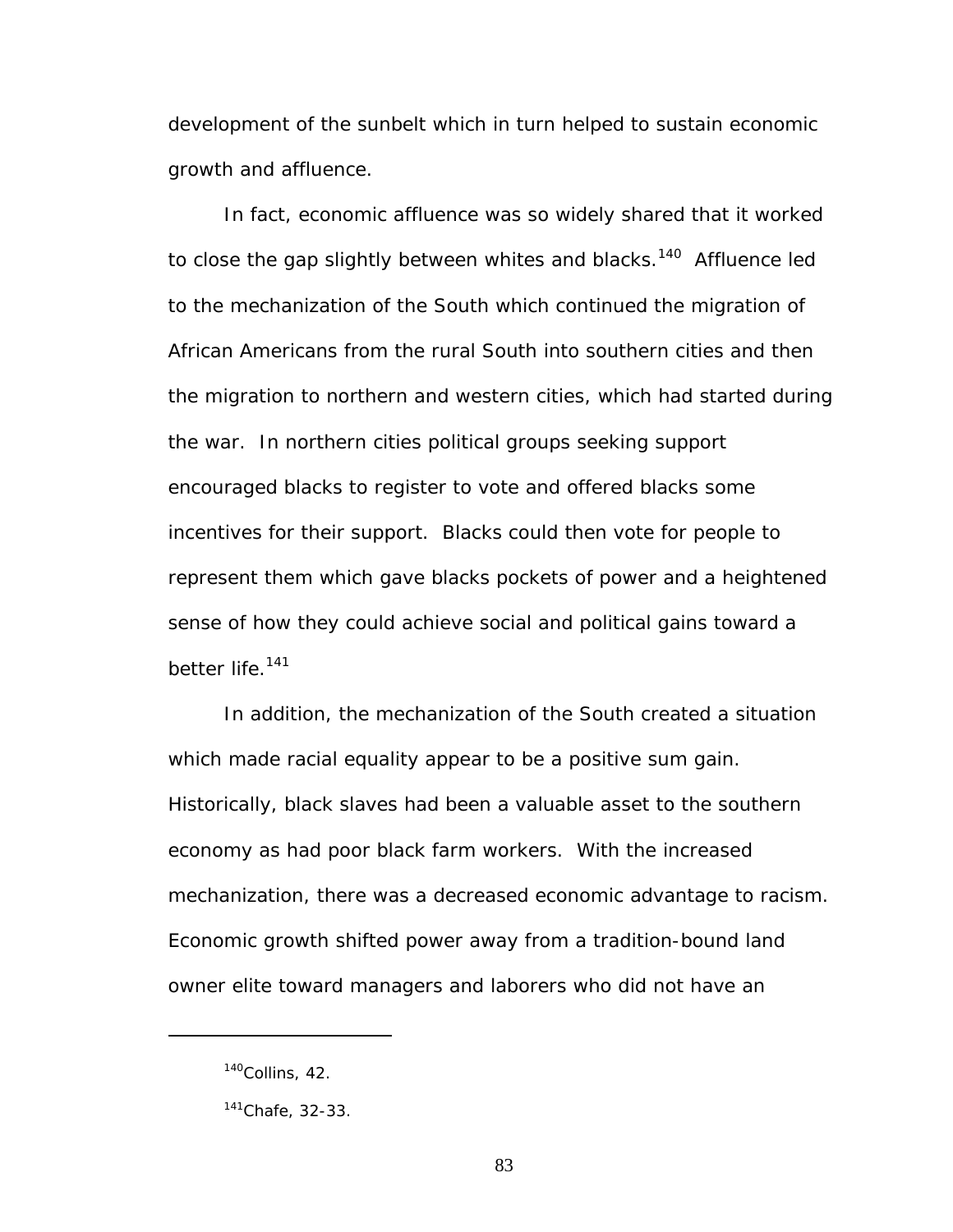development of the sunbelt which in turn helped to sustain economic growth and affluence.

In fact, economic affluence was so widely shared that it worked to close the gap slightly between whites and blacks.<sup>140</sup> Affluence led to the mechanization of the South which continued the migration of African Americans from the rural South into southern cities and then the migration to northern and western cities, which had started during the war. In northern cities political groups seeking support encouraged blacks to register to vote and offered blacks some incentives for their support. Blacks could then vote for people to represent them which gave blacks pockets of power and a heightened sense of how they could achieve social and political gains toward a better life.<sup>141</sup>

In addition, the mechanization of the South created a situation which made racial equality appear to be a positive sum gain. Historically, black slaves had been a valuable asset to the southern economy as had poor black farm workers. With the increased mechanization, there was a decreased economic advantage to racism. Economic growth shifted power away from a tradition-bound land owner elite toward managers and laborers who did not have an

<span id="page-89-0"></span> $140$ Collins, 42.

<span id="page-89-1"></span> $141$ Chafe, 32-33.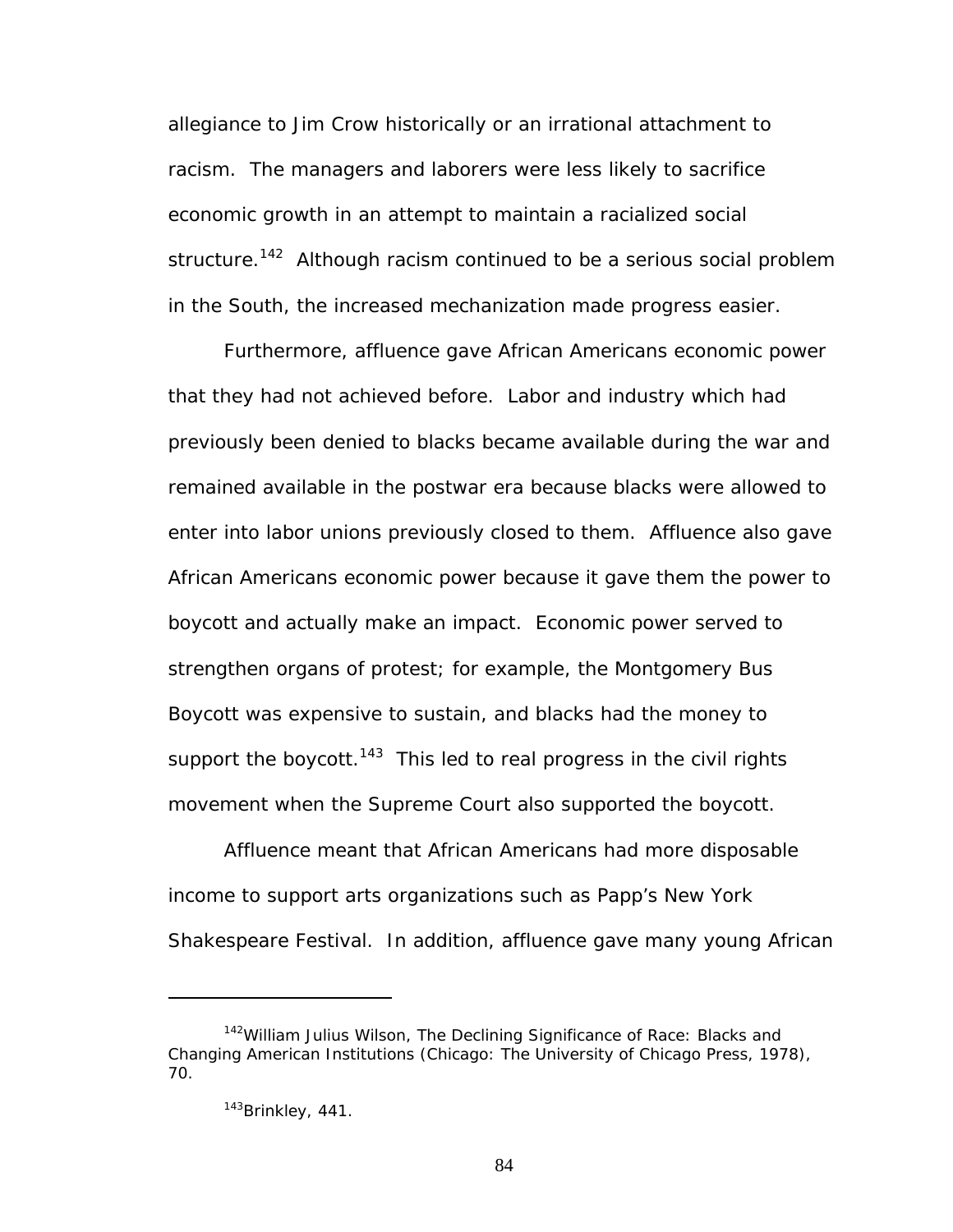allegiance to Jim Crow historically or an irrational attachment to racism. The managers and laborers were less likely to sacrifice economic growth in an attempt to maintain a racialized social structure.<sup>142</sup> Although racism continued to be a serious social problem in the South, the increased mechanization made progress easier.

Furthermore, affluence gave African Americans economic power that they had not achieved before. Labor and industry which had previously been denied to blacks became available during the war and remained available in the postwar era because blacks were allowed to enter into labor unions previously closed to them. Affluence also gave African Americans economic power because it gave them the power to boycott and actually make an impact. Economic power served to strengthen organs of protest; for example, the Montgomery Bus Boycott was expensive to sustain, and blacks had the money to support the boycott.<sup>143</sup> This led to real progress in the civil rights movement when the Supreme Court also supported the boycott.

Affluence meant that African Americans had more disposable income to support arts organizations such as Papp's New York Shakespeare Festival. In addition, affluence gave many young African

<span id="page-90-0"></span><sup>142</sup>William Julius Wilson, *The Declining Significance of Race: Blacks and Changing American Institutions* (Chicago: The University of Chicago Press, 1978), 70.

<span id="page-90-1"></span><sup>143</sup>Brinkley, 441.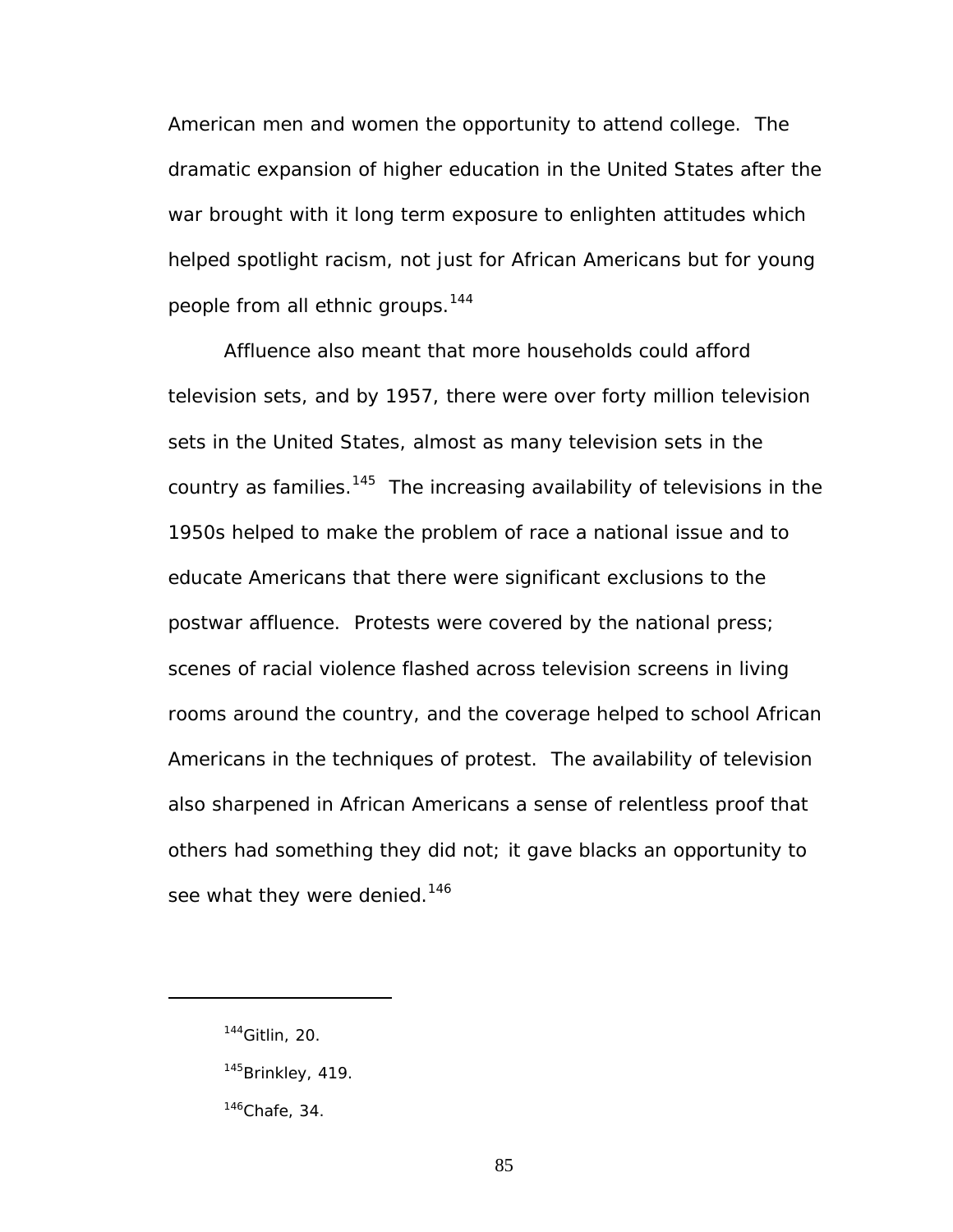American men and women the opportunity to attend college. The dramatic expansion of higher education in the United States after the war brought with it long term exposure to enlighten attitudes which helped spotlight racism, not just for African Americans but for young people from all ethnic groups.<sup>144</sup>

Affluence also meant that more households could afford television sets, and by 1957, there were over forty million television sets in the United States, almost as many television sets in the country as families. $145$  The increasing availability of televisions in the 1950s helped to make the problem of race a national issue and to educate Americans that there were significant exclusions to the postwar affluence. Protests were covered by the national press; scenes of racial violence flashed across television screens in living rooms around the country, and the coverage helped to school African Americans in the techniques of protest. The availability of television also sharpened in African Americans a sense of relentless proof that others had something they did not; it gave blacks an opportunity to see what they were denied.<sup>146</sup>

<span id="page-91-0"></span><sup>144</sup>Gitlin, 20.

<span id="page-91-1"></span><sup>&</sup>lt;sup>145</sup>Brinkley, 419.

<span id="page-91-2"></span> $146$ Chafe, 34.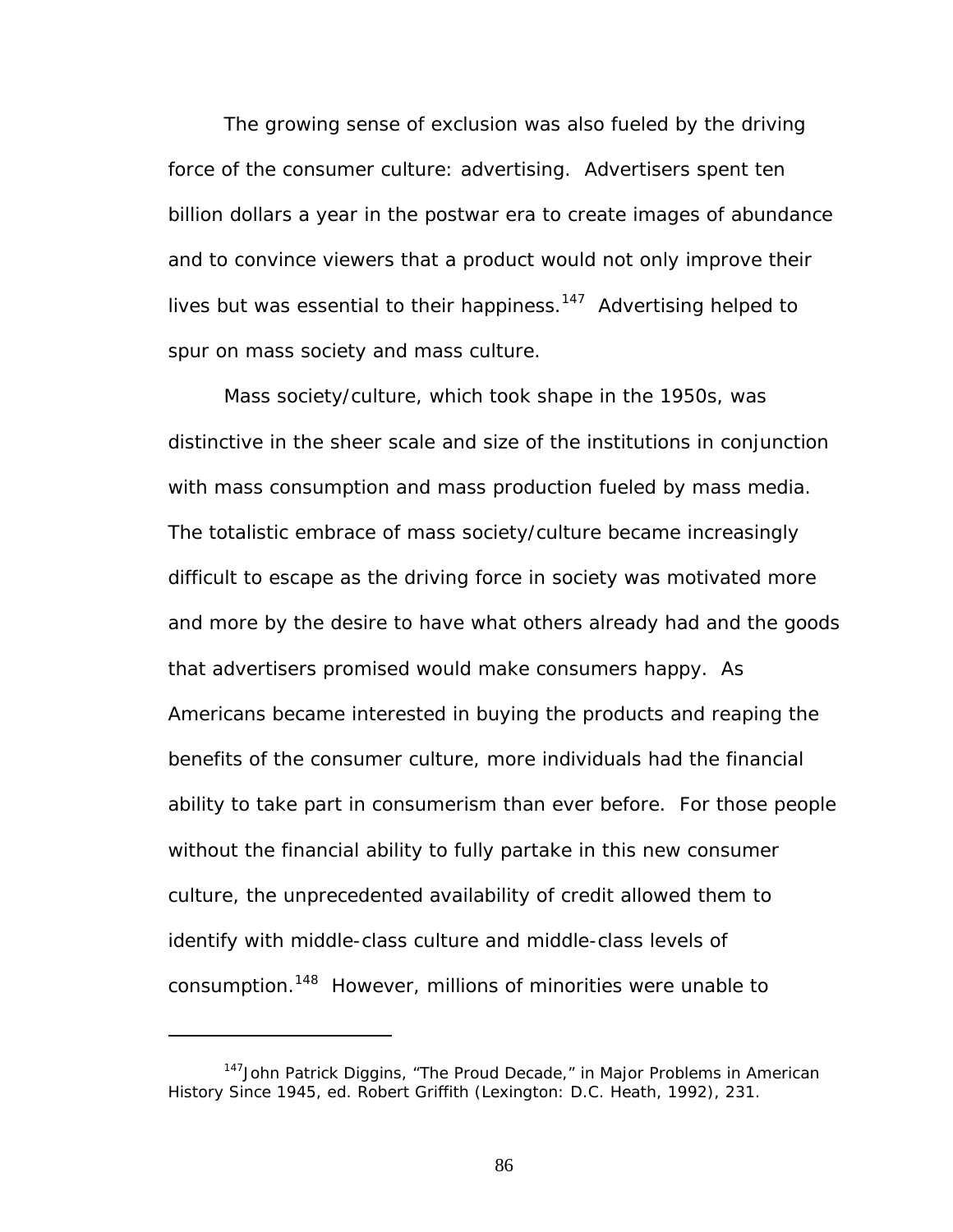The growing sense of exclusion was also fueled by the driving force of the consumer culture: advertising. Advertisers spent ten billion dollars a year in the postwar era to create images of abundance and to convince viewers that a product would not only improve their lives but was essential to their happiness.<sup>147</sup> Advertising helped to spur on mass society and mass culture.

Mass society/culture, which took shape in the 1950s, was distinctive in the sheer scale and size of the institutions in conjunction with mass consumption and mass production fueled by mass media. The totalistic embrace of mass society/culture became increasingly difficult to escape as the driving force in society was motivated more and more by the desire to have what others already had and the goods that advertisers promised would make consumers happy. As Americans became interested in buying the products and reaping the benefits of the consumer culture, more individuals had the financial ability to take part in consumerism than ever before. For those people without the financial ability to fully partake in this new consumer culture, the unprecedented availability of credit allowed them to identify with middle-class culture and middle-class levels of consumption.[148](#page-92-1) However, millions of minorities were unable to

<span id="page-92-1"></span><span id="page-92-0"></span><sup>147</sup>John Patrick Diggins, "The Proud Decade," in *Major Problems in American History Since 1945*, ed. Robert Griffith (Lexington: D.C. Heath, 1992), 231.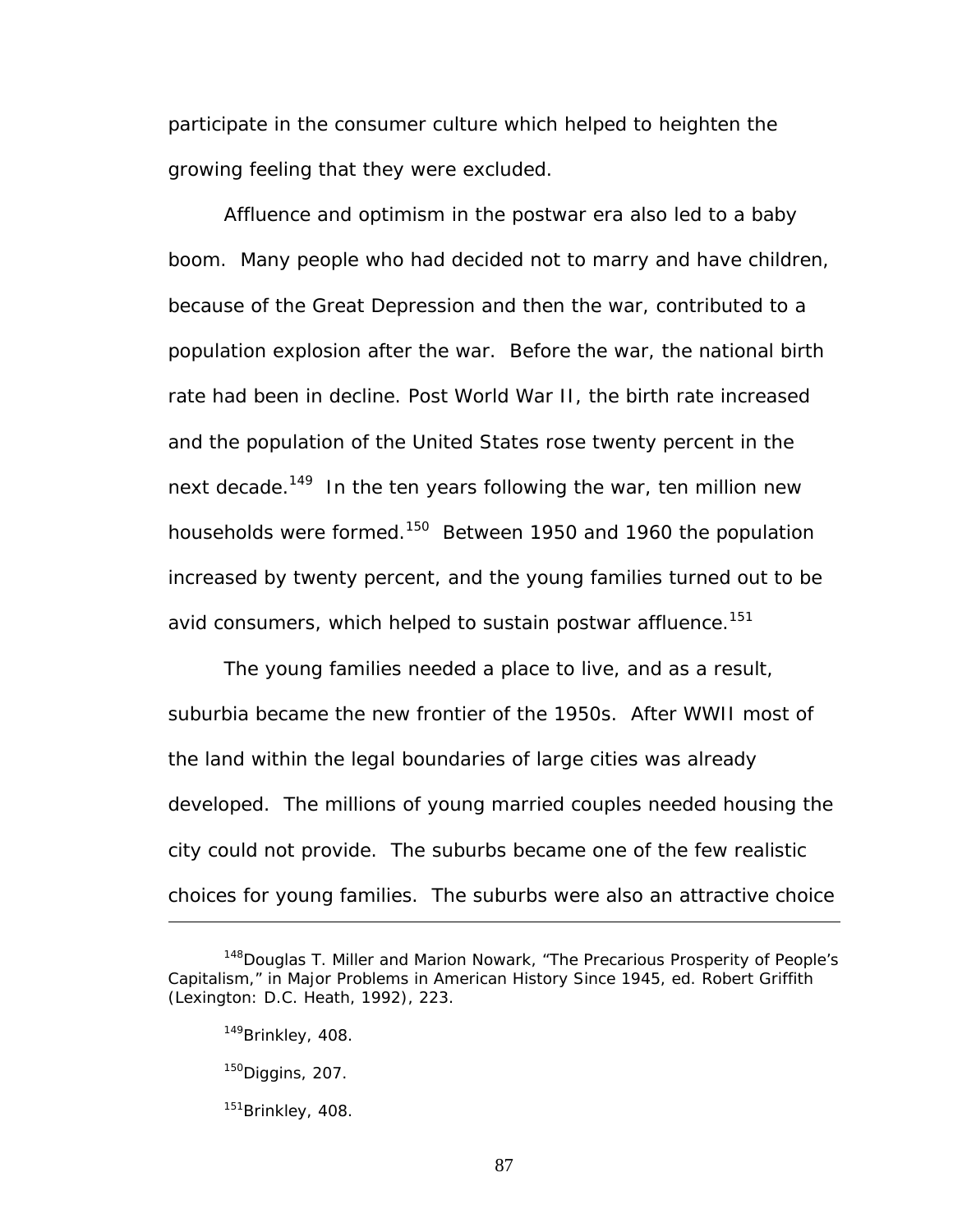participate in the consumer culture which helped to heighten the growing feeling that they were excluded.

Affluence and optimism in the postwar era also led to a baby boom. Many people who had decided not to marry and have children, because of the Great Depression and then the war, contributed to a population explosion after the war. Before the war, the national birth rate had been in decline. Post World War II, the birth rate increased and the population of the United States rose twenty percent in the next decade.<sup>149</sup> In the ten years following the war, ten million new households were formed.<sup>150</sup> Between 1950 and 1960 the population increased by twenty percent, and the young families turned out to be avid consumers, which helped to sustain postwar affluence.<sup>151</sup>

The young families needed a place to live, and as a result, suburbia became the new frontier of the 1950s. After WWII most of the land within the legal boundaries of large cities was already developed. The millions of young married couples needed housing the city could not provide. The suburbs became one of the few realistic choices for young families. The suburbs were also an attractive choice

<sup>&</sup>lt;sup>148</sup>Douglas T. Miller and Marion Nowark, "The Precarious Prosperity of People's Capitalism," in *Major Problems in American History Since 1945*, ed. Robert Griffith (Lexington: D.C. Heath, 1992), 223.

<span id="page-93-0"></span><sup>&</sup>lt;sup>149</sup>Brinkley, 408.

<span id="page-93-1"></span> $150$ Diggins, 207.

<span id="page-93-2"></span><sup>&</sup>lt;sup>151</sup>Brinkley, 408.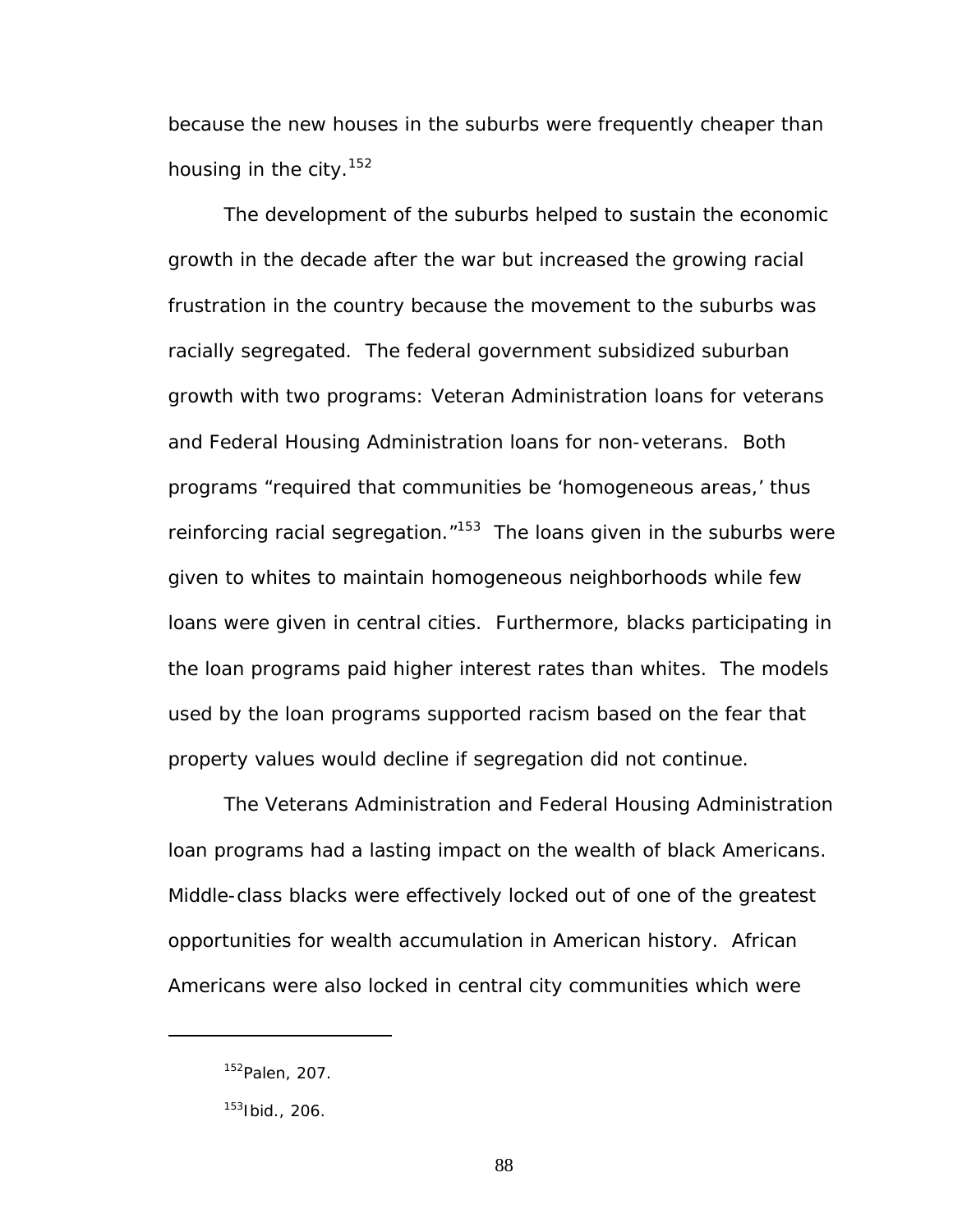because the new houses in the suburbs were frequently cheaper than housing in the city. $152$ 

The development of the suburbs helped to sustain the economic growth in the decade after the war but increased the growing racial frustration in the country because the movement to the suburbs was racially segregated. The federal government subsidized suburban growth with two programs: Veteran Administration loans for veterans and Federal Housing Administration loans for non-veterans. Both programs "required that communities be 'homogeneous areas,' thus reinforcing racial segregation. $153$  The loans given in the suburbs were given to whites to maintain homogeneous neighborhoods while few loans were given in central cities. Furthermore, blacks participating in the loan programs paid higher interest rates than whites. The models used by the loan programs supported racism based on the fear that property values would decline if segregation did not continue.

The Veterans Administration and Federal Housing Administration loan programs had a lasting impact on the wealth of black Americans. Middle-class blacks were effectively locked out of one of the greatest opportunities for wealth accumulation in American history. African Americans were also locked in central city communities which were

<span id="page-94-0"></span><sup>152</sup>Palen, 207.

<span id="page-94-1"></span><sup>153</sup>Ibid., 206.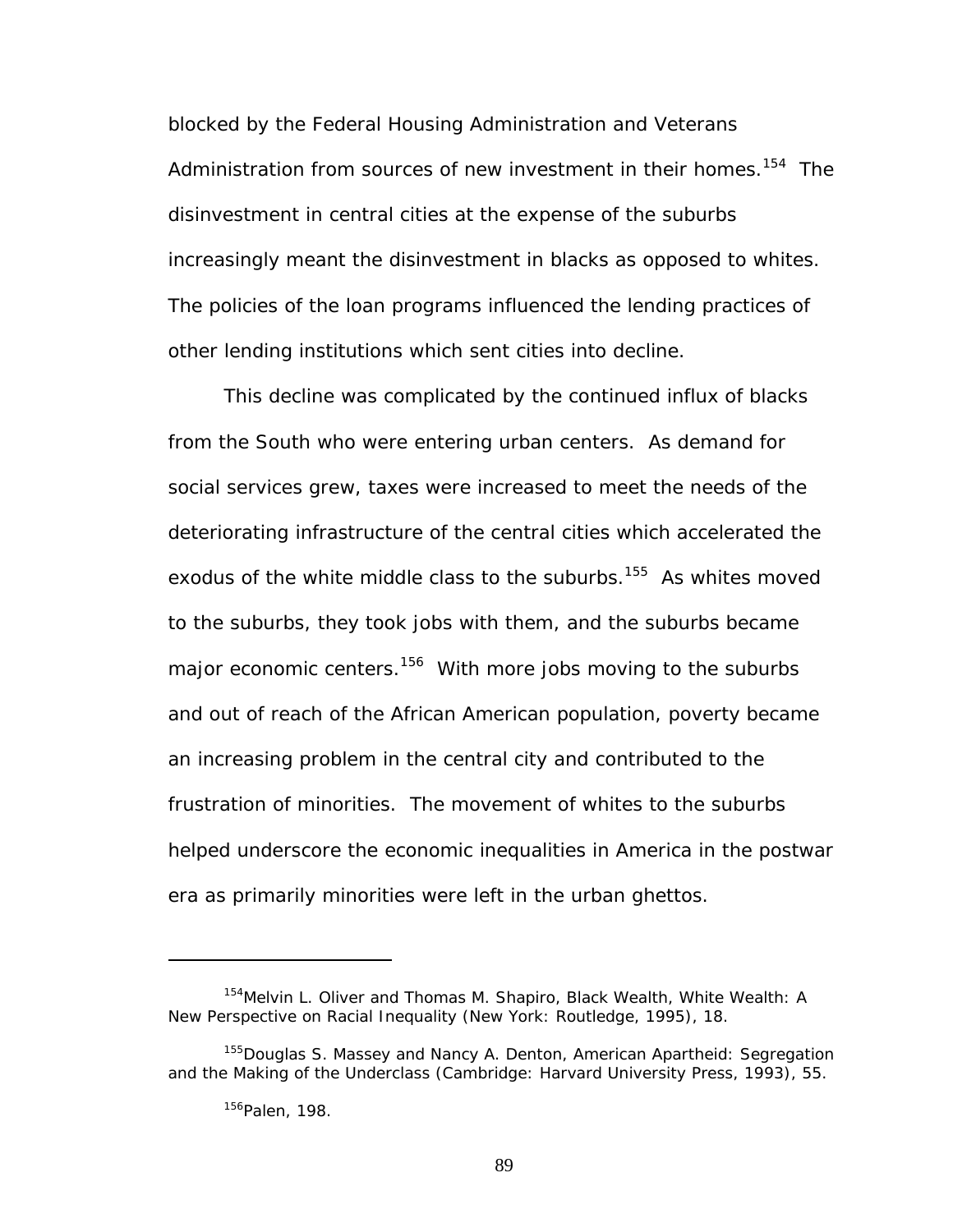blocked by the Federal Housing Administration and Veterans Administration from sources of new investment in their homes.<sup>154</sup> The disinvestment in central cities at the expense of the suburbs increasingly meant the disinvestment in blacks as opposed to whites. The policies of the loan programs influenced the lending practices of other lending institutions which sent cities into decline.

This decline was complicated by the continued influx of blacks from the South who were entering urban centers. As demand for social services grew, taxes were increased to meet the needs of the deteriorating infrastructure of the central cities which accelerated the exodus of the white middle class to the suburbs.<sup>155</sup> As whites moved to the suburbs, they took jobs with them, and the suburbs became major economic centers.<sup>156</sup> With more jobs moving to the suburbs and out of reach of the African American population, poverty became an increasing problem in the central city and contributed to the frustration of minorities. The movement of whites to the suburbs helped underscore the economic inequalities in America in the postwar era as primarily minorities were left in the urban ghettos.

<span id="page-95-0"></span><sup>154</sup>Melvin L. Oliver and Thomas M. Shapiro, *Black Wealth, White Wealth: A New Perspective on Racial Inequality* (New York: Routledge, 1995), 18.

<span id="page-95-1"></span><sup>155</sup>Douglas S. Massey and Nancy A. Denton, *American Apartheid: Segregation and the Making of the Underclass* (Cambridge: Harvard University Press, 1993), 55.

<span id="page-95-2"></span><sup>156</sup> Palen, 198.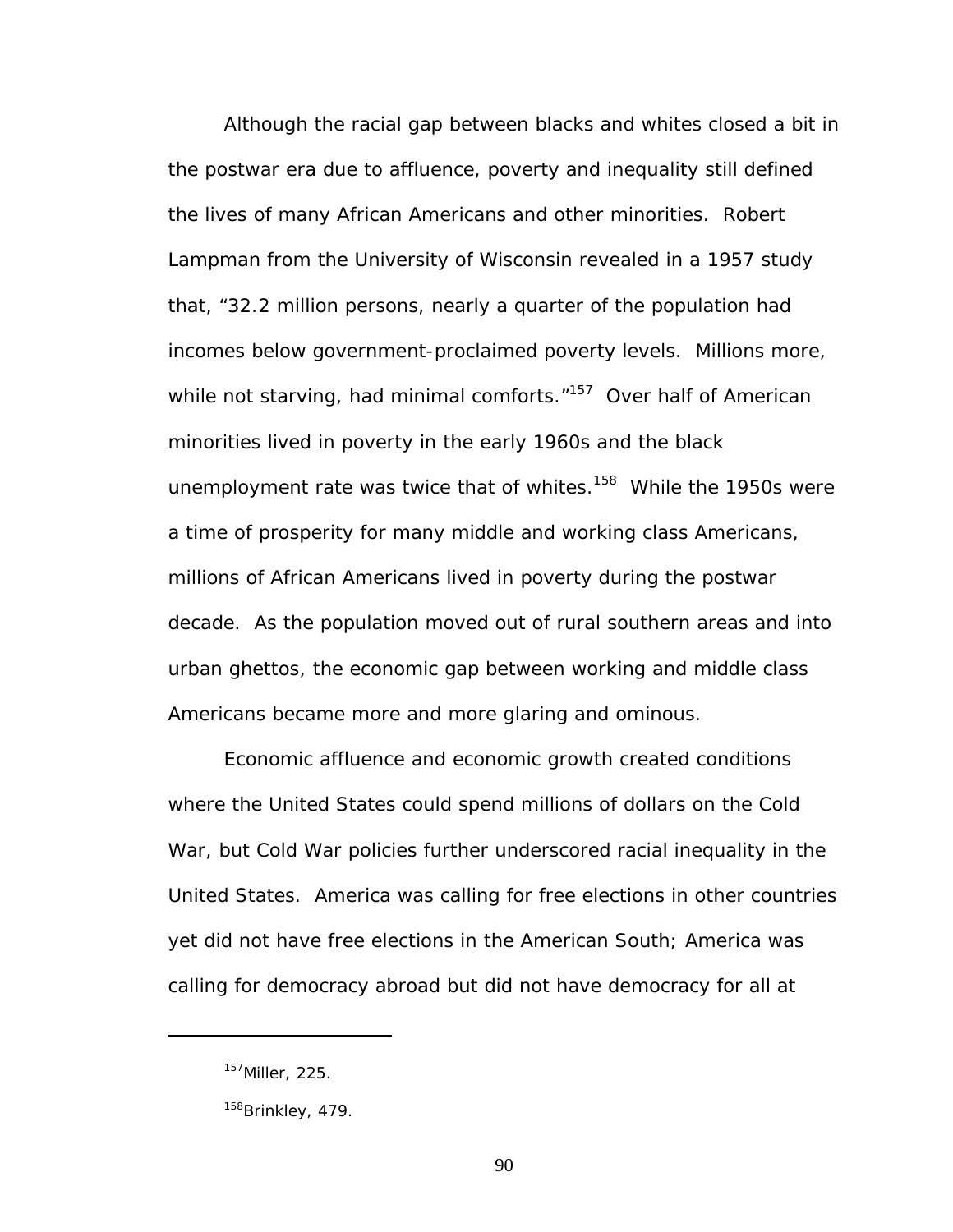Although the racial gap between blacks and whites closed a bit in the postwar era due to affluence, poverty and inequality still defined the lives of many African Americans and other minorities. Robert Lampman from the University of Wisconsin revealed in a 1957 study that, "32.2 million persons, nearly a quarter of the population had incomes below government-proclaimed poverty levels. Millions more, while not starving, had minimal comforts."<sup>157</sup> Over half of American minorities lived in poverty in the early 1960s and the black unemployment rate was twice that of whites. $158$  While the 1950s were a time of prosperity for many middle and working class Americans, millions of African Americans lived in poverty during the postwar decade. As the population moved out of rural southern areas and into urban ghettos, the economic gap between working and middle class Americans became more and more glaring and ominous.

Economic affluence and economic growth created conditions where the United States could spend millions of dollars on the Cold War, but Cold War policies further underscored racial inequality in the United States. America was calling for free elections in other countries yet did not have free elections in the American South; America was calling for democracy abroad but did not have democracy for all at

<span id="page-96-0"></span><sup>157</sup>Miller, 225.

<span id="page-96-1"></span><sup>&</sup>lt;sup>158</sup>Brinkley, 479.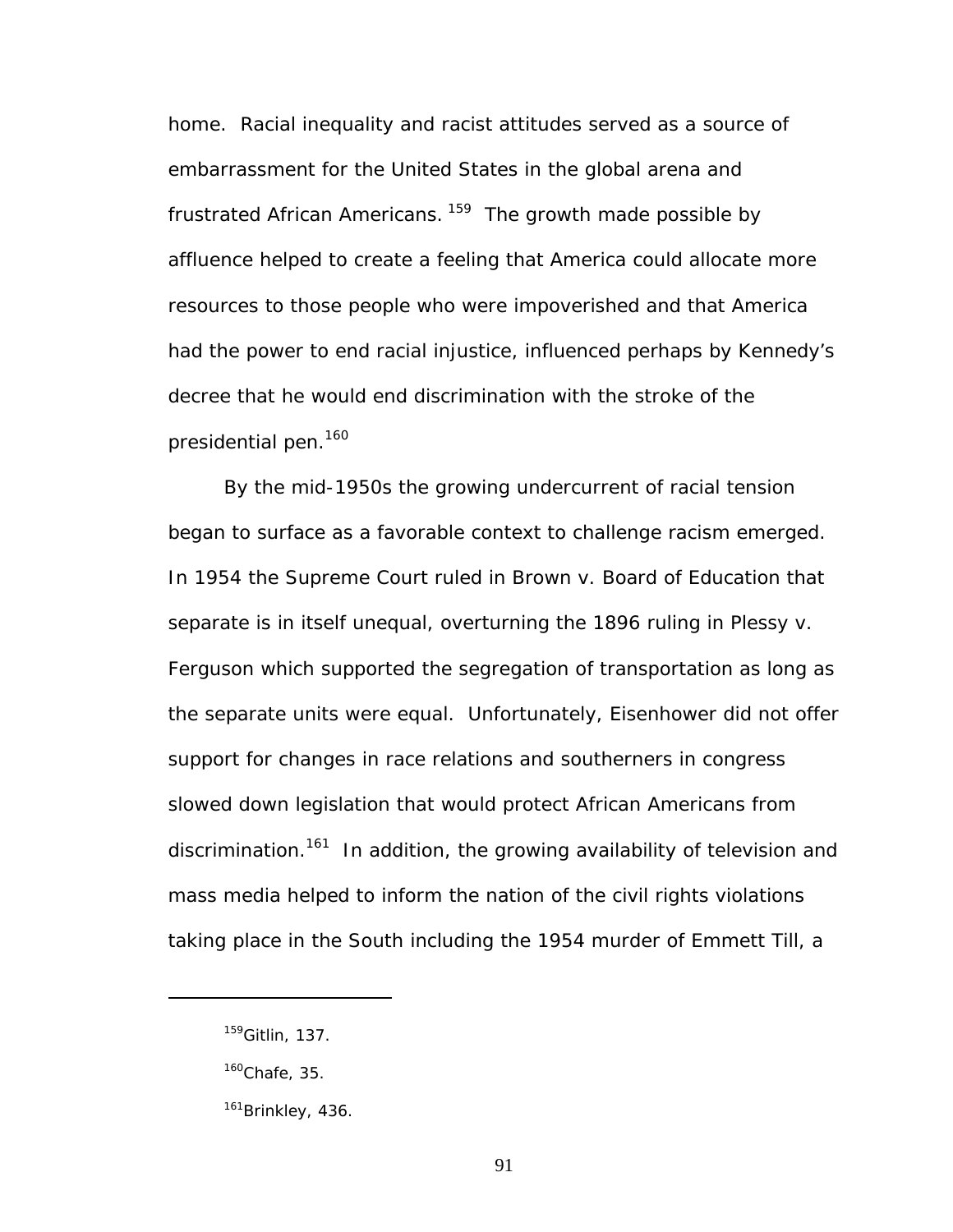home. Racial inequality and racist attitudes served as a source of embarrassment for the United States in the global arena and frustrated African Americans.  $159$  The growth made possible by affluence helped to create a feeling that America could allocate more resources to those people who were impoverished and that America had the power to end racial injustice, influenced perhaps by Kennedy's decree that he would end discrimination with the stroke of the presidential pen.<sup>160</sup>

By the mid-1950s the growing undercurrent of racial tension began to surface as a favorable context to challenge racism emerged. In 1954 the Supreme Court ruled in *Brown v. Board of Education* that separate is in itself unequal, overturning the 1896 ruling in *Plessy v. Ferguson* which supported the segregation of transportation as long as the separate units were equal. Unfortunately, Eisenhower did not offer support for changes in race relations and southerners in congress slowed down legislation that would protect African Americans from discrimination.<sup>161</sup> In addition, the growing availability of television and mass media helped to inform the nation of the civil rights violations taking place in the South including the 1954 murder of Emmett Till, a

<span id="page-97-0"></span><sup>159</sup>Gitlin, 137.

<span id="page-97-1"></span> $160$ Chafe, 35.

<span id="page-97-2"></span><sup>&</sup>lt;sup>161</sup>Brinkley, 436.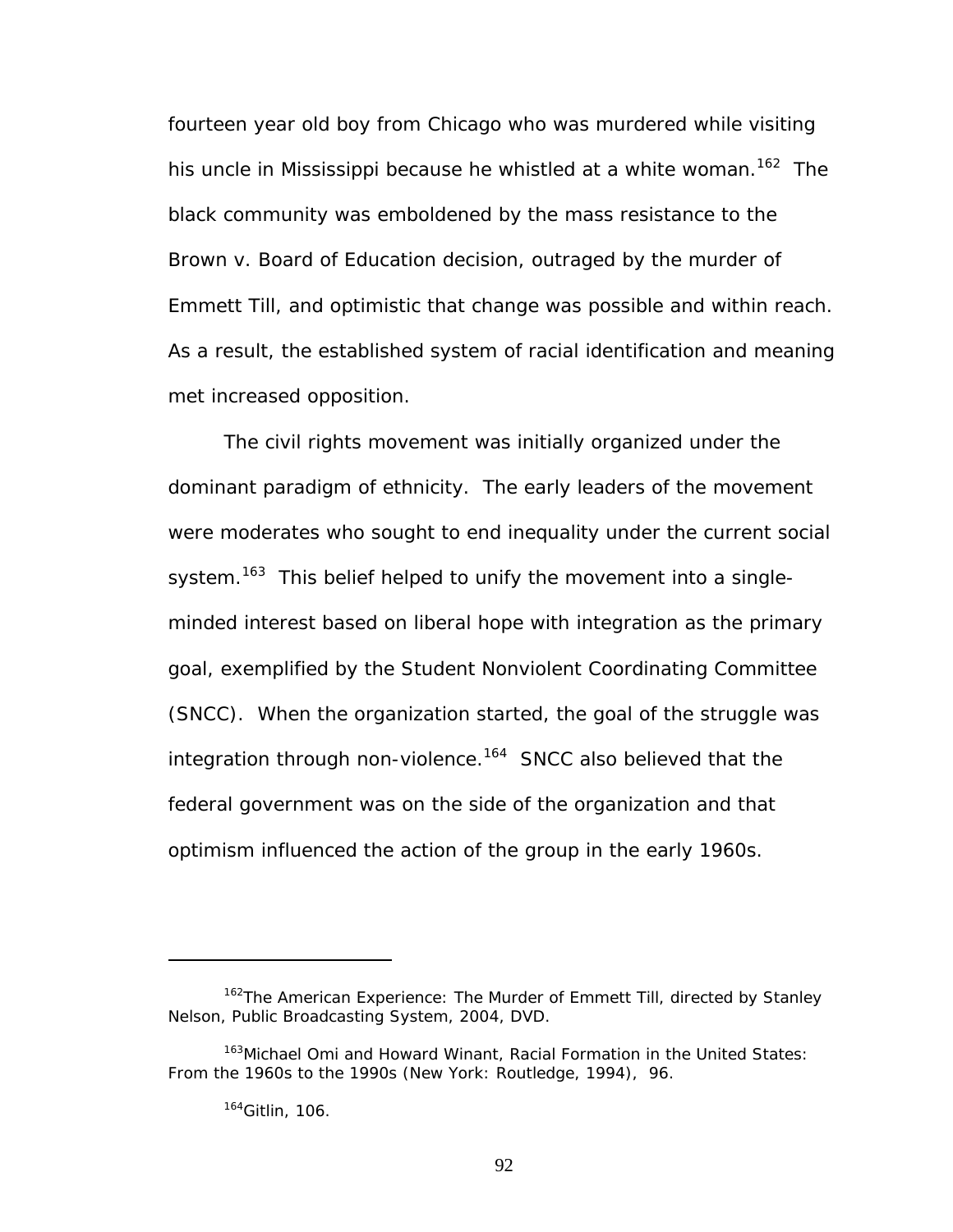fourteen year old boy from Chicago who was murdered while visiting his uncle in Mississippi because he whistled at a white woman.<sup>162</sup> The black community was emboldened by the mass resistance to the *Brown v. Board of Education* decision, outraged by the murder of Emmett Till, and optimistic that change was possible and within reach. As a result, the established system of racial identification and meaning met increased opposition.

The civil rights movement was initially organized under the dominant paradigm of ethnicity. The early leaders of the movement were moderates who sought to end inequality under the current social system.<sup>163</sup> This belief helped to unify the movement into a singleminded interest based on liberal hope with integration as the primary goal, exemplified by the Student Nonviolent Coordinating Committee (SNCC). When the organization started, the goal of the struggle was integration through non-violence.<sup>164</sup> SNCC also believed that the federal government was on the side of the organization and that optimism influenced the action of the group in the early 1960s.

<span id="page-98-0"></span><sup>162</sup>*The American Experience: The Murder of Emmett Till*, directed by Stanley Nelson, Public Broadcasting System, 2004, DVD.

<span id="page-98-1"></span><sup>163</sup>Michael Omi and Howard Winant, *Racial Formation in the United States: From the 1960s to the 1990s* (New York: Routledge, 1994), 96.

<span id="page-98-2"></span><sup>164</sup>Gitlin, 106.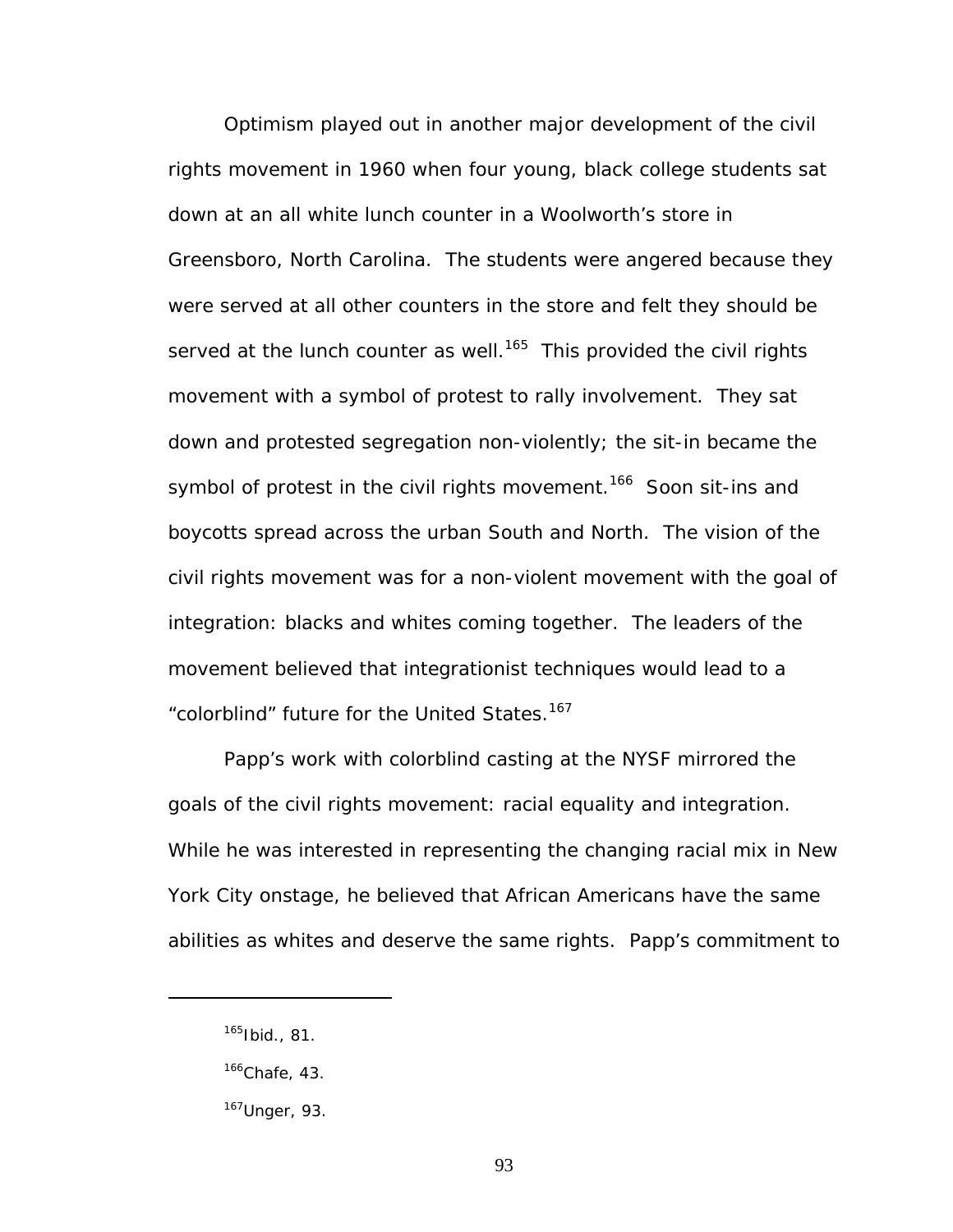Optimism played out in another major development of the civil rights movement in 1960 when four young, black college students sat down at an all white lunch counter in a Woolworth's store in Greensboro, North Carolina. The students were angered because they were served at all other counters in the store and felt they should be served at the lunch counter as well.<sup>165</sup> This provided the civil rights movement with a symbol of protest to rally involvement. They sat down and protested segregation non-violently; the sit-in became the symbol of protest in the civil rights movement.<sup>166</sup> Soon sit-ins and boycotts spread across the urban South and North. The vision of the civil rights movement was for a non-violent movement with the goal of integration: blacks and whites coming together. The leaders of the movement believed that integrationist techniques would lead to a "colorblind" future for the United States.<sup>[167](#page-99-2)</sup>

Papp's work with colorblind casting at the NYSF mirrored the goals of the civil rights movement: racial equality and integration. While he was interested in representing the changing racial mix in New York City onstage, he believed that African Americans have the same abilities as whites and deserve the same rights. Papp's commitment to

<span id="page-99-0"></span> $165$ Ibid., 81.

<span id="page-99-1"></span> $166$ Chafe, 43.

<span id="page-99-2"></span><sup>167</sup>Unger, 93.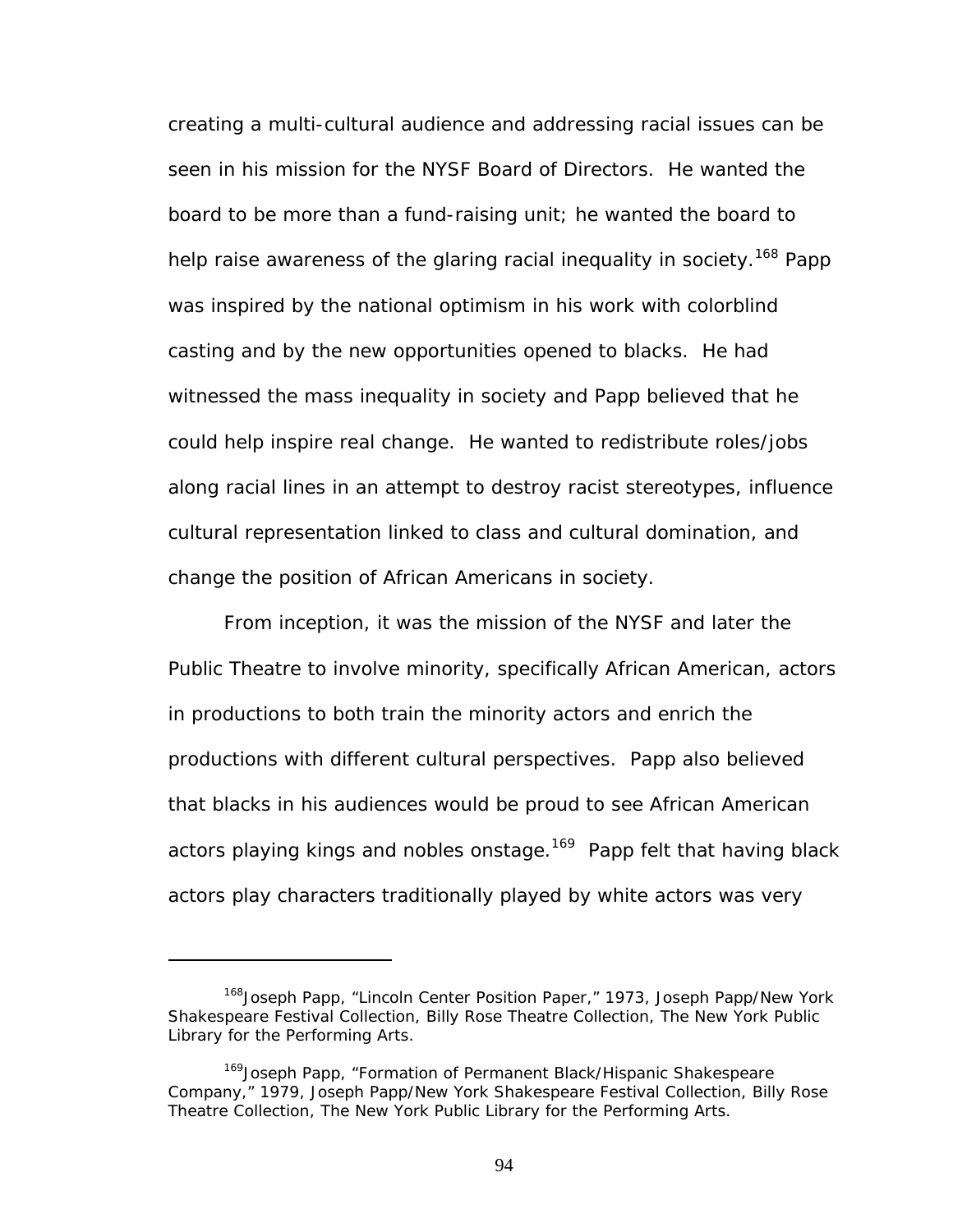creating a multi-cultural audience and addressing racial issues can be seen in his mission for the NYSF Board of Directors. He wanted the board to be more than a fund-raising unit; he wanted the board to help raise awareness of the glaring racial inequality in society.<sup>168</sup> Papp was inspired by the national optimism in his work with colorblind casting and by the new opportunities opened to blacks. He had witnessed the mass inequality in society and Papp believed that he could help inspire real change. He wanted to redistribute roles/jobs along racial lines in an attempt to destroy racist stereotypes, influence cultural representation linked to class and cultural domination, and change the position of African Americans in society.

From inception, it was the mission of the NYSF and later the Public Theatre to involve minority, specifically African American, actors in productions to both train the minority actors and enrich the productions with different cultural perspectives. Papp also believed that blacks in his audiences would be proud to see African American actors playing kings and nobles onstage.<sup>169</sup> Papp felt that having black actors play characters traditionally played by white actors was very

<span id="page-100-0"></span><sup>&</sup>lt;sup>168</sup> Joseph Papp, "Lincoln Center Position Paper," 1973, Joseph Papp/New York Shakespeare Festival Collection, Billy Rose Theatre Collection, The New York Public Library for the Performing Arts.

<span id="page-100-1"></span><sup>&</sup>lt;sup>169</sup>Joseph Papp, "Formation of Permanent Black/Hispanic Shakespeare Company," 1979, Joseph Papp/New York Shakespeare Festival Collection, Billy Rose Theatre Collection, The New York Public Library for the Performing Arts.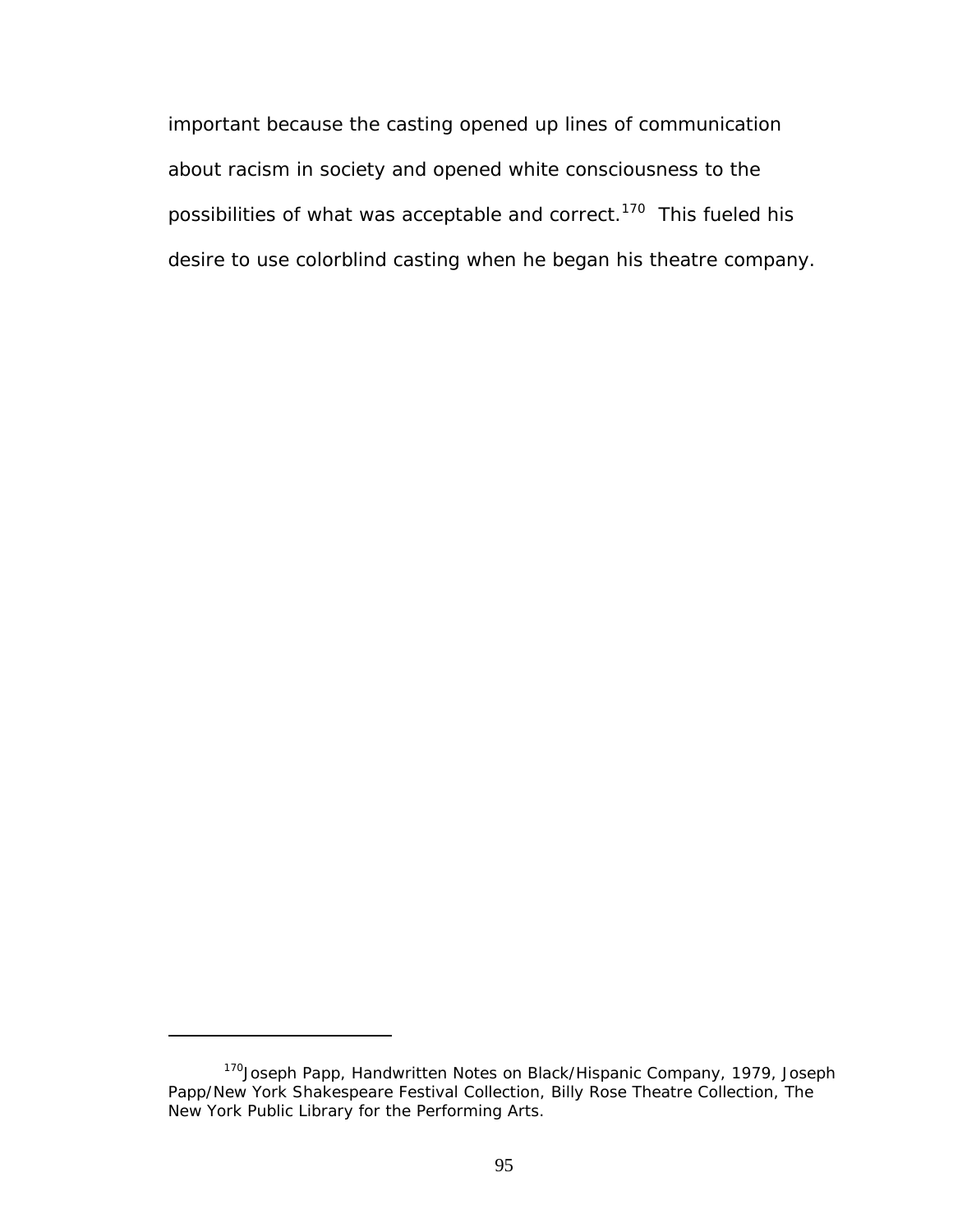important because the casting opened up lines of communication about racism in society and opened white consciousness to the possibilities of what was acceptable and correct.<sup>170</sup> This fueled his desire to use colorblind casting when he began his theatre company.

<span id="page-101-0"></span><sup>&</sup>lt;sup>170</sup>Joseph Papp, Handwritten Notes on Black/Hispanic Company, 1979, Joseph Papp/New York Shakespeare Festival Collection, Billy Rose Theatre Collection, The New York Public Library for the Performing Arts.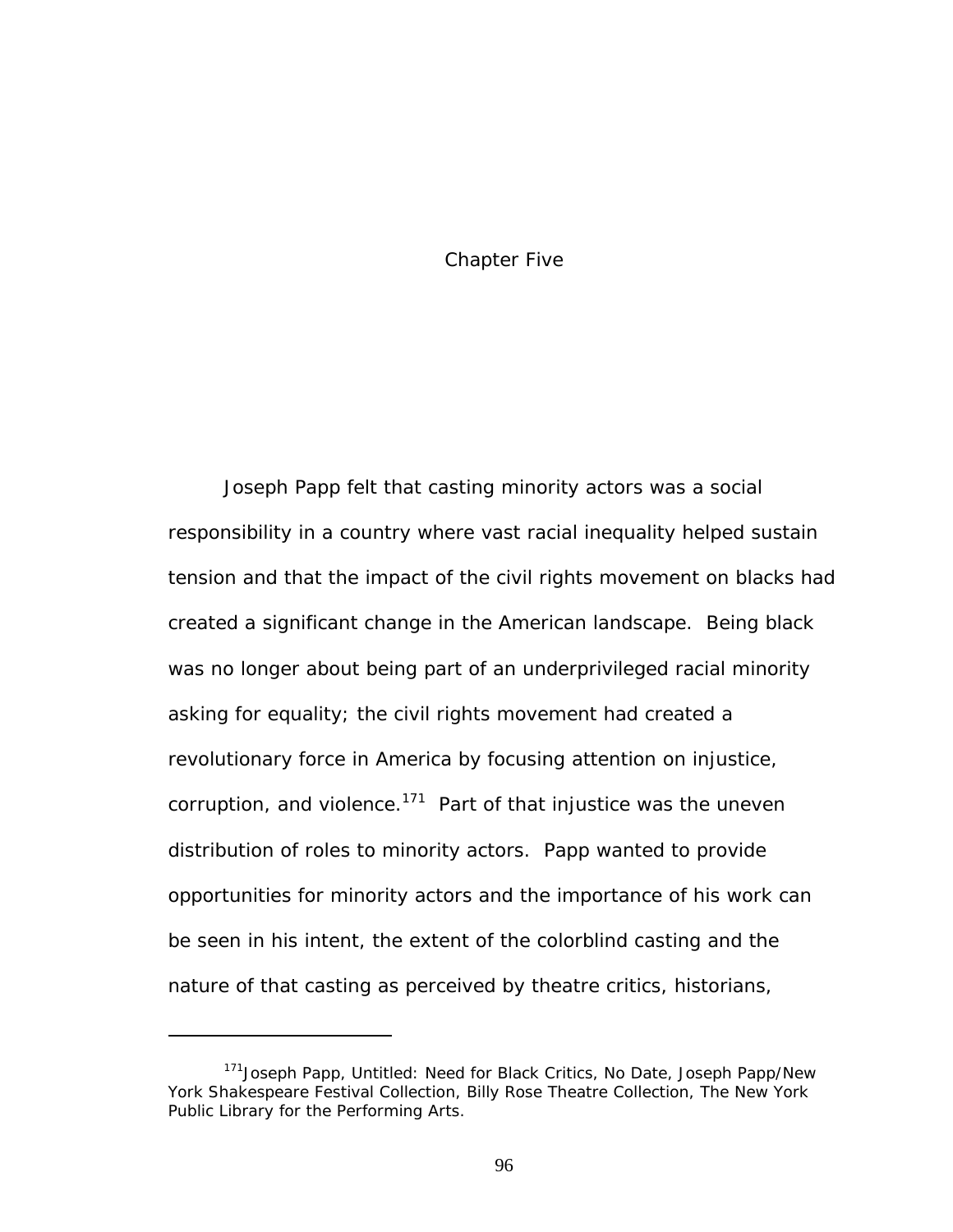## Chapter Five

Joseph Papp felt that casting minority actors was a social responsibility in a country where vast racial inequality helped sustain tension and that the impact of the civil rights movement on blacks had created a significant change in the American landscape. Being black was no longer about being part of an underprivileged racial minority asking for equality; the civil rights movement had created a revolutionary force in America by focusing attention on injustice, corruption, and violence.<sup>171</sup> Part of that injustice was the uneven distribution of roles to minority actors. Papp wanted to provide opportunities for minority actors and the importance of his work can be seen in his intent, the extent of the colorblind casting and the nature of that casting as perceived by theatre critics, historians,

<span id="page-102-0"></span><sup>&</sup>lt;sup>171</sup> Joseph Papp, Untitled: Need for Black Critics, No Date, Joseph Papp/New York Shakespeare Festival Collection, Billy Rose Theatre Collection, The New York Public Library for the Performing Arts.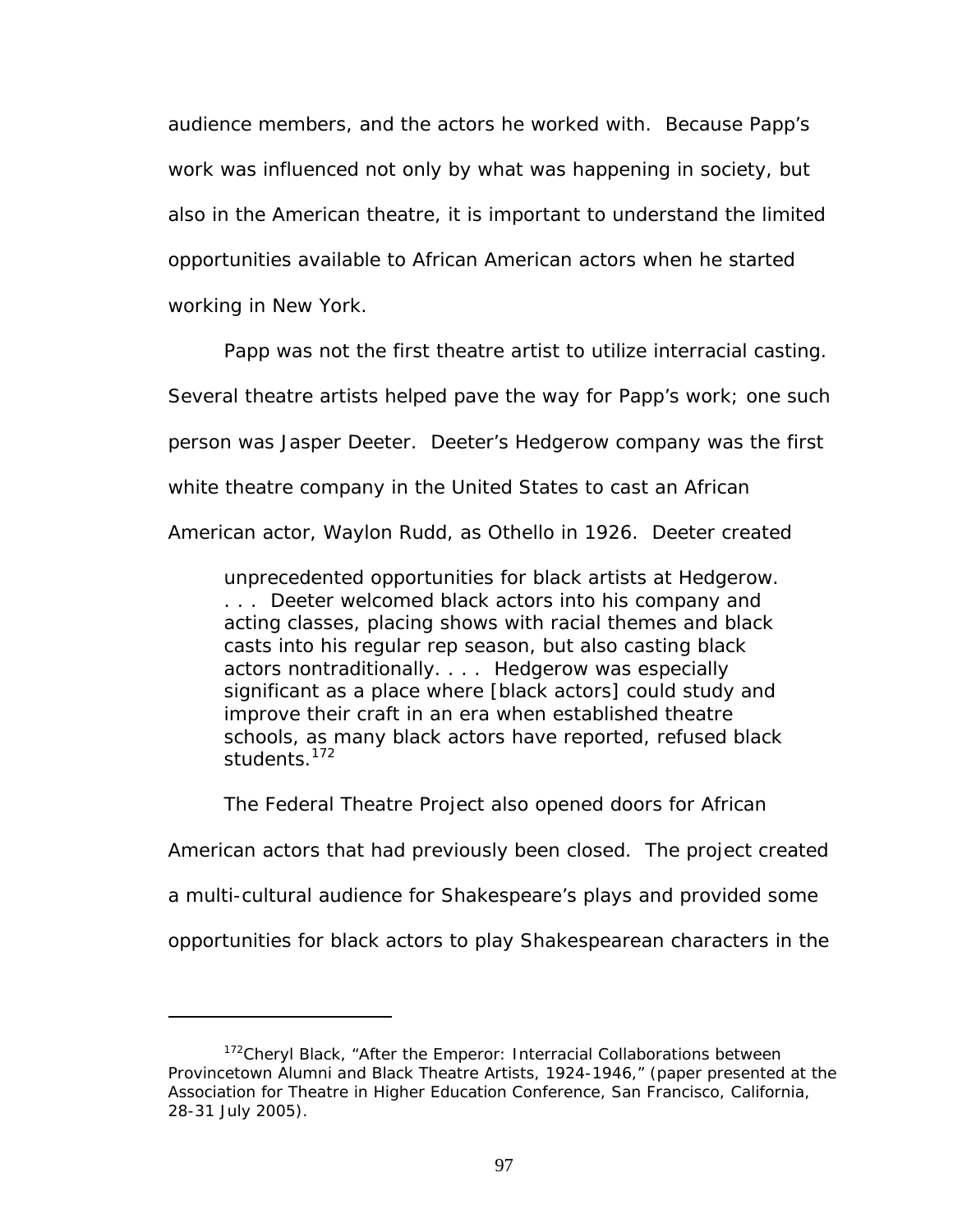audience members, and the actors he worked with. Because Papp's work was influenced not only by what was happening in society, but also in the American theatre, it is important to understand the limited opportunities available to African American actors when he started working in New York.

Papp was not the first theatre artist to utilize interracial casting. Several theatre artists helped pave the way for Papp's work; one such person was Jasper Deeter. Deeter's Hedgerow company was the first white theatre company in the United States to cast an African American actor, Waylon Rudd, as Othello in 1926. Deeter created

unprecedented opportunities for black artists at Hedgerow. . . . Deeter welcomed black actors into his company and acting classes, placing shows with racial themes and black casts into his regular rep season, but also casting black actors nontraditionally. . . . Hedgerow was especially significant as a place where [black actors] could study and improve their craft in an era when established theatre schools, as many black actors have reported, refused black students.<sup>172</sup>

The Federal Theatre Project also opened doors for African

American actors that had previously been closed. The project created

a multi-cultural audience for Shakespeare's plays and provided some

opportunities for black actors to play Shakespearean characters in the

<span id="page-103-0"></span><sup>&</sup>lt;sup>172</sup>Cheryl Black, "After the Emperor: Interracial Collaborations between Provincetown Alumni and Black Theatre Artists, 1924-1946," (paper presented at the Association for Theatre in Higher Education Conference, San Francisco, California, 28-31 July 2005).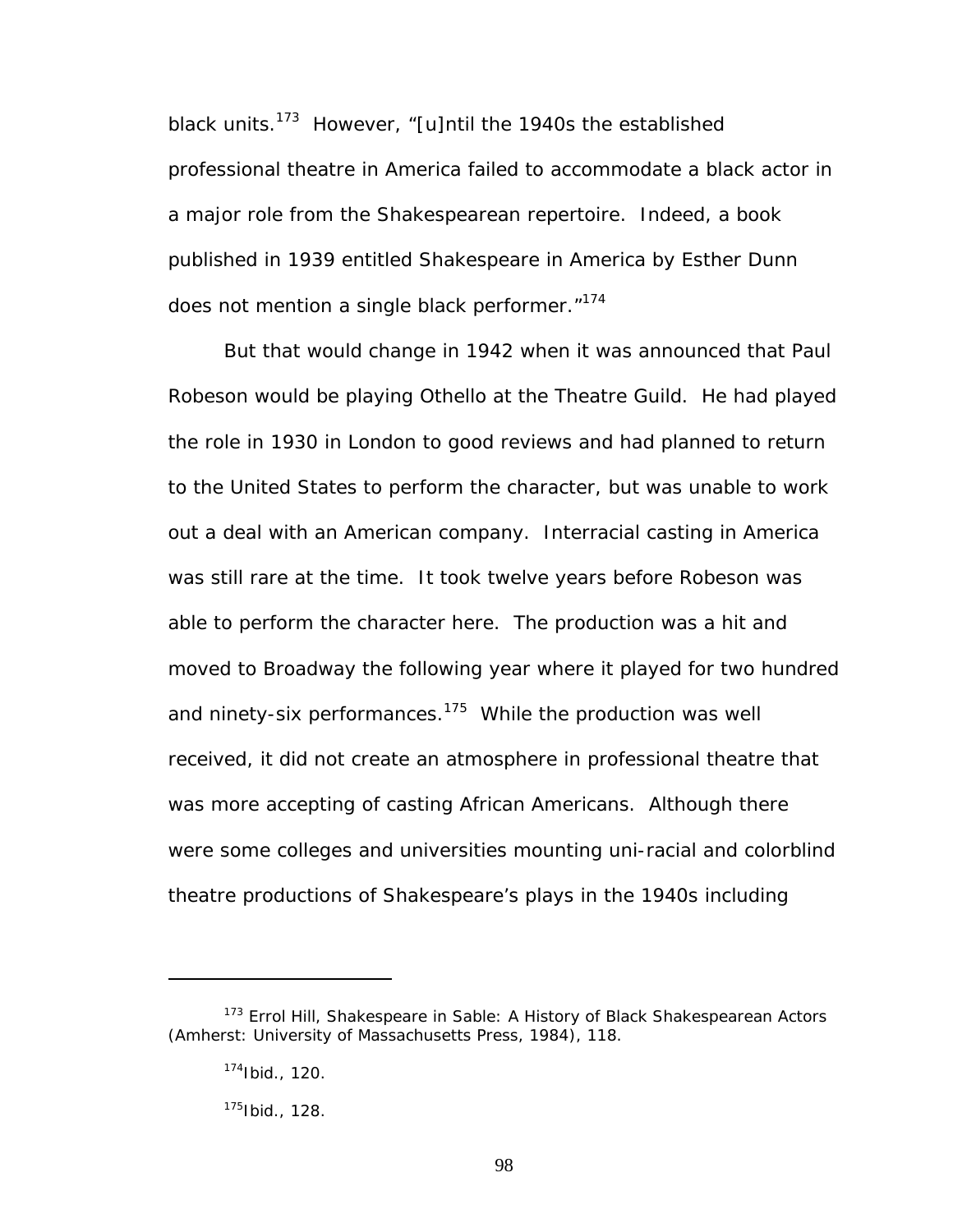black units.<sup>173</sup> However, "[u]ntil the 1940s the established professional theatre in America failed to accommodate a black actor in a major role from the Shakespearean repertoire. Indeed, a book published in 1939 entitled *Shakespeare in America* by Esther Dunn does not mention a single black performer."<sup>174</sup>

But that would change in 1942 when it was announced that Paul Robeson would be playing Othello at the Theatre Guild. He had played the role in 1930 in London to good reviews and had planned to return to the United States to perform the character, but was unable to work out a deal with an American company. Interracial casting in America was still rare at the time. It took twelve years before Robeson was able to perform the character here. The production was a hit and moved to Broadway the following year where it played for two hundred and ninety-six performances. $175$  While the production was well received, it did not create an atmosphere in professional theatre that was more accepting of casting African Americans. Although there were some colleges and universities mounting uni-racial and colorblind theatre productions of Shakespeare's plays in the 1940s including

<span id="page-104-0"></span><sup>173</sup> Errol Hill, *Shakespeare in Sable: A History of Black Shakespearean Actors* (Amherst: University of Massachusetts Press, 1984), 118.

<span id="page-104-1"></span><sup>174</sup>Ibid., 120.

<span id="page-104-2"></span><sup>175</sup>Ibid., 128.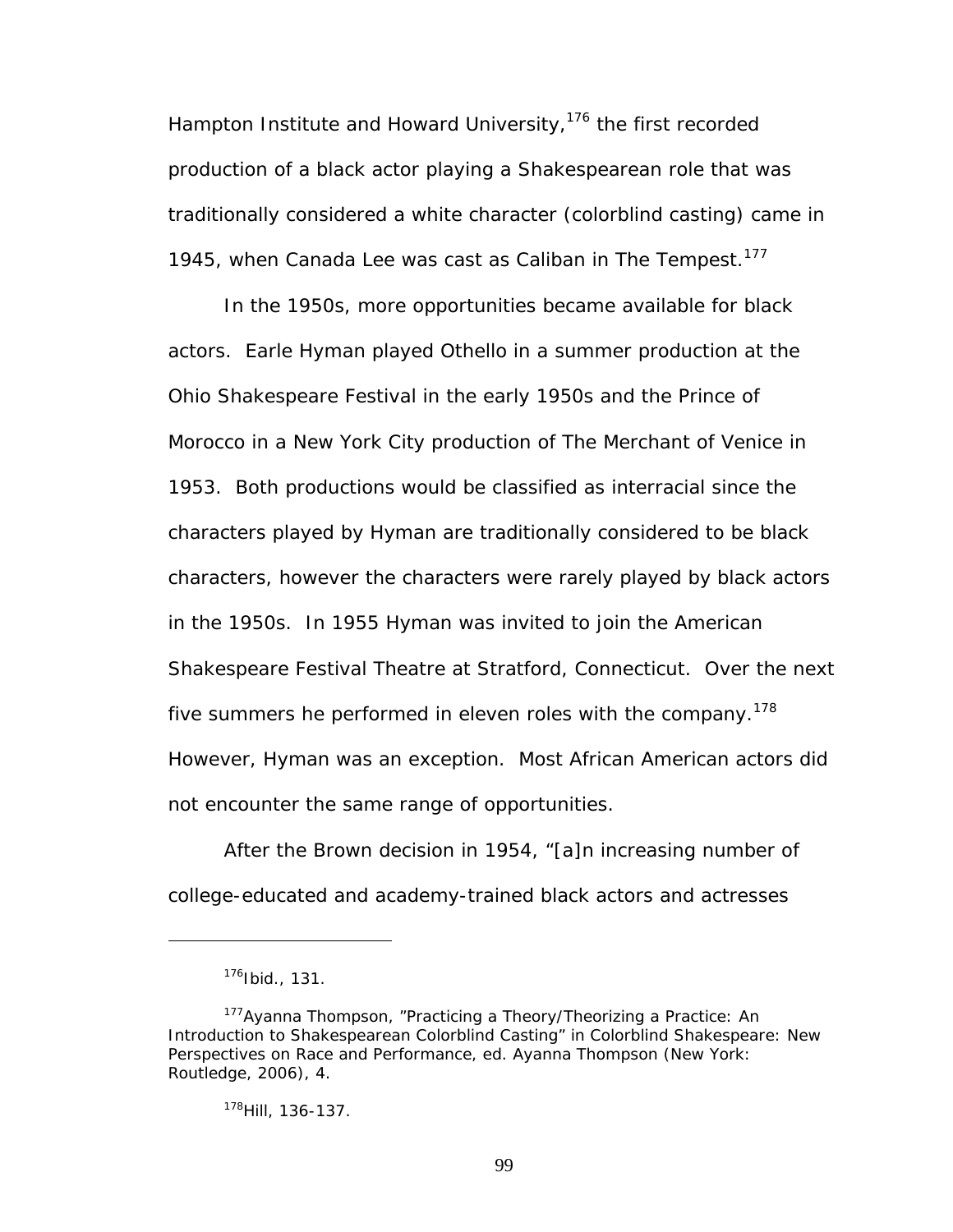Hampton Institute and Howard University,  $176$  the first recorded production of a black actor playing a Shakespearean role that was traditionally considered a white character (colorblind casting) came in 1945, when Canada Lee was cast as Caliban in *The Tempest*. [177](#page-105-1) 

In the 1950s, more opportunities became available for black actors. Earle Hyman played Othello in a summer production at the Ohio Shakespeare Festival in the early 1950s and the Prince of Morocco in a New York City production of *The Merchant of Venice* in 1953. Both productions would be classified as interracial since the characters played by Hyman are traditionally considered to be black characters, however the characters were rarely played by black actors in the 1950s. In 1955 Hyman was invited to join the American Shakespeare Festival Theatre at Stratford, Connecticut. Over the next five summers he performed in eleven roles with the company.<sup>178</sup> However, Hyman was an exception. Most African American actors did not encounter the same range of opportunities.

After the Brown decision in 1954, "[a]n increasing number of college-educated and academy-trained black actors and actresses

<u>.</u>

<span id="page-105-1"></span><span id="page-105-0"></span><sup>176</sup>Ibid., 131.

<sup>&</sup>lt;sup>177</sup>Ayanna Thompson, "Practicing a Theory/Theorizing a Practice: An Introduction to Shakespearean Colorblind Casting" in *Colorblind Shakespeare: New Perspectives on Race and Performance*, ed. Ayanna Thompson (New York: Routledge, 2006), 4.

<span id="page-105-2"></span><sup>178</sup>Hill, 136-137.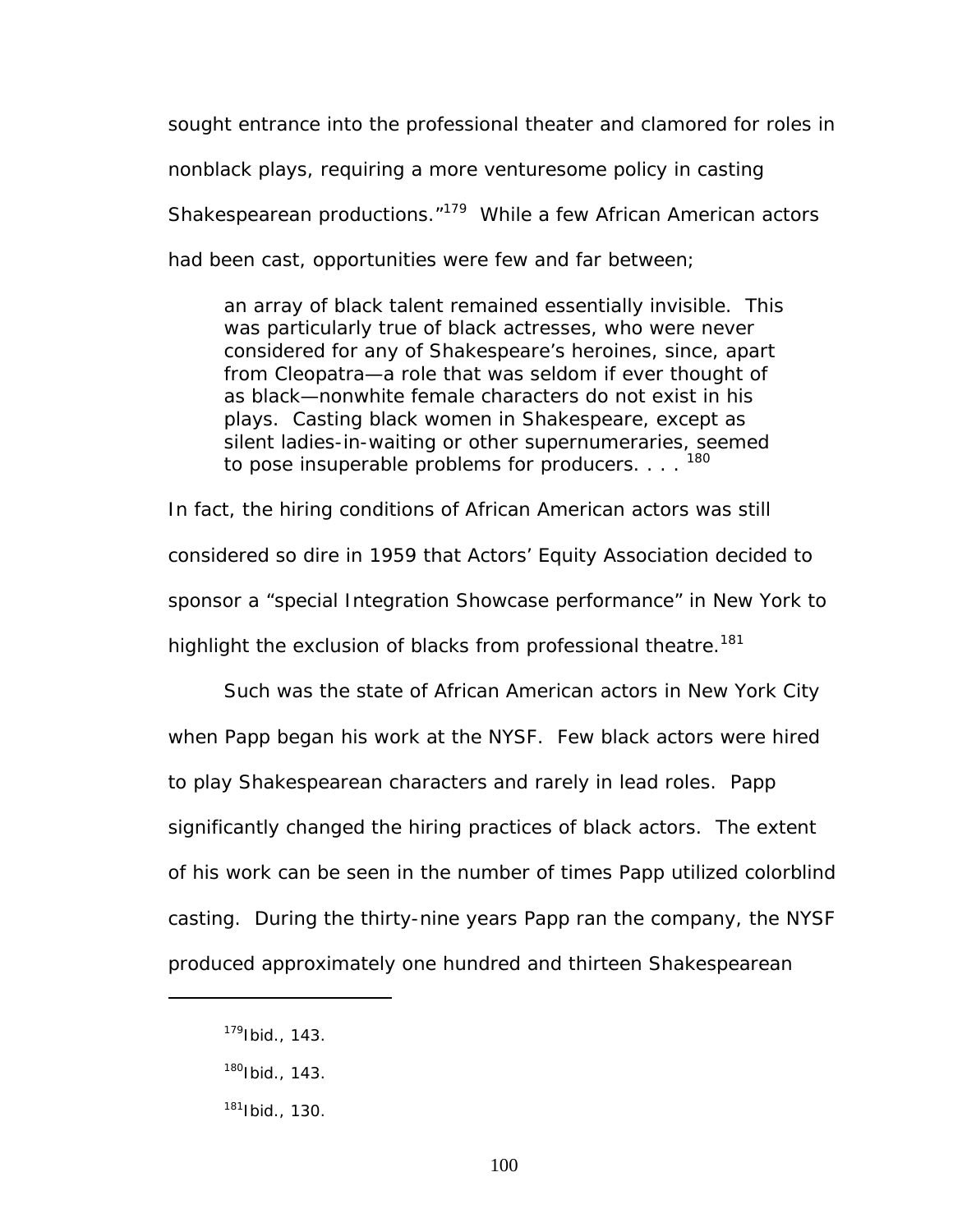sought entrance into the professional theater and clamored for roles in nonblack plays, requiring a more venturesome policy in casting Shakespearean productions.["179](#page-106-0) While a few African American actors had been cast, opportunities were few and far between;

an array of black talent remained essentially invisible. This was particularly true of black actresses, who were never considered for any of Shakespeare's heroines, since, apart from Cleopatra—a role that was seldom if ever thought of as black—nonwhite female characters do not exist in his plays. Casting black women in Shakespeare, except as silent ladies-in-waiting or other supernumeraries, seemed to pose insuperable problems for producers.  $\ldots$ <sup>[180](#page-106-1)</sup>

In fact, the hiring conditions of African American actors was still considered so dire in 1959 that Actors' Equity Association decided to sponsor a "special Integration Showcase performance" in New York to highlight the exclusion of blacks from professional theatre.<sup>181</sup>

Such was the state of African American actors in New York City when Papp began his work at the NYSF. Few black actors were hired to play Shakespearean characters and rarely in lead roles. Papp significantly changed the hiring practices of black actors. The extent of his work can be seen in the number of times Papp utilized colorblind casting. During the thirty-nine years Papp ran the company, the NYSF produced approximately one hundred and thirteen Shakespearean

<span id="page-106-0"></span><sup>179</sup>Ibid., 143.

<span id="page-106-1"></span> $180$ Ibid., 143.

<span id="page-106-2"></span> $181$  Ibid., 130.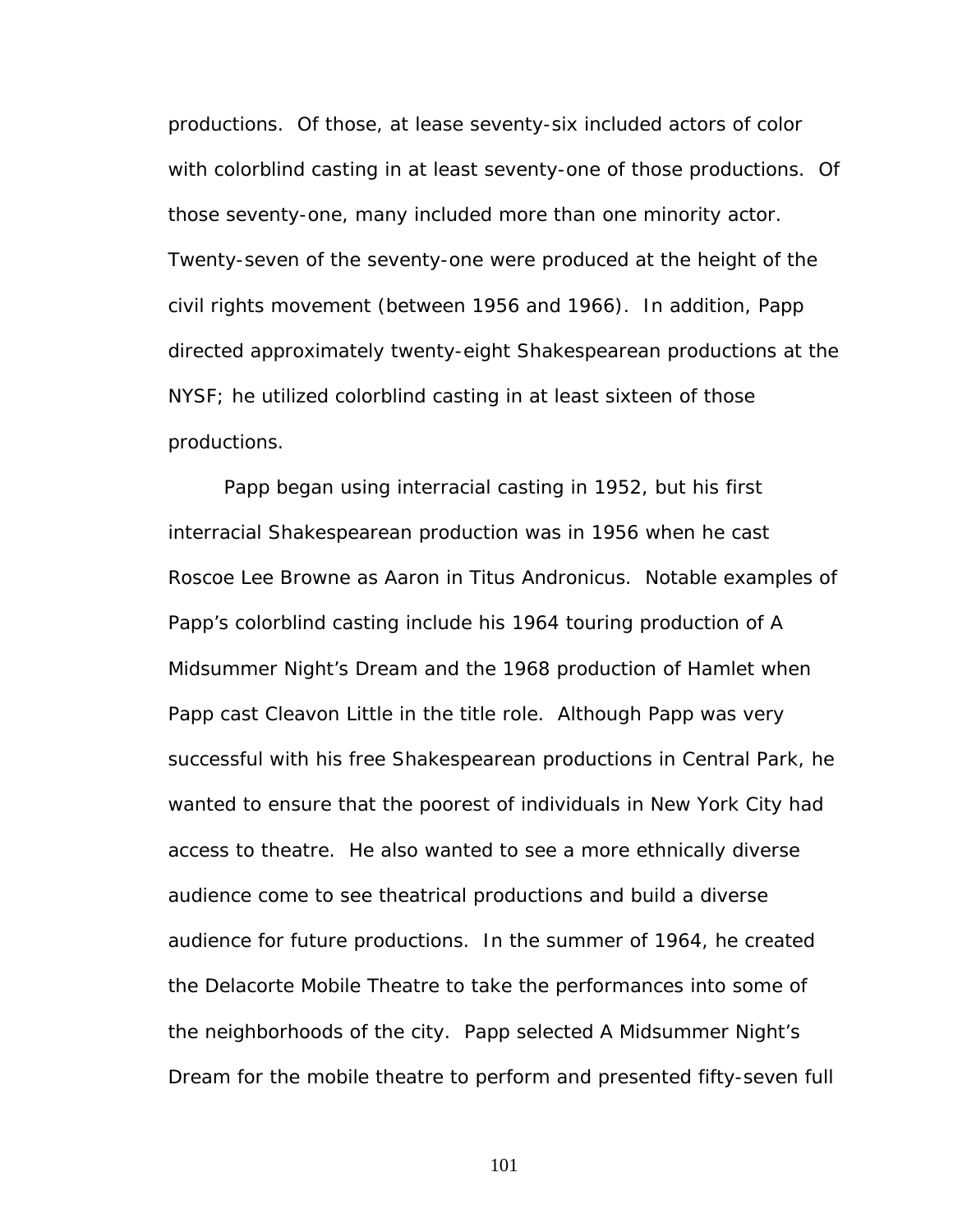productions. Of those, at lease seventy-six included actors of color with colorblind casting in at least seventy-one of those productions. Of those seventy-one, many included more than one minority actor. Twenty-seven of the seventy-one were produced at the height of the civil rights movement (between 1956 and 1966). In addition, Papp directed approximately twenty-eight Shakespearean productions at the NYSF; he utilized colorblind casting in at least sixteen of those productions.

Papp began using interracial casting in 1952, but his first interracial Shakespearean production was in 1956 when he cast Roscoe Lee Browne as Aaron in *Titus Andronicus*. Notable examples of Papp's colorblind casting include his 1964 touring production of *A Midsummer Night's Dream* and the 1968 production of *Hamlet* when Papp cast Cleavon Little in the title role. Although Papp was very successful with his free Shakespearean productions in Central Park, he wanted to ensure that the poorest of individuals in New York City had access to theatre. He also wanted to see a more ethnically diverse audience come to see theatrical productions and build a diverse audience for future productions. In the summer of 1964, he created the Delacorte Mobile Theatre to take the performances into some of the neighborhoods of the city. Papp selected *A Midsummer Night's Dream* for the mobile theatre to perform and presented fifty-seven full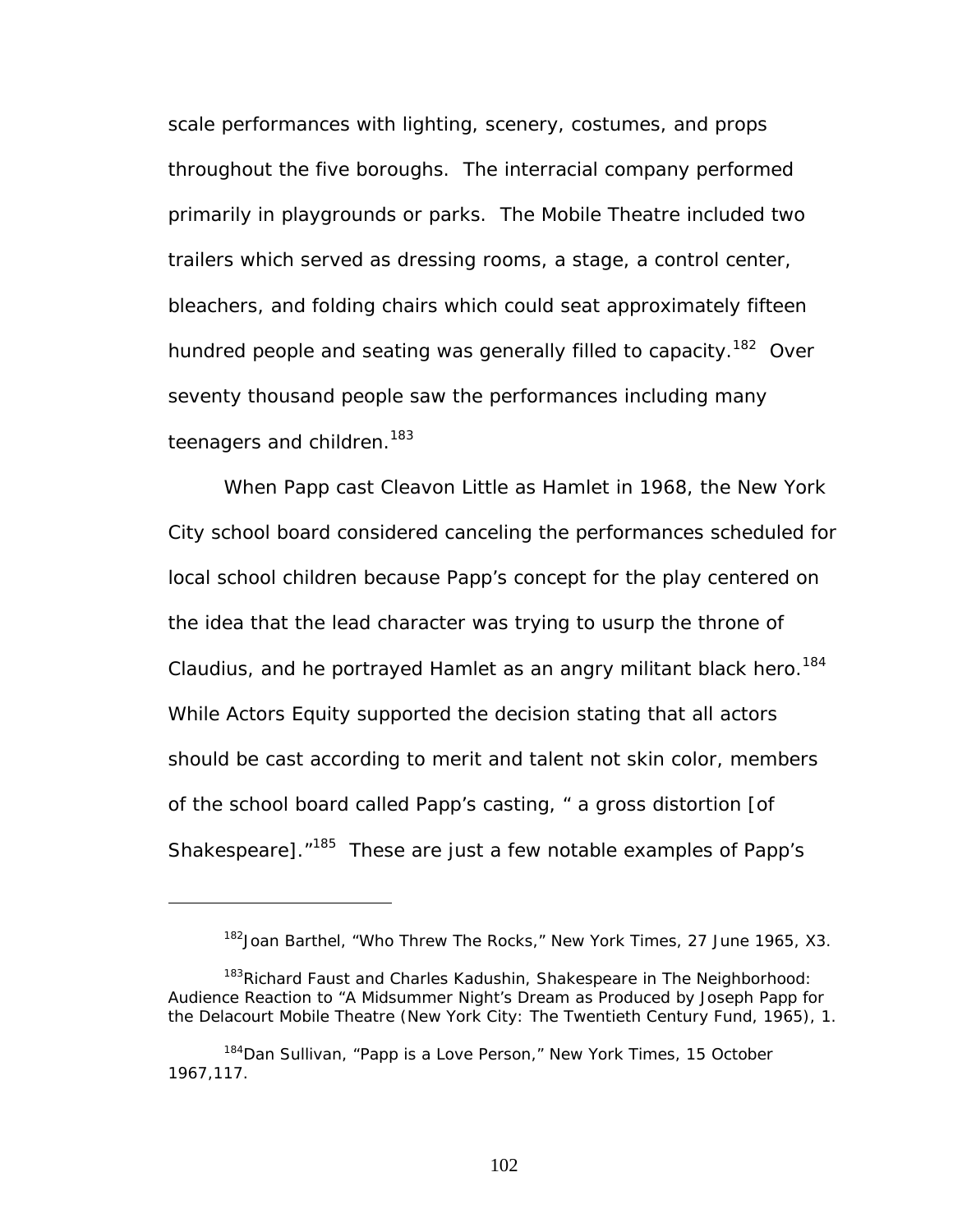scale performances with lighting, scenery, costumes, and props throughout the five boroughs. The interracial company performed primarily in playgrounds or parks. The Mobile Theatre included two trailers which served as dressing rooms, a stage, a control center, bleachers, and folding chairs which could seat approximately fifteen hundred people and seating was generally filled to capacity.<sup>182</sup> Over seventy thousand people saw the performances including many teenagers and children.<sup>183</sup>

When Papp cast Cleavon Little as Hamlet in 1968, the New York City school board considered canceling the performances scheduled for local school children because Papp's concept for the play centered on the idea that the lead character was trying to usurp the throne of Claudius, and he portrayed Hamlet as an angry militant black hero.<sup>184</sup> While Actors Equity supported the decision stating that all actors should be cast according to merit and talent not skin color, members of the school board called Papp's casting, " a gross distortion [of Shakespeare]. "<sup>185</sup> These are just a few notable examples of Papp's

<span id="page-108-1"></span><span id="page-108-0"></span><sup>182</sup>Joan Barthel, "Who Threw The Rocks," *New York Times*, 27 June 1965, X3.

<sup>183</sup>Richard Faust and Charles Kadushin*, Shakespeare in The Neighborhood: Audience Reaction to "A Midsummer Night's Dream as Produced by Joseph Papp for the Delacourt Mobile Theatre* (New York City: The Twentieth Century Fund, 1965), 1.

<span id="page-108-3"></span><span id="page-108-2"></span><sup>184</sup>Dan Sullivan, "Papp is a Love Person," *New York Times,* 15 October 1967,117.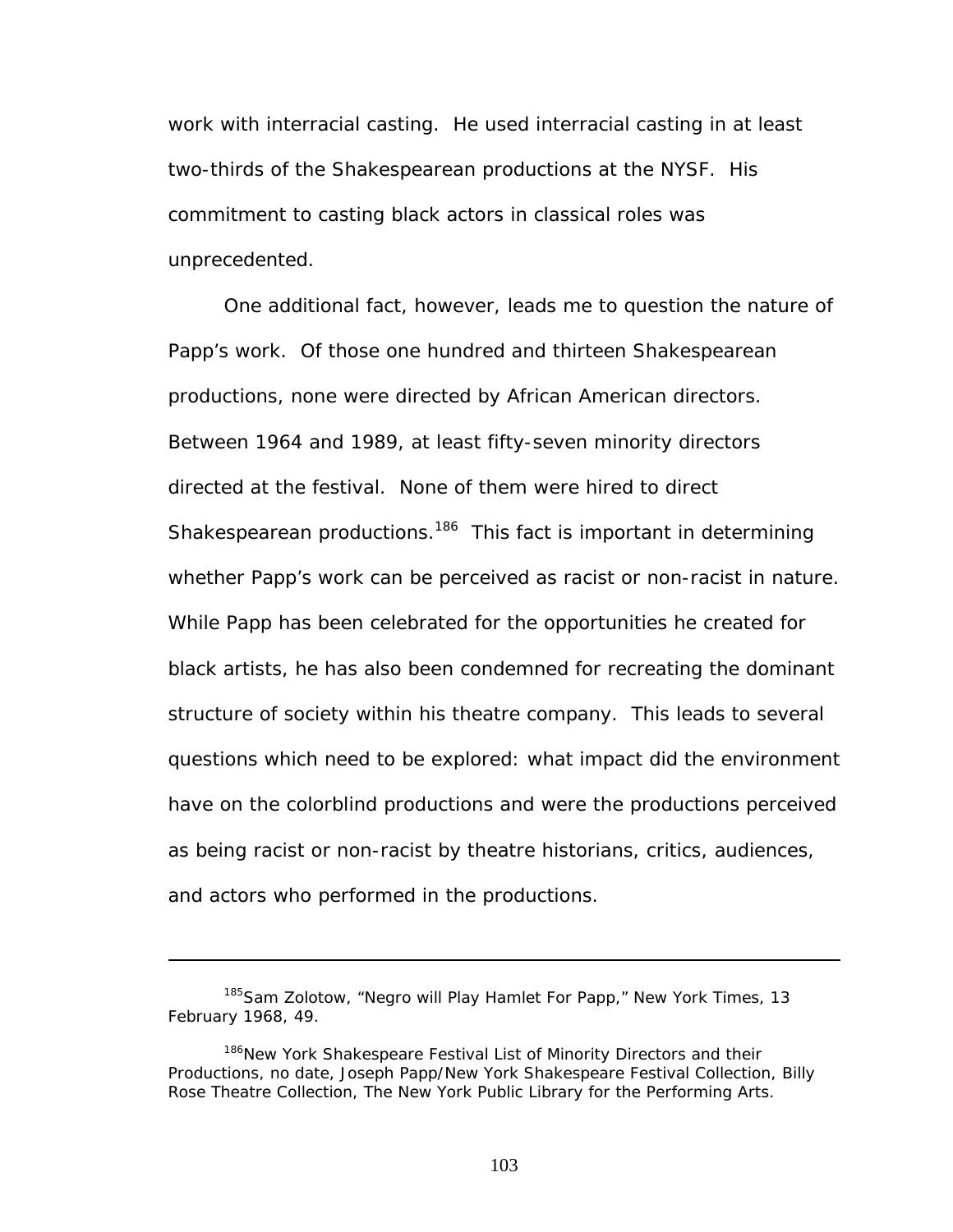work with interracial casting. He used interracial casting in at least two-thirds of the Shakespearean productions at the NYSF. His commitment to casting black actors in classical roles was unprecedented.

One additional fact, however, leads me to question the nature of Papp's work. Of those one hundred and thirteen Shakespearean productions, none were directed by African American directors. Between 1964 and 1989, at least fifty-seven minority directors directed at the festival. None of them were hired to direct Shakespearean productions.<sup>186</sup> This fact is important in determining whether Papp's work can be perceived as racist or non-racist in nature. While Papp has been celebrated for the opportunities he created for black artists, he has also been condemned for recreating the dominant structure of society within his theatre company. This leads to several questions which need to be explored: what impact did the environment have on the colorblind productions and were the productions perceived as being racist or non-racist by theatre historians, critics, audiences, and actors who performed in the productions.

<sup>185</sup>Sam Zolotow, "Negro will Play Hamlet For Papp," *New York Times*, 13 February 1968, 49.

<span id="page-109-0"></span><sup>&</sup>lt;sup>186</sup>New York Shakespeare Festival List of Minority Directors and their Productions, no date, Joseph Papp/New York Shakespeare Festival Collection, Billy Rose Theatre Collection, The New York Public Library for the Performing Arts.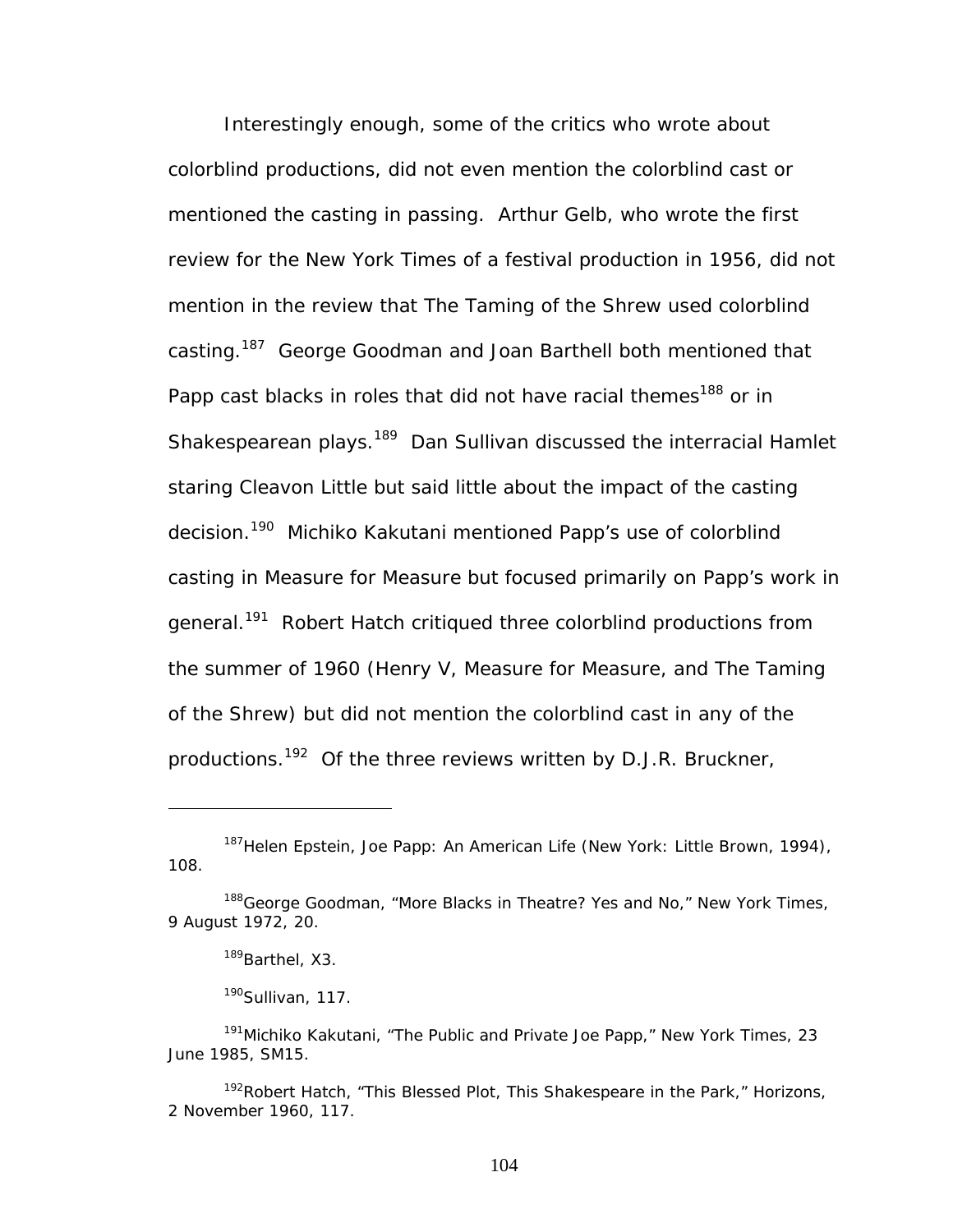Interestingly enough, some of the critics who wrote about colorblind productions, did not even mention the colorblind cast or mentioned the casting in passing. Arthur Gelb, who wrote the first review for the *New York Times* of a festival production in 1956, did not mention in the review that *The Taming of the Shrew* used colorblind casting[.187](#page-110-0) George Goodman and Joan Barthell both mentioned that Papp cast blacks in roles that did not have racial themes<sup>188</sup> or in Shakespearean plays.<sup>189</sup> Dan Sullivan discussed the interracial Hamlet staring Cleavon Little but said little about the impact of the casting decision.<sup>190</sup> Michiko Kakutani mentioned Papp's use of colorblind casting in *Measure for Measure* but focused primarily on Papp's work in general.<sup>191</sup> Robert Hatch critiqued three colorblind productions from the summer of 1960 (*Henry V, Measure for Measure,* and *The Taming of the Shrew*) but did not mention the colorblind cast in any of the productions.<sup>192</sup> Of the three reviews written by D.J.R. Bruckner,

<span id="page-110-0"></span><sup>187</sup>Helen Epstein, *Joe Papp: An American Life* (New York: Little Brown, 1994), 108.

<span id="page-110-1"></span><sup>188</sup>George Goodman, "More Blacks in Theatre? Yes and No," *New York Times*, 9 August 1972, 20.

<span id="page-110-2"></span><sup>&</sup>lt;sup>189</sup>Barthel, X3.

<span id="page-110-4"></span><span id="page-110-3"></span> $190$ Sullivan, 117.

<sup>191</sup>Michiko Kakutani, "The Public and Private Joe Papp," *New York Times*, 23 June 1985, SM15.

<span id="page-110-5"></span><sup>192</sup>Robert Hatch, "This Blessed Plot, This Shakespeare in the Park," *Horizons*, 2 November 1960, 117.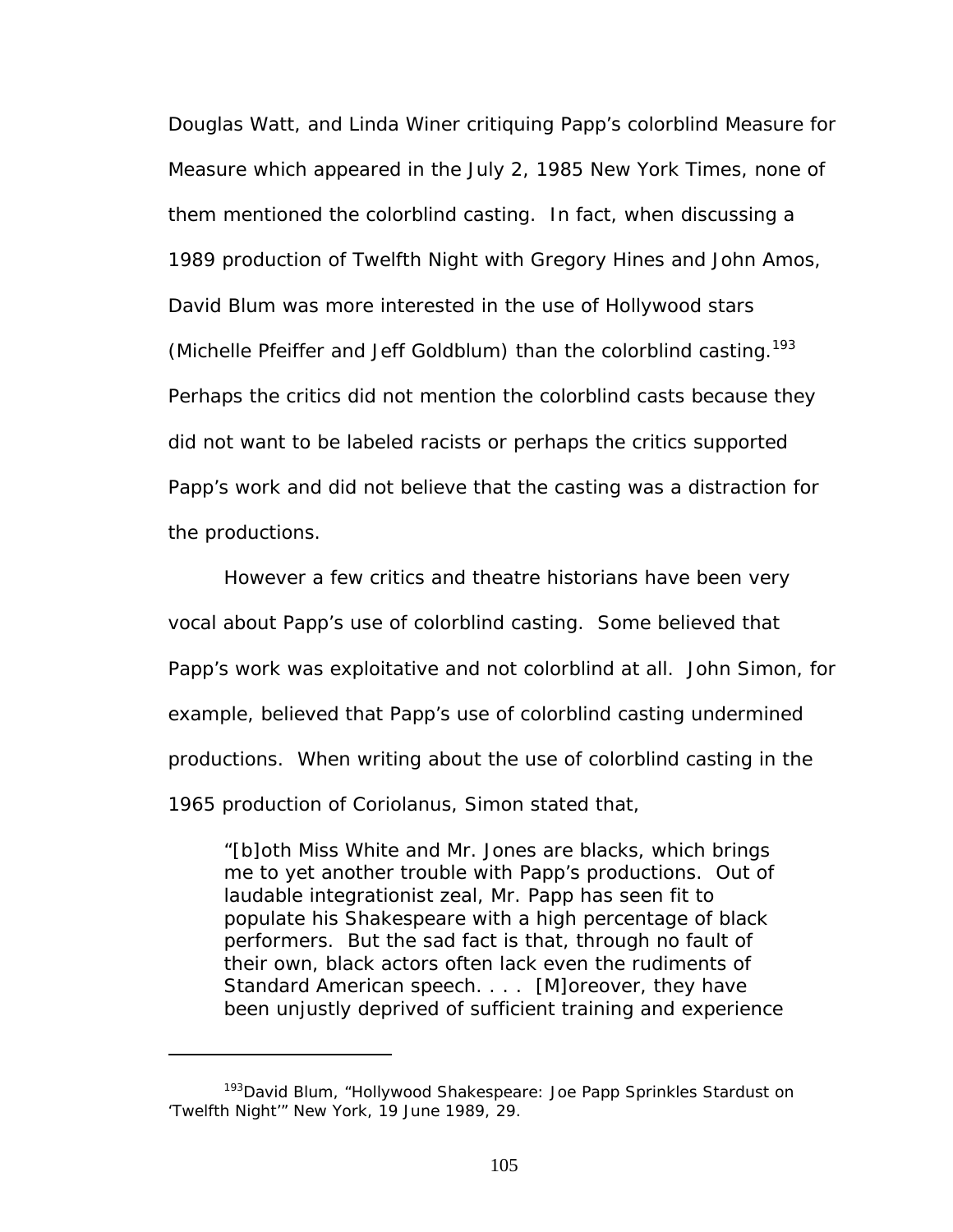Douglas Watt, and Linda Winer critiquing Papp's colorblind *Measure for Measure* which appeared in the July 2, 1985 *New York Times*, none of them mentioned the colorblind casting. In fact, when discussing a 1989 production of *Twelfth Night* with Gregory Hines and John Amos, David Blum was more interested in the use of Hollywood stars (Michelle Pfeiffer and Jeff Goldblum) than the colorblind casting.<sup>193</sup> Perhaps the critics did not mention the colorblind casts because they did not want to be labeled racists or perhaps the critics supported Papp's work and did not believe that the casting was a distraction for the productions.

However a few critics and theatre historians have been very vocal about Papp's use of colorblind casting. Some believed that Papp's work was exploitative and not colorblind at all. John Simon, for example, believed that Papp's use of colorblind casting undermined productions. When writing about the use of colorblind casting in the 1965 production of *Coriolanus*, Simon stated that,

"[b]oth Miss White and Mr. Jones are blacks, which brings me to yet another trouble with Papp's productions. Out of laudable integrationist zeal, Mr. Papp has seen fit to populate his Shakespeare with a high percentage of black performers. But the sad fact is that, through no fault of their own, black actors often lack even the rudiments of Standard American speech. . . . [M]oreover, they have been unjustly deprived of sufficient training and experience

<span id="page-111-0"></span><sup>&</sup>lt;sup>193</sup>David Blum, "Hollywood Shakespeare: Joe Papp Sprinkles Stardust on 'Twelfth Night'" *New York*, 19 June 1989, 29.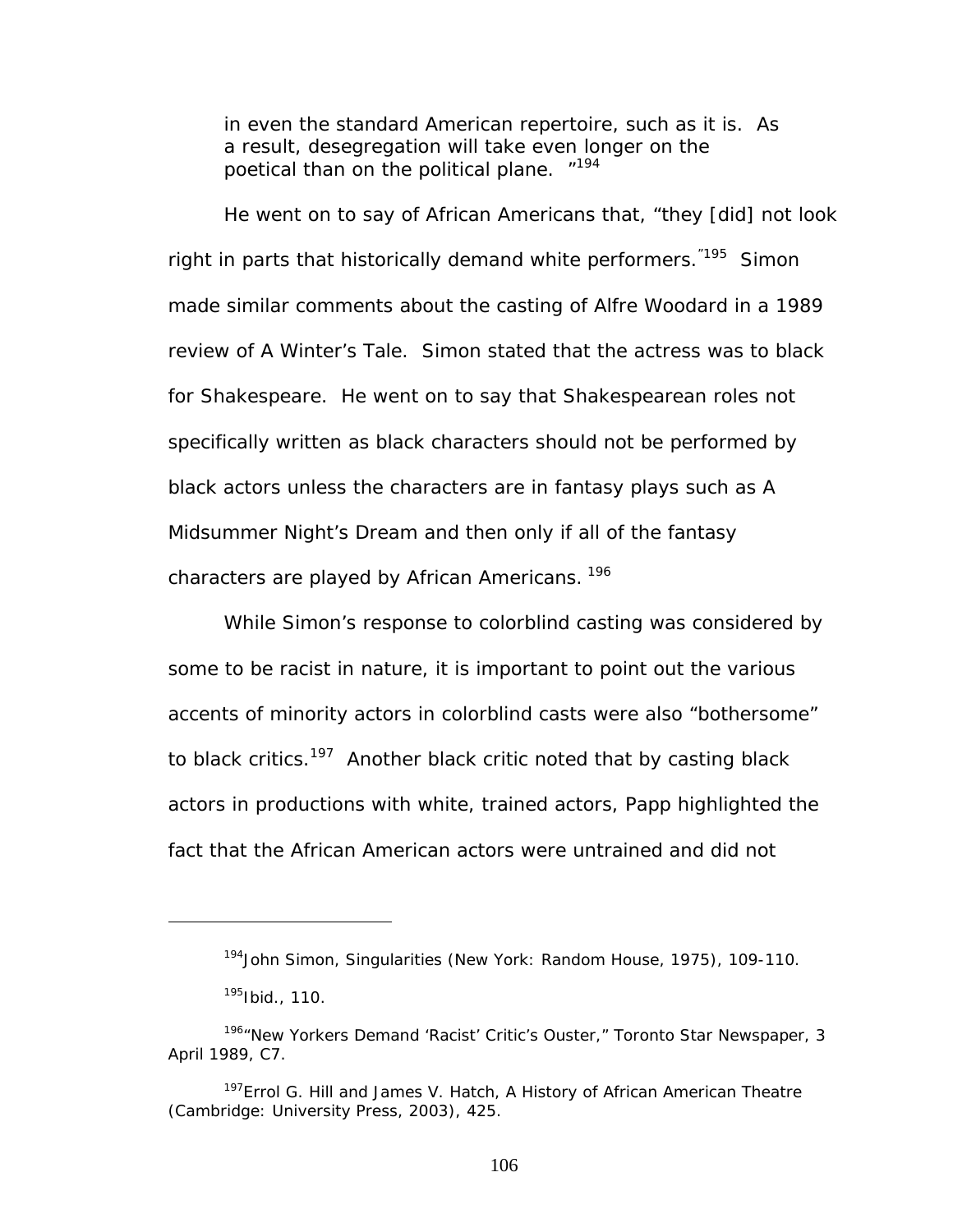in even the standard American repertoire, such as it is. As a result, desegregation will take even longer on the poetical than on the political plane. "<sup>[194](#page-112-0)</sup>

He went on to say of African Americans that, "they [did] not look right in parts that historically demand white performers.<sup>"195</sup> Simon made similar comments about the casting of Alfre Woodard in a 1989 review of *A Winter's Tale*. Simon stated that the actress was to black for Shakespeare. He went on to say that Shakespearean roles not specifically written as black characters should not be performed by black actors unless the characters are in fantasy plays such as *A Midsummer Night's Dream* and then only if all of the fantasy characters are played by African Americans.<sup>196</sup>

While Simon's response to colorblind casting was considered by some to be racist in nature, it is important to point out the various accents of minority actors in colorblind casts were also "bothersome" to black critics.<sup>197</sup> Another black critic noted that by casting black actors in productions with white, trained actors, Papp highlighted the fact that the African American actors were untrained and did not

<span id="page-112-0"></span><sup>194</sup>John Simon, *Singularities* (New York: Random House, 1975), 109-110.

<span id="page-112-2"></span><span id="page-112-1"></span><sup>195</sup>Ibid., 110.

<sup>196&</sup>quot;New Yorkers Demand 'Racist' Critic's Ouster," *Toronto Star Newspaper*, 3 April 1989, C7.

<span id="page-112-3"></span><sup>197</sup>Errol G. Hill and James V. Hatch, *A History of African American Theatre* (Cambridge: University Press, 2003), 425.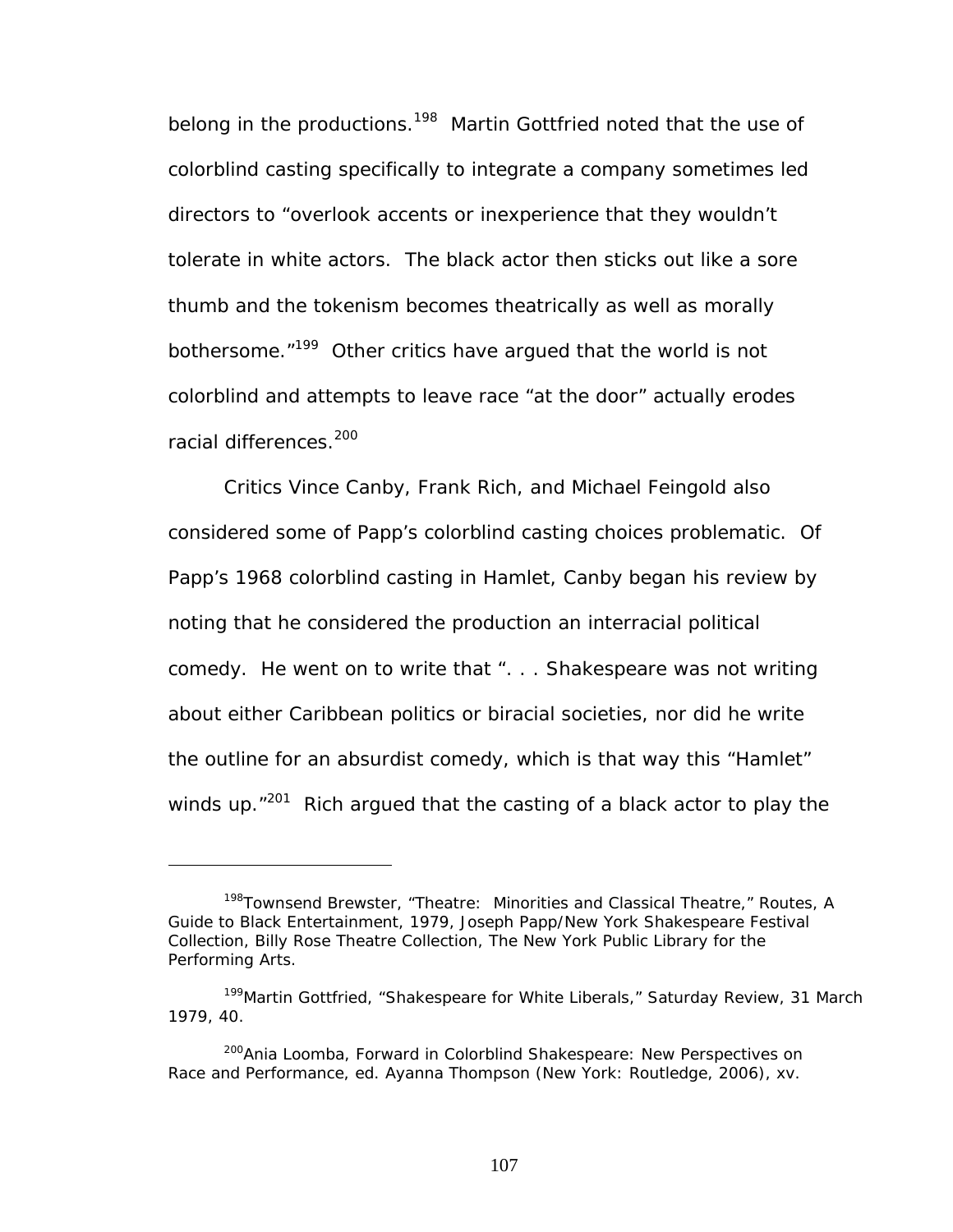belong in the productions.<sup>198</sup> Martin Gottfried noted that the use of colorblind casting specifically to integrate a company sometimes led directors to "overlook accents or inexperience that they wouldn't tolerate in white actors. The black actor then sticks out like a sore thumb and the tokenism becomes theatrically as well as morally bothersome.<sup>"199</sup> Other critics have argued that the world is not colorblind and attempts to leave race "at the door" actually erodes racial differences.<sup>[200](#page-113-2)</sup>

Critics Vince Canby, Frank Rich, and Michael Feingold also considered some of Papp's colorblind casting choices problematic. Of Papp's 1968 colorblind casting in *Hamlet*, Canby began his review by noting that he considered the production an interracial political comedy. He went on to write that ". . . Shakespeare was not writing about either Caribbean politics or biracial societies, nor did he write the outline for an absurdist comedy, which is that way this "Hamlet" winds up. $"^{201}$  Rich argued that the casting of a black actor to play the

<span id="page-113-0"></span><sup>198</sup>Townsend Brewster, "Theatre: Minorities and Classical Theatre," *Routes, A Guide to Black Entertainment*, 1979, Joseph Papp/New York Shakespeare Festival Collection, Billy Rose Theatre Collection, The New York Public Library for the Performing Arts.

<span id="page-113-1"></span><sup>199</sup>Martin Gottfried, "Shakespeare for White Liberals," *Saturday Review*, 31 March 1979, 40.

<span id="page-113-3"></span><span id="page-113-2"></span><sup>200</sup>Ania Loomba, Forward in *Colorblind Shakespeare: New Perspectives on Race and Performance*, ed. Ayanna Thompson (New York: Routledge, 2006), xv.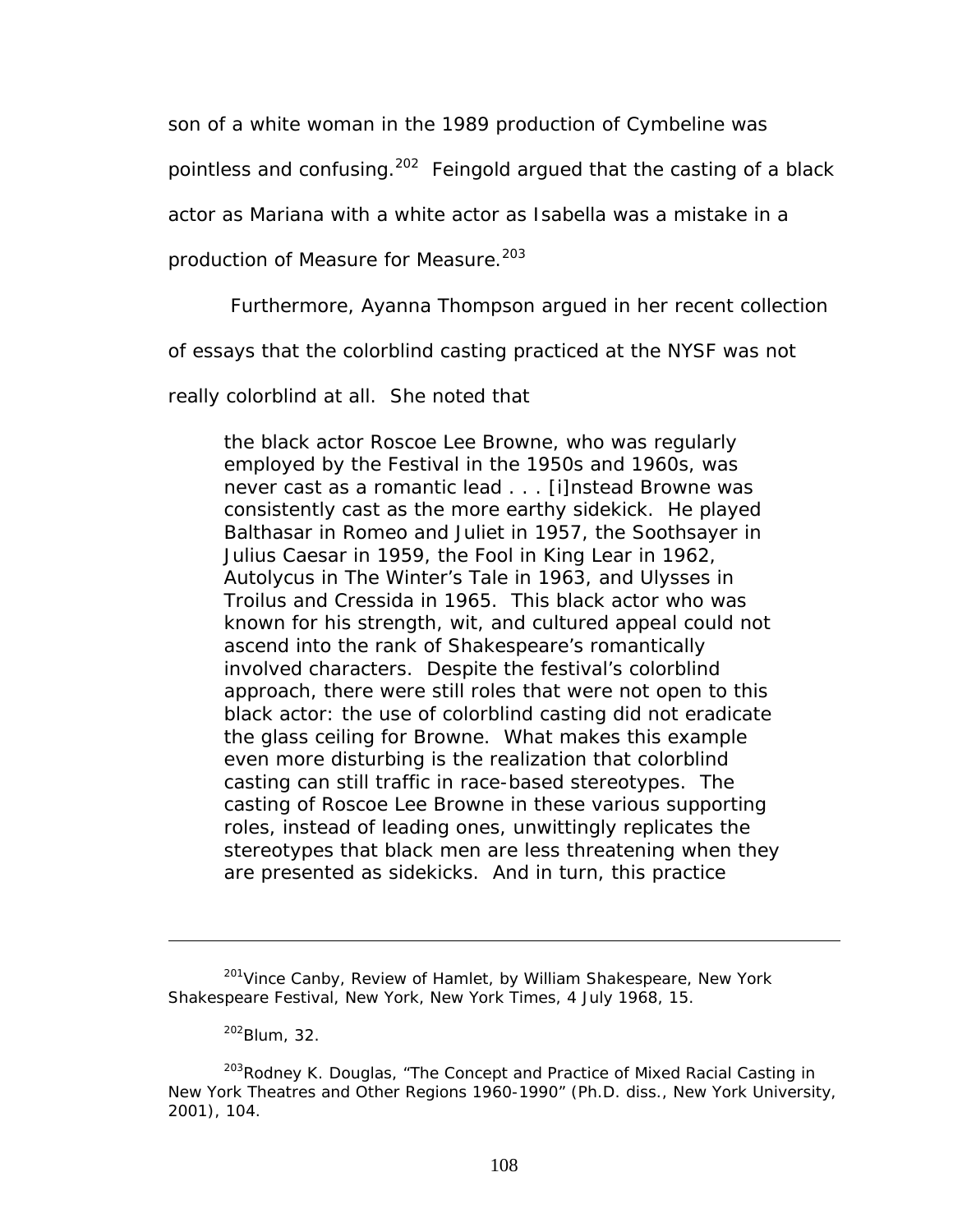son of a white woman in the 1989 production of *Cymbeline* was

pointless and confusing.<sup>202</sup> Feingold argued that the casting of a black

actor as Mariana with a white actor as Isabella was a mistake in a

production of *Measure for Measure*. [203](#page-114-1)

Furthermore, Ayanna Thompson argued in her recent collection

of essays that the colorblind casting practiced at the NYSF was not

really colorblind at all. She noted that

the black actor Roscoe Lee Browne, who was regularly employed by the Festival in the 1950s and 1960s, was never cast as a romantic lead . . . [i]nstead Browne was consistently cast as the more earthy sidekick. He played Balthasar in *Romeo and Juliet* in 1957, the Soothsayer in *Julius Caesar* in 1959, the Fool in *King Lear* in 1962, Autolycus in *The Winter's Tale* in 1963, and Ulysses in *Troilus and Cressida* in 1965. This black actor who was known for his strength, wit, and cultured appeal could not ascend into the rank of Shakespeare's romantically involved characters. Despite the festival's colorblind approach, there were still roles that were not open to this black actor: the use of colorblind casting did not eradicate the glass ceiling for Browne. What makes this example even more disturbing is the realization that colorblind casting can still traffic in race-based stereotypes. The casting of Roscoe Lee Browne in these various supporting roles, instead of leading ones, unwittingly replicates the stereotypes that black men are less threatening when they are presented as sidekicks. And in turn, this practice

<span id="page-114-1"></span><span id="page-114-0"></span>202Blum, 32.

<sup>&</sup>lt;sup>201</sup> Vince Canby, Review of Hamlet, by William Shakespeare, New York Shakespeare Festival, New York, *New York Times*, 4 July 1968, 15.

<sup>&</sup>lt;sup>203</sup>Rodney K. Douglas, "The Concept and Practice of Mixed Racial Casting in New York Theatres and Other Regions 1960-1990" (Ph.D. diss., New York University, 2001), 104.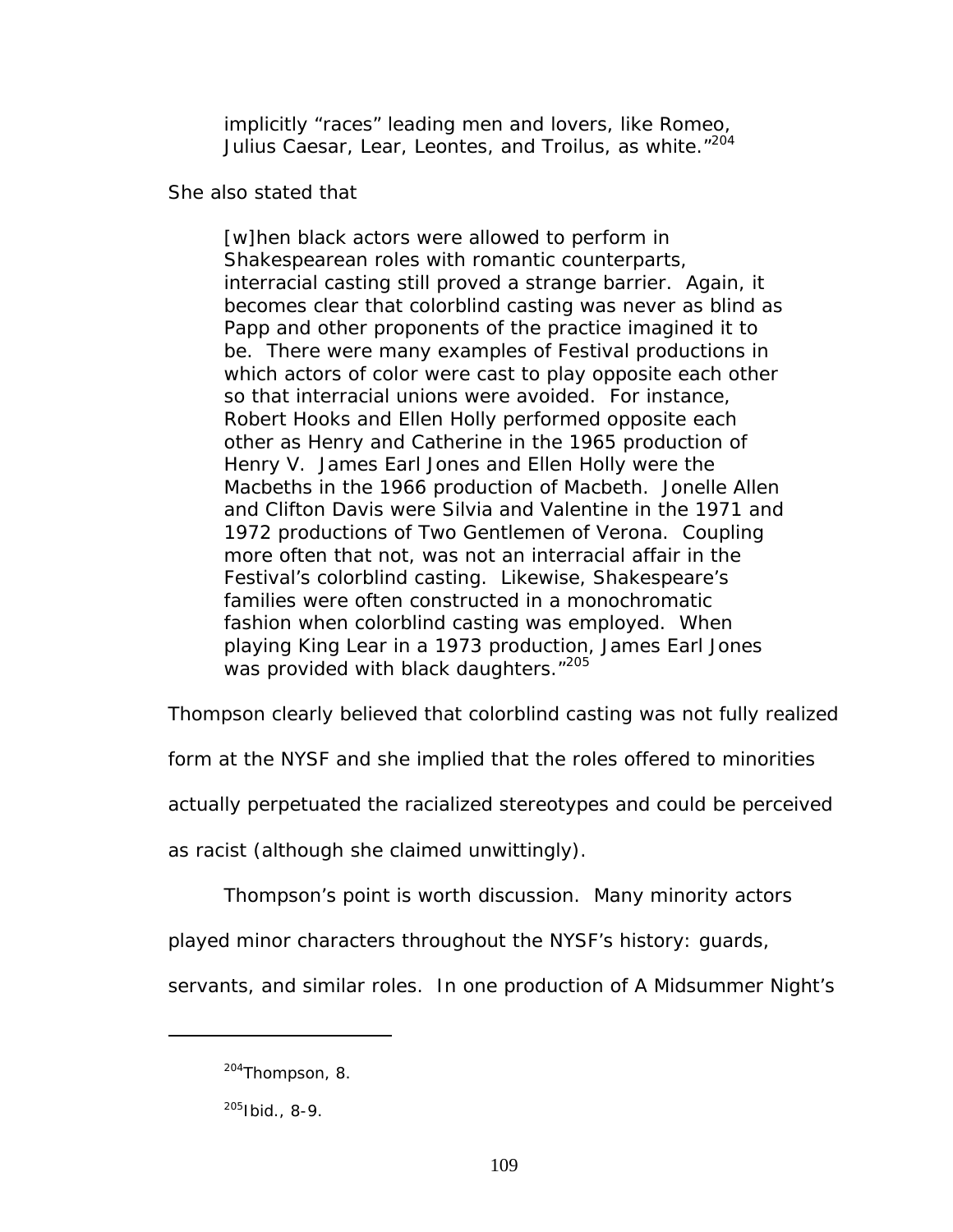implicitly "races" leading men and lovers, like Romeo, Julius Caesar, Lear, Leontes, and Troilus, as white."<sup>204</sup>

She also stated that

[w]hen black actors were allowed to perform in Shakespearean roles with romantic counterparts, interracial casting still proved a strange barrier. Again, it becomes clear that colorblind casting was never as blind as Papp and other proponents of the practice imagined it to be. There were many examples of Festival productions in which actors of color were cast to play opposite each other so that interracial unions were avoided. For instance, Robert Hooks and Ellen Holly performed opposite each other as Henry and Catherine in the 1965 production of *Henry V*. James Earl Jones and Ellen Holly were the Macbeths in the 1966 production of *Macbeth*. Jonelle Allen and Clifton Davis were Silvia and Valentine in the 1971 and 1972 productions of *Two Gentlemen of Verona*. Coupling more often that not, was not an interracial affair in the Festival's colorblind casting. Likewise, Shakespeare's families were often constructed in a monochromatic fashion when colorblind casting was employed. When playing King Lear in a 1973 production, James Earl Jones was provided with black daughters."<sup>[205](#page-115-1)</sup>

Thompson clearly believed that colorblind casting was not fully realized

form at the NYSF and she implied that the roles offered to minorities

actually perpetuated the racialized stereotypes and could be perceived

as racist (although she claimed unwittingly).

Thompson's point is worth discussion. Many minority actors

played minor characters throughout the NYSF's history: guards,

servants, and similar roles. In one production of *A Midsummer Night's* 

<span id="page-115-0"></span><sup>&</sup>lt;sup>204</sup>Thompson, 8.

<span id="page-115-1"></span> $205$  Ibid., 8-9.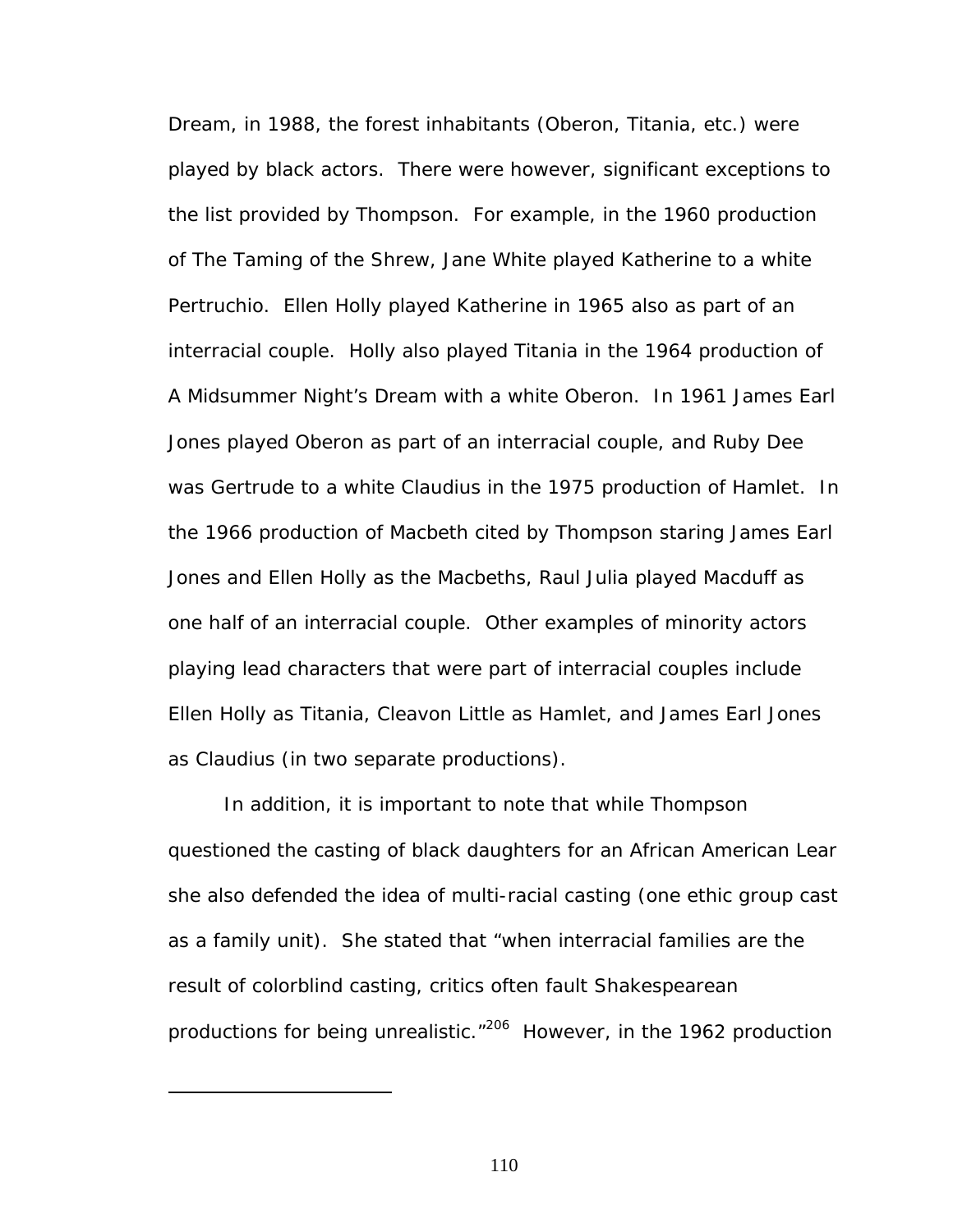*Dream,* in 1988, the forest inhabitants (Oberon, Titania, etc.) were played by black actors. There were however, significant exceptions to the list provided by Thompson. For example, in the 1960 production of *The Taming of the Shrew*, Jane White played Katherine to a white Pertruchio. Ellen Holly played Katherine in 1965 also as part of an interracial couple. Holly also played Titania in the 1964 production of *A Midsummer Night's Dream* with a white Oberon. In 1961 James Earl Jones played Oberon as part of an interracial couple, and Ruby Dee was Gertrude to a white Claudius in the 1975 production of *Hamlet*. In the 1966 production of *Macbeth* cited by Thompson staring James Earl Jones and Ellen Holly as the Macbeths, Raul Julia played Macduff as one half of an interracial couple. Other examples of minority actors playing lead characters that were part of interracial couples include Ellen Holly as Titania, Cleavon Little as Hamlet, and James Earl Jones as Claudius (in two separate productions).

<span id="page-116-0"></span>In addition, it is important to note that while Thompson questioned the casting of black daughters for an African American Lear she also defended the idea of multi-racial casting (one ethic group cast as a family unit). She stated that "when interracial families are the result of colorblind casting, critics often fault Shakespearean productions for being unrealistic."<sup>206</sup> However, in the 1962 production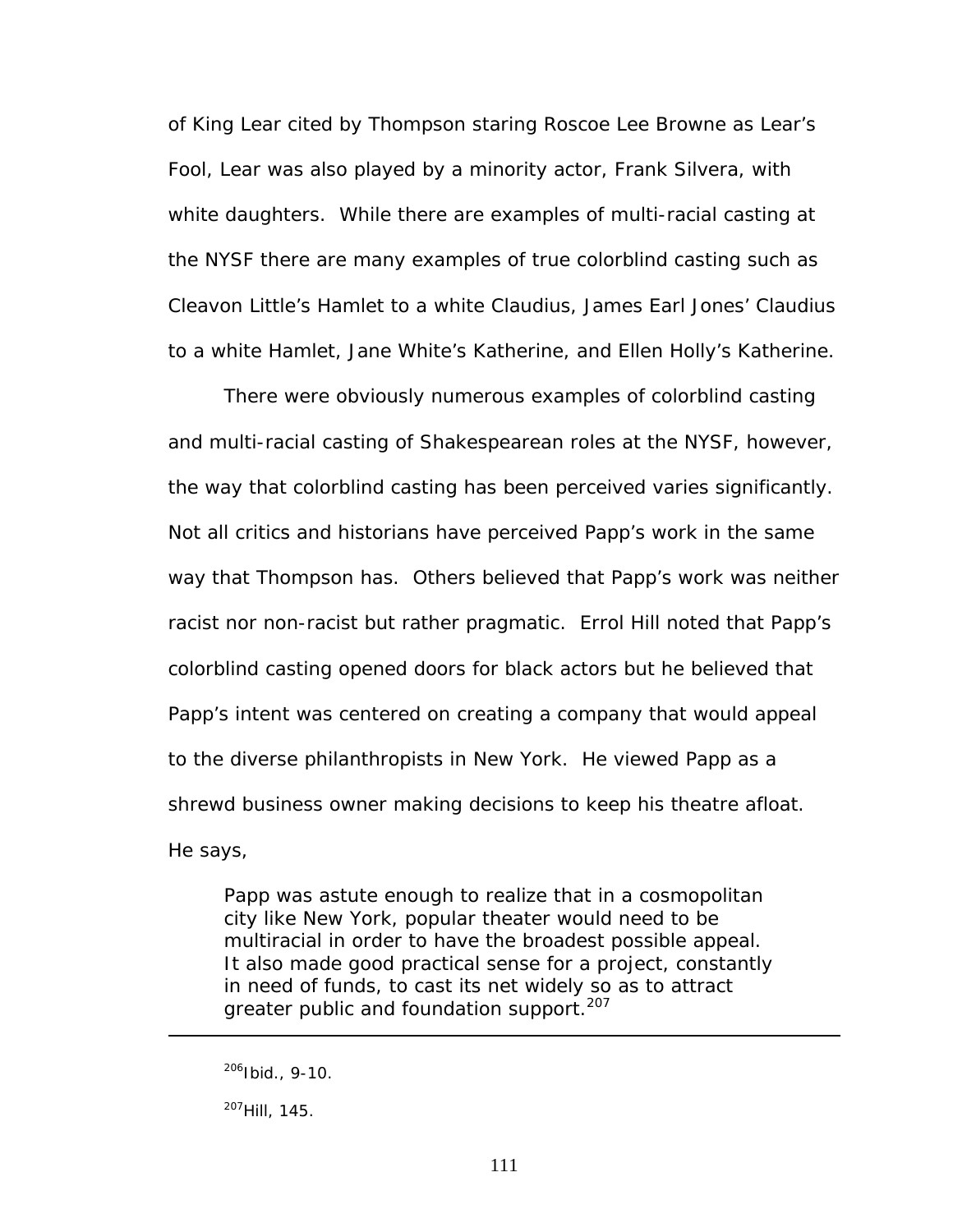of *King Lear* cited by Thompson staring Roscoe Lee Browne as Lear's Fool, Lear was also played by a minority actor, Frank Silvera, with white daughters. While there are examples of multi-racial casting at the NYSF there are many examples of true colorblind casting such as Cleavon Little's Hamlet to a white Claudius, James Earl Jones' Claudius to a white Hamlet, Jane White's Katherine, and Ellen Holly's Katherine.

There were obviously numerous examples of colorblind casting and multi-racial casting of Shakespearean roles at the NYSF, however, the way that colorblind casting has been perceived varies significantly. Not all critics and historians have perceived Papp's work in the same way that Thompson has. Others believed that Papp's work was neither racist nor non-racist but rather pragmatic. Errol Hill noted that Papp's colorblind casting opened doors for black actors but he believed that Papp's intent was centered on creating a company that would appeal to the diverse philanthropists in New York. He viewed Papp as a shrewd business owner making decisions to keep his theatre afloat. He says,

Papp was astute enough to realize that in a cosmopolitan city like New York, popular theater would need to be multiracial in order to have the broadest possible appeal. It also made good practical sense for a project, constantly in need of funds, to cast its net widely so as to attract greater public and foundation support.<sup>207</sup>

 $206$ Ibid., 9-10.

<span id="page-117-0"></span><sup>207</sup>Hill, 145.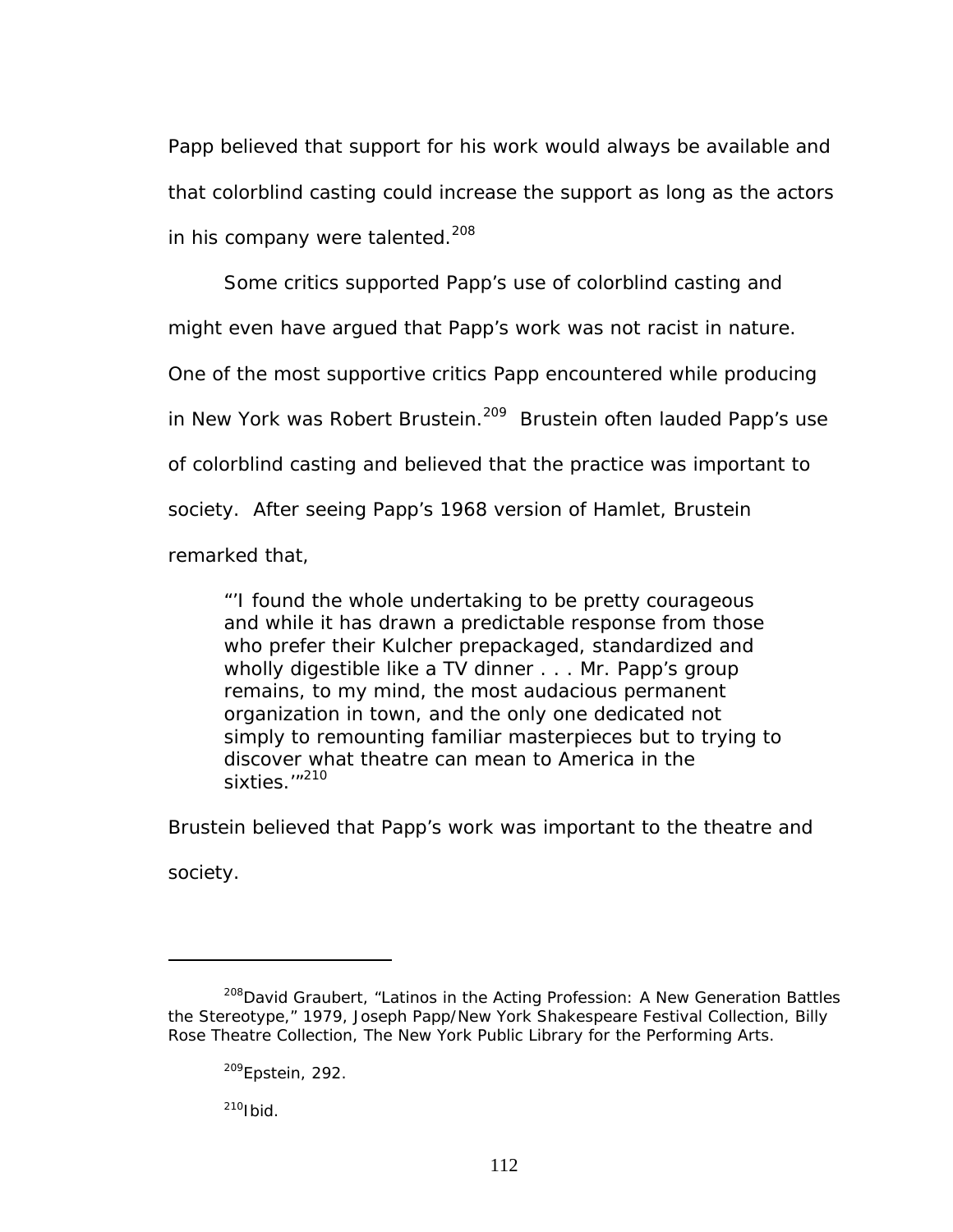Papp believed that support for his work would always be available and that colorblind casting could increase the support as long as the actors in his company were talented.<sup>208</sup>

Some critics supported Papp's use of colorblind casting and might even have argued that Papp's work was not racist in nature. One of the most supportive critics Papp encountered while producing in New York was Robert Brustein.<sup>209</sup> Brustein often lauded Papp's use of colorblind casting and believed that the practice was important to society. After seeing Papp's 1968 version of *Hamlet*, Brustein remarked that,

"'I found the whole undertaking to be pretty courageous and while it has drawn a predictable response from those who prefer their Kulcher prepackaged, standardized and wholly digestible like a TV dinner . . . Mr. Papp's group remains, to my mind, the most audacious permanent organization in town, and the only one dedicated not simply to remounting familiar masterpieces but to trying to discover what theatre can mean to America in the sixties.'"<sup>210</sup>

Brustein believed that Papp's work was important to the theatre and

society.

 $\overline{a}$ 

<span id="page-118-2"></span> $210$ Ibid.

<span id="page-118-0"></span><sup>&</sup>lt;sup>208</sup>David Graubert, "Latinos in the Acting Profession: A New Generation Battles the Stereotype," 1979, Joseph Papp/New York Shakespeare Festival Collection, Billy Rose Theatre Collection, The New York Public Library for the Performing Arts.

<span id="page-118-1"></span> $209$ Epstein, 292.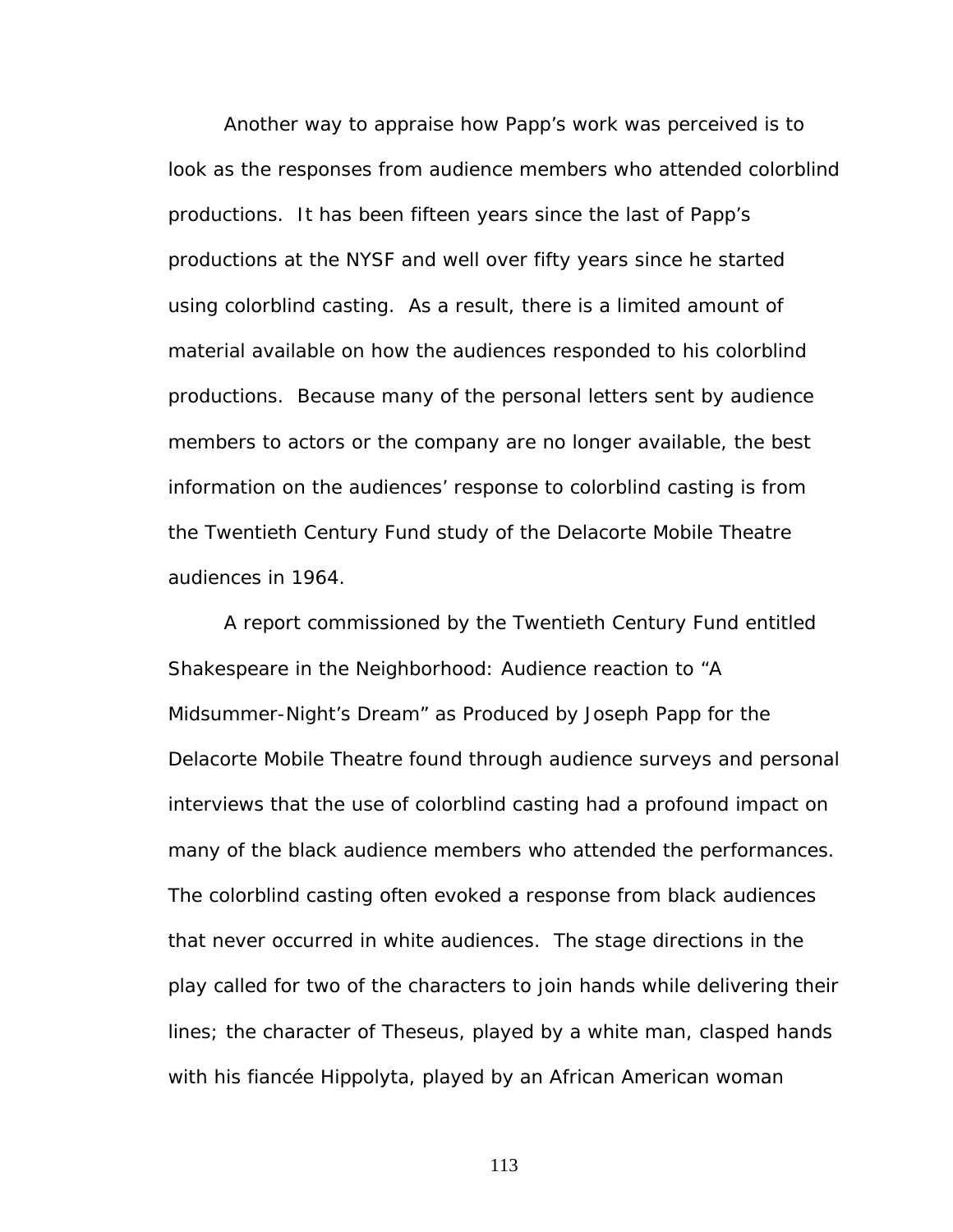Another way to appraise how Papp's work was perceived is to look as the responses from audience members who attended colorblind productions. It has been fifteen years since the last of Papp's productions at the NYSF and well over fifty years since he started using colorblind casting. As a result, there is a limited amount of material available on how the audiences responded to his colorblind productions. Because many of the personal letters sent by audience members to actors or the company are no longer available, the best information on the audiences' response to colorblind casting is from the Twentieth Century Fund study of the Delacorte Mobile Theatre audiences in 1964.

A report commissioned by the Twentieth Century Fund entitled *Shakespeare in the Neighborhood: Audience reaction to "A Midsummer-Night's Dream" as Produced by Joseph Papp for the Delacorte Mobile Theatre* found through audience surveys and personal interviews that the use of colorblind casting had a profound impact on many of the black audience members who attended the performances. The colorblind casting often evoked a response from black audiences that never occurred in white audiences. The stage directions in the play called for two of the characters to join hands while delivering their lines; the character of Theseus, played by a white man, clasped hands with his fiancée Hippolyta, played by an African American woman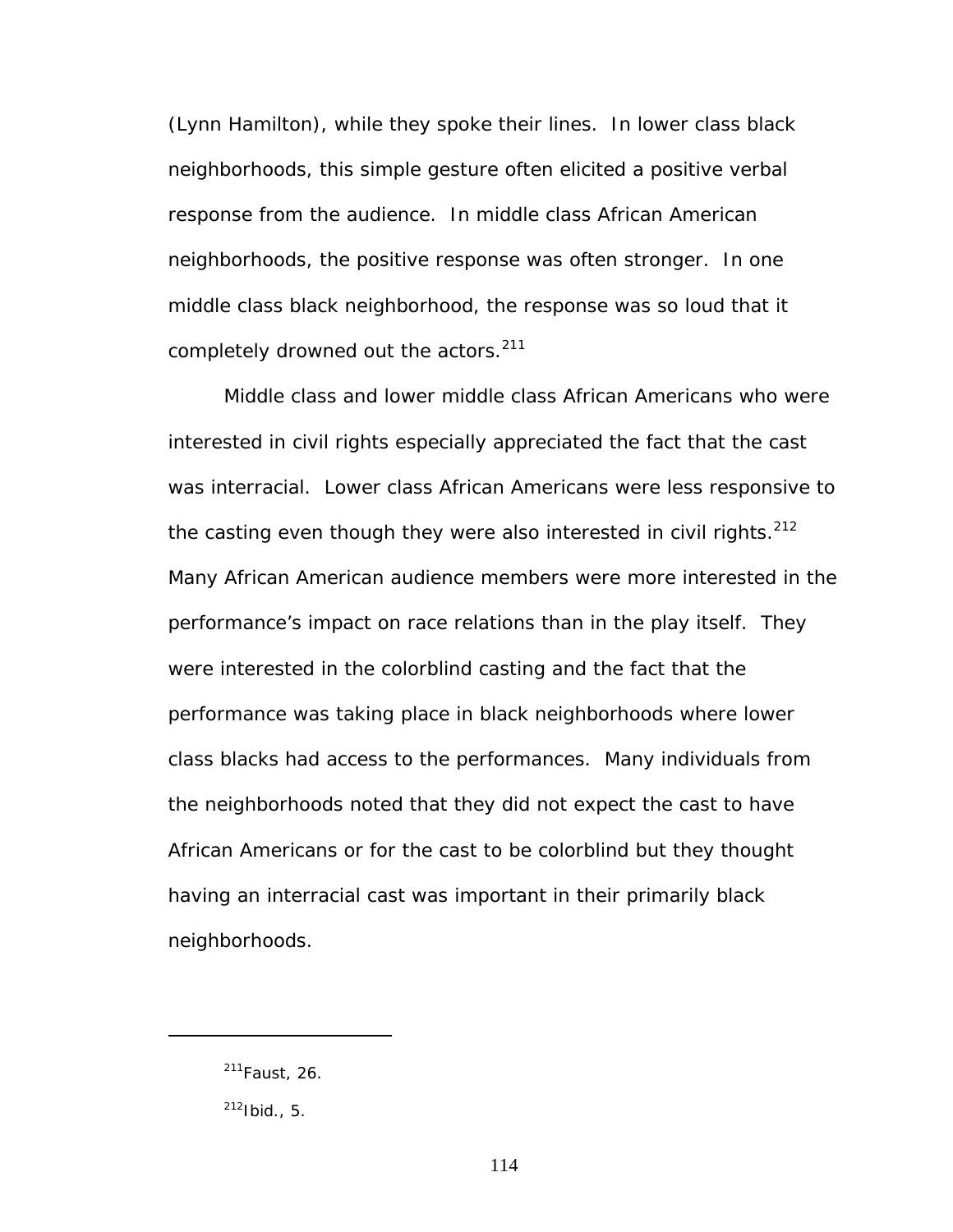(Lynn Hamilton), while they spoke their lines. In lower class black neighborhoods, this simple gesture often elicited a positive verbal response from the audience. In middle class African American neighborhoods, the positive response was often stronger. In one middle class black neighborhood, the response was so loud that it completely drowned out the actors.<sup>211</sup>

Middle class and lower middle class African Americans who were interested in civil rights especially appreciated the fact that the cast was interracial. Lower class African Americans were less responsive to the casting even though they were also interested in civil rights.<sup>212</sup> Many African American audience members were more interested in the performance's impact on race relations than in the play itself. They were interested in the colorblind casting and the fact that the performance was taking place in black neighborhoods where lower class blacks had access to the performances. Many individuals from the neighborhoods noted that they did not expect the cast to have African Americans or for the cast to be colorblind but they thought having an interracial cast was important in their primarily black neighborhoods.

<span id="page-120-0"></span><sup>211</sup>Faust, 26.

<span id="page-120-1"></span> $212$ Ibid., 5.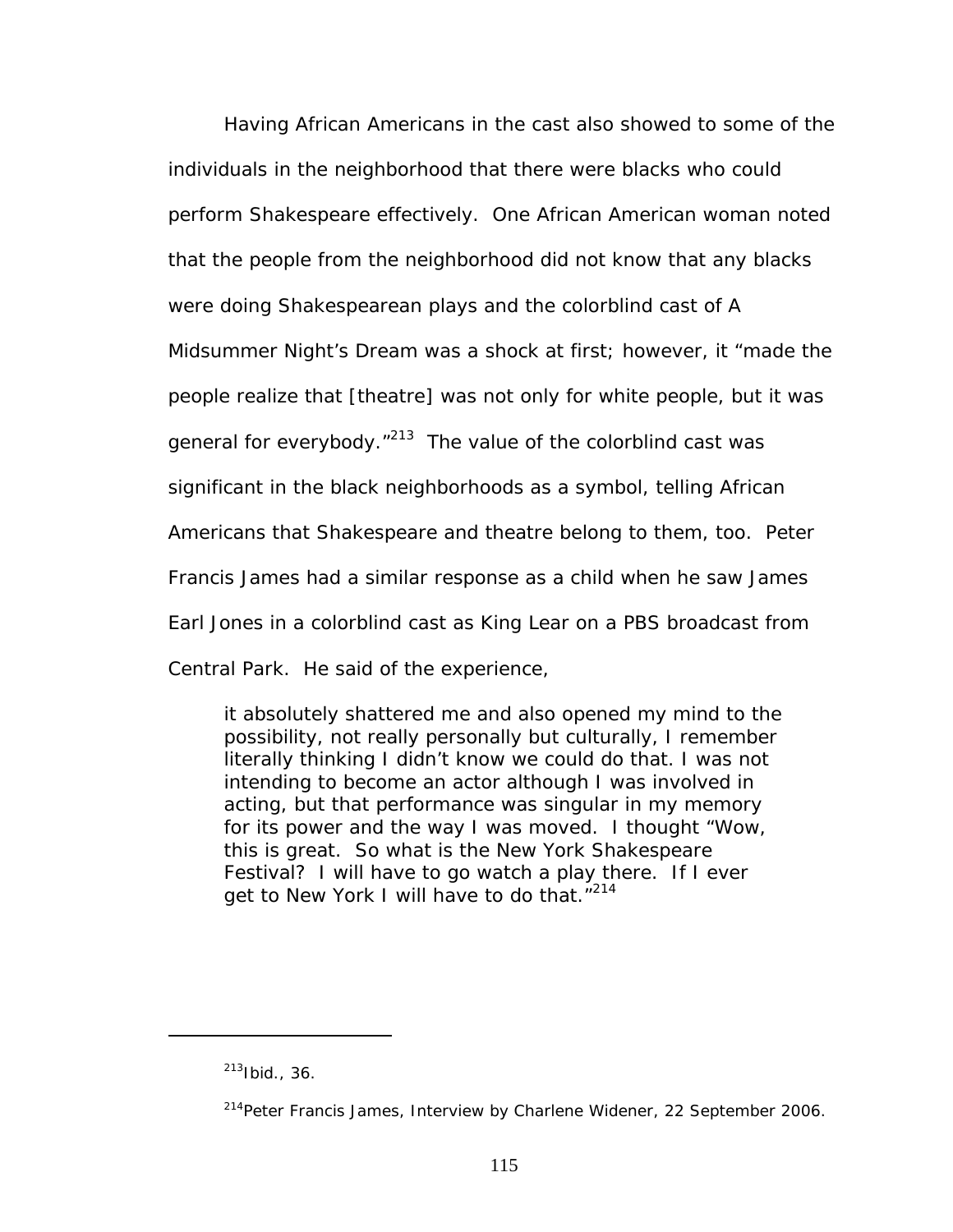Having African Americans in the cast also showed to some of the individuals in the neighborhood that there were blacks who could perform Shakespeare effectively. One African American woman noted that the people from the neighborhood did not know that any blacks were doing Shakespearean plays and the colorblind cast of *A Midsummer Night's Dream* was a shock at first; however, it "made the people realize that [theatre] was not only for white people, but it was general for everybody. $v^{213}$  The value of the colorblind cast was significant in the black neighborhoods as a symbol, telling African Americans that Shakespeare and theatre belong to them, too. Peter Francis James had a similar response as a child when he saw James Earl Jones in a colorblind cast as King Lear on a PBS broadcast from Central Park. He said of the experience,

it absolutely shattered me and also opened my mind to the possibility, not really personally but culturally, I remember literally thinking I didn't know we could do that. I was not intending to become an actor although I was involved in acting, but that performance was singular in my memory for its power and the way I was moved. I thought "Wow, this is great. So what is the New York Shakespeare Festival? I will have to go watch a play there. If I ever get to New York I will have to do that."<sup>[214](#page-121-1)</sup>

<span id="page-121-0"></span> $213$  Ibid., 36.

<span id="page-121-1"></span><sup>&</sup>lt;sup>214</sup>Peter Francis James, Interview by Charlene Widener, 22 September 2006.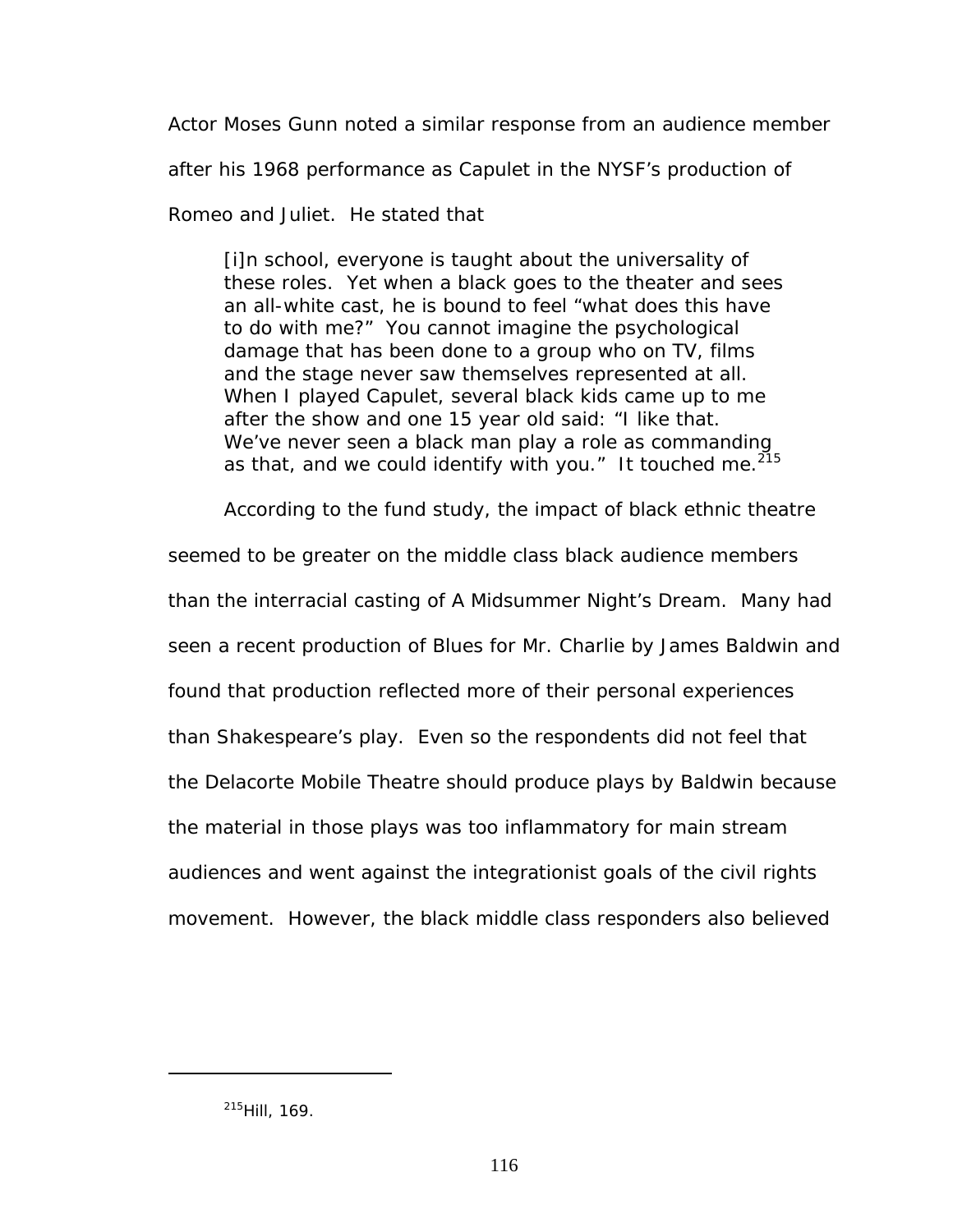Actor Moses Gunn noted a similar response from an audience member

after his 1968 performance as Capulet in the NYSF's production of

*Romeo and Juliet*. He stated that

[i]n school, everyone is taught about the universality of these roles. Yet when a black goes to the theater and sees an all-white cast, he is bound to feel "what does this have to do with me?" You cannot imagine the psychological damage that has been done to a group who on TV, films and the stage never saw themselves represented at all. When I played Capulet, several black kids came up to me after the show and one 15 year old said: "I like that. We've never seen a black man play a role as commanding as that, and we could identify with you." It touched me.  $215$ 

According to the fund study, the impact of black ethnic theatre

seemed to be greater on the middle class black audience members than the interracial casting *of A Midsummer Night's Dream*. Many had seen a recent production of *Blues for Mr. Charlie* by James Baldwin and found that production reflected more of their personal experiences than Shakespeare's play. Even so the respondents did not feel that the Delacorte Mobile Theatre should produce plays by Baldwin because the material in those plays was too inflammatory for main stream audiences and went against the integrationist goals of the civil rights movement. However, the black middle class responders also believed

<span id="page-122-0"></span><sup>215</sup>Hill, 169.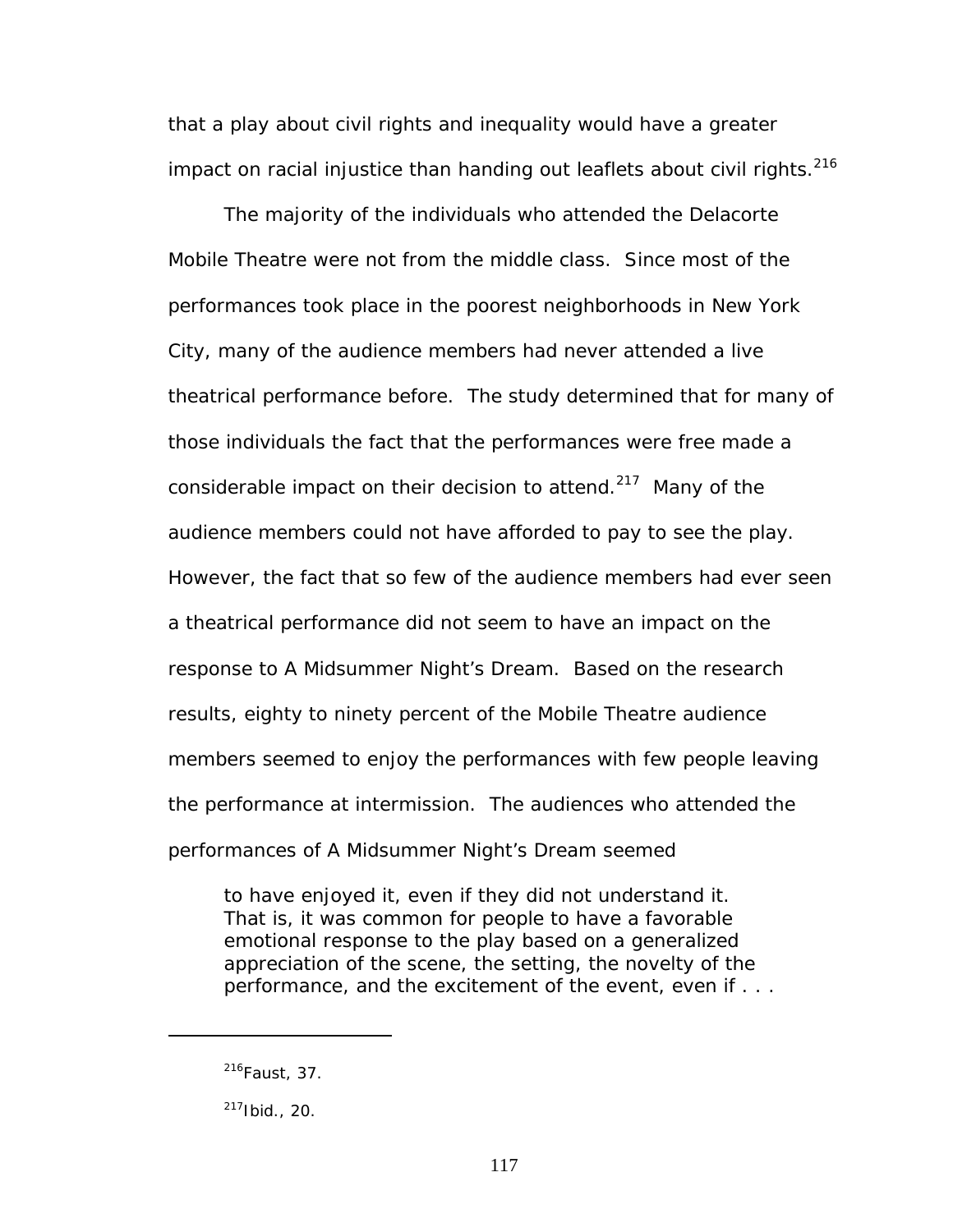that a play about civil rights and inequality would have a greater impact on racial injustice than handing out leaflets about civil rights.<sup>[216](#page-123-0)</sup>

The majority of the individuals who attended the Delacorte Mobile Theatre were not from the middle class. Since most of the performances took place in the poorest neighborhoods in New York City, many of the audience members had never attended a live theatrical performance before. The study determined that for many of those individuals the fact that the performances were free made a considerable impact on their decision to attend.<sup>217</sup> Many of the audience members could not have afforded to pay to see the play. However, the fact that so few of the audience members had ever seen a theatrical performance did not seem to have an impact on the response to *A Midsummer Night's Dream*. Based on the research results, eighty to ninety percent of the Mobile Theatre audience members seemed to enjoy the performances with few people leaving the performance at intermission. The audiences who attended the performances of *A Midsummer Night's Dream* seemed

to have enjoyed it, even if they did not understand it. That is, it was common for people to have a favorable emotional response to the play based on a generalized appreciation of the scene, the setting, the novelty of the performance, and the excitement of the event, even if . . .

<span id="page-123-0"></span> $216$ Faust, 37.

<span id="page-123-1"></span> $217$ Ibid., 20.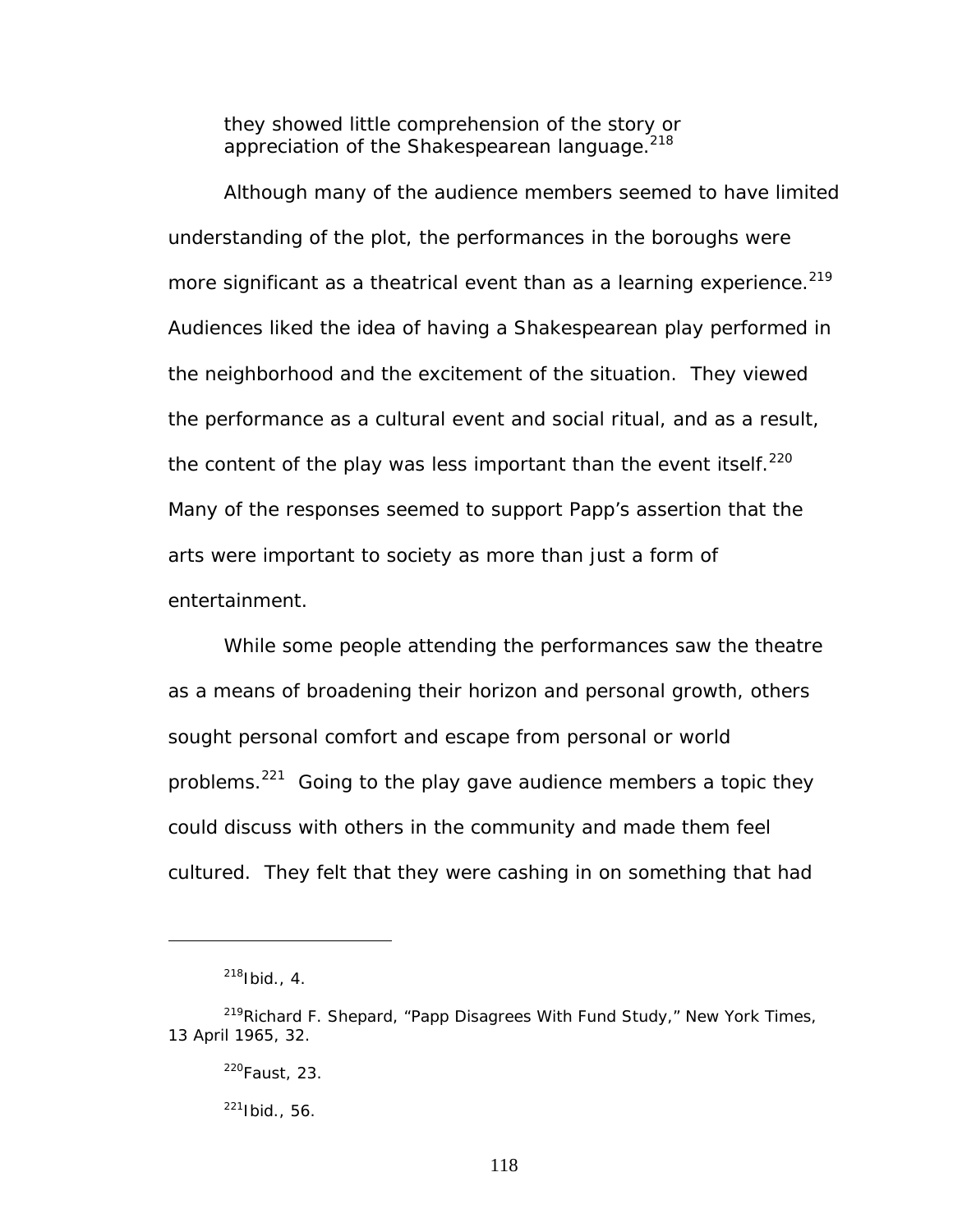they showed little comprehension of the story or appreciation of the Shakespearean language.<sup>[218](#page-124-0)</sup>

Although many of the audience members seemed to have limited understanding of the plot, the performances in the boroughs were more significant as a theatrical event than as a learning experience.<sup>219</sup> Audiences liked the idea of having a Shakespearean play performed in the neighborhood and the excitement of the situation. They viewed the performance as a cultural event and social ritual, and as a result, the content of the play was less important than the event itself.<sup>220</sup> Many of the responses seemed to support Papp's assertion that the arts were important to society as more than just a form of entertainment.

While some people attending the performances saw the theatre as a means of broadening their horizon and personal growth, others sought personal comfort and escape from personal or world problems.<sup>221</sup> Going to the play gave audience members a topic they could discuss with others in the community and made them feel cultured. They felt that they were cashing in on something that had

<span id="page-124-1"></span><span id="page-124-0"></span> $218$ Ibid., 4.

<sup>219</sup>Richard F. Shepard, "Papp Disagrees With Fund Study," *New York Times*, 13 April 1965, 32.

<span id="page-124-2"></span><sup>220</sup>Faust, 23.

<span id="page-124-3"></span> $221$ Ibid., 56.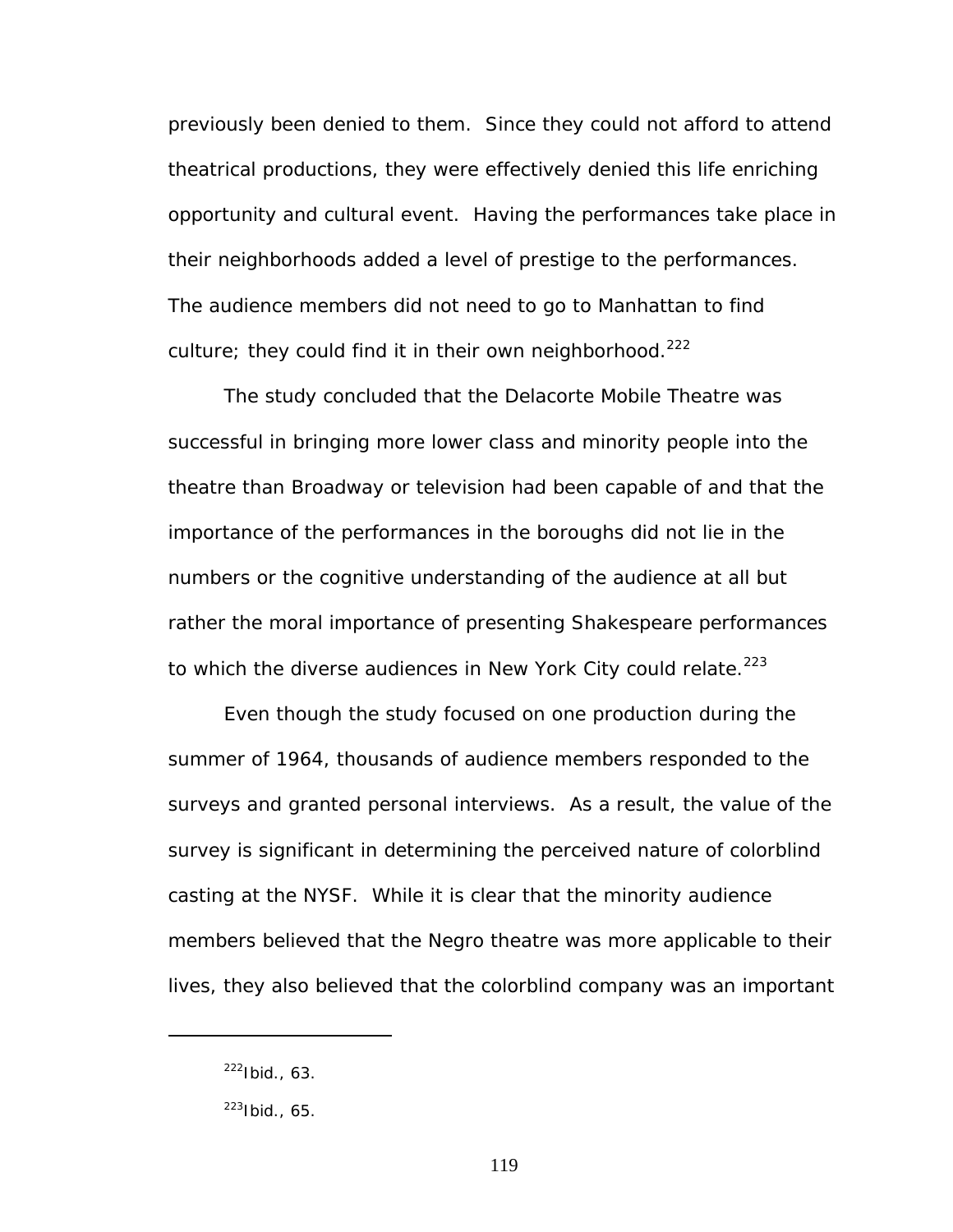previously been denied to them. Since they could not afford to attend theatrical productions, they were effectively denied this life enriching opportunity and cultural event. Having the performances take place in their neighborhoods added a level of prestige to the performances. The audience members did not need to go to Manhattan to find culture; they could find it in their own neighborhood. $^{222}$  $^{222}$  $^{222}$ 

The study concluded that the Delacorte Mobile Theatre was successful in bringing more lower class and minority people into the theatre than Broadway or television had been capable of and that the importance of the performances in the boroughs did not lie in the numbers or the cognitive understanding of the audience at all but rather the moral importance of presenting Shakespeare performances to which the diverse audiences in New York City could relate. $^{223}$  $^{223}$  $^{223}$ 

Even though the study focused on one production during the summer of 1964, thousands of audience members responded to the surveys and granted personal interviews. As a result, the value of the survey is significant in determining the perceived nature of colorblind casting at the NYSF. While it is clear that the minority audience members believed that the Negro theatre was more applicable to their lives, they also believed that the colorblind company was an important

<span id="page-125-0"></span> $222$ Ibid., 63.

<span id="page-125-1"></span> $223$ Ibid., 65.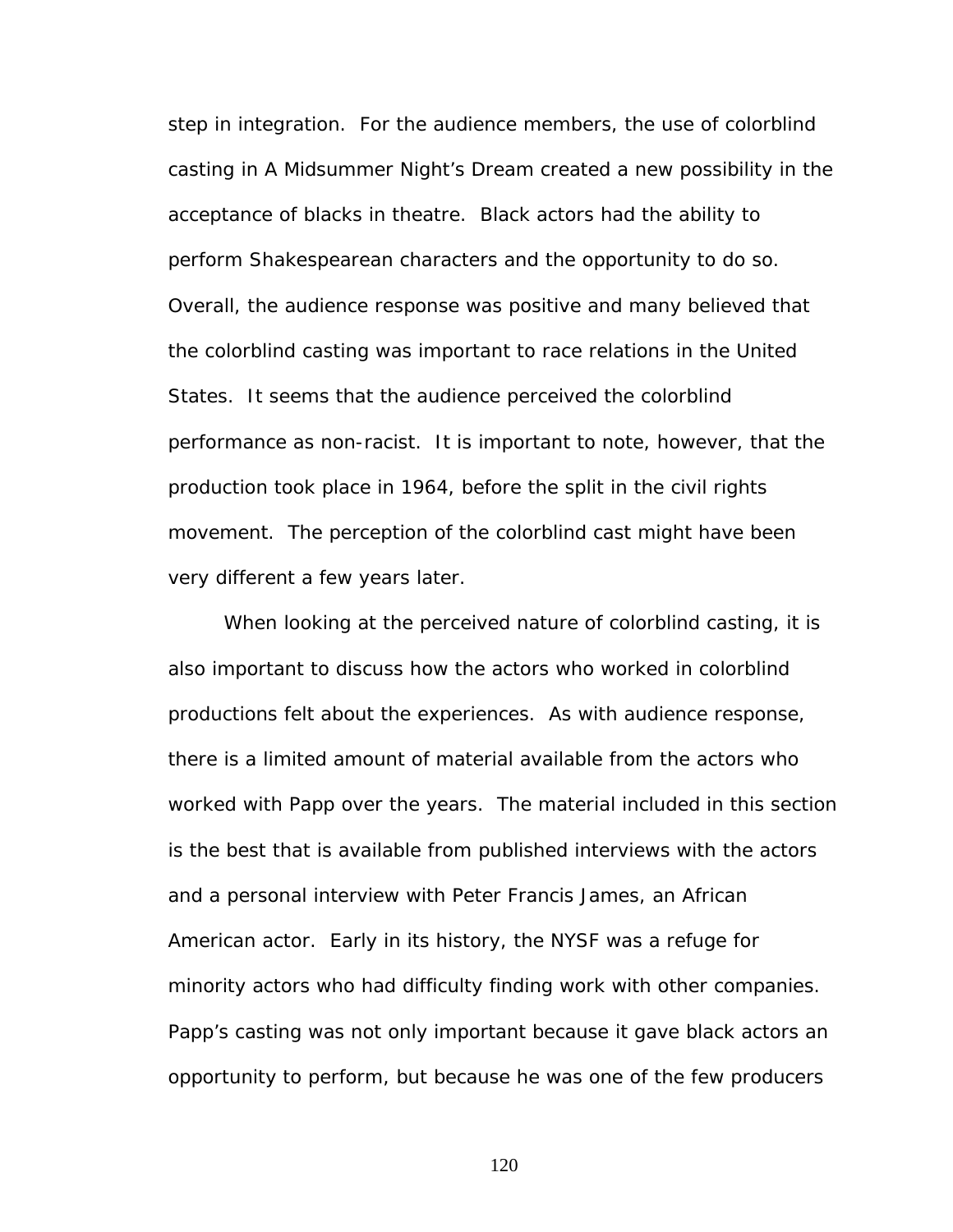step in integration. For the audience members, the use of colorblind casting in *A Midsummer Night's Dream* created a new possibility in the acceptance of blacks in theatre. Black actors had the ability to perform Shakespearean characters and the opportunity to do so. Overall, the audience response was positive and many believed that the colorblind casting was important to race relations in the United States. It seems that the audience perceived the colorblind performance as non-racist. It is important to note, however, that the production took place in 1964, before the split in the civil rights movement. The perception of the colorblind cast might have been very different a few years later.

When looking at the perceived nature of colorblind casting, it is also important to discuss how the actors who worked in colorblind productions felt about the experiences. As with audience response, there is a limited amount of material available from the actors who worked with Papp over the years. The material included in this section is the best that is available from published interviews with the actors and a personal interview with Peter Francis James, an African American actor. Early in its history, the NYSF was a refuge for minority actors who had difficulty finding work with other companies. Papp's casting was not only important because it gave black actors an opportunity to perform, but because he was one of the few producers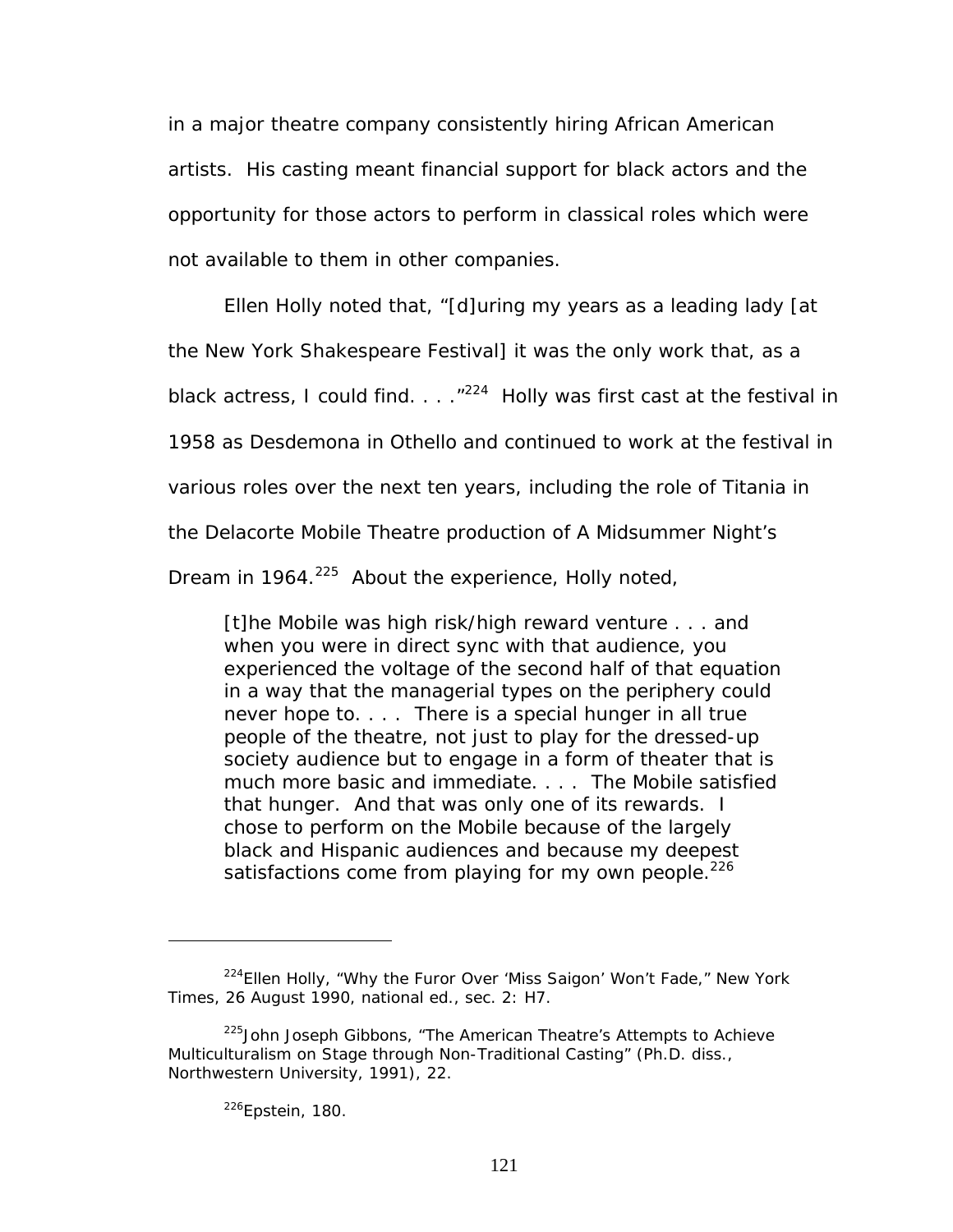in a major theatre company consistently hiring African American artists. His casting meant financial support for black actors and the opportunity for those actors to perform in classical roles which were not available to them in other companies.

Ellen Holly noted that, "[d]uring my years as a leading lady [at

the New York Shakespeare Festival] it was the only work that, as a

black actress, I could find.  $\ldots$  ."<sup>224</sup> Holly was first cast at the festival in

1958 as Desdemona in *Othello* and continued to work at the festival in

various roles over the next ten years, including the role of Titania in

the Delacorte Mobile Theatre production of *A Midsummer Night's* 

*Dream* in 1964.<sup>225</sup> About the experience, Holly noted,

[t]he Mobile was high risk/high reward venture . . . and when you were in direct sync with that audience, you experienced the voltage of the second half of that equation in a way that the managerial types on the periphery could never hope to. . . . There is a special hunger in all true people of the theatre, not just to play for the dressed-up society audience but to engage in a form of theater that is much more basic and immediate. . . . The Mobile satisfied that hunger. And that was only one of its rewards. I chose to perform on the Mobile because of the largely black and Hispanic audiences and because my deepest satisfactions come from playing for my own people.<sup>226</sup>

<span id="page-127-2"></span>226Epstein, 180.

<span id="page-127-0"></span><sup>224</sup>Ellen Holly, "Why the Furor Over 'Miss Saigon' Won't Fade," *New York Times*, 26 August 1990, national ed., sec. 2: H7.

<span id="page-127-1"></span><sup>&</sup>lt;sup>225</sup> John Joseph Gibbons, "The American Theatre's Attempts to Achieve Multiculturalism on Stage through Non-Traditional Casting" (Ph.D. diss., Northwestern University, 1991), 22.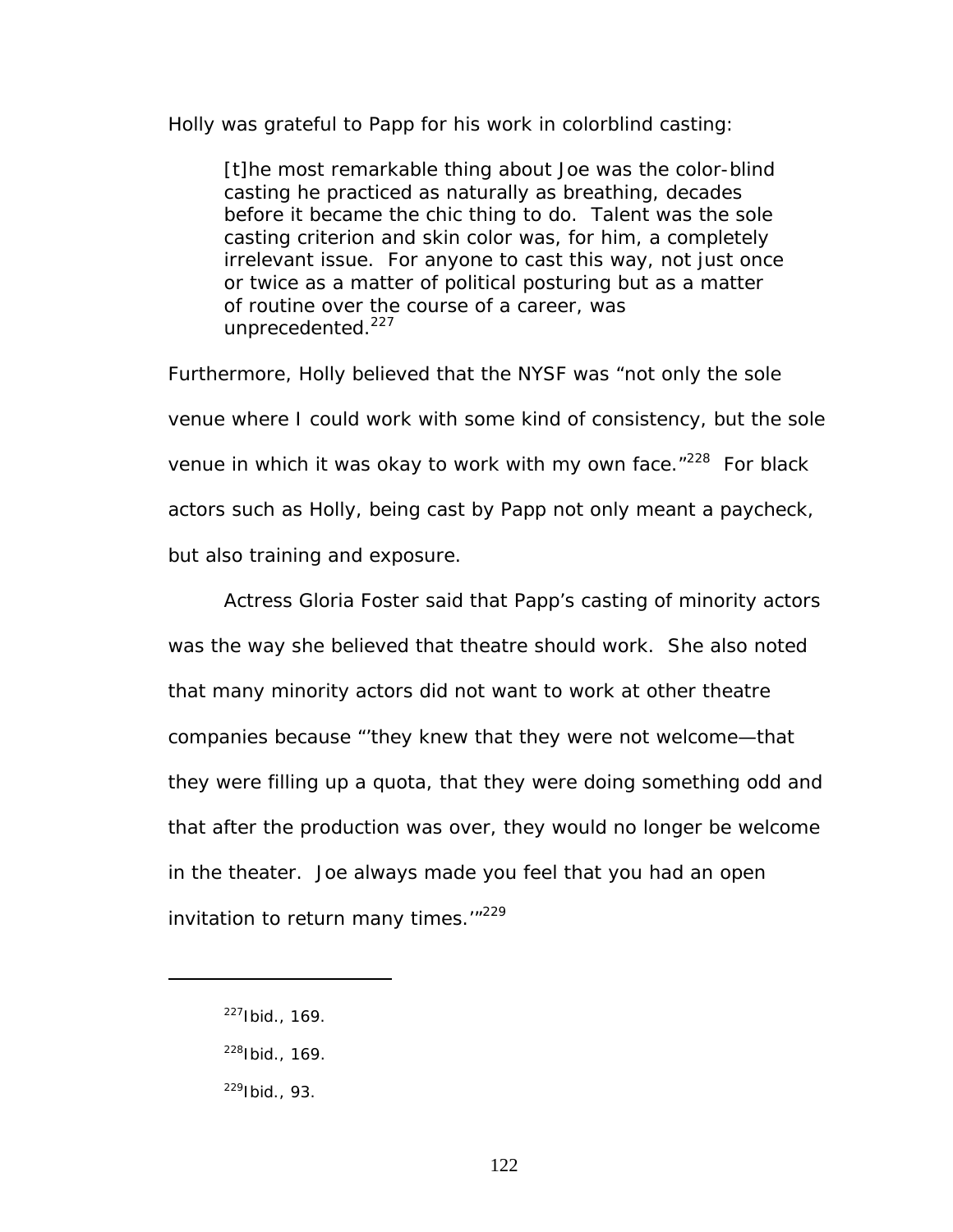Holly was grateful to Papp for his work in colorblind casting:

[t]he most remarkable thing about Joe was the color-blind casting he practiced as naturally as breathing, decades before it became the chic thing to do. Talent was the sole casting criterion and skin color was, for him, a completely irrelevant issue. For anyone to cast this way, not just once or twice as a matter of political posturing but as a matter of routine over the course of a career, was unprecedented.<sup>227</sup>

Furthermore, Holly believed that the NYSF was "not only the sole venue where I could work with some kind of consistency, but the sole venue in which it was okay to work with my own face. $1228$  For black actors such as Holly, being cast by Papp not only meant a paycheck, but also training and exposure.

Actress Gloria Foster said that Papp's casting of minority actors was the way she believed that theatre should work. She also noted that many minority actors did not want to work at other theatre companies because "'they knew that they were not welcome—that they were filling up a quota, that they were doing something odd and that after the production was over, they would no longer be welcome in the theater. Joe always made you feel that you had an open invitation to return many times.<sup>'"229</sup>

<span id="page-128-0"></span> $227$ Ibid., 169.

<span id="page-128-1"></span><sup>228</sup>Ibid., 169.

<span id="page-128-2"></span> $229$ Ibid., 93.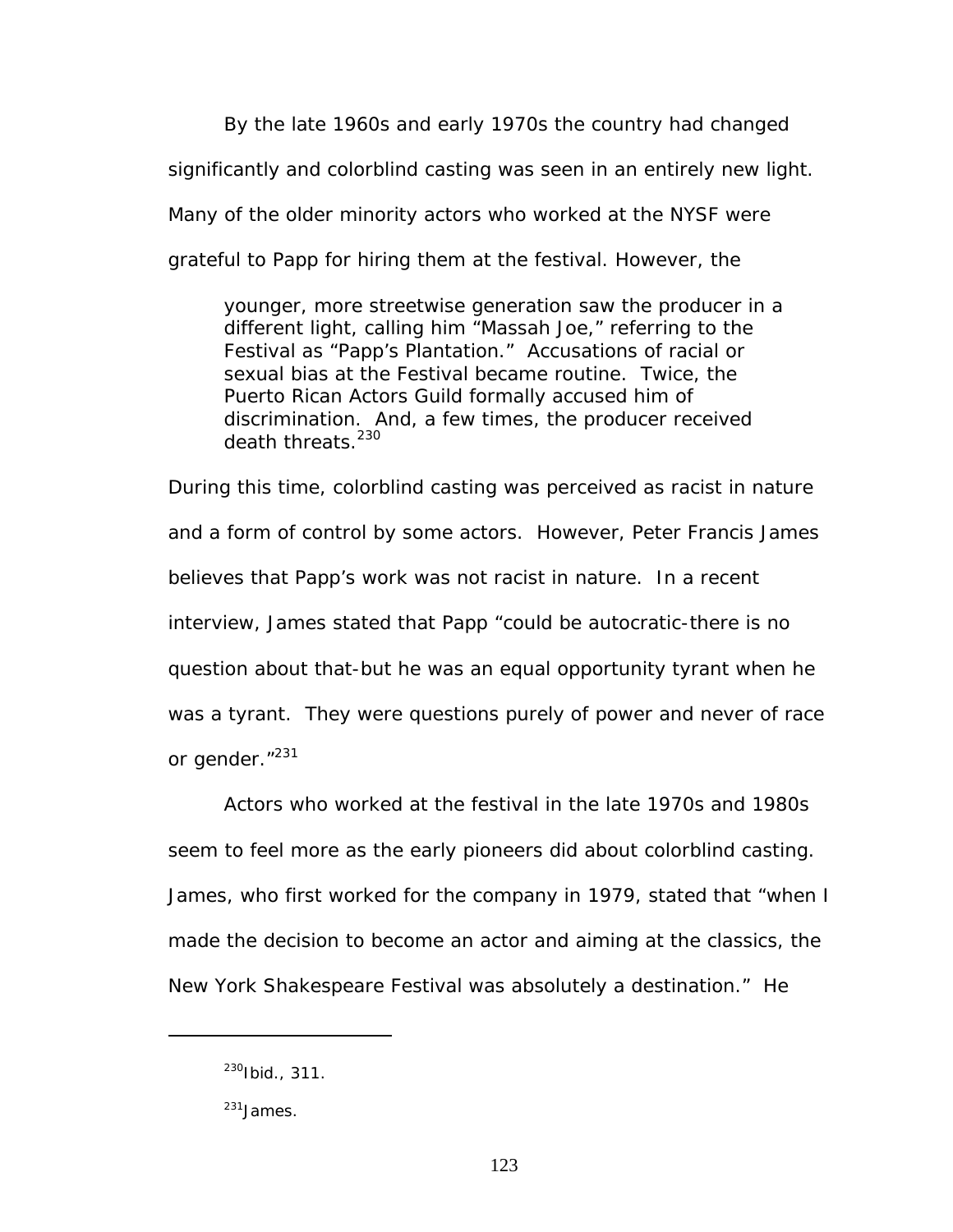By the late 1960s and early 1970s the country had changed significantly and colorblind casting was seen in an entirely new light. Many of the older minority actors who worked at the NYSF were grateful to Papp for hiring them at the festival. However, the

younger, more streetwise generation saw the producer in a different light, calling him "Massah Joe," referring to the Festival as "Papp's Plantation." Accusations of racial or sexual bias at the Festival became routine. Twice, the Puerto Rican Actors Guild formally accused him of discrimination. And, a few times, the producer received death threats.<sup>230</sup>

During this time, colorblind casting was perceived as racist in nature and a form of control by some actors. However, Peter Francis James believes that Papp's work was not racist in nature. In a recent interview, James stated that Papp "could be autocratic-there is no question about that-but he was an equal opportunity tyrant when he was a tyrant. They were questions purely of power and never of race or gender."<sup>231</sup>

Actors who worked at the festival in the late 1970s and 1980s seem to feel more as the early pioneers did about colorblind casting. James, who first worked for the company in 1979, stated that "when I made the decision to become an actor and aiming at the classics, the New York Shakespeare Festival was absolutely a destination." He

<span id="page-129-0"></span><sup>230</sup>Ibid., 311.

<span id="page-129-1"></span><sup>231</sup>James.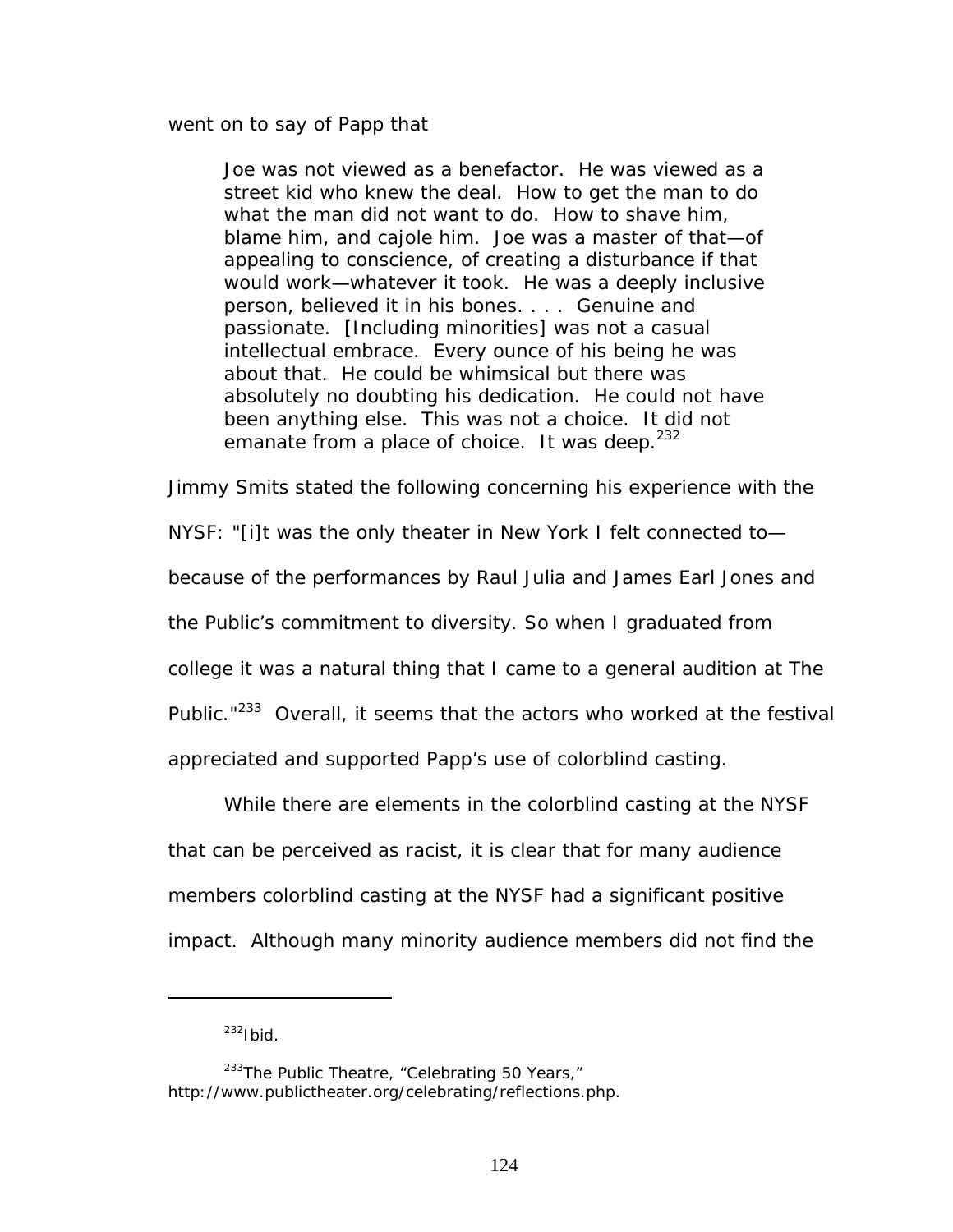went on to say of Papp that

Joe was not viewed as a benefactor. He was viewed as a street kid who knew the deal. How to get the man to do what the man did not want to do. How to shave him, blame him, and cajole him. Joe was a master of that—of appealing to conscience, of creating a disturbance if that would work—whatever it took. He was a deeply inclusive person, believed it in his bones. . . . Genuine and passionate. [Including minorities] was not a casual intellectual embrace. Every ounce of his being he was about that. He could be whimsical but there was absolutely no doubting his dedication. He could not have been anything else. This was not a choice. It did not emanate from a place of choice. It was deep.  $232$ 

Jimmy Smits stated the following concerning his experience with the

NYSF: "[i]t was the only theater in New York I felt connected to—

because of the performances by Raul Julia and James Earl Jones and

the Public's commitment to diversity. So when I graduated from

college it was a natural thing that I came to a general audition at The

Public."<sup>233</sup> Overall, it seems that the actors who worked at the festival

appreciated and supported Papp's use of colorblind casting.

While there are elements in the colorblind casting at the NYSF that can be perceived as racist, it is clear that for many audience members colorblind casting at the NYSF had a significant positive impact. Although many minority audience members did not find the

<span id="page-130-1"></span><span id="page-130-0"></span> $232$ Ibid.

 $233$ The Public Theatre, "Celebrating 50 Years," http://www.publictheater.org/celebrating/reflections.php.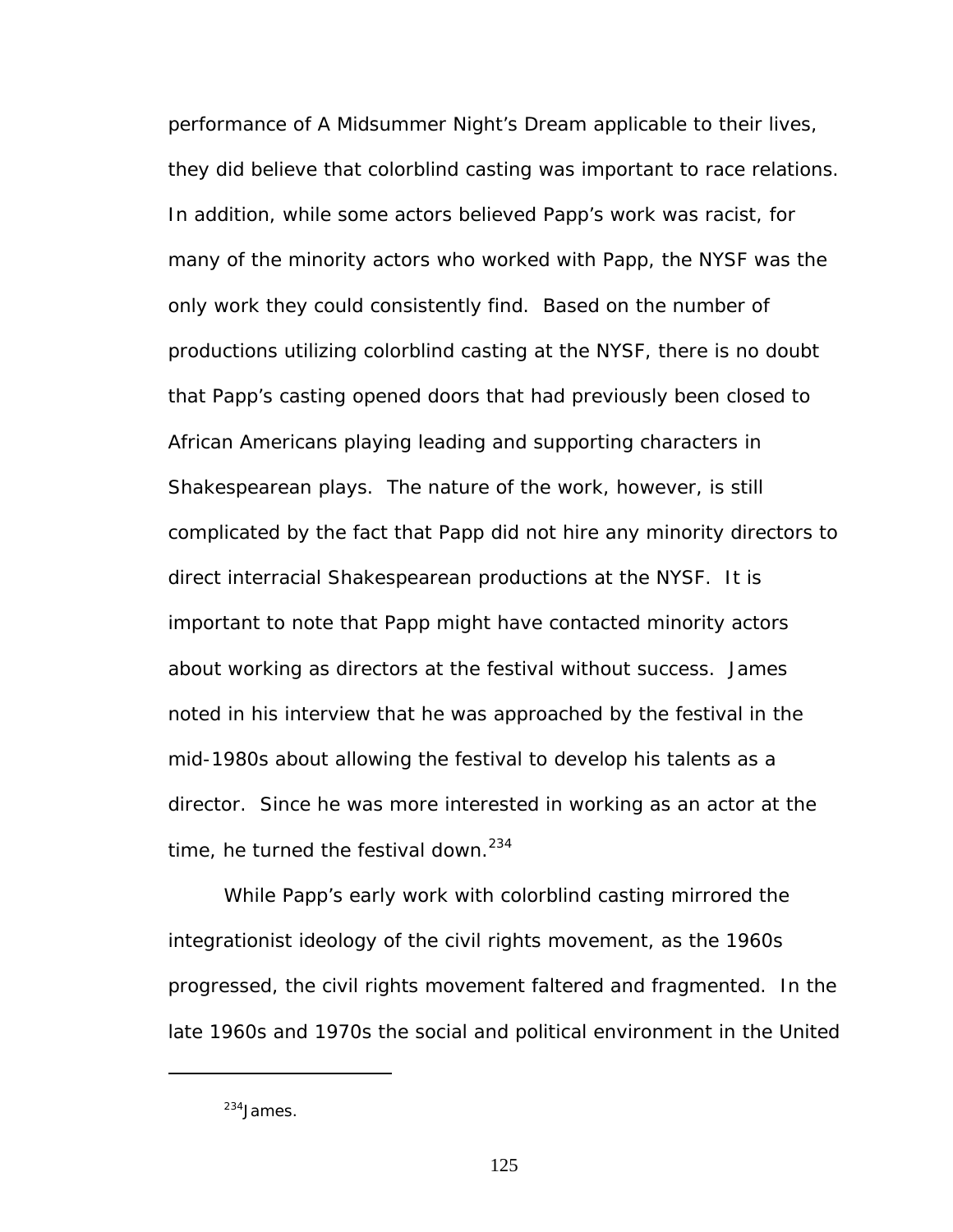performance of *A Midsummer Night's Dream* applicable to their lives, they did believe that colorblind casting was important to race relations. In addition, while some actors believed Papp's work was racist, for many of the minority actors who worked with Papp, the NYSF was the only work they could consistently find. Based on the number of productions utilizing colorblind casting at the NYSF, there is no doubt that Papp's casting opened doors that had previously been closed to African Americans playing leading and supporting characters in Shakespearean plays. The nature of the work, however, is still complicated by the fact that Papp did not hire any minority directors to direct interracial Shakespearean productions at the NYSF. It is important to note that Papp might have contacted minority actors about working as directors at the festival without success. James noted in his interview that he was approached by the festival in the mid-1980s about allowing the festival to develop his talents as a director. Since he was more interested in working as an actor at the time, he turned the festival down. $234$ 

While Papp's early work with colorblind casting mirrored the integrationist ideology of the civil rights movement, as the 1960s progressed, the civil rights movement faltered and fragmented. In the late 1960s and 1970s the social and political environment in the United

<span id="page-131-0"></span><sup>&</sup>lt;sup>234</sup> lames.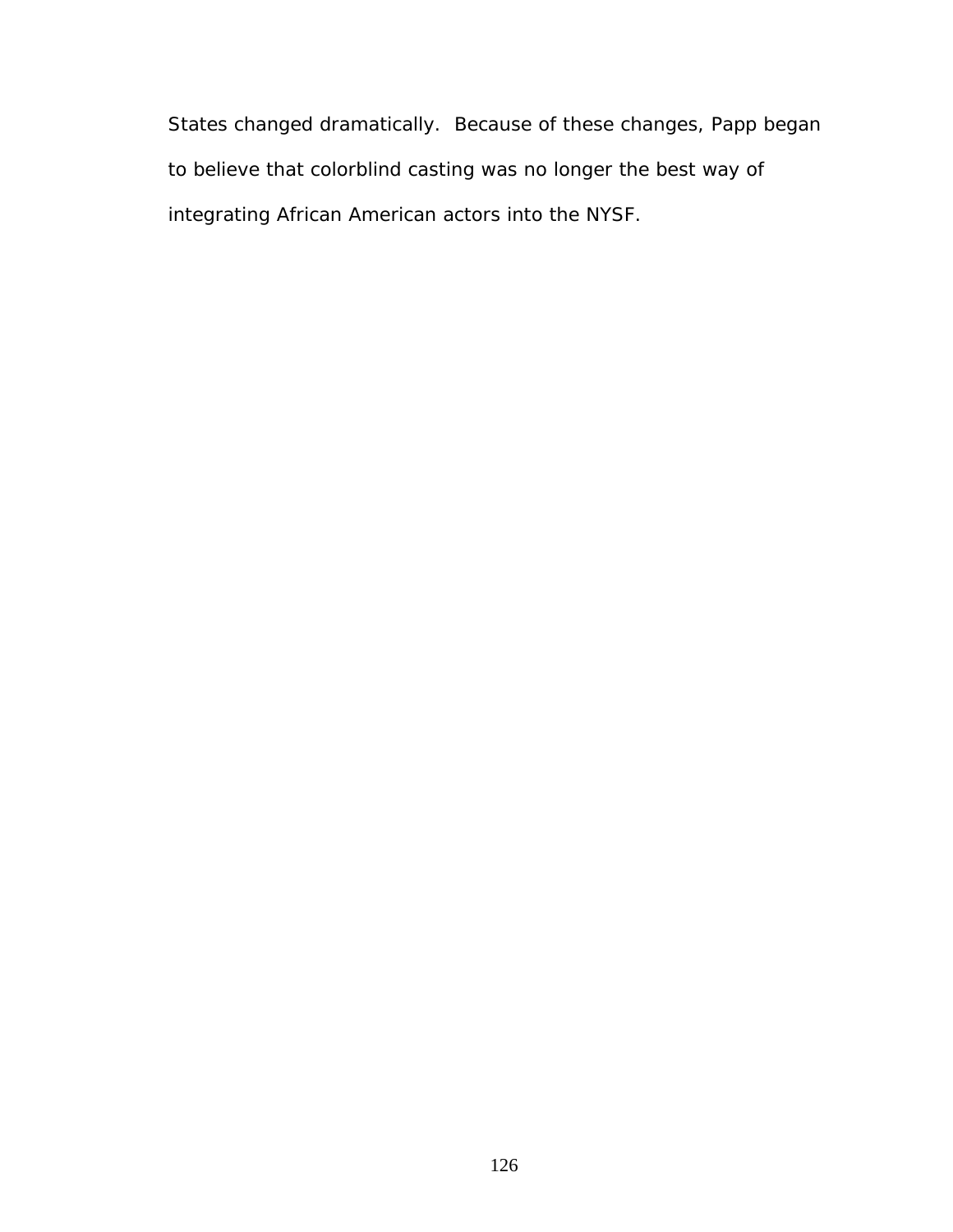States changed dramatically. Because of these changes, Papp began to believe that colorblind casting was no longer the best way of integrating African American actors into the NYSF.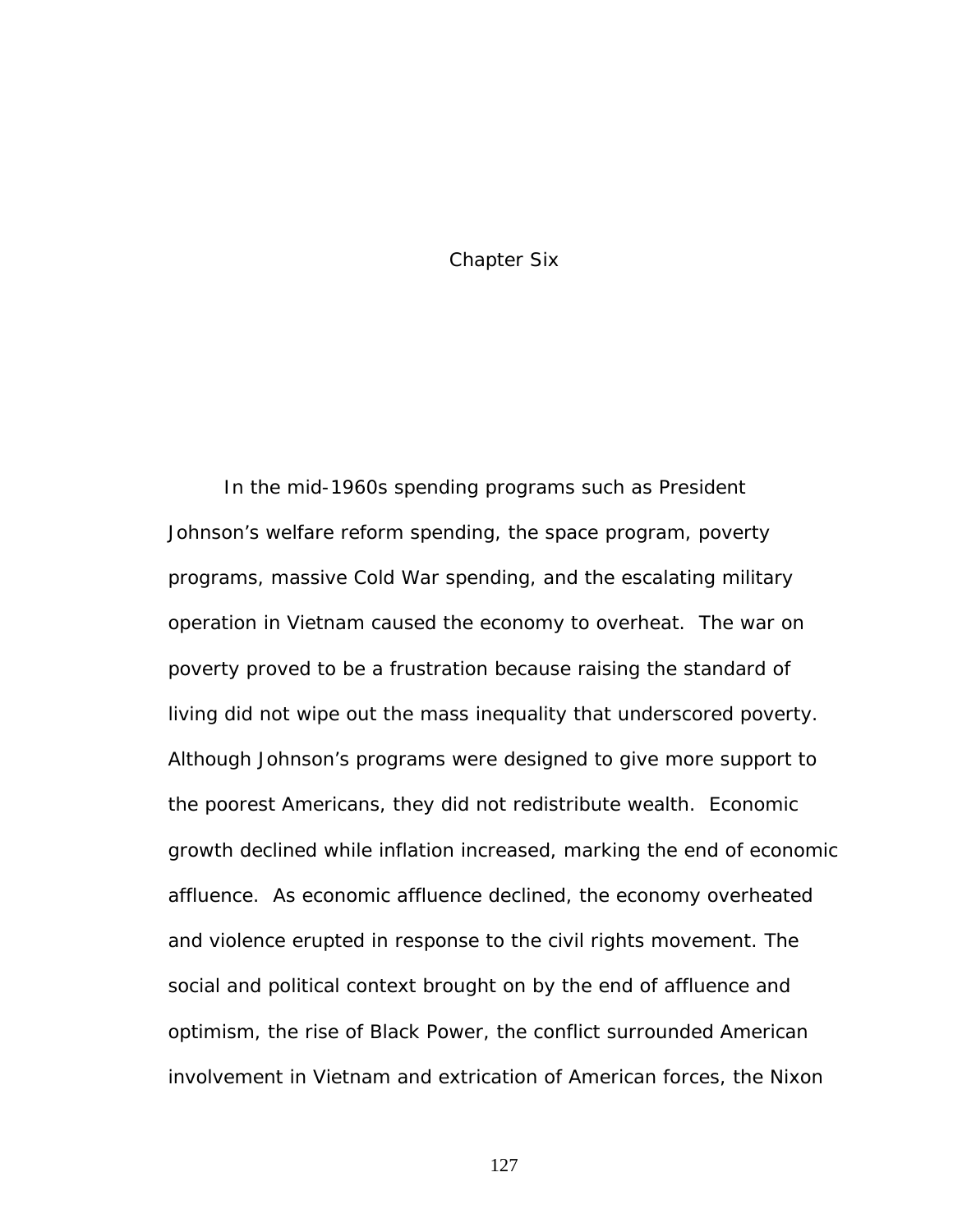Chapter Six

In the mid-1960s spending programs such as President Johnson's welfare reform spending, the space program, poverty programs, massive Cold War spending, and the escalating military operation in Vietnam caused the economy to overheat. The war on poverty proved to be a frustration because raising the standard of living did not wipe out the mass inequality that underscored poverty. Although Johnson's programs were designed to give more support to the poorest Americans, they did not redistribute wealth. Economic growth declined while inflation increased, marking the end of economic affluence. As economic affluence declined, the economy overheated and violence erupted in response to the civil rights movement. The social and political context brought on by the end of affluence and optimism, the rise of Black Power, the conflict surrounded American involvement in Vietnam and extrication of American forces, the Nixon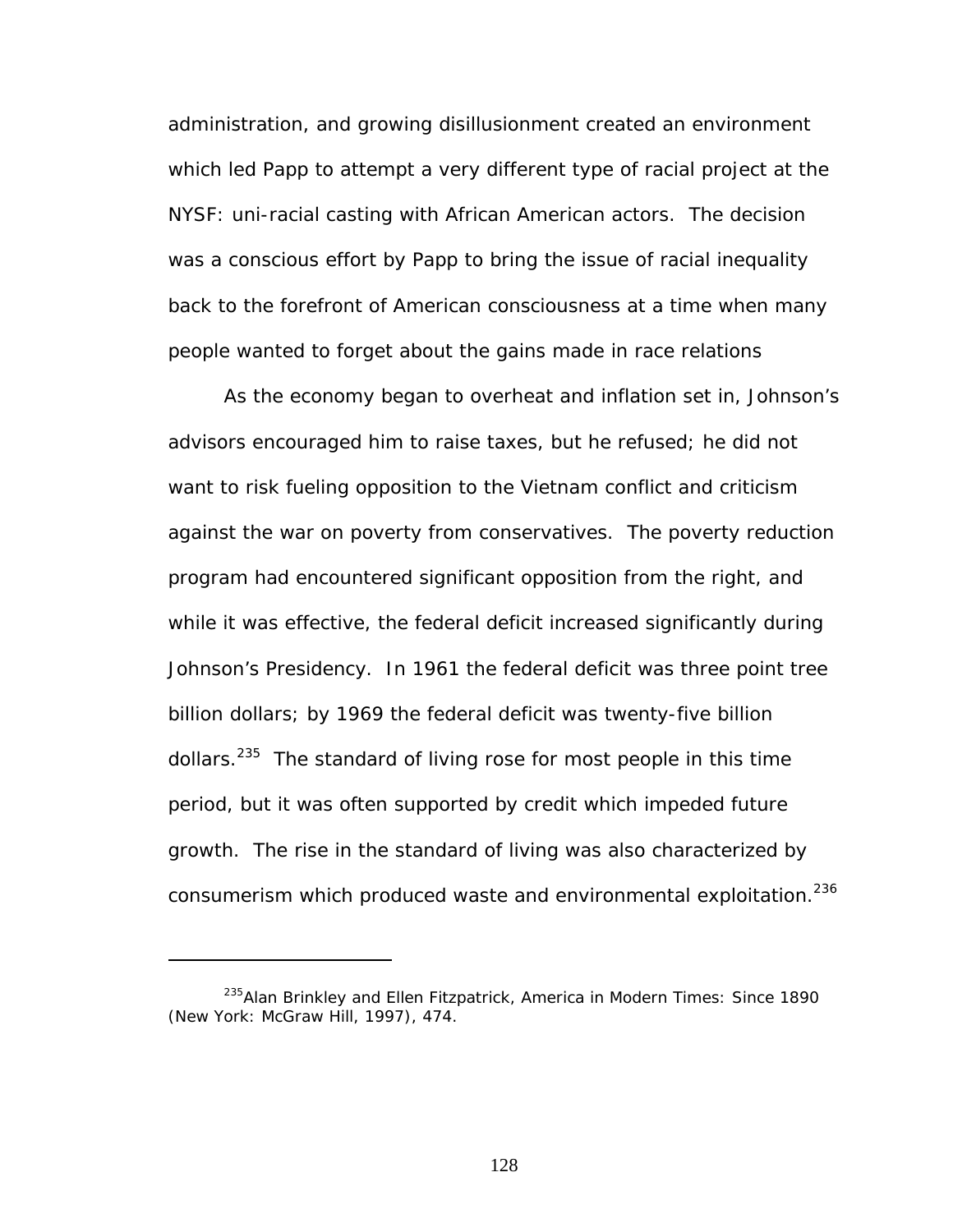administration, and growing disillusionment created an environment which led Papp to attempt a very different type of racial project at the NYSF: uni-racial casting with African American actors. The decision was a conscious effort by Papp to bring the issue of racial inequality back to the forefront of American consciousness at a time when many people wanted to forget about the gains made in race relations

As the economy began to overheat and inflation set in, Johnson's advisors encouraged him to raise taxes, but he refused; he did not want to risk fueling opposition to the Vietnam conflict and criticism against the war on poverty from conservatives. The poverty reduction program had encountered significant opposition from the right, and while it was effective, the federal deficit increased significantly during Johnson's Presidency. In 1961 the federal deficit was three point tree billion dollars; by 1969 the federal deficit was twenty-five billion dollars.<sup>235</sup> The standard of living rose for most people in this time period, but it was often supported by credit which impeded future growth. The rise in the standard of living was also characterized by consumerism which produced waste and environmental exploitation.<sup>236</sup>

<span id="page-134-1"></span><span id="page-134-0"></span><sup>235</sup>Alan Brinkley and Ellen Fitzpatrick, *America in Modern Times: Since 1890* (New York: McGraw Hill, 1997), 474.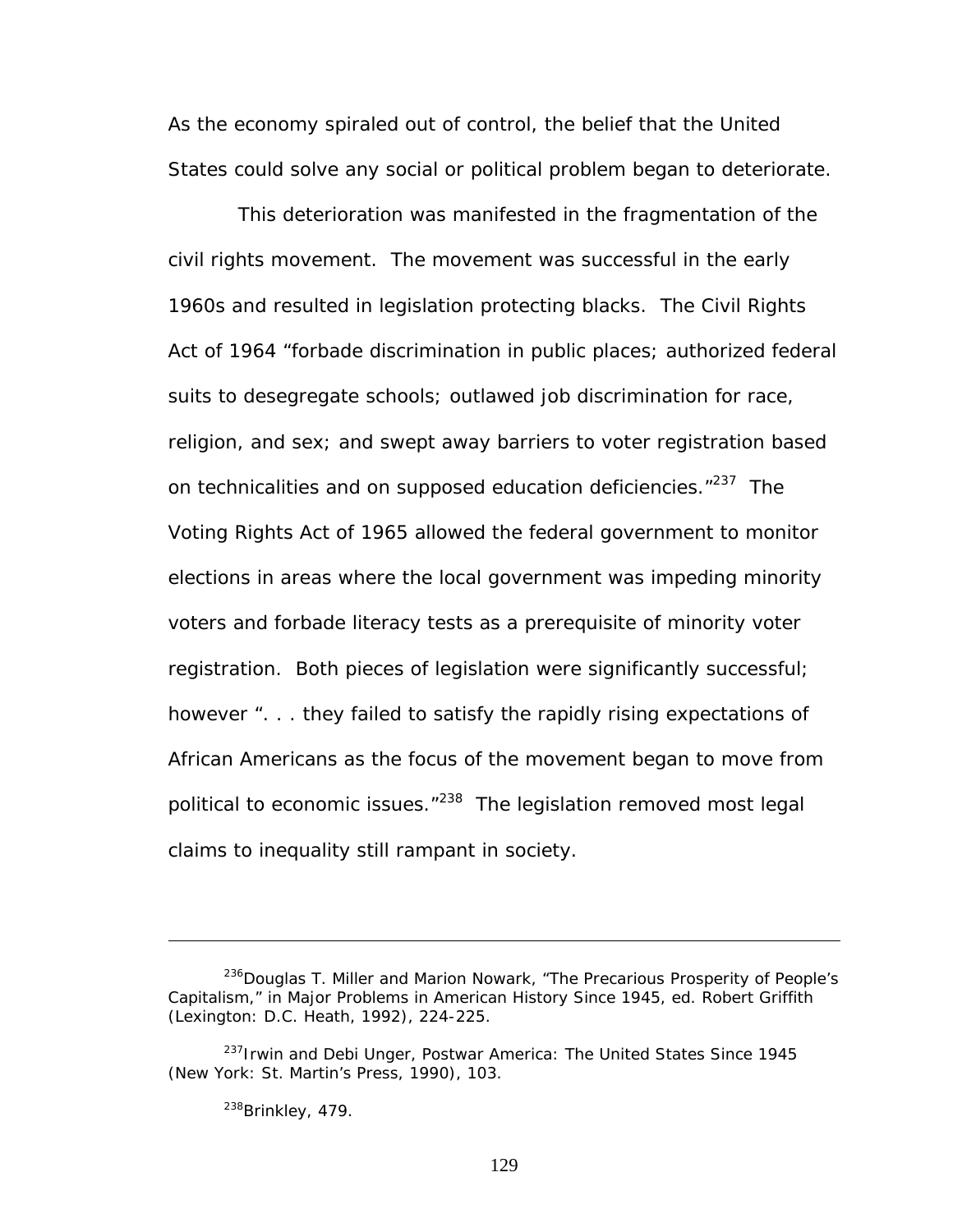As the economy spiraled out of control, the belief that the United States could solve any social or political problem began to deteriorate.

This deterioration was manifested in the fragmentation of the civil rights movement. The movement was successful in the early 1960s and resulted in legislation protecting blacks. The Civil Rights Act of 1964 "forbade discrimination in public places; authorized federal suits to desegregate schools; outlawed job discrimination for race, religion, and sex; and swept away barriers to voter registration based on technicalities and on supposed education deficiencies."<sup>237</sup> The Voting Rights Act of 1965 allowed the federal government to monitor elections in areas where the local government was impeding minority voters and forbade literacy tests as a prerequisite of minority voter registration. Both pieces of legislation were significantly successful; however ". . . they failed to satisfy the rapidly rising expectations of African Americans as the focus of the movement began to move from political to economic issues.<sup>"238</sup> The legislation removed most legal claims to inequality still rampant in society.

<span id="page-135-1"></span><sup>238</sup>Brinkley, 479.

<sup>&</sup>lt;sup>236</sup>Douglas T. Miller and Marion Nowark, "The Precarious Prosperity of People's Capitalism," in *Major Problems in American History Since 1945*, ed. Robert Griffith (Lexington: D.C. Heath, 1992), 224-225.

<span id="page-135-0"></span><sup>237</sup>Irwin and Debi Unger, *Postwar America: The United States Since 1945* (New York: St. Martin's Press, 1990), 103.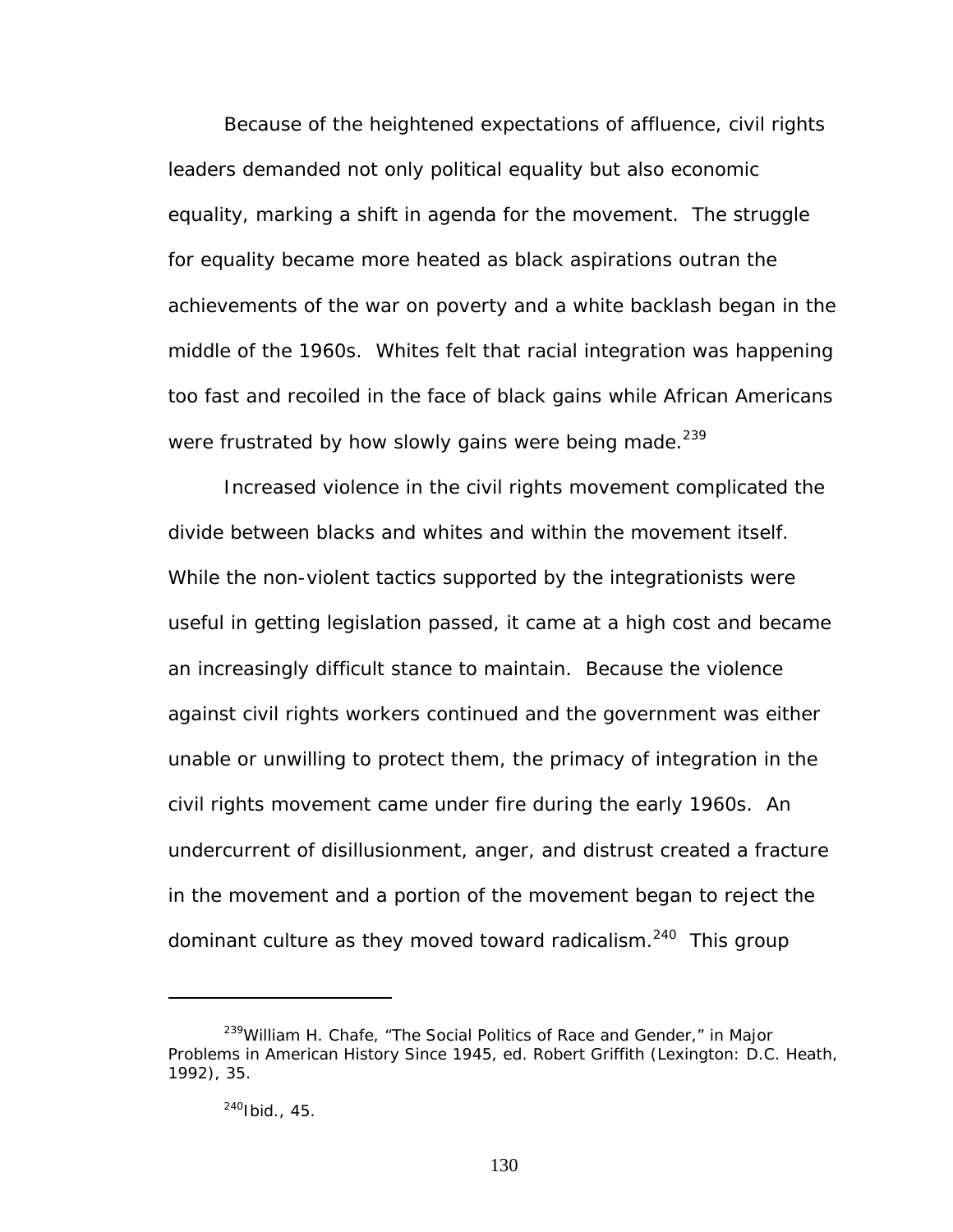Because of the heightened expectations of affluence, civil rights leaders demanded not only political equality but also economic equality, marking a shift in agenda for the movement. The struggle for equality became more heated as black aspirations outran the achievements of the war on poverty and a white backlash began in the middle of the 1960s. Whites felt that racial integration was happening too fast and recoiled in the face of black gains while African Americans were frustrated by how slowly gains were being made.<sup>239</sup>

Increased violence in the civil rights movement complicated the divide between blacks and whites and within the movement itself. While the non-violent tactics supported by the integrationists were useful in getting legislation passed, it came at a high cost and became an increasingly difficult stance to maintain. Because the violence against civil rights workers continued and the government was either unable or unwilling to protect them, the primacy of integration in the civil rights movement came under fire during the early 1960s. An undercurrent of disillusionment, anger, and distrust created a fracture in the movement and a portion of the movement began to reject the dominant culture as they moved toward radicalism.<sup>240</sup> This group

<span id="page-136-0"></span><sup>239</sup>William H. Chafe, "The Social Politics of Race and Gender," in *Major Problems in American History Since 1945*, ed. Robert Griffith (Lexington: D.C. Heath, 1992), 35.

<span id="page-136-1"></span> $240$ Ibid., 45.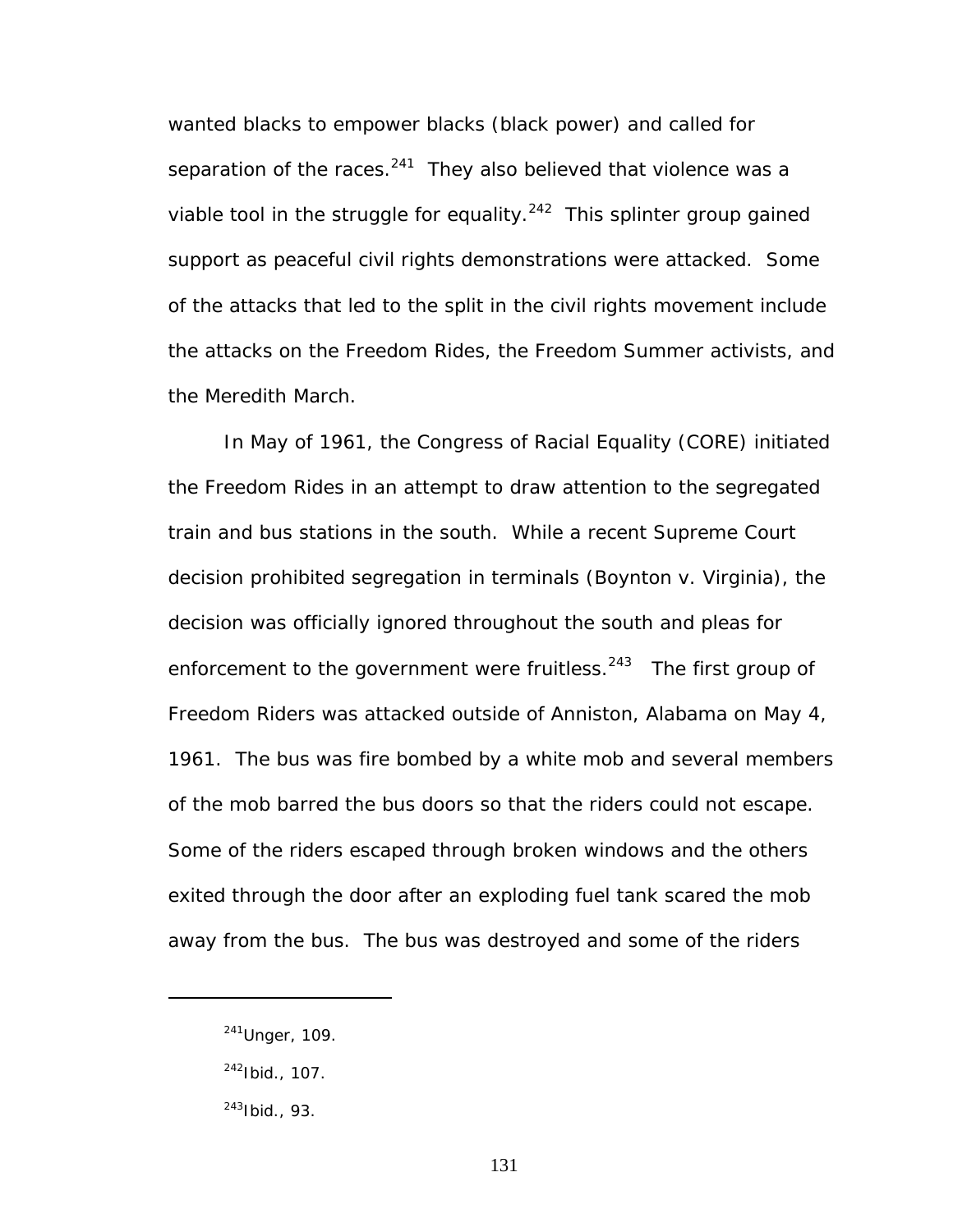wanted blacks to empower blacks (black power) and called for separation of the races. $241$  They also believed that violence was a viable tool in the struggle for equality.<sup>242</sup> This splinter group gained support as peaceful civil rights demonstrations were attacked. Some of the attacks that led to the split in the civil rights movement include the attacks on the Freedom Rides, the Freedom Summer activists, and the Meredith March.

In May of 1961, the Congress of Racial Equality (CORE) initiated the Freedom Rides in an attempt to draw attention to the segregated train and bus stations in the south. While a recent Supreme Court decision prohibited segregation in terminals (*Boynton* v. *Virginia*), the decision was officially ignored throughout the south and pleas for enforcement to the government were fruitless. $243$  The first group of Freedom Riders was attacked outside of Anniston, Alabama on May 4, 1961. The bus was fire bombed by a white mob and several members of the mob barred the bus doors so that the riders could not escape. Some of the riders escaped through broken windows and the others exited through the door after an exploding fuel tank scared the mob away from the bus. The bus was destroyed and some of the riders

<span id="page-137-0"></span><sup>241</sup>Unger, 109.

<span id="page-137-1"></span> $^{242}$ Ibid., 107.

<span id="page-137-2"></span><sup>243</sup>Ibid., 93.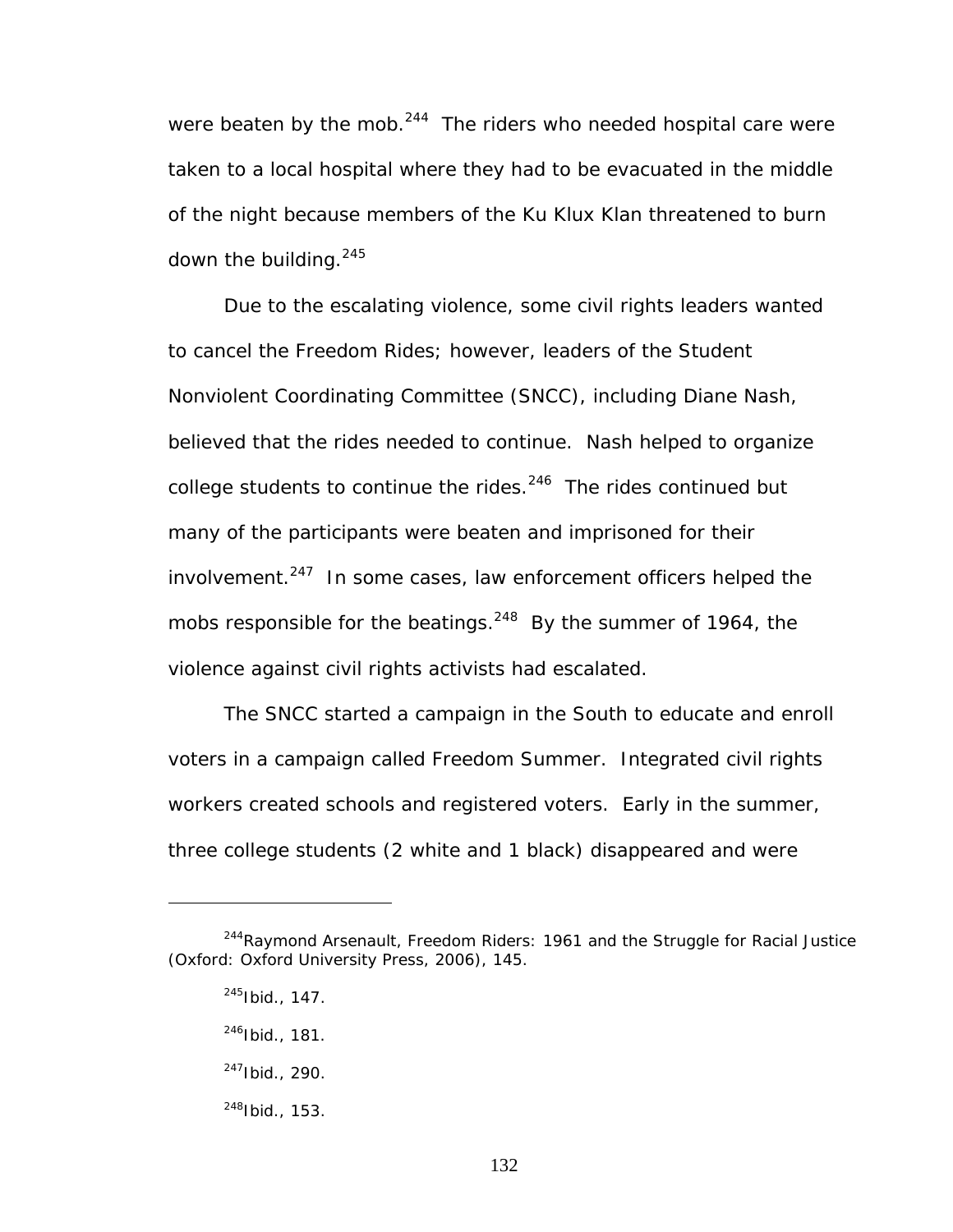were beaten by the mob. $244$  The riders who needed hospital care were taken to a local hospital where they had to be evacuated in the middle of the night because members of the Ku Klux Klan threatened to burn down the building.  $245$ 

Due to the escalating violence, some civil rights leaders wanted to cancel the Freedom Rides; however, leaders of the Student Nonviolent Coordinating Committee (SNCC), including Diane Nash, believed that the rides needed to continue. Nash helped to organize college students to continue the rides. $246$  The rides continued but many of the participants were beaten and imprisoned for their involvement. $247$  In some cases, law enforcement officers helped the mobs responsible for the beatings. $^{248}$  By the summer of 1964, the violence against civil rights activists had escalated.

The SNCC started a campaign in the South to educate and enroll voters in a campaign called Freedom Summer. Integrated civil rights workers created schools and registered voters. Early in the summer, three college students (2 white and 1 black) disappeared and were

1

<span id="page-138-4"></span>248Ibid., 153.

<span id="page-138-0"></span><sup>244</sup>Raymond Arsenault, *Freedom Riders: 1961 and the Struggle for Racial Justice* (Oxford: Oxford University Press, 2006), 145.

<span id="page-138-1"></span> $^{245}$ Ibid., 147.

<span id="page-138-2"></span><sup>246</sup>Ibid., 181.

<span id="page-138-3"></span> $^{247}$ Ibid., 290.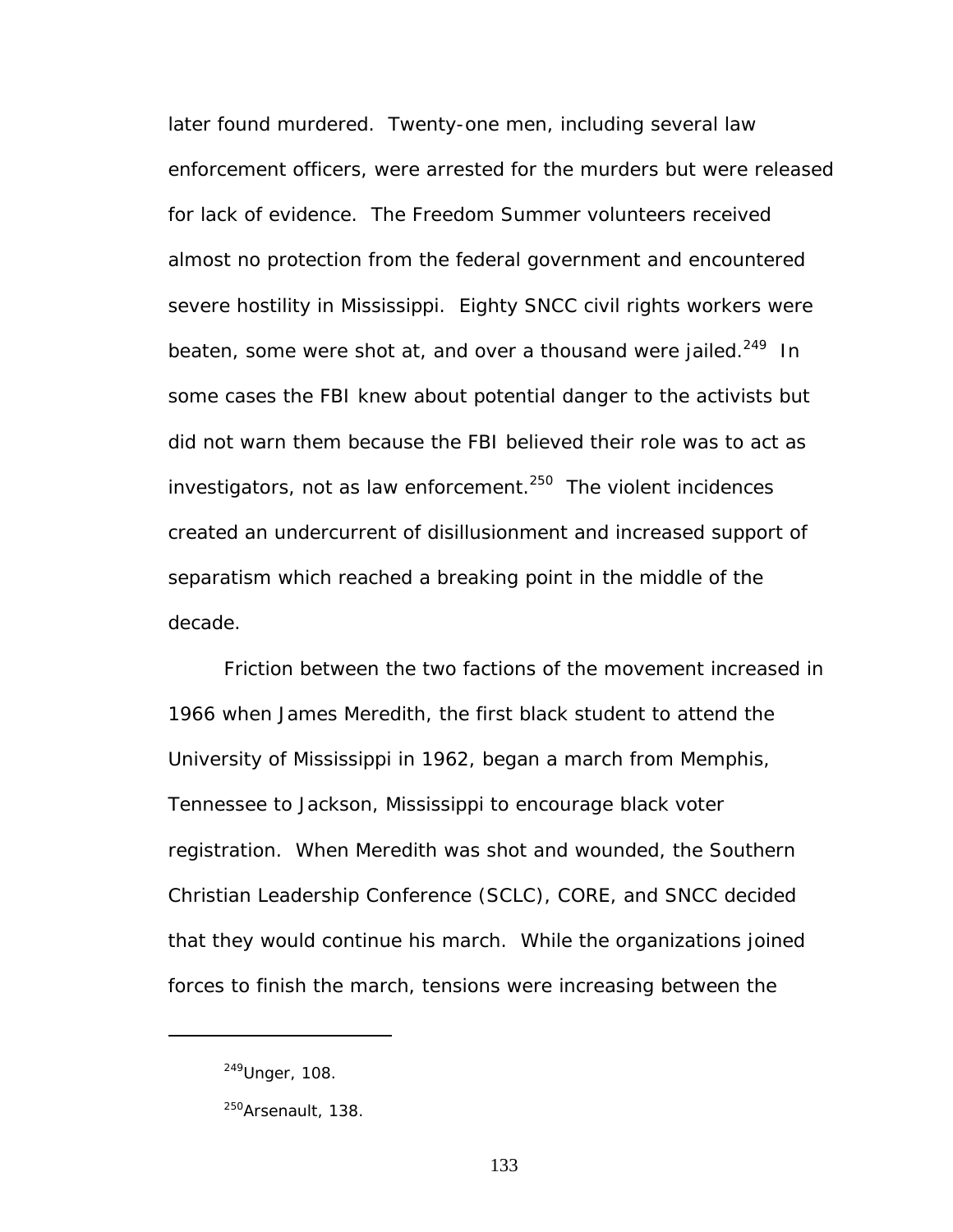later found murdered. Twenty-one men, including several law enforcement officers, were arrested for the murders but were released for lack of evidence. The Freedom Summer volunteers received almost no protection from the federal government and encountered severe hostility in Mississippi. Eighty SNCC civil rights workers were beaten, some were shot at, and over a thousand were jailed.<sup>249</sup> In some cases the FBI knew about potential danger to the activists but did not warn them because the FBI believed their role was to act as investigators, not as law enforcement.<sup>250</sup> The violent incidences created an undercurrent of disillusionment and increased support of separatism which reached a breaking point in the middle of the decade.

Friction between the two factions of the movement increased in 1966 when James Meredith, the first black student to attend the University of Mississippi in 1962, began a march from Memphis, Tennessee to Jackson, Mississippi to encourage black voter registration. When Meredith was shot and wounded, the Southern Christian Leadership Conference (SCLC), CORE, and SNCC decided that they would continue his march. While the organizations joined forces to finish the march, tensions were increasing between the

<span id="page-139-0"></span><sup>249</sup>Unger, 108.

<span id="page-139-1"></span><sup>&</sup>lt;sup>250</sup>Arsenault, 138.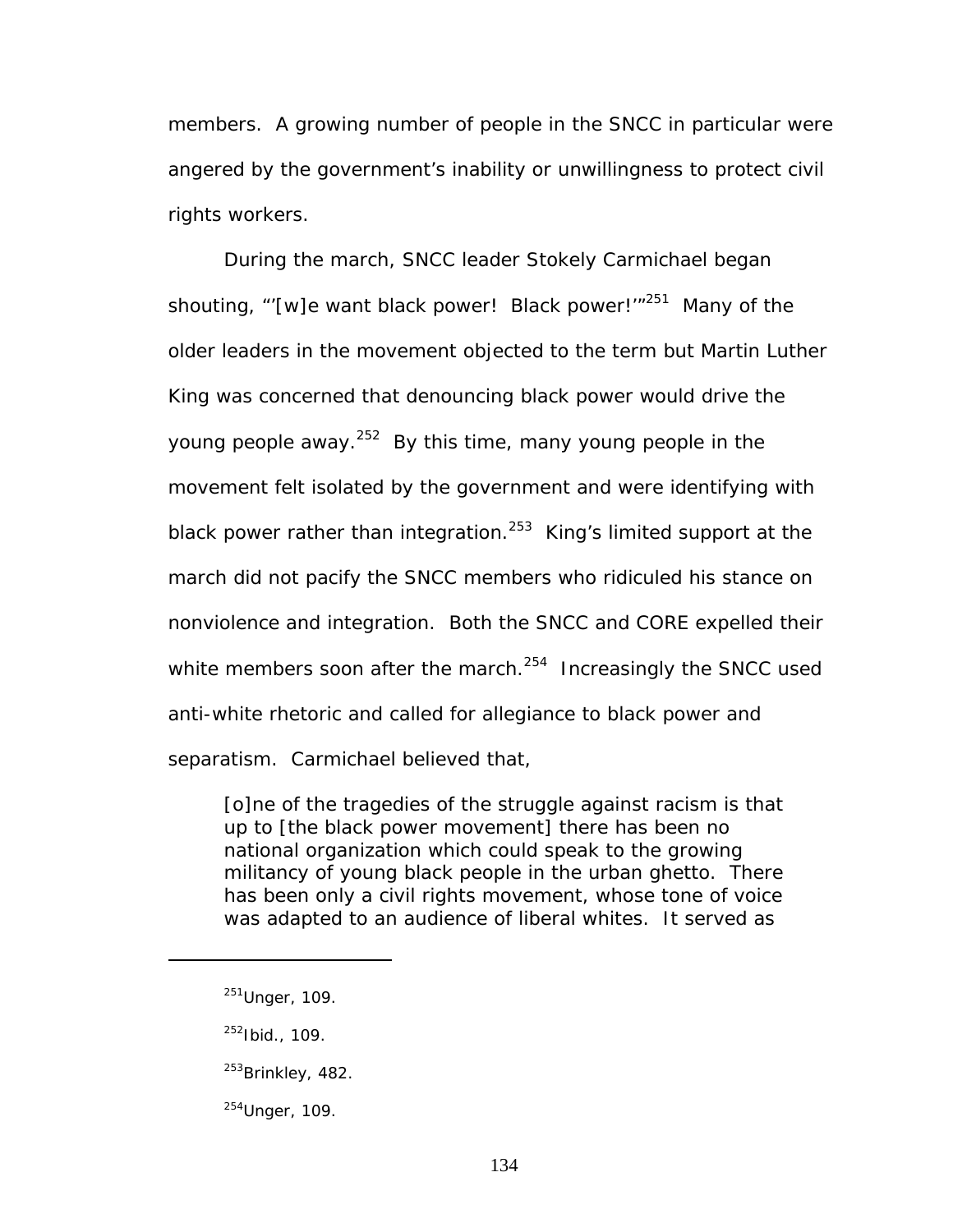members. A growing number of people in the SNCC in particular were angered by the government's inability or unwillingness to protect civil rights workers.

During the march, SNCC leader Stokely Carmichael began shouting, "'[w]e want black power! Black power!'"<sup>251</sup> Many of the older leaders in the movement objected to the term but Martin Luther King was concerned that denouncing black power would drive the young people away. $252$  By this time, many young people in the movement felt isolated by the government and were identifying with black power rather than integration.<sup>253</sup> King's limited support at the march did not pacify the SNCC members who ridiculed his stance on nonviolence and integration. Both the SNCC and CORE expelled their white members soon after the march. $254$  Increasingly the SNCC used anti-white rhetoric and called for allegiance to black power and separatism. Carmichael believed that,

[o]ne of the tragedies of the struggle against racism is that up to [the black power movement] there has been no national organization which could speak to the growing militancy of young black people in the urban ghetto. There has been only a civil rights movement, whose tone of voice was adapted to an audience of liberal whites. It served as

<span id="page-140-0"></span><sup>251</sup>Unger, 109.

<span id="page-140-1"></span><sup>252</sup>Ibid., 109.

<span id="page-140-2"></span> $^{253}$ Brinkley, 482.

<span id="page-140-3"></span><sup>254</sup>Unger, 109.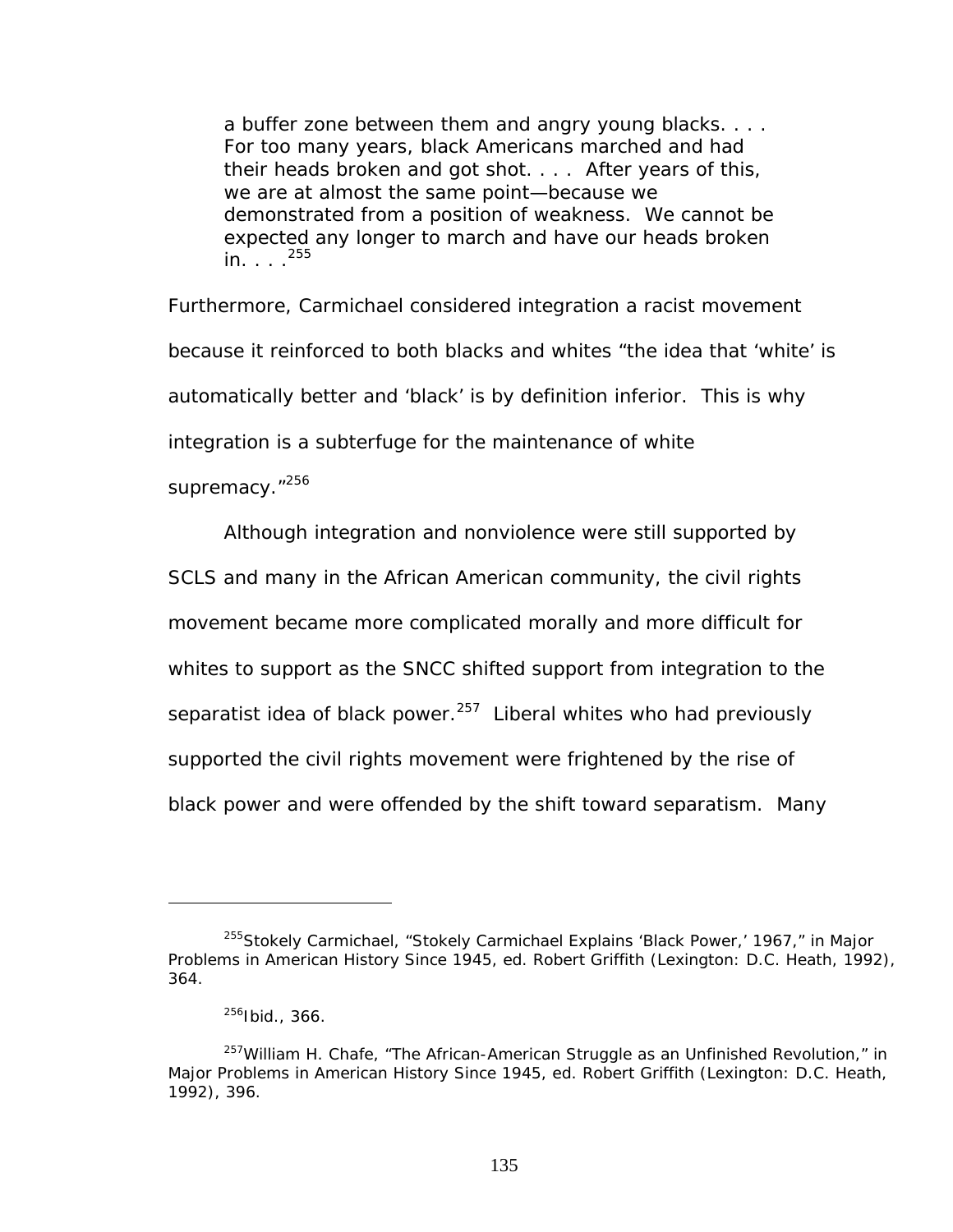a buffer zone between them and angry young blacks. . . . For too many years, black Americans marched and had their heads broken and got shot. . . . After years of this, we are at almost the same point—because we demonstrated from a position of weakness. We cannot be expected any longer to march and have our heads broken  $in. . . . <sup>255</sup>$ 

Furthermore, Carmichael considered integration a racist movement because it reinforced to both blacks and whites "the idea that 'white' is automatically better and 'black' is by definition inferior. This is why integration is a subterfuge for the maintenance of white

supremacy."<sup>256</sup>

Although integration and nonviolence were still supported by SCLS and many in the African American community, the civil rights movement became more complicated morally and more difficult for whites to support as the SNCC shifted support from integration to the separatist idea of black power. $^{257}$  Liberal whites who had previously supported the civil rights movement were frightened by the rise of black power and were offended by the shift toward separatism. Many

<span id="page-141-0"></span><sup>255</sup>Stokely Carmichael, "Stokely Carmichael Explains 'Black Power,' 1967," in *Major Problems in American History Since 1945*, ed. Robert Griffith (Lexington: D.C. Heath, 1992), 364.

<span id="page-141-2"></span><span id="page-141-1"></span><sup>256</sup>Ibid., 366.

<sup>&</sup>lt;sup>257</sup>William H. Chafe, "The African-American Struggle as an Unfinished Revolution," in *Major Problems in American History Since 1945*, ed. Robert Griffith (Lexington: D.C. Heath, 1992), 396.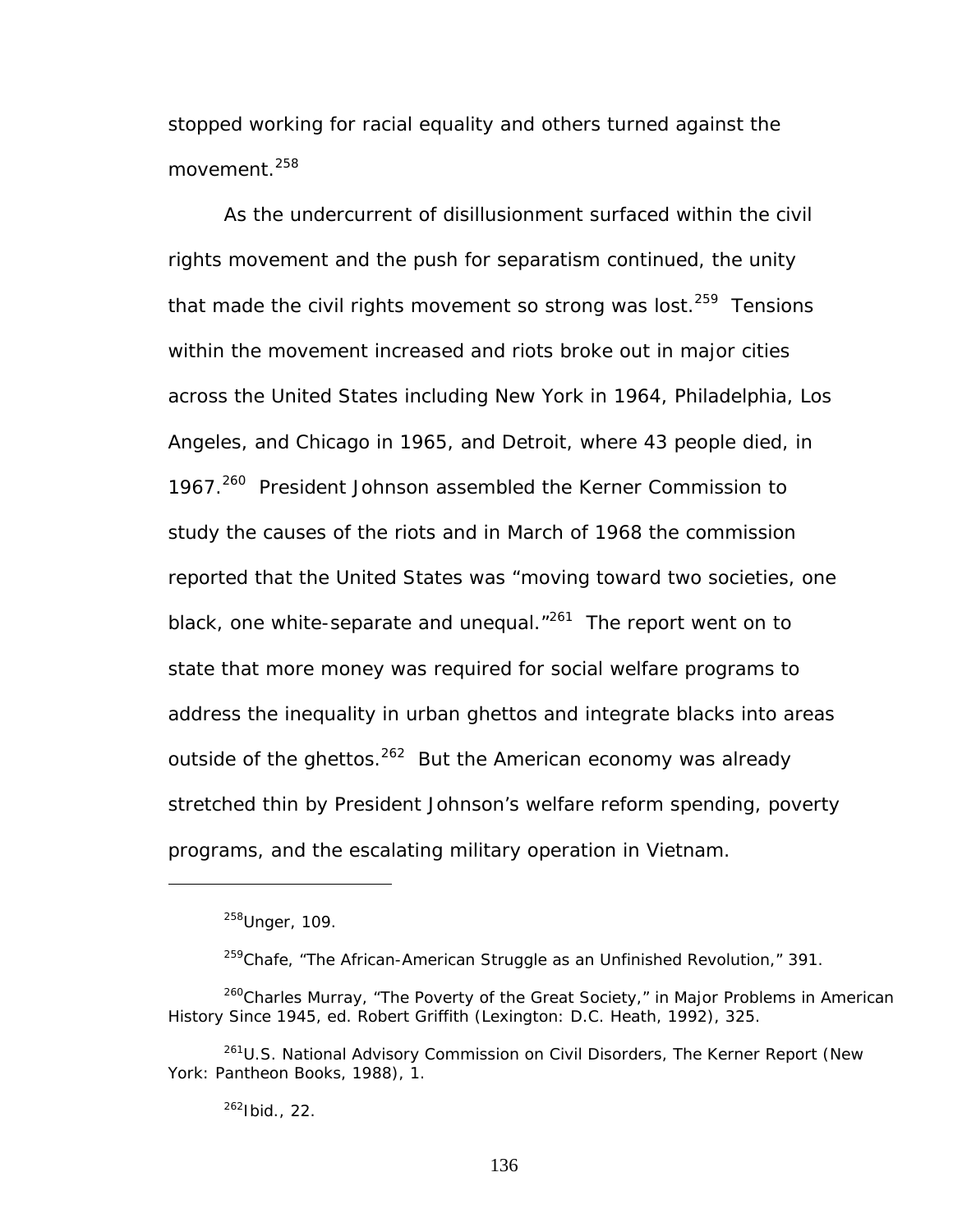stopped working for racial equality and others turned against the movement.<sup>258</sup>

As the undercurrent of disillusionment surfaced within the civil rights movement and the push for separatism continued, the unity that made the civil rights movement so strong was lost. $259$  Tensions within the movement increased and riots broke out in major cities across the United States including New York in 1964, Philadelphia, Los Angeles, and Chicago in 1965, and Detroit, where 43 people died, in 1967.<sup>260</sup> President Johnson assembled the Kerner Commission to study the causes of the riots and in March of 1968 the commission reported that the United States was "moving toward two societies, one black, one white-separate and unequal. $1261$  The report went on to state that more money was required for social welfare programs to address the inequality in urban ghettos and integrate blacks into areas outside of the ghettos.<sup>262</sup> But the American economy was already stretched thin by President Johnson's welfare reform spending, poverty programs, and the escalating military operation in Vietnam.

1

<span id="page-142-4"></span><span id="page-142-3"></span> $262$ Ibid., 22.

<span id="page-142-0"></span> $258$ Unger, 109.

<span id="page-142-2"></span><span id="page-142-1"></span> $259$ Chafe, "The African-American Struggle as an Unfinished Revolution," 391.

<sup>260</sup>Charles Murray, "The Poverty of the Great Society," in *Major Problems in American History Since 1945*, ed. Robert Griffith (Lexington: D.C. Heath, 1992), 325.

<sup>261</sup>U.S. National Advisory Commission on Civil Disorders, *The Kerner Report* (New York: Pantheon Books, 1988), 1.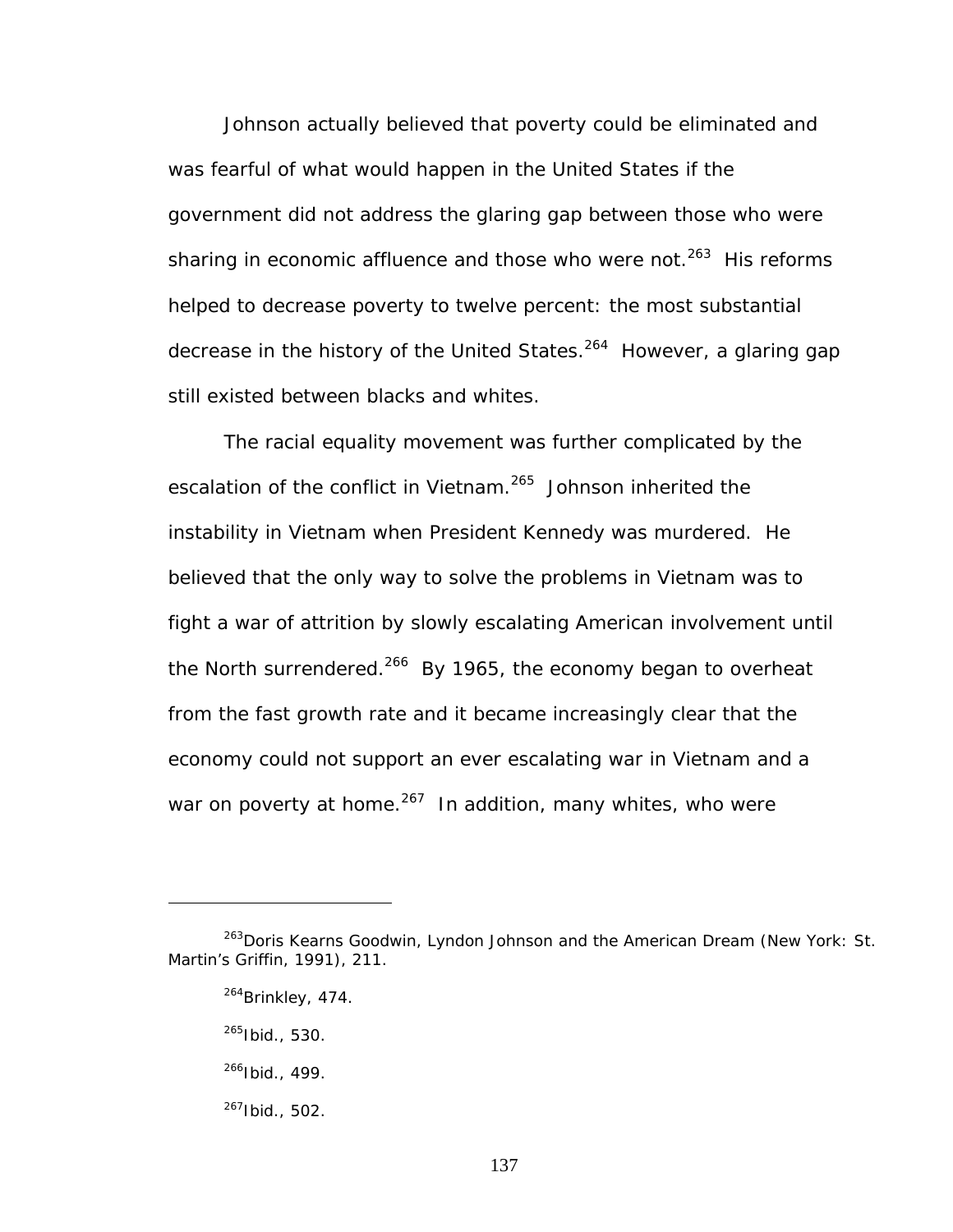Johnson actually believed that poverty could be eliminated and was fearful of what would happen in the United States if the government did not address the glaring gap between those who were sharing in economic affluence and those who were not. $263$  His reforms helped to decrease poverty to twelve percent: the most substantial decrease in the history of the United States.<sup>264</sup> However, a glaring gap still existed between blacks and whites.

The racial equality movement was further complicated by the escalation of the conflict in Vietnam.<sup>265</sup> Johnson inherited the instability in Vietnam when President Kennedy was murdered. He believed that the only way to solve the problems in Vietnam was to fight a war of attrition by slowly escalating American involvement until the North surrendered.<sup>266</sup> By 1965, the economy began to overheat from the fast growth rate and it became increasingly clear that the economy could not support an ever escalating war in Vietnam and a war on poverty at home. $267$  In addition, many whites, who were

 $\overline{a}$ 

<span id="page-143-4"></span>267Ibid., 502.

<span id="page-143-0"></span><sup>263</sup>Doris Kearns Goodwin, *Lyndon Johnson and the American Dream* (New York: St. Martin's Griffin, 1991), 211.

<span id="page-143-1"></span><sup>&</sup>lt;sup>264</sup>Brinkley, 474.

<span id="page-143-2"></span><sup>265</sup>Ibid., 530.

<span id="page-143-3"></span> $266$ Ibid., 499.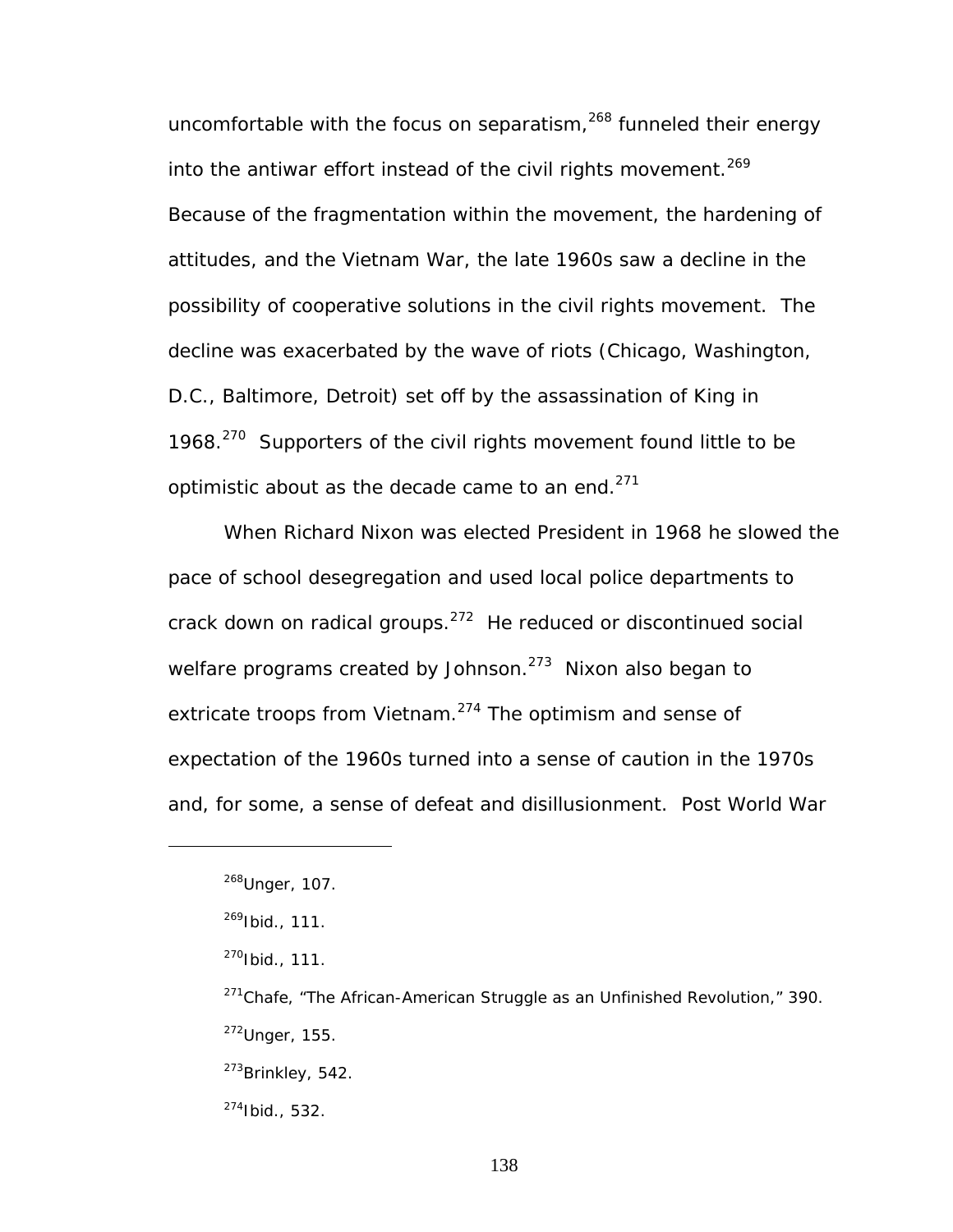uncomfortable with the focus on separatism,<sup>268</sup> funneled their energy into the antiwar effort instead of the civil rights movement.<sup>269</sup> Because of the fragmentation within the movement, the hardening of attitudes, and the Vietnam War, the late 1960s saw a decline in the possibility of cooperative solutions in the civil rights movement. The decline was exacerbated by the wave of riots (Chicago, Washington, D.C., Baltimore, Detroit) set off by the assassination of King in 1968.<sup>270</sup> Supporters of the civil rights movement found little to be optimistic about as the decade came to an end. $271$ 

When Richard Nixon was elected President in 1968 he slowed the pace of school desegregation and used local police departments to crack down on radical groups. $272$  He reduced or discontinued social welfare programs created by Johnson. $273$  Nixon also began to extricate troops from Vietnam.<sup>274</sup> The optimism and sense of expectation of the 1960s turned into a sense of caution in the 1970s and, for some, a sense of defeat and disillusionment. Post World War

<u>.</u>

- <span id="page-144-5"></span> $^{273}$ Brinkley, 542.
- <span id="page-144-6"></span>274Ibid., 532.

<span id="page-144-0"></span><sup>&</sup>lt;sup>268</sup>Unger, 107.

<span id="page-144-1"></span> $^{269}$ Ibid., 111.

<span id="page-144-2"></span> $270$ Ibid., 111.

<span id="page-144-4"></span><span id="page-144-3"></span> $271$ Chafe, "The African-American Struggle as an Unfinished Revolution," 390.  $272$ Unger, 155.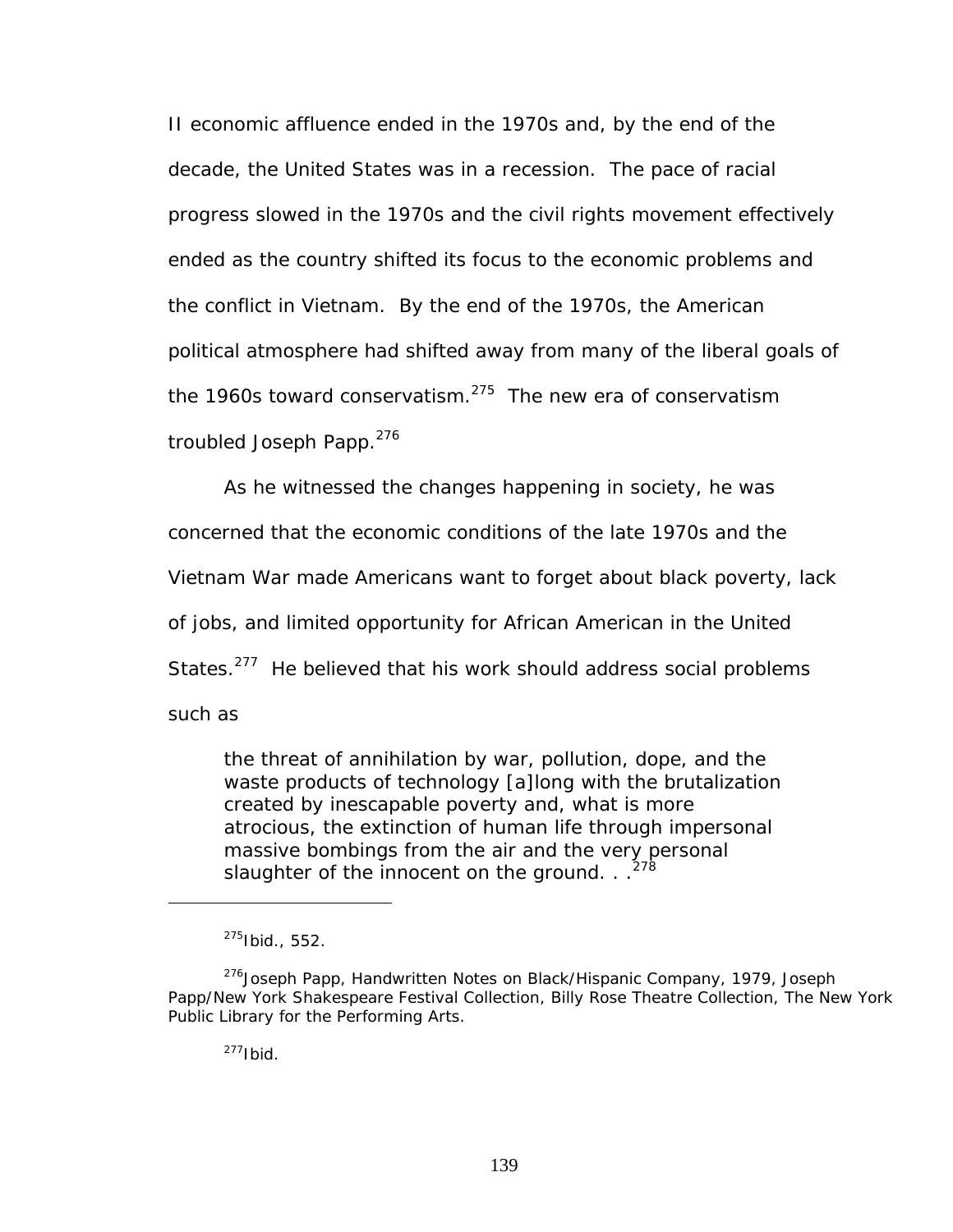II economic affluence ended in the 1970s and, by the end of the decade, the United States was in a recession. The pace of racial progress slowed in the 1970s and the civil rights movement effectively ended as the country shifted its focus to the economic problems and the conflict in Vietnam. By the end of the 1970s, the American political atmosphere had shifted away from many of the liberal goals of the 1960s toward conservatism. $275$  The new era of conservatism troubled Joseph Papp.<sup>276</sup>

As he witnessed the changes happening in society, he was

concerned that the economic conditions of the late 1970s and the

Vietnam War made Americans want to forget about black poverty, lack

of jobs, and limited opportunity for African American in the United

States.<sup>277</sup> He believed that his work should address social problems

such as

 $\overline{a}$ 

the threat of annihilation by war, pollution, dope, and the waste products of technology [a]long with the brutalization created by inescapable poverty and, what is more atrocious, the extinction of human life through impersonal massive bombings from the air and the very personal slaughter of the innocent on the ground.  $\cdot$ .<sup>2</sup>

<span id="page-145-3"></span><span id="page-145-2"></span> $277$ Ibid.

<span id="page-145-1"></span><span id="page-145-0"></span><sup>275</sup>Ibid., 552.

<sup>&</sup>lt;sup>276</sup>Joseph Papp, Handwritten Notes on Black/Hispanic Company, 1979, Joseph Papp/New York Shakespeare Festival Collection, Billy Rose Theatre Collection, The New York Public Library for the Performing Arts.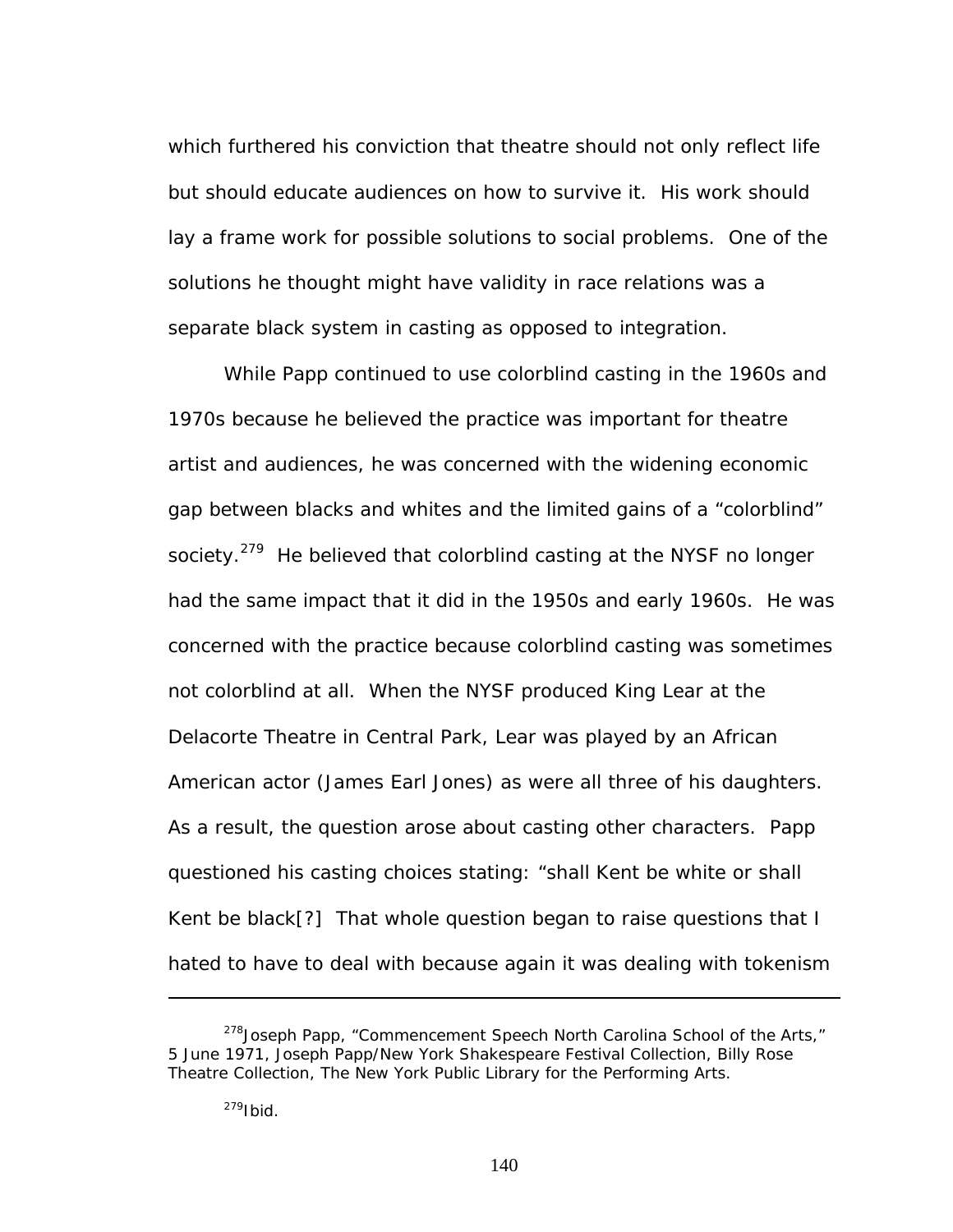which furthered his conviction that theatre should not only reflect life but should educate audiences on how to survive it. His work should lay a frame work for possible solutions to social problems. One of the solutions he thought might have validity in race relations was a separate black system in casting as opposed to integration.

While Papp continued to use colorblind casting in the 1960s and 1970s because he believed the practice was important for theatre artist and audiences, he was concerned with the widening economic gap between blacks and whites and the limited gains of a "colorblind" society.<sup>279</sup> He believed that colorblind casting at the NYSF no longer had the same impact that it did in the 1950s and early 1960s. He was concerned with the practice because colorblind casting was sometimes not colorblind at all. When the NYSF produced *King Lear* at the Delacorte Theatre in Central Park, Lear was played by an African American actor (James Earl Jones) as were all three of his daughters. As a result, the question arose about casting other characters. Papp questioned his casting choices stating: "shall Kent be white or shall Kent be black[?] That whole question began to raise questions that I hated to have to deal with because again it was dealing with tokenism

<sup>&</sup>lt;sup>278</sup> Joseph Papp, "Commencement Speech North Carolina School of the Arts," 5 June 1971, Joseph Papp/New York Shakespeare Festival Collection, Billy Rose Theatre Collection, The New York Public Library for the Performing Arts.

<span id="page-146-0"></span><sup>&</sup>lt;sup>279</sup>Ibid.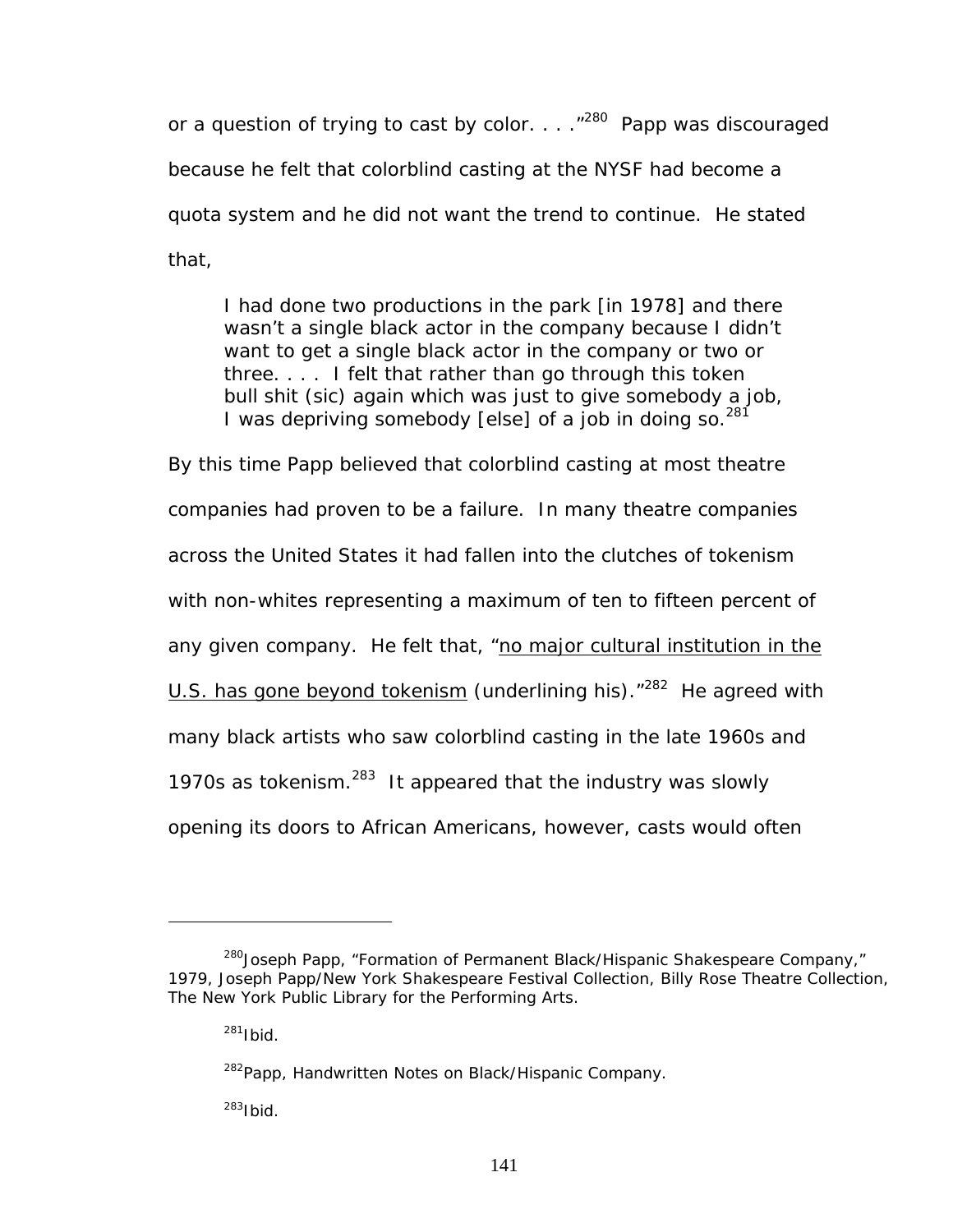or a question of trying to cast by color.  $\ldots$  ."<sup>280</sup> Papp was discouraged because he felt that colorblind casting at the NYSF had become a quota system and he did not want the trend to continue. He stated that,

I had done two productions in the park [in 1978] and there wasn't a single black actor in the company because I didn't want to get a single black actor in the company or two or three. . . . I felt that rather than go through this token bull shit (sic) again which was just to give somebody a job, I was depriving somebody [else] of a job in doing so.  $281$ 

By this time Papp believed that colorblind casting at most theatre companies had proven to be a failure. In many theatre companies across the United States it had fallen into the clutches of tokenism with non-whites representing a maximum of ten to fifteen percent of any given company. He felt that, "no major cultural institution in the U.S. has gone beyond tokenism (underlining his). "<sup>282</sup> He agreed with many black artists who saw colorblind casting in the late 1960s and 1970s as tokenism. $^{283}$  It appeared that the industry was slowly opening its doors to African Americans, however, casts would often

<span id="page-147-0"></span><sup>&</sup>lt;sup>280</sup>Joseph Papp, "Formation of Permanent Black/Hispanic Shakespeare Company," 1979, Joseph Papp/New York Shakespeare Festival Collection, Billy Rose Theatre Collection, The New York Public Library for the Performing Arts.

<span id="page-147-1"></span> $281$ Ibid

<span id="page-147-2"></span><sup>&</sup>lt;sup>282</sup>Papp, Handwritten Notes on Black/Hispanic Company.

<span id="page-147-3"></span> $283$ Ibid.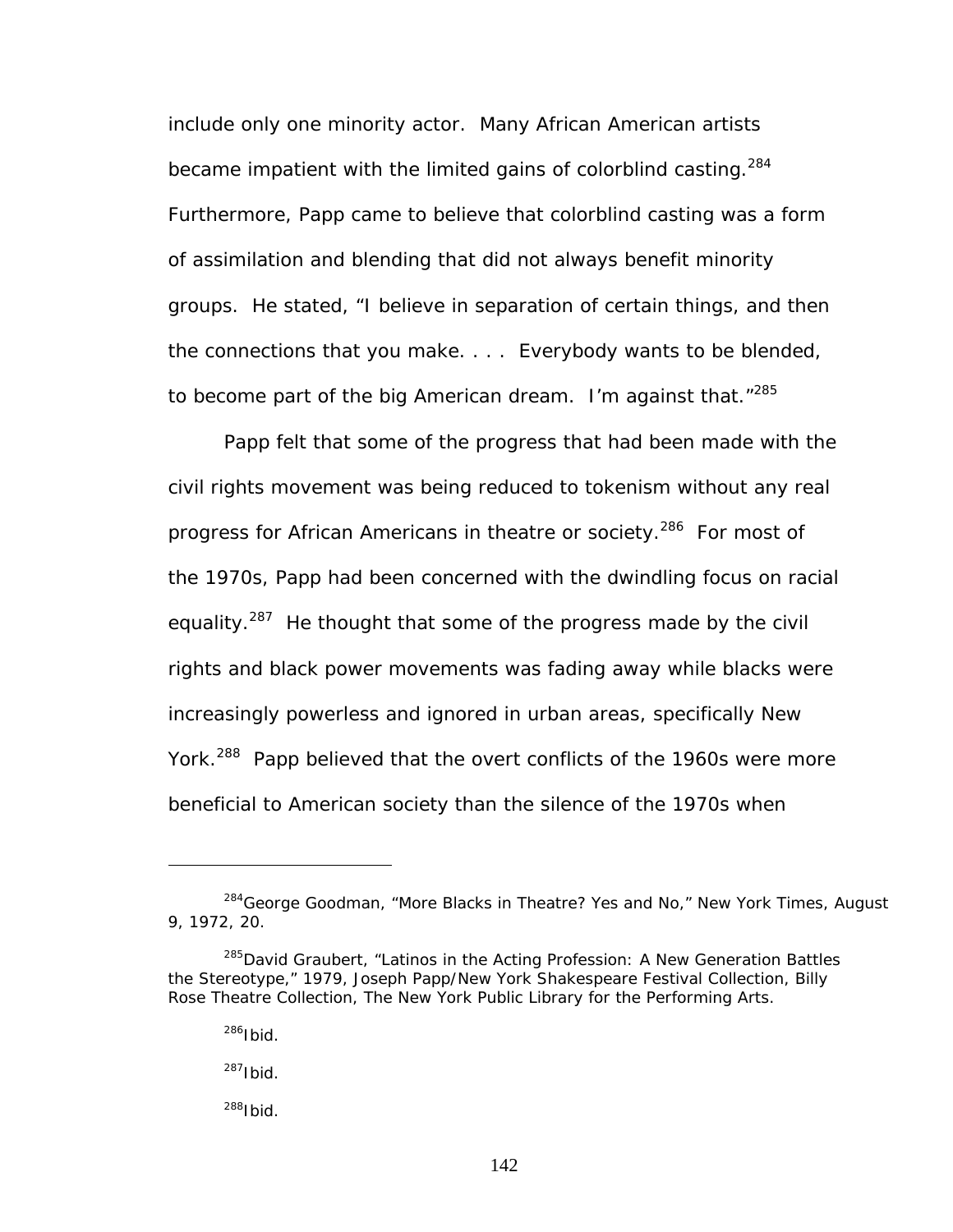include only one minority actor. Many African American artists became impatient with the limited gains of colorblind casting.  $284$ Furthermore, Papp came to believe that colorblind casting was a form of assimilation and blending that did not always benefit minority groups. He stated, "I believe in separation of certain things, and then the connections that you make. . . . Everybody wants to be blended, to become part of the big American dream. I'm against that."<sup>285</sup>

Papp felt that some of the progress that had been made with the civil rights movement was being reduced to tokenism without any real progress for African Americans in theatre or society.<sup>286</sup> For most of the 1970s, Papp had been concerned with the dwindling focus on racial equality.<sup>287</sup> He thought that some of the progress made by the civil rights and black power movements was fading away while blacks were increasingly powerless and ignored in urban areas, specifically New York.<sup>288</sup> Papp believed that the overt conflicts of the 1960s were more beneficial to American society than the silence of the 1970s when

<span id="page-148-0"></span><sup>284</sup>George Goodman, "More Blacks in Theatre? Yes and No," *New York Times*, August 9, 1972, 20.

<span id="page-148-1"></span><sup>&</sup>lt;sup>285</sup>David Graubert, "Latinos in the Acting Profession: A New Generation Battles the Stereotype," 1979, Joseph Papp/New York Shakespeare Festival Collection, Billy Rose Theatre Collection, The New York Public Library for the Performing Arts.

<span id="page-148-2"></span><sup>286</sup>Ibid.

<span id="page-148-3"></span> $287$ Ibid.

<span id="page-148-4"></span><sup>288</sup>Ibid.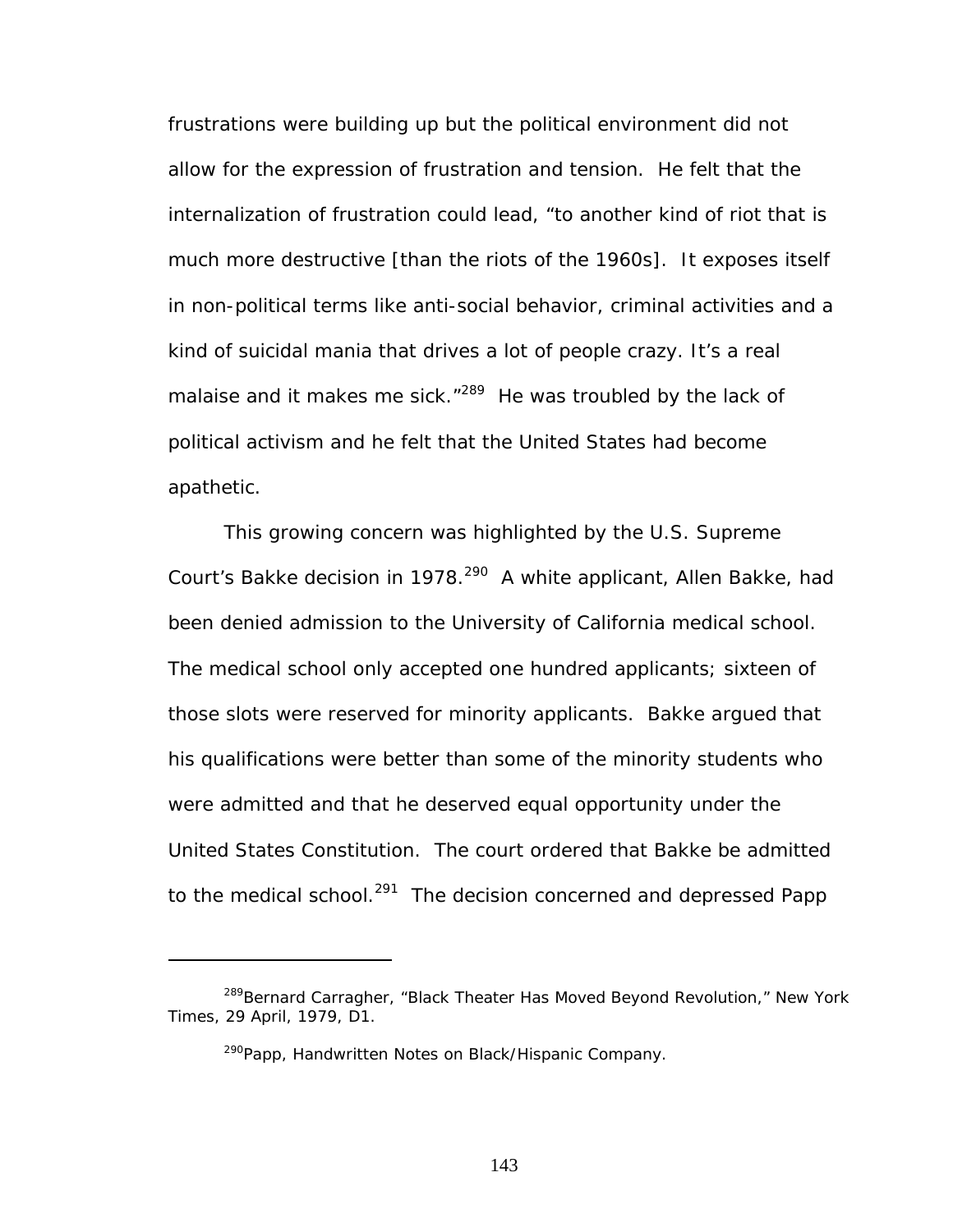frustrations were building up but the political environment did not allow for the expression of frustration and tension. He felt that the internalization of frustration could lead, "to another kind of riot that is much more destructive [than the riots of the 1960s]. It exposes itself in non-political terms like anti-social behavior, criminal activities and a kind of suicidal mania that drives a lot of people crazy. It's a real malaise and it makes me sick."<sup>289</sup> He was troubled by the lack of political activism and he felt that the United States had become apathetic.

This growing concern was highlighted by the U.S. Supreme Court's *Bakke* decision in 1978.<sup>290</sup> A white applicant, Allen Bakke, had been denied admission to the University of California medical school. The medical school only accepted one hundred applicants; sixteen of those slots were reserved for minority applicants. Bakke argued that his qualifications were better than some of the minority students who were admitted and that he deserved equal opportunity under the United States Constitution. The court ordered that Bakke be admitted to the medical school.<sup>291</sup> The decision concerned and depressed Papp

<span id="page-149-0"></span><sup>289</sup>Bernard Carragher, "Black Theater Has Moved Beyond Revolution," *New York Times*, 29 April, 1979, D1.

<span id="page-149-2"></span><span id="page-149-1"></span><sup>&</sup>lt;sup>290</sup>Papp, Handwritten Notes on Black/Hispanic Company.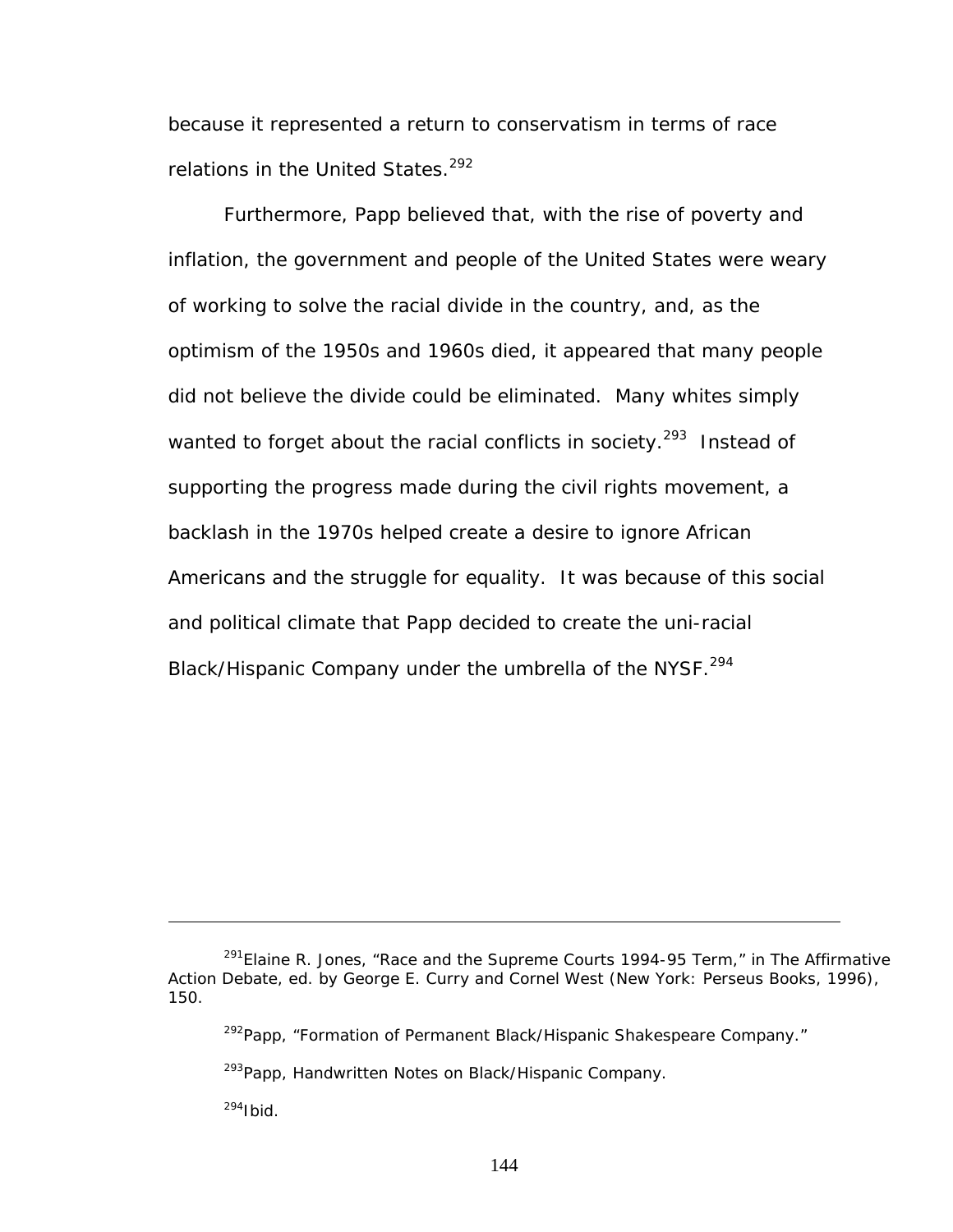because it represented a return to conservatism in terms of race relations in the United States.<sup>[292](#page-150-0)</sup>

Furthermore, Papp believed that, with the rise of poverty and inflation, the government and people of the United States were weary of working to solve the racial divide in the country, and, as the optimism of the 1950s and 1960s died, it appeared that many people did not believe the divide could be eliminated. Many whites simply wanted to forget about the racial conflicts in society.<sup>293</sup> Instead of supporting the progress made during the civil rights movement, a backlash in the 1970s helped create a desire to ignore African Americans and the struggle for equality. It was because of this social and political climate that Papp decided to create the uni-racial Black/Hispanic Company under the umbrella of the NYSF.<sup>294</sup>

<span id="page-150-1"></span><sup>293</sup>Papp, Handwritten Notes on Black/Hispanic Company.

<span id="page-150-2"></span> $294$ Ibid.

<sup>291</sup>Elaine R. Jones, "Race and the Supreme Courts 1994-95 Term," in *The Affirmative Action Debate*, ed. by George E. Curry and Cornel West (New York: Perseus Books, 1996), 150.

<span id="page-150-0"></span><sup>&</sup>lt;sup>292</sup>Papp, "Formation of Permanent Black/Hispanic Shakespeare Company."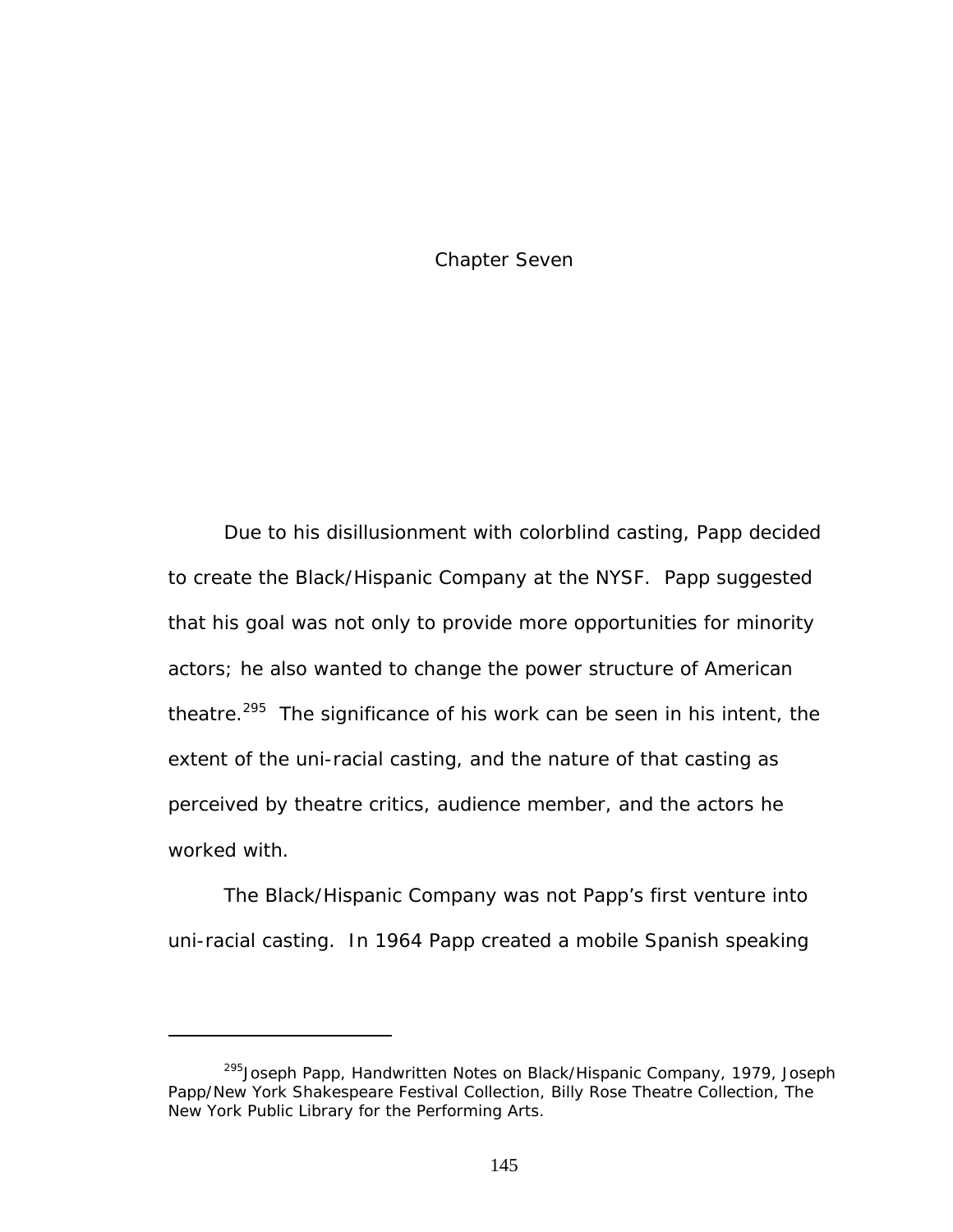Chapter Seven

Due to his disillusionment with colorblind casting, Papp decided to create the Black/Hispanic Company at the NYSF. Papp suggested that his goal was not only to provide more opportunities for minority actors; he also wanted to change the power structure of American theatre.<sup>295</sup> The significance of his work can be seen in his intent, the extent of the uni-racial casting, and the nature of that casting as perceived by theatre critics, audience member, and the actors he worked with.

The Black/Hispanic Company was not Papp's first venture into uni-racial casting. In 1964 Papp created a mobile Spanish speaking

<span id="page-151-0"></span><sup>&</sup>lt;sup>295</sup>Joseph Papp, Handwritten Notes on Black/Hispanic Company, 1979, Joseph Papp/New York Shakespeare Festival Collection, Billy Rose Theatre Collection, The New York Public Library for the Performing Arts.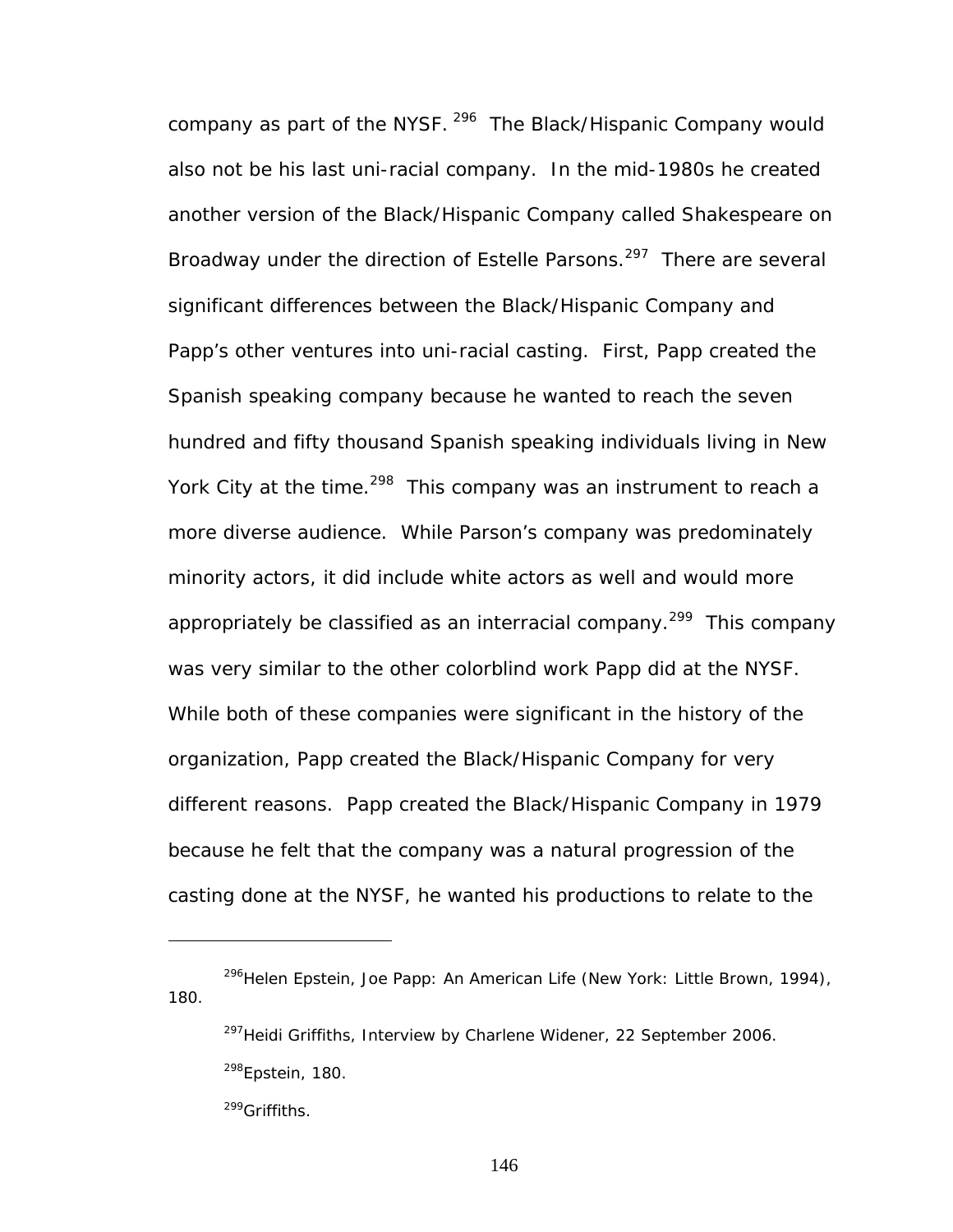company as part of the NYSF. <sup>296</sup> The Black/Hispanic Company would also not be his last uni-racial company. In the mid-1980s he created another version of the Black/Hispanic Company called Shakespeare on Broadway under the direction of Estelle Parsons.<sup>297</sup> There are several significant differences between the Black/Hispanic Company and Papp's other ventures into uni-racial casting. First, Papp created the Spanish speaking company because he wanted to reach the seven hundred and fifty thousand Spanish speaking individuals living in New York City at the time.<sup>298</sup> This company was an instrument to reach a more diverse audience. While Parson's company was predominately minority actors, it did include white actors as well and would more appropriately be classified as an interracial company.<sup>299</sup> This company was very similar to the other colorblind work Papp did at the NYSF. While both of these companies were significant in the history of the organization, Papp created the Black/Hispanic Company for very different reasons. Papp created the Black/Hispanic Company in 1979 because he felt that the company was a natural progression of the casting done at the NYSF, he wanted his productions to relate to the

<u>.</u>

<span id="page-152-0"></span><sup>296</sup>Helen Epstein, *Joe Papp: An American Life* (New York: Little Brown, 1994), 180.

<span id="page-152-2"></span><span id="page-152-1"></span><sup>&</sup>lt;sup>297</sup>Heidi Griffiths, Interview by Charlene Widener, 22 September 2006.  $298$ Epstein, 180.

<span id="page-152-3"></span><sup>&</sup>lt;sup>299</sup>Griffiths.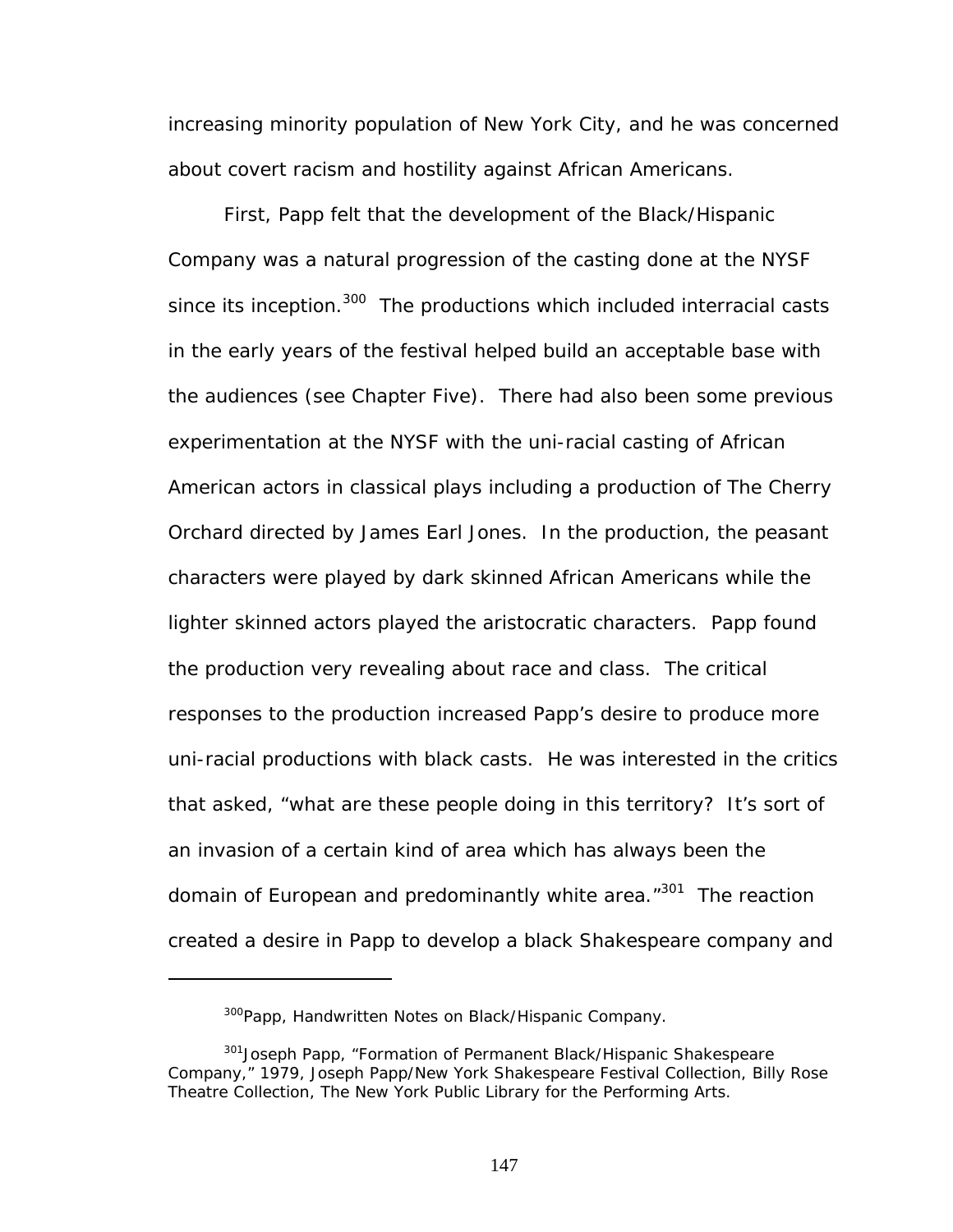increasing minority population of New York City, and he was concerned about covert racism and hostility against African Americans.

First, Papp felt that the development of the Black/Hispanic Company was a natural progression of the casting done at the NYSF since its inception.<sup>300</sup> The productions which included interracial casts in the early years of the festival helped build an acceptable base with the audiences (see Chapter Five). There had also been some previous experimentation at the NYSF with the uni-racial casting of African American actors in classical plays including a production of *The Cherry Orchard* directed by James Earl Jones. In the production, the peasant characters were played by dark skinned African Americans while the lighter skinned actors played the aristocratic characters. Papp found the production very revealing about race and class. The critical responses to the production increased Papp's desire to produce more uni-racial productions with black casts. He was interested in the critics that asked, "what are these people doing in this territory? It's sort of an invasion of a certain kind of area which has always been the domain of European and predominantly white area."<sup>301</sup> The reaction created a desire in Papp to develop a black Shakespeare company and

<span id="page-153-1"></span><span id="page-153-0"></span><sup>&</sup>lt;sup>300</sup>Papp, Handwritten Notes on Black/Hispanic Company.

<sup>&</sup>lt;sup>301</sup> Joseph Papp, "Formation of Permanent Black/Hispanic Shakespeare Company," 1979, Joseph Papp/New York Shakespeare Festival Collection, Billy Rose Theatre Collection, The New York Public Library for the Performing Arts.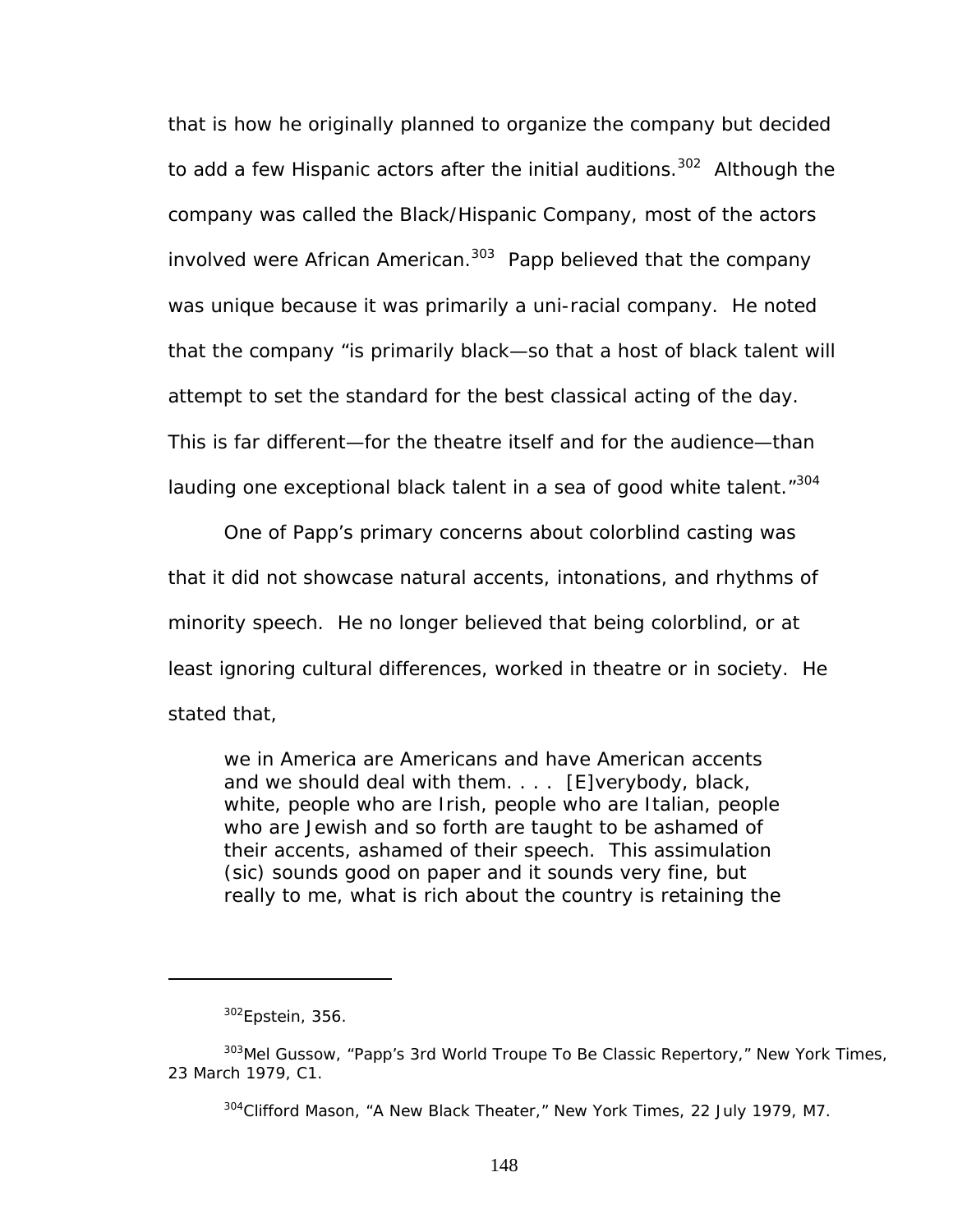that is how he originally planned to organize the company but decided to add a few Hispanic actors after the initial auditions.<sup>302</sup> Although the company was called the Black/Hispanic Company, most of the actors involved were African American.<sup>303</sup> Papp believed that the company was unique because it was primarily a uni-racial company. He noted that the company "is primarily black—so that a host of black talent will attempt to set the standard for the best classical acting of the day. This is far different—for the theatre itself and for the audience—than lauding one exceptional black talent in a sea of good white talent."<sup>[304](#page-154-2)</sup>

One of Papp's primary concerns about colorblind casting was that it did not showcase natural accents, intonations, and rhythms of minority speech. He no longer believed that being colorblind, or at least ignoring cultural differences, worked in theatre or in society. He stated that,

we in America are Americans and have American accents and we should deal with them. . . . [E]verybody, black, white, people who are Irish, people who are Italian, people who are Jewish and so forth are taught to be ashamed of their accents, ashamed of their speech. This assimulation (sic) sounds good on paper and it sounds very fine, but really to me, what is rich about the country is retaining the

<span id="page-154-1"></span><span id="page-154-0"></span> $302$ Epstein, 356.

<sup>303</sup>Mel Gussow, "Papp's 3rd World Troupe To Be Classic Repertory," *New York Times*, 23 March 1979, C1.

<span id="page-154-2"></span><sup>304</sup>Clifford Mason, "A New Black Theater," *New York Times*, 22 July 1979, M7.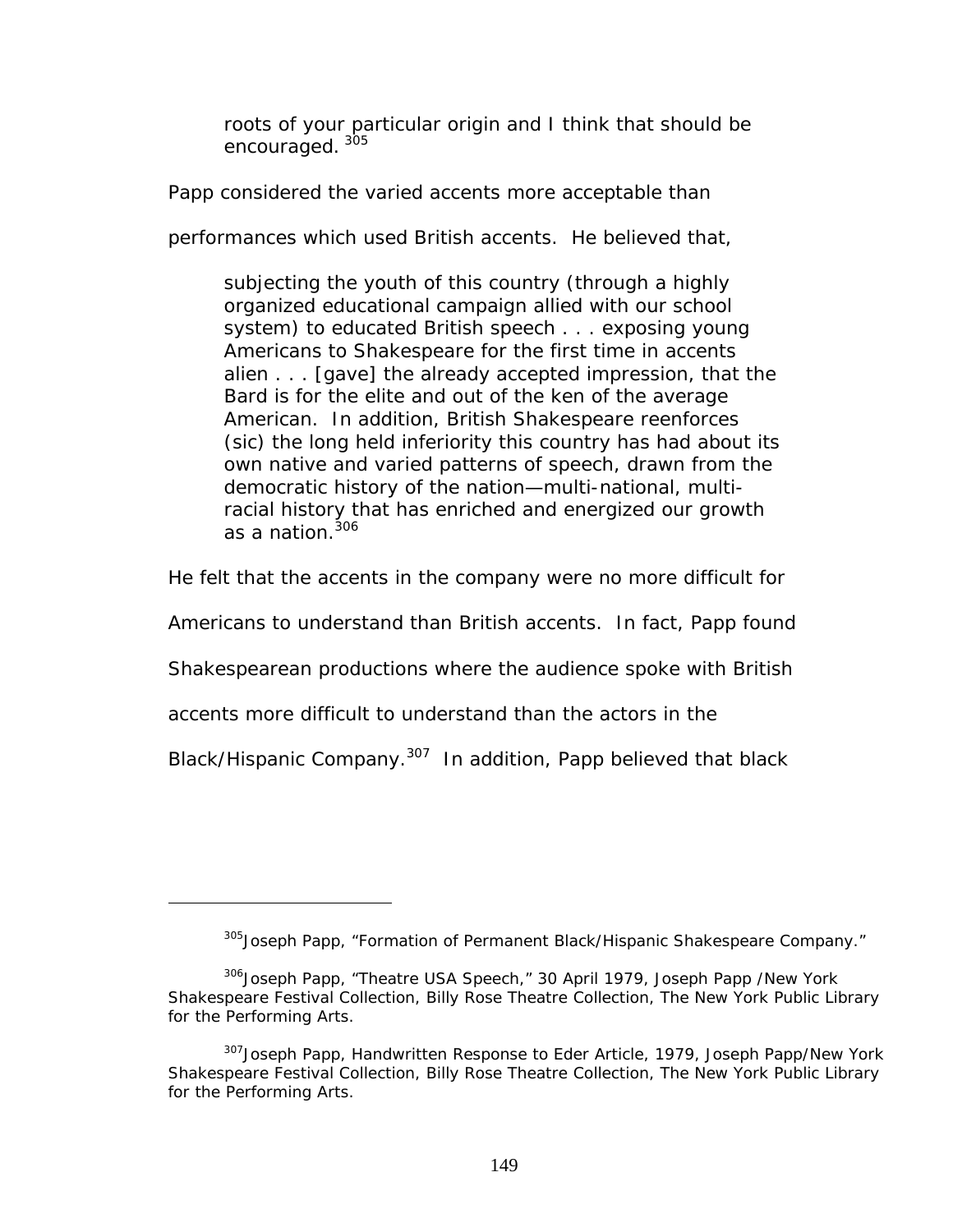roots of your particular origin and I think that should be encouraged. [305](#page-155-0)

Papp considered the varied accents more acceptable than

performances which used British accents. He believed that,

subjecting the youth of this country (through a highly organized educational campaign allied with our school system) to educated British speech . . . exposing young Americans to Shakespeare for the first time in accents alien . . . [gave] the already accepted impression, that the Bard is for the elite and out of the ken of the average American. In addition, British Shakespeare reenforces (sic) the long held inferiority this country has had about its own native and varied patterns of speech, drawn from the democratic history of the nation—multi-national, multiracial history that has enriched and energized our growth as a nation.<sup>306</sup>

He felt that the accents in the company were no more difficult for

Americans to understand than British accents. In fact, Papp found

Shakespearean productions where the audience spoke with British

accents more difficult to understand than the actors in the

 $\overline{a}$ 

Black/Hispanic Company.<sup>307</sup> In addition, Papp believed that black

<span id="page-155-1"></span><span id="page-155-0"></span><sup>&</sup>lt;sup>305</sup>Joseph Papp, "Formation of Permanent Black/Hispanic Shakespeare Company."

<sup>306</sup>Joseph Papp, "Theatre USA Speech," 30 April 1979, Joseph Papp /New York Shakespeare Festival Collection, Billy Rose Theatre Collection, The New York Public Library for the Performing Arts.

<span id="page-155-2"></span><sup>&</sup>lt;sup>307</sup> Joseph Papp, Handwritten Response to Eder Article, 1979, Joseph Papp/New York Shakespeare Festival Collection, Billy Rose Theatre Collection, The New York Public Library for the Performing Arts.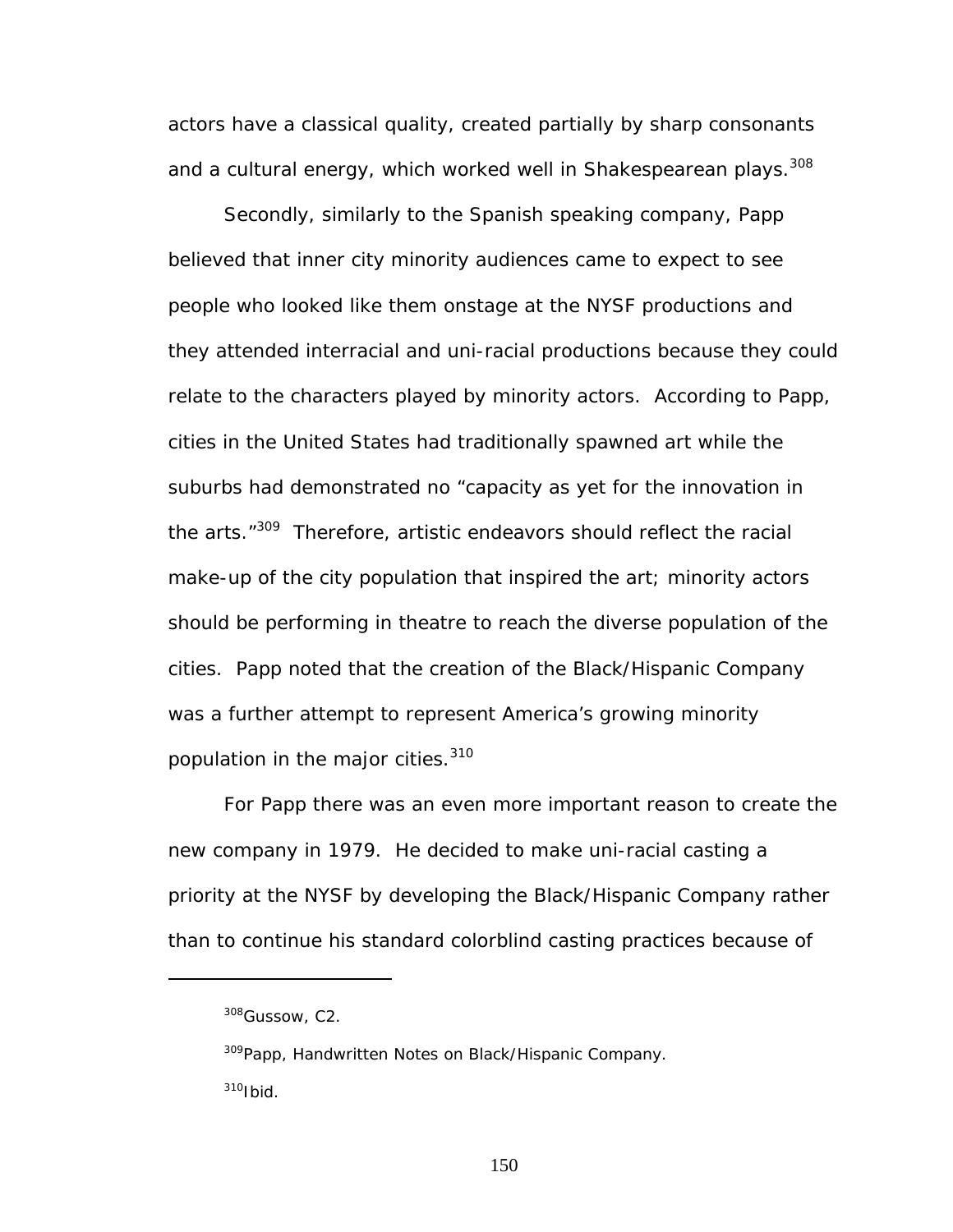actors have a classical quality, created partially by sharp consonants and a cultural energy, which worked well in Shakespearean plays.<sup>[308](#page-156-0)</sup>

Secondly, similarly to the Spanish speaking company, Papp believed that inner city minority audiences came to expect to see people who looked like them onstage at the NYSF productions and they attended interracial and uni-racial productions because they could relate to the characters played by minority actors. According to Papp, cities in the United States had traditionally spawned art while the suburbs had demonstrated no "capacity as yet for the innovation in the arts.<sup>"309</sup> Therefore, artistic endeavors should reflect the racial make-up of the city population that inspired the art; minority actors should be performing in theatre to reach the diverse population of the cities. Papp noted that the creation of the Black/Hispanic Company was a further attempt to represent America's growing minority population in the major cities.<sup>310</sup>

For Papp there was an even more important reason to create the new company in 1979. He decided to make uni-racial casting a priority at the NYSF by developing the Black/Hispanic Company rather than to continue his standard colorblind casting practices because of

<span id="page-156-0"></span><sup>308</sup>Gussow, C2.

<span id="page-156-2"></span><span id="page-156-1"></span><sup>&</sup>lt;sup>309</sup>Papp, Handwritten Notes on Black/Hispanic Company.  $310$ Ibid.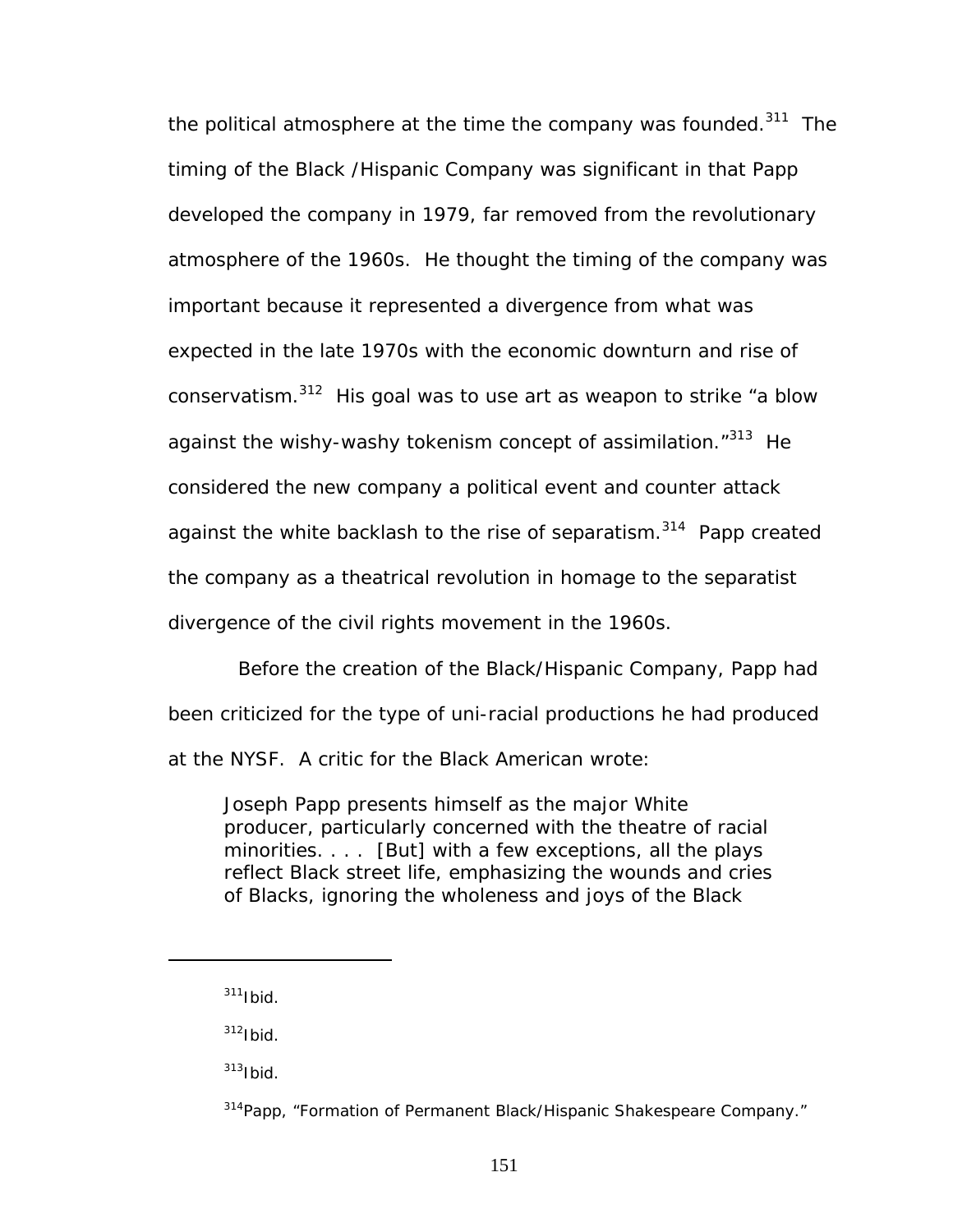the political atmosphere at the time the company was founded.<sup>311</sup> The timing of the Black /Hispanic Company was significant in that Papp developed the company in 1979, far removed from the revolutionary atmosphere of the 1960s. He thought the timing of the company was important because it represented a divergence from what was expected in the late 1970s with the economic downturn and rise of conservatism[.312](#page-157-1) His goal was to use art as weapon to strike "a blow against the wishy-washy tokenism concept of assimilation."<sup>313</sup> He considered the new company a political event and counter attack against the white backlash to the rise of separatism.<sup>314</sup> Papp created the company as a theatrical revolution in homage to the separatist divergence of the civil rights movement in the 1960s.

Before the creation of the Black/Hispanic Company, Papp had been criticized for the type of uni-racial productions he had produced at the NYSF. A critic for the *Black American* wrote:

Joseph Papp presents himself as the major White producer, particularly concerned with the theatre of racial minorities. . . . [But] with a few exceptions, all the plays reflect Black street life, emphasizing the wounds and cries of Blacks, ignoring the wholeness and joys of the Black

 $\overline{a}$ 

<span id="page-157-1"></span> $312$ Ibid.

<span id="page-157-2"></span> $313$ Ibid.

<span id="page-157-0"></span> $311$ Ibid.

<span id="page-157-3"></span><sup>&</sup>lt;sup>314</sup>Papp, "Formation of Permanent Black/Hispanic Shakespeare Company."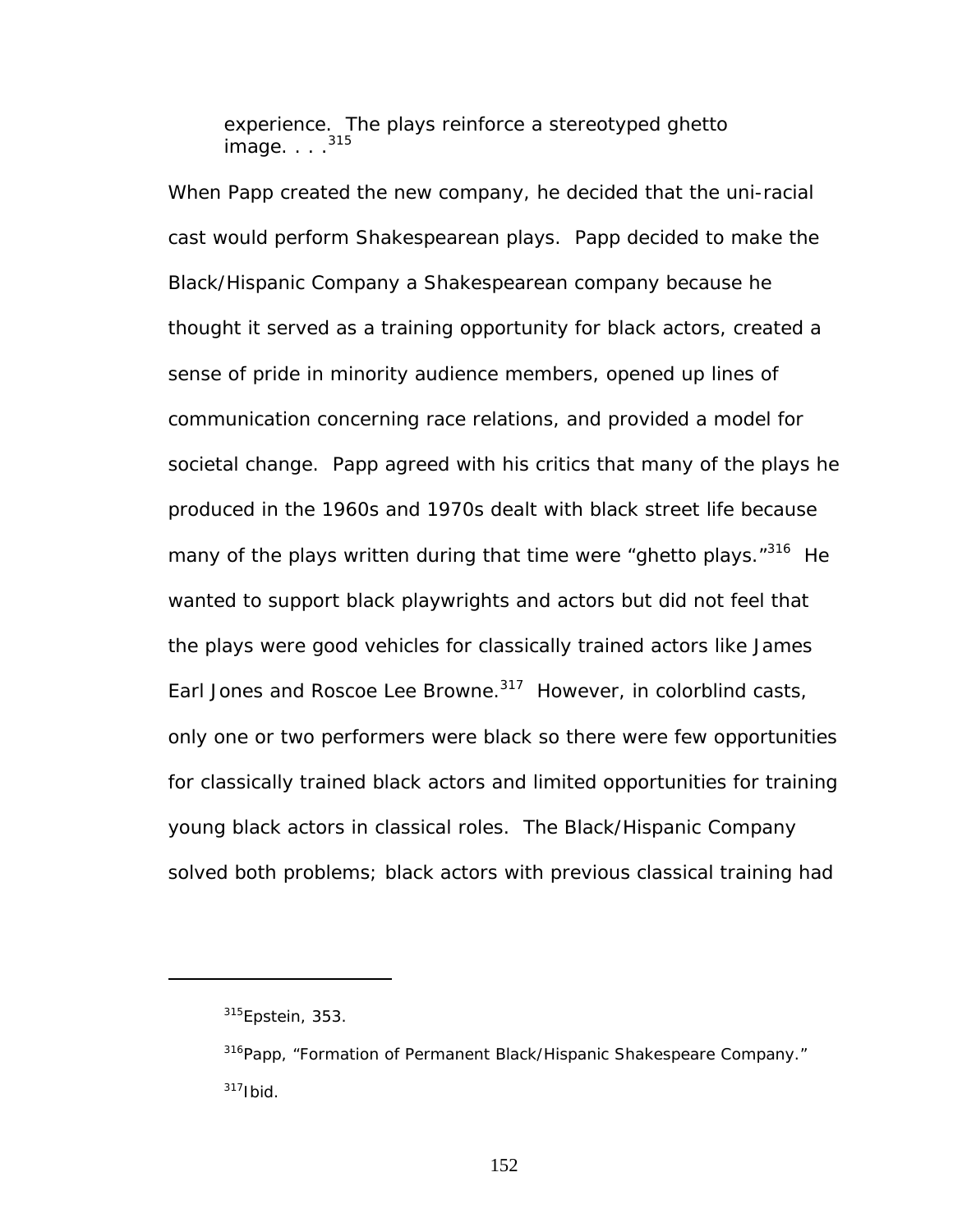experience. The plays reinforce a stereotyped ghetto image. . . .<sup>[315](#page-158-0)</sup>

When Papp created the new company, he decided that the uni-racial cast would perform Shakespearean plays. Papp decided to make the Black/Hispanic Company a Shakespearean company because he thought it served as a training opportunity for black actors, created a sense of pride in minority audience members, opened up lines of communication concerning race relations, and provided a model for societal change. Papp agreed with his critics that many of the plays he produced in the 1960s and 1970s dealt with black street life because many of the plays written during that time were "ghetto plays."<sup>316</sup> He wanted to support black playwrights and actors but did not feel that the plays were good vehicles for classically trained actors like James Earl Jones and Roscoe Lee Browne.<sup>317</sup> However, in colorblind casts, only one or two performers were black so there were few opportunities for classically trained black actors and limited opportunities for training young black actors in classical roles. The Black/Hispanic Company solved both problems; black actors with previous classical training had

<u>.</u>

<span id="page-158-0"></span> $315$ Epstein, 353.

<span id="page-158-2"></span><span id="page-158-1"></span><sup>&</sup>lt;sup>316</sup>Papp, "Formation of Permanent Black/Hispanic Shakespeare Company."  $317$ Ibid.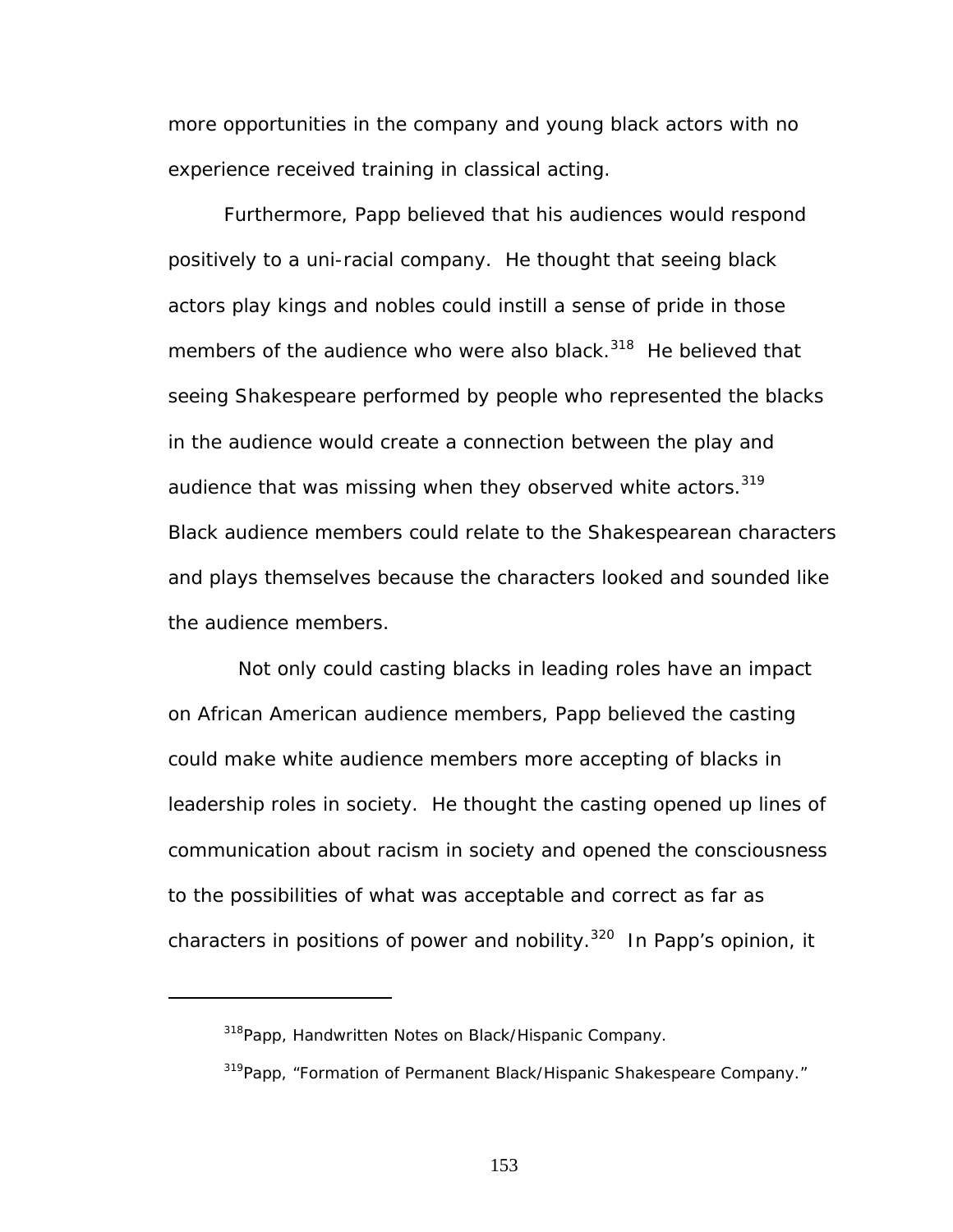more opportunities in the company and young black actors with no experience received training in classical acting.

Furthermore, Papp believed that his audiences would respond positively to a uni-racial company. He thought that seeing black actors play kings and nobles could instill a sense of pride in those members of the audience who were also black.<sup>318</sup> He believed that seeing Shakespeare performed by people who represented the blacks in the audience would create a connection between the play and audience that was missing when they observed white actors.<sup>[319](#page-159-1)</sup> Black audience members could relate to the Shakespearean characters and plays themselves because the characters looked and sounded like the audience members.

Not only could casting blacks in leading roles have an impact on African American audience members, Papp believed the casting could make white audience members more accepting of blacks in leadership roles in society. He thought the casting opened up lines of communication about racism in society and opened the consciousness to the possibilities of what was acceptable and correct as far as characters in positions of power and nobility. $320$  In Papp's opinion, it

<span id="page-159-2"></span><span id="page-159-0"></span><sup>&</sup>lt;sup>318</sup>Papp, Handwritten Notes on Black/Hispanic Company.

<span id="page-159-1"></span><sup>&</sup>lt;sup>319</sup>Papp, "Formation of Permanent Black/Hispanic Shakespeare Company."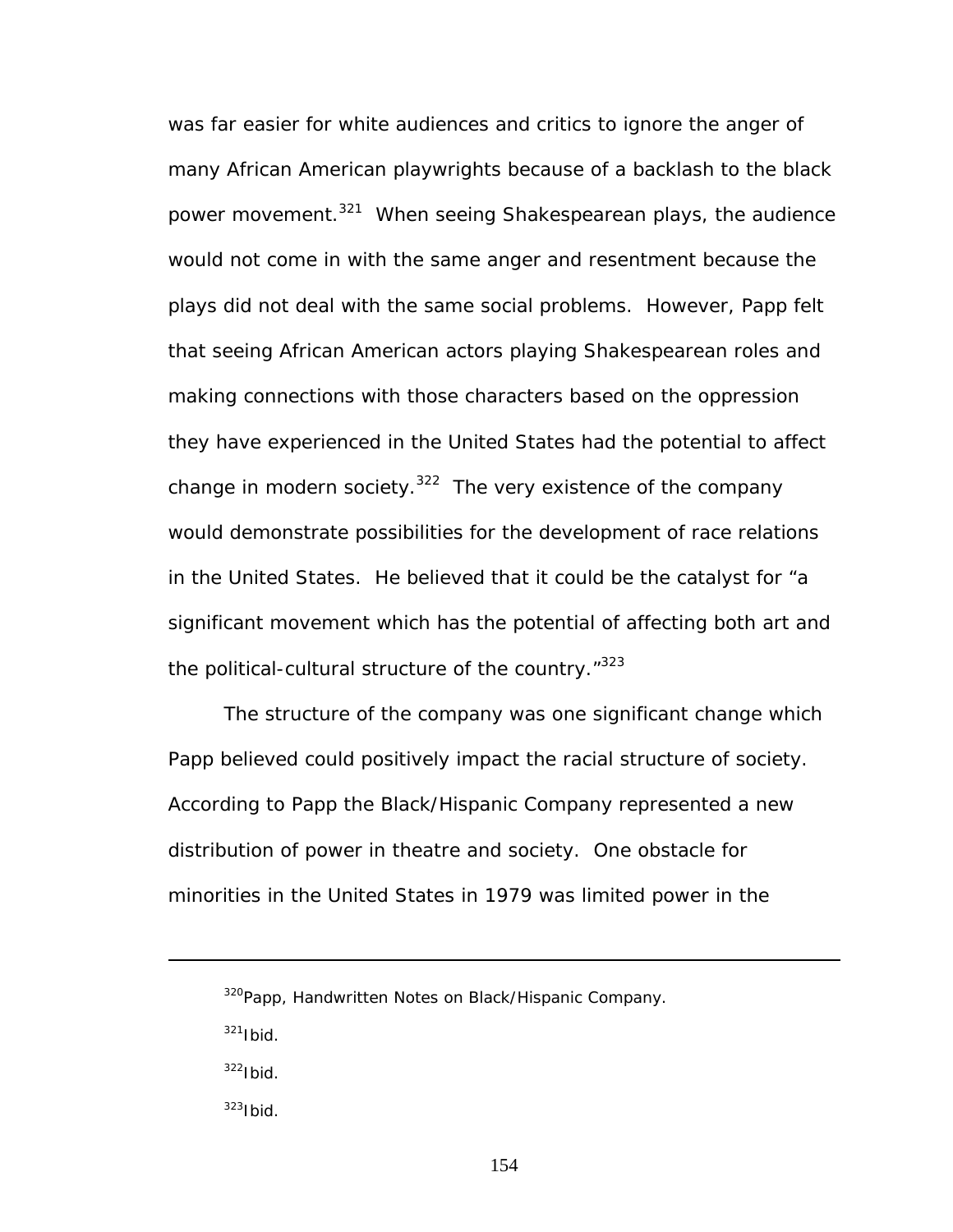was far easier for white audiences and critics to ignore the anger of many African American playwrights because of a backlash to the black power movement.<sup>321</sup> When seeing Shakespearean plays, the audience would not come in with the same anger and resentment because the plays did not deal with the same social problems. However, Papp felt that seeing African American actors playing Shakespearean roles and making connections with those characters based on the oppression they have experienced in the United States had the potential to affect change in modern society. $322$  The very existence of the company would demonstrate possibilities for the development of race relations in the United States. He believed that it could be the catalyst for "a significant movement which has the potential of affecting both art and the political-cultural structure of the country."<sup>323</sup>

The structure of the company was one significant change which Papp believed could positively impact the racial structure of society. According to Papp the Black/Hispanic Company represented a new distribution of power in theatre and society. One obstacle for minorities in the United States in 1979 was limited power in the

<sup>320</sup> Papp, Handwritten Notes on Black/Hispanic Company.

<span id="page-160-0"></span> $321$ Ibid.

<span id="page-160-1"></span> $322$ Ibid.

<span id="page-160-2"></span> $323$ Ibid.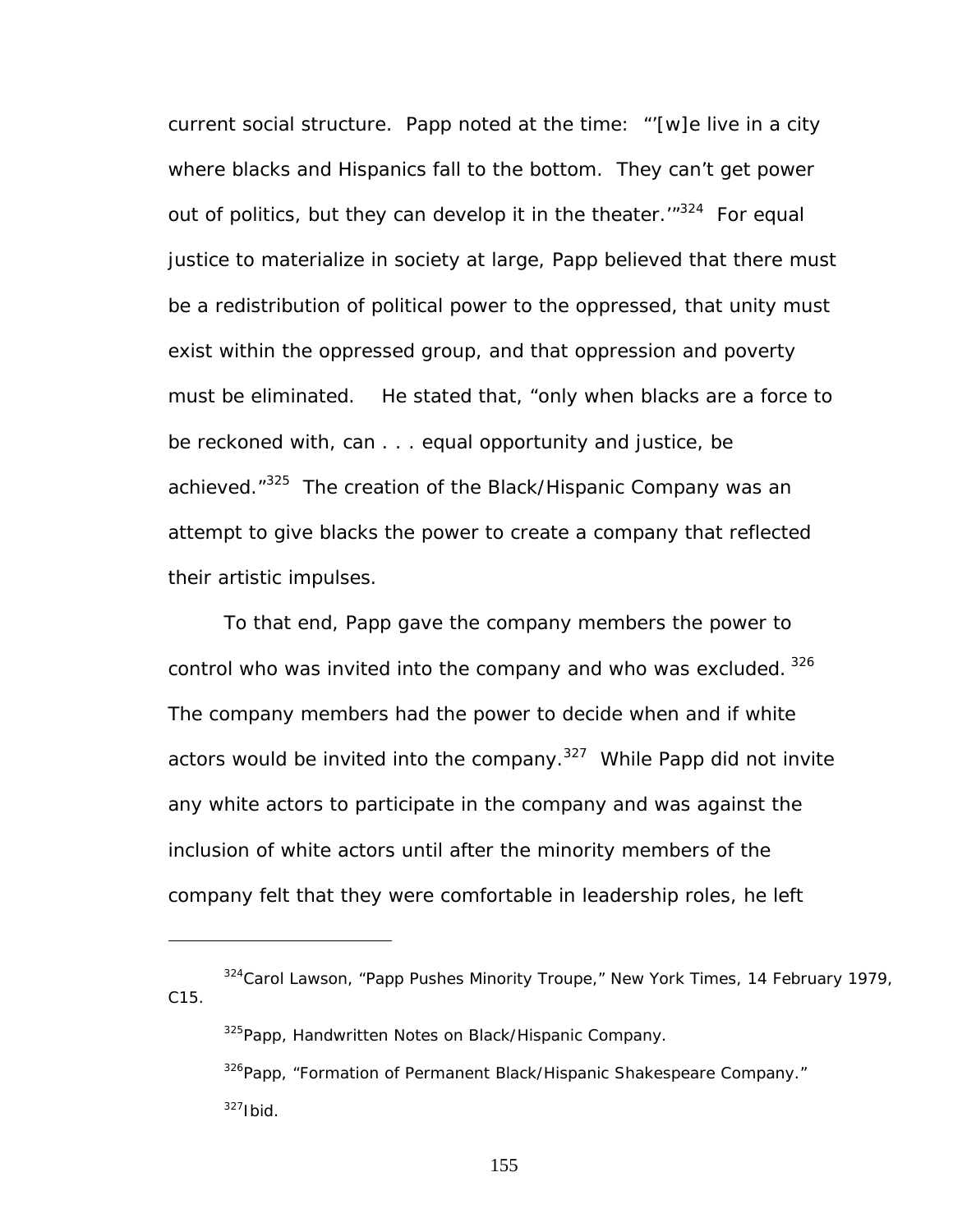current social structure. Papp noted at the time: "'[w]e live in a city where blacks and Hispanics fall to the bottom. They can't get power out of politics, but they can develop it in the theater. $1^{324}$  For equal justice to materialize in society at large, Papp believed that there must be a redistribution of political power to the oppressed, that unity must exist within the oppressed group, and that oppression and poverty must be eliminated. He stated that, "only when blacks are a force to be reckoned with, can . . . equal opportunity and justice, be achieved."<sup>325</sup> The creation of the Black/Hispanic Company was an attempt to give blacks the power to create a company that reflected their artistic impulses.

To that end, Papp gave the company members the power to control who was invited into the company and who was excluded. 326 The company members had the power to decide when and if white actors would be invited into the company.<sup>327</sup> While Papp did not invite any white actors to participate in the company and was against the inclusion of white actors until after the minority members of the company felt that they were comfortable in leadership roles, he left

<span id="page-161-1"></span>325 Papp, Handwritten Notes on Black/Hispanic Company.

<u>.</u>

<span id="page-161-3"></span><span id="page-161-2"></span><sup>326</sup>Papp, "Formation of Permanent Black/Hispanic Shakespeare Company."  $327$ Ibid.

<span id="page-161-0"></span><sup>324</sup>Carol Lawson, "Papp Pushes Minority Troupe," *New York Times*, 14 February 1979, C15.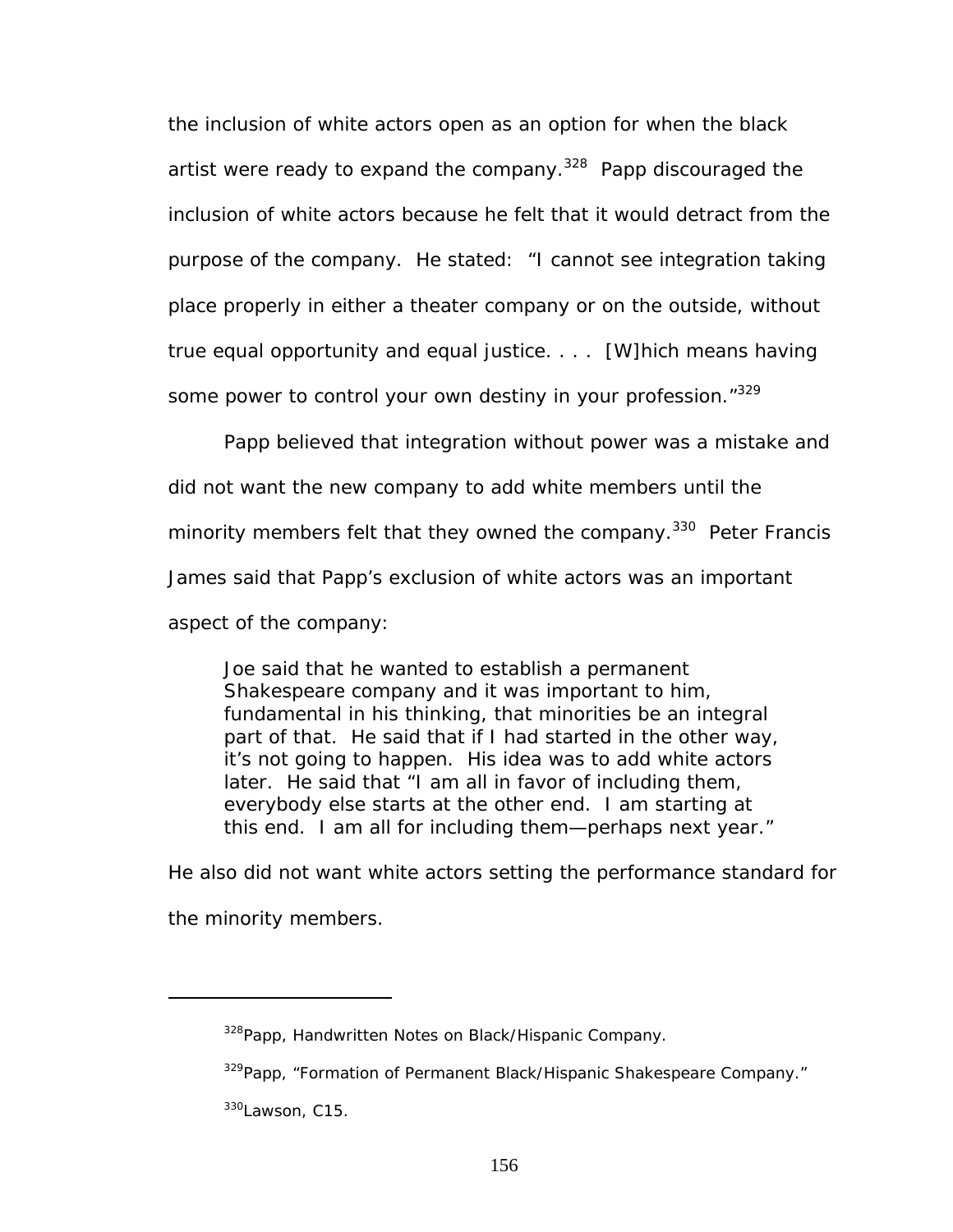the inclusion of white actors open as an option for when the black artist were ready to expand the company.<sup>328</sup> Papp discouraged the inclusion of white actors because he felt that it would detract from the purpose of the company. He stated: "I cannot see integration taking place properly in either a theater company or on the outside, without true equal opportunity and equal justice. . . . [W]hich means having some power to control your own destiny in your profession."329

Papp believed that integration without power was a mistake and did not want the new company to add white members until the minority members felt that they owned the company.<sup>330</sup> Peter Francis James said that Papp's exclusion of white actors was an important aspect of the company:

Joe said that he wanted to establish a permanent Shakespeare company and it was important to him, fundamental in his thinking, that minorities be an integral part of that. He said that if I had started in the other way, it's not going to happen. His idea was to add white actors later. He said that "I am all in favor of including them, everybody else starts at the other end. I am starting at this end. I am all for including them—perhaps next year."

He also did not want white actors setting the performance standard for the minority members.

<span id="page-162-0"></span><sup>&</sup>lt;sup>328</sup>Papp, Handwritten Notes on Black/Hispanic Company.

<span id="page-162-1"></span><sup>&</sup>lt;sup>329</sup>Papp, "Formation of Permanent Black/Hispanic Shakespeare Company."

<span id="page-162-2"></span><sup>330</sup>Lawson, C15.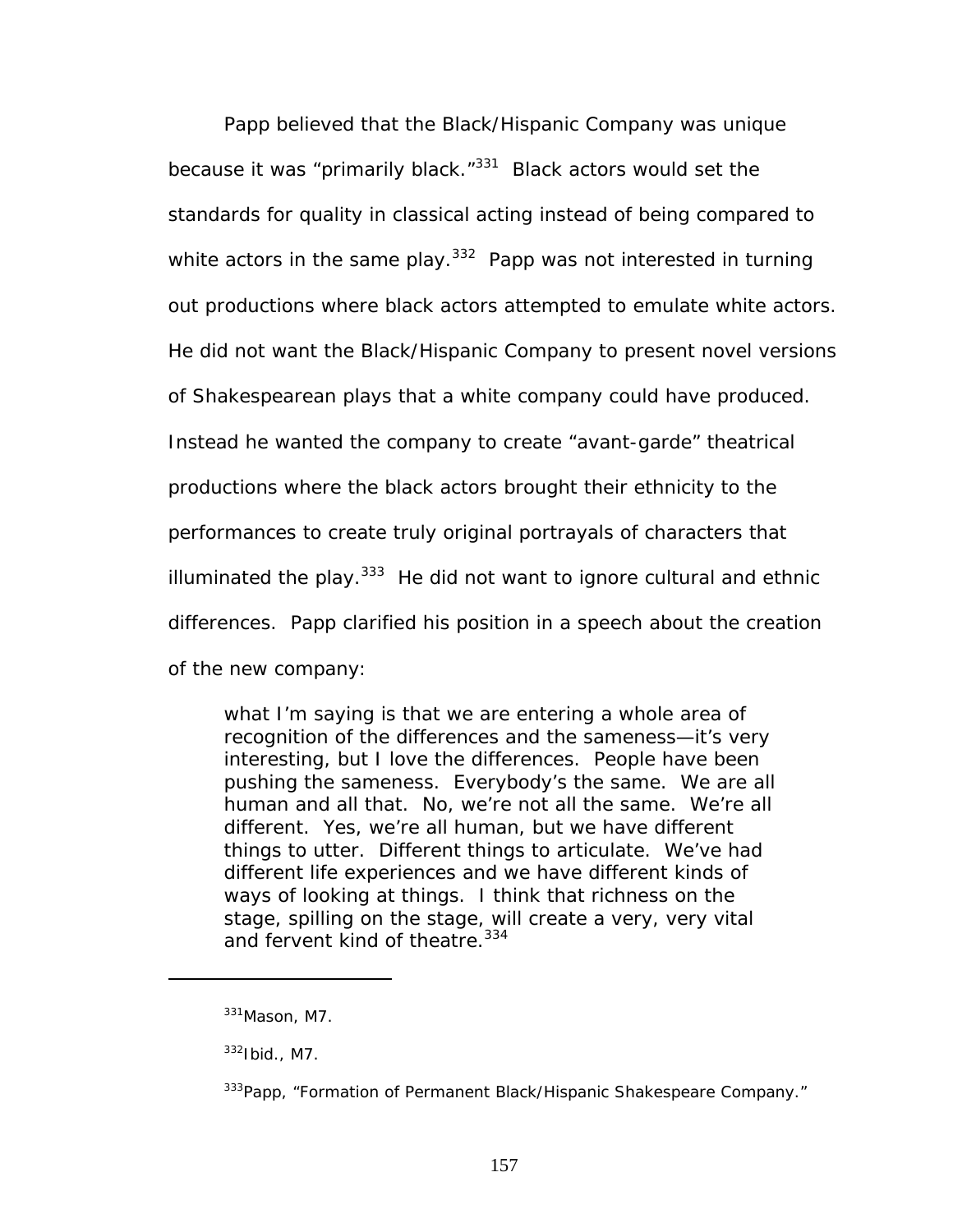Papp believed that the Black/Hispanic Company was unique because it was "primarily black."<sup>331</sup> Black actors would set the standards for quality in classical acting instead of being compared to white actors in the same play.<sup>332</sup> Papp was not interested in turning out productions where black actors attempted to emulate white actors. He did not want the Black/Hispanic Company to present novel versions of Shakespearean plays that a white company could have produced. Instead he wanted the company to create "avant-garde" theatrical productions where the black actors brought their ethnicity to the performances to create truly original portrayals of characters that illuminated the play. $333$  He did not want to ignore cultural and ethnic differences. Papp clarified his position in a speech about the creation of the new company:

what I'm saying is that we are entering a whole area of recognition of the differences and the sameness—it's very interesting, but I love the differences. People have been pushing the sameness. Everybody's the same. We are all human and all that. No, we're not all the same. We're all different. Yes, we're all human, but we have different things to utter. Different things to articulate. We've had different life experiences and we have different kinds of ways of looking at things. I think that richness on the stage, spilling on the stage, will create a very, very vital and fervent kind of theatre.<sup>[334](#page-163-3)</sup>

<span id="page-163-3"></span><span id="page-163-0"></span><sup>331</sup>Mason, M7.

<span id="page-163-1"></span> $332$ Ibid., M7.

<span id="page-163-2"></span><sup>&</sup>lt;sup>333</sup>Papp, "Formation of Permanent Black/Hispanic Shakespeare Company."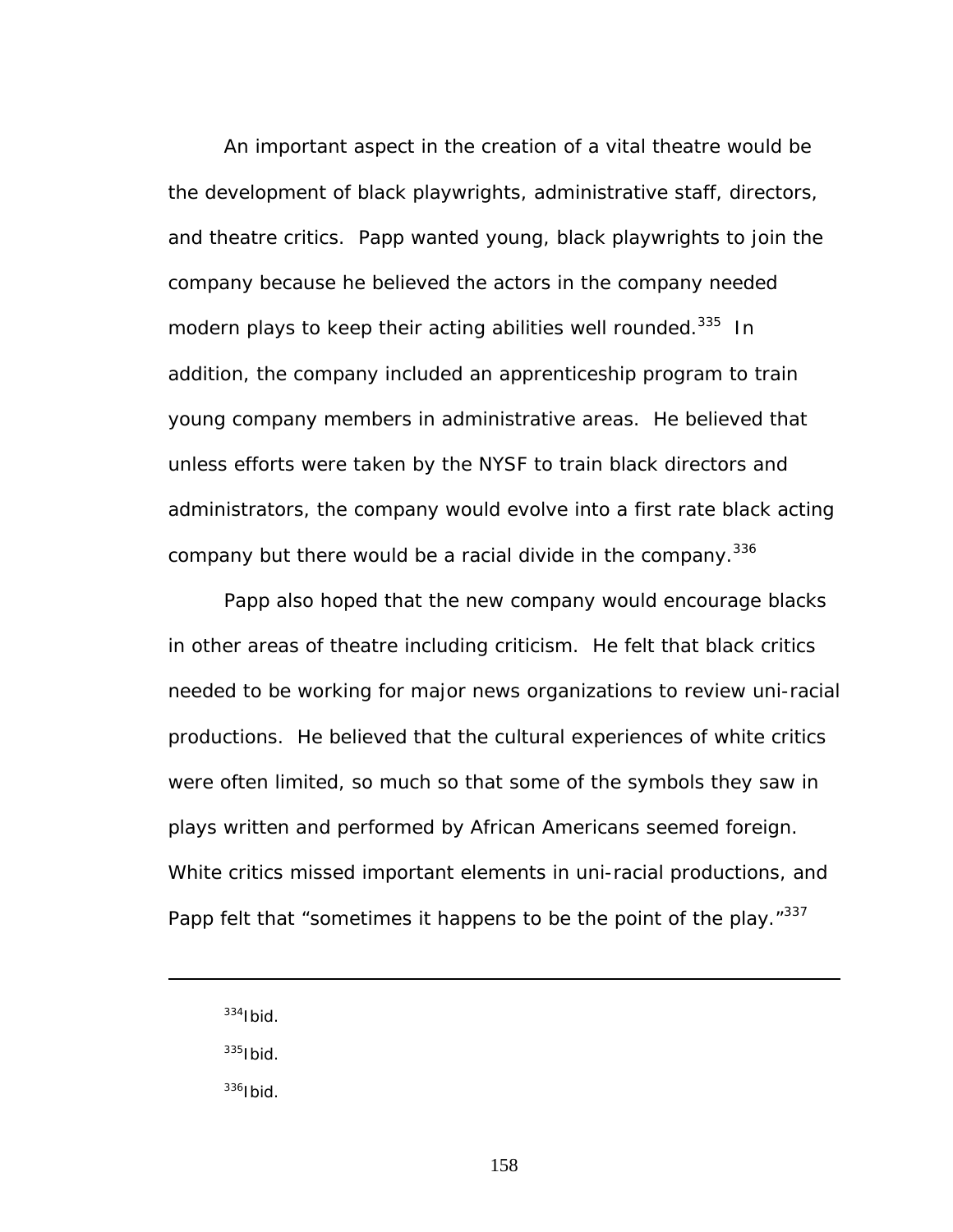An important aspect in the creation of a vital theatre would be the development of black playwrights, administrative staff, directors, and theatre critics. Papp wanted young, black playwrights to join the company because he believed the actors in the company needed modern plays to keep their acting abilities well rounded.<sup>335</sup> In addition, the company included an apprenticeship program to train young company members in administrative areas. He believed that unless efforts were taken by the NYSF to train black directors and administrators, the company would evolve into a first rate black acting company but there would be a racial divide in the company.<sup>336</sup>

Papp also hoped that the new company would encourage blacks in other areas of theatre including criticism. He felt that black critics needed to be working for major news organizations to review uni-racial productions. He believed that the cultural experiences of white critics were often limited, so much so that some of the symbols they saw in plays written and performed by African Americans seemed foreign. White critics missed important elements in uni-racial productions, and Papp felt that "sometimes it happens to be the point of the play."337

 $334$ Ibid.

<span id="page-164-2"></span><u>.</u>

<span id="page-164-0"></span> $335$ Ibid.

<span id="page-164-1"></span> $^{336}$ Ibid.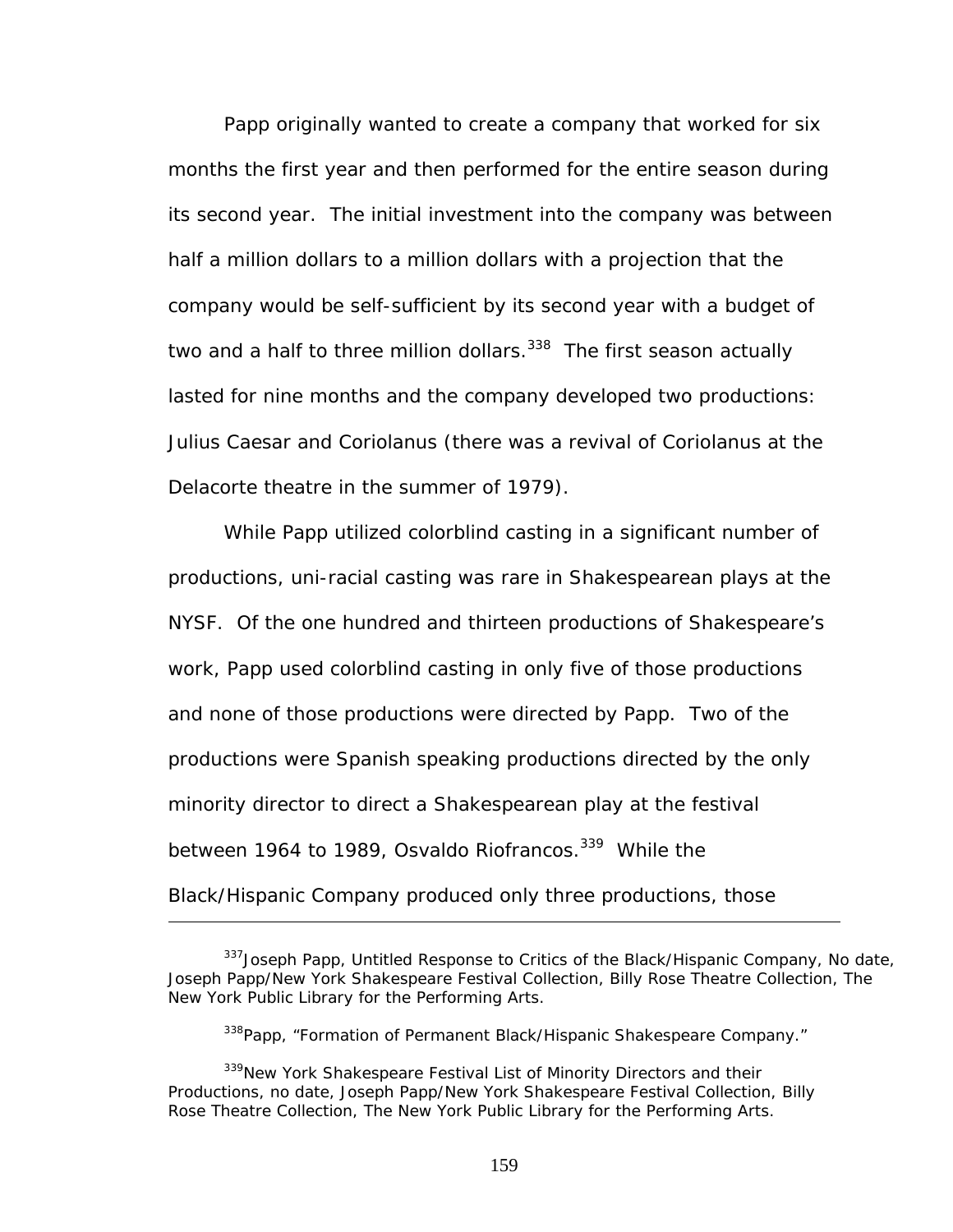Papp originally wanted to create a company that worked for six months the first year and then performed for the entire season during its second year. The initial investment into the company was between half a million dollars to a million dollars with a projection that the company would be self-sufficient by its second year with a budget of two and a half to three million dollars.<sup>338</sup> The first season actually lasted for nine months and the company developed two productions: *Julius Caesar* and *Coriolanus* (there was a revival of *Coriolanus* at the Delacorte theatre in the summer of 1979).

While Papp utilized colorblind casting in a significant number of productions, uni-racial casting was rare in Shakespearean plays at the NYSF. Of the one hundred and thirteen productions of Shakespeare's work, Papp used colorblind casting in only five of those productions and none of those productions were directed by Papp. Two of the productions were Spanish speaking productions directed by the only minority director to direct a Shakespearean play at the festival between 1964 to 1989, Osvaldo Riofrancos.<sup>339</sup> While the Black/Hispanic Company produced only three productions, those

<sup>&</sup>lt;sup>337</sup> Joseph Papp, Untitled Response to Critics of the Black/Hispanic Company, No date, Joseph Papp/New York Shakespeare Festival Collection, Billy Rose Theatre Collection, The New York Public Library for the Performing Arts.

<span id="page-165-1"></span><span id="page-165-0"></span><sup>338</sup>Papp, "Formation of Permanent Black/Hispanic Shakespeare Company."

<sup>&</sup>lt;sup>339</sup>New York Shakespeare Festival List of Minority Directors and their Productions, no date, Joseph Papp/New York Shakespeare Festival Collection, Billy Rose Theatre Collection, The New York Public Library for the Performing Arts.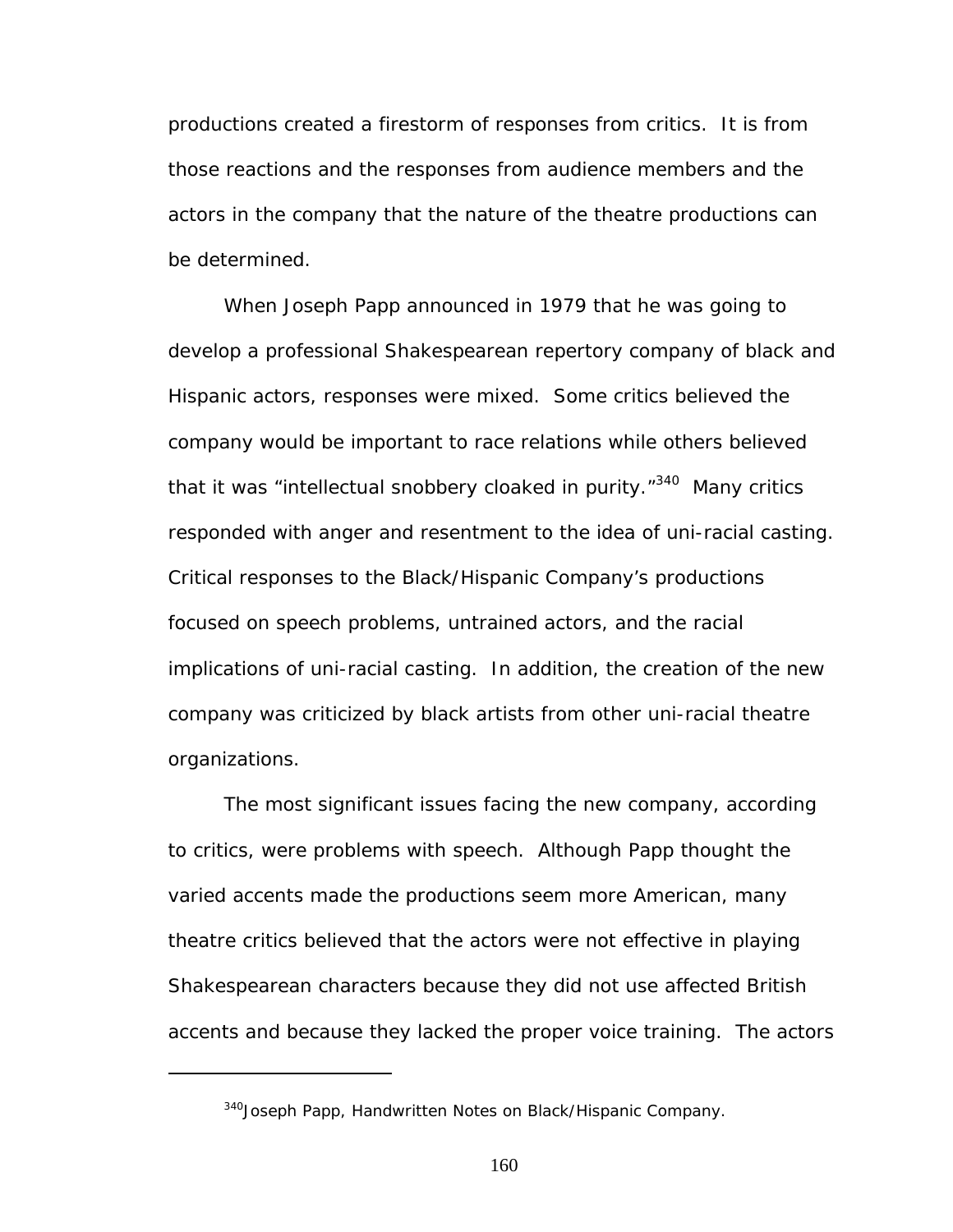productions created a firestorm of responses from critics. It is from those reactions and the responses from audience members and the actors in the company that the nature of the theatre productions can be determined.

When Joseph Papp announced in 1979 that he was going to develop a professional Shakespearean repertory company of black and Hispanic actors, responses were mixed. Some critics believed the company would be important to race relations while others believed that it was "intellectual snobbery cloaked in purity."<sup>340</sup> Many critics responded with anger and resentment to the idea of uni-racial casting. Critical responses to the Black/Hispanic Company's productions focused on speech problems, untrained actors, and the racial implications of uni-racial casting. In addition, the creation of the new company was criticized by black artists from other uni-racial theatre organizations.

The most significant issues facing the new company, according to critics, were problems with speech. Although Papp thought the varied accents made the productions seem more American, many theatre critics believed that the actors were not effective in playing Shakespearean characters because they did not use affected British accents and because they lacked the proper voice training. The actors

<u>.</u>

<span id="page-166-0"></span><sup>340</sup> Joseph Papp, Handwritten Notes on Black/Hispanic Company.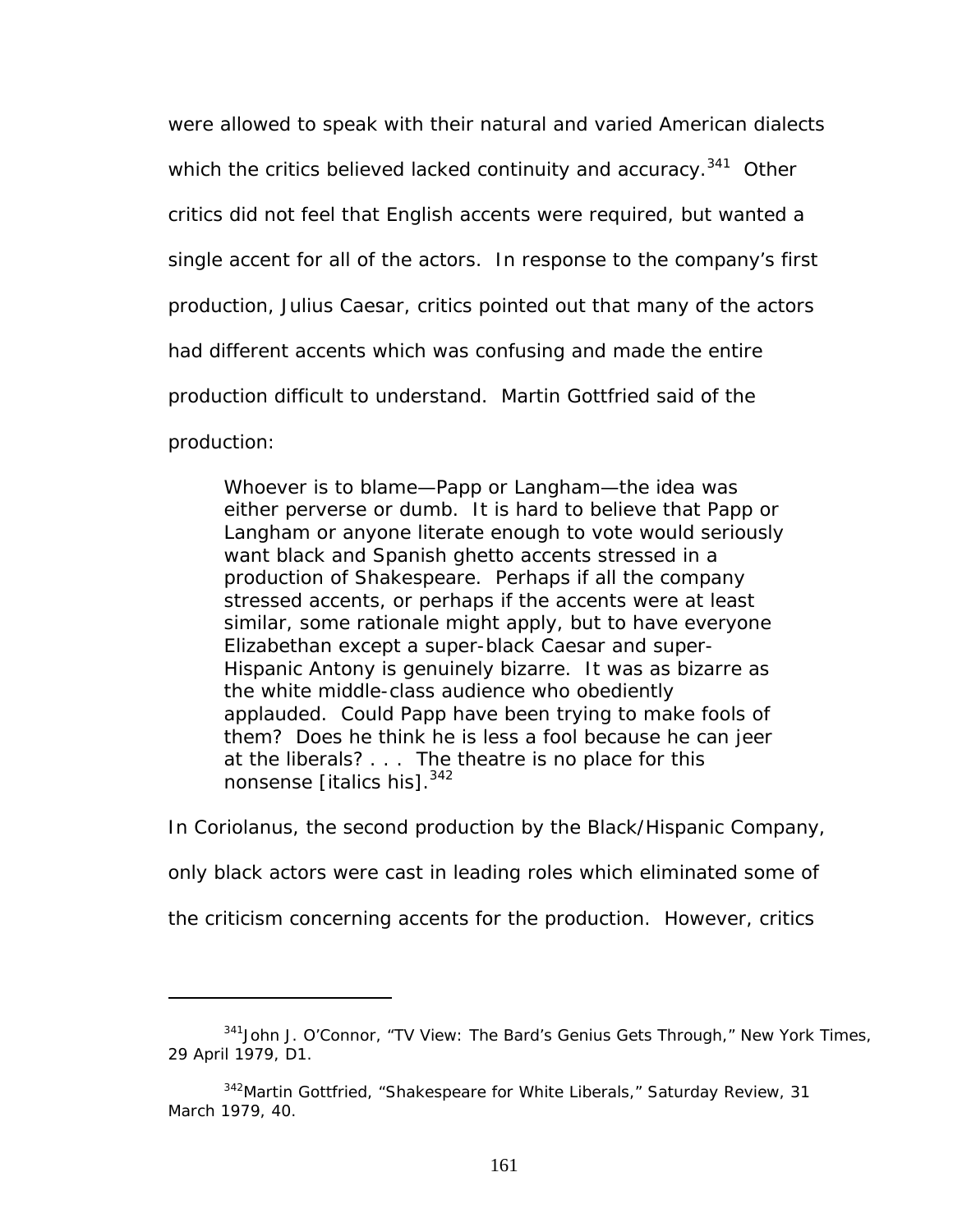were allowed to speak with their natural and varied American dialects which the critics believed lacked continuity and accuracy.<sup>341</sup> Other critics did not feel that English accents were required, but wanted a single accent for all of the actors. In response to the company's first production, *Julius Caesar*, critics pointed out that many of the actors had different accents which was confusing and made the entire production difficult to understand. Martin Gottfried said of the production:

Whoever is to blame—Papp or Langham—the idea was either perverse or dumb. It is hard to believe that Papp or Langham or anyone literate enough to vote would seriously want black and Spanish ghetto accents stressed in a production of Shakespeare. Perhaps if *all* the company stressed accents, or perhaps if the accents were at least similar, some rationale might apply, but to have everyone Elizabethan except a super-black Caesar and super-Hispanic Antony is genuinely bizarre. It was as bizarre as the white middle-class audience who obediently applauded. Could Papp have been trying to make fools of them? Does he think he is less a fool because he can jeer at the liberals? . . . The theatre is no place for this nonsense [italics his].<sup>[342](#page-167-1)</sup>

In *Coriolanus*, the second production by the Black/Hispanic Company,

only black actors were cast in leading roles which eliminated some of

the criticism concerning accents for the production*.* However, critics

<span id="page-167-0"></span><sup>341</sup>John J. O'Connor, "TV View: The Bard's Genius Gets Through," *New York Times*, 29 April 1979, D1.

<span id="page-167-1"></span><sup>342</sup>Martin Gottfried, "Shakespeare for White Liberals," *Saturday Review*, 31 March 1979, 40.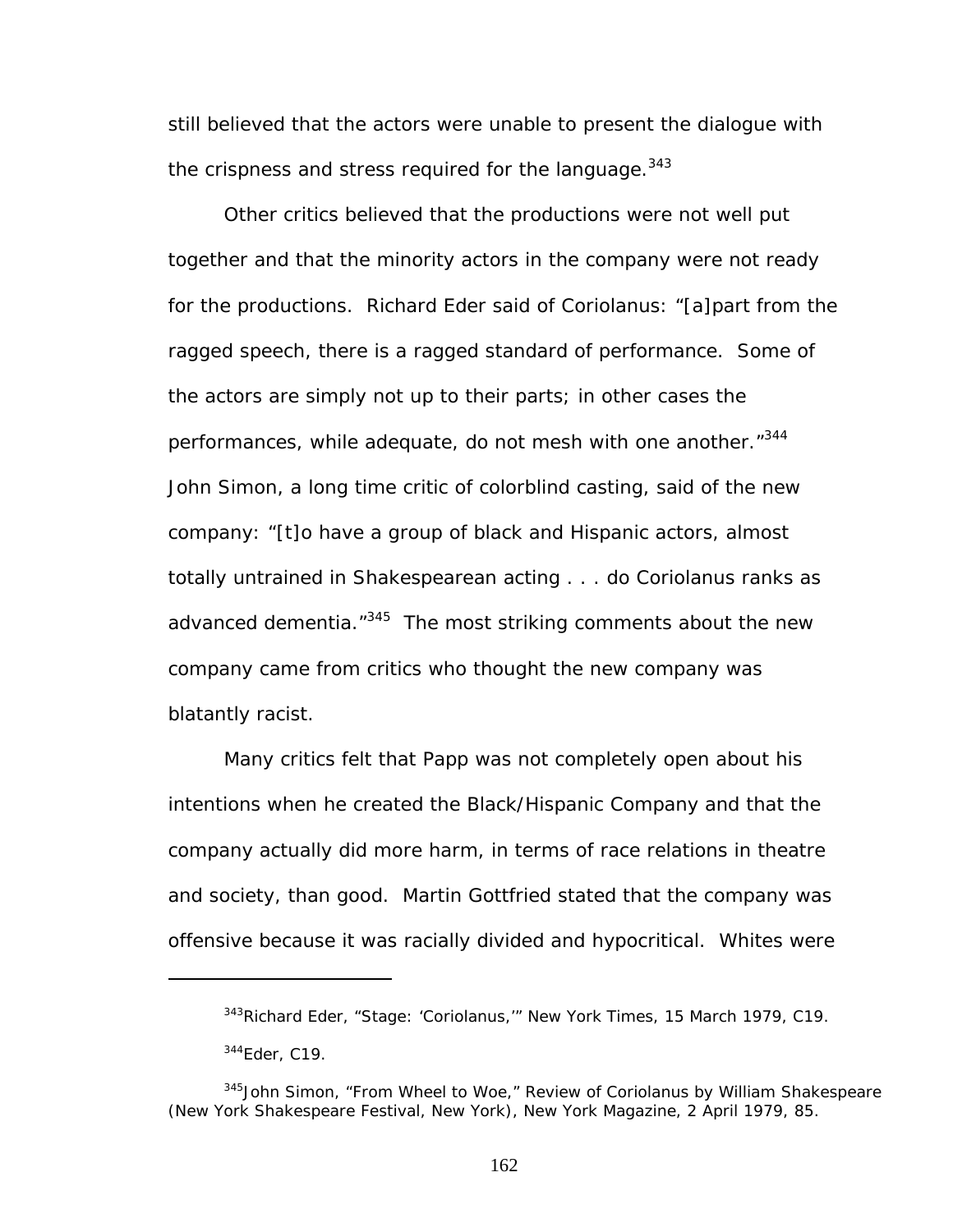still believed that the actors were unable to present the dialogue with the crispness and stress required for the language.  $343$ 

Other critics believed that the productions were not well put together and that the minority actors in the company were not ready for the productions. Richard Eder said of *Coriolanus*: "[a]part from the ragged speech, there is a ragged standard of performance. Some of the actors are simply not up to their parts; in other cases the performances, while adequate, do not mesh with one another."<sup>344</sup> John Simon, a long time critic of colorblind casting, said of the new company: "[t]o have a group of black and Hispanic actors, almost totally untrained in Shakespearean acting . . . do Coriolanus ranks as advanced dementia."<sup>345</sup> The most striking comments about the new company came from critics who thought the new company was blatantly racist.

Many critics felt that Papp was not completely open about his intentions when he created the Black/Hispanic Company and that the company actually did more harm, in terms of race relations in theatre and society, than good. Martin Gottfried stated that the company was offensive because it was racially divided and hypocritical. Whites were

<u>.</u>

<span id="page-168-1"></span><span id="page-168-0"></span><sup>343</sup>Richard Eder, "Stage: '*Coriolanus*,'" *New York Times*, 15 March 1979, C19. 344Eder, C19.

<span id="page-168-2"></span><sup>345</sup>John Simon, "From Wheel to Woe," Review of *Coriolanus* by William Shakespeare (New York Shakespeare Festival, New York), *New York Magazine,* 2 April 1979, 85.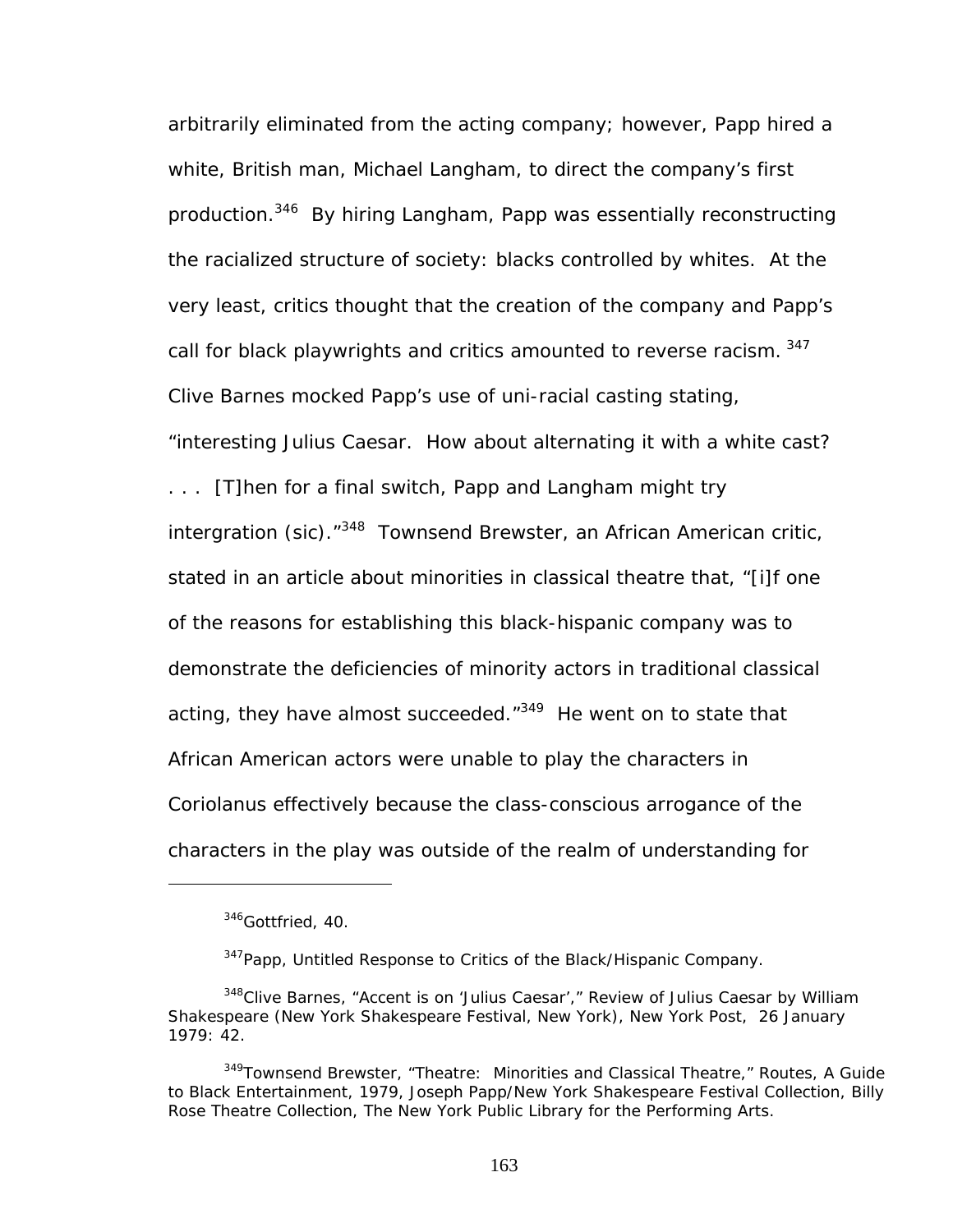arbitrarily eliminated from the acting company; however, Papp hired a white, British man, Michael Langham, to direct the company's first production[.346](#page-169-0) By hiring Langham, Papp was essentially reconstructing the racialized structure of society: blacks controlled by whites. At the very least, critics thought that the creation of the company and Papp's call for black playwrights and critics amounted to reverse racism. 347 Clive Barnes mocked Papp's use of uni-racial casting stating, "interesting Julius Caesar. How about alternating it with a white cast? . . . [T]hen for a final switch, Papp and Langham might try intergration (sic).<sup>"348</sup> Townsend Brewster, an African American critic, stated in an article about minorities in classical theatre that, "[i]f one of the reasons for establishing this black-hispanic company was to demonstrate the deficiencies of minority actors in traditional classical acting, they have almost succeeded."<sup>349</sup> He went on to state that African American actors were unable to play the characters in *Coriolanus* effectively because the class-conscious arrogance of the characters in the play was outside of the realm of understanding for

<span id="page-169-0"></span> $346$ Gottfried, 40.

<span id="page-169-2"></span><span id="page-169-1"></span><sup>&</sup>lt;sup>347</sup>Papp, Untitled Response to Critics of the Black/Hispanic Company.

<sup>348</sup>Clive Barnes, "Accent is on '*Julius Caesar'*," Review of *Julius Caesar* by William Shakespeare (New York Shakespeare Festival, New York), *New York Post,* 26 January 1979: 42.

<span id="page-169-3"></span><sup>349</sup>Townsend Brewster, "Theatre: Minorities and Classical Theatre," *Routes, A Guide to Black Entertainment*, 1979, Joseph Papp/New York Shakespeare Festival Collection, Billy Rose Theatre Collection, The New York Public Library for the Performing Arts.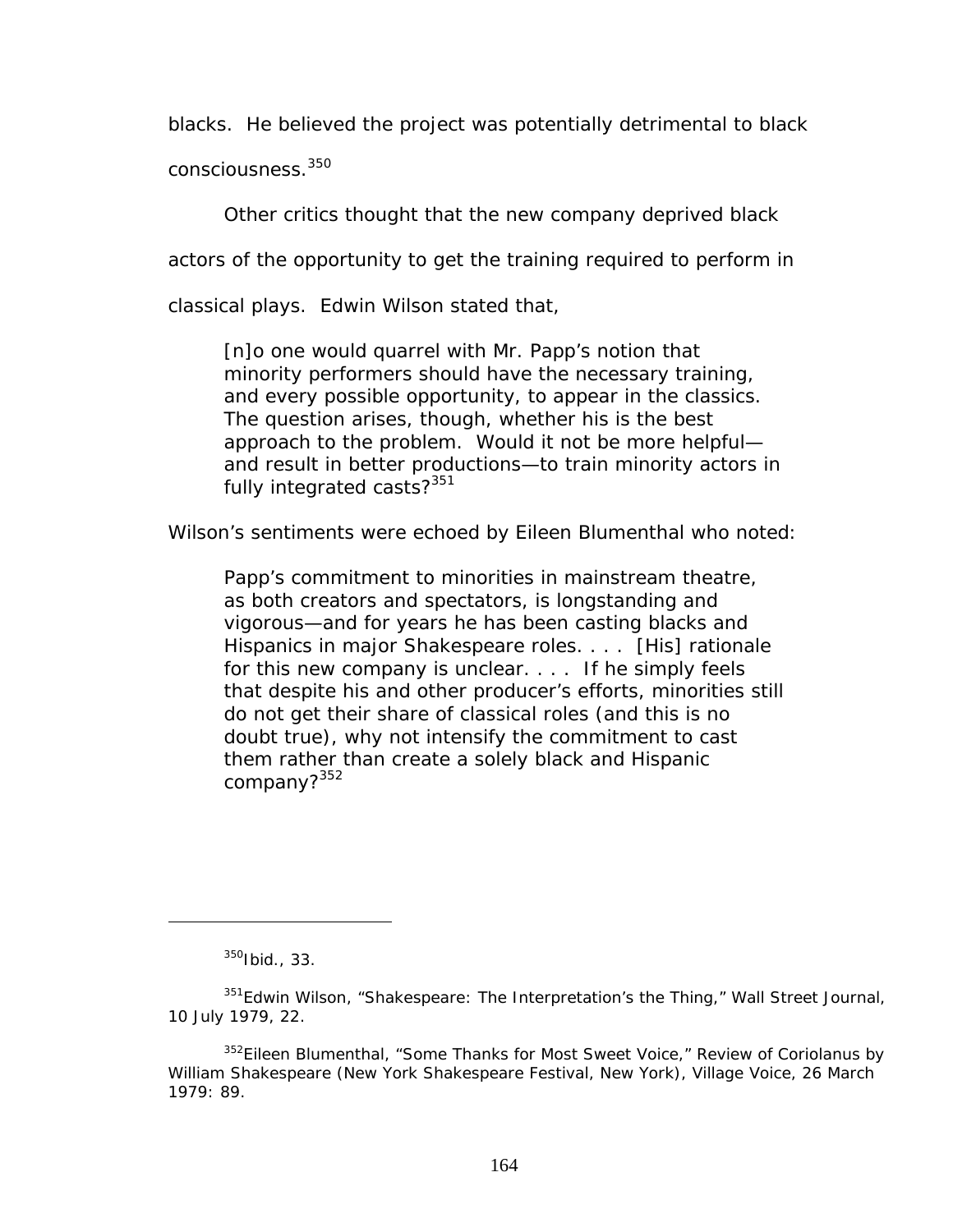blacks. He believed the project was potentially detrimental to black

consciousness.<sup>350</sup>

Other critics thought that the new company deprived black

actors of the opportunity to get the training required to perform in

classical plays. Edwin Wilson stated that,

[n]o one would quarrel with Mr. Papp's notion that minority performers should have the necessary training, and every possible opportunity, to appear in the classics. The question arises, though, whether his is the best approach to the problem. Would it not be more helpful and result in better productions—to train minority actors in fully integrated casts?<sup>[351](#page-170-1)</sup>

Wilson's sentiments were echoed by Eileen Blumenthal who noted:

Papp's commitment to minorities in mainstream theatre, as both creators and spectators, is longstanding and vigorous—and for years he has been casting blacks and Hispanics in major Shakespeare roles. . . . [His] rationale for this new company is unclear. . . . If he simply feels that despite his and other producer's efforts, minorities still do not get their share of classical roles (and this is no doubt true), why not intensify the commitment to cast them rather than create a solely black and Hispanic company?[352](#page-170-2)

<span id="page-170-1"></span><span id="page-170-0"></span><sup>350</sup>Ibid., 33.

<sup>351</sup>Edwin Wilson, "Shakespeare: The Interpretation's the Thing," *Wall Street Journal*, 10 July 1979, 22.

<span id="page-170-2"></span><sup>352</sup>Eileen Blumenthal, "Some Thanks for Most Sweet Voice," Review of *Coriolanus* by William Shakespeare (New York Shakespeare Festival, New York), *Village Voice,* 26 March 1979: 89.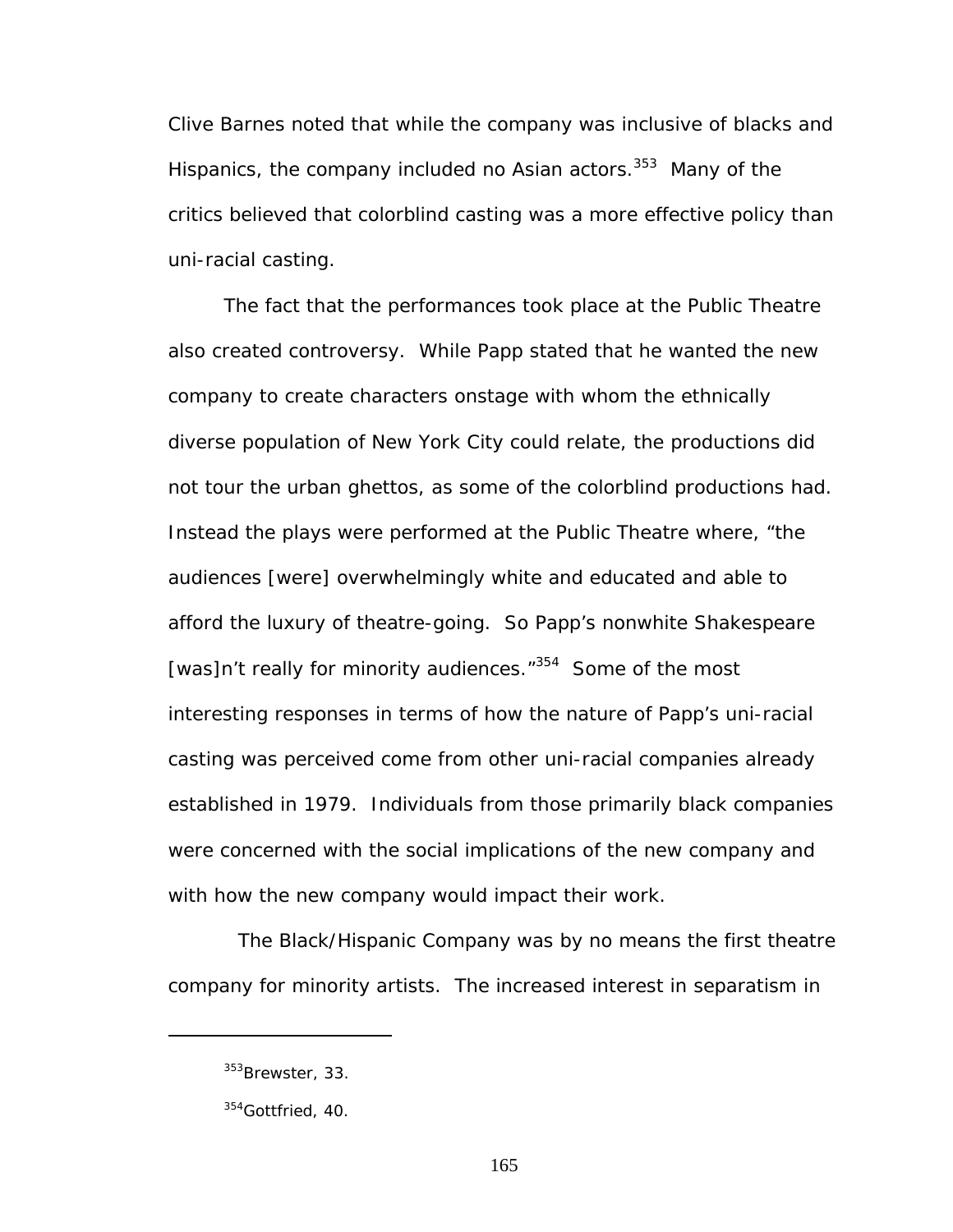Clive Barnes noted that while the company was inclusive of blacks and Hispanics, the company included no Asian actors.<sup>353</sup> Many of the critics believed that colorblind casting was a more effective policy than uni-racial casting.

The fact that the performances took place at the Public Theatre also created controversy. While Papp stated that he wanted the new company to create characters onstage with whom the ethnically diverse population of New York City could relate, the productions did not tour the urban ghettos, as some of the colorblind productions had. Instead the plays were performed at the Public Theatre where, "the audiences [were] overwhelmingly white and educated and able to afford the luxury of theatre-going. So Papp's nonwhite Shakespeare [was]n't really for minority audiences."<sup>354</sup> Some of the most interesting responses in terms of how the nature of Papp's uni-racial casting was perceived come from other uni-racial companies already established in 1979. Individuals from those primarily black companies were concerned with the social implications of the new company and with how the new company would impact their work.

The Black/Hispanic Company was by no means the first theatre company for minority artists. The increased interest in separatism in

<span id="page-171-0"></span><sup>&</sup>lt;sup>353</sup>Brewster, 33.

<span id="page-171-1"></span><sup>&</sup>lt;sup>354</sup>Gottfried, 40.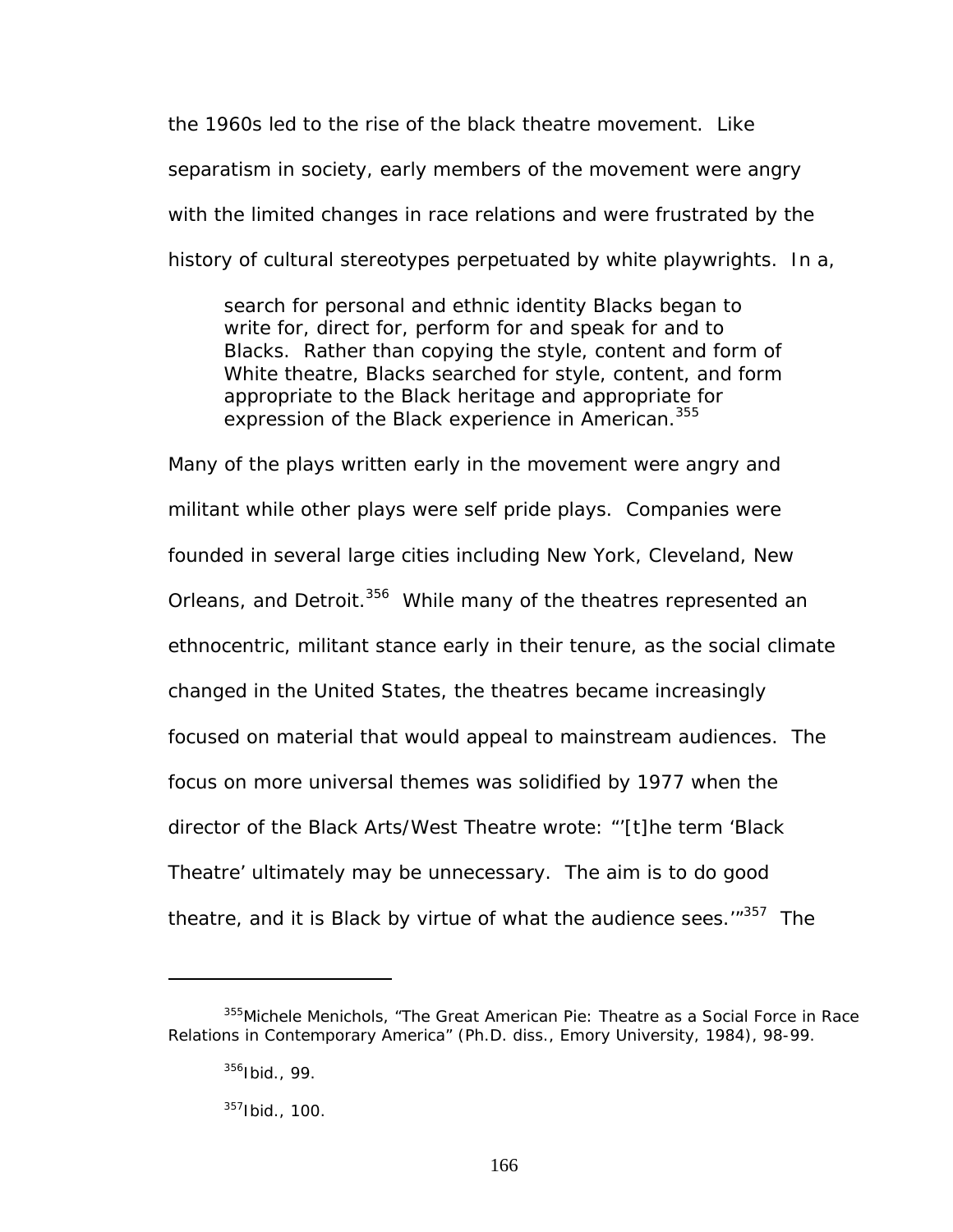the 1960s led to the rise of the black theatre movement. Like separatism in society, early members of the movement were angry with the limited changes in race relations and were frustrated by the history of cultural stereotypes perpetuated by white playwrights. In a,

search for personal and ethnic identity Blacks began to write for, direct for, perform for and speak for and to Blacks. Rather than copying the style, content and form of White theatre, Blacks searched for style, content, and form appropriate to the Black heritage and appropriate for expression of the Black experience in American.<sup>355</sup>

Many of the plays written early in the movement were angry and militant while other plays were self pride plays. Companies were founded in several large cities including New York, Cleveland, New Orleans, and Detroit.<sup>356</sup> While many of the theatres represented an ethnocentric, militant stance early in their tenure, as the social climate changed in the United States, the theatres became increasingly focused on material that would appeal to mainstream audiences. The focus on more universal themes was solidified by 1977 when the director of the Black Arts/West Theatre wrote: "'[t]he term 'Black Theatre' ultimately may be unnecessary. The aim is to do good theatre, and it is Black by virtue of what the audience sees.'"<sup>357</sup> The

<u>.</u>

<span id="page-172-0"></span><sup>&</sup>lt;sup>355</sup>Michele Menichols, "The Great American Pie: Theatre as a Social Force in Race Relations in Contemporary America" (Ph.D. diss., Emory University, 1984), 98-99.

<span id="page-172-1"></span><sup>356</sup>Ibid., 99.

<span id="page-172-2"></span><sup>357</sup>Ibid., 100.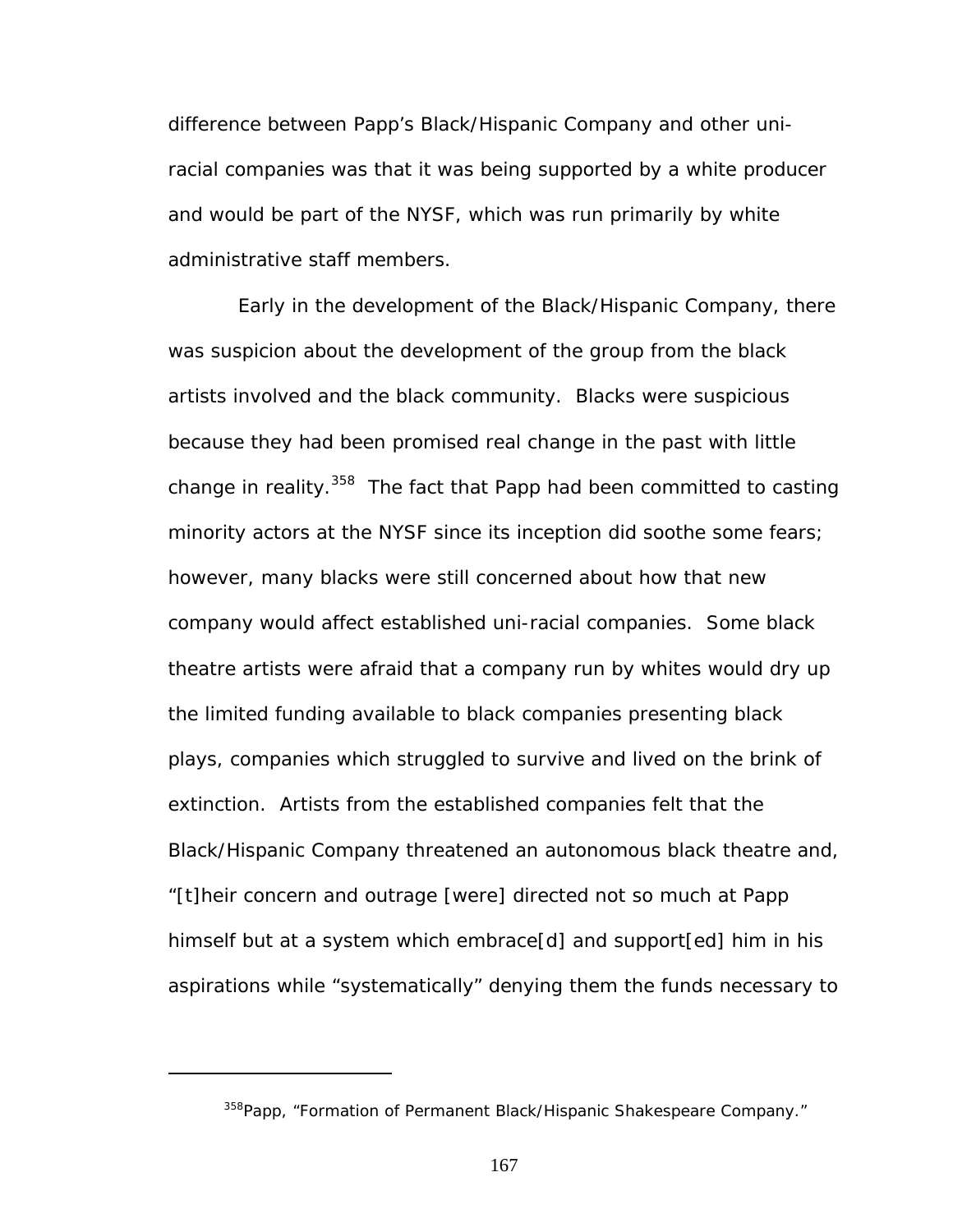difference between Papp's Black/Hispanic Company and other uniracial companies was that it was being supported by a white producer and would be part of the NYSF, which was run primarily by white administrative staff members.

Early in the development of the Black/Hispanic Company, there was suspicion about the development of the group from the black artists involved and the black community. Blacks were suspicious because they had been promised real change in the past with little change in reality.<sup>358</sup> The fact that Papp had been committed to casting minority actors at the NYSF since its inception did soothe some fears; however, many blacks were still concerned about how that new company would affect established uni-racial companies. Some black theatre artists were afraid that a company run by whites would dry up the limited funding available to black companies presenting black plays, companies which struggled to survive and lived on the brink of extinction. Artists from the established companies felt that the Black/Hispanic Company threatened an autonomous black theatre and, "[t]heir concern and outrage [were] directed not so much at Papp himself but at a system which embrace[d] and support[ed] him in his aspirations while "systematically" denying them the funds necessary to

<span id="page-173-0"></span><sup>&</sup>lt;sup>358</sup>Papp, "Formation of Permanent Black/Hispanic Shakespeare Company."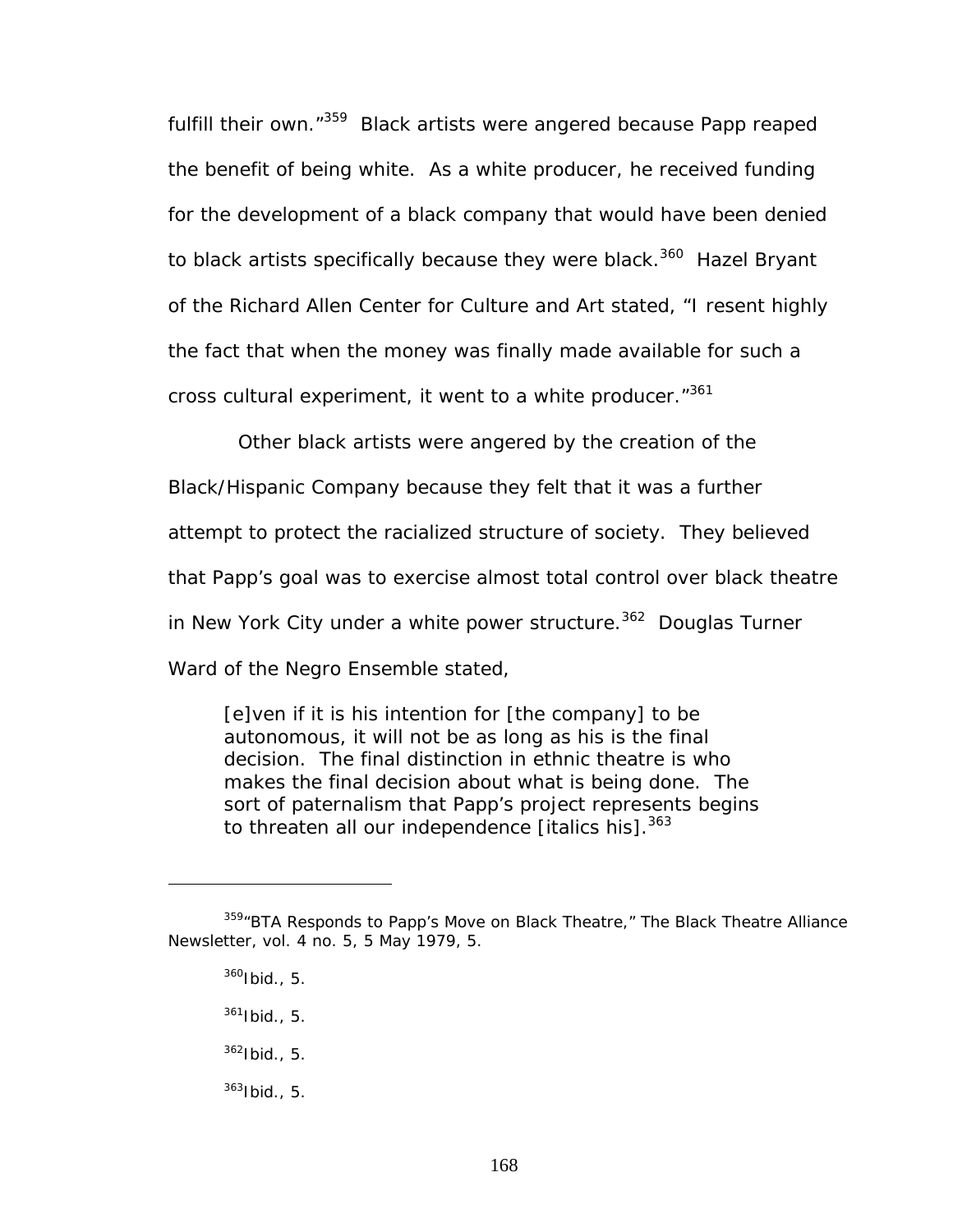fulfill their own."<sup>359</sup> Black artists were angered because Papp reaped the benefit of being white. As a white producer, he received funding for the development of a black company that would have been denied to black artists specifically because they were black.<sup>360</sup> Hazel Bryant of the Richard Allen Center for Culture and Art stated, "I resent highly the fact that when the money was finally made available for such a cross cultural experiment, it went to a white producer."<sup>361</sup>

Other black artists were angered by the creation of the Black/Hispanic Company because they felt that it was a further attempt to protect the racialized structure of society. They believed that Papp's goal was to exercise almost total control over black theatre in New York City under a white power structure.<sup>362</sup> Douglas Turner Ward of the Negro Ensemble stated,

[e]ven if it is his intention for [the company] to be autonomous, it will not be as long as his is the final decision. The *final* distinction in ethnic theatre is who makes the final decision about what is being done. *The sort of paternalism that Papp's project represents begins*  to threaten all our independence [italics his].<sup>363</sup>

<span id="page-174-1"></span><span id="page-174-0"></span> $360$  Ibid., 5.

- <span id="page-174-2"></span> $361$  Ibid., 5.
- <span id="page-174-3"></span> $362$ Ibid., 5.
- <span id="page-174-4"></span> $363$ Ibid., 5.

<sup>359&</sup>quot;BTA Responds to Papp's Move on Black Theatre," *The Black Theatre Alliance Newsletter*, vol. 4 no. 5, 5 May 1979, 5.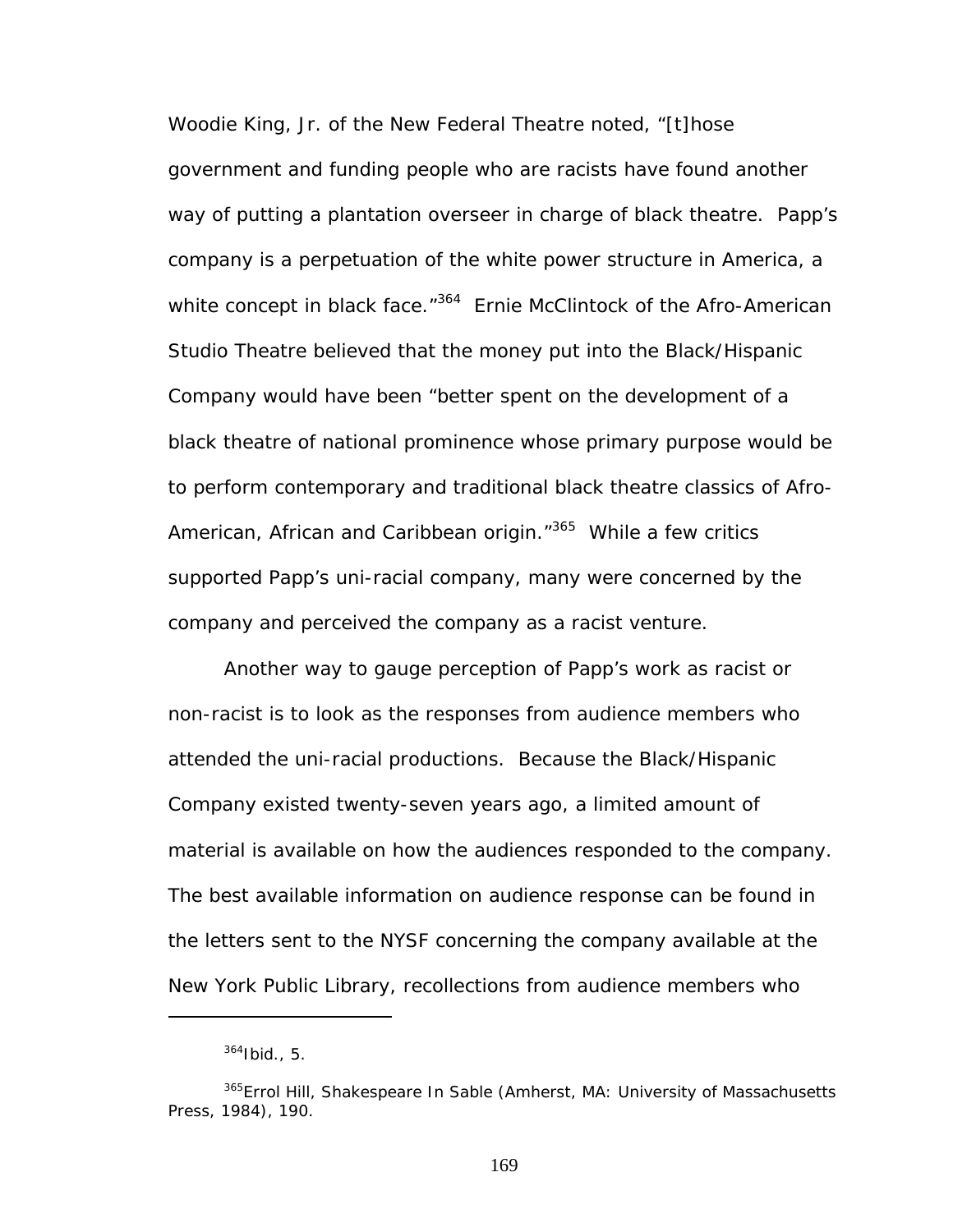Woodie King, Jr. of the New Federal Theatre noted, "[t]hose government and funding people who are racists have found another way of putting a plantation overseer in charge of black theatre. Papp's company is a perpetuation of the white power structure in America, a white concept in black face.<sup>"364</sup> Ernie McClintock of the Afro-American Studio Theatre believed that the money put into the Black/Hispanic Company would have been "better spent on the development of a black theatre of national prominence whose primary purpose would be to perform contemporary and traditional black theatre classics of Afro-American, African and Caribbean origin."<sup>365</sup> While a few critics supported Papp's uni-racial company, many were concerned by the company and perceived the company as a racist venture.

Another way to gauge perception of Papp's work as racist or non-racist is to look as the responses from audience members who attended the uni-racial productions. Because the Black/Hispanic Company existed twenty-seven years ago, a limited amount of material is available on how the audiences responded to the company. The best available information on audience response can be found in the letters sent to the NYSF concerning the company available at the New York Public Library, recollections from audience members who

 $\overline{a}$ 

<span id="page-175-1"></span><span id="page-175-0"></span> $364$ Ibid., 5.

<sup>365</sup>Errol Hill, *Shakespeare In Sable* (Amherst, MA: University of Massachusetts Press, 1984), 190.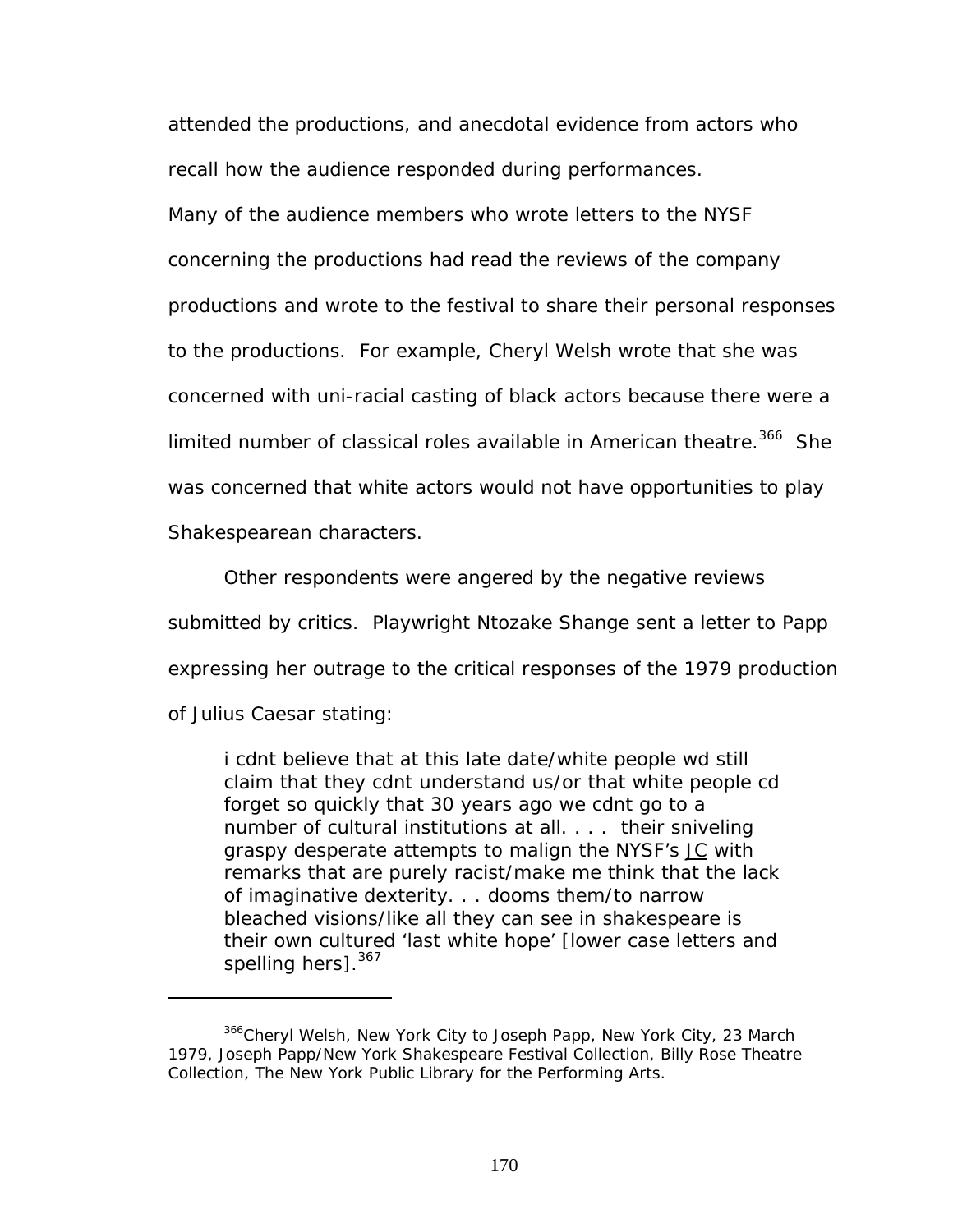attended the productions, and anecdotal evidence from actors who recall how the audience responded during performances.

Many of the audience members who wrote letters to the NYSF concerning the productions had read the reviews of the company productions and wrote to the festival to share their personal responses to the productions. For example, Cheryl Welsh wrote that she was concerned with uni-racial casting of black actors because there were a limited number of classical roles available in American theatre.<sup>366</sup> She was concerned that white actors would not have opportunities to play Shakespearean characters.

Other respondents were angered by the negative reviews submitted by critics. Playwright Ntozake Shange sent a letter to Papp expressing her outrage to the critical responses of the 1979 production of *Julius Caesar* stating:

i cdnt believe that at this late date/white people wd still claim that they cdnt understand us/or that white people cd forget so quickly that 30 years ago we cdnt go to a number of cultural institutions at all. . . . their sniveling graspy desperate attempts to malign the NYSF's JC with remarks that are purely racist/make me think that the lack of imaginative dexterity. . . dooms them/to narrow bleached visions/like all they can see in shakespeare is their own cultured 'last white hope' [lower case letters and spelling hers].<sup>367</sup>

<span id="page-176-1"></span><span id="page-176-0"></span><sup>366</sup>Cheryl Welsh, New York City to Joseph Papp, New York City, 23 March 1979, Joseph Papp/New York Shakespeare Festival Collection, Billy Rose Theatre Collection, The New York Public Library for the Performing Arts.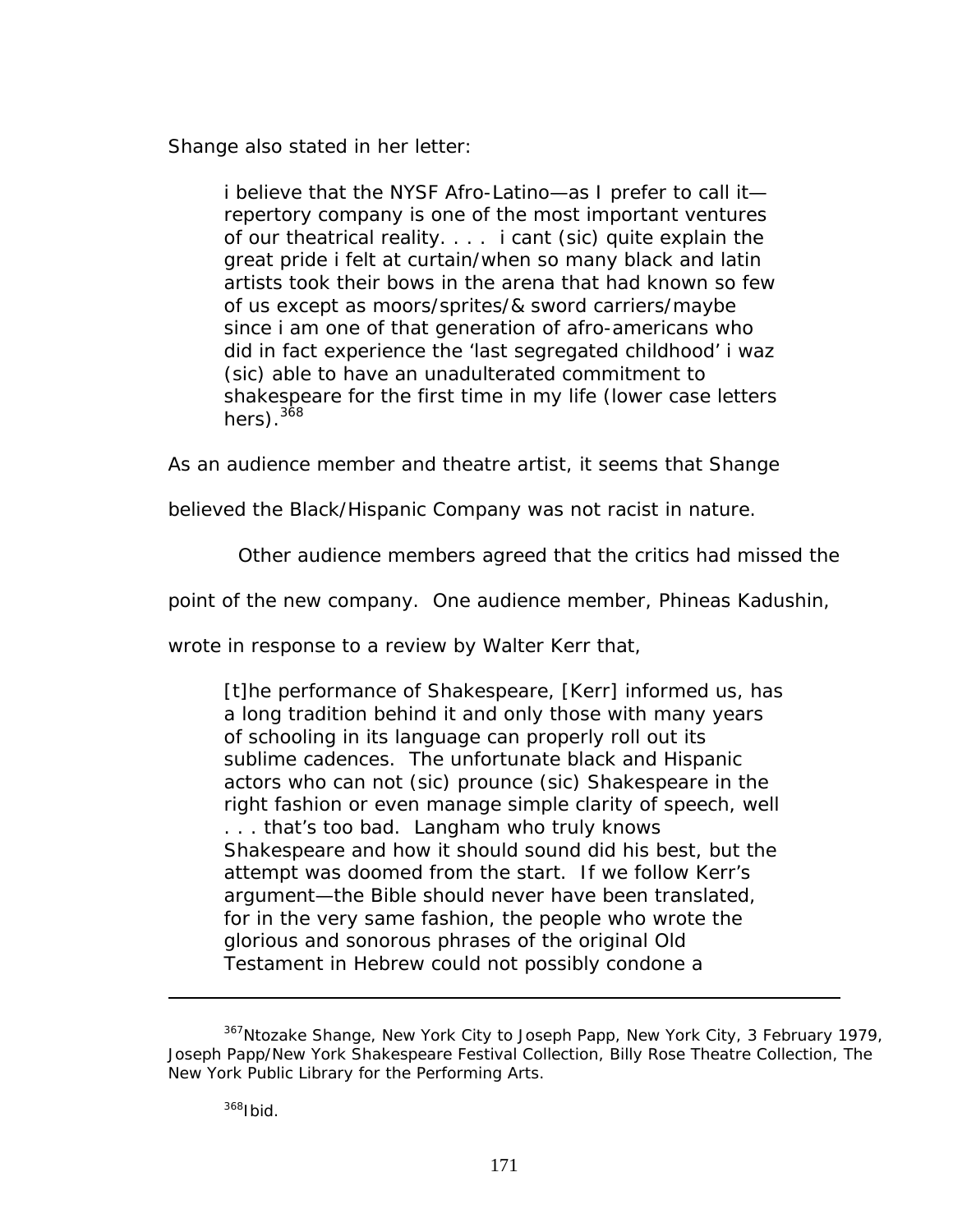Shange also stated in her letter:

i believe that the NYSF Afro-Latino—as I prefer to call it repertory company is one of the most important ventures of our theatrical reality. . . . i cant (sic) quite explain the great pride i felt at curtain/when so many black and latin artists took their bows in the arena that had known so few of us except as moors/sprites/& sword carriers/maybe since i am one of that generation of afro-americans who did in fact experience the 'last segregated childhood' i waz (sic) able to have an unadulterated commitment to shakespeare for the first time in my life (lower case letters hers). $368$ 

As an audience member and theatre artist, it seems that Shange

believed the Black/Hispanic Company was not racist in nature.

Other audience members agreed that the critics had missed the

point of the new company. One audience member, Phineas Kadushin,

wrote in response to a review by Walter Kerr that,

[t]he performance of Shakespeare, [Kerr] informed us, has a long tradition behind it and only those with many years of schooling in its language can properly roll out its sublime cadences. The unfortunate black and Hispanic actors who can not (sic) prounce (sic) Shakespeare in the right fashion or even manage simple clarity of speech, well . . . that's too bad. Langham who truly knows Shakespeare and how it should sound did his best, but the attempt was doomed from the start. If we follow Kerr's argument—the Bible should never have been translated, for in the very same fashion, the people who wrote the glorious and sonorous phrases of the original Old Testament in Hebrew could not possibly condone a

<span id="page-177-0"></span> $367$ Ntozake Shange, New York City to Joseph Papp, New York City, 3 February 1979, Joseph Papp/New York Shakespeare Festival Collection, Billy Rose Theatre Collection, The New York Public Library for the Performing Arts.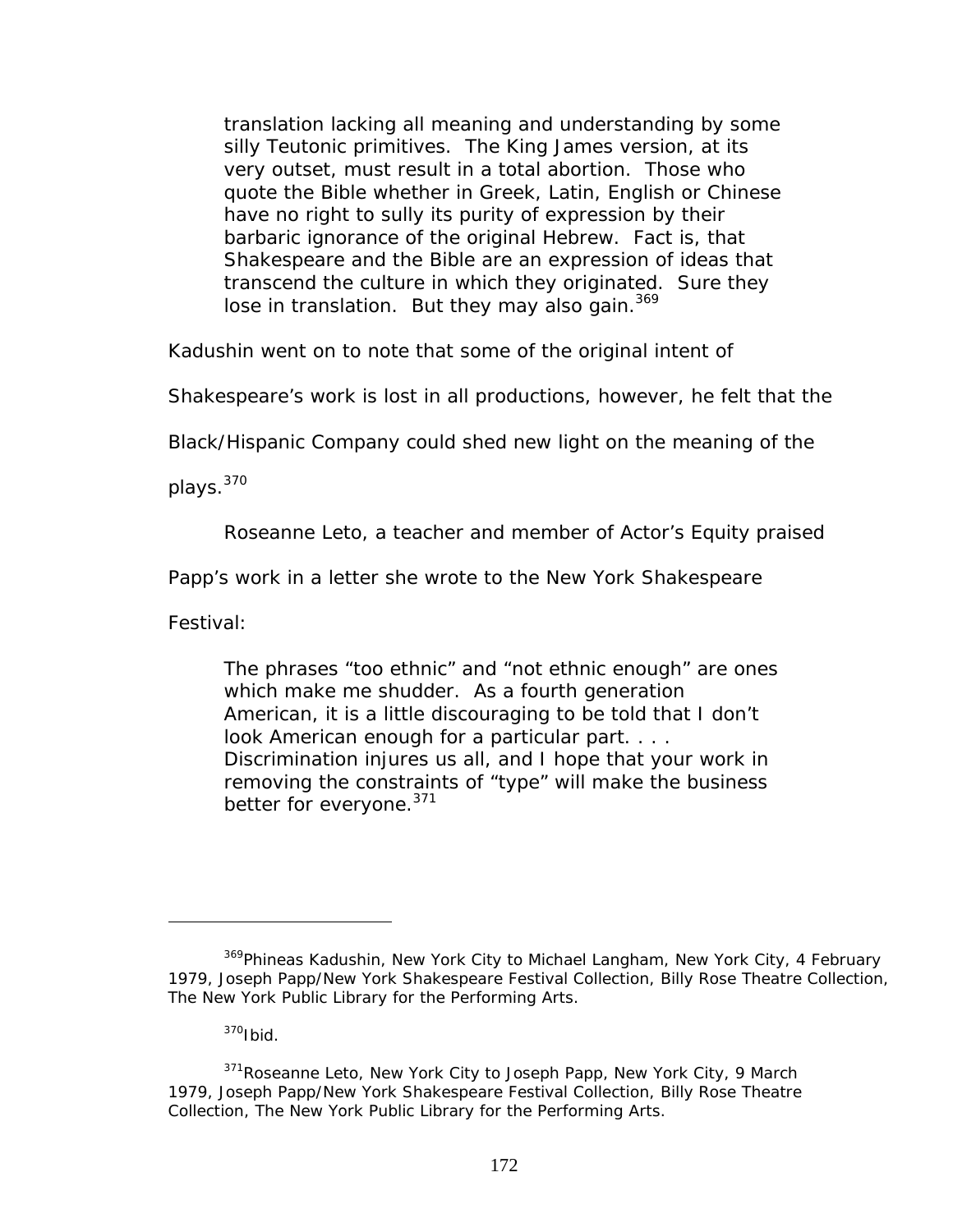translation lacking all meaning and understanding by some silly Teutonic primitives. The King James version, at its very outset, must result in a total abortion. Those who quote the Bible whether in Greek, Latin, English or Chinese have no right to sully its purity of expression by their barbaric ignorance of the original Hebrew. Fact is, that Shakespeare and the Bible are an expression of ideas that transcend the culture in which they originated. Sure they lose in translation. But they may also gain.<sup>[369](#page-178-0)</sup>

Kadushin went on to note that some of the original intent of

Shakespeare's work is lost in all productions, however, he felt that the

Black/Hispanic Company could shed new light on the meaning of the

plays.[370](#page-178-1) 

Roseanne Leto, a teacher and member of Actor's Equity praised

Papp's work in a letter she wrote to the New York Shakespeare

Festival:

 $\overline{a}$ 

The phrases "too ethnic" and "not ethnic enough" are ones which make me shudder. As a fourth generation American, it is a little discouraging to be told that I don't look American enough for a particular part. . . . Discrimination injures us all, and I hope that your work in removing the constraints of "type" will make the business better for everyone.<sup>[371](#page-178-2)</sup>

<span id="page-178-0"></span><sup>&</sup>lt;sup>369</sup>Phineas Kadushin, New York City to Michael Langham, New York City, 4 February 1979, Joseph Papp/New York Shakespeare Festival Collection, Billy Rose Theatre Collection, The New York Public Library for the Performing Arts.

<span id="page-178-2"></span><span id="page-178-1"></span> $370$ Ibid.

 $371$ Roseanne Leto, New York City to Joseph Papp, New York City, 9 March 1979, Joseph Papp/New York Shakespeare Festival Collection, Billy Rose Theatre Collection, The New York Public Library for the Performing Arts.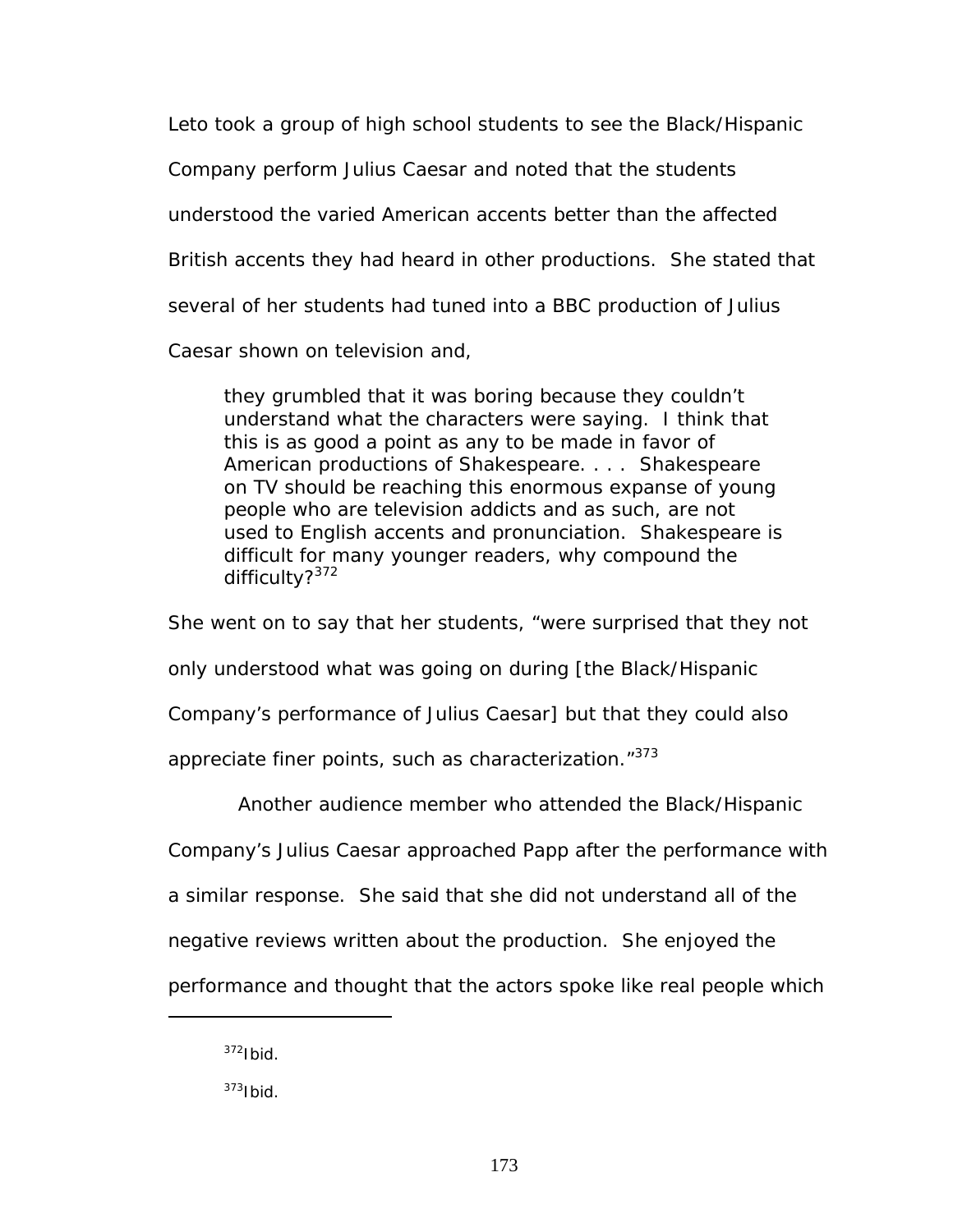Leto took a group of high school students to see the Black/Hispanic Company perform *Julius Caesar* and noted that the students understood the varied American accents better than the affected British accents they had heard in other productions. She stated that several of her students had tuned into a BBC production of *Julius Caesar* shown on television and,

they grumbled that it was boring because they couldn't understand what the characters were saying. I think that this is as good a point as any to be made in favor of American productions of Shakespeare. . . . Shakespeare on TV should be reaching this enormous expanse of young people who are television addicts and as such, are not used to English accents and pronunciation. Shakespeare is difficult for many younger readers, why compound the difficulty?<sup>[372](#page-179-0)</sup>

She went on to say that her students, "were surprised that they not only understood what was going on during [the Black/Hispanic Company's performance of *Julius Caesar*] but that they could also appreciate finer points, such as characterization."[373](#page-179-1) 

Another audience member who attended the Black/Hispanic

Company's *Julius Caesar* approached Papp after the performance with

a similar response. She said that she did not understand all of the

negative reviews written about the production. She enjoyed the

performance and thought that the actors spoke like real people which

<span id="page-179-0"></span> $372$ Ibid.

<span id="page-179-1"></span> $373$ Ibid.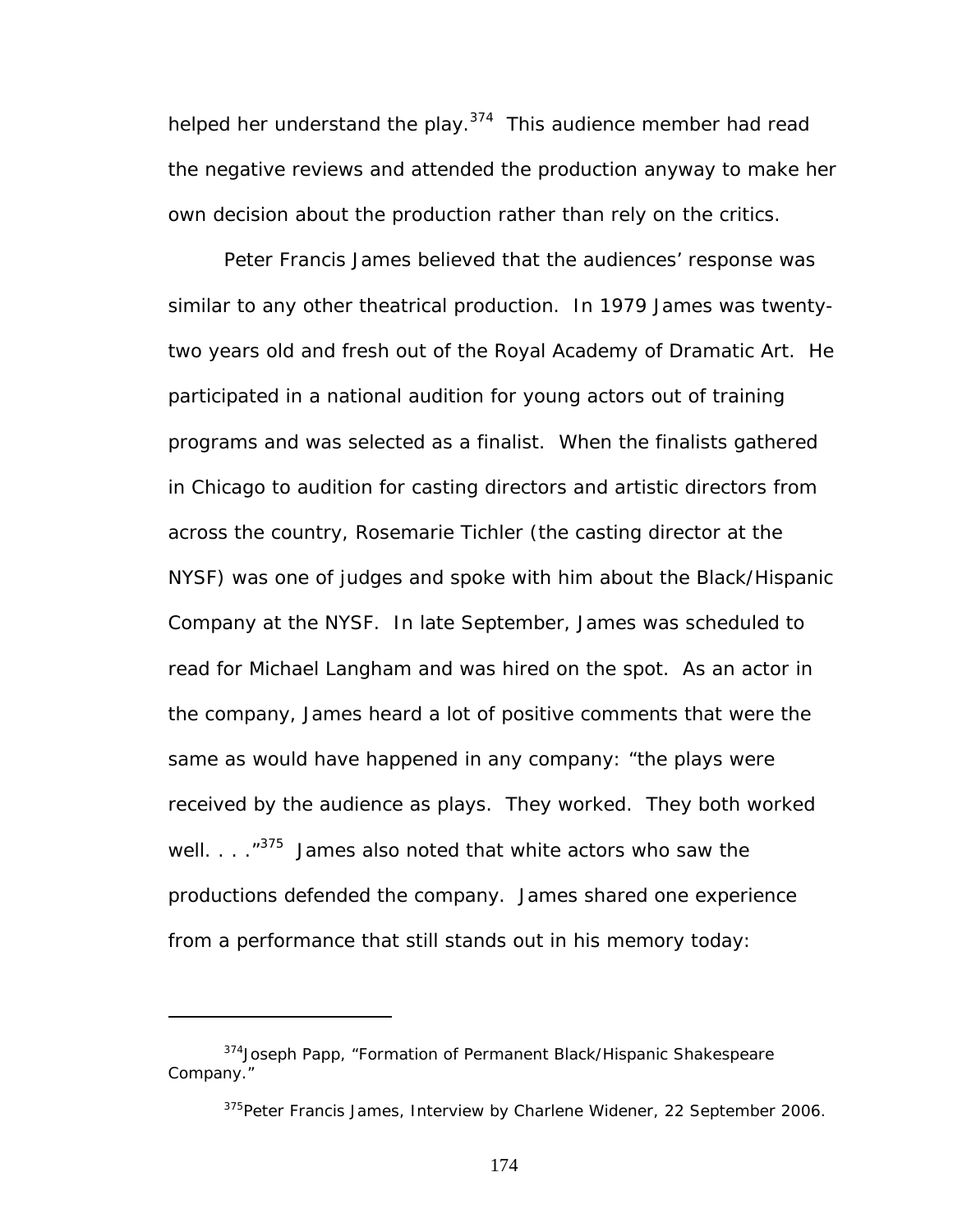helped her understand the play.<sup>374</sup> This audience member had read the negative reviews and attended the production anyway to make her own decision about the production rather than rely on the critics.

Peter Francis James believed that the audiences' response was similar to any other theatrical production. In 1979 James was twentytwo years old and fresh out of the Royal Academy of Dramatic Art. He participated in a national audition for young actors out of training programs and was selected as a finalist. When the finalists gathered in Chicago to audition for casting directors and artistic directors from across the country, Rosemarie Tichler (the casting director at the NYSF) was one of judges and spoke with him about the Black/Hispanic Company at the NYSF. In late September, James was scheduled to read for Michael Langham and was hired on the spot. As an actor in the company, James heard a lot of positive comments that were the same as would have happened in any company: "the plays were received by the audience as plays. They worked. They both worked well.  $\ldots$   $10^{375}$  James also noted that white actors who saw the productions defended the company. James shared one experience from a performance that still stands out in his memory today:

<span id="page-180-0"></span><sup>374</sup> Joseph Papp, "Formation of Permanent Black/Hispanic Shakespeare Company."

<span id="page-180-1"></span><sup>&</sup>lt;sup>375</sup>Peter Francis James, Interview by Charlene Widener, 22 September 2006.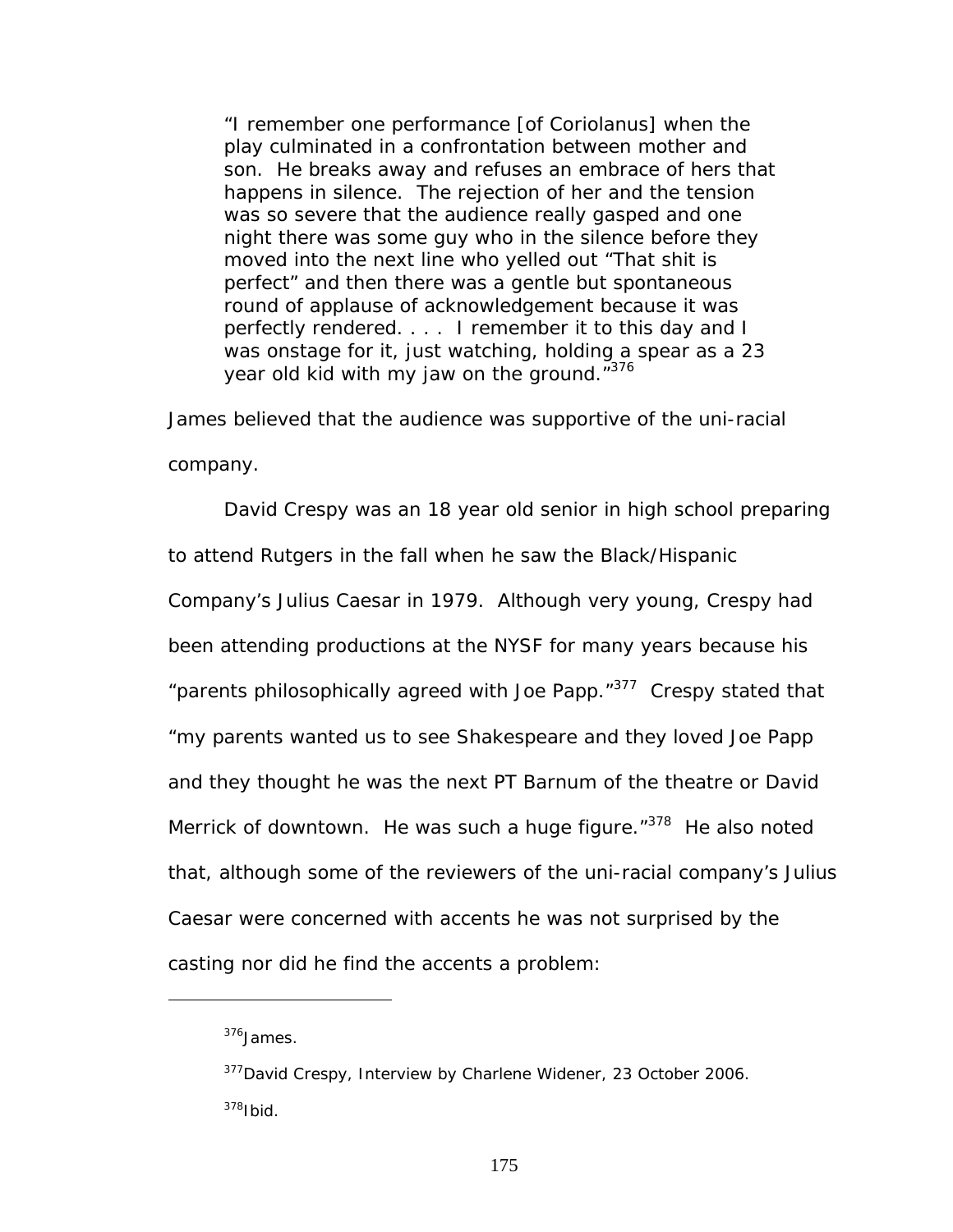"I remember one performance [of *Coriolanus]* when the play culminated in a confrontation between mother and son. He breaks away and refuses an embrace of hers that happens in silence. The rejection of her and the tension was so severe that the audience really gasped and one night there was some guy who in the silence before they moved into the next line who yelled out "That shit is perfect" and then there was a gentle but spontaneous round of applause of acknowledgement because it was perfectly rendered. . . . I remember it to this day and I was onstage for it, just watching, holding a spear as a 23 year old kid with my jaw on the ground.["376](#page-181-0)

James believed that the audience was supportive of the uni-racial company.

David Crespy was an 18 year old senior in high school preparing to attend Rutgers in the fall when he saw the Black/Hispanic Company's *Julius Caesar* in 1979. Although very young, Crespy had been attending productions at the NYSF for many years because his "parents philosophically agreed with Joe Papp."<sup>377</sup> Crespy stated that "my parents wanted us to see Shakespeare and they loved Joe Papp and they thought he was the next PT Barnum of the theatre or David Merrick of downtown. He was such a huge figure."<sup>378</sup> He also noted that, although some of the reviewers of the uni-racial company's *Julius Caesar* were concerned with accents he was not surprised by the casting nor did he find the accents a problem:

<span id="page-181-0"></span><sup>376</sup>James.

<span id="page-181-2"></span><span id="page-181-1"></span><sup>&</sup>lt;sup>377</sup>David Crespy, Interview by Charlene Widener, 23 October 2006.  $378$ Ibid.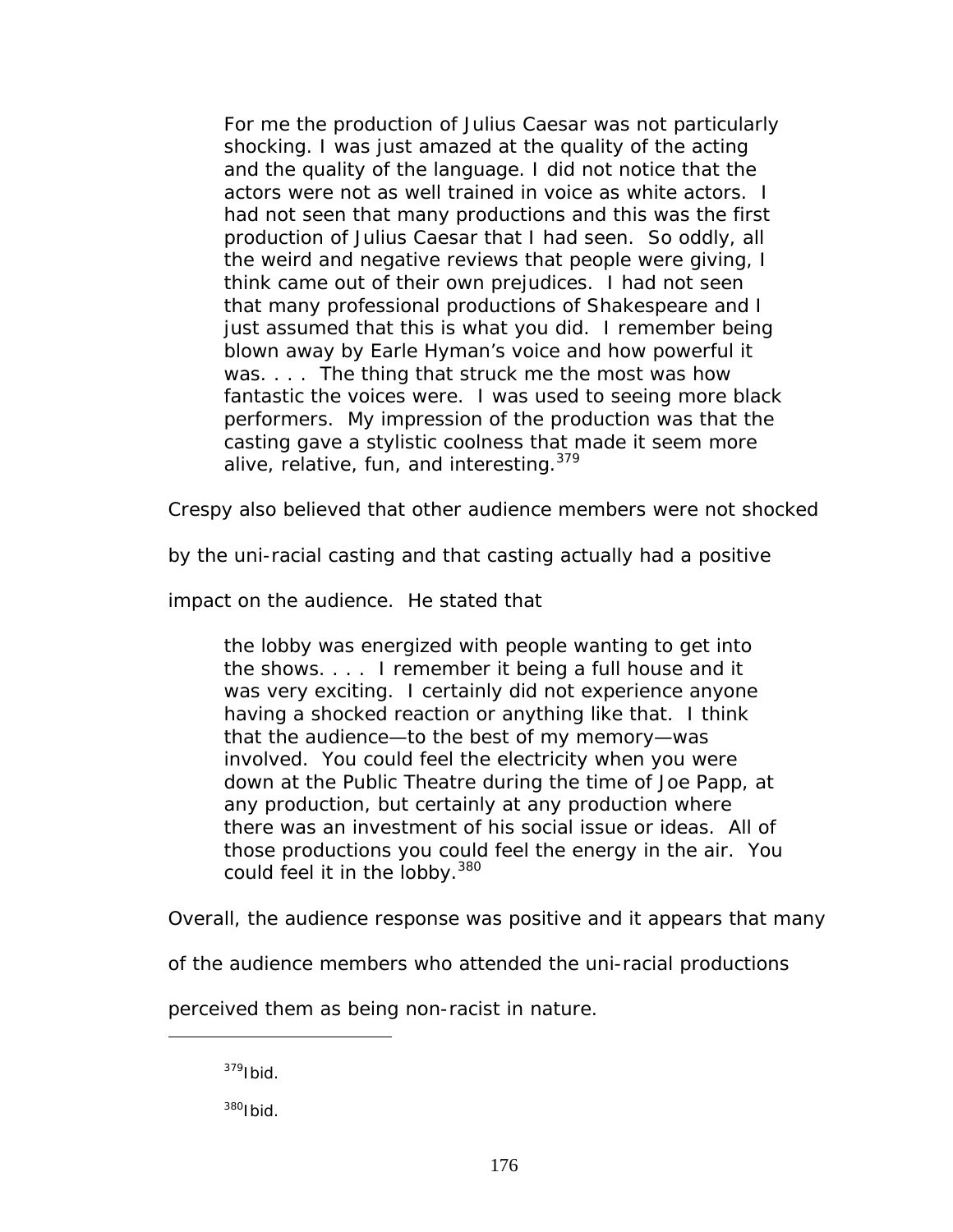For me the production of *Julius Caesar* was not particularly shocking. I was just amazed at the quality of the acting and the quality of the language. I did not notice that the actors were not as well trained in voice as white actors. I had not seen that many productions and this was the first production of *Julius Caesar* that I had seen. So oddly, all the weird and negative reviews that people were giving, I think came out of their own prejudices. I had not seen that many professional productions of Shakespeare and I just assumed that this is what you did. I remember being blown away by Earle Hyman's voice and how powerful it was. . . . The thing that struck me the most was how fantastic the voices were. I was used to seeing more black performers. My impression of the production was that the casting gave a stylistic coolness that made it seem more alive, relative, fun, and interesting.<sup>379</sup>

Crespy also believed that other audience members were not shocked

by the uni-racial casting and that casting actually had a positive

impact on the audience. He stated that

the lobby was energized with people wanting to get into the shows. . . . I remember it being a full house and it was very exciting. I certainly did not experience anyone having a shocked reaction or anything like that. I think that the audience—to the best of my memory—was involved. You could feel the electricity when you were down at the Public Theatre during the time of Joe Papp, at any production, but certainly at any production where there was an investment of his social issue or ideas. All of those productions you could feel the energy in the air. You could feel it in the lobby.<sup>[380](#page-182-1)</sup>

Overall, the audience response was positive and it appears that many

of the audience members who attended the uni-racial productions

perceived them as being non-racist in nature.

<span id="page-182-0"></span> $379$ Ibid.

 $\overline{a}$ 

<span id="page-182-1"></span>380Ibid.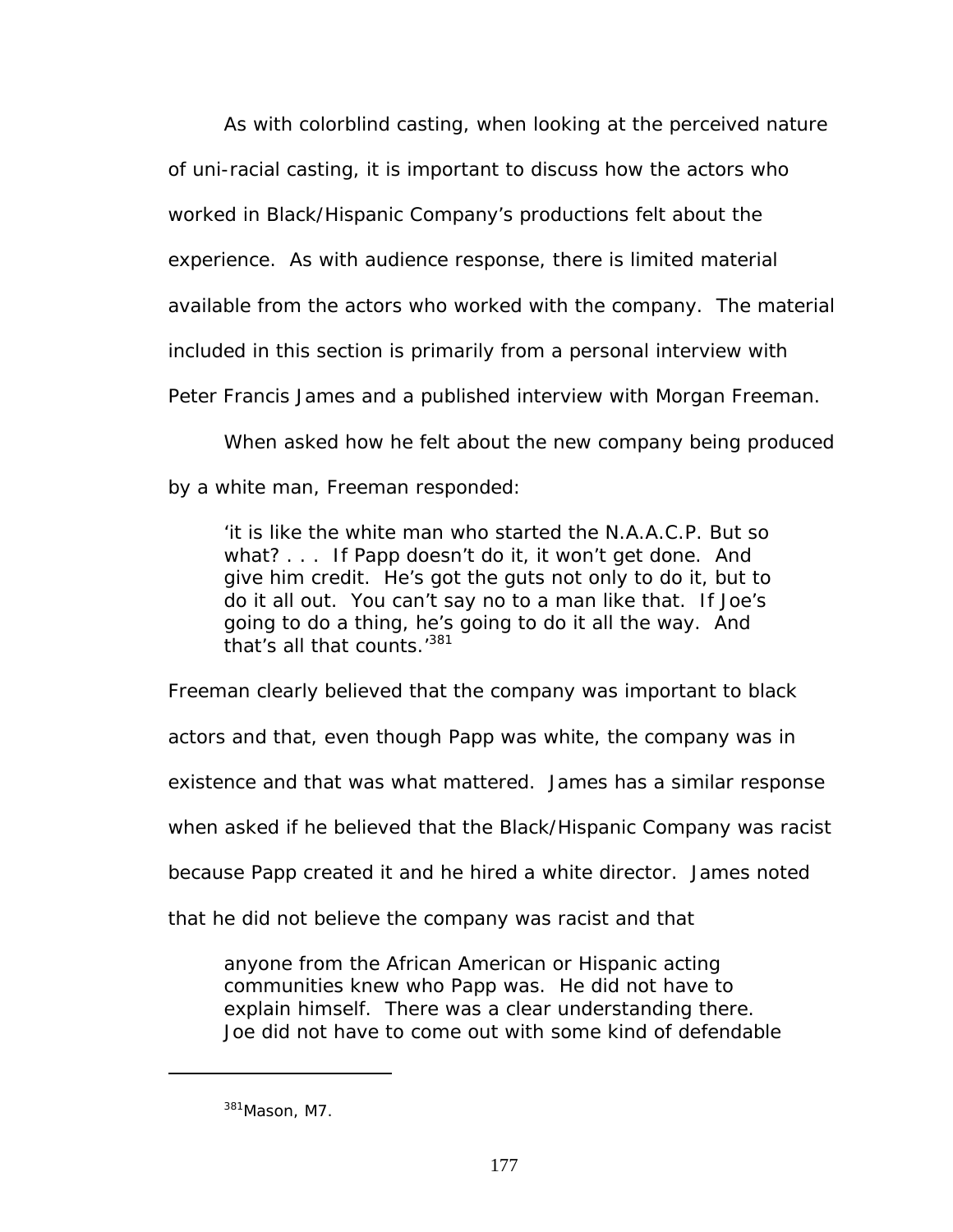As with colorblind casting, when looking at the perceived nature of uni-racial casting, it is important to discuss how the actors who worked in Black/Hispanic Company's productions felt about the experience. As with audience response, there is limited material available from the actors who worked with the company. The material included in this section is primarily from a personal interview with Peter Francis James and a published interview with Morgan Freeman.

When asked how he felt about the new company being produced by a white man, Freeman responded:

'it is like the white man who started the N.A.A.C.P. But so what? . . . If Papp doesn't do it, it won't get done. And give him credit. He's got the guts not only to do it, but to do it all out. You can't say no to a man like that. If Joe's going to do a thing, he's going to do it all the way. And that's all that counts.<sup>381</sup>

Freeman clearly believed that the company was important to black actors and that, even though Papp was white, the company was in existence and that was what mattered. James has a similar response when asked if he believed that the Black/Hispanic Company was racist because Papp created it and he hired a white director. James noted

that he did not believe the company was racist and that

anyone from the African American or Hispanic acting communities knew who Papp was. He did not have to explain himself. There was a clear understanding there. Joe did not have to come out with some kind of defendable

<span id="page-183-0"></span><sup>381</sup>Mason, M7.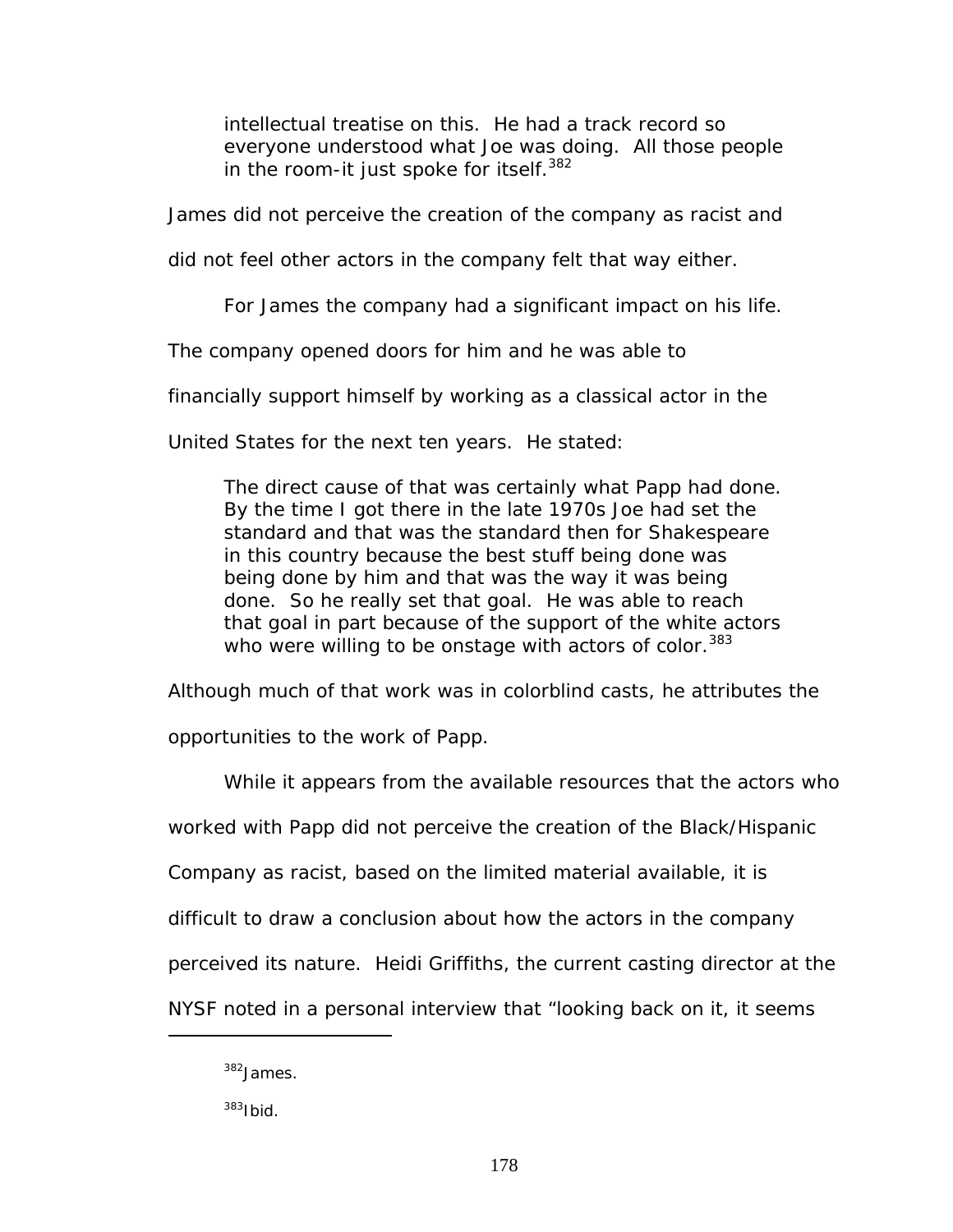intellectual treatise on this. He had a track record so everyone understood what Joe was doing. All those people in the room-it just spoke for itself.<sup>[382](#page-184-0)</sup>

James did not perceive the creation of the company as racist and

did not feel other actors in the company felt that way either.

For James the company had a significant impact on his life.

The company opened doors for him and he was able to

financially support himself by working as a classical actor in the

United States for the next ten years. He stated:

The direct cause of that was certainly what Papp had done. By the time I got there in the late 1970s Joe had set the standard and that was the standard then for Shakespeare in this country because the best stuff being done was being done by him and that was the way it was being done. So he really set that goal. He was able to reach that goal in part because of the support of the white actors who were willing to be onstage with actors of color.<sup>383</sup>

Although much of that work was in colorblind casts, he attributes the

opportunities to the work of Papp.

While it appears from the available resources that the actors who

worked with Papp did not perceive the creation of the Black/Hispanic

Company as racist, based on the limited material available, it is

difficult to draw a conclusion about how the actors in the company

perceived its nature. Heidi Griffiths, the current casting director at the

NYSF noted in a personal interview that "looking back on it, it seems

<span id="page-184-0"></span><sup>382</sup>James.

<span id="page-184-1"></span> $383$ Ibid.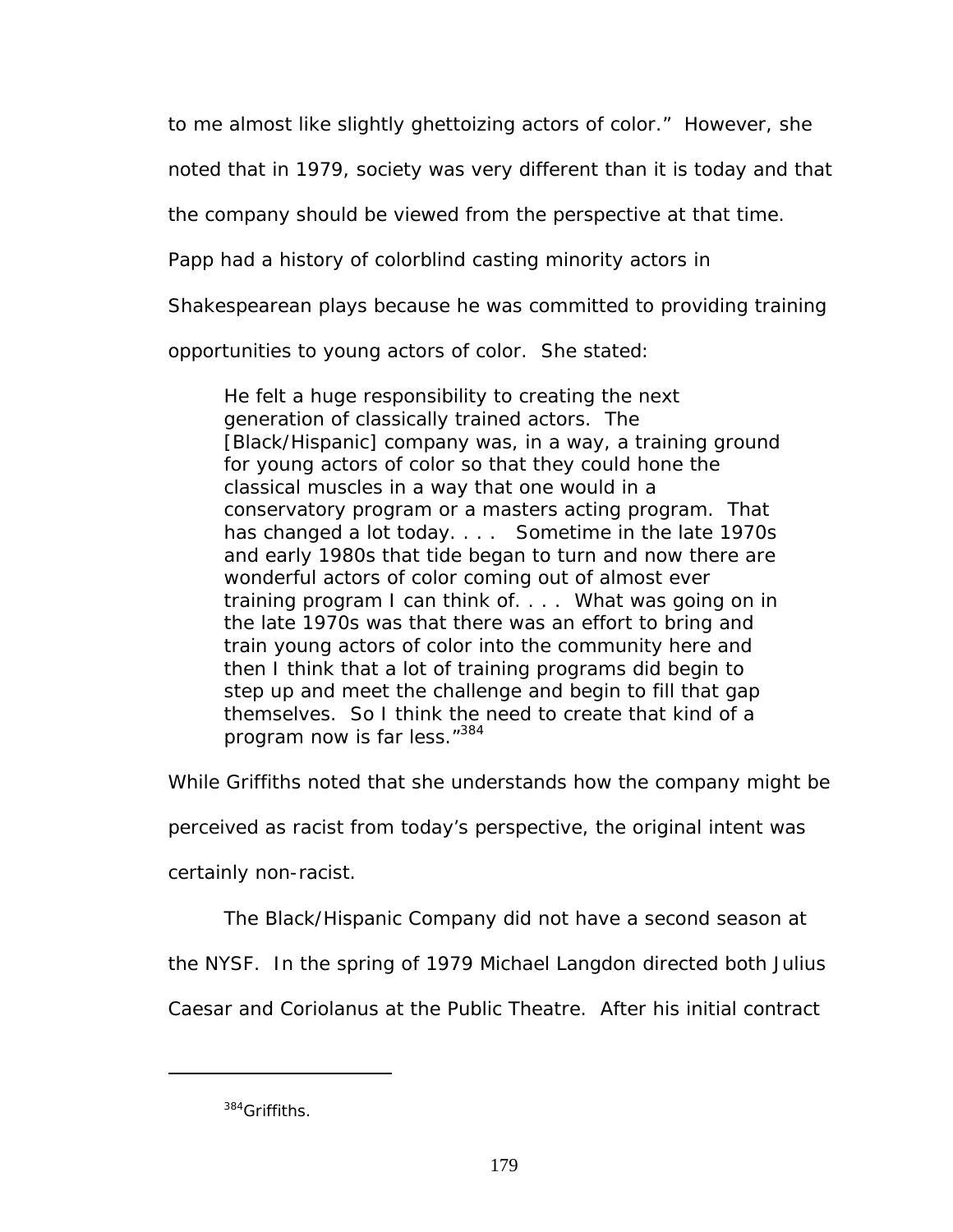to me almost like slightly ghettoizing actors of color." However, she

noted that in 1979, society was very different than it is today and that

the company should be viewed from the perspective at that time.

Papp had a history of colorblind casting minority actors in

Shakespearean plays because he was committed to providing training

opportunities to young actors of color. She stated:

He felt a huge responsibility to creating the next generation of classically trained actors. The [Black/Hispanic] company was, in a way, a training ground for young actors of color so that they could hone the classical muscles in a way that one would in a conservatory program or a masters acting program. That has changed a lot today. . . . Sometime in the late 1970s and early 1980s that tide began to turn and now there are wonderful actors of color coming out of almost ever training program I can think of. . . . What was going on in the late 1970s was that there was an effort to bring and train young actors of color into the community here and then I think that a lot of training programs did begin to step up and meet the challenge and begin to fill that gap themselves. So I think the need to create that kind of a program now is far less."[384](#page-185-0)

While Griffiths noted that she understands how the company might be

perceived as racist from today's perspective, the original intent was

certainly non-racist.

The Black/Hispanic Company did not have a second season at

the NYSF. In the spring of 1979 Michael Langdon directed both *Julius* 

*Caesar* and *Coriolanus* at the Public Theatre. After his initial contract

<span id="page-185-0"></span><sup>384</sup>Griffiths.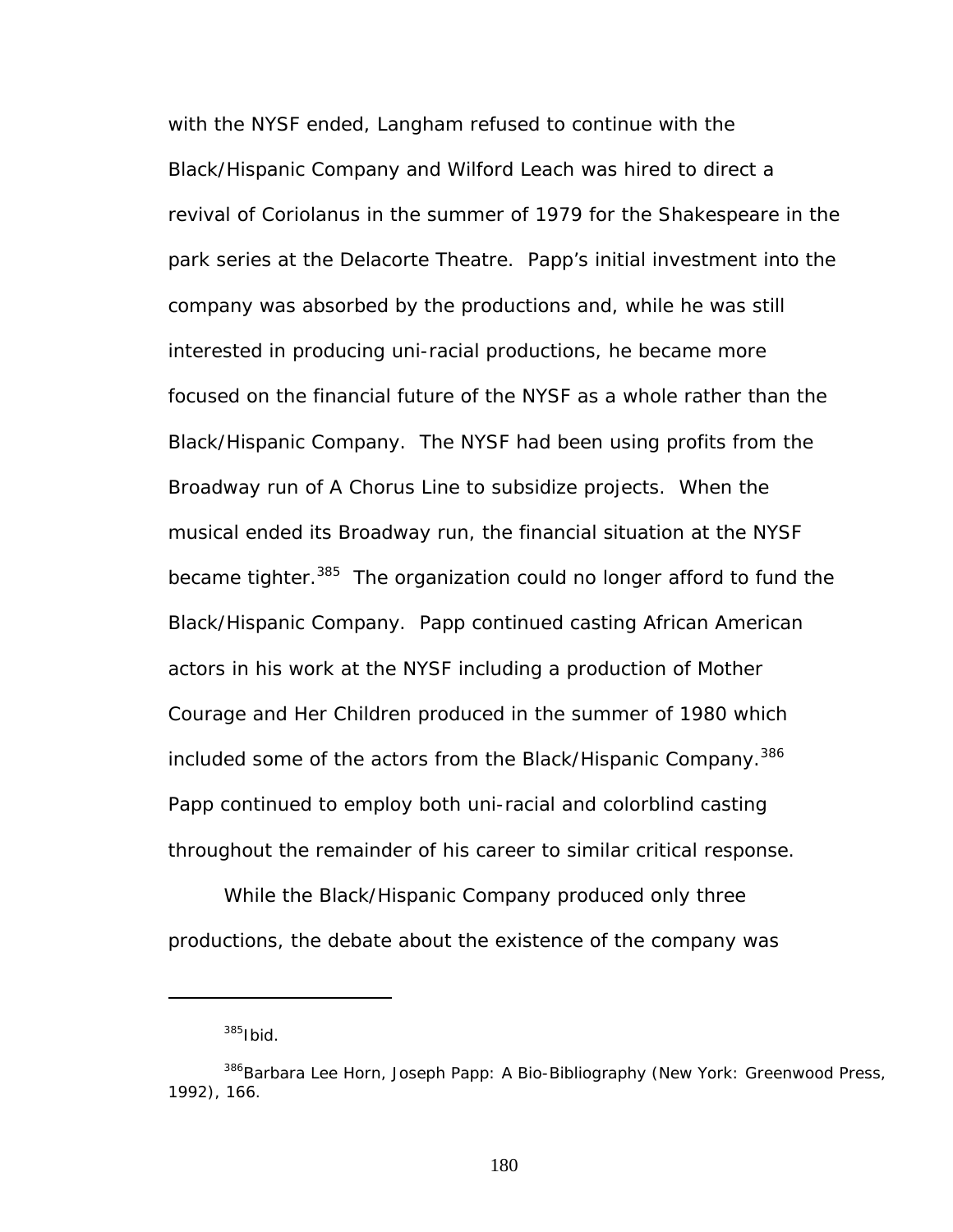with the NYSF ended, Langham refused to continue with the Black/Hispanic Company and Wilford Leach was hired to direct a revival of *Coriolanus* in the summer of 1979 for the Shakespeare in the park series at the Delacorte Theatre. Papp's initial investment into the company was absorbed by the productions and, while he was still interested in producing uni-racial productions, he became more focused on the financial future of the NYSF as a whole rather than the Black/Hispanic Company. The NYSF had been using profits from the Broadway run of *A Chorus Line* to subsidize projects. When the musical ended its Broadway run, the financial situation at the NYSF became tighter.<sup>385</sup> The organization could no longer afford to fund the Black/Hispanic Company. Papp continued casting African American actors in his work at the NYSF including a production *of Mother Courage and Her Children* produced in the summer of 1980 which included some of the actors from the Black/Hispanic Company.<sup>386</sup> Papp continued to employ both uni-racial and colorblind casting throughout the remainder of his career to similar critical response.

While the Black/Hispanic Company produced only three productions, the debate about the existence of the company was

1

<span id="page-186-1"></span><span id="page-186-0"></span> $385$ Ibid

<sup>386</sup>Barbara Lee Horn, *Joseph Papp: A Bio-Bibliography* (New York: Greenwood Press, 1992), 166.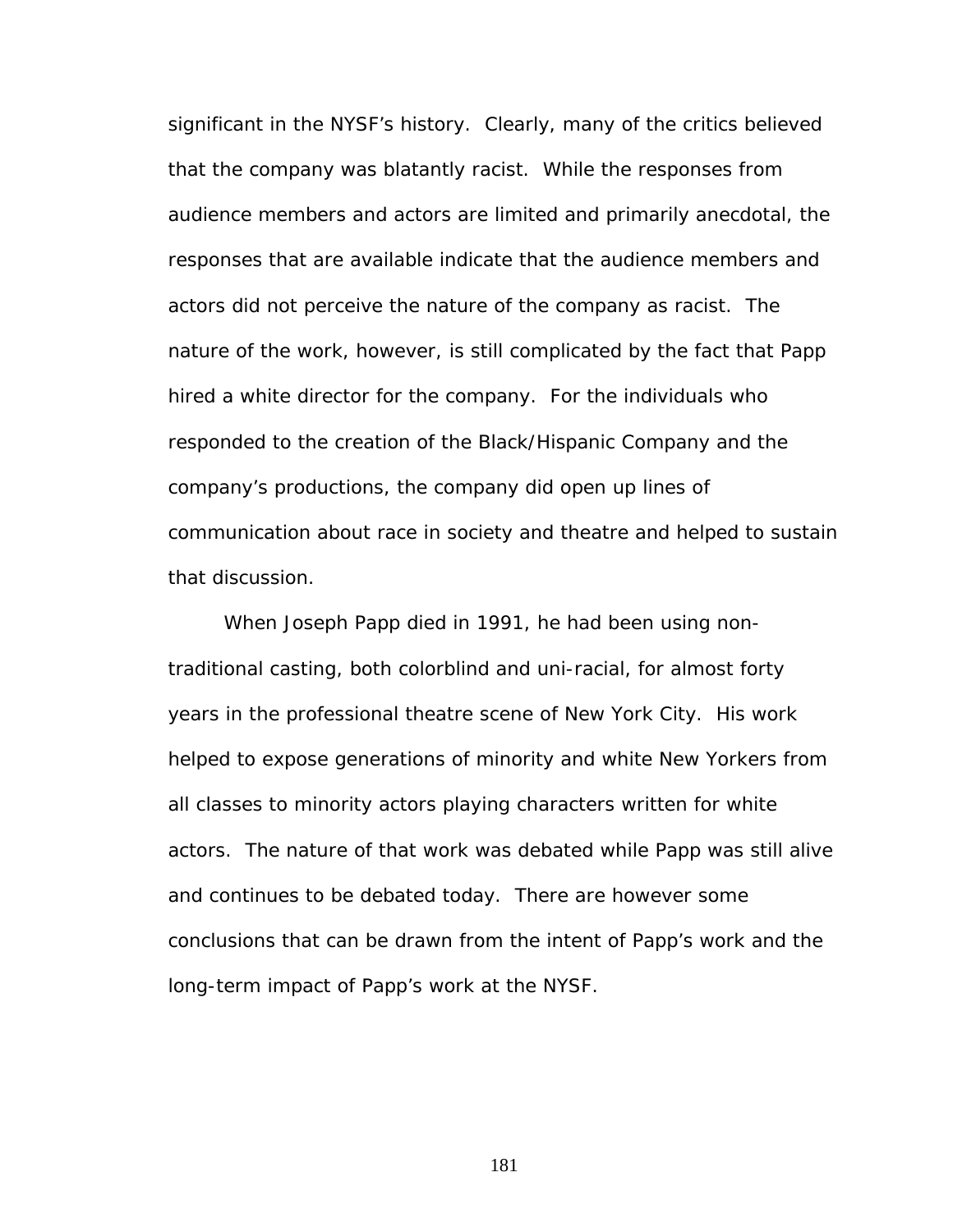significant in the NYSF's history. Clearly, many of the critics believed that the company was blatantly racist. While the responses from audience members and actors are limited and primarily anecdotal, the responses that are available indicate that the audience members and actors did not perceive the nature of the company as racist. The nature of the work, however, is still complicated by the fact that Papp hired a white director for the company. For the individuals who responded to the creation of the Black/Hispanic Company and the company's productions, the company did open up lines of communication about race in society and theatre and helped to sustain that discussion.

When Joseph Papp died in 1991, he had been using nontraditional casting, both colorblind and uni-racial, for almost forty years in the professional theatre scene of New York City. His work helped to expose generations of minority and white New Yorkers from all classes to minority actors playing characters written for white actors. The nature of that work was debated while Papp was still alive and continues to be debated today. There are however some conclusions that can be drawn from the intent of Papp's work and the long-term impact of Papp's work at the NYSF.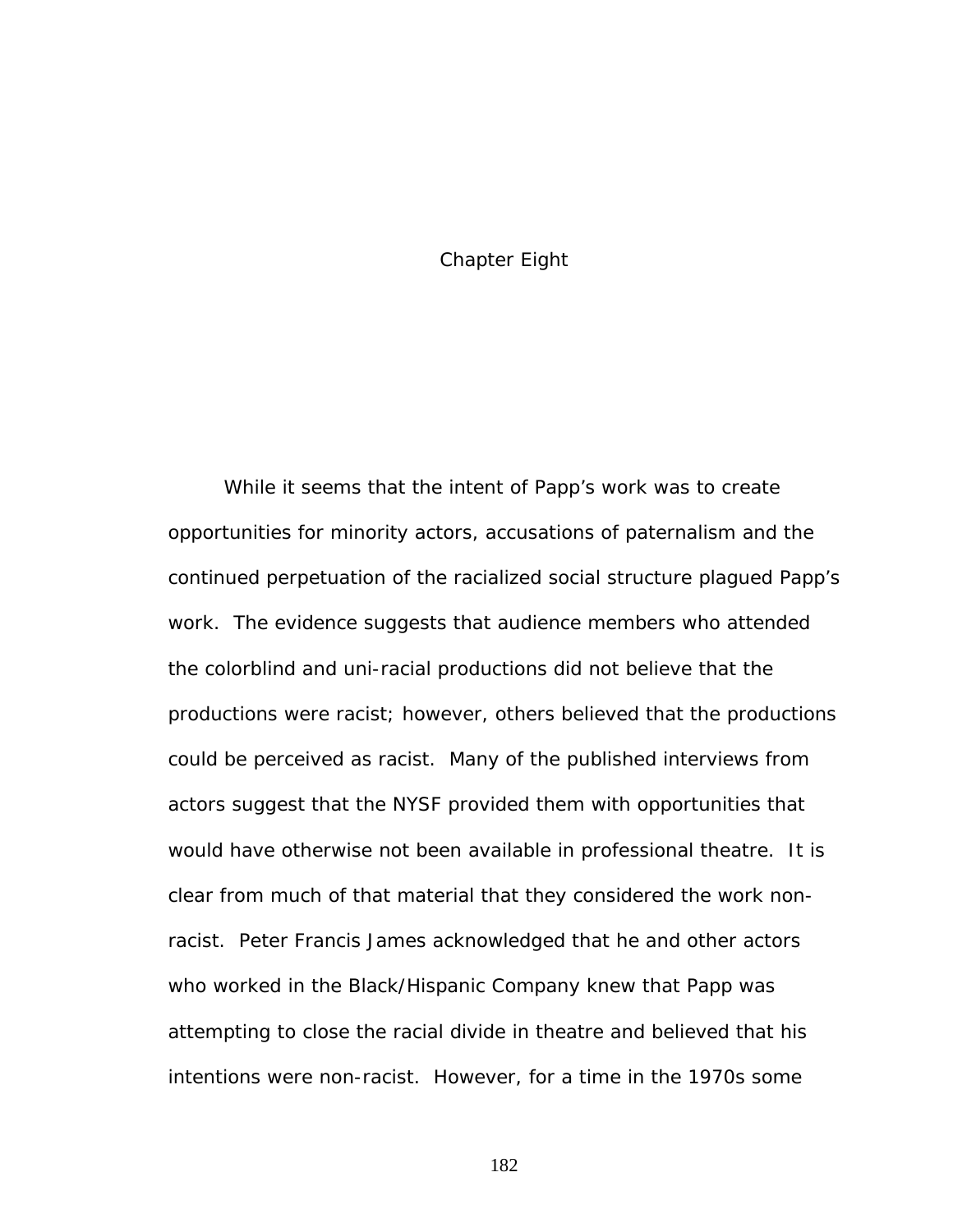#### Chapter Eight

While it seems that the intent of Papp's work was to create opportunities for minority actors, accusations of paternalism and the continued perpetuation of the racialized social structure plagued Papp's work. The evidence suggests that audience members who attended the colorblind and uni-racial productions did not believe that the productions were racist; however, others believed that the productions could be perceived as racist. Many of the published interviews from actors suggest that the NYSF provided them with opportunities that would have otherwise not been available in professional theatre. It is clear from much of that material that they considered the work nonracist. Peter Francis James acknowledged that he and other actors who worked in the Black/Hispanic Company knew that Papp was attempting to close the racial divide in theatre and believed that his intentions were non-racist. However, for a time in the 1970s some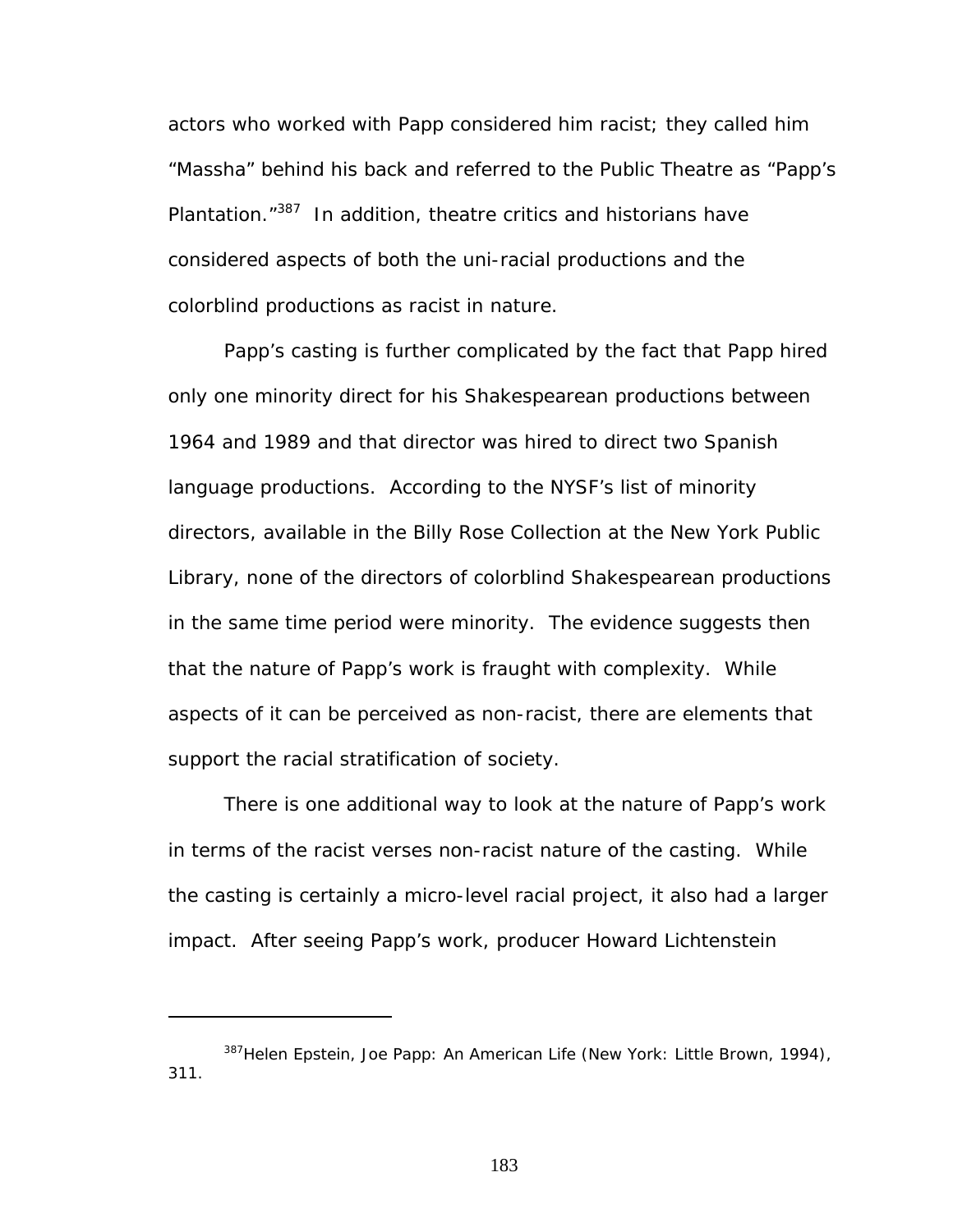actors who worked with Papp considered him racist; they called him "Massha" behind his back and referred to the Public Theatre as "Papp's Plantation."<sup>387</sup> In addition, theatre critics and historians have considered aspects of both the uni-racial productions and the colorblind productions as racist in nature.

Papp's casting is further complicated by the fact that Papp hired only one minority direct for his Shakespearean productions between 1964 and 1989 and that director was hired to direct two Spanish language productions. According to the NYSF's list of minority directors, available in the Billy Rose Collection at the New York Public Library, none of the directors of colorblind Shakespearean productions in the same time period were minority. The evidence suggests then that the nature of Papp's work is fraught with complexity. While aspects of it can be perceived as non-racist, there are elements that support the racial stratification of society.

There is one additional way to look at the nature of Papp's work in terms of the racist verses non-racist nature of the casting. While the casting is certainly a micro-level racial project, it also had a larger impact. After seeing Papp's work, producer Howard Lichtenstein

1

<span id="page-189-0"></span><sup>387</sup>Helen Epstein, *Joe Papp: An American Life* (New York: Little Brown, 1994), 311.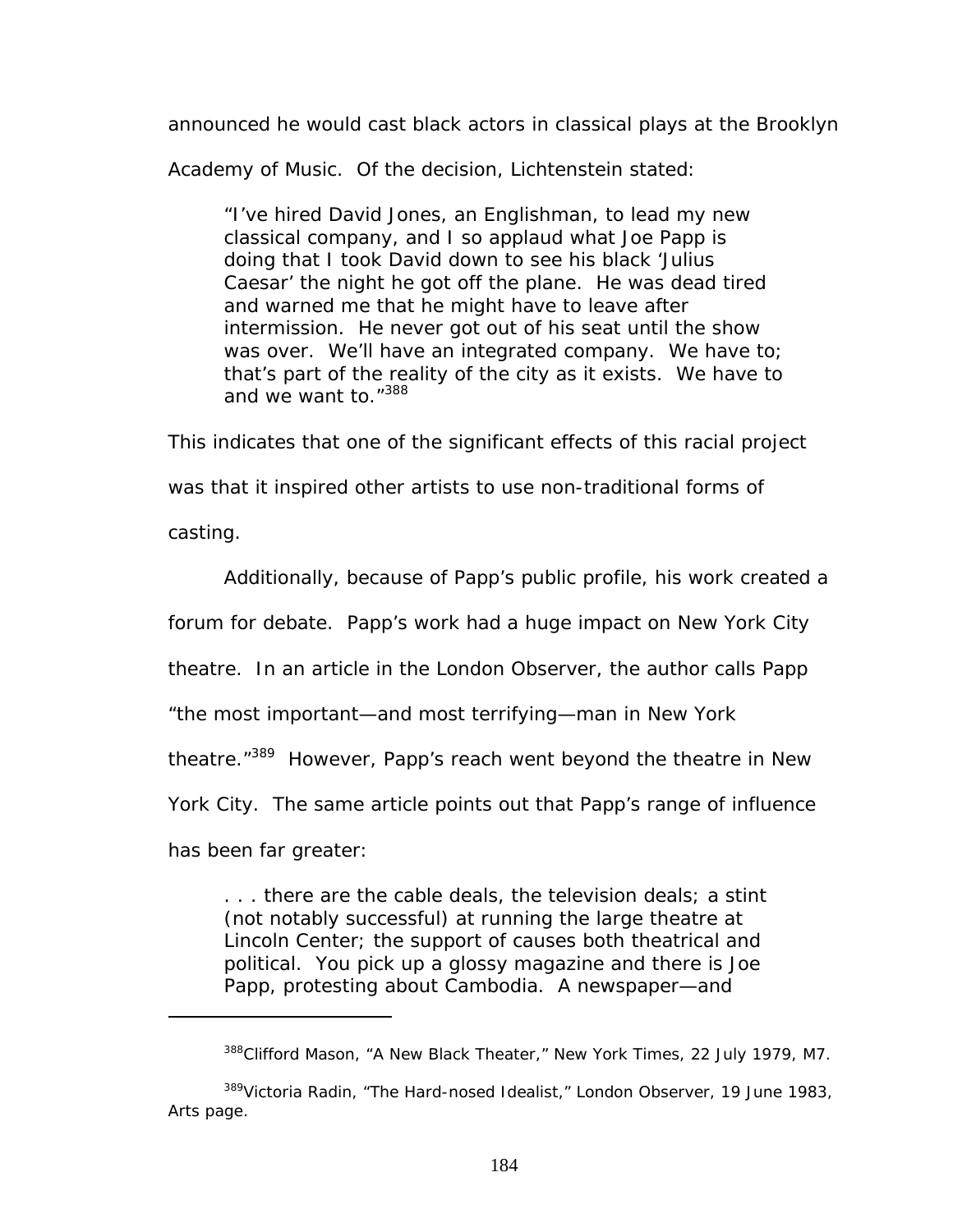announced he would cast black actors in classical plays at the Brooklyn

Academy of Music. Of the decision, Lichtenstein stated:

"I've hired David Jones, an Englishman, to lead my new classical company, and I so applaud what Joe Papp is doing that I took David down to see his black 'Julius Caesar' the night he got off the plane. He was dead tired and warned me that he might have to leave after intermission. He never got out of his seat until the show was over. We'll have an integrated company. We have to; that's part of the reality of the city as it exists. We have to and we want to."<sup>[388](#page-190-0)</sup>

This indicates that one of the significant effects of this racial project was that it inspired other artists to use non-traditional forms of casting.

Additionally, because of Papp's public profile, his work created a

forum for debate. Papp's work had a huge impact on New York City

theatre. In an article in the *London Observer*, the author calls Papp

"the most important—and most terrifying—man in New York

theatre."<sup>389</sup> However, Papp's reach went beyond the theatre in New

York City. The same article points out that Papp's range of influence

has been far greater:

1

. . . there are the cable deals, the television deals; a stint (not notably successful) at running the large theatre at Lincoln Center; the support of causes both theatrical and political. You pick up a glossy magazine and there is Joe Papp, protesting about Cambodia. A newspaper—and

<span id="page-190-1"></span><span id="page-190-0"></span><sup>388</sup>Clifford Mason, "A New Black Theater," *New York Times*, 22 July 1979, M7.

<sup>389</sup>Victoria Radin, "The Hard-nosed Idealist," *London Observer*, 19 June 1983, Arts page.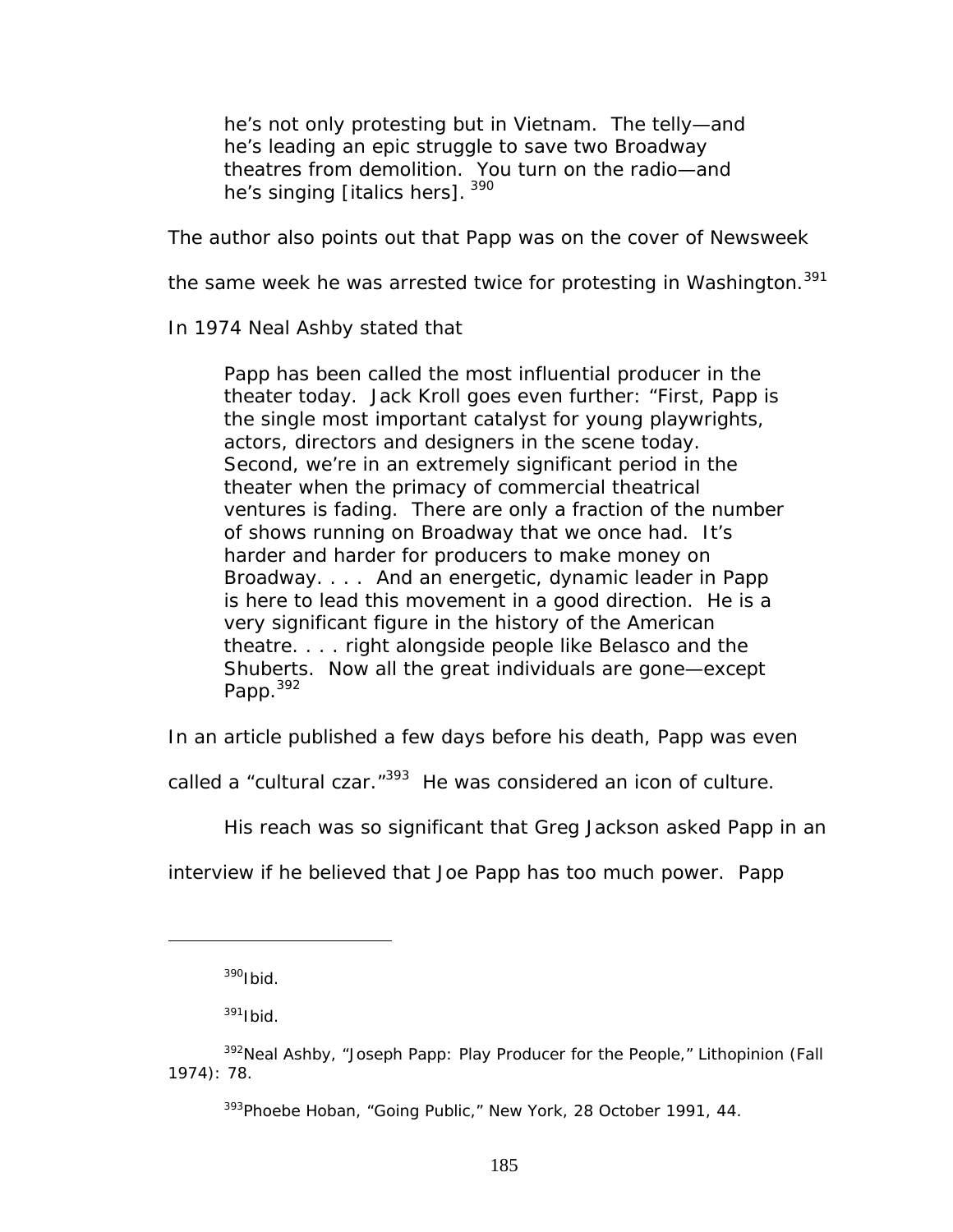he's not only protesting but *in* Vietnam. The telly—and he's leading an epic struggle to save two Broadway theatres from demolition. You turn on the radio—and he's singing [italics hers]. 390

The author also points out that Papp was on the cover of *Newsweek*

the same week he was arrested twice for protesting in Washington.<sup>391</sup>

In 1974 Neal Ashby stated that

Papp has been called the most influential producer in the theater today. Jack Kroll goes even further: "First, Papp is the single most important catalyst for young playwrights, actors, directors and designers in the scene today. Second, we're in an extremely significant period in the theater when the primacy of commercial theatrical ventures is fading. There are only a fraction of the number of shows running on Broadway that we once had. It's harder and harder for producers to make money on Broadway. . . . And an energetic, dynamic leader in Papp is here to lead this movement in a good direction. He is a very significant figure in the history of the American theatre. . . . right alongside people like Belasco and the Shuberts. Now all the great individuals are gone—except Papp.<sup>[392](#page-191-2)</sup>

In an article published a few days before his death, Papp was even

called a "cultural czar."<sup>393</sup> He was considered an icon of culture.

His reach was so significant that Greg Jackson asked Papp in an

interview if he believed that Joe Papp has too much power. Papp

<span id="page-191-0"></span> $390$ Ibid.

<span id="page-191-2"></span><span id="page-191-1"></span> $391$ Ibid.

<sup>392</sup>Neal Ashby, "Joseph Papp: Play Producer for the People," *Lithopinion* (Fall 1974): 78.

<span id="page-191-3"></span><sup>393</sup>Phoebe Hoban, "Going Public," *New York*, 28 October 1991, 44.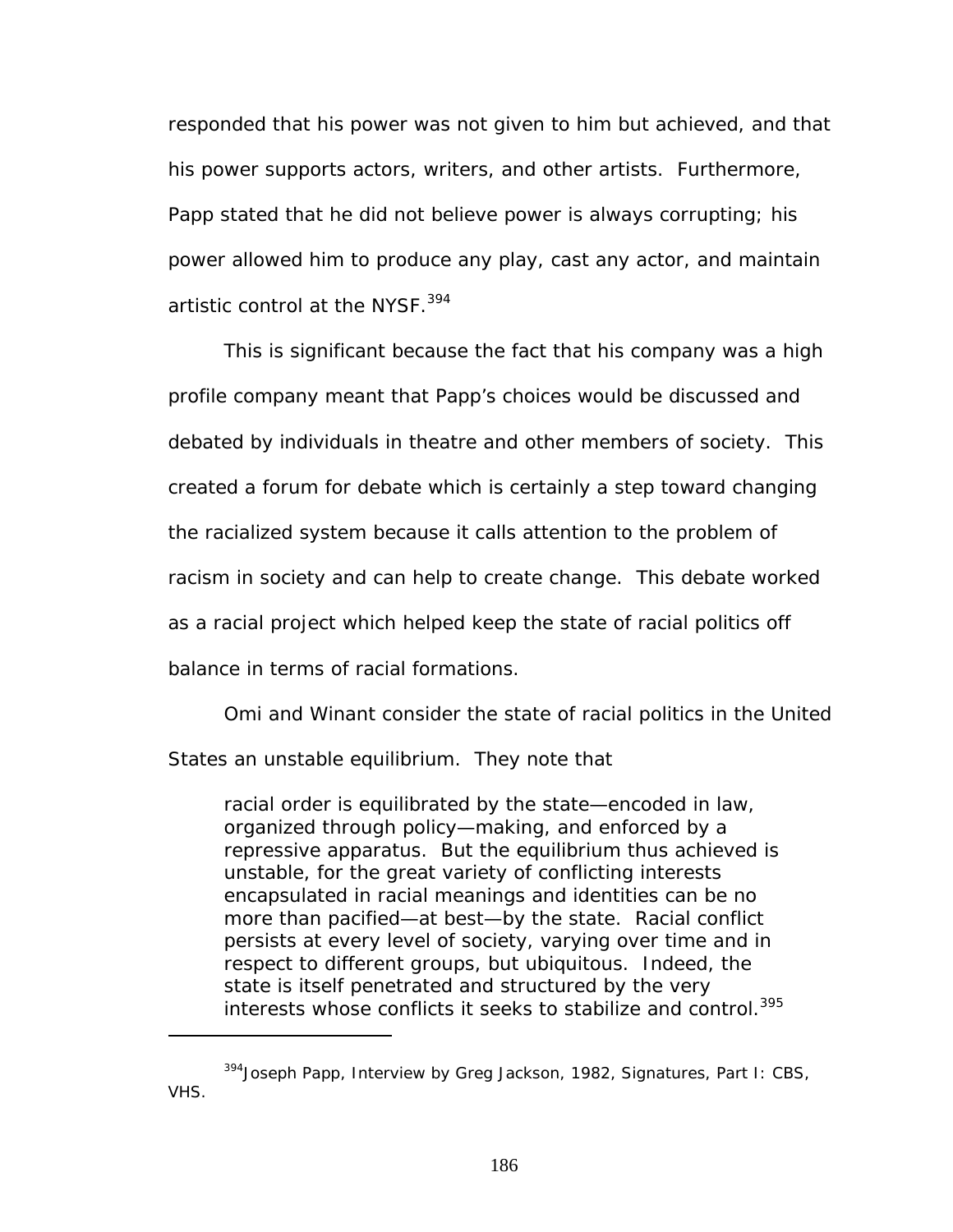responded that his power was not given to him but achieved, and that his power supports actors, writers, and other artists. Furthermore, Papp stated that he did not believe power is always corrupting; his power allowed him to produce any play, cast any actor, and maintain artistic control at the NYSF.<sup>[394](#page-192-0)</sup>

This is significant because the fact that his company was a high profile company meant that Papp's choices would be discussed and debated by individuals in theatre and other members of society. This created a forum for debate which is certainly a step toward changing the racialized system because it calls attention to the problem of racism in society and can help to create change. This debate worked as a racial project which helped keep the state of racial politics off balance in terms of racial formations.

Omi and Winant consider the state of racial politics in the United States an unstable equilibrium. They note that

racial order is equilibrated by the state—encoded in law, organized through policy—making, and enforced by a repressive apparatus. But the equilibrium thus achieved is unstable, for the great variety of conflicting interests encapsulated in racial meanings and identities can be no more than pacified—at best—by the state. Racial conflict persists at every level of society, varying over time and in respect to different groups, but ubiquitous. Indeed, the state is itself penetrated and structured by the very interests whose conflicts it seeks to stabilize and control.[395](#page-192-1) 

<span id="page-192-1"></span><span id="page-192-0"></span><sup>394</sup>Joseph Papp, Interview by Greg Jackson, 1982, *Signatures, Part I*: CBS, VHS.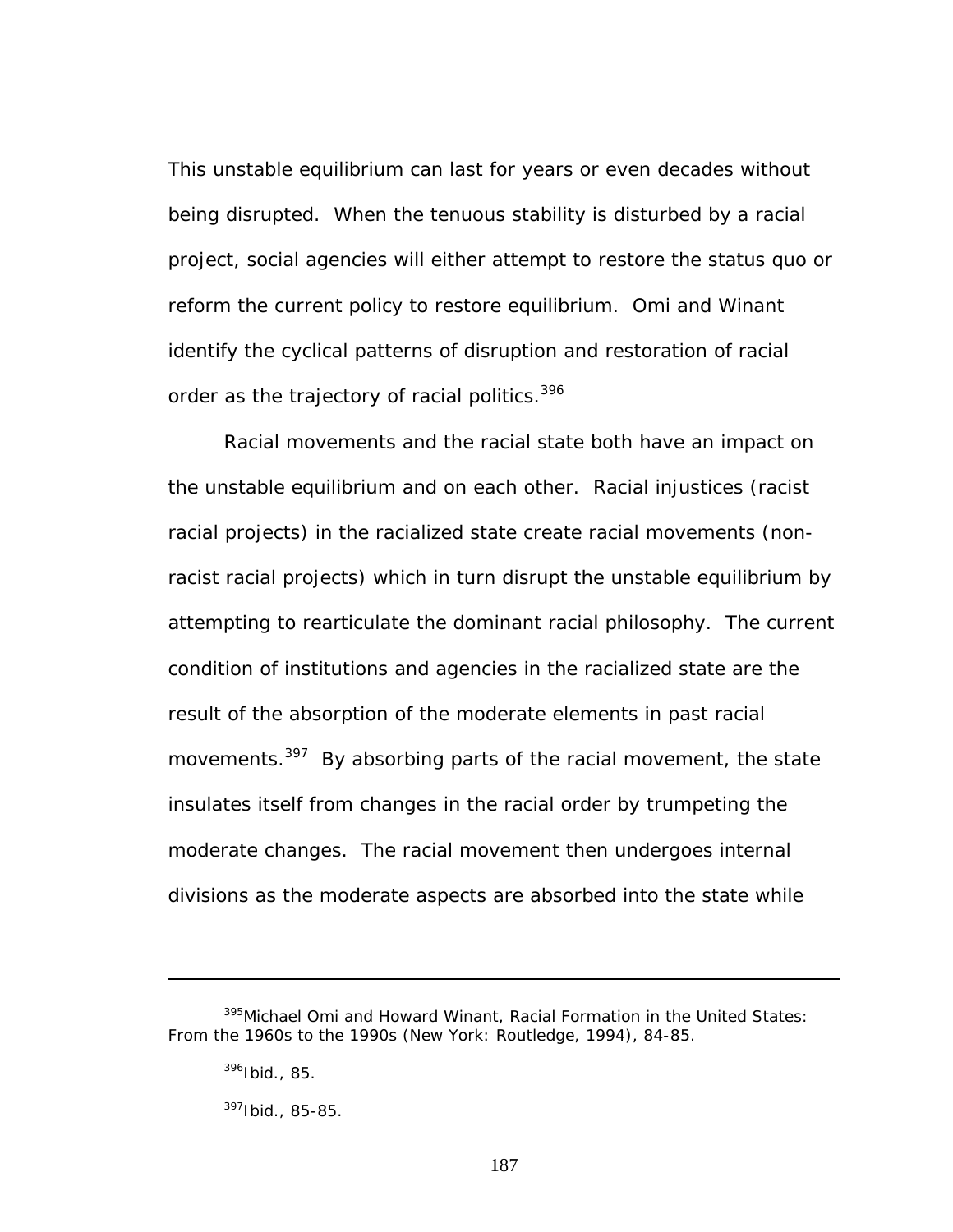This unstable equilibrium can last for years or even decades without being disrupted. When the tenuous stability is disturbed by a racial project, social agencies will either attempt to restore the status quo or reform the current policy to restore equilibrium. Omi and Winant identify the cyclical patterns of disruption and restoration of racial order as the trajectory of racial politics.<sup>396</sup>

Racial movements and the racial state both have an impact on the unstable equilibrium and on each other. Racial injustices (racist racial projects) in the racialized state create racial movements (nonracist racial projects) which in turn disrupt the unstable equilibrium by attempting to rearticulate the dominant racial philosophy. The current condition of institutions and agencies in the racialized state are the result of the absorption of the moderate elements in past racial movements.<sup>397</sup> By absorbing parts of the racial movement, the state insulates itself from changes in the racial order by trumpeting the moderate changes. The racial movement then undergoes internal divisions as the moderate aspects are absorbed into the state while

 $\overline{a}$ 

<span id="page-193-1"></span> $397$ Ibid., 85-85.

<sup>395</sup>Michael Omi and Howard Winant, *Racial Formation in the United States: From the 1960s to the 1990s* (New York: Routledge, 1994), 84-85.

<span id="page-193-0"></span> $396$  Ibid., 85.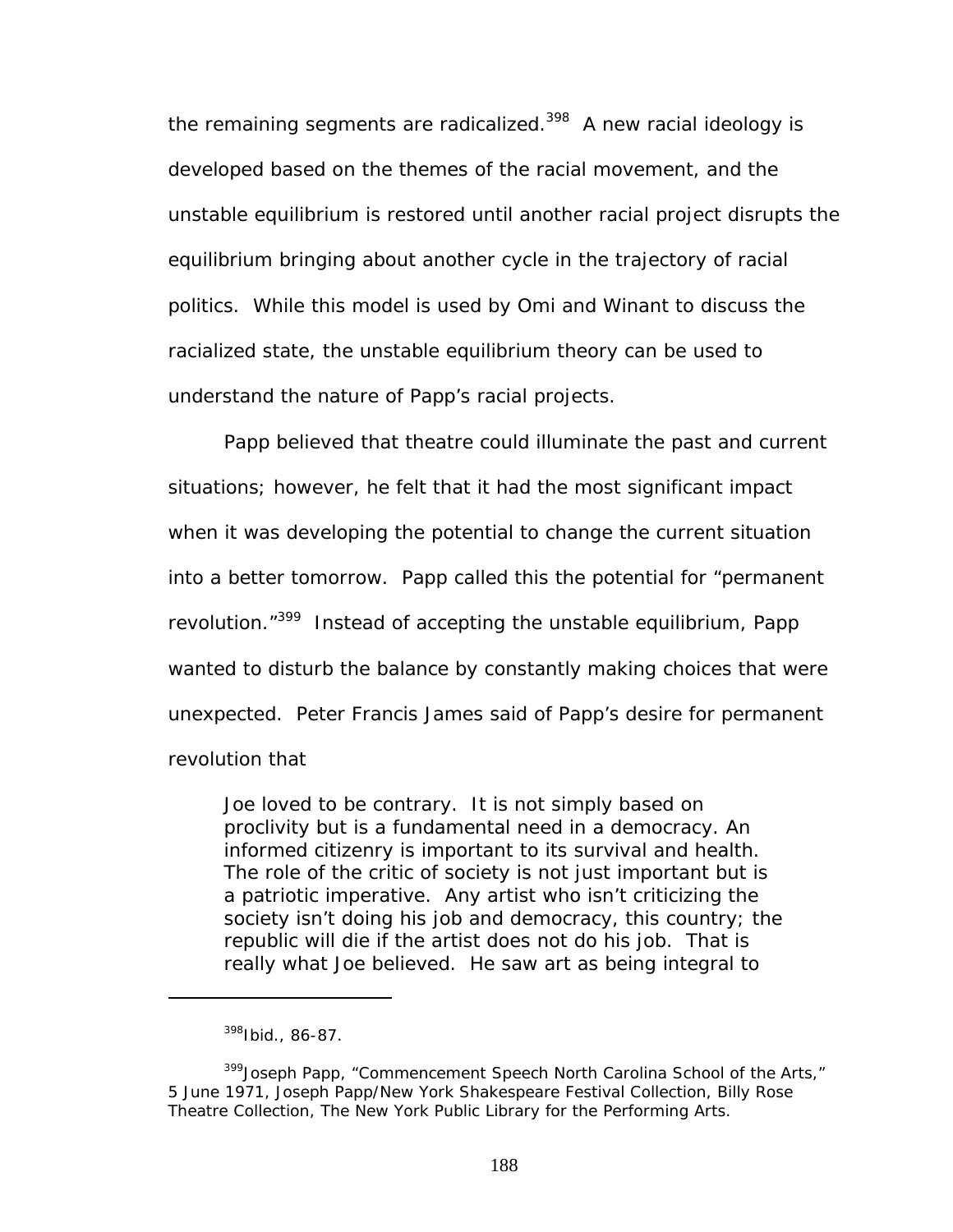the remaining segments are radicalized.<sup>398</sup> A new racial ideology is developed based on the themes of the racial movement, and the unstable equilibrium is restored until another racial project disrupts the equilibrium bringing about another cycle in the trajectory of racial politics. While this model is used by Omi and Winant to discuss the racialized state, the unstable equilibrium theory can be used to understand the nature of Papp's racial projects.

Papp believed that theatre could illuminate the past and current situations; however, he felt that it had the most significant impact when it was developing the potential to change the current situation into a better tomorrow. Papp called this the potential for "permanent revolution."<sup>399</sup> Instead of accepting the unstable equilibrium, Papp wanted to disturb the balance by constantly making choices that were unexpected. Peter Francis James said of Papp's desire for permanent revolution that

Joe loved to be contrary. It is not simply based on proclivity but is a fundamental need in a democracy. An informed citizenry is important to its survival and health. The role of the critic of society is not just important but is a patriotic imperative. Any artist who isn't criticizing the society isn't doing his job and democracy, this country; the republic will die if the artist does not do his job. That is really what Joe believed. He saw art as being integral to

<span id="page-194-1"></span><span id="page-194-0"></span><sup>398</sup>Ibid., 86-87.

<sup>&</sup>lt;sup>399</sup> Joseph Papp, "Commencement Speech North Carolina School of the Arts," 5 June 1971, Joseph Papp/New York Shakespeare Festival Collection, Billy Rose Theatre Collection, The New York Public Library for the Performing Arts.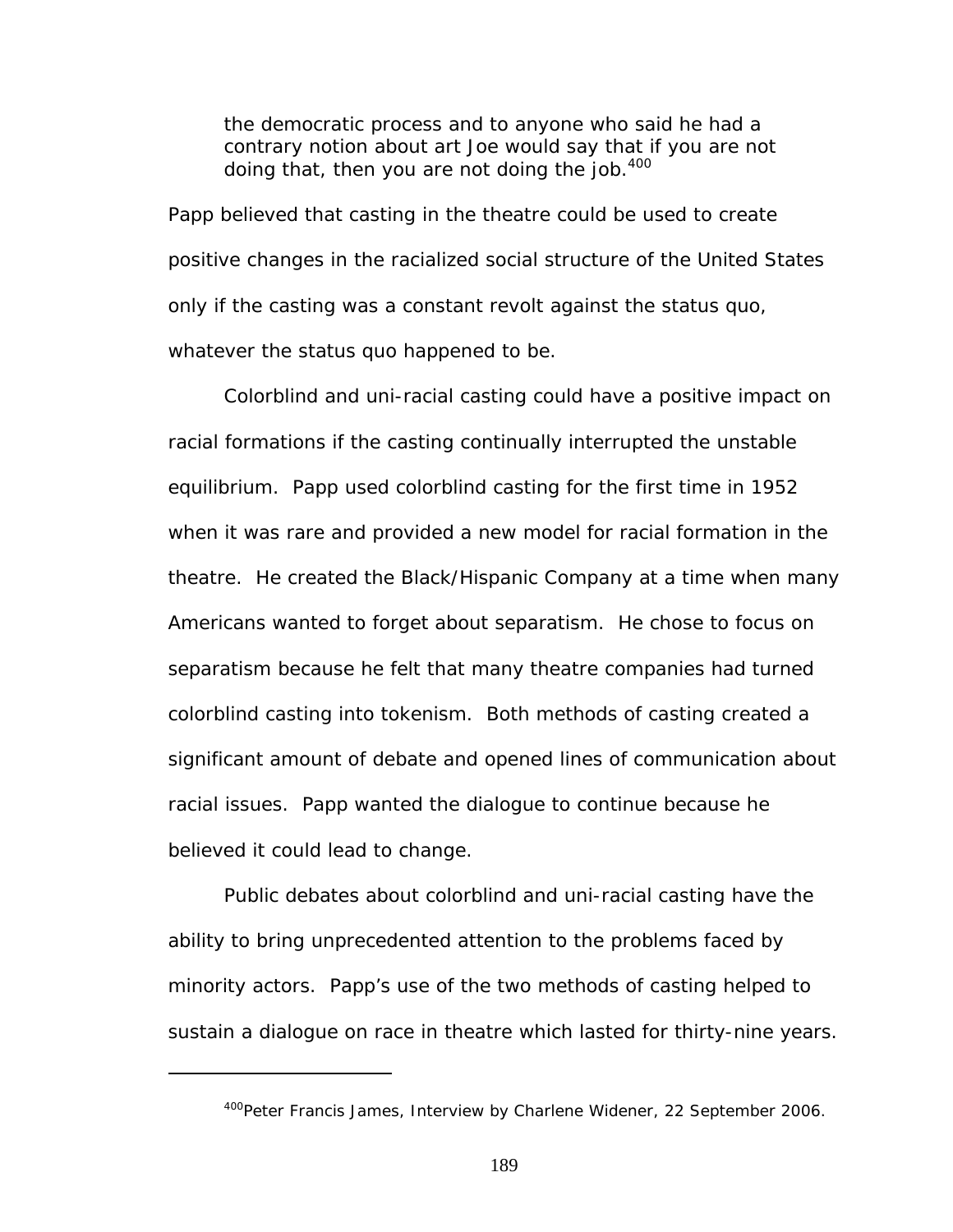the democratic process and to anyone who said he had a contrary notion about art Joe would say that if you are not doing that, then you are not doing the job.<sup>[400](#page-195-0)</sup>

Papp believed that casting in the theatre could be used to create positive changes in the racialized social structure of the United States only if the casting was a constant revolt against the status quo, whatever the status quo happened to be.

Colorblind and uni-racial casting could have a positive impact on racial formations if the casting continually interrupted the unstable equilibrium. Papp used colorblind casting for the first time in 1952 when it was rare and provided a new model for racial formation in the theatre. He created the Black/Hispanic Company at a time when many Americans wanted to forget about separatism. He chose to focus on separatism because he felt that many theatre companies had turned colorblind casting into tokenism. Both methods of casting created a significant amount of debate and opened lines of communication about racial issues. Papp wanted the dialogue to continue because he believed it could lead to change.

Public debates about colorblind and uni-racial casting have the ability to bring unprecedented attention to the problems faced by minority actors. Papp's use of the two methods of casting helped to sustain a dialogue on race in theatre which lasted for thirty-nine years.

<span id="page-195-0"></span><sup>&</sup>lt;sup>400</sup>Peter Francis James, Interview by Charlene Widener, 22 September 2006.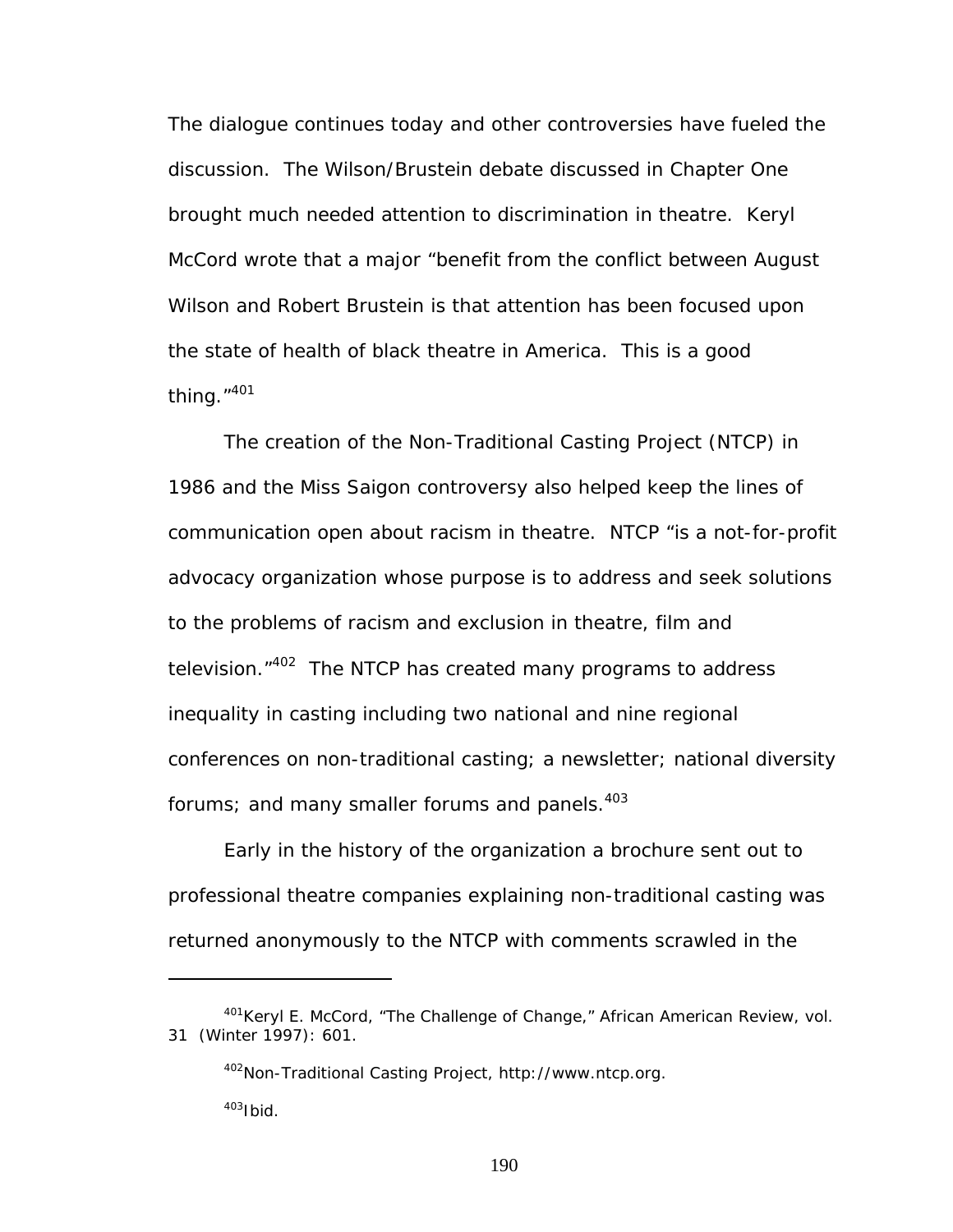The dialogue continues today and other controversies have fueled the discussion. The Wilson/Brustein debate discussed in Chapter One brought much needed attention to discrimination in theatre. Keryl McCord wrote that a major "benefit from the conflict between August Wilson and Robert Brustein is that attention has been focused upon the state of health of black theatre in America. This is a good thing."[401](#page-196-0) 

The creation of the Non-Traditional Casting Project (NTCP) in 1986 and the *Miss Saigon* controversy also helped keep the lines of communication open about racism in theatre. NTCP "is a not-for-profit advocacy organization whose purpose is to address and seek solutions to the problems of racism and exclusion in theatre, film and television."<sup>402</sup> The NTCP has created many programs to address inequality in casting including two national and nine regional conferences on non-traditional casting; a newsletter; national diversity forums; and many smaller forums and panels.<sup>403</sup>

Early in the history of the organization a brochure sent out to professional theatre companies explaining non-traditional casting was returned anonymously to the NTCP with comments scrawled in the

<span id="page-196-0"></span><sup>401</sup>Keryl E. McCord, "The Challenge of Change," *African American Review,* vol. 31 (Winter 1997): 601.

<span id="page-196-2"></span><span id="page-196-1"></span><sup>402</sup>Non-Traditional Casting Project, http://www.ntcp.org.  $403$ Ibid.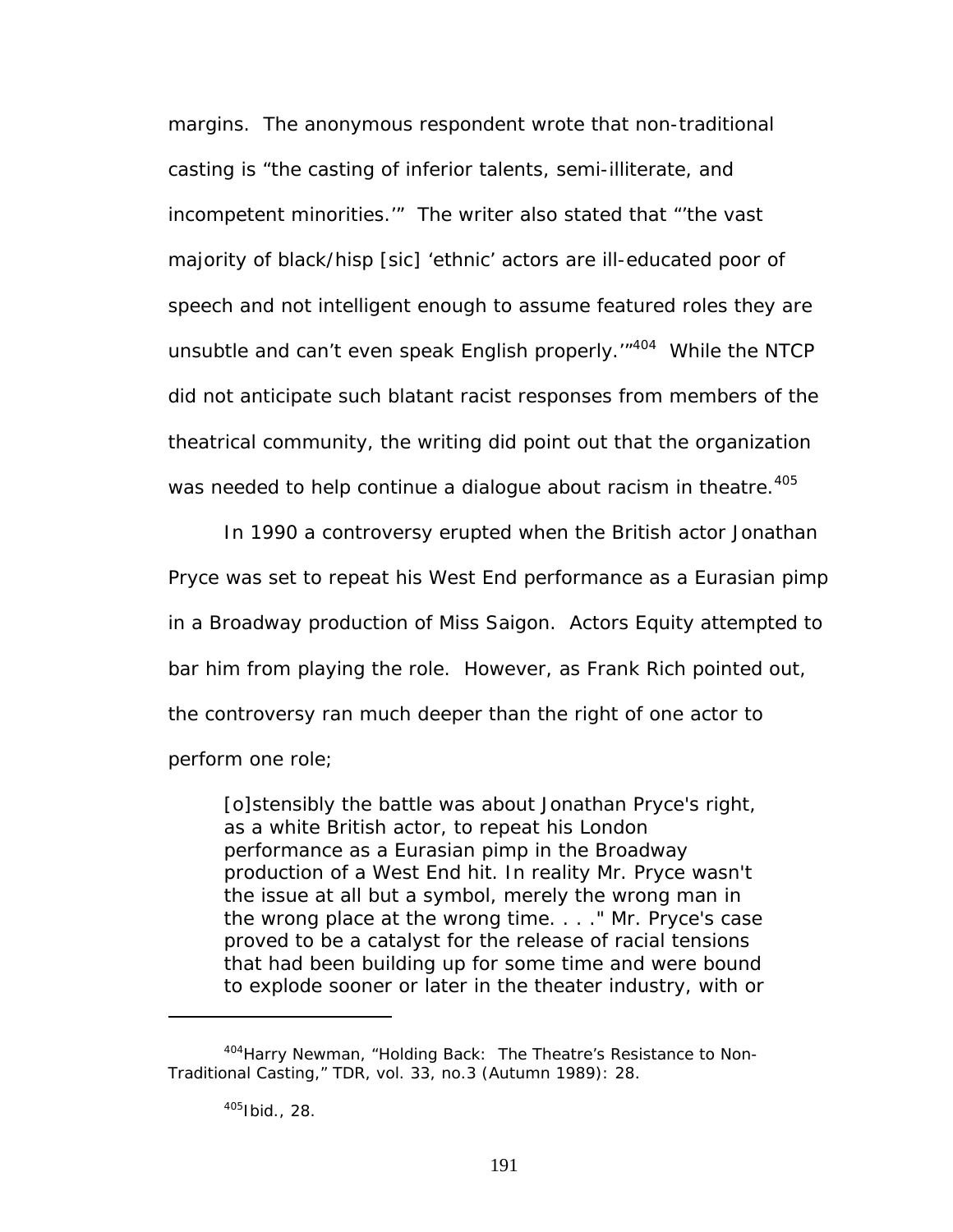margins. The anonymous respondent wrote that non-traditional casting is "the casting of inferior talents, semi-illiterate, and incompetent minorities.'" The writer also stated that "'the vast majority of black/hisp [sic] 'ethnic' actors are ill-educated poor of speech and not intelligent enough to assume featured roles they are unsubtle and can't even speak English properly.'"[404](#page-197-0) While the NTCP did not anticipate such blatant racist responses from members of the theatrical community, the writing did point out that the organization was needed to help continue a dialogue about racism in theatre.<sup>405</sup>

In 1990 a controversy erupted when the British actor Jonathan Pryce was set to repeat his West End performance as a Eurasian pimp in a Broadway production of *Miss Saigon.* Actors Equity attempted to bar him from playing the role. However, as Frank Rich pointed out, the controversy ran much deeper than the right of one actor to perform one role;

[o]stensibly the battle was about Jonathan Pryce's right, as a white British actor, to repeat his London performance as a Eurasian pimp in the Broadway production of a West End hit. In reality Mr. Pryce wasn't the issue at all but a symbol, merely the wrong man in the wrong place at the wrong time. . . ." Mr. Pryce's case proved to be a catalyst for the release of racial tensions that had been building up for some time and were bound to explode sooner or later in the theater industry, with or

<span id="page-197-0"></span><sup>404</sup> Harry Newman, "Holding Back: The Theatre's Resistance to Non-Traditional Casting," *TDR*, vol. 33, no.3 (Autumn 1989): 28.

<span id="page-197-1"></span><sup>405</sup>Ibid., 28.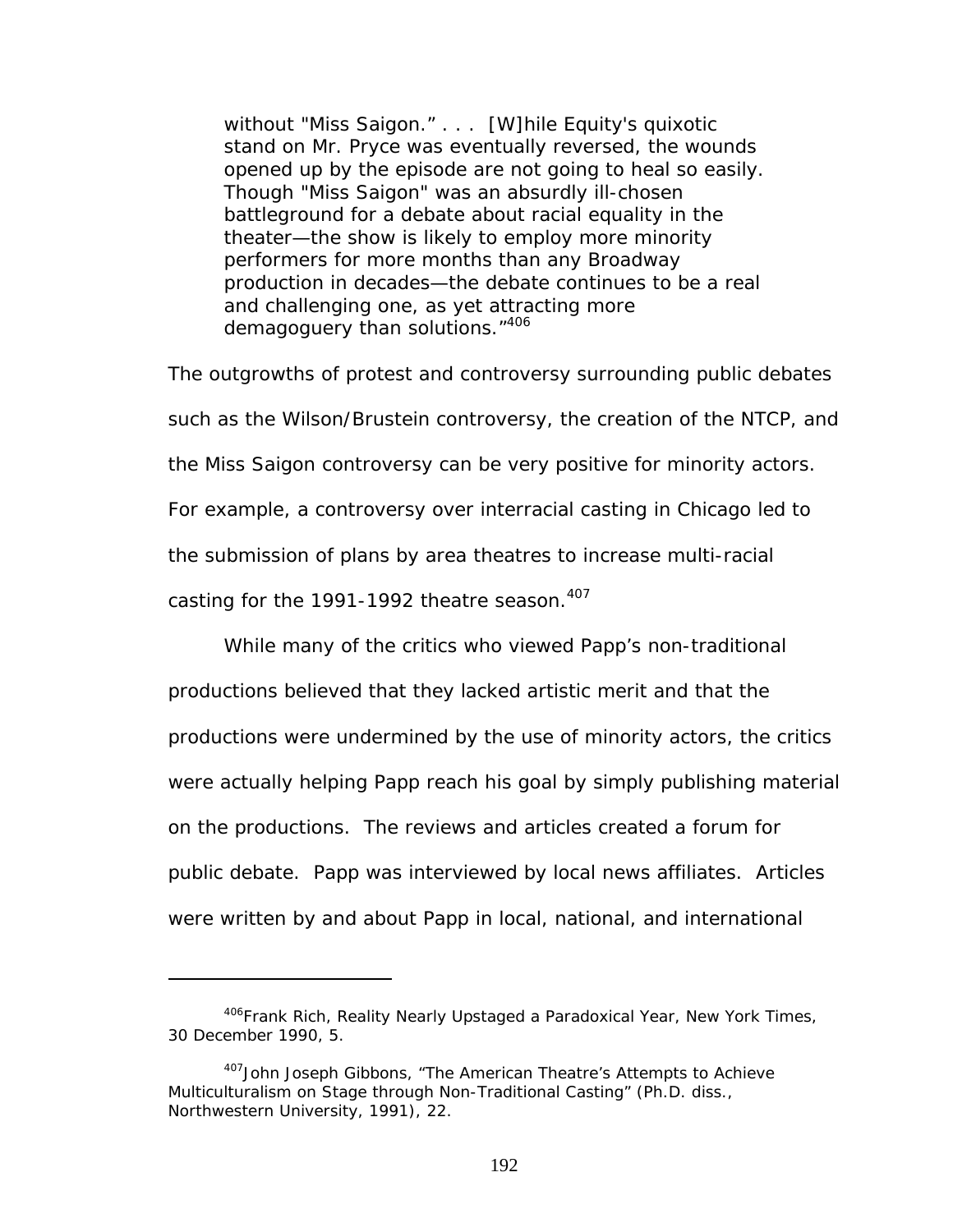without "Miss Saigon." . . . [W]hile Equity's quixotic stand on Mr. Pryce was eventually reversed, the wounds opened up by the episode are not going to heal so easily. Though "Miss Saigon" was an absurdly ill-chosen battleground for a debate about racial equality in the theater—the show is likely to employ more minority performers for more months than any Broadway production in decades—the debate continues to be a real and challenging one, as yet attracting more demagoguery than solutions."<sup>[406](#page-198-0)</sup>

The outgrowths of protest and controversy surrounding public debates such as the Wilson/Brustein controversy, the creation of the NTCP, and the *Miss Saigon* controversy can be very positive for minority actors. For example, a controversy over interracial casting in Chicago led to the submission of plans by area theatres to increase multi-racial casting for the 1991-1992 theatre season.<sup>407</sup>

While many of the critics who viewed Papp's non-traditional productions believed that they lacked artistic merit and that the productions were undermined by the use of minority actors, the critics were actually helping Papp reach his goal by simply publishing material on the productions. The reviews and articles created a forum for public debate. Papp was interviewed by local news affiliates. Articles were written by and about Papp in local, national, and international

<span id="page-198-0"></span><sup>406</sup>Frank Rich, Reality Nearly Upstaged a Paradoxical Year, *New York Times*, 30 December 1990, 5.

<span id="page-198-1"></span><sup>&</sup>lt;sup>407</sup>John Joseph Gibbons, "The American Theatre's Attempts to Achieve Multiculturalism on Stage through Non-Traditional Casting" (Ph.D. diss., Northwestern University, 1991), 22.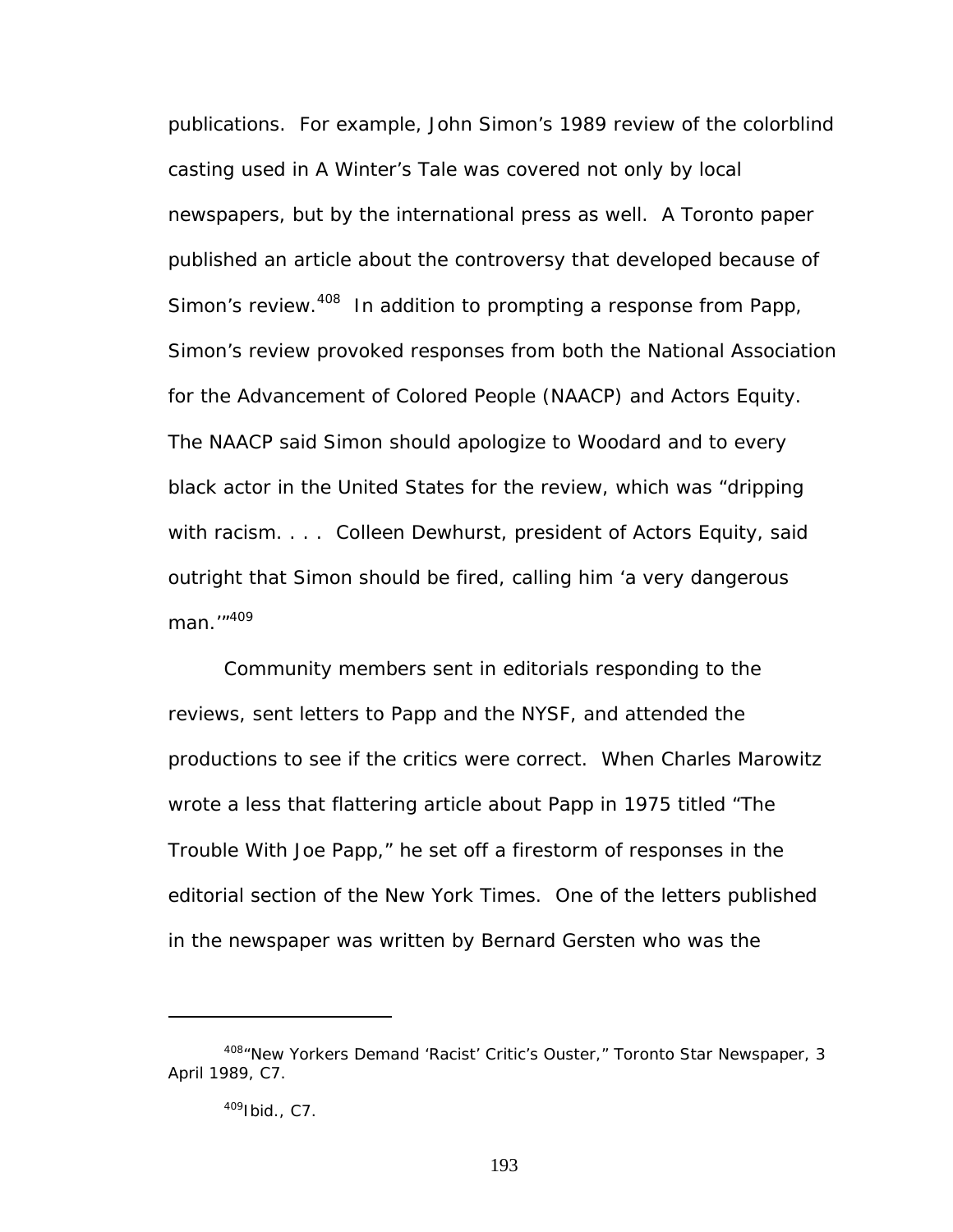publications. For example, John Simon's 1989 review of the colorblind casting used in *A Winter's Tale* was covered not only by local newspapers, but by the international press as well. A Toronto paper published an article about the controversy that developed because of Simon's review.<sup>408</sup> In addition to prompting a response from Papp, Simon's review provoked responses from both the National Association for the Advancement of Colored People (NAACP) and Actors Equity. The NAACP said Simon should apologize to Woodard and to every black actor in the United States for the review, which was "dripping with racism. . . . Colleen Dewhurst, president of Actors Equity, said outright that Simon should be fired, calling him 'a very dangerous man.'" [409](#page-199-1)

Community members sent in editorials responding to the reviews, sent letters to Papp and the NYSF, and attended the productions to see if the critics were correct. When Charles Marowitz wrote a less that flattering article about Papp in 1975 titled "The Trouble With Joe Papp," he set off a firestorm of responses in the editorial section of the *New York Times*. One of the letters published in the newspaper was written by Bernard Gersten who was the

<span id="page-199-0"></span><sup>408&</sup>quot;New Yorkers Demand 'Racist' Critic's Ouster," *Toronto Star Newspaper*, 3 April 1989, C7.

<span id="page-199-1"></span><sup>409</sup>Ibid., C7.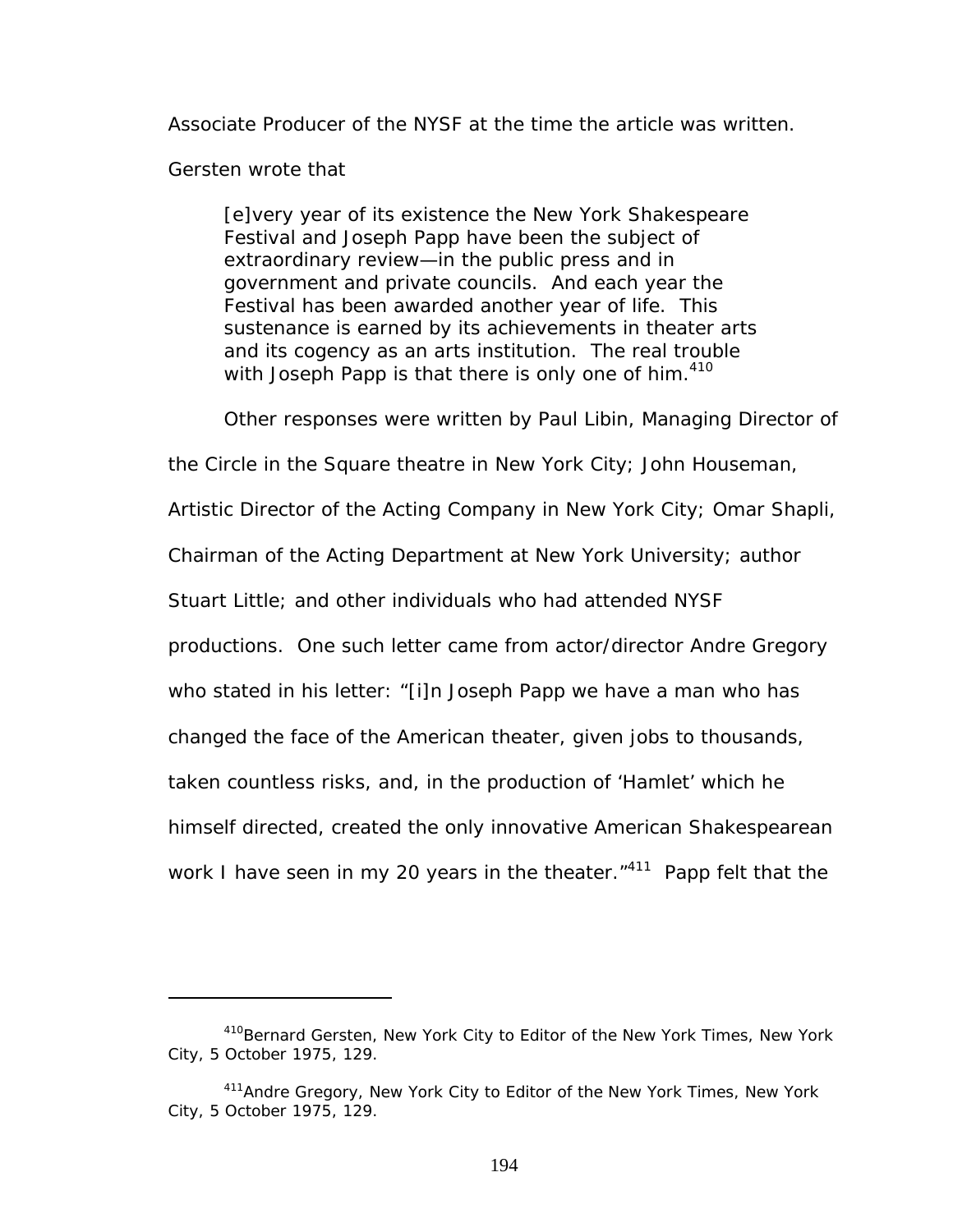Associate Producer of the NYSF at the time the article was written.

Gersten wrote that

 $\overline{a}$ 

[e]very year of its existence the New York Shakespeare Festival and Joseph Papp have been the subject of extraordinary review—in the public press and in government and private councils. And each year the Festival has been awarded another year of life. This sustenance is earned by its achievements in theater arts and its cogency as an arts institution. The real trouble with Joseph Papp is that there is only one of him.  $410$ 

Other responses were written by Paul Libin, Managing Director of

the Circle in the Square theatre in New York City; John Houseman,

Artistic Director of the Acting Company in New York City; Omar Shapli,

Chairman of the Acting Department at New York University; author

Stuart Little; and other individuals who had attended NYSF

productions. One such letter came from actor/director Andre Gregory

who stated in his letter: "[i]n Joseph Papp we have a man who has

changed the face of the American theater, given jobs to thousands,

taken countless risks, and, in the production of 'Hamlet' which he

himself directed, created the only innovative American Shakespearean

work I have seen in my 20 years in the theater.<sup>"411</sup> Papp felt that the

<span id="page-200-0"></span><sup>410</sup>Bernard Gersten, New York City to Editor of the *New York Times*, New York City, 5 October 1975, 129.

<span id="page-200-1"></span><sup>411</sup>Andre Gregory, New York City to Editor of the *New York Times*, New York City, 5 October 1975, 129.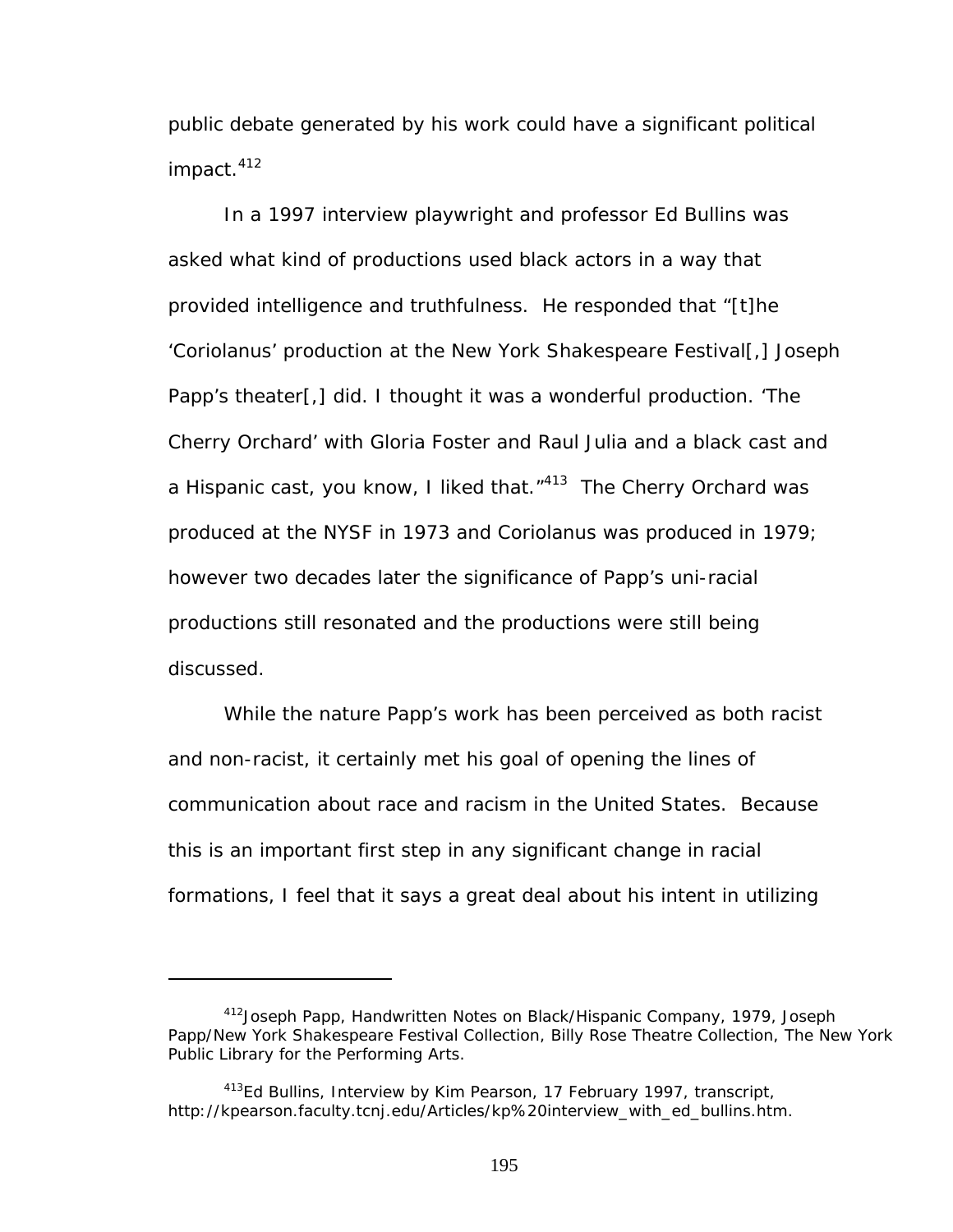public debate generated by his work could have a significant political impact.<sup>412</sup>

In a 1997 interview playwright and professor Ed Bullins was asked what kind of productions used black actors in a way that provided intelligence and truthfulness. He responded that "[t]he 'Coriolanus' production at the New York Shakespeare Festival[,] Joseph Papp's theater[,] did. I thought it was a wonderful production. 'The Cherry Orchard' with Gloria Foster and Raul Julia and a black cast and a Hispanic cast, you know, I liked that."[413](#page-201-1) *The Cherry Orchard* was produced at the NYSF in 1973 and *Coriolanus* was produced in 1979; however two decades later the significance of Papp's uni-racial productions still resonated and the productions were still being discussed.

While the nature Papp's work has been perceived as both racist and non-racist, it certainly met his goal of opening the lines of communication about race and racism in the United States. Because this is an important first step in any significant change in racial formations, I feel that it says a great deal about his intent in utilizing

<u>.</u>

<span id="page-201-0"></span><sup>412</sup>Joseph Papp, Handwritten Notes on Black/Hispanic Company, 1979, Joseph Papp/New York Shakespeare Festival Collection, Billy Rose Theatre Collection, The New York Public Library for the Performing Arts.

<span id="page-201-1"></span><sup>&</sup>lt;sup>413</sup>Ed Bullins, Interview by Kim Pearson, 17 February 1997, transcript, http://kpearson.faculty.tcnj.edu/Articles/kp%20interview\_with\_ed\_bullins.htm.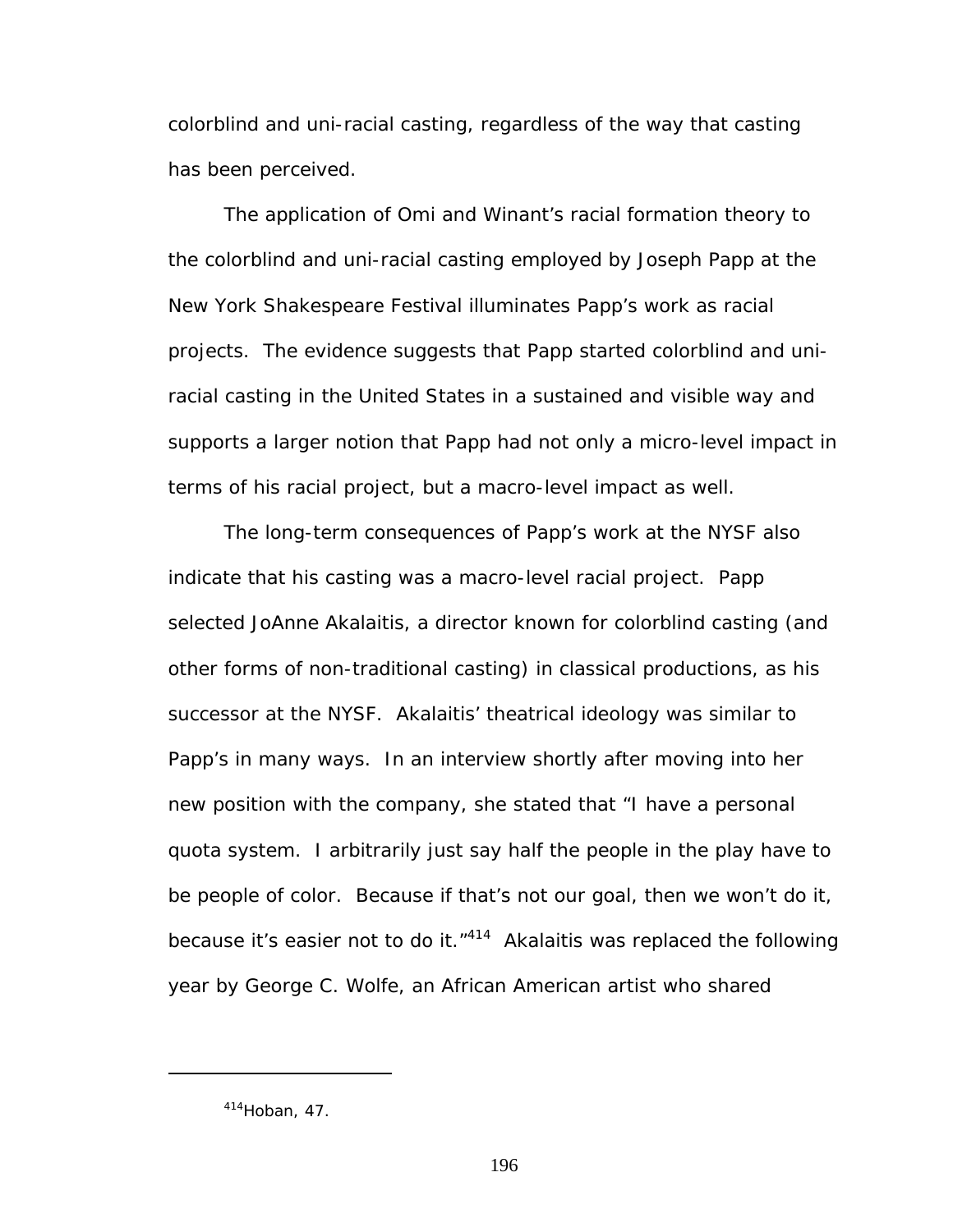colorblind and uni-racial casting, regardless of the way that casting has been perceived.

The application of Omi and Winant's racial formation theory to the colorblind and uni-racial casting employed by Joseph Papp at the New York Shakespeare Festival illuminates Papp's work as racial projects. The evidence suggests that Papp started colorblind and uniracial casting in the United States in a sustained and visible way and supports a larger notion that Papp had not only a micro-level impact in terms of his racial project, but a macro-level impact as well.

The long-term consequences of Papp's work at the NYSF also indicate that his casting was a macro-level racial project. Papp selected JoAnne Akalaitis, a director known for colorblind casting (and other forms of non-traditional casting) in classical productions, as his successor at the NYSF. Akalaitis' theatrical ideology was similar to Papp's in many ways. In an interview shortly after moving into her new position with the company, she stated that "I have a personal quota system. I arbitrarily just say half the people in the play have to be people of color. Because if that's not our goal, then we won't do it, because it's easier not to do it. $1414$  Akalaitis was replaced the following year by George C. Wolfe, an African American artist who shared

<u>.</u>

<span id="page-202-0"></span> $414$ Hoban, 47.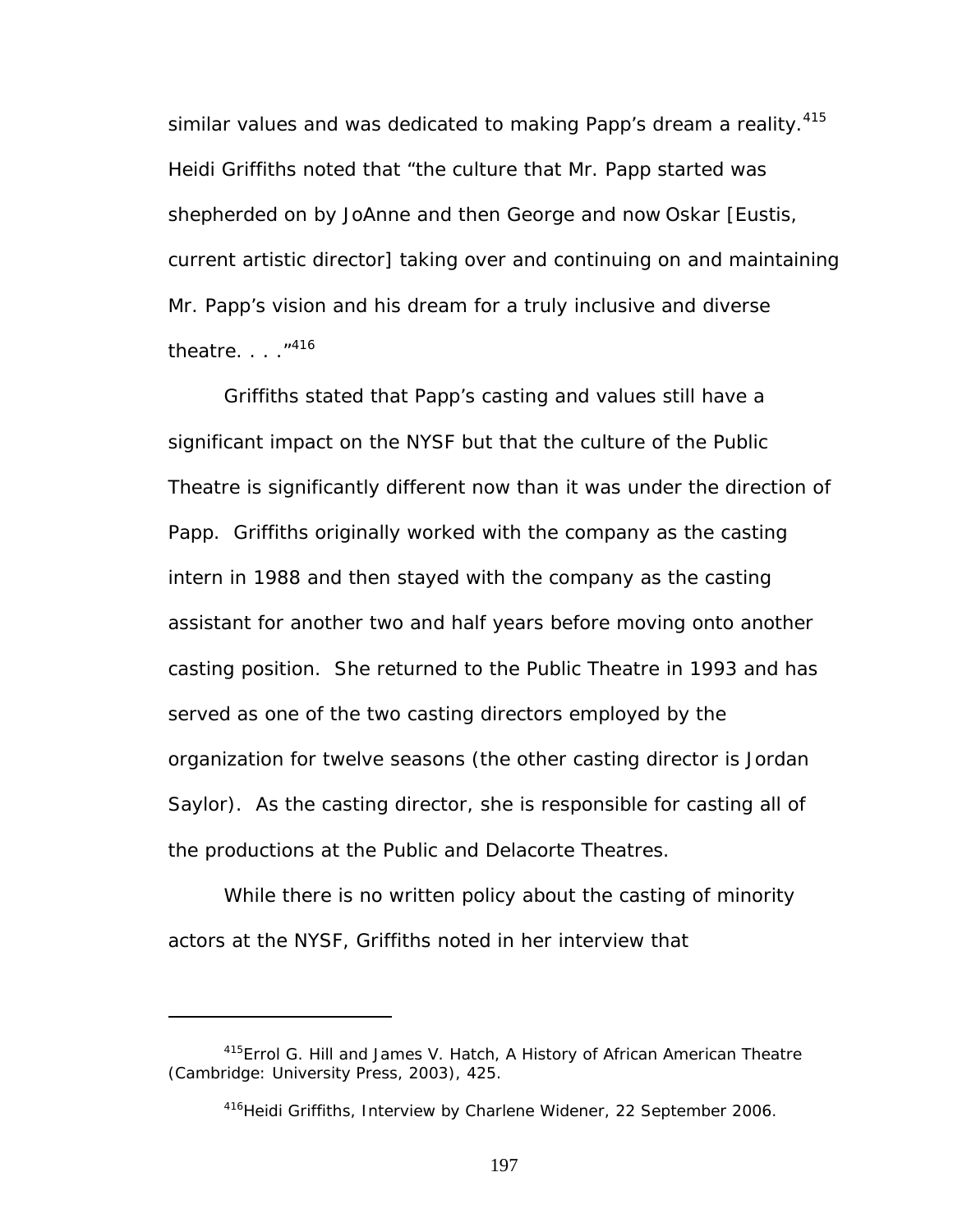similar values and was dedicated to making Papp's dream a reality.<sup>415</sup> Heidi Griffiths noted that "the culture that Mr. Papp started was shepherded on by JoAnne and then George and now Oskar [Eustis, current artistic director] taking over and continuing on and maintaining Mr. Papp's vision and his dream for a truly inclusive and diverse theatre.  $\ldots$   $1416$ 

Griffiths stated that Papp's casting and values still have a significant impact on the NYSF but that the culture of the Public Theatre is significantly different now than it was under the direction of Papp. Griffiths originally worked with the company as the casting intern in 1988 and then stayed with the company as the casting assistant for another two and half years before moving onto another casting position. She returned to the Public Theatre in 1993 and has served as one of the two casting directors employed by the organization for twelve seasons (the other casting director is Jordan Saylor). As the casting director, she is responsible for casting all of the productions at the Public and Delacorte Theatres.

While there is no written policy about the casting of minority actors at the NYSF, Griffiths noted in her interview that

 $\overline{a}$ 

<span id="page-203-0"></span><sup>415</sup>Errol G. Hill and James V. Hatch, *A History of African American Theatre* (Cambridge: University Press, 2003), 425.

<span id="page-203-1"></span><sup>&</sup>lt;sup>416</sup>Heidi Griffiths, Interview by Charlene Widener, 22 September 2006.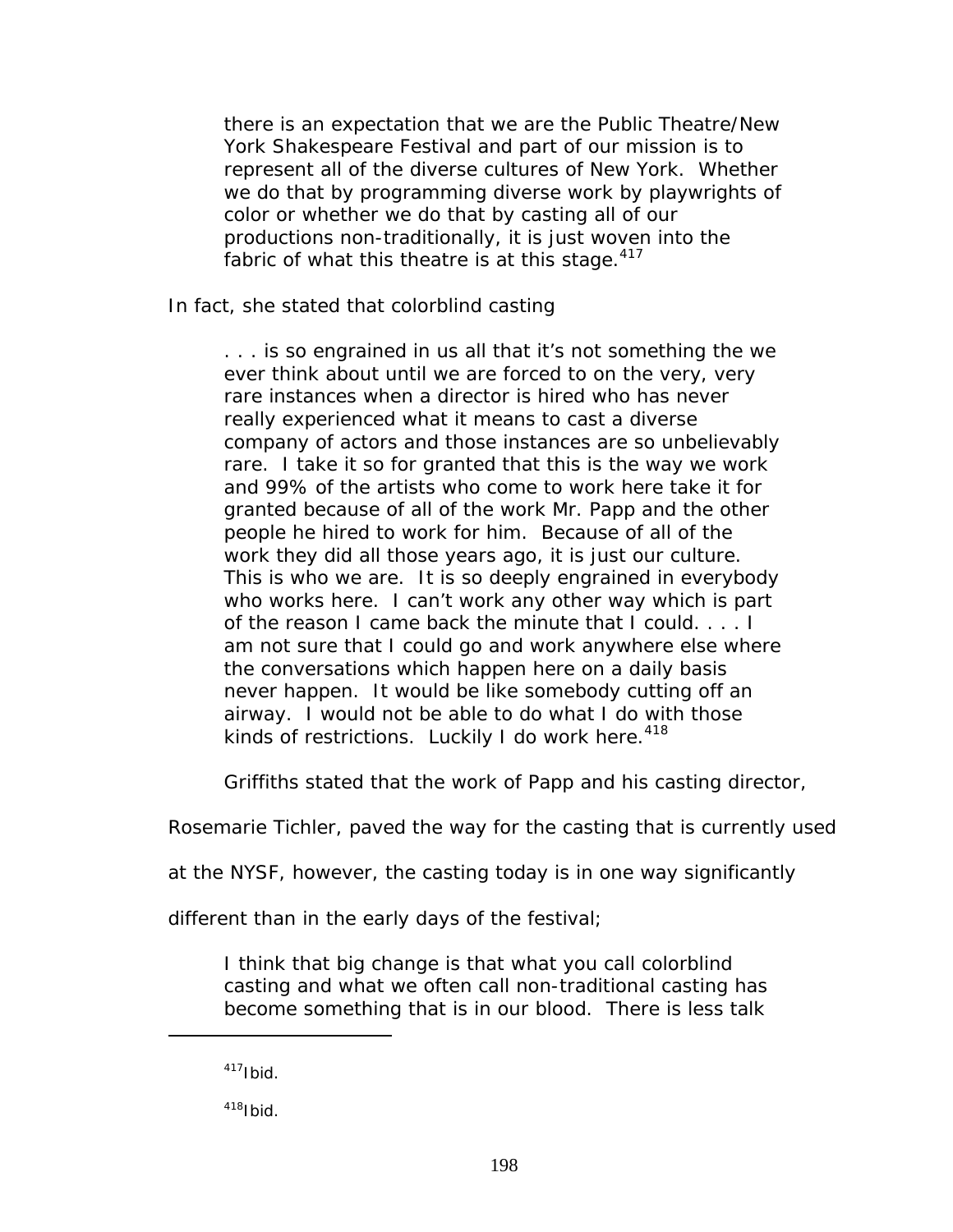there is an expectation that we are the Public Theatre/New York Shakespeare Festival and part of our mission is to represent all of the diverse cultures of New York. Whether we do that by programming diverse work by playwrights of color or whether we do that by casting all of our productions non-traditionally, it is just woven into the fabric of what this theatre is at this stage. $417$ 

In fact, she stated that colorblind casting

. . . is so engrained in us all that it's not something the we ever think about until we are forced to on the very, very rare instances when a director is hired who has never really experienced what it means to cast a diverse company of actors and those instances are so unbelievably rare. I take it so for granted that this is the way we work and 99% of the artists who come to work here take it for granted because of all of the work Mr. Papp and the other people he hired to work for him. Because of all of the work they did all those years ago, it is just our culture. This is who we are. It is so deeply engrained in everybody who works here. I can't work any other way which is part of the reason I came back the minute that I could. . . . I am not sure that I could go and work anywhere else where the conversations which happen here on a daily basis never happen. It would be like somebody cutting off an airway. I would not be able to do what I do with those kinds of restrictions. Luckily I do work here.  $418$ 

Griffiths stated that the work of Papp and his casting director,

Rosemarie Tichler, paved the way for the casting that is currently used

at the NYSF, however, the casting today is in one way significantly

different than in the early days of the festival;

I think that big change is that what you call colorblind casting and what we often call non-traditional casting has become something that is in our blood. There is less talk

 $\overline{a}$ 

<span id="page-204-1"></span> $418$ Ibid.

<span id="page-204-0"></span> $417$ Ibid.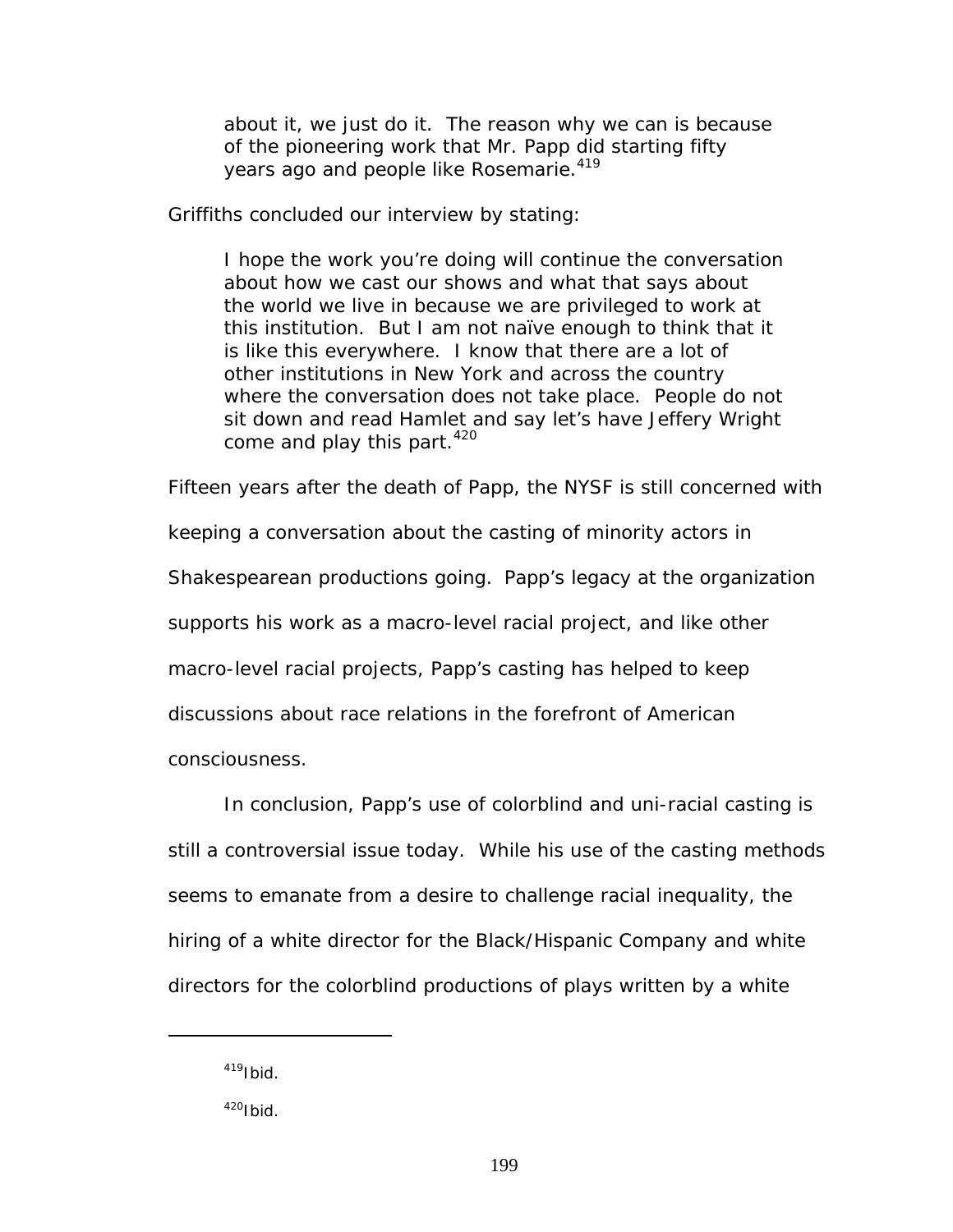about it, we just do it. The reason why we can is because of the pioneering work that Mr. Papp did starting fifty years ago and people like Rosemarie.<sup>[419](#page-205-0)</sup>

Griffiths concluded our interview by stating:

I hope the work you're doing will continue the conversation about how we cast our shows and what that says about the world we live in because we are privileged to work at this institution. But I am not naïve enough to think that it is like this everywhere. I know that there are a lot of other institutions in New York and across the country where the conversation does not take place. People do not sit down and read *Hamlet* and say let's have Jeffery Wright come and play this part.<sup>[420](#page-205-1)</sup>

Fifteen years after the death of Papp, the NYSF is still concerned with keeping a conversation about the casting of minority actors in Shakespearean productions going. Papp's legacy at the organization supports his work as a macro-level racial project, and like other macro-level racial projects, Papp's casting has helped to keep discussions about race relations in the forefront of American consciousness.

In conclusion, Papp's use of colorblind and uni-racial casting is still a controversial issue today. While his use of the casting methods seems to emanate from a desire to challenge racial inequality, the hiring of a white director for the Black/Hispanic Company and white directors for the colorblind productions of plays written by a white

<span id="page-205-0"></span> $419$ Ibid.

<span id="page-205-1"></span> $420$ Ibid.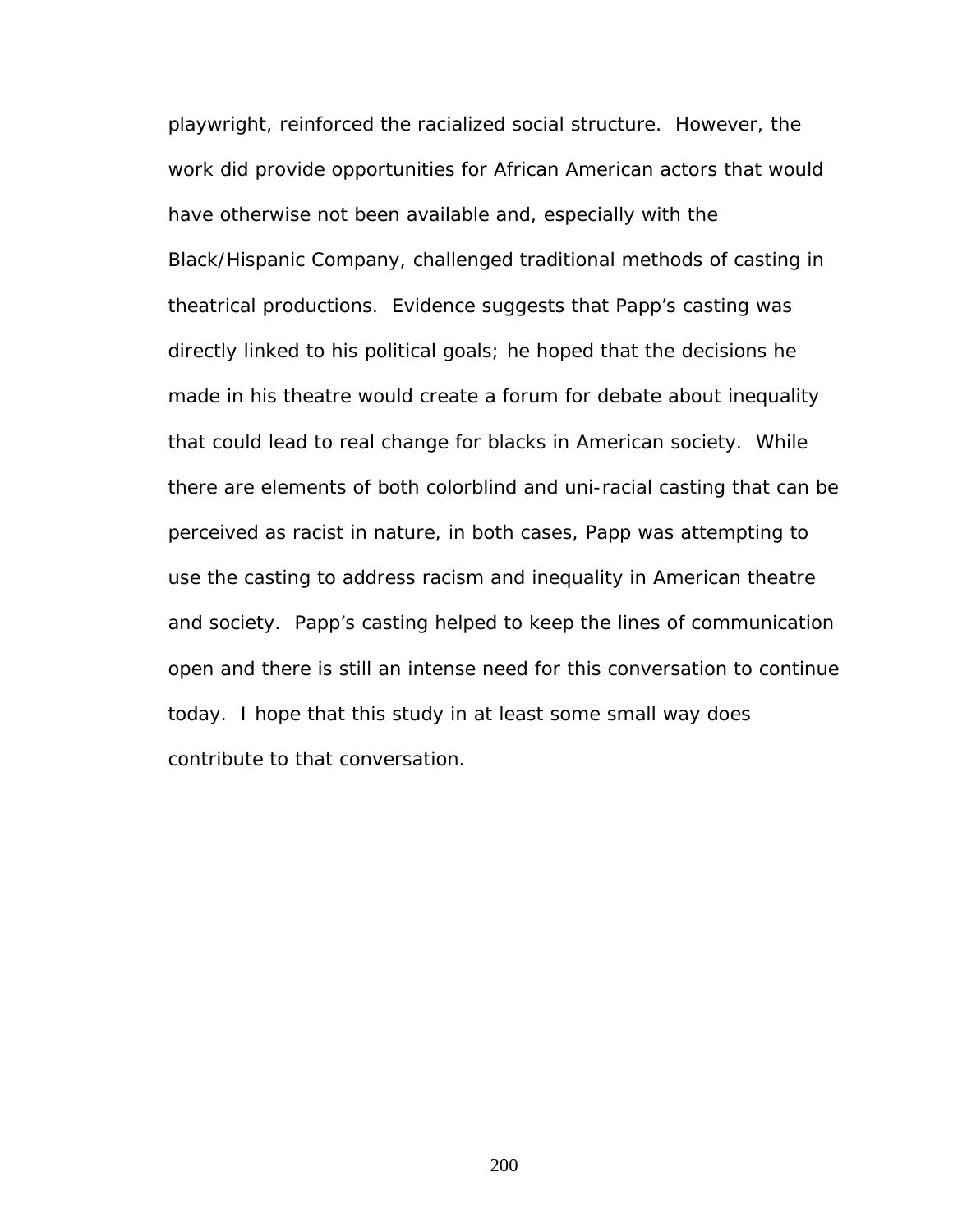playwright, reinforced the racialized social structure. However, the work did provide opportunities for African American actors that would have otherwise not been available and, especially with the Black/Hispanic Company, challenged traditional methods of casting in theatrical productions. Evidence suggests that Papp's casting was directly linked to his political goals; he hoped that the decisions he made in his theatre would create a forum for debate about inequality that could lead to real change for blacks in American society. While there are elements of both colorblind and uni-racial casting that can be perceived as racist in nature, in both cases, Papp was attempting to use the casting to address racism and inequality in American theatre and society. Papp's casting helped to keep the lines of communication open and there is still an intense need for this conversation to continue today. I hope that this study in at least some small way does contribute to that conversation.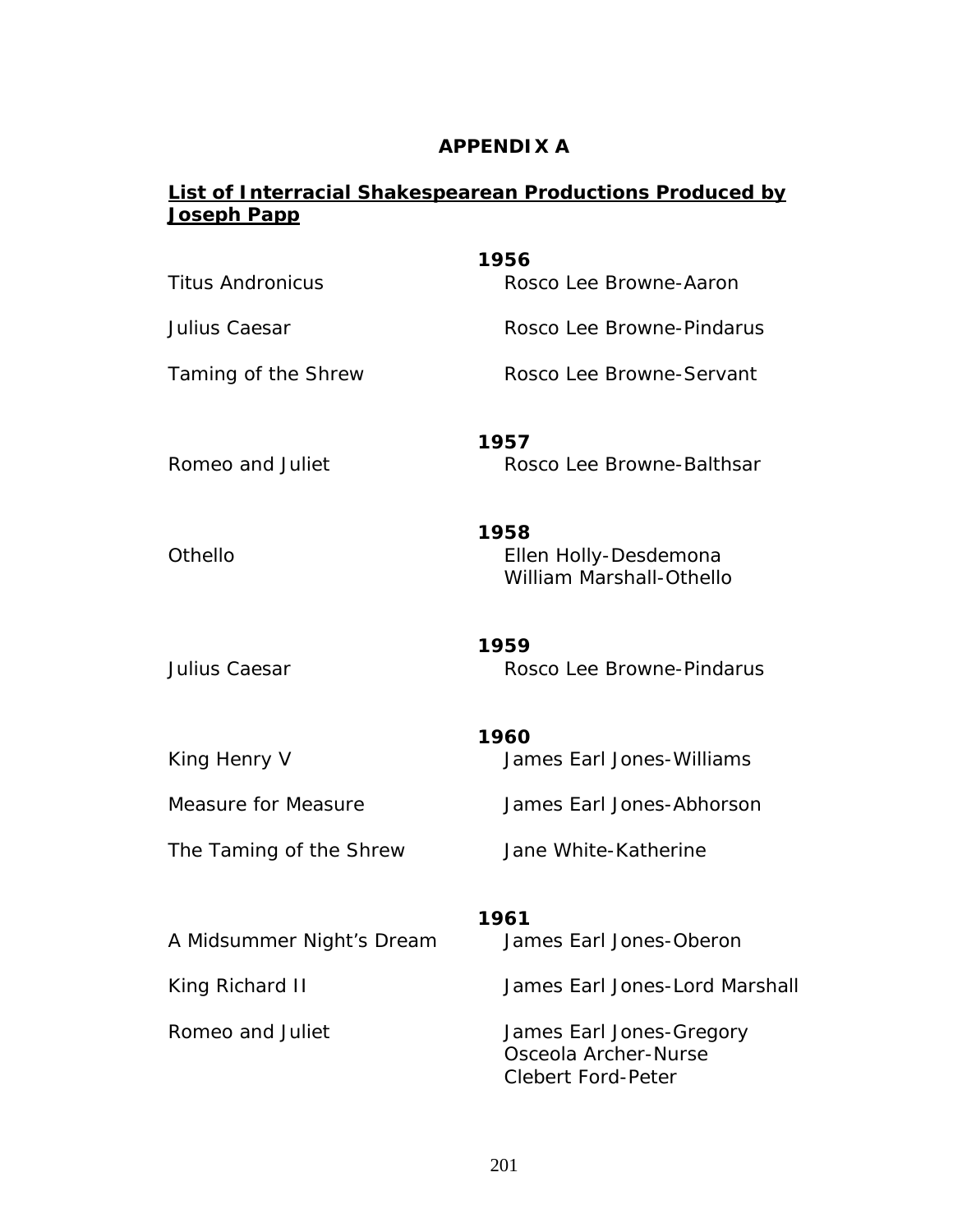## **APPENDIX A**

# **List of Interracial Shakespearean Productions Produced by Joseph Papp**

| <b>Titus Andronicus</b>    | 1956<br>Rosco Lee Browne-Aaron                                                |
|----------------------------|-------------------------------------------------------------------------------|
| Julius Caesar              | Rosco Lee Browne-Pindarus                                                     |
| Taming of the Shrew        | Rosco Lee Browne-Servant                                                      |
| Romeo and Juliet           | 1957<br>Rosco Lee Browne-Balthsar                                             |
| Othello                    | 1958<br>Ellen Holly-Desdemona<br><b>William Marshall-Othello</b>              |
| Julius Caesar              | 1959<br>Rosco Lee Browne-Pindarus                                             |
| King Henry V               | 1960<br>James Earl Jones-Williams                                             |
| <b>Measure for Measure</b> | James Earl Jones-Abhorson                                                     |
| The Taming of the Shrew    | Jane White-Katherine                                                          |
| A Midsummer Night's Dream  | 1961<br>James Earl Jones-Oberon                                               |
| King Richard II            | James Earl Jones-Lord Marshall                                                |
| Romeo and Juliet           | James Earl Jones-Gregory<br>Osceola Archer-Nurse<br><b>Clebert Ford-Peter</b> |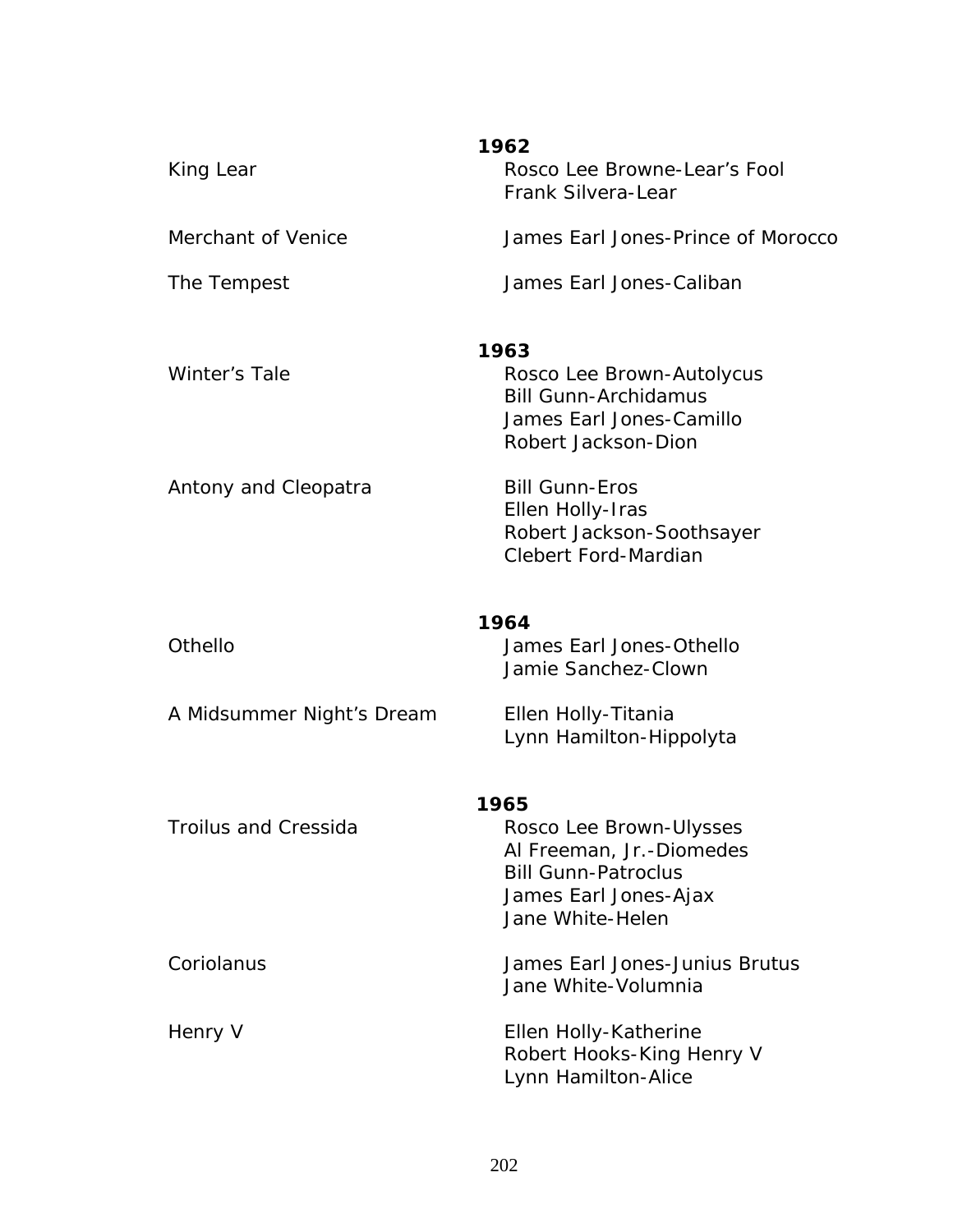| King Lear                   | 1962<br>Rosco Lee Browne-Lear's Fool                     |
|-----------------------------|----------------------------------------------------------|
|                             | Frank Silvera-Lear                                       |
| Merchant of Venice          | James Earl Jones-Prince of Morocco                       |
| The Tempest                 | James Earl Jones-Caliban                                 |
|                             | 1963                                                     |
| Winter's Tale               | Rosco Lee Brown-Autolycus                                |
|                             | <b>Bill Gunn-Archidamus</b><br>James Earl Jones-Camillo  |
|                             | Robert Jackson-Dion                                      |
| Antony and Cleopatra        | <b>Bill Gunn-Eros</b>                                    |
|                             | Ellen Holly-Iras                                         |
|                             | Robert Jackson-Soothsayer<br><b>Clebert Ford-Mardian</b> |
|                             |                                                          |
| <b>Othello</b>              | 1964<br>James Earl Jones-Othello                         |
|                             | Jamie Sanchez-Clown                                      |
| A Midsummer Night's Dream   | Ellen Holly-Titania                                      |
|                             | Lynn Hamilton-Hippolyta                                  |
|                             | 1965                                                     |
| <b>Troilus and Cressida</b> | Rosco Lee Brown-Ulysses                                  |
|                             | Al Freeman, Jr.-Diomedes<br><b>Bill Gunn-Patroclus</b>   |
|                             | James Earl Jones-Ajax                                    |
|                             | Jane White-Helen                                         |
| Coriolanus                  | James Earl Jones-Junius Brutus                           |
|                             | Jane White-Volumnia                                      |
| Henry V                     | Ellen Holly-Katherine                                    |
|                             | Robert Hooks-King Henry V                                |
|                             | Lynn Hamilton-Alice                                      |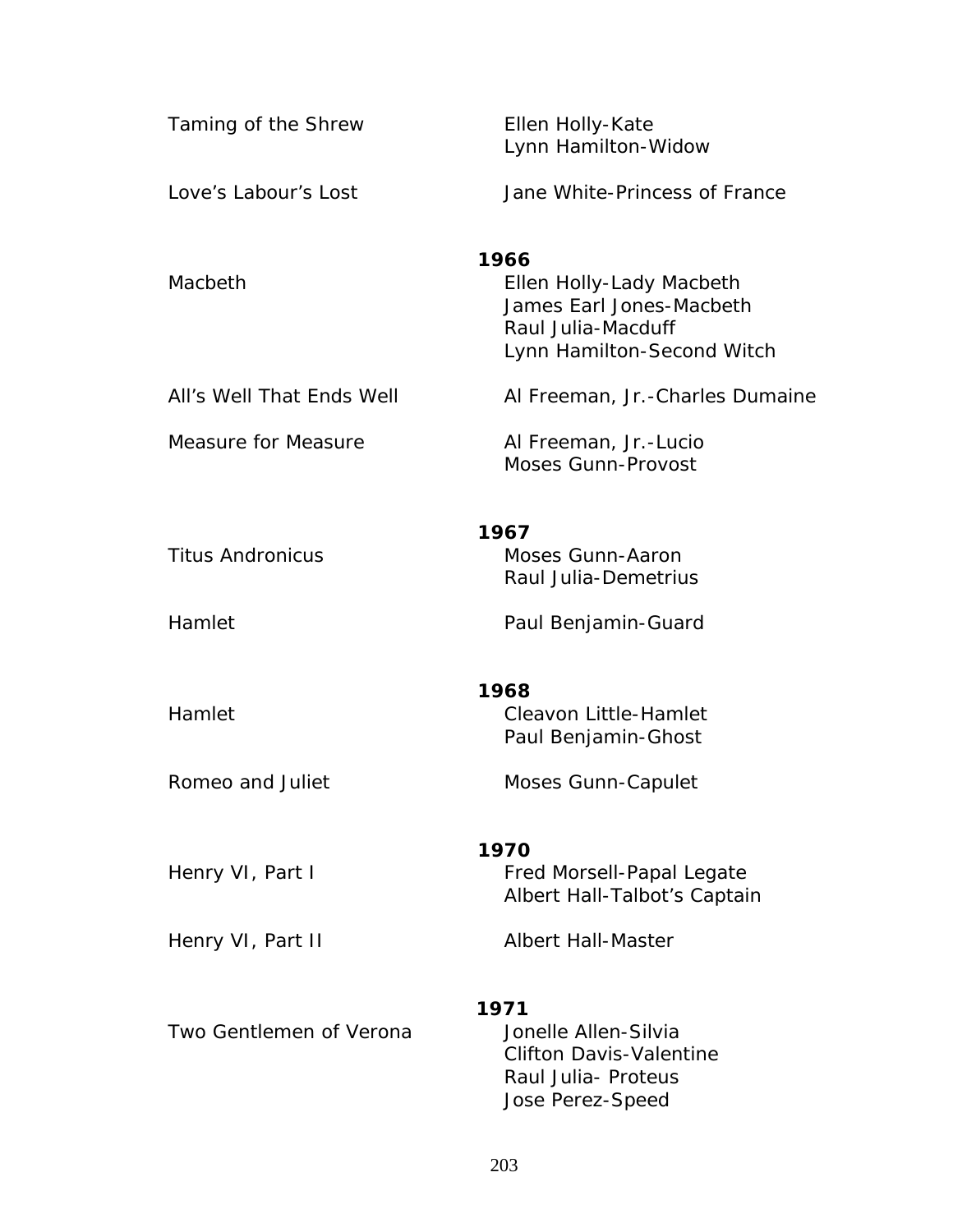| Taming of the Shrew        | Ellen Holly-Kate<br>Lynn Hamilton-Widow                                                                          |
|----------------------------|------------------------------------------------------------------------------------------------------------------|
| Love's Labour's Lost       | Jane White-Princess of France                                                                                    |
| Macbeth                    | 1966<br>Ellen Holly-Lady Macbeth<br>James Earl Jones-Macbeth<br>Raul Julia-Macduff<br>Lynn Hamilton-Second Witch |
| All's Well That Ends Well  | Al Freeman, Jr.-Charles Dumaine                                                                                  |
| <b>Measure for Measure</b> | Al Freeman, Jr.-Lucio<br>Moses Gunn-Provost                                                                      |
| <b>Titus Andronicus</b>    | 1967<br>Moses Gunn-Aaron<br>Raul Julia-Demetrius                                                                 |
| Hamlet                     | Paul Benjamin-Guard                                                                                              |
| Hamlet                     | 1968<br>Cleavon Little-Hamlet<br>Paul Benjamin-Ghost                                                             |
| Romeo and Juliet           | <b>Moses Gunn-Capulet</b>                                                                                        |
| Henry VI, Part I           | 1970<br>Fred Morsell-Papal Legate<br>Albert Hall-Talbot's Captain                                                |
| Henry VI, Part II          | <b>Albert Hall-Master</b>                                                                                        |
| Two Gentlemen of Verona    | 1971<br>Jonelle Allen-Silvia<br><b>Clifton Davis-Valentine</b><br>Raul Julia- Proteus<br>Jose Perez-Speed        |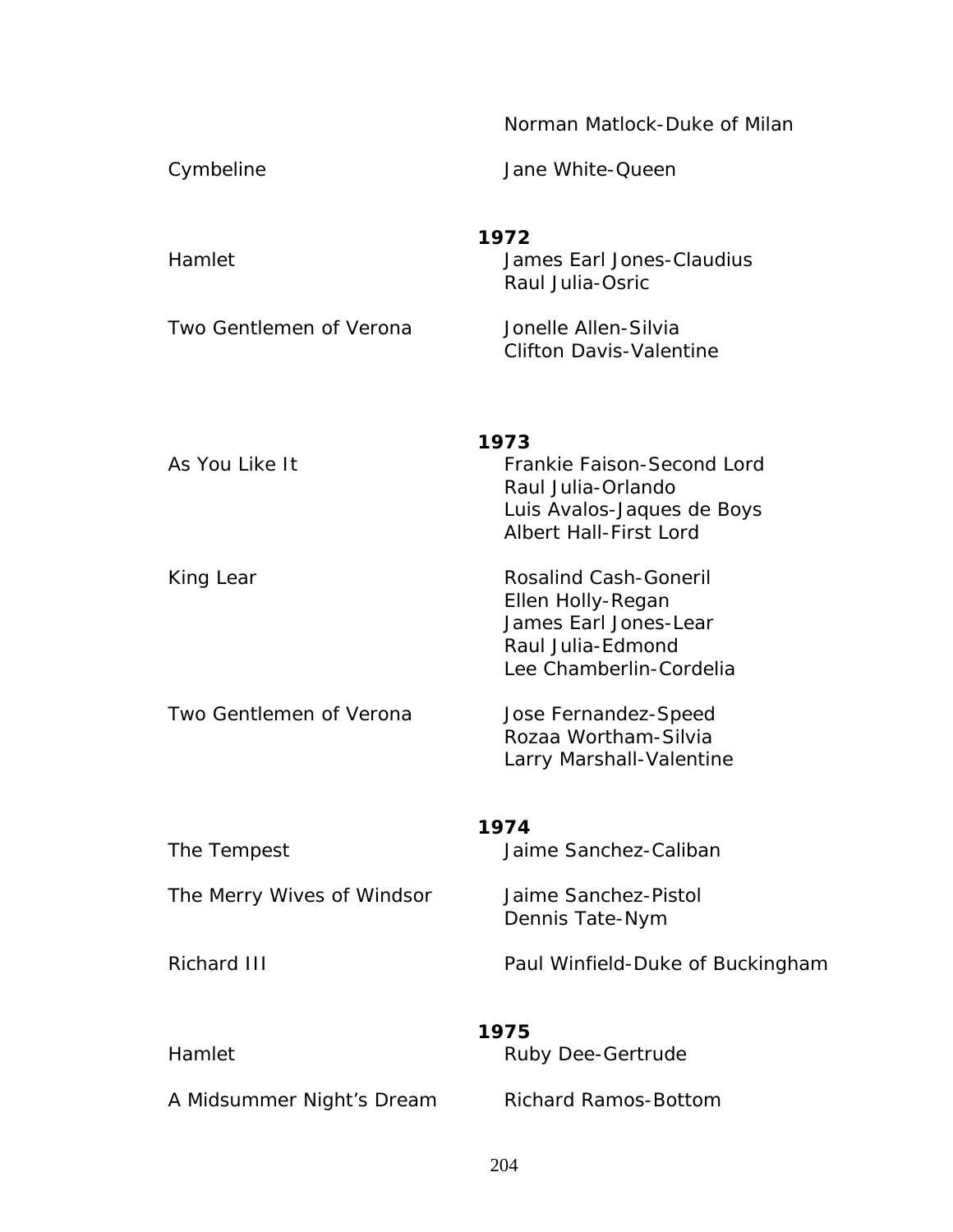|                            | Norman Matlock-Duke of Milan                                                                                               |
|----------------------------|----------------------------------------------------------------------------------------------------------------------------|
| Cymbeline                  | Jane White-Queen                                                                                                           |
| Hamlet                     | 1972<br>James Earl Jones-Claudius<br>Raul Julia-Osric                                                                      |
| Two Gentlemen of Verona    | Jonelle Allen-Silvia<br><b>Clifton Davis-Valentine</b>                                                                     |
| As You Like It             | 1973<br>Frankie Faison-Second Lord<br>Raul Julia-Orlando<br>Luis Avalos-Jaques de Boys<br><b>Albert Hall-First Lord</b>    |
| King Lear                  | <b>Rosalind Cash-Goneril</b><br>Ellen Holly-Regan<br>James Earl Jones-Lear<br>Raul Julia-Edmond<br>Lee Chamberlin-Cordelia |
| Two Gentlemen of Verona    | Jose Fernandez-Speed<br>Rozaa Wortham-Silvia<br>Larry Marshall-Valentine                                                   |
|                            | 1974                                                                                                                       |
| The Tempest                | Jaime Sanchez-Caliban                                                                                                      |
| The Merry Wives of Windsor | Jaime Sanchez-Pistol<br>Dennis Tate-Nym                                                                                    |
| <b>Richard III</b>         | Paul Winfield-Duke of Buckingham                                                                                           |
|                            | 1975                                                                                                                       |
| Hamlet                     | Ruby Dee-Gertrude                                                                                                          |
| A Midsummer Night's Dream  | <b>Richard Ramos-Bottom</b>                                                                                                |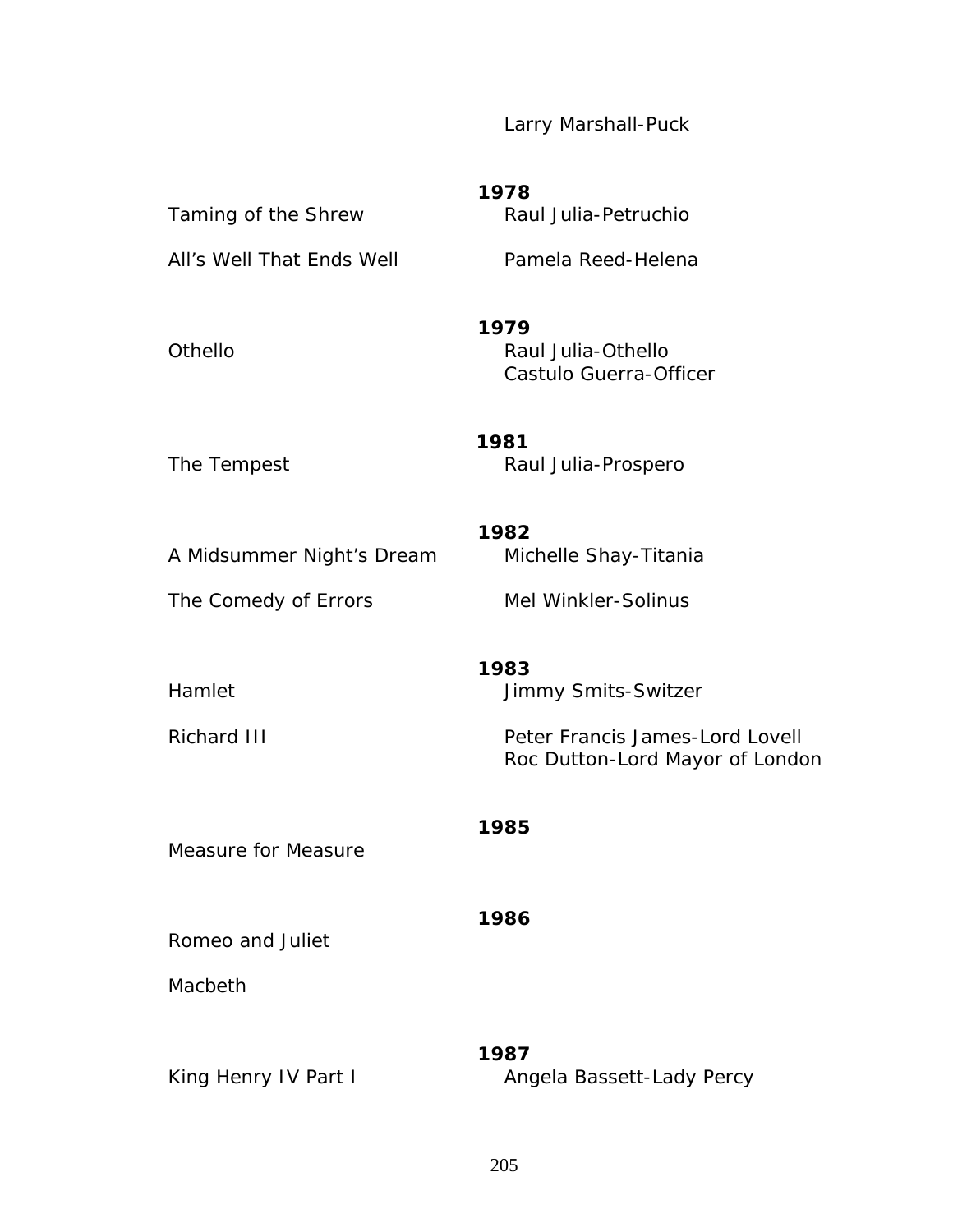Larry Marshall-Puck

| Taming of the Shrew<br>All's Well That Ends Well  | 1978<br>Raul Julia-Petruchio<br>Pamela Reed-Helena                                                |
|---------------------------------------------------|---------------------------------------------------------------------------------------------------|
| <b>Othello</b>                                    | 1979<br>Raul Julia-Othello<br>Castulo Guerra-Officer                                              |
| The Tempest                                       | 1981<br>Raul Julia-Prospero                                                                       |
| A Midsummer Night's Dream<br>The Comedy of Errors | 1982<br>Michelle Shay-Titania<br>Mel Winkler-Solinus                                              |
| Hamlet<br>Richard III                             | 1983<br>Jimmy Smits-Switzer<br>Peter Francis James-Lord Lovell<br>Roc Dutton-Lord Mayor of London |
| <b>Measure for Measure</b>                        | 1985                                                                                              |
| Romeo and Juliet<br>Macbeth                       | 1986                                                                                              |
|                                                   | 1987                                                                                              |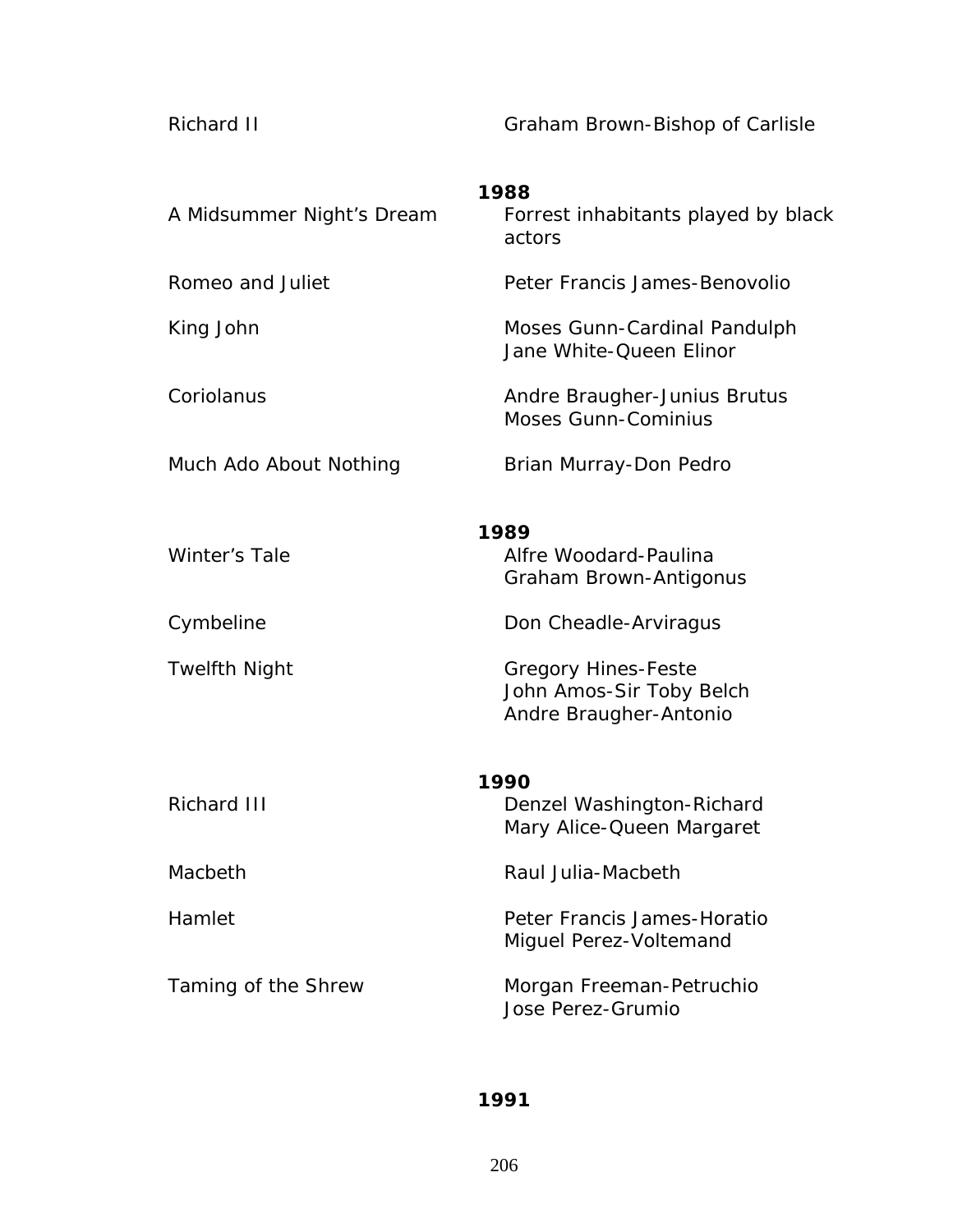*Richard II* **Conserverse Example 2** Graham Brown-Bishop of Carlisle

| A Midsummer Night's Dream | 1988<br>Forrest inhabitants played by black<br>actors                            |  |
|---------------------------|----------------------------------------------------------------------------------|--|
| Romeo and Juliet          | Peter Francis James-Benovolio                                                    |  |
| King John                 | Moses Gunn-Cardinal Pandulph<br>Jane White-Queen Elinor                          |  |
| Coriolanus                | Andre Braugher-Junius Brutus<br><b>Moses Gunn-Cominius</b>                       |  |
| Much Ado About Nothing    | Brian Murray-Don Pedro                                                           |  |
| Winter's Tale             | 1989<br>Alfre Woodard-Paulina<br>Graham Brown-Antigonus                          |  |
| Cymbeline                 | Don Cheadle-Arviragus                                                            |  |
| <b>Twelfth Night</b>      | <b>Gregory Hines-Feste</b><br>John Amos-Sir Toby Belch<br>Andre Braugher-Antonio |  |
| 1990                      |                                                                                  |  |
| <b>Richard III</b>        | Denzel Washington-Richard<br>Mary Alice-Queen Margaret                           |  |
| Macbeth                   | Raul Julia-Macbeth                                                               |  |
| Hamlet                    | Peter Francis James-Horatio<br>Miguel Perez-Voltemand                            |  |
| Taming of the Shrew       | Morgan Freeman-Petruchio<br>Jose Perez-Grumio                                    |  |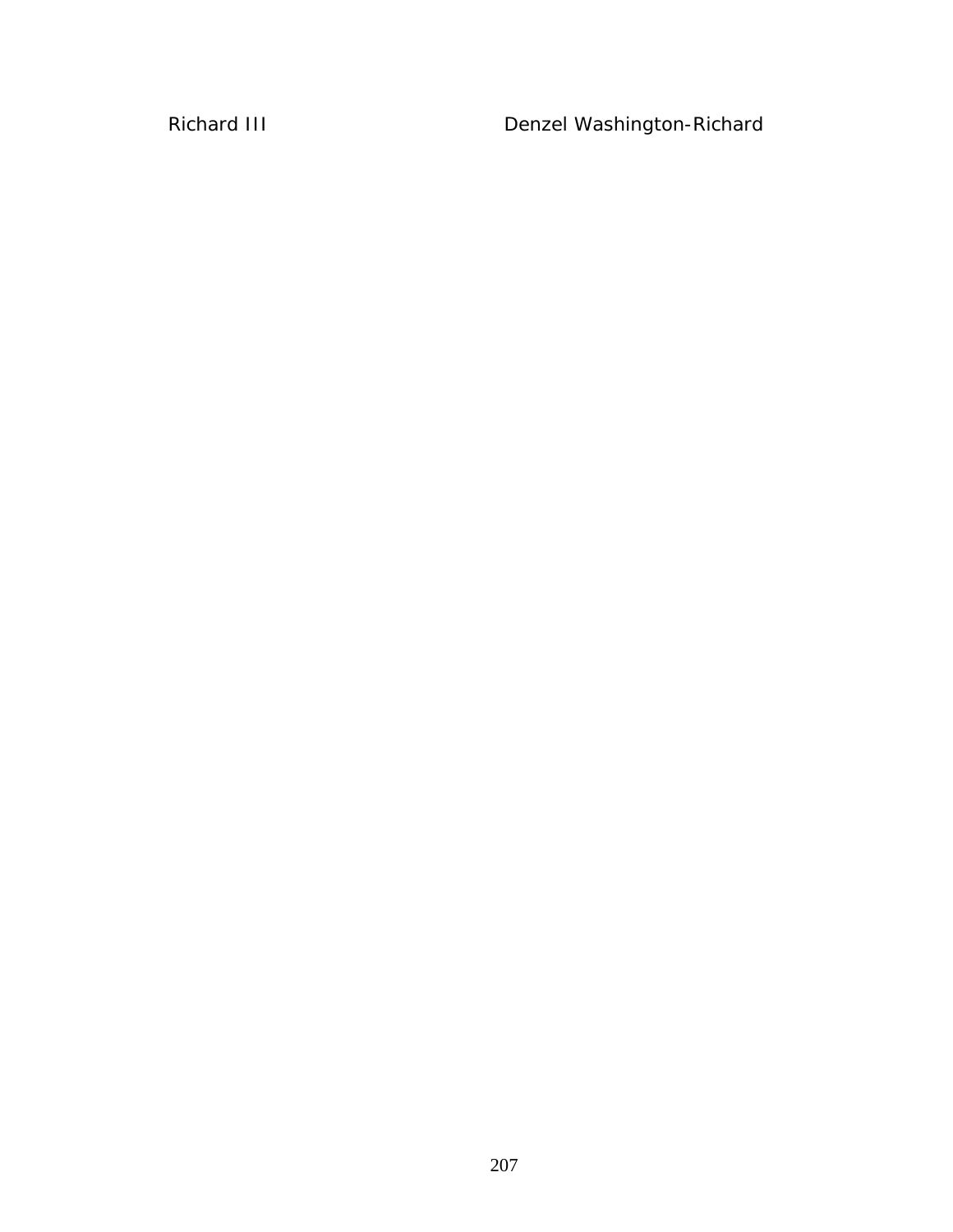*Richard III* Denzel Washington-Richard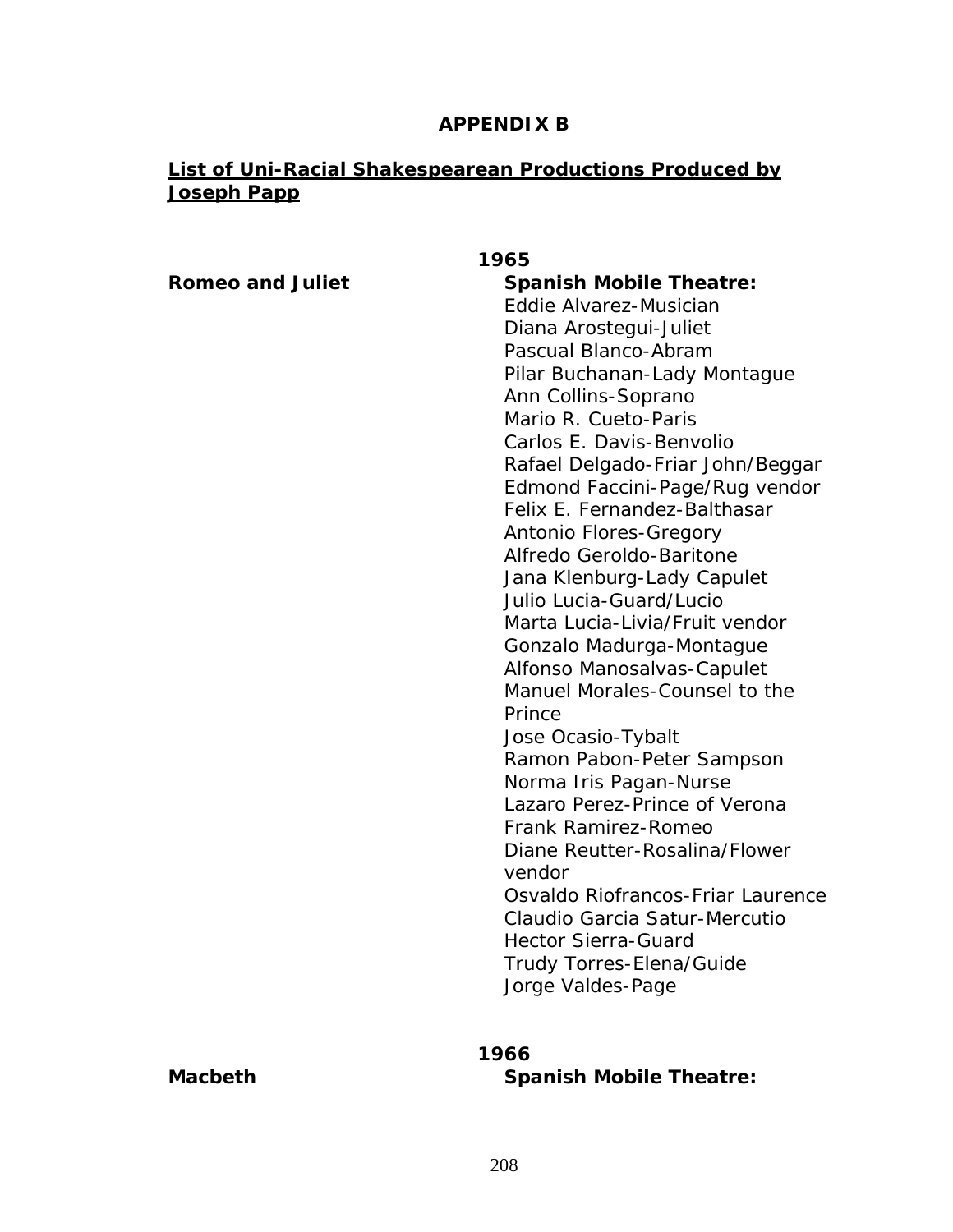## **APPENDIX B**

# **List of Uni-Racial Shakespearean Productions Produced by Joseph Papp**

| 1965                    |                                         |
|-------------------------|-----------------------------------------|
| <b>Romeo and Juliet</b> | <b>Spanish Mobile Theatre:</b>          |
|                         | Eddie Alvarez-Musician                  |
|                         | Diana Arostegui-Juliet                  |
|                         | Pascual Blanco-Abram                    |
|                         | Pilar Buchanan-Lady Montague            |
|                         | Ann Collins-Soprano                     |
|                         | Mario R. Cueto-Paris                    |
|                         | Carlos E. Davis-Benvolio                |
|                         | Rafael Delgado-Friar John/Beggar        |
|                         | Edmond Faccini-Page/Rug vendor          |
|                         | Felix E. Fernandez-Balthasar            |
|                         | <b>Antonio Flores-Gregory</b>           |
|                         | Alfredo Geroldo-Baritone                |
|                         | Jana Klenburg-Lady Capulet              |
|                         | Julio Lucia-Guard/Lucio                 |
|                         | Marta Lucia-Livia/Fruit vendor          |
|                         | Gonzalo Madurga-Montague                |
|                         | Alfonso Manosalvas-Capulet              |
|                         | Manuel Morales-Counsel to the           |
|                         | Prince                                  |
|                         | Jose Ocasio-Tybalt                      |
|                         | Ramon Pabon-Peter Sampson               |
|                         | Norma Iris Pagan-Nurse                  |
|                         | Lazaro Perez-Prince of Verona           |
|                         | <b>Frank Ramirez-Romeo</b>              |
|                         | Diane Reutter-Rosalina/Flower<br>vendor |
|                         | Osvaldo Riofrancos-Friar Laurence       |
|                         | Claudio Garcia Satur-Mercutio           |
|                         | <b>Hector Sierra-Guard</b>              |
|                         | <b>Trudy Torres-Elena/Guide</b>         |
|                         | Jorge Valdes-Page                       |
|                         |                                         |
|                         |                                         |

# **1966**

**Macbeth** Spanish Mobile Theatre: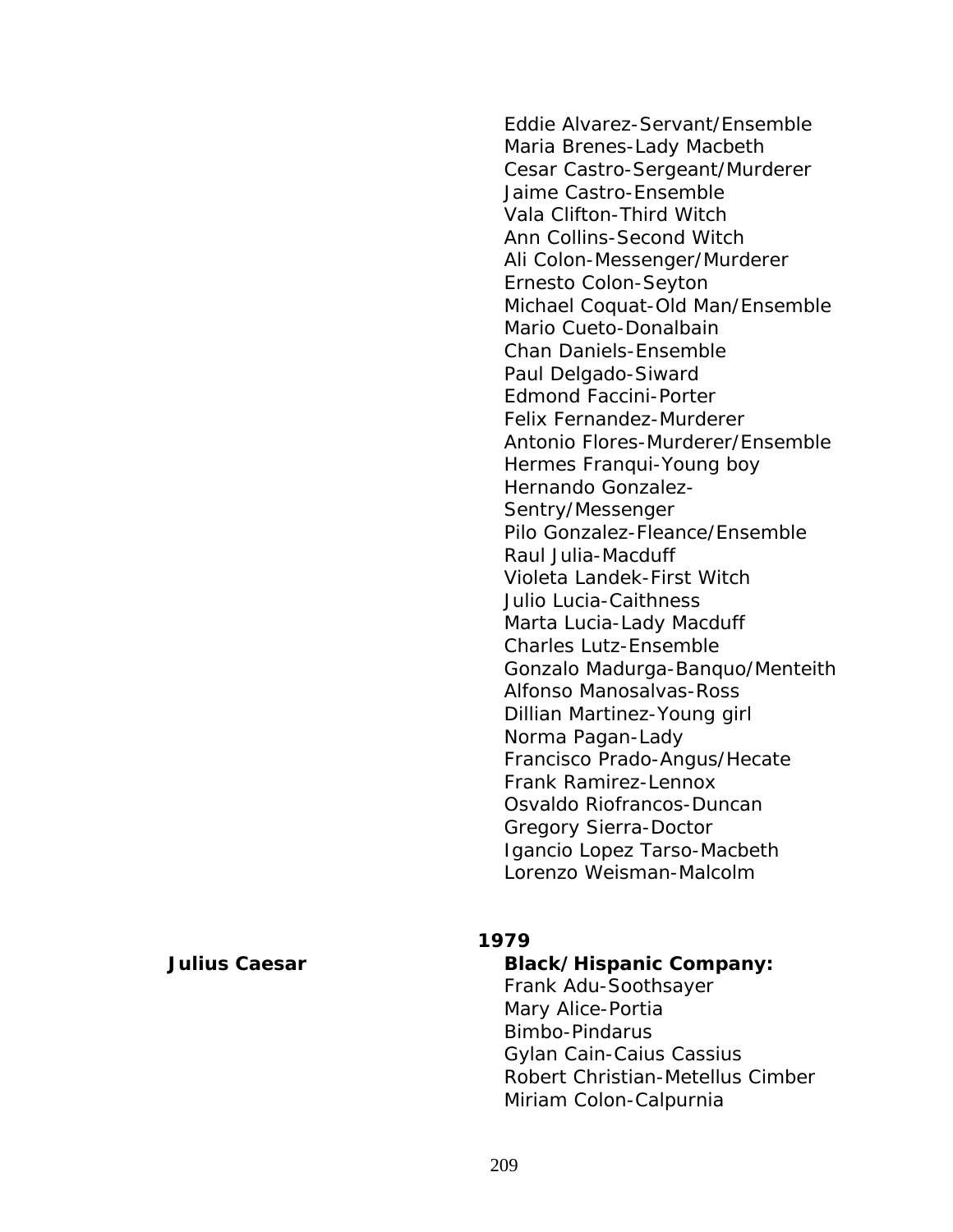Eddie Alvarez-Servant/Ensemble Maria Brenes-Lady Macbeth Cesar Castro-Sergeant/Murderer Jaime Castro-Ensemble Vala Clifton-Third Witch Ann Collins-Second Witch Ali Colon-Messenger/Murderer Ernesto Colon-Seyton Michael Coquat-Old Man/Ensemble Mario Cueto-Donalbain Chan Daniels-Ensemble Paul Delgado-Siward Edmond Faccini-Porter Felix Fernandez-Murderer Antonio Flores-Murderer/Ensemble Hermes Franqui-Young boy Hernando Gonzalez-Sentry/Messenger Pilo Gonzalez-Fleance/Ensemble Raul Julia-Macduff Violeta Landek-First Witch Julio Lucia-Caithness Marta Lucia-Lady Macduff Charles Lutz-Ensemble Gonzalo Madurga-Banquo/Menteith Alfonso Manosalvas-Ross Dillian Martinez-Young girl Norma Pagan-Lady Francisco Prado-Angus/Hecate Frank Ramirez-Lennox Osvaldo Riofrancos-Duncan Gregory Sierra-Doctor Igancio Lopez Tarso-Macbeth Lorenzo Weisman-Malcolm

#### **1979**

*Julius Caesar* **Black/Hispanic Company:** Frank Adu-Soothsayer Mary Alice-Portia Bimbo-Pindarus Gylan Cain-Caius Cassius Robert Christian-Metellus Cimber Miriam Colon-Calpurnia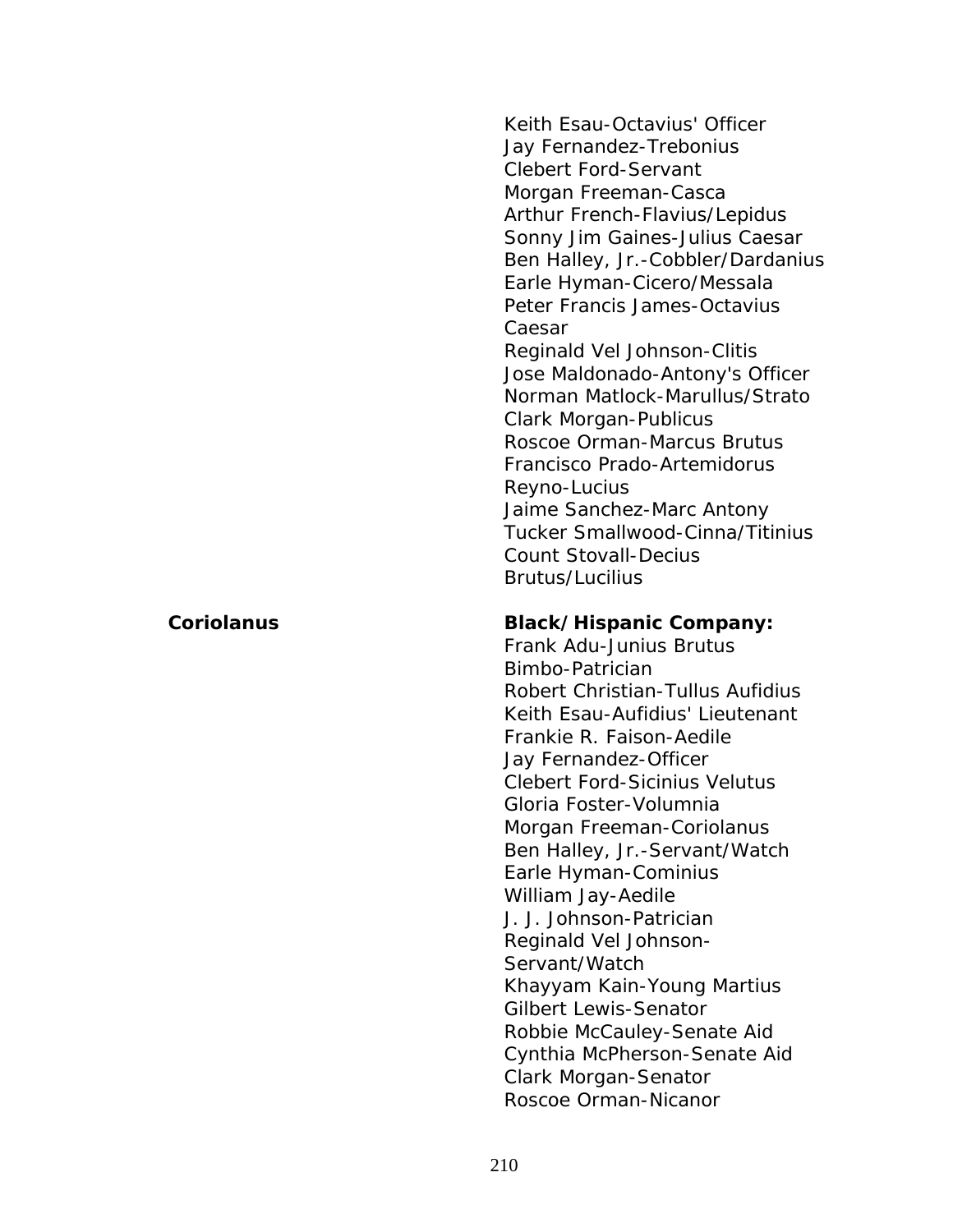Keith Esau-Octavius' Officer Jay Fernandez-Trebonius Clebert Ford-Servant Morgan Freeman-Casca Arthur French-Flavius/Lepidus Sonny Jim Gaines-Julius Caesar Ben Halley, Jr.-Cobbler/Dardanius Earle Hyman-Cicero/Messala Peter Francis James-Octavius Caesar Reginald Vel Johnson-Clitis Jose Maldonado-Antony's Officer Norman Matlock-Marullus/Strato Clark Morgan-Publicus Roscoe Orman-Marcus Brutus Francisco Prado-Artemidorus Reyno-Lucius Jaime Sanchez-Marc Antony Tucker Smallwood-Cinna/Titinius

Count Stovall-Decius Brutus/Lucilius

## *Coriolanus* **Black/Hispanic Company:**

Frank Adu-Junius Brutus Bimbo-Patrician Robert Christian-Tullus Aufidius Keith Esau-Aufidius' Lieutenant Frankie R. Faison-Aedile Jay Fernandez-Officer Clebert Ford-Sicinius Velutus Gloria Foster-Volumnia Morgan Freeman-Coriolanus Ben Halley, Jr.-Servant/Watch Earle Hyman-Cominius William Jay-Aedile J. J. Johnson-Patrician Reginald Vel Johnson-Servant/Watch Khayyam Kain-Young Martius Gilbert Lewis-Senator Robbie McCauley-Senate Aid Cynthia McPherson-Senate Aid Clark Morgan-Senator Roscoe Orman-Nicanor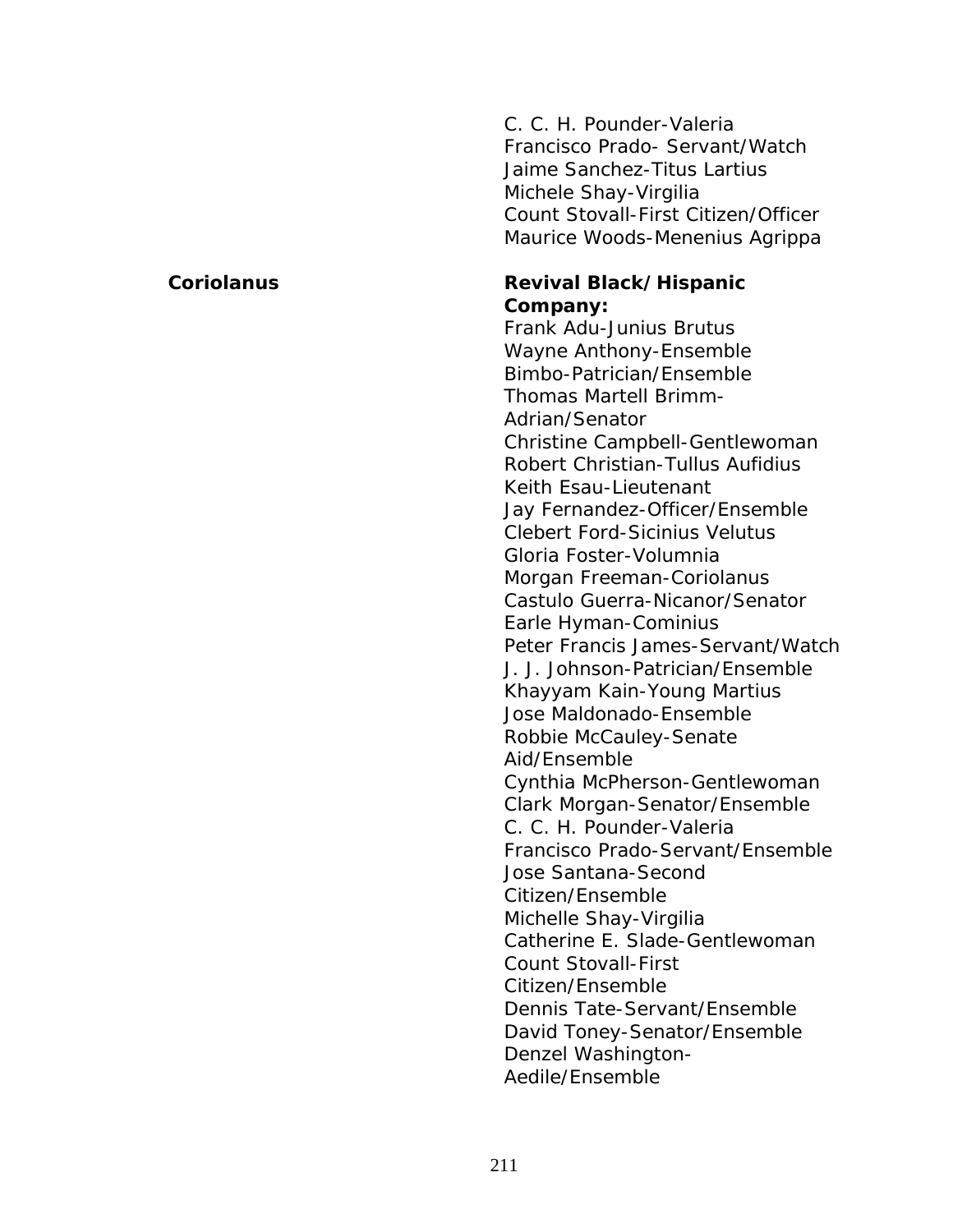C. C. H. Pounder-Valeria Francisco Prado- Servant/Watch Jaime Sanchez-Titus Lartius Michele Shay-Virgilia Count Stovall-First Citizen/Officer Maurice Woods-Menenius Agrippa

## **Coriolanus Revival Black/Hispanic Company:**

Frank Adu-Junius Brutus Wayne Anthony-Ensemble Bimbo-Patrician/Ensemble Thomas Martell Brimm-Adrian/Senator Christine Campbell-Gentlewoman Robert Christian-Tullus Aufidius Keith Esau-Lieutenant Jay Fernandez-Officer/Ensemble Clebert Ford-Sicinius Velutus Gloria Foster-Volumnia Morgan Freeman-Coriolanus Castulo Guerra-Nicanor/Senator Earle Hyman-Cominius Peter Francis James-Servant/Watch J. J. Johnson-Patrician/Ensemble Khayyam Kain-Young Martius Jose Maldonado-Ensemble Robbie McCauley-Senate Aid/Ensemble Cynthia McPherson-Gentlewoman Clark Morgan-Senator/Ensemble C. C. H. Pounder-Valeria Francisco Prado-Servant/Ensemble Jose Santana-Second Citizen/Ensemble Michelle Shay-Virgilia Catherine E. Slade-Gentlewoman Count Stovall-First Citizen/Ensemble Dennis Tate-Servant/Ensemble David Toney-Senator/Ensemble Denzel Washington-Aedile/Ensemble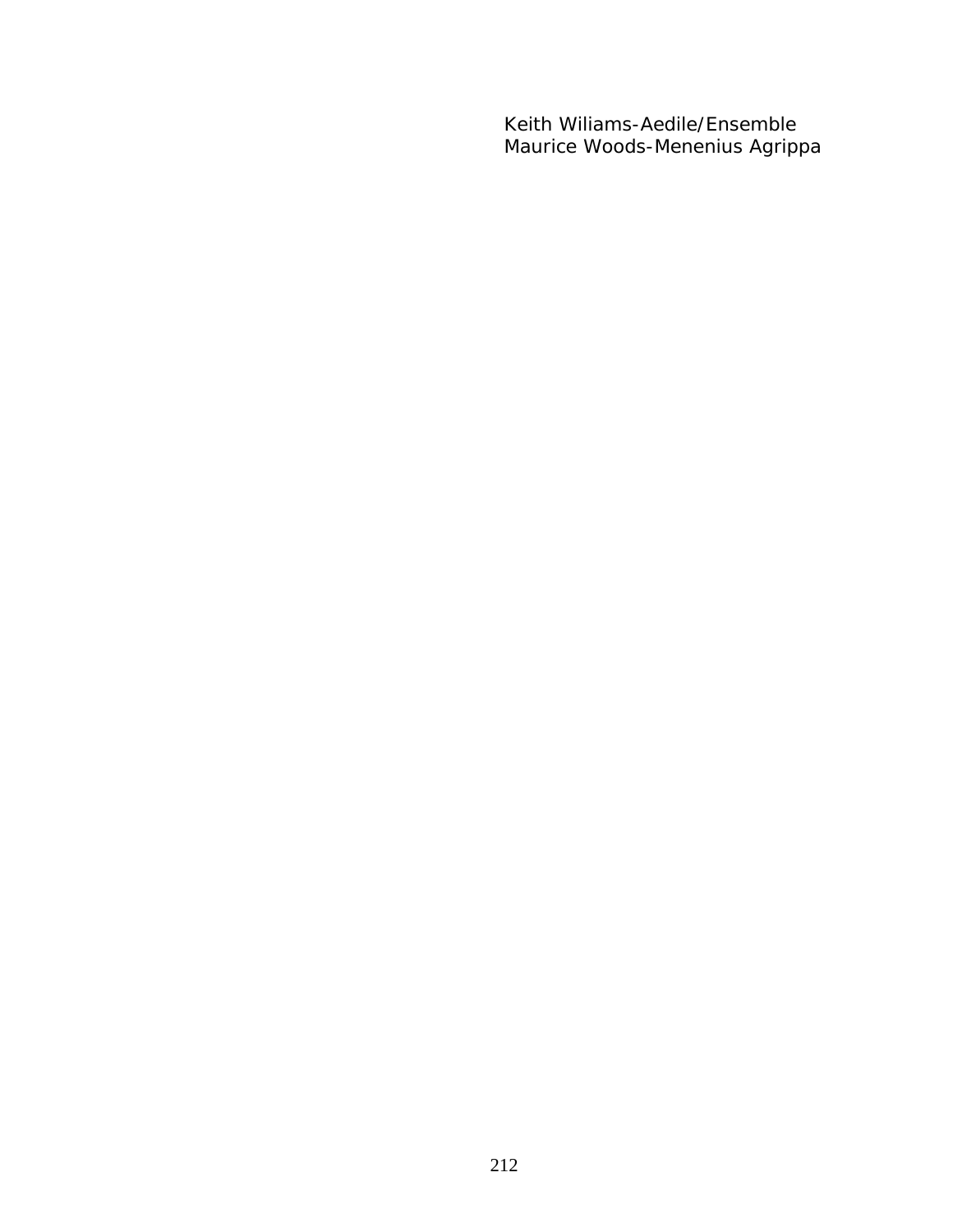Keith Wiliams-Aedile/Ensemble Maurice Woods-Menenius Agrippa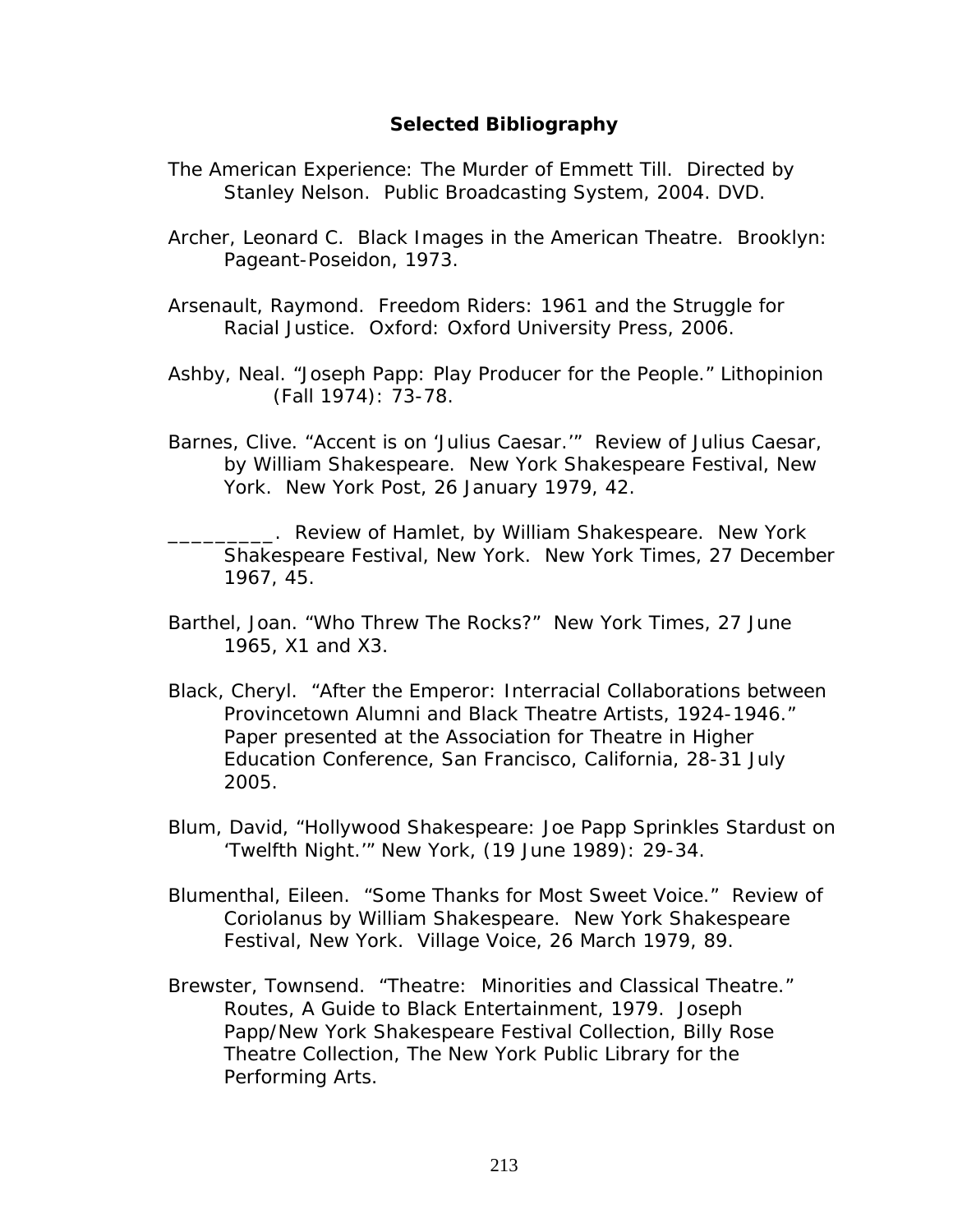## **Selected Bibliography**

- *The American Experience: The Murder of Emmett Till*. Directed by Stanley Nelson. Public Broadcasting System, 2004. DVD.
- Archer, Leonard C. *Black Images in the American Theatre*. Brooklyn: Pageant-Poseidon, 1973.
- Arsenault, Raymond. *Freedom Riders: 1961 and the Struggle for Racial Justice.* Oxford: Oxford University Press, 2006.
- Ashby, Neal. "Joseph Papp: Play Producer for the People." *Lithopinion* (Fall 1974): 73-78.
- Barnes, Clive. "Accent is on '*Julius Caesar.*'" Review of *Julius Caesar*, by William Shakespeare. New York Shakespeare Festival, New York. *New York Post,* 26 January 1979, 42.

\_\_\_\_\_\_\_\_\_. Review of *Hamlet*, by William Shakespeare. New York Shakespeare Festival, New York. *New York Times*, 27 December 1967, 45.

- Barthel, Joan. "Who Threw The Rocks?" *New York Times*, 27 June 1965, X1 and X3.
- Black, Cheryl. "After the Emperor: Interracial Collaborations between Provincetown Alumni and Black Theatre Artists, 1924-1946." Paper presented at the Association for Theatre in Higher Education Conference, San Francisco, California, 28-31 July 2005.
- Blum, David, "Hollywood Shakespeare: Joe Papp Sprinkles Stardust on 'Twelfth Night.'" *New York*, (19 June 1989): 29-34.
- Blumenthal, Eileen. "Some Thanks for Most Sweet Voice." Review of *Coriolanus* by William Shakespeare. New York Shakespeare Festival, New York. *Village Voice*, 26 March 1979, 89.
- Brewster, Townsend. "Theatre: Minorities and Classical Theatre." R*outes, A Guide to Black Entertainment*, 1979. Joseph Papp/New York Shakespeare Festival Collection, Billy Rose Theatre Collection, The New York Public Library for the Performing Arts.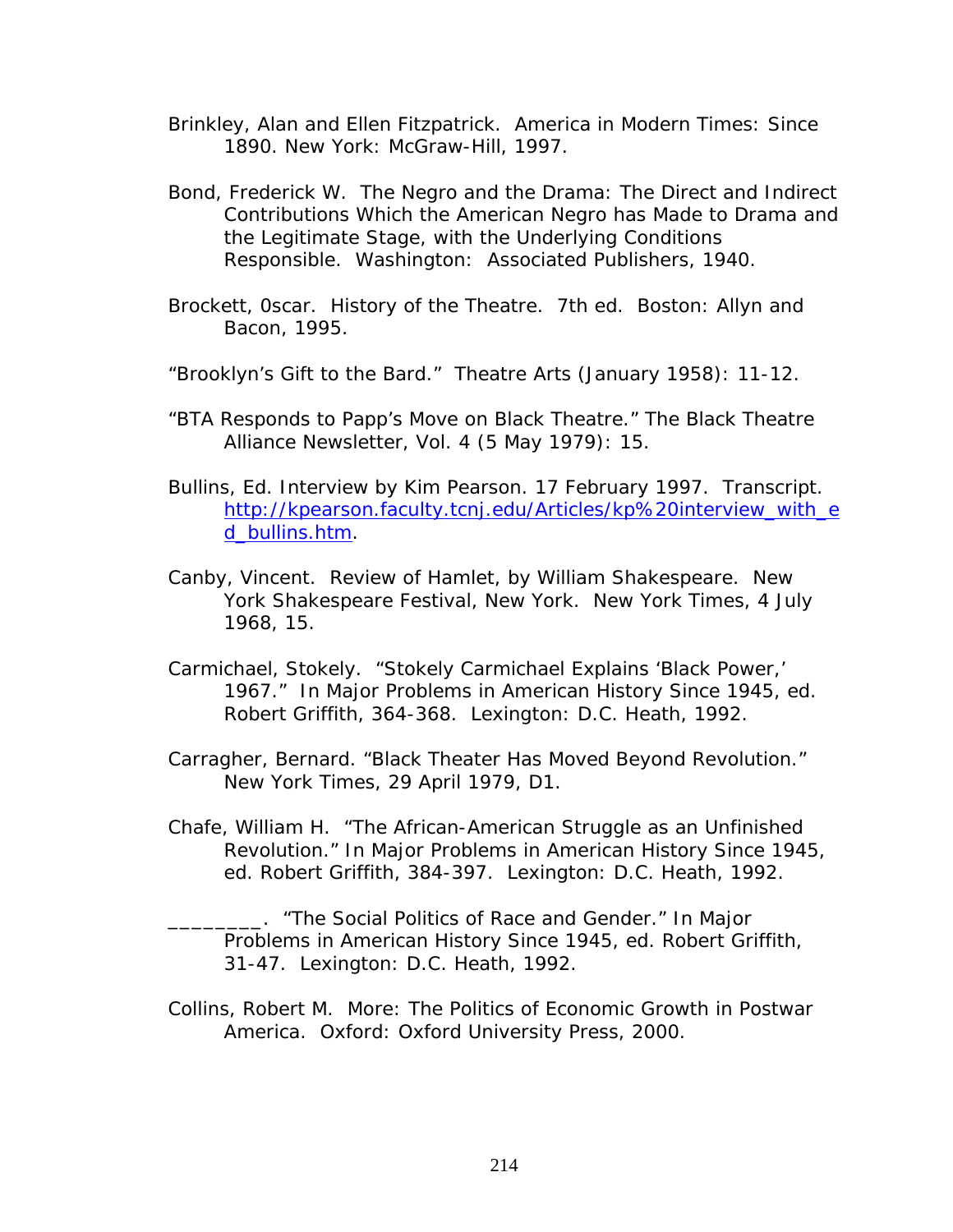- Brinkley, Alan and Ellen Fitzpatrick. *America in Modern Times: Since 1890.* New York: McGraw-Hill, 1997.
- Bond, Frederick W. *The Negro and the Drama: The Direct and Indirect Contributions Which the American Negro has Made to Drama and the Legitimate Stage, with the Underlying Conditions Responsible*. Washington: Associated Publishers, 1940.
- Brockett, 0scar. *History of the Theatre.* 7th ed. Boston: Allyn and Bacon, 1995.
- "Brooklyn's Gift to the Bard." *Theatre Arts* (January 1958): 11-12.
- "BTA Responds to Papp's Move on Black Theatre." *The Black Theatre Alliance Newsletter*, Vol. 4 (5 May 1979): 15.
- Bullins, Ed. Interview by Kim Pearson. 17 February 1997. Transcript. [http://kpearson.faculty.tcnj.edu/Articles/kp%20interview\\_with\\_e](http://kpearson.faculty.tcnj.edu/Articles/kp interview_with_ed_bullins.htm) [d\\_bullins.htm](http://kpearson.faculty.tcnj.edu/Articles/kp interview_with_ed_bullins.htm).
- Canby, Vincent. Review of *Hamlet*, by William Shakespeare. New York Shakespeare Festival, New York. *New York Times*, 4 July 1968, 15.
- Carmichael, Stokely. "Stokely Carmichael Explains 'Black Power,' 1967." In *Major Problems in American History Since 1945*, ed. Robert Griffith, 364-368. Lexington: D.C. Heath, 1992.
- Carragher, Bernard. "Black Theater Has Moved Beyond Revolution." *New York Times*, 29 April 1979, D1.
- Chafe, William H. "The African-American Struggle as an Unfinished Revolution." In *Major Problems in American History Since 1945*, ed. Robert Griffith, 384-397. Lexington: D.C. Heath, 1992.

\_\_\_\_\_\_\_\_. "The Social Politics of Race and Gender." In *Major Problems in American History Since 1945*, ed. Robert Griffith, 31-47. Lexington: D.C. Heath, 1992.

Collins, Robert M. *More: The Politics of Economic Growth in Postwar America*. Oxford: Oxford University Press, 2000.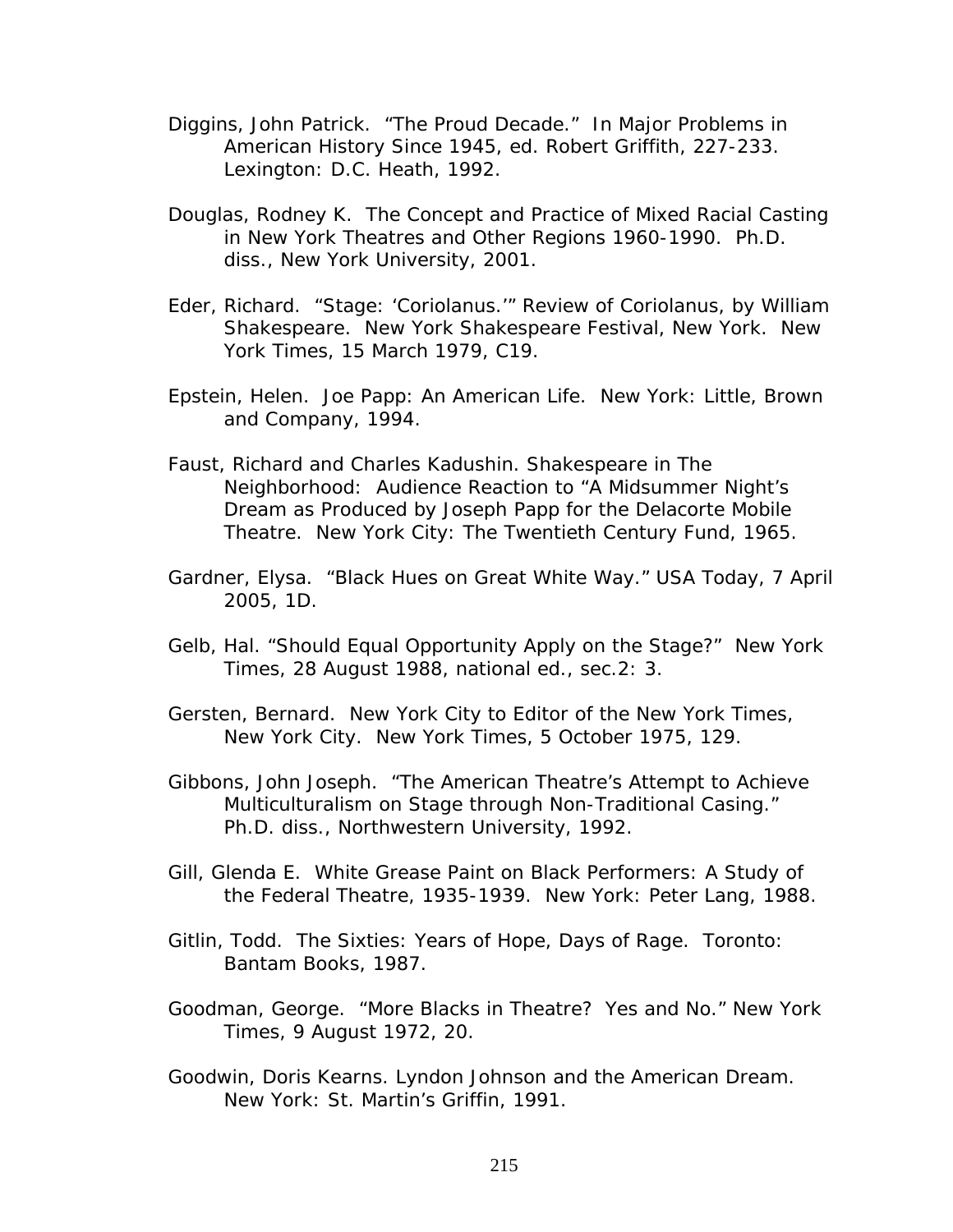- Diggins, John Patrick. "The Proud Decade." In *Major Problems in American History Since 1945*, ed. Robert Griffith, 227-233. Lexington: D.C. Heath, 1992.
- Douglas, Rodney K. The Concept and Practice of Mixed Racial Casting in New York Theatres and Other Regions 1960-1990. Ph.D. diss., New York University, 2001.
- Eder, Richard. "Stage: '*Coriolanus*.'" Review of *Coriolanus*, by William Shakespeare. New York Shakespeare Festival, New York. *New York Times*, 15 March 1979, C19.
- Epstein, Helen. *Joe Papp: An American Life*. New York: Little, Brown and Company, 1994.
- Faust, Richard and Charles Kadushin. *Shakespeare in The Neighborhood: Audience Reaction to "A Midsummer Night's Dream as Produced by Joseph Papp for the Delacorte Mobile Theatre*. New York City: The Twentieth Century Fund, 1965.
- Gardner, Elysa. "Black Hues on Great White Way." *USA Today*, 7 April 2005, 1D.
- Gelb, Hal. "Should Equal Opportunity Apply on the Stage?" *New York Times*, 28 August 1988, national ed., sec.2: 3.
- Gersten, Bernard. New York City to Editor of the *New York Times*, New York City. *New York Times*, 5 October 1975, 129.
- Gibbons, John Joseph. "The American Theatre's Attempt to Achieve Multiculturalism on Stage through Non-Traditional Casing." Ph.D. diss., Northwestern University, 1992.
- Gill, Glenda E. *White Grease Paint on Black Performers: A Study of the Federal Theatre, 1935-1939*. New York: Peter Lang, 1988.
- Gitlin, Todd. *The Sixties: Years of Hope, Days of Rage*. Toronto: Bantam Books, 1987.
- Goodman, George. "More Blacks in Theatre? Yes and No." *New York Times*, 9 August 1972, 20.
- Goodwin, Doris Kearns. *Lyndon Johnson and the American Dream*. New York: St. Martin's Griffin, 1991.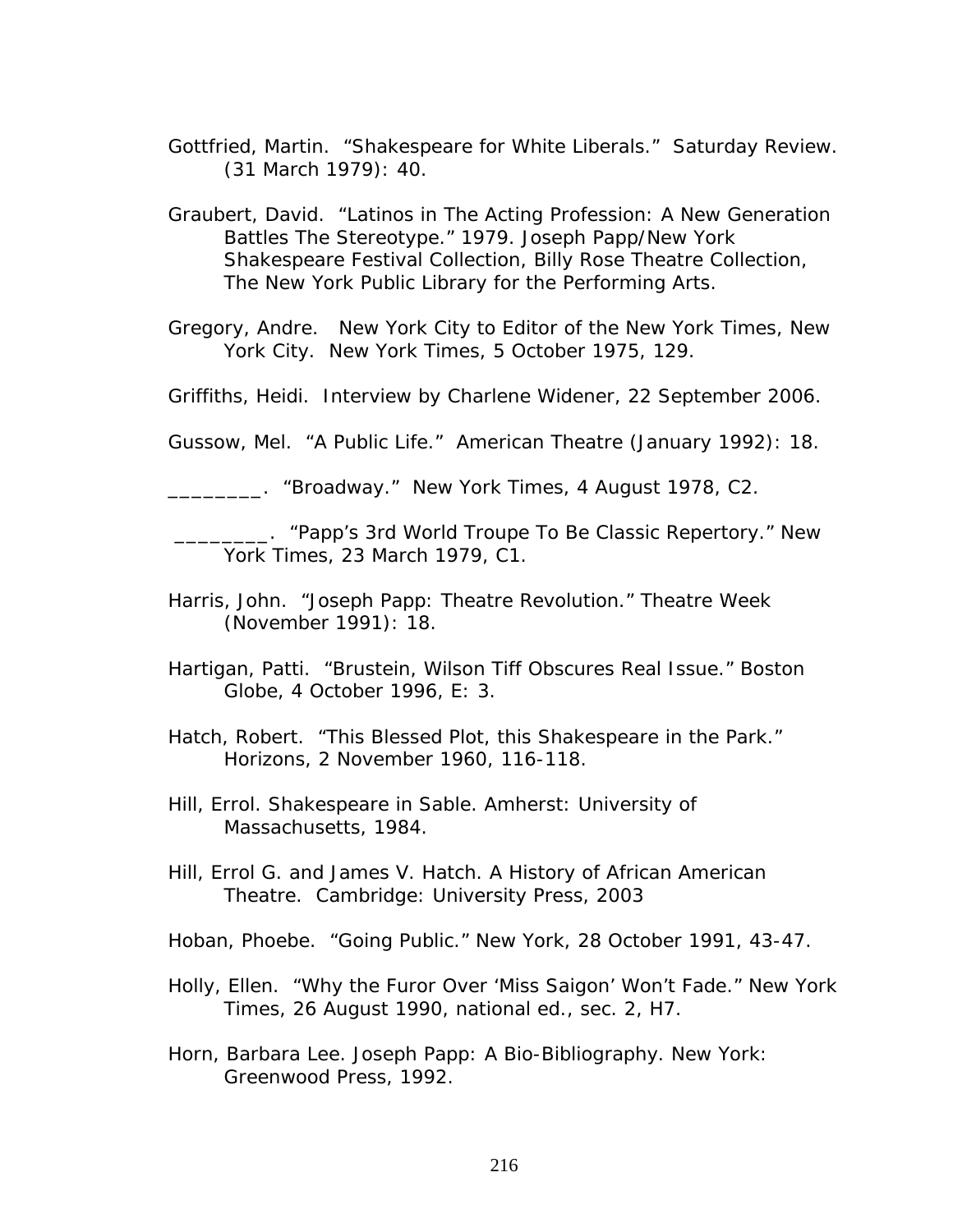- Gottfried, Martin. "Shakespeare for White Liberals." *Saturday Review*. (31 March 1979): 40.
- Graubert, David. "Latinos in The Acting Profession: A New Generation Battles The Stereotype." 1979. Joseph Papp/New York Shakespeare Festival Collection, Billy Rose Theatre Collection, The New York Public Library for the Performing Arts.

Gregory, Andre. New York City to Editor of the *New York Times*, New York City. *New York Times*, 5 October 1975, 129.

Griffiths, Heidi. Interview by Charlene Widener, 22 September 2006.

Gussow, Mel. "A Public Life." *American Theatre* (January 1992): 18.

\_\_\_\_\_\_\_\_. "Broadway." *New York Times*, 4 August 1978, C2.

 \_\_\_\_\_\_\_\_. "Papp's 3rd World Troupe To Be Classic Repertory." *New York Times*, 23 March 1979, C1.

- Harris, John. "Joseph Papp: Theatre Revolution." *Theatre Week* (November 1991): 18.
- Hartigan, Patti. "Brustein, Wilson Tiff Obscures Real Issue." *Boston Globe*, 4 October 1996, E: 3.
- Hatch, Robert. "This Blessed Plot, this Shakespeare in the Park." *Horizons*, 2 November 1960, 116-118.
- Hill, Errol. *Shakespeare in Sable*. Amherst: University of Massachusetts, 1984.
- Hill, Errol G. and James V. Hatch. *A History of African American Theatre*. Cambridge: University Press, 2003
- Hoban, Phoebe. "Going Public." *New York*, 28 October 1991, 43-47.
- Holly, Ellen. "Why the Furor Over 'Miss Saigon' Won't Fade." *New York Times*, 26 August 1990, national ed., sec. 2, H7.
- Horn, Barbara Lee. *Joseph Papp: A Bio-Bibliography*. New York: Greenwood Press, 1992.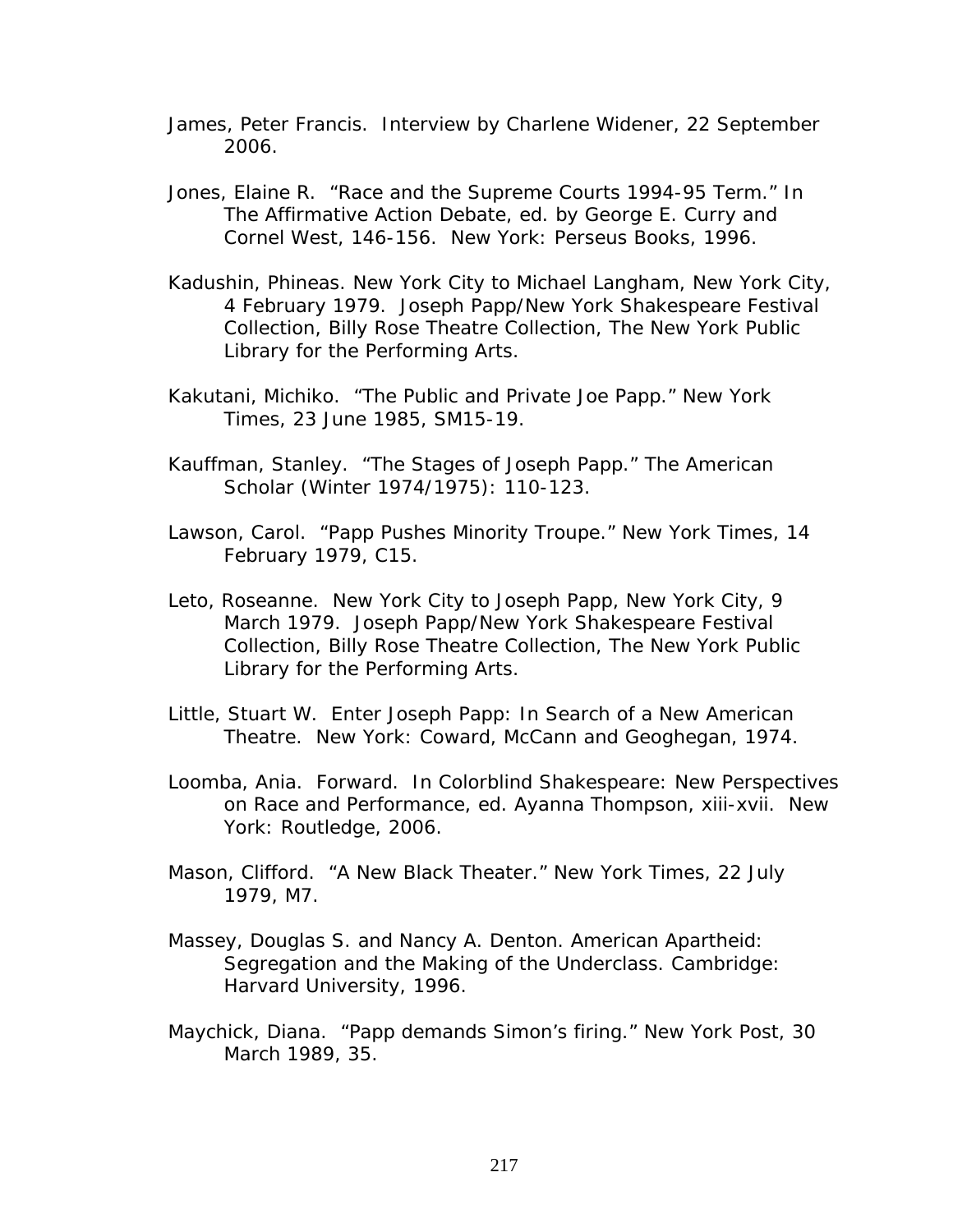- James, Peter Francis. Interview by Charlene Widener, 22 September 2006.
- Jones, Elaine R. "Race and the Supreme Courts 1994-95 Term." In *The Affirmative Action Debate*, ed. by George E. Curry and Cornel West, 146-156. New York: Perseus Books, 1996.
- Kadushin, Phineas. New York City to Michael Langham, New York City, 4 February 1979. Joseph Papp/New York Shakespeare Festival Collection, Billy Rose Theatre Collection, The New York Public Library for the Performing Arts.
- Kakutani, Michiko. "The Public and Private Joe Papp." *New York Times*, 23 June 1985, SM15-19.
- Kauffman, Stanley. "The Stages of Joseph Papp." *The American Scholar* (Winter 1974/1975): 110-123.
- Lawson, Carol. "Papp Pushes Minority Troupe." *New York Times*, 14 February 1979, C15.
- Leto, Roseanne. New York City to Joseph Papp, New York City, 9 March 1979. Joseph Papp/New York Shakespeare Festival Collection, Billy Rose Theatre Collection, The New York Public Library for the Performing Arts.
- Little, Stuart W. *Enter Joseph Papp: In Search of a New American Theatre*. New York: Coward, McCann and Geoghegan, 1974.
- Loomba, Ania. Forward. In *Colorblind Shakespeare: New Perspectives on Race and Performance*, ed. Ayanna Thompson, xiii-xvii. New York: Routledge, 2006.
- Mason, Clifford. "A New Black Theater." *New York Times*, 22 July 1979, M7.
- Massey, Douglas S. and Nancy A. Denton. *American Apartheid: Segregation and the Making of the Underclass*. Cambridge: Harvard University, 1996.
- Maychick, Diana. "Papp demands Simon's firing." *New York Post*, 30 March 1989, 35.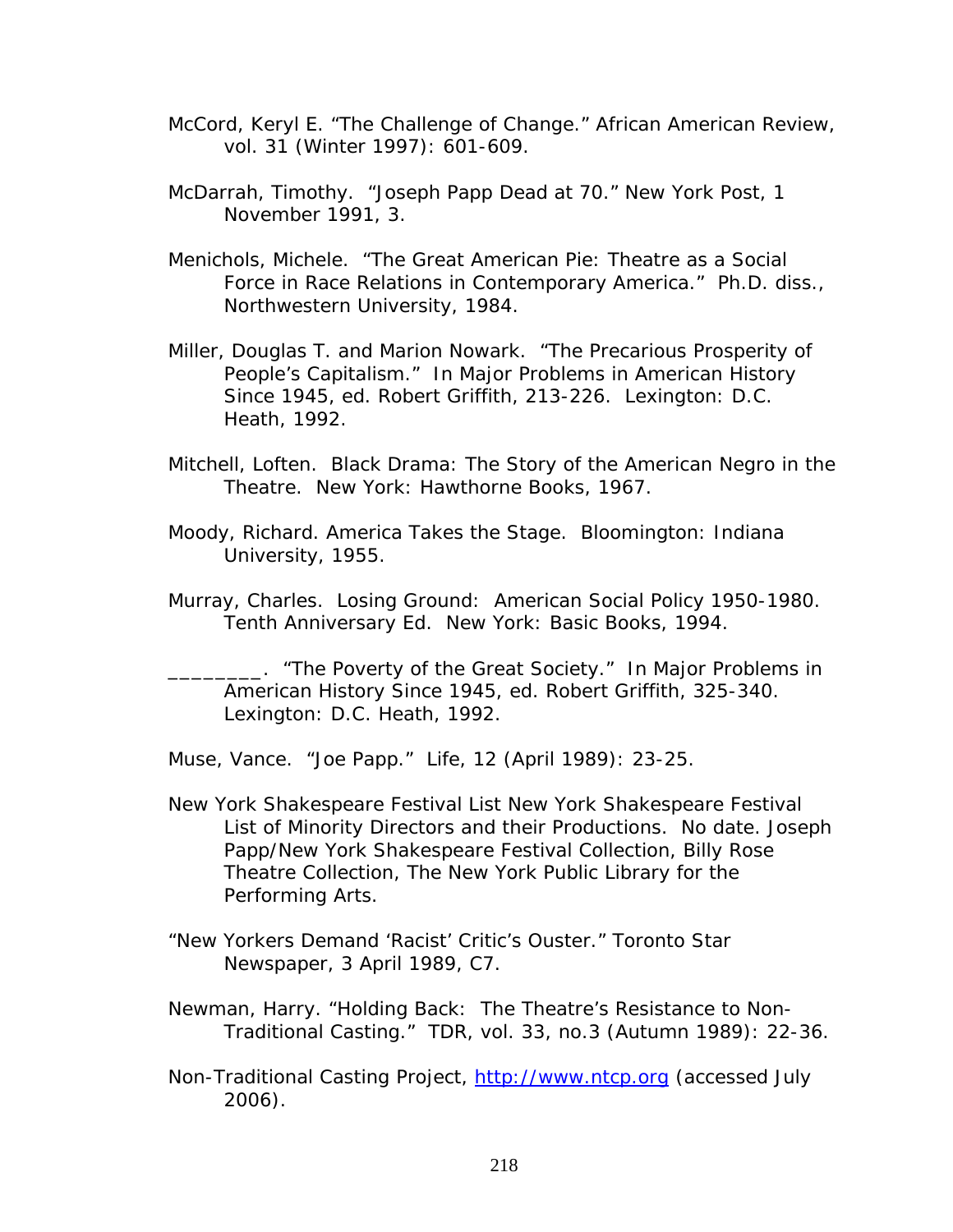- McCord, Keryl E. "The Challenge of Change." *African American Review,* vol. 31 (Winter 1997): 601-609.
- McDarrah, Timothy. "Joseph Papp Dead at 70." *New York Post*, 1 November 1991, 3.
- Menichols, Michele. "The Great American Pie: Theatre as a Social Force in Race Relations in Contemporary America." Ph.D. diss., Northwestern University, 1984.
- Miller, Douglas T. and Marion Nowark. "The Precarious Prosperity of People's Capitalism." In *Major Problems in American History Since 1945*, ed. Robert Griffith, 213-226. Lexington: D.C. Heath, 1992.
- Mitchell, Loften. *Black Drama: The Story of the American Negro in the Theatre.* New York: Hawthorne Books, 1967.
- Moody, Richard. *America Takes the Stage*. Bloomington: Indiana University, 1955.
- Murray, Charles. *Losing Ground: American Social Policy 1950-1980*. Tenth Anniversary Ed. New York: Basic Books, 1994.

\_\_\_\_\_\_\_\_. "The Poverty of the Great Society." In *Major Problems in American History Since 1945*, ed. Robert Griffith, 325-340. Lexington: D.C. Heath, 1992.

Muse, Vance. "Joe Papp." *Life*, 12 (April 1989): 23-25.

- New York Shakespeare Festival List New York Shakespeare Festival List of Minority Directors and their Productions. No date. Joseph Papp/New York Shakespeare Festival Collection, Billy Rose Theatre Collection, The New York Public Library for the Performing Arts.
- "New Yorkers Demand 'Racist' Critic's Ouster." *Toronto Star Newspaper*, 3 April 1989, C7.
- Newman, Harry. "Holding Back: The Theatre's Resistance to Non-Traditional Casting." *TDR*, vol. 33, no.3 (Autumn 1989): 22-36.
- Non-Traditional Casting Project, [http://www.ntcp.org](http://www.ntcp.org/) (accessed July 2006).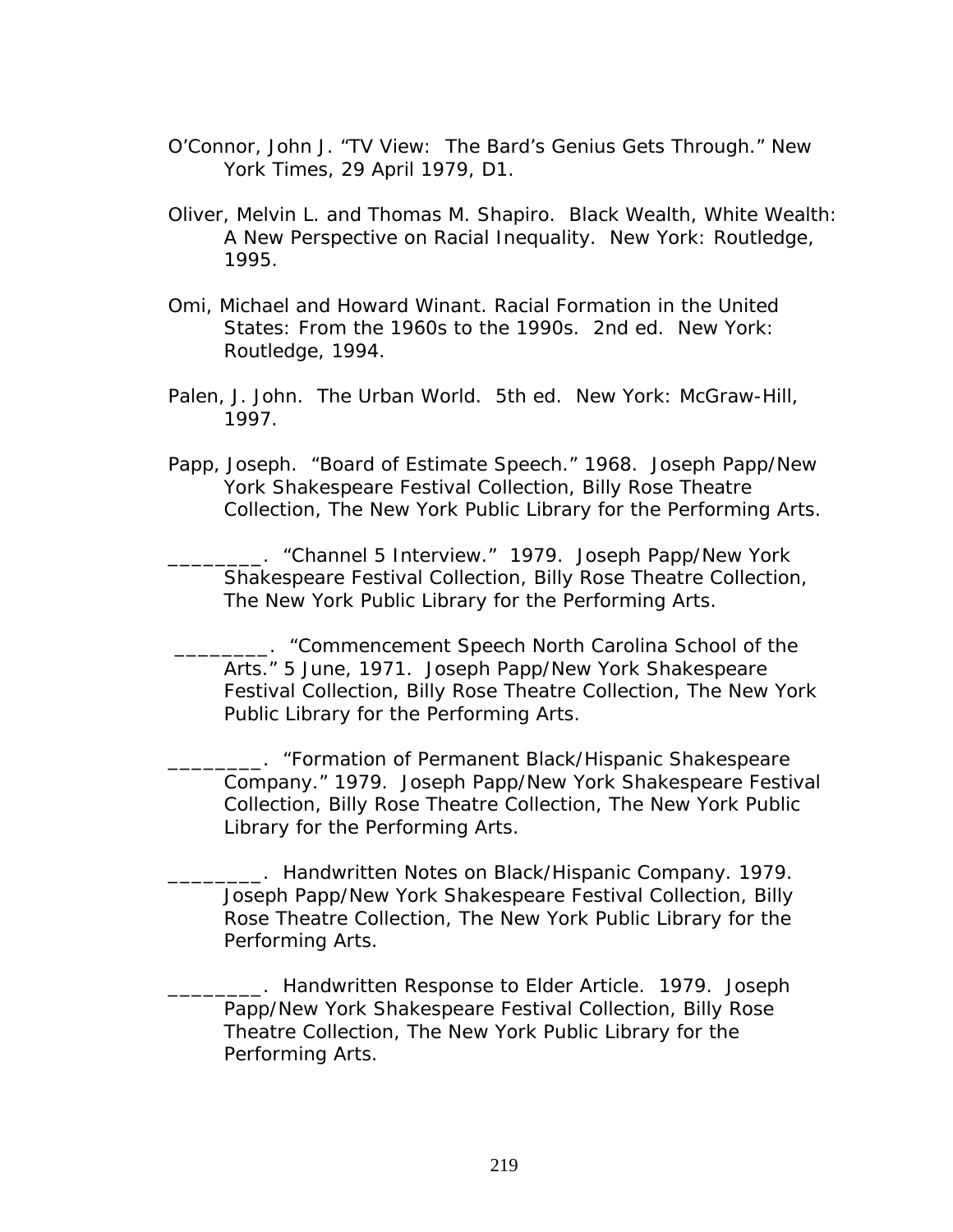- O'Connor, John J. "TV View: The Bard's Genius Gets Through." *New York Times*, 29 April 1979, D1.
- Oliver, Melvin L. and Thomas M. Shapiro. *Black Wealth, White Wealth: A New Perspective on Racial Inequality.* New York: Routledge, 1995.
- Omi, Michael and Howard Winant. *Racial Formation in the United States: From the 1960s to the 1990s.* 2nd ed. New York: Routledge, 1994.
- Palen, J. John. *The Urban World*. 5th ed. New York: McGraw-Hill, 1997.
- Papp, Joseph. "Board of Estimate Speech." 1968. Joseph Papp/New York Shakespeare Festival Collection, Billy Rose Theatre Collection, The New York Public Library for the Performing Arts.

\_\_\_\_\_\_\_\_. "Channel 5 Interview." 1979. Joseph Papp/New York Shakespeare Festival Collection, Billy Rose Theatre Collection, The New York Public Library for the Performing Arts.

 \_\_\_\_\_\_\_\_. "Commencement Speech North Carolina School of the Arts." 5 June, 1971. Joseph Papp/New York Shakespeare Festival Collection, Billy Rose Theatre Collection, The New York Public Library for the Performing Arts.

\_\_\_\_\_\_\_\_. "Formation of Permanent Black/Hispanic Shakespeare Company." 1979. Joseph Papp/New York Shakespeare Festival Collection, Billy Rose Theatre Collection, The New York Public Library for the Performing Arts.

\_\_\_\_\_\_\_\_. Handwritten Notes on Black/Hispanic Company. 1979. Joseph Papp/New York Shakespeare Festival Collection, Billy Rose Theatre Collection, The New York Public Library for the Performing Arts.

\_\_\_\_\_\_\_\_. Handwritten Response to Elder Article. 1979. Joseph Papp/New York Shakespeare Festival Collection, Billy Rose Theatre Collection, The New York Public Library for the Performing Arts.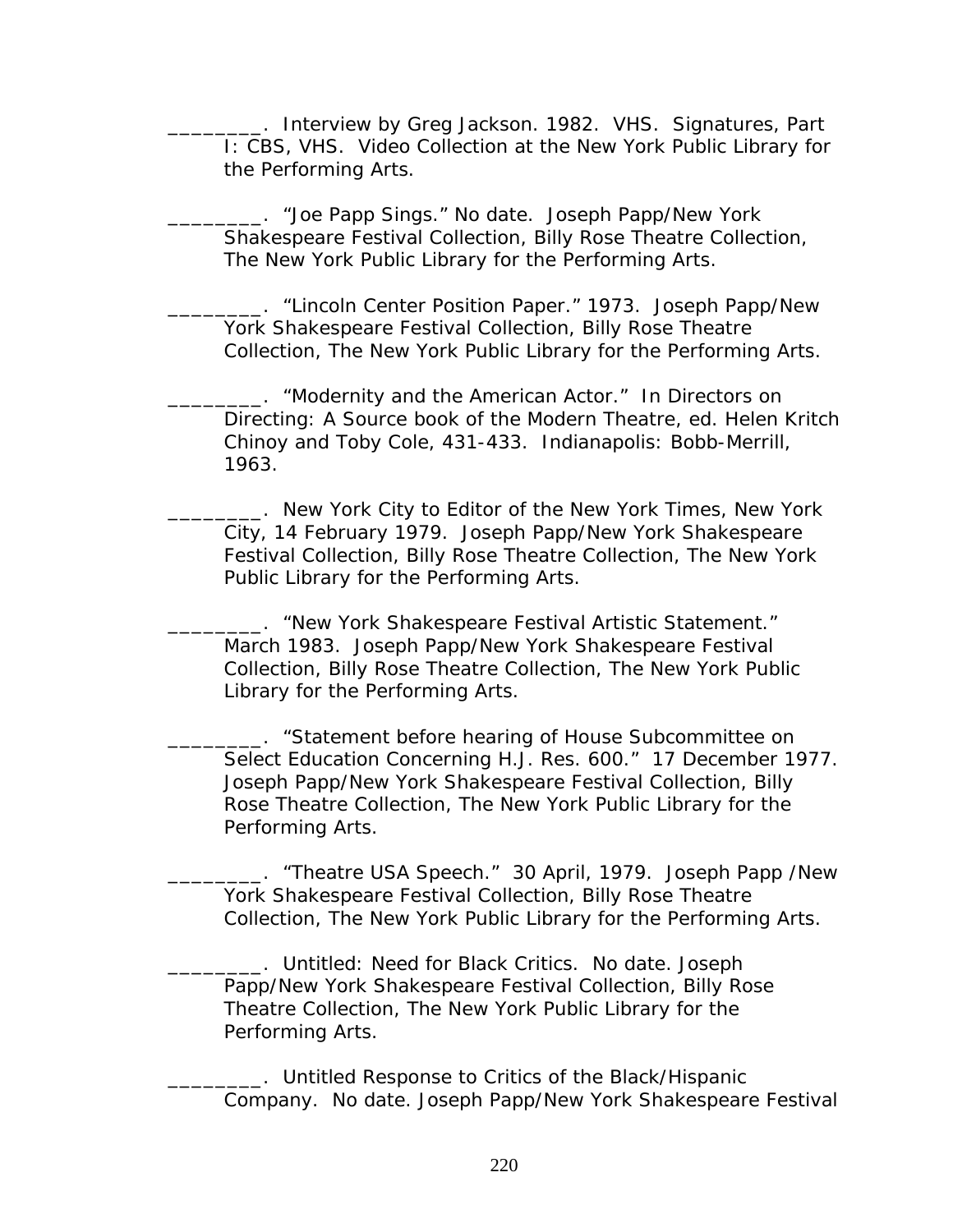\_\_\_\_\_\_\_\_. Interview by Greg Jackson. 1982. VHS. *Signatures, Part I*: CBS, VHS. Video Collection at the New York Public Library for the Performing Arts.

\_\_\_\_\_\_\_\_. "Joe Papp Sings." No date. Joseph Papp/New York Shakespeare Festival Collection, Billy Rose Theatre Collection, The New York Public Library for the Performing Arts.

\_\_\_\_\_\_\_\_. "Lincoln Center Position Paper." 1973. Joseph Papp/New York Shakespeare Festival Collection, Billy Rose Theatre Collection, The New York Public Library for the Performing Arts.

\_\_\_\_\_\_\_\_. "Modernity and the American Actor." In Directors on Directing: A Source book of the Modern Theatre, ed. Helen Kritch Chinoy and Toby Cole, 431-433. Indianapolis: Bobb-Merrill, 1963.

\_\_\_\_\_\_\_\_. New York City to Editor of the *New York Times*, New York City, 14 February 1979. Joseph Papp/New York Shakespeare Festival Collection, Billy Rose Theatre Collection, The New York Public Library for the Performing Arts.

\_\_\_\_\_\_\_\_. "New York Shakespeare Festival Artistic Statement." March 1983. Joseph Papp/New York Shakespeare Festival Collection, Billy Rose Theatre Collection, The New York Public Library for the Performing Arts.

\_\_\_. "Statement before hearing of House Subcommittee on Select Education Concerning H.J. Res. 600." 17 December 1977. Joseph Papp/New York Shakespeare Festival Collection, Billy Rose Theatre Collection, The New York Public Library for the Performing Arts.

\_\_\_\_\_\_\_\_. "Theatre USA Speech." 30 April, 1979. Joseph Papp /New York Shakespeare Festival Collection, Billy Rose Theatre Collection, The New York Public Library for the Performing Arts.

\_\_\_\_\_\_\_\_. Untitled: Need for Black Critics. No date. Joseph Papp/New York Shakespeare Festival Collection, Billy Rose Theatre Collection, The New York Public Library for the Performing Arts.

\_\_\_\_\_\_\_\_. Untitled Response to Critics of the Black/Hispanic Company. No date. Joseph Papp/New York Shakespeare Festival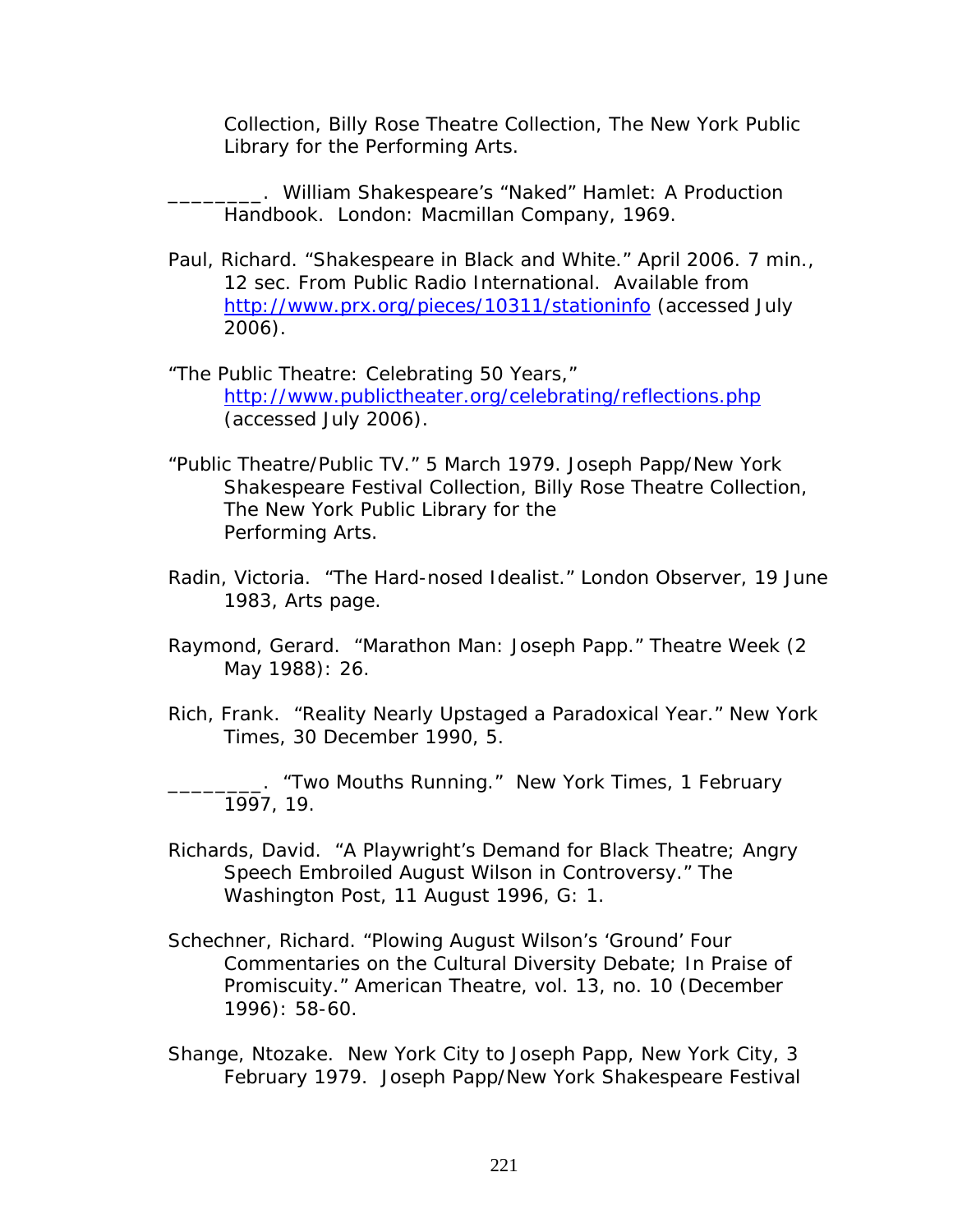Collection, Billy Rose Theatre Collection, The New York Public Library for the Performing Arts.

\_\_\_\_\_\_\_\_. *William Shakespeare's "Naked" Hamlet: A Production Handbook*. London: Macmillan Company, 1969.

- Paul, Richard. "Shakespeare in Black and White." April 2006. 7 min., 12 sec. From Public Radio International. Available from <http://www.prx.org/pieces/10311/stationinfo> (accessed July 2006).
- "The Public Theatre: Celebrating 50 Years," <http://www.publictheater.org/celebrating/reflections.php> (accessed July 2006).
- "Public Theatre/Public TV." 5 March 1979. Joseph Papp/New York Shakespeare Festival Collection, Billy Rose Theatre Collection, The New York Public Library for the Performing Arts.
- Radin, Victoria. "The Hard-nosed Idealist." *London Observer*, 19 June 1983, Arts page.
- Raymond, Gerard. "Marathon Man: Joseph Papp." *Theatre Week* (2 May 1988): 26.
- Rich, Frank. "Reality Nearly Upstaged a Paradoxical Year." *New York Times*, 30 December 1990, 5.

\_\_\_\_\_\_\_\_. "Two Mouths Running." *New York Times*, 1 February 1997, 19.

- Richards, David. "A Playwright's Demand for Black Theatre; Angry Speech Embroiled August Wilson in Controversy." *The Washington Post*, 11 August 1996, G: 1.
- Schechner, Richard. "Plowing August Wilson's 'Ground' Four Commentaries on the Cultural Diversity Debate; In Praise of Promiscuity." *American Theatre*, vol. 13, no. 10 (December 1996): 58-60.
- Shange, Ntozake. New York City to Joseph Papp, New York City, 3 February 1979. Joseph Papp/New York Shakespeare Festival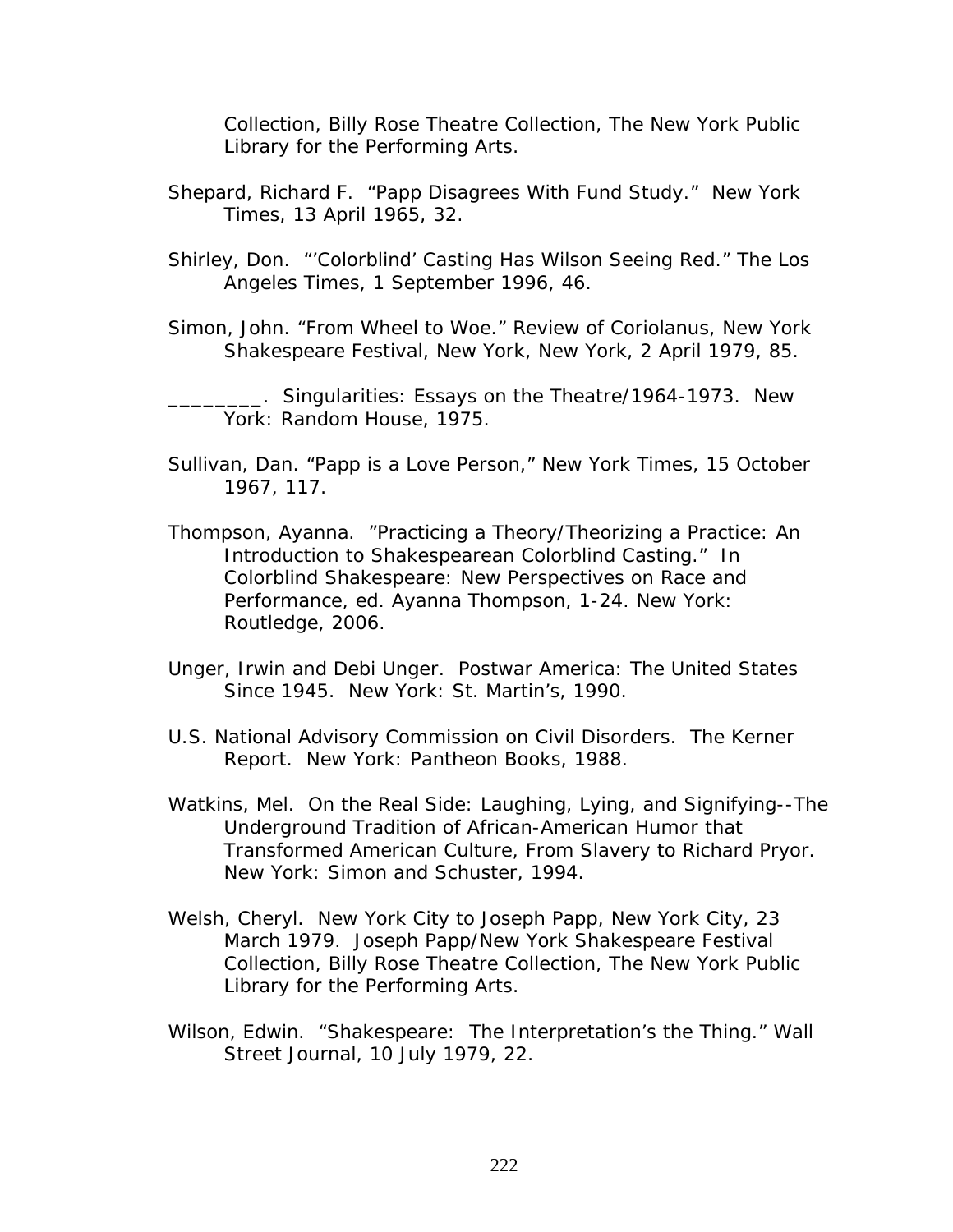Collection, Billy Rose Theatre Collection, The New York Public Library for the Performing Arts.

- Shepard, Richard F. "Papp Disagrees With Fund Study." *New York Times*, 13 April 1965, 32.
- Shirley, Don. "'Colorblind' Casting Has Wilson Seeing Red." *The Los Angeles Times*, 1 September 1996, 46.
- Simon, John. "From Wheel to Woe." Review of *Coriolanus*, New York Shakespeare Festival, New York, *New York*, 2 April 1979, 85.

\_\_\_\_\_\_\_\_. *Singularities: Essays on the Theatre/1964-1973.* New York: Random House, 1975.

- Sullivan, Dan. "Papp is a Love Person," *New York Times*, 15 October 1967, 117.
- Thompson, Ayanna. "Practicing a Theory/Theorizing a Practice: An Introduction to Shakespearean Colorblind Casting." In *Colorblind Shakespeare: New Perspectives on Race and Performance*, ed. Ayanna Thompson, 1-24. New York: Routledge, 2006.
- Unger, Irwin and Debi Unger. *Postwar America: The United States Since 1945*. New York: St. Martin's, 1990.
- U.S. National Advisory Commission on Civil Disorders. *The Kerner Report*. New York: Pantheon Books, 1988.
- Watkins, Mel. *On the Real Side: Laughing, Lying, and Signifying--The Underground Tradition of African-American Humor that Transformed American Culture, From Slavery to Richard Pryor.* New York: Simon and Schuster, 1994.
- Welsh, Cheryl. New York City to Joseph Papp, New York City, 23 March 1979. Joseph Papp/New York Shakespeare Festival Collection, Billy Rose Theatre Collection, The New York Public Library for the Performing Arts.
- Wilson, Edwin. "Shakespeare: The Interpretation's the Thing." *Wall Street Journal*, 10 July 1979, 22.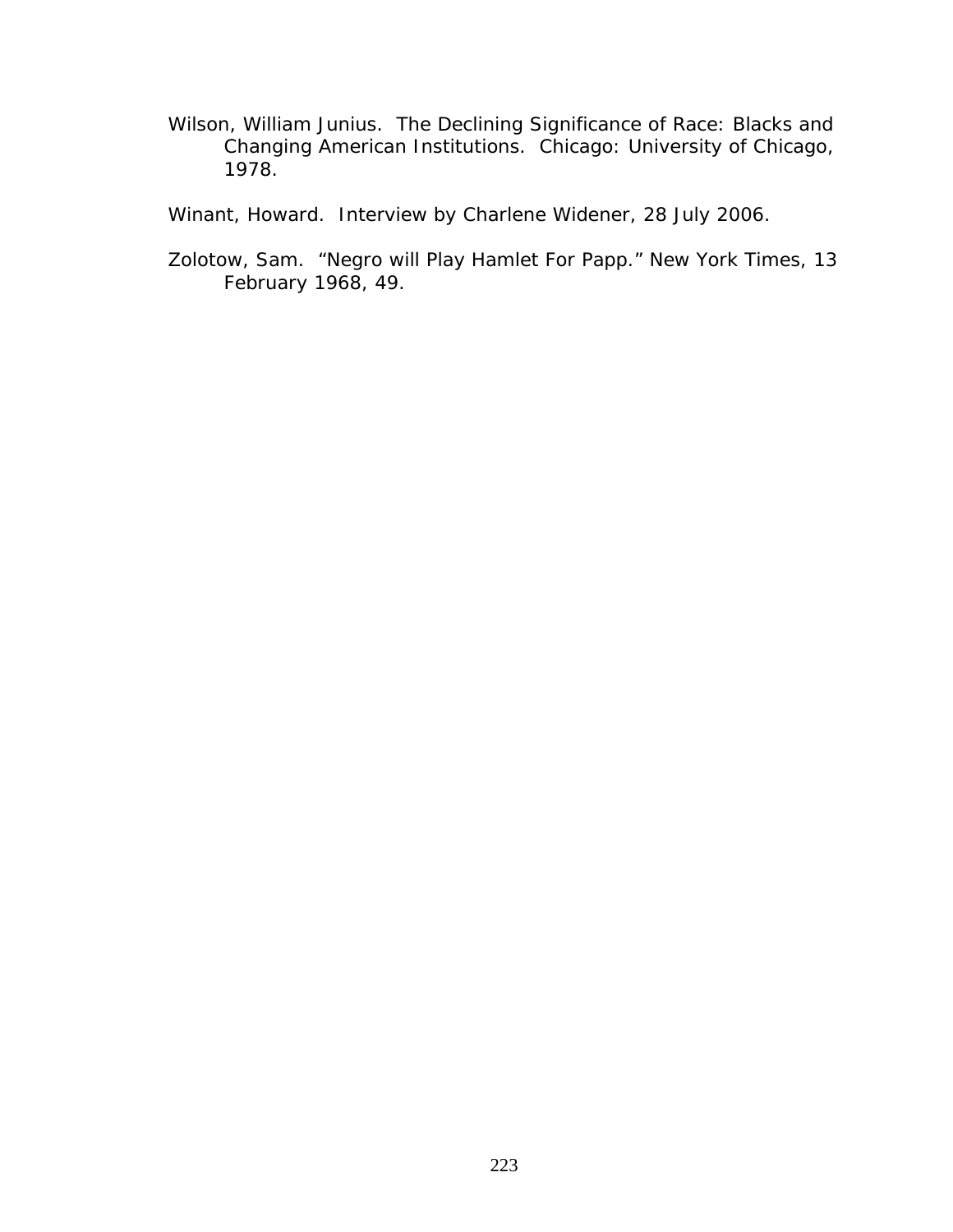Wilson, William Junius. *The Declining Significance of Race: Blacks and Changing American Institutions*. Chicago: University of Chicago, 1978.

Winant, Howard. Interview by Charlene Widener, 28 July 2006.

Zolotow, Sam. "Negro will Play Hamlet For Papp." *New York Times*, 13 February 1968, 49.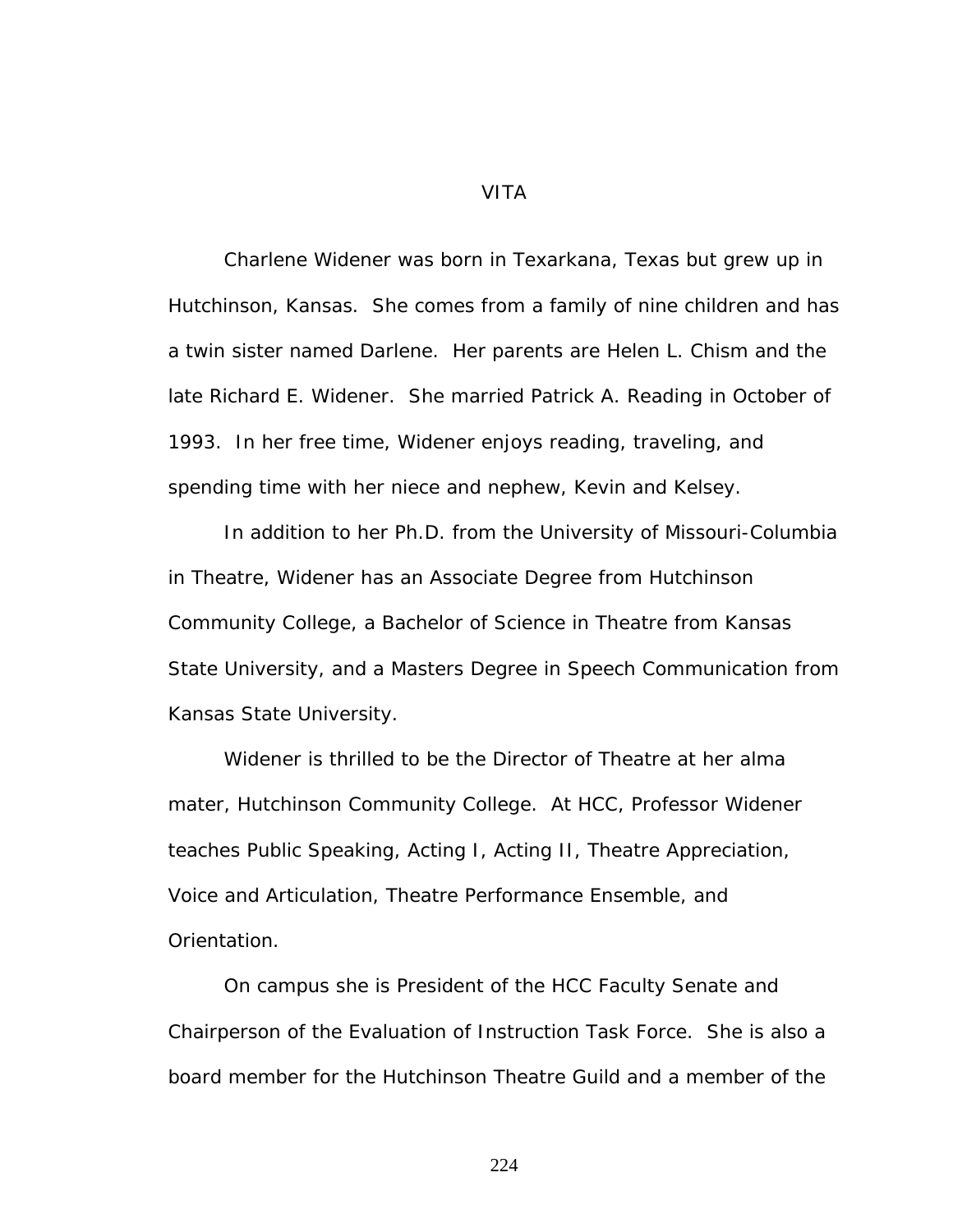VITA

Charlene Widener was born in Texarkana, Texas but grew up in Hutchinson, Kansas. She comes from a family of nine children and has a twin sister named Darlene. Her parents are Helen L. Chism and the late Richard E. Widener. She married Patrick A. Reading in October of 1993. In her free time, Widener enjoys reading, traveling, and spending time with her niece and nephew, Kevin and Kelsey.

In addition to her Ph.D. from the University of Missouri-Columbia in Theatre, Widener has an Associate Degree from Hutchinson Community College, a Bachelor of Science in Theatre from Kansas State University, and a Masters Degree in Speech Communication from Kansas State University.

Widener is thrilled to be the Director of Theatre at her alma mater, Hutchinson Community College. At HCC, Professor Widener teaches Public Speaking, Acting I, Acting II, Theatre Appreciation, Voice and Articulation, Theatre Performance Ensemble, and Orientation.

On campus she is President of the HCC Faculty Senate and Chairperson of the Evaluation of Instruction Task Force. She is also a board member for the Hutchinson Theatre Guild and a member of the

224